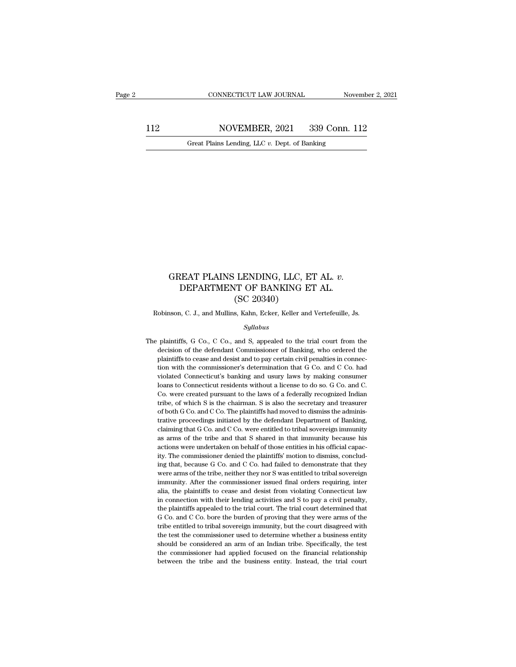112 CONNECTICUT LAW JOURNAL November 2, 2021<br>112 NOVEMBER, 2021 339 Conn. 112<br>Great Plains Lending, LLC v. Dept. of Banking CONNECTICUT LAW JOURNAL Nov<br>NOVEMBER, 2021 339 Conn. 1<br>Great Plains Lending, LLC *v.* Dept. of Banking

### GREAT PLAINS LENDING, LLC, ET AL. *v.*<br>DEPARTMENT OF BANKING ET AL.<br>(SC 20340) REAT PLAINS LENDING, LLC, ET AL. v.<br>DEPARTMENT OF BANKING ET AL. (SC 20340) LENDING, LLC, E<br>T OF BANKING E<br>(SC 20340)<br>s, Kahn, Ecker, Keller and GREAT PLAINS LENDING, LLC, ET AL. *v*.<br>DEPARTMENT OF BANKING ET AL.<br>(SC 20340)<br>Robinson, C. J., and Mullins, Kahn, Ecker, Keller and Vertefeuille, Js.

### *Syllabus*

 $(SC 20340)$ <br>Robinson, C. J., and Mullins, Kahn, Ecker, Keller and Vertefeuille, Js.<br> $Syllabus$ <br>The plaintiffs, G Co., C Co., and S, appealed to the trial court from the<br>decision of the defendant Commissioner of Banking, who or  $(SC 20340)$ <br>obinson, C. J., and Mullins, Kahn, Ecker, Keller and Vertefeuille, Js.<br> $Syllabus$ <br>plaintiffs, G Co., C Co., and S, appealed to the trial court from the<br>decision of the defendant Commissioner of Banking, who ordered obinson, C. J., and Mullins, Kahn, Ecker, Keller and Vertefeuille, Js.<br> *Syllabus*<br>
plaintiffs, G Co., C Co., and S, appealed to the trial court from the<br>
decision of the defendant Commissioner of Banking, who ordered the<br> Syllabus<br>
Syllabus<br>
plaintiffs, G Co., C Co., and S, appealed to the trial court from the<br>
decision of the defendant Commissioner of Banking, who ordered the<br>
plaintiffs to cease and desist and to pay certain civil penalti *Syllabus*<br>plaintiffs, G Co., C Co., and S, appealed to the trial court from the<br>decision of the defendant Commissioner of Banking, who ordered the<br>plaintiffs to cease and desist and to pay certain civil penalties in conne plaintiffs, G Co., C Co., and S, appealed to the trial court from the decision of the defendant Commissioner of Banking, who ordered the plaintiffs to cease and desist and to pay certain civil penalties in connection with decision of the defendant Commissioner of Banking, who ordered the plaintiffs to cease and desist and to pay certain civil penalties in connection with the commissioner's determination that G Co. and C Co. had violated Con plaintiffs to cease and desist and to pay certain civil penalties in connection with the commissioner's determination that G Co. and C Co. had violated Connecticut's banking and usury laws by making consumer loans to Conne plaintiffs to cease and desist and to pay certain civil penalties in connection with the commissioner's determination that G Co. and C Co. had violated Connecticut's banking and usury laws by making consumer loans to Conne violated Connecticut's banking and usury laws by making consumer<br>loans to Connecticut residents without a license to do so. G Co. and C.<br>Co. were created pursuant to the laws of a federally recognized Indian<br>tribe, of whic claiming that G Co. and C Co. were entitled to tribal sovereign immunity of the connecticut residents without a license to do so. G Co. and C. Co. were created pursuant to the laws of a federally recognized Indian tribe, o Co. were created pursuant to the laws of a federally recognized Indian tribe, of which S is the chairman. S is also the secretary and treasurer of both G Co. and C Co. The plaintiffs had moved to dismiss the administrative tribe, of which S is the chairman. S is also the secretary and treasurer of both G Co. and C Co. The plaintiffs had moved to dismiss the administrative proceedings initiated by the defendant Department of Banking, claimin of both G Co. and C Co. The plaintiffs had moved to dismiss the adminis-Frative proceedings initiated by the defendant Department of Banking, claiming that G Co. and C Co. were entitled to tribal sovereign immunity as arms of the tribe and that S shared in that immunity because his actions wer elaiming that G Co. and C Co. were entitled to tribal sovereign immunity as arms of the tribe and that S shared in that immunity because his actions were undertaken on behalf of those entities in his official capacity. The ass arms of the tribe and that S shared in that immunity because his actions were undertaken on behalf of those entities in his official capacity. The commissioner denied the plaintiffs' motion to dismiss, concluding that, actions were undertaken on behalf of those entities in his official capacity. The commissioner denied the plaintiffs' motion to dismiss, concluding that, because G Co. and C Co. had failed to demonstrate that they were arm ity. The commissioner denied the plaintiffs' motion to dismiss, concluding that, because G Co. and C Co. had failed to demonstrate that they were arms of the tribe, neither they nor S was entitled to tribal sovereign immun ing that, because G Co. and C Co. had failed to demonstrate that they were arms of the tribe, neither they nor S was entitled to tribal sovereign immunity. After the commissioner issued final orders requiring, inter alia, For any solution are arms of the tribe, neither they nor S was entitled to tribal sovereign immunity. After the commissioner issued final orders requiring, inter alia, the plaintiffs to cease and desist from violating Con immunity. After the commissioner issued final orders requiring, inter<br>inimunity. After the commissioner issued final orders requiring, inter<br>ialia, the plaintiffs to cease and desist from violating Connecticut law<br>in conne alia, the plaintiffs to cease and desist from violating Connecticut law<br>in connection with their lending activities and S to pay a civil penalty,<br>the plaintiffs appealed to the trial court. The trial court determined that<br> alia, the plaintiffs to cease and desist from violating Connecticut law<br>in connection with their lending activities and S to pay a civil penalty,<br>the plaintiffs appealed to the trial court. The trial court determined that<br> the plaintiffs appealed to the trial court. The trial court determined that G Co. and C Co. bore the burden of proving that they were arms of the tribe entitled to tribal sovereign immunity, but the court disagreed with th G Co. and C Co. bore the burden of proving that they were arms of the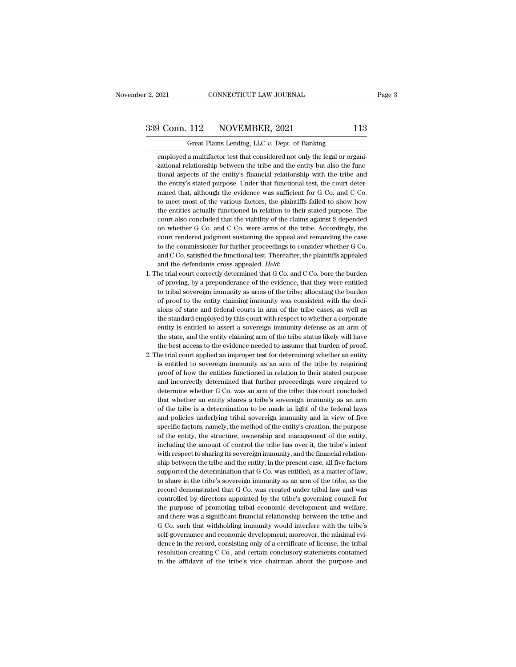F. 2, 2021 CONNECTICUT LAW JOURNAL<br>
Great Plains Lending, LLC *v.* Dept. of Banking<br>
employed a multifactor test that considered not only the legal or organiemployed a multifactor test that considered not only the legal or organizational relationship between the tribe and the entity but also the functional relationship between the tribe and the entity but also the functionship  $\frac{112}{2}$  NOVEMBER, 2021 113<br>Great Plains Lending, LLC v. Dept. of Banking<br>employed a multifactor test that considered not only the legal or organizational relationship between the tribe and the entity but also the func **EXECUTE:** Solutional aspects of the entity's financial relationship between the tribe and the entity but also the functional relationship between the tribe and the entity but also the functional aspects of the entity's f Great Plains Lending, LLC  $v$ . Dept. of Banking<br>employed a multifactor test that considered not only the legal or organizational relationship between the tribe and the entity but also the func-<br>tional aspects of the entit Great Plains Lending, LLC v. Dept. of Banking<br>employed a multifactor test that considered not only the legal or organizational relationship between the tribe and the entity but also the func-<br>tional aspects of the entity's employed a multifactor test that considered not only the legal or organizational relationship between the tribe and the entity but also the functional aspects of the entity's financial relationship with the tribe and the e zational relationship between the tribe and the entity but also the functional aspects of the entity's financial relationship with the tribe and the entity's stated purpose. Under that functional test, the court determined tional aspects of the entity's financial relationship with the tribe and<br>the entity's stated purpose. Under that functional test, the court deter-<br>mined that, although the evidence was sufficient for G Co. and C Co.<br>to mee the entity's stated purpose. Under that functional test, the court determined that, although the evidence was sufficient for G Co. and C Co. to meet most of the various factors, the plaintiffs failed to show how the entiti mined that, although the evidence was sufficient for G Co. and C Co.<br>to meet most of the various factors, the plaintiffs failed to show how<br>the entities actually functioned in relation to their stated purpose. The<br>court al mined that, although the evidence was sufficient for G Co. and C Co.<br>to meet most of the various factors, the plaintiffs failed to show how<br>the entities actually functioned in relation to their stated purpose. The<br>court a the entities actually functioned in relation to their stated purpose. The court also concluded that the viability of the claims against S depended on whether G Co. and C Co. were arms of the tribe. Accordingly, the court r court also concluded that the viability of the claims against S depended<br>on whether G Co. and C Co. were arms of the tribe. Accordingly, the<br>court rendered judgment sustaining the appeal and remanding the case<br>to the comm court rendered judgment sustaining the appeal and remanding the case<br>to the commissioner for further proceedings to consider whether G Co.<br>and C Co. satisfied the functional test. Thereafter, the plaintiffs appealed<br>and th

- to the commissioner for further proceedings to consider whether G Co.<br>and C Co. satisfied the functional test. Thereafter, the plaintiffs appealed<br>and the defendants cross appealed. *Held*:<br>he trial court correctly determi and C Co. satisfied the functional test. Thereafter, the plaintiffs appealed and the defendants cross appealed. *Held*:<br>1. The trial court correctly determined that G Co. and C Co. bore the burden of proving, by a prepond and the defendants cross appealed. *Held*:<br>he trial court correctly determined that G Co. and C Co. bore the burden<br>of proving, by a preponderance of the evidence, that they were entitled<br>to tribal sovereign inmunity as ar he trial court correctly determined that G Co. and C Co. bore the burden<br>of proving, by a preponderance of the evidence, that they were entitled<br>to tribal sovereign immunity as arms of the tribe; allocating the burden<br>of p of proving, by a preponderance of the evidence, that they were entitled to tribal sovereign immunity as arms of the tribe; allocating the burden of proof to the entity claiming immunity was consistent with the decisions of to tribal sovereign immunity as arms of the tribe; allocating the burden<br>of proof to the entity claiming immunity was consistent with the deci-<br>sions of state and federal courts in arm of the tribe cases, as well as<br>the st of proof to the entity claiming immunity was consistent with the decisions of state and federal courts in arm of the tribe cases, as well as the standard employed by this court with respect to whether a corporate entity is sions of state and federal courts in arm of the tribe cases, as well as<br>the standard employed by this court with respect to whether a corporate<br>entity is entitled to assert a sovereign immunity defense as an arm of<br>the sta the standard employed by this court with respect to whether a corporate entity is entitled to assert a sovereign immunity defense as an arm of the state, and the entity claiming arm of the tribe status likely will have the
- entity is entitled to assert a sovereign immunity defense as an arm of<br>the state, and the entity claiming arm of the tribe status likely will have<br>the best access to the evidence needed to assume that burden of proof.<br>he t the state, and the entity claiming arm of the tribe status likely will have the best access to the evidence needed to assume that burden of proof.<br>he trial court applied an improper test for determining whether an entity i the best access to the evidence needed to assume that burden of proof.<br>he trial court applied an improper test for determining whether an entity<br>is entitled to sovereign immunity as an arm of the tribe by requiring<br>proof o the trial court applied an improper test for determining whether an entity is entitled to sovereign immunity as an arm of the tribe by requiring proof of how the entities functioned in relation to their stated purpose and is entitled to sovereign immunity as an arm of the tribe by requiring<br>proof of how the entities functioned in relation to their stated purpose<br>and incorrectly determined that further proceedings were required to<br>determine proof of how the entities functioned in relation to their stated purpose and incorrectly determined that further proceedings were required to determine whether G Co. was an arm of the tribe: this court concluded that wheth and incorrectly determined that further proceedings were required to determine whether G Co. was an arm of the tribe: this court concluded that whether an entity shares a tribe's sovereign immunity as an arm of the tribe i determine whether G Co. was an arm of the tribe: this court concluded that whether an entity shares a tribe's sovereign immunity as an arm of the tribe is a determination to be made in light of the federal laws and policie that whether an entity shares a tribe's sovereign immunity as an arm<br>of the tribe is a determination to be made in light of the federal laws<br>and policies underlying tribal sovereign immunity and in view of five<br>specific fa that whether an entity shares a tribe's sovereign immunity as an arm<br>of the tribe is a determination to be made in light of the federal laws<br>and policies underlying tribal sovereign immunity and in view of five<br>specific f and policies underlying tribal sovereign immunity and in view of five specific factors, namely, the method of the entity's creation, the purpose of the entity, the structure, ownership and management of the entity, includi specific factors, namely, the method of the entity's creation, the purpose<br>of the entity, the structure, ownership and management of the entity,<br>including the amount of control the tribe has over it, the tribe's intent<br>wit of the entity, the structure, ownership and management of the entity, including the amount of control the tribe has over it, the tribe's intent with respect to sharing its sovereign immunity, and the financial relationship including the amount of control the tribe has over it, the tribe's intent with respect to sharing its sovereign immunity, and the financial relationship between the tribe and the entity; in the present case, all five facto with respect to sharing its sovereign immunity, and the financial relationship between the tribe and the entity; in the present case, all five factors supported the determination that G Co. was entitled, as a matter of law ship between the tribe and the entity; in the present case, all five factors supported the determination that G Co. was entitled, as a matter of law, to share in the tribe's sovereign immunity as an arm of the tribe, as th supported the determination that G Co. was entitled, as a matter of law, to share in the tribe's sovereign immunity as an arm of the tribe, as the record demonstrated that G Co. was created under tribal law and was control to share in the tribe's sovereign immunity as an arm of the tribe, as the record demonstrated that G Co. was created under tribal law and was controlled by directors appointed by the tribe's governing council for the purpo record demonstrated that G Co. was created under tribal law and was controlled by directors appointed by the tribe's governing council for the purpose of promoting tribal economic development and welfare, and there was a s controlled by directors appointed by the tribe's governing council for<br>the purpose of promoting tribal economic development and welfare,<br>and there was a significant financial relationship between the tribe and<br>G Co. such t the purpose of promoting tribal economic development and welfare, and there was a significant financial relationship between the tribe and G Co. such that withholding immunity would interfere with the tribe's self-governan and there was a significant financial relationship between the tribe and G Co. such that withholding immunity would interfere with the tribe's self-governance and economic development; moreover, the minimal evidence in the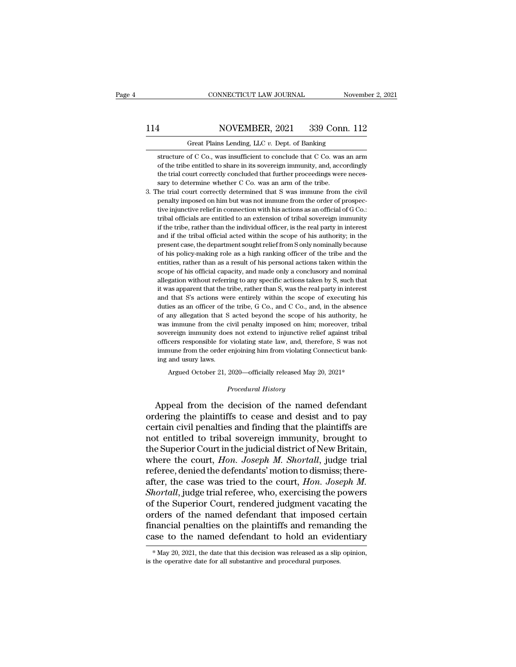### 114 CONNECTICUT LAW JOURNAL November 2, 2021<br>114 NOVEMBER, 2021 339 Conn. 112<br>114 Great Plains Lending, LLC v. Dept. of Banking CONNECTICUT LAW JOURNAL<br>NOVEMBER, 2021 339 Conn. 1<br>Great Plains Lending, LLC *v.* Dept. of Banking<br>of C Co., was insufficient to conclude that C Co. was an

Structure of C Co., was insufficient to conclude that C Co. was an arm of the tribe entitled to share in its sovereign immunity, and, accordingly MOVEMBER, 2021 339 Conn. 112<br>Great Plains Lending, LLC v. Dept. of Banking<br>structure of C Co., was insufficient to conclude that C Co. was an arm<br>of the tribe entitled to share in its sovereign immunity, and, accordingly<br>t  $\frac{12}{12}$  Great Plains Lending, LLC v. Dept. of Banking<br>structure of C Co., was insufficient to conclude that C Co. was an arm<br>of the tribe entitled to share in its sovereign immunity, and, accordingly<br>the trial court c Great Plains Lending, LLC v. Dept. of Banking<br>structure of C Co., was insufficient to conclude that C Co. was<br>of the tribe entitled to share in its sovereign immunity, and, acce<br>the trial court correctly concluded that fur Great Plains Lending, LLC  $v$ . Dept. of Banking<br>
structure of C Co., was insufficient to conclude that C Co. was an arm<br>
of the tribe entitled to share in its sovereign immunity, and, accordingly<br>
the trial court correctl structure of C Co., was insufficient to conclude that C Co. was an arm<br>of the tribe entitled to share in its sovereign immunity, and, accordingly<br>the trial court correctly concluded that further proceedings were neces-<br>sar

of the tribe entitled to share in its sovereign immunity, and, accordingly the trial court correctly concluded that further proceedings were necessary to determine whether C Co. was an arm of the tribe. The trial court cor the trial court correctly concluded that further proceedings were necessary to determine whether C Co. was an arm of the tribe.<br>he trial court correctly determined that S was immune from the civil penalty imposed on him bu sary to determine whether C Co. was an arm of the tribe.<br>he trial court correctly determined that S was immune from the civil<br>penalty imposed on him but was not immune from the order of prospec-<br>tive injunctive relief in c and it is the trial court correctly determined that S was immune from the civil penalty imposed on him but was not immune from the order of prospective injunctive relief in connection with his actions as an official of G C prenalty imposed on him but was not immune from the order of prospective injunctive relief in connection with his actions as an official of G Co.: tribal officials are entitled to an extension of tribal sovereign immunity policial policial connection with his actions as an official of G Co.:<br>tribal officials are entitled to an extension of tribal sovereign immunity<br>if the tribe, rather than the individual officer, is the real party in inter entities, and entitled to an extension of tribal sovereign immunity if the tribe, rather than the individual officer, is the real party in interest and if the tribal official acted within the scope of his authority; in the if the tribe, rather than the individual officer, is the real party in interest<br>and if the tribal official acted within the scope of his authority; in the<br>present case, the department sought relief from S only nominally be allegation without referring to any specific actions that with the scope of his authority; in the present case, the department sought relief from Sonly nominally because of his policy-making role as a high ranking officer it was apparent case, the department sought relief from Sonly nominally because<br>of his policy-making role as a high ranking officer of the tribe and the<br>entities, rather than as a result of his personal actions taken withi and that S's actions were entirely within the scope of his policy-making role as a high ranking officer of the tribe and the entities, rather than as a result of his personal actions taken within the scope of his official entities, rather than as a result of his personal actions taken within the scope of his official capacity, and made only a conclusory and nominal allegation without referring to any specific actions taken by S, such that i scope of his official capacity, and made only a conclusory and nominal allegation without referring to any specific actions taken by S, such that it was apparent that the tribe, rather than S, was the real party in interes sulegation without referring to any specific actions taken by S, such that it was apparent that the tribe, rather than S, was the real party in interest and that S's actions were entirely within the scope of executing his social was apparent that the tribe, rather than S, was the real party in interest<br>and that S's actions were entirely within the scope of executing his<br>duties as an officer of the tribe, G Co., and C Co., and, in the absenc From that S's actions were entirely within the scope of executing his duties as an officer of the tribe, G Co., and C Co., and, in the absence of any allegation that S acted beyond the scope of his authority, he was immune duties as an officer of the tribe, G Co., and C Co., and, in the absence of any allegation that S acted beyond the scope of his authority, he was immune from the civil penalty imposed on him; moreover, tribal sovereign imm and any allegation that S<br>of any allegation that S<br>sovereign immunity does<br>officers responsible for<br>immune from the order e<br>ing and usury laws.<br>Argued October 21, 2 % sovereign immunity does not extend to injunctive relief against tribal officers responsible for violating state law, and, therefore, S was not immune from the order enjoining him from violating Connecticut banking and u immune from the order enjoining him from violating Connecticut banking and usury laws.<br> *Procedural History*<br> *Procedural History*<br> *Procedural History*<br> **Appeal from the decision of the named defendant** officers responsible for violating state law, and, therefore, S was not<br>immune from the order enjoining him from violating Connecticut bank-<br>ing and usury laws.<br>Argued October 21, 2020—officially released May 20, 2021\*<br>*Pr* 

immune from the order enjoining him from violating Connecticut banking and usury laws.<br>
Argued October 21, 2020—officially released May 20, 2021\*<br>
Procedural History<br>
Appeal from the decision of the named defendant<br>
orderi ing and usury laws.<br>
Argued October 21, 2020—officially released May 20, 2021\*<br>
Procedural History<br>
Appeal from the decision of the named defendant<br>
ordering the plaintiffs to cease and desist and to pay<br>
certain civil pen Argued October 21, 2020—officially released May 20, 2021\*<br>
Procedural History<br>
Appeal from the decision of the named defendant<br>
ordering the plaintiffs to cease and desist and to pay<br>
certain civil penalties and finding th *Procedural History*<br>Appeal from the decision of the named defendant<br>ordering the plaintiffs to cease and desist and to pay<br>certain civil penalties and finding that the plaintiffs are<br>not entitled to tribal sovereign immun Frocedural History<br>
Appeal from the decision of the named defendant<br>
ordering the plaintiffs to cease and desist and to pay<br>
certain civil penalties and finding that the plaintiffs are<br>
not entitled to tribal sovereign imm ordering the plaintiffs to cease and desist and to pay certain civil penalties and finding that the plaintiffs are not entitled to tribal sovereign immunity, brought to the Superior Court in the judicial district of New B ordering the plaintiffs to cease and desist and to pay<br>certain civil penalties and finding that the plaintiffs are<br>not entitled to tribal sovereign immunity, brought to<br>the Superior Court in the judicial district of New Br certain civil penalties and finding that the plaintiffs are<br>not entitled to tribal sovereign immunity, brought to<br>the Superior Court in the judicial district of New Britain,<br>where the court, *Hon. Joseph M. Shortall*, judg not entitled to tribal sovereign immunity, brought to<br>the Superior Court in the judicial district of New Britain,<br>where the court, *Hon. Joseph M. Shortall*, judge trial<br>referee, denied the defendants' motion to dismiss; t the Superior Court in the judicial district of New Britain,<br>where the court, *Hon. Joseph M. Shortall*, judge trial<br>referee, denied the defendants' motion to dismiss; there-<br>after, the case was tried to the court, *Hon. Jo* where the court, *Hon. Joseph M. Shortall*, judge trial<br>referee, denied the defendants' motion to dismiss; there-<br>after, the case was tried to the court, *Hon. Joseph M.<br>Shortall*, judge trial referee, who, exercising the referee, denied the defendants' motion to dismiss; thereafter, the case was tried to the court, *Hon. Joseph M.*<br>Shortall, judge trial referee, who, exercising the powers of the Superior Court, rendered judgment vacating % of the Superior Court, rendered judgment vacating the orders of the named defendant that imposed certain financial penalties on the plaintiffs and remanding the case to the named defendant to hold an evidentiary  $*$  May case to the named defendant to hold an evidentiary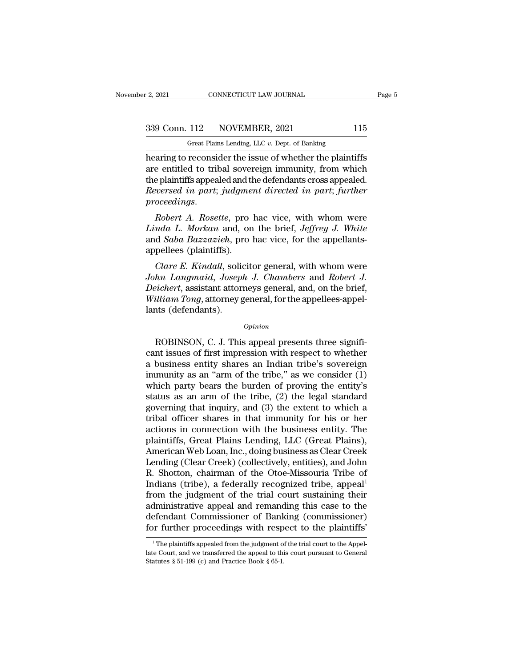r 2, 2021 CONNECTICUT LAW JOURNAL<br>
Great Plains Lending, LLC *v.* Dept. of Banking<br>
Rearing to reconsider the issue of whether the plaintiffs hearing to reconsider the issue of whether the plaintiffs<br>
are entitled to tribal sovereign immunity, from which<br>
the plaintiffs<br>
are entitled to tribal sovereign immunity, from which<br>
the plaintiffs<br>
the plaintiffs<br>
are e  $\begin{array}{|l|l|} \hline \text{339 Conn. 112} & \text{NOVEMBER, 2021} & \text{115} \ \hline \text{Great Plains Lending, LLC } v. \text{ Dept. of Banking} \ \hline \text{hearing to reconsider the issue of whether the plaintiffs are entitled to tribal sovereign immunity, from which the plaintiffs appeared and the defendants cross appeared. Bewerced in next: fundamentalized in next: further.} \end{array}$ 339 Conn. 112 NOVEMBER, 2021 115<br>
Great Plains Lending, LLC  $v$ . Dept. of Banking<br>
hearing to reconsider the issue of whether the plaintiffs<br>
are entitled to tribal sovereign immunity, from which<br>
the plaintiffs appealed <sup>239</sup> Conn. 112 NOVEMBER, 2021 115<br>
<sup>Great Plains Lending, LLC v. Dept. of Banking<br>
hearing to reconsider the issue of whether the plaintiffs<br>
are entitled to tribal sovereign immunity, from which<br>
the plaintiffs appealed </sup> **proceedings**<br>**proceedings** are entitled to tribal sovereign immunity, from which<br>the plaintiffs appealed and the defendants cross appealed.<br>*Reversed in part; judgment directed in part; further*<br>*proceedings.*<br>*Robert A. Linda L. Morkan* and, on the brief, *Jeffrey J. White*<br>*Linda L. Morkan* and the defendants cross appealed.<br>*Reversed in part; judgment directed in part; further*<br>*proceedings.*<br>*Robert A. Rosette, pro hac vice, with whom* 

are entitied to tribal sovereign infinitity, from which<br>the plaintiffs appealed and the defendants cross appealed.<br>*Reversed in part; judgment directed in part; further*<br>*proceedings.*<br>*Robert A. Rosette, pro hac vice, wit* Framilis appeared and the plantins appeared and the Reversed in part; judgme<br>proceedings.<br>Robert A. Rosette, pro<br>Linda L. Morkan and, on<br>and Saba Bazzazieh, pro<br>appellees (plaintiffs).<br>Clare E. Kindall, solicit *Robert A. Rosette*, pro hac vice, with whom were<br> *Robert A. Rosette*, pro hac vice, with whom were<br> *clare L. Morkan* and, on the brief, *Jeffrey J. White*<br> *d Saba Bazzazieh*, pro hac vice, for the appellants-<br>
pellees *Robert A. Rosette, pro hac vice, with whom were*<br>*Linda L. Morkan and, on the brief, Jeffrey J. White*<br>and *Saba Bazzazieh*, pro hac vice, for the appellants-<br>appellees (plaintiffs).<br>*Clare E. Kindall, solicitor general,* 

*Robert A. Rosette, pro lact vice, with whom were*<br>*Linda L. Morkan and, on the brief, Jeffrey J. White*<br>and *Saba Bazzazieh*, pro hac vice, for the appellants-<br>appellees (plaintiffs).<br>*Clare E. Kindall,* solicitor general *Ethald L. Morkan and, on the brief, Jeffrey J. White* and *Saba Bazzazieh*, pro hac vice, for the appellants-appellees (plaintiffs).<br>*Clare E. Kindall*, solicitor general, with whom were *John Langmaid, Joseph J. Chambers* and *Saod Bazzazten*, pr<br>appellees (plaintiffs).<br>*Clare E. Kindall*, solid<br>John Langmaid, Josep<br>Deichert, assistant attor.<br>William Tong, attorney g<br>lants (defendants). *hn Langmaid, Joseph J. Chambers* and *Robert J.*<br> *eichert*, assistant attorneys general, and, on the brief,<br> *illiam Tong*, attorney general, for the appellees-appel-<br>
ats (defendants).<br> *Opinion*<br>
ROBINSON, C. J. This a

*Opinion*

Deichert, assistant attorneys general, and, on the brief,<br>
William Tong, attorney general, for the appellees-appel-<br>
lants (defendants).<br>
Opinion<br>
ROBINSON, C. J. This appeal presents three significant<br>
issues of first imp William Tong, attorney general, for the appellees-appel-<br>lants (defendants).<br> $\qquad$ <br> $\qquad$  ROBINSON, C. J. This appeal presents three significant issues of first impression with respect to whether<br>a business entity shares a opinion<br>
opinion<br>
ROBINSON, C. J. This appeal presents three signifi-<br>
cant issues of first impression with respect to whether<br>
a business entity shares an Indian tribe's sovereign<br>
immunity as an "arm of the tribe," as we *Opinion*<br>
ROBINSON, C. J. This appeal presents three significant issues of first impression with respect to whether<br>
a business entity shares an Indian tribe's sovereign<br>
immunity as an "arm of the tribe," as we consider status as an arm of the tribe, (2) the extent to whether<br>the status as an indian tribe's sovereign<br>immunity as an "arm of the tribe," as we consider (1)<br>which party bears the burden of proving the entity's<br>status as an ar ROBINSON, C. J. This appeal presents three significant issues of first impression with respect to whether<br>a business entity shares an Indian tribe's sovereign<br>immunity as an "arm of the tribe," as we consider (1)<br>which par cant issues of first impression with respect to whether<br>a business entity shares an Indian tribe's sovereign<br>immunity as an "arm of the tribe," as we consider (1)<br>which party bears the burden of proving the entity's<br>status a business entity shares an Indian tribe's sovereign<br>immunity as an "arm of the tribe," as we consider (1)<br>which party bears the burden of proving the entity's<br>status as an arm of the tribe, (2) the legal standard<br>governin immunity as an "arm of the tribe," as we consider  $(1)$  which party bears the burden of proving the entity's status as an arm of the tribe,  $(2)$  the legal standard governing that inquiry, and  $(3)$  the extent to which a which party bears the burden of proving the entity's<br>status as an arm of the tribe, (2) the legal standard<br>governing that inquiry, and (3) the extent to which a<br>tribal officer shares in that immunity for his or her<br>actions status as an arm of the tribe, (2) the legal standard<br>governing that inquiry, and (3) the extent to which a<br>tribal officer shares in that immunity for his or her<br>actions in connection with the business entity. The<br>plaintif governing that inquiry, and (3) the extent to which a<br>tribal officer shares in that immunity for his or her<br>actions in connection with the business entity. The<br>plaintiffs, Great Plains Lending, LLC (Great Plains),<br>American tribal officer shares in that immunity for his or her<br>actions in connection with the business entity. The<br>plaintiffs, Great Plains Lending, LLC (Great Plains),<br>American Web Loan, Inc., doing business as Clear Creek<br>Lending actions in connection with the business entity. The<br>plaintiffs, Great Plains Lending, LLC (Great Plains),<br>American Web Loan, Inc., doing business as Clear Creek<br>Lending (Clear Creek) (collectively, entities), and John<br>R. S plaintiffs, Great Plains Lending, LLC (Great Plains),<br>American Web Loan, Inc., doing business as Clear Creek<br>Lending (Clear Creek) (collectively, entities), and John<br>R. Shotton, chairman of the Otoe-Missouria Tribe of<br>Indi American Web Loan, Inc., doing business as Clear Creek<br>Lending (Clear Creek) (collectively, entities), and John<br>R. Shotton, chairman of the Otoe-Missouria Tribe of<br>Indians (tribe), a federally recognized tribe, appeal<sup>1</sup><br>f Lending (Clear Creek) (collectively, entities), and John R. Shotton, chairman of the Otoe-Missouria Tribe of Indians (tribe), a federally recognized tribe, appeal<sup>1</sup> from the judgment of the trial court sustaining their ad om the judgment of the trial court sustaining their<br>dministrative appeal and remanding this case to the<br>efendant Commissioner of Banking (commissioner)<br>or further proceedings with respect to the plaintiffs'<br><sup>1</sup>The plaintif administrative appeal and remanding this case to the<br>defendant Commissioner of Banking (commissioner)<br>for further proceedings with respect to the plaintiffs'<br><sup>1</sup>The plaintiffs appealed from the judgment of the trial court

defendant Commissioner of Bank<br>for further proceedings with resp<br><sup>1</sup>The plaintiffs appealed from the judgment of<br>late Court, and we transferred the appeal to thi<br>Statutes § 51-199 (c) and Practice Book § 65-1.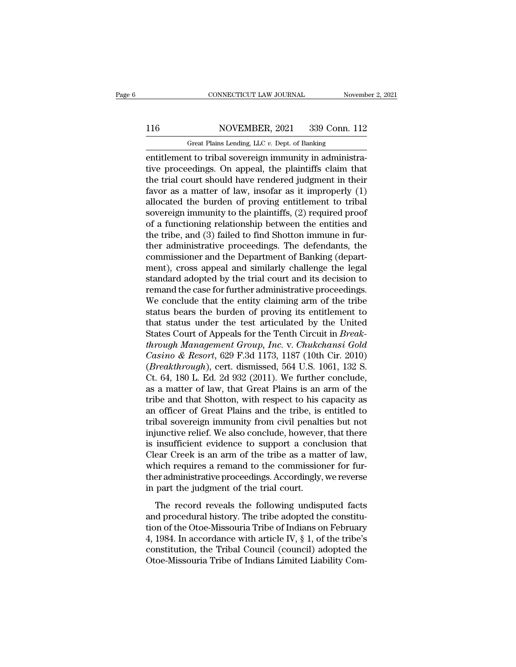# 116 CONNECTICUT LAW JOURNAL November 2, 2021<br>116 NOVEMBER, 2021 339 Conn. 112<br>Great Plains Lending, LLC v. Dept. of Banking

CONNECTICUT LAW JOURNAL November 2, 2021<br>116 NOVEMBER, 2021 339 Conn. 112<br>Great Plains Lending, LLC *v*. Dept. of Banking<br>entitlement to tribal sovereign immunity in administraentitlement to tribal sovereign immunity in administra-116 NOVEMBER, 2021 339 Conn. 112<br>Great Plains Lending, LLC v. Dept. of Banking<br>entitlement to tribal sovereign immunity in administra-<br>tive proceedings. On appeal, the plaintiffs claim that<br>the trial court should have rend 116 NOVEMBER, 2021 339 Conn. 112<br>
Great Plains Lending, LLC v. Dept. of Banking<br>
entitlement to tribal sovereign immunity in administra-<br>
tive proceedings. On appeal, the plaintiffs claim that<br>
the trial court should have 116 NOVEMBER, 2021 339 Conn. 112<br>
Great Plains Lending, LLC  $v$ . Dept. of Banking<br>
entitlement to tribal sovereign immunity in administra-<br>
tive proceedings. On appeal, the plaintiffs claim that<br>
the trial court should ha Great Plains Lending, LLC v. Dept. of Banking<br>
entitlement to tribal sovereign immunity in administra-<br>
tive proceedings. On appeal, the plaintiffs claim that<br>
the trial court should have rendered judgment in their<br>
favor Great Plains Lending, LLC v. Dept. of Banking<br>entitlement to tribal sovereign immunity in administra-<br>tive proceedings. On appeal, the plaintiffs claim that<br>the trial court should have rendered judgment in their<br>favor as entitlement to tribal sovereign immunity in administrative proceedings. On appeal, the plaintiffs claim that<br>the trial court should have rendered judgment in their<br>favor as a matter of law, insofar as it improperly (1)<br>all tive proceedings. On appeal, the plaintiffs claim that<br>the trial court should have rendered judgment in their<br>favor as a matter of law, insofar as it improperly (1)<br>allocated the burden of proving entitlement to tribal<br>sov the trial court should have rendered judgment in their<br>favor as a matter of law, insofar as it improperly (1)<br>allocated the burden of proving entitlement to tribal<br>sovereign immunity to the plaintiffs, (2) required proof<br>o favor as a matter of law, insofar as it improperly (1) allocated the burden of proving entitlement to tribal sovereign immunity to the plaintiffs, (2) required proof of a functioning relationship between the entities and t allocated the burden of proving entitlement to tribal<br>sovereign immunity to the plaintiffs, (2) required proof<br>of a functioning relationship between the entities and<br>the tribe, and (3) failed to find Shotton immune in fursovereign immunity to the plaintiffs, (2) required proof<br>of a functioning relationship between the entities and<br>the tribe, and (3) failed to find Shotton immune in fur-<br>ther administrative proceedings. The defendants, the<br> of a functioning relationship between the entities and<br>the tribe, and (3) failed to find Shotton immune in fur-<br>ther administrative proceedings. The defendants, the<br>commissioner and the Department of Banking (depart-<br>ment) the tribe, and (3) failed to find Shotton immune in fur-<br>ther administrative proceedings. The defendants, the<br>commissioner and the Department of Banking (depart-<br>ment), cross appeal and similarly challenge the legal<br>standa ther administrative proceedings. The defendants, the commissioner and the Department of Banking (department), cross appeal and similarly challenge the legal standard adopted by the trial court and its decision to remand th commissioner and the Department of Banking (department), cross appeal and similarly challenge the legal<br>standard adopted by the trial court and its decision to<br>remand the case for further administrative proceedings.<br>We con ment), cross appeal and similarly challenge the legal<br>standard adopted by the trial court and its decision to<br>remand the case for further administrative proceedings.<br>We conclude that the entity claiming arm of the tribe<br>st *theremand the case for further administrative proceedings.*<br> *We conclude that the entity claiming arm of the tribe*<br> *that status bears the burden of proving its entitlement to*<br> *that status under the test articulated b* remand the case for further administrative proceedings.<br> *We* conclude that the entity claiming arm of the tribe<br>
status bears the burden of proving its entitlement to<br>
that status under the test articulated by the United<br> We conclude that the entity claiming arm of the tribe<br>status bears the burden of proving its entitlement to<br>that status under the test articulated by the United<br>States Court of Appeals for the Tenth Circuit in *Break-<br>thro* status bears the burden of proving its entitlement to<br>that status under the test articulated by the United<br>States Court of Appeals for the Tenth Circuit in *Break-<br>through Management Group, Inc.* v. *Chukchansi Gold*<br>Casin that status under the test articulated by the United<br>States Court of Appeals for the Tenth Circuit in *Break-<br>through Management Group, Inc.* v. *Chukchansi Gold*<br>Casino & Resort, 629 F.3d 1173, 1187 (10th Cir. 2010)<br>(*Br* States Court of Appeals for the Tenth Circuit in *Break-<br>through Management Group, Inc.* v. *Chukchansi Gold*<br>*Casino & Resort*, 629 F.3d 1173, 1187 (10th Cir. 2010)<br>(*Breakthrough*), cert. dismissed, 564 U.S. 1061, 132 S. through Management Group, Inc. v. Chukchansi Gold<br>Casino & Resort, 629 F.3d 1173, 1187 (10th Cir. 2010)<br>(*Breakthrough*), cert. dismissed, 564 U.S. 1061, 132 S.<br>Ct. 64, 180 L. Ed. 2d 932 (2011). We further conclude,<br>as a m Casino & Resort, 629 F.3d 1173, 1187 (10th Cir. 2010)<br>(*Breakthrough*), cert. dismissed, 564 U.S. 1061, 132 S.<br>Ct. 64, 180 L. Ed. 2d 932 (2011). We further conclude,<br>as a matter of law, that Great Plains is an arm of the<br> (*Breakthrough*), cert. dismissed, 564 U.S. 1061, 132 S.<br>Ct. 64, 180 L. Ed. 2d 932 (2011). We further conclude,<br>as a matter of law, that Great Plains is an arm of the<br>tribe and that Shotton, with respect to his capacity a Ct. 64, 180 L. Ed. 2d 932 (2011). We further conclude,<br>as a matter of law, that Great Plains is an arm of the<br>tribe and that Shotton, with respect to his capacity as<br>an officer of Great Plains and the tribe, is entitled to as a matter of law, that Great Plains is an arm of the<br>tribe and that Shotton, with respect to his capacity as<br>an officer of Great Plains and the tribe, is entitled to<br>tribal sovereign immunity from civil penalties but not tribe and that Shotton, with respect to his capacity as<br>an officer of Great Plains and the tribe, is entitled to<br>tribal sovereign immunity from civil penalties but not<br>injunctive relief. We also conclude, however, that the an officer of Great Plains and the tribe, is entitled to<br>tribal sovereign immunity from civil penalties but not<br>injunctive relief. We also conclude, however, that there<br>is insufficient evidence to support a conclusion that tribal sovereign immunity from civil penalti<br>injunctive relief. We also conclude, however<br>is insufficient evidence to support a concl<br>Clear Creek is an arm of the tribe as a mat<br>which requires a remand to the commissior<br>th Insufficient evidence to support a conclusion that<br>the record reveals in a ram of the tribe as a matter of law,<br>nich requires a remand to the commissioner for fur-<br>er administrative proceedings. Accordingly, we reverse<br>par E instantant evidence to support a conclusion that<br>Clear Creek is an arm of the tribe as a matter of law,<br>which requires a remand to the commissioner for fur-<br>ther administrative proceedings. Accordingly, we reverse<br>in pa

of the Otoe-Missouria Tribe as a matter of the Missourian,<br>which requires a remand to the commissioner for fur-<br>ther administrative proceedings. Accordingly, we reverse<br>in part the judgment of the trial court.<br>The record r First Form of the Technical Controller and the administrative proceedings. Accordingly, we reverse<br>in part the judgment of the trial court.<br>The record reveals the following undisputed facts<br>and procedural history. The trib in part the judgment of the trial court.<br>
The record reveals the following undisputed facts<br>
and procedural history. The tribe adopted the constitu-<br>
tion of the Otoe-Missouria Tribe of Indians on February<br>
4, 1984. In acc The record reveals the following undisputed facts<br>and procedural history. The tribe adopted the constitu-<br>tion of the Otoe-Missouria Tribe of Indians on February<br>4, 1984. In accordance with article IV,  $\S$  1, of the tribe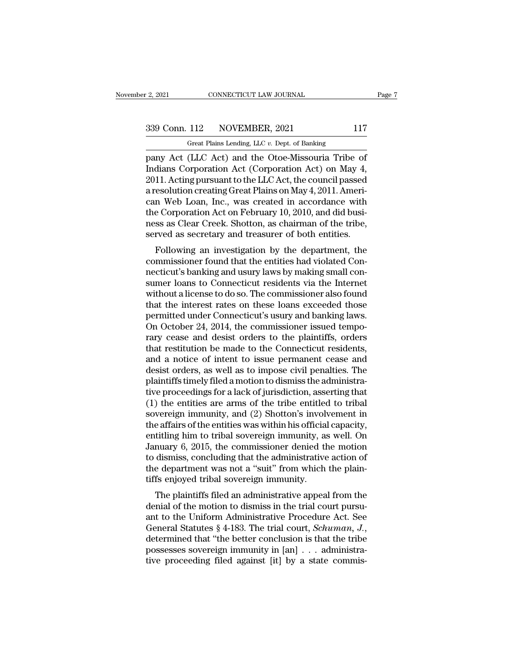12, 2021 CONNECTICUT LAW JOURNAL Page 7<br>339 Conn. 112 NOVEMBER, 2021 117<br>Great Plains Lending, LLC v. Dept. of Banking

r 2, 2021 CONNECTICUT LAW JOURNAL<br>
Great Plains Lending, LLC *v.* Dept. of Banking<br>
pany Act (LLC Act) and the Otoe-Missouria Tribe of Page<br>
Page<br>
2, 2021 CONNECTICUT LAW JOURNAL<br>
239 Conn. 112 NOVEMBER, 2021 117<br>
2011 Great Plains Lending, LLC v. Dept. of Banking<br>
Dany Act (LLC Act) and the Otoe-Missouria Tribe of<br>
Indians Corporation Act (Corporation Ac 339 Conn. 112 NOVEMBER, 2021 117<br>
Great Plains Lending, LLC v. Dept. of Banking<br>
pany Act (LLC Act) and the Otoe-Missouria Tribe of<br>
Indians Corporation Act (Corporation Act) on May 4,<br>
2011. Acting pursuant to the LLC Act 339 Conn. 112 NOVEMBER, 2021 117<br>
Great Plains Lending, LLC  $v$ . Dept. of Banking<br>
pany Act (LLC Act) and the Otoe-Missouria Tribe of<br>
Indians Corporation Act (Corporation Act) on May 4,<br>
2011. Acting pursuant to the LLC 339 Conn. 112 NOVEMBER, 2021 117<br>
Great Plains Lending, LLC v. Dept. of Banking<br>
pany Act (LLC Act) and the Otoe-Missouria Tribe of<br>
Indians Corporation Act (Corporation Act) on May 4,<br>
2011. Acting pursuant to the LLC Act Great Plains Lending, LLC v. Dept. of Banking<br>
pany Act (LLC Act) and the Otoe-Missouria Tribe of<br>
Indians Corporation Act (Corporation Act) on May 4,<br>
2011. Acting pursuant to the LLC Act, the council passed<br>
a resolutio Great Plains Lending, LLC v. Dept. of Banking<br>
pany Act (LLC Act) and the Otoe-Missouria Tribe of<br>
Indians Corporation Act (Corporation Act) on May 4,<br>
2011. Acting pursuant to the LLC Act, the council passed<br>
a resolutio pany Act (LLC Act) and the Otoe-Missouria Tribe of<br>Indians Corporation Act (Corporation Act) on May 4,<br>2011. Acting pursuant to the LLC Act, the council passed<br>a resolution creating Great Plains on May 4, 2011. Ameri-<br>can Indians Corporation Act (Corporation Act) on May 4, 2011. Acting pursuant to the LLC Act, the council passed a resolution creating Great Plains on May 4, 2011. American Web Loan, Inc., was created in accordance with the Co Fr. Acting pursuant to the EEC Act, the council passed<br>resolution creating Great Plains on May 4, 2011. Ameri-<br>n Web Loan, Inc., was created in accordance with<br>e Corporation Act on February 10, 2010, and did busi-<br>ss as Cl a resolution creating oreat Flants on May 4, 2011. Aller-<br>can Web Loan, Inc., was created in accordance with<br>the Corporation Act on February 10, 2010, and did busi-<br>ness as Clear Creek. Shotton, as chairman of the tribe,<br>s

can web Loan, fitc., was created in accordance with<br>the Corporation Act on February 10, 2010, and did busi-<br>ness as Clear Creek. Shotton, as chairman of the tribe,<br>served as secretary and treasurer of both entities.<br>Follow the Corporation Act on February 10, 2010, and did business as Clear Creek. Shotton, as chairman of the tribe,<br>served as secretary and treasurer of both entities.<br>Following an investigation by the department, the<br>commission ress as clear creek. Shotton, as chairman of the tripe,<br>served as secretary and treasurer of both entities.<br>Following an investigation by the department, the<br>commissioner found that the entities had violated Con-<br>necticut' served as secretary and treasurer of both entities.<br>Following an investigation by the department, the<br>commissioner found that the entities had violated Con-<br>necticut's banking and usury laws by making small con-<br>sumer loan Following an investigation by the department, the commissioner found that the entities had violated Connecticut's banking and usury laws by making small consumer loans to Connecticut residents via the Internet without a li commissioner found that the entities had violated Connecticut's banking and usury laws by making small consumer loans to Connecticut residents via the Internet without a license to do so. The commissioner also found that t rary is banking and usury laws by making small consumer loans to Connecticut residents via the Internet<br>without a license to do so. The commissioner also found<br>that the interest rates on these loans exceeded those<br>permitte sumer loans to Connecticut residents via the Internet<br>without a license to do so. The commissioner also found<br>that the interest rates on these loans exceeded those<br>permitted under Connecticut's usury and banking laws.<br>On O without a license to do so. The commissioner also found<br>that the interest rates on these loans exceeded those<br>permitted under Connecticut's usury and banking laws.<br>On October 24, 2014, the commissioner issued tempo-<br>rary c that the interest rates on these loans exceeded those<br>permitted under Connecticut's usury and banking laws.<br>On October 24, 2014, the commissioner issued tempo-<br>rary cease and desist orders to the plaintiffs, orders<br>that re permitted under Connecticut's usury and banking laws.<br>On October 24, 2014, the commissioner issued tempo-<br>rary cease and desist orders to the plaintiffs, orders<br>that restitution be made to the Connecticut residents,<br>and a On October 24, 2014, the commissioner issued temporary cease and desist orders to the plaintiffs, orders that restitution be made to the Connecticut residents, and a notice of intent to issue permanent cease and desist or rary cease and desist orders to the plaintiffs, orders<br>that restitution be made to the Connecticut residents,<br>and a notice of intent to issue permanent cease and<br>desist orders, as well as to impose civil penalties. The<br>pla that restitution be made to the Connecticut residents,<br>and a notice of intent to issue permanent cease and<br>desist orders, as well as to impose civil penalties. The<br>plaintiffs timely filed a motion to dismiss the administra and a notice of intent to issue permanent cease and<br>desist orders, as well as to impose civil penalties. The<br>plaintiffs timely filed a motion to dismiss the administra-<br>tive proceedings for a lack of jurisdiction, assertin desist orders, as well as to impose civil penalties. The<br>plaintiffs timely filed a motion to dismiss the administra-<br>tive proceedings for a lack of jurisdiction, asserting that<br>(1) the entities are arms of the tribe entitl plaintiffs timely filed a motion to dismiss the administrative proceedings for a lack of jurisdiction, asserting that (1) the entities are arms of the tribe entitled to tribal sovereign immunity, and (2) Shotton's involvem tive proceedings for a lack of jurisdiction, asserting that (1) the entities are arms of the tribe entitled to tribal<br>sovereign immunity, and (2) Shotton's involvement in<br>the affairs of the entities was within his official (1) the entities are arms of the tribe entitled to tribal sovereign immunity, and (2) Shotton's involvement in the affairs of the entities was within his official capacity, entitling him to tribal sovereign immunity, as w sovereign immunity, and (2) Shotton's involutional the affairs of the entities was within his official entitiing him to tribal sovereign immunity, as January 6, 2015, the commissioner denied the dismiss, concluding that th e analys of the entities was within its official capacity,<br>titling him to tribal sovereign immunity, as well. On<br>nuary 6, 2015, the commissioner denied the motion<br>dismiss, concluding that the administrative action of<br>e dep January 6, 2015, the commissioner denied the motion<br>to dismiss, concluding that the administrative action of<br>the department was not a "suit" from which the plain-<br>tiffs enjoyed tribal sovereign immunity.<br>The plaintiffs fi

bandary 0, 2015, the commissioner defined the motion<br>to dismiss, concluding that the administrative action of<br>the department was not a "suit" from which the plain-<br>tiffs enjoyed tribal sovereign immunity.<br>The plaintiffs f the department was not a "suit" from which the plain-<br>tiffs enjoyed tribal sovereign immunity.<br>The plaintiffs filed an administrative appeal from the<br>denial of the motion to dismiss in the trial court pursu-<br>ant to the Uni The plaintiffs filed an administrative appeal from the denial of the motion to dismiss in the trial court pursu-<br>ant to the Uniform Administrative Procedure Act. See<br>General Statutes § 4-183. The trial court, *Schuman*, The plaintiffs filed an administrative appeal from the denial of the motion to dismiss in the trial court pursuant to the Uniform Administrative Procedure Act. See General Statutes  $§$  4-183. The trial court, *Schuman*,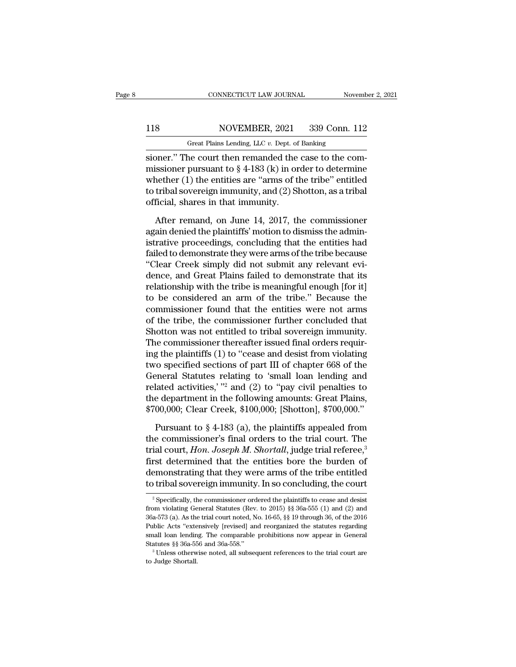# 118 CONNECTICUT LAW JOURNAL November 2, 2021<br>118 NOVEMBER, 2021 339 Conn. 112<br>Great Plains Lending, LLC v. Dept. of Banking

CONNECTICUT LAW JOURNAL November 2, 2021<br>118 NOVEMBER, 2021 339 Conn. 112<br>Great Plains Lending, LLC *v*. Dept. of Banking<br>sioner." The court then remanded the case to the com-SIMBER CONNECTICUT LAW JOURNAL<br>
Sioner.'' The court then remanded the case to the com-<br>
Sioner.'' The court then remanded the case to the com-<br>
missioner pursuant to § 4-183 (k) in order to determine<br>
whether (1) the ontit MOVEMBER, 2021 339 Conn. 112<br>
Great Plains Lending, LLC v. Dept. of Banking<br>
sioner." The court then remanded the case to the com-<br>
missioner pursuant to § 4-183 (k) in order to determine<br>
whether (1) the entities are "arm 118 NOVEMBER, 2021 339 Conn. 112<br>
Great Plains Lending, LLC v. Dept. of Banking<br>
sioner." The court then remanded the case to the com-<br>
missioner pursuant to  $\S 4$ -183 (k) in order to determine<br>
whether (1) the entities a 118 NOVEMBER, 2021 339 Conn. 112<br>
Great Plains Lending, LLC v. Dept. of Banking<br>
sioner." The court then remanded the case to the com-<br>
missioner pursuant to  $\S 4$ -183 (k) in order to determine<br>
whether (1) the entities a Great Plains Lending, LLC  $v$ . Dept. of<br>sioner." The court then remanded the<br>missioner pursuant to  $\S$  4-183 (k) in or<br>whether (1) the entities are "arms of the<br>to tribal sovereign immunity, and (2) Sl<br>official, shares in between the case to the com-<br>issioner pursuant to  $\S$  4-183 (k) in order to determine<br>nether (1) the entities are "arms of the tribe" entitled<br>tribal sovereign immunity, and (2) Shotton, as a tribal<br>ficial, shares in that missioner pursuant to  $\S$  4-183 (k) in order to determine<br>whether (1) the entities are "arms of the tribe" entitled<br>to tribal sovereign immunity, and (2) Shotton, as a tribal<br>official, shares in that immunity.<br>After reman

whether (1) the entities are "arms of the tribe" entitled<br>to tribal sovereign immunity, and (2) Shotton, as a tribal<br>official, shares in that immunity.<br>After remand, on June 14, 2017, the commissioner<br>again denied the pla to tribal sovereign immunity, and (2) Shotton, as a tribal<br>official, shares in that immunity.<br>After remand, on June 14, 2017, the commissioner<br>again denied the plaintiffs' motion to dismiss the admin-<br>istrative proceedings official, shares in that immunity.<br>
After remand, on June 14, 2017, the commissioner<br>
again denied the plaintiffs' motion to dismiss the admin-<br>
istrative proceedings, concluding that the entities had<br>
failed to demonstrat After remand, on June 14, 2017, the commissioner<br>again denied the plaintiffs' motion to dismiss the admin-<br>istrative proceedings, concluding that the entities had<br>failed to demonstrate they were arms of the tribe because<br> After remand, on June 14, 2017, the commissioner<br>again denied the plaintiffs' motion to dismiss the admin-<br>istrative proceedings, concluding that the entities had<br>failed to demonstrate they were arms of the tribe because<br>" again denied the plaintiffs' motion to dismiss the administrative proceedings, concluding that the entities had<br>failed to demonstrate they were arms of the tribe because<br>"Clear Creek simply did not submit any relevant eviistrative proceedings, concluding that the entities had<br>failed to demonstrate they were arms of the tribe because<br>"Clear Creek simply did not submit any relevant evi-<br>dence, and Great Plains failed to demonstrate that its<br> failed to demonstrate they were arms of the tribe because<br>"Clear Creek simply did not submit any relevant evi-<br>dence, and Great Plains failed to demonstrate that its<br>relationship with the tribe is meaningful enough [for it "Clear Creek simply did not submit any relevant evi-<br>dence, and Great Plains failed to demonstrate that its<br>relationship with the tribe is meaningful enough [for it]<br>to be considered an arm of the tribe." Because the<br>commi dence, and Great Plains failed to demonstrate that its<br>relationship with the tribe is meaningful enough [for it]<br>to be considered an arm of the tribe." Because the<br>commissioner found that the entities were not arms<br>of the relationship with the tribe is meaningful enough [for it]<br>to be considered an arm of the tribe." Because the<br>commissioner found that the entities were not arms<br>of the tribe, the commissioner further concluded that<br>Shotton to be considered an arm of the tribe." Because the<br>commissioner found that the entities were not arms<br>of the tribe, the commissioner further concluded that<br>Shotton was not entitled to tribal sovereign immunity.<br>The commis commissioner found that the entities were not arms<br>of the tribe, the commissioner further concluded that<br>Shotton was not entitled to tribal sovereign immunity.<br>The commissioner thereafter issued final orders requir-<br>ing th of the tribe, the commissioner further concluded that<br>Shotton was not entitled to tribal sovereign immunity.<br>The commissioner thereafter issued final orders requir-<br>ing the plaintiffs (1) to "cease and desist from violati Shotton was not entitled to tribal sovereign immunity.<br>The commissioner thereafter issued final orders requiring the plaintiffs (1) to "cease and desist from violating<br>two specified sections of part III of chapter 668 of t The commissioner thereafter issued final orders requiring the plaintiffs (1) to "cease and desist from violating two specified sections of part III of chapter 668 of the General Statutes relating to 'small loan lending an po specified sections of part III of chapter 668 of the<br>eneral Statutes relating to 'small loan lending and<br>lated activities,' "<sup>2</sup> and (2) to "pay civil penalties to<br>e department in the following amounts: Great Plains,<br>General Statutes relating to 'small loan lending and<br>related activities,' "<sup>2</sup> and (2) to "pay civil penalties to<br>the department in the following amounts: Great Plains,<br>\$700,000; Clear Creek, \$100,000; [Shotton], \$700,000

related activities,' "<sup>2</sup> and (2) to "pay civil penalties to<br>the department in the following amounts: Great Plains,<br>\$700,000; Clear Creek, \$100,000; [Shotton], \$700,000."<br>Pursuant to § 4-183 (a), the plaintiffs appealed fr the department in the following amounts: Great Plains,<br>\$700,000; Clear Creek, \$100,000; [Shotton], \$700,000."<br>Pursuant to § 4-183 (a), the plaintiffs appealed from<br>the commissioner's final orders to the trial court. The<br>t \$700,000; Clear Creek, \$100,000; [Shotton], \$700,000."<br>
Pursuant to § 4-183 (a), the plaintiffs appealed from<br>
the commissioner's final orders to the trial court. The<br>
trial court, *Hon. Joseph M. Shortall*, judge trial r Pursuant to § 4-183 (a), the plaintiffs appealed from<br>the commissioner's final orders to the trial court. The<br>trial court, *Hon. Joseph M. Shortall*, judge trial referee,<sup>3</sup><br>first determined that the entities bore the bur trial court, *Hon. Joseph M. Shortall*, judge trial referee,<sup>3</sup><br>first determined that the entities bore the burden of<br>demonstrating that they were arms of the tribe entitled<br>to tribal sovereign immunity. In so concluding, first determined that the entities bore the burden of<br>demonstrating that they were arms of the tribe entitled<br>to tribal sovereign immunity. In so concluding, the court<br> $\frac{1}{2}$  Specifically, the commissioner ordered the

demonstrating that they were arms of the tribe entitled<br>to tribal sovereign immunity. In so concluding, the court<br><sup>2</sup> Specifically, the commissioner ordered the plaintiffs to cease and desist<br>from violating General Statute The United Status Concluding, the court<br>
<sup>2</sup> Specifically, the commissioner ordered the plaintiffs to cease and desist<br>
from violating General Statutes (Rev. to 2015) §§ 36a-555 (1) and (2) and<br>
36a-573 (a). As the trial c solution is above tergth intimating. In solution that is to cease and desist from violating General Statutes (Rev. to 2015) §§ 36a-555 (1) and (2) and 36a-573 (a). As the trial court noted, No. 16-65, §§ 19 through 36, of <sup>2</sup> Specifically, the commissioner ordered the plaintiffs to cease and desist from violating General Statutes (Rev. to 2015)  $\$ § 36a-555 (1) and (2) and 36a-573 (a). As the trial court noted, No. 16-65, §§ 19 through 36, 36a-573 (a). As the trial court noted, No. 16-65,  $\S$ § 19 through 36, of the 2016 Public Acts "extensively [revised] and reorganized the statutes regarding small loan lending. The comparable prohibitions now appear in Gen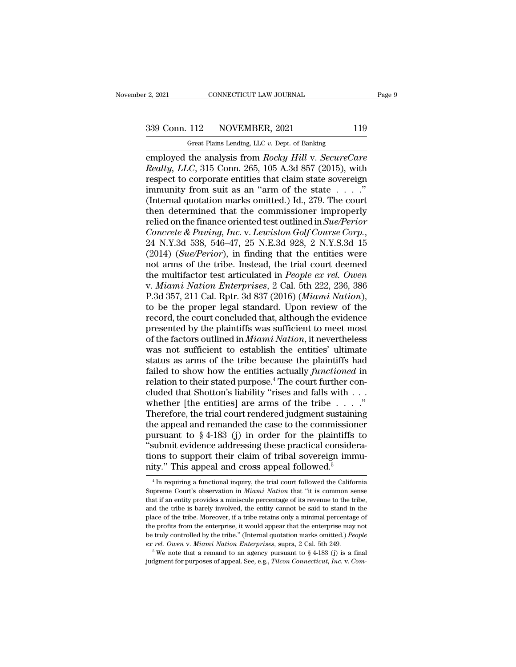2, 2021 CONNECTICUT LAW JOURNAL Page 9<br>339 Conn. 112 NOVEMBER, 2021 119<br>Great Plains Lending, LLC v. Dept. of Banking

F. 2, 2021 CONNECTICUT LAW JOURNAL<br>
Great Plains Lending, LLC *v.* Dept. of Banking<br>
employed the analysis from *Rocky Hill v. SecureCare* employed the analysis from *Rocky Hill* v. *SecureCare*<br>
Realty, *LLC*, 315 Conn. 265, 105 A.3d 857 (2015), with<br>
respect to corporate entities that claim state sovereign <sup>28</sup><br>
<sup>28</sup> Conn. 112 NOVEMBER, 2021 119<br>
<sup>28</sup> Great Plains Lending, LLC *v*. Dept. of Banking<br>
28 employed the analysis from *Rocky Hill v. SecureCare*<br> *Realty, LLC*, 315 Conn. 265, 105 A.3d 857 (2015), with<br>
respect to 339 Conn. 112 NOVEMBER, 2021 119<br>
Great Plains Lending, LLC v. Dept. of Banking<br>
employed the analysis from *Rocky Hill* v. *SecureCare*<br> *Realty, LLC*, 315 Conn. 265, 105 A.3d 857 (2015), with<br>
respect to corporate entit 339 Conn. 112 NOVEMBER, 2021 119<br>
Great Plains Lending, LLC v. Dept. of Banking<br>
employed the analysis from *Rocky Hill v. SecureCare*<br> *Realty, LLC*, 315 Conn. 265, 105 A.3d 857 (2015), with<br>
respect to corporate entitie (Figure 112 The VERBER, 2021 The condition of the analysis from Rocky Hill v. SecureCare Realty, LLC, 315 Conn. 265, 105 A.3d 857 (2015), with respect to corporate entities that claim state sovereign immunity from suit as Great Plains Lending, LLC v. Dept. of Banking<br>
employed the analysis from *Rocky Hill* v. *SecureCare*<br> *Realty, LLC*, 315 Conn. 265, 105 A.3d 857 (2015), with<br>
respect to corporate entities that claim state sovereign<br>
im employed the analysis from *Rocky Hill v. SecureCare*<br>*Realty, LLC*, 315 Conn. 265, 105 A.3d 857 (2015), with<br>respect to corporate entities that claim state sovereign<br>immunity from suit as an "arm of the state . . . ."<br>(In *Realty, LLC*, 315 Conn. 265, 105 A.3d 857 (2015), with<br>respect to corporate entities that claim state sovereign<br>immunity from suit as an "arm of the state . . . ."<br>(Internal quotation marks omitted.) Id., 279. The court<br>t immunity from suit as an "arm of the state . . . . ."<br>(Internal quotation marks omitted.) Id., 279. The court<br>then determined that the commissioner improperly<br>relied on the finance oriented test outlined in *Sue/Perior*<br>*C* (Internal quotation marks omitted.) Id., 279. The court<br>then determined that the commissioner improperly<br>relied on the finance oriented test outlined in *Sue/Perior*<br>*Concrete & Paving, Inc.* v. *Lewiston Golf Course Corp* then determined that the commissioner improperly<br>relied on the finance oriented test outlined in *Sue/Perior*<br>*Concrete & Paving, Inc.* v. *Lewiston Golf Course Corp.*,<br>24 N.Y.3d 538, 546–47, 25 N.E.3d 928, 2 N.Y.S.3d 15<br>( relied on the finance oriented test outlined in *Sue/Perior*<br>Concrete & Paving, Inc. v. Lewiston Golf Course Corp.,<br>24 N.Y.3d 538, 546–47, 25 N.E.3d 928, 2 N.Y.S.3d 15<br>(2014) (*Sue/Perior*), in finding that the entities we Concrete & Paving, Inc. v. Lewiston Golf Course Corp.,<br>24 N.Y.3d 538, 546–47, 25 N.E.3d 928, 2 N.Y.S.3d 15<br>(2014) (*Sue/Perior*), in finding that the entities were<br>not arms of the tribe. Instead, the trial court deemed<br>the 24 N.Y.3d 538, 546–47, 25 N.E.3d 928, 2 N.Y.S.3d 15<br>(2014) (*Sue/Perior*), in finding that the entities were<br>not arms of the tribe. Instead, the trial court deemed<br>the multifactor test articulated in *People ex rel. Owen* (2014) (*Sue/Perior*), in finding that the entities were<br>not arms of the tribe. Instead, the trial court deemed<br>the multifactor test articulated in *People ex rel. Owen*<br>v. *Miami Nation Enterprises*, 2 Cal. 5th 222, 236, not arms of the tribe. Instead, the trial court deemed<br>the multifactor test articulated in *People ex rel. Owen*<br>v. *Miami Nation Enterprises*, 2 Cal. 5th 222, 236, 386<br>P.3d 357, 211 Cal. Rptr. 3d 837 (2016) (*Miami Nation* the multifactor test articulated in *People ex rel. Owen*<br>v. *Miami Nation Enterprises*, 2 Cal. 5th 222, 236, 386<br>P.3d 357, 211 Cal. Rptr. 3d 837 (2016) (*Miami Nation*),<br>to be the proper legal standard. Upon review of the v. *Miami Nation Enterprises*, 2 Cal. 5th 222, 236, 386<br>P.3d 357, 211 Cal. Rptr. 3d 837 (2016) (*Miami Nation*),<br>to be the proper legal standard. Upon review of the<br>record, the court concluded that, although the evidence<br>p P.3d 357, 211 Cal. Rptr. 3d 837 (2016) (*Miami Nation*),<br>to be the proper legal standard. Upon review of the<br>record, the court concluded that, although the evidence<br>presented by the plaintiffs was sufficient to meet most<br> to be the proper legal standard. Upon review of the<br>record, the court concluded that, although the evidence<br>presented by the plaintiffs was sufficient to meet most<br>of the factors outlined in *Miami Nation*, it nevertheless record, the court concluded that, although the evidence<br>presented by the plaintiffs was sufficient to meet most<br>of the factors outlined in *Miami Nation*, it nevertheless<br>was not sufficient to establish the entities' ultim presented by the plaintiffs was sufficient to meet most<br>of the factors outlined in *Miami Nation*, it nevertheless<br>was not sufficient to establish the entities' ultimate<br>status as arms of the tribe because the plaintiffs of the factors outlined in *Miami Nation*, it nevertheless<br>was not sufficient to establish the entities' ultimate<br>status as arms of the tribe because the plaintiffs had<br>failed to show how the entities actually *functioned* was not sufficient to establish the entities' ultimate<br>status as arms of the tribe because the plaintiffs had<br>failed to show how the entities actually *functioned* in<br>relation to their stated purpose.<sup>4</sup> The court further status as arms of the tribe because the plaintiffs had<br>failed to show how the entities actually *functioned* in<br>relation to their stated purpose.<sup>4</sup> The court further con-<br>cluded that Shotton's liability "rises and falls failed to show how the entities actually *functioned* in relation to their stated purpose.<sup>4</sup> The court further concluded that Shotton's liability "rises and falls with . . . whether [the entities] are arms of the tribe relation to their stated purpose.<sup>4</sup> The court further con-<br>cluded that Shotton's liability "rises and falls with . . . whether [the entities] are arms of the tribe . . . . ."<br>Therefore, the trial court rendered judgment cluded that Shotton's liability "rises and falls with . . . whether [the entities] are arms of the tribe . . . ."<br>Therefore, the trial court rendered judgment sustaining<br>the appeal and remanded the case to the commissione whether [the entities] are arms of the tribe . . . Therefore, the trial court rendered judgment sustaining the appeal and remanded the case to the commission pursuant to  $\S 4-183$  (j) in order for the plaintiffs "submit e ursuant to § 4-183 (j) in order for the plaintiffs to<br>submit evidence addressing these practical considera-<br>ons to support their claim of tribal sovereign immu-<br>ty." This appeal and cross appeal followed the California<br> $\$ "submit evidence addressing these practical considerations to support their claim of tribal sovereign immunity." This appeal and cross appeal followed.<sup>5</sup><br><sup>4</sup> In requiring a functional inquiry, the trial court followed the

tions to support their claim of tribal sovereign immunity." This appeal and cross appeal followed.<sup>5</sup><br> $\frac{4}{1}$  In requiring a functional inquiry, the trial court followed the California<br>Supreme Court's observation in *Mi* mity." This appeal and cross appeal followed.<sup>5</sup><br><sup>4</sup>In requiring a functional inquiry, the trial court followed the California<br>Supreme Court's observation in *Miami Nation* that "it is common sense<br>that if an entity provi not a the tribe. This appear and cross appear followed.<br>
<sup>4</sup> In requiring a functional inquiry, the trial court followed the California<br>
Supreme Court's observation in *Miami Nation* that "it is common sense<br>
that if an en <sup>4</sup> In requiring a functional inquiry, the trial court followed the California Supreme Court's observation in *Miami Nation* that "it is common sense that if an entity provides a miniscule percentage of its revenue to the supreme Court's observation in *Miami Nation* that "it is common sense<br>that if an entity provides a miniscule percentage of its revenue to the tribe,<br>and the tribe is barely involved, the entity cannot be said to stand in *exalple to call to solid a a miniscule percentage of its revenue to the tribe,* and the tribe is barely involved, the entity cannot be said to stand in the place of the tribe. Moreover, if a tribe retains only a minimal place of the tribe. Moreover, if a tribe retains only a minimal percentage of the profits from the enterprise, it would appear that the enterprise may not be truly controlled by the tribe." (Internal quotation marks omitt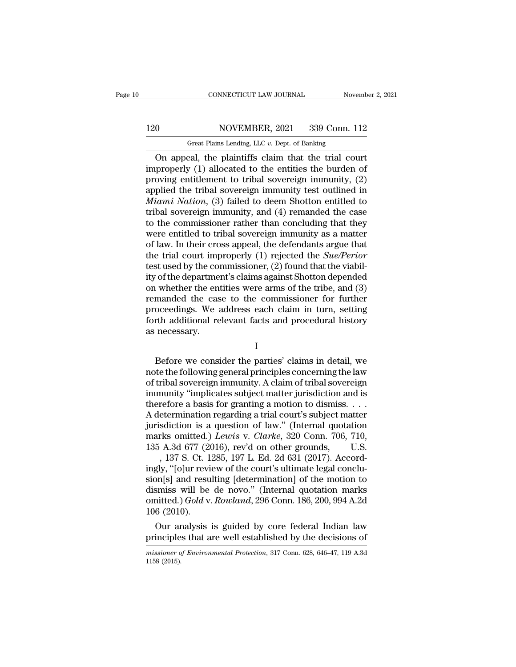# 120 CONNECTICUT LAW JOURNAL November 2, 2021<br>120 NOVEMBER, 2021 339 Conn. 112<br>Great Plains Lending, LLC v. Dept. of Banking

CONNECTICUT LAW JOURNAL November 2, 2021<br>
Great Plains Lending, LLC *v.* Dept. of Banking<br>
On appeal, the plaintiffs claim that the trial court CONNECTICUT LAW JOURNAL November 2, 202<br>
On MOVEMBER, 2021 339 Conn. 112<br>
Great Plains Lending, LLC v. Dept. of Banking<br>
On appeal, the plaintiffs claim that the trial court<br>
properly (1) allocated to the entities the burd ICO MOVEMBER, 2021 339 Conn. 112<br>
Great Plains Lending, LLC v. Dept. of Banking<br>
On appeal, the plaintiffs claim that the trial court<br>
improperly (1) allocated to the entities the burden of<br>
proving entitlement to tribal s 120 NOVEMBER, 2021 339 Conn. 112<br>
Great Plains Lending, LLC v. Dept. of Banking<br>
On appeal, the plaintiffs claim that the trial court<br>
improperly (1) allocated to the entities the burden of<br>
proving entitlement to tribal 120 NOVEMBER, 2021 339 Conn. 112<br>
Great Plains Lending, LLC  $v$ . Dept. of Banking<br>
On appeal, the plaintiffs claim that the trial court<br>
improperly (1) allocated to the entities the burden of<br>
proving entitlement to triba *Great Plains Lending, LLC v. Dept. of Banking*<br>
On appeal, the plaintiffs claim that the trial court<br>
improperly (1) allocated to the entities the burden of<br>
proving entitlement to tribal sovereign immunity, (2)<br>
applied Great Plains Lending, LLC v. Dept. of Banking<br>
On appeal, the plaintiffs claim that the trial court<br>
improperly (1) allocated to the entities the burden of<br>
proving entitlement to tribal sovereign immunity, (2)<br>
applied t On appeal, the plaintiffs claim that the trial court<br>improperly (1) allocated to the entities the burden of<br>proving entitlement to tribal sovereign immunity, (2)<br>applied the tribal sovereign immunity test outlined in<br>*Mia* improperly (1) allocated to the entities the burden of<br>proving entitlement to tribal sovereign immunity, (2)<br>applied the tribal sovereign immunity test outlined in<br>*Miami Nation*, (3) failed to deem Shotton entitled to<br>tr proving entitlement to tribal sovereign immunity,  $(2)$ <br>applied the tribal sovereign immunity test outlined in<br>*Miami Nation*,  $(3)$  failed to deem Shotton entitled to<br>tribal sovereign immunity, and  $(4)$  remanded the cas applied the tribal sovereign immunity test outlined in *Miami Nation*, (3) failed to deem Shotton entitled to tribal sovereign immunity, and (4) remanded the case to the commissioner rather than concluding that they were e *Miami Nation*, (3) failed to deem Shotton entitled to<br>tribal sovereign immunity, and (4) remanded the case<br>to the commissioner rather than concluding that they<br>were entitled to tribal sovereign immunity as a matter<br>of la tribal sovereign immunity, and (4) remanded the case<br>to the commissioner rather than concluding that they<br>were entitled to tribal sovereign immunity as a matter<br>of law. In their cross appeal, the defendants argue that<br>the to the commissioner rather than concluding that they<br>were entitled to tribal sovereign immunity as a matter<br>of law. In their cross appeal, the defendants argue that<br>the trial court improperly (1) rejected the *Sue/Perior* were entitled to tribal sovereign immunity as a matter<br>of law. In their cross appeal, the defendants argue that<br>the trial court improperly  $(1)$  rejected the *Sue/Perior*<br>test used by the commissioner,  $(2)$  found that th of law. In their cross appeal, the defendants argue that<br>the trial court improperly (1) rejected the *Sue/Perior*<br>test used by the commissioner, (2) found that the viabil-<br>ity of the department's claims against Shotton dep the trial court improperly (1) rejected the *Sue/Perior*<br>test used by the commissioner, (2) found that the viabil-<br>ity of the department's claims against Shotton depended<br>on whether the entities were arms of the tribe, and test used by the consty of the department<br>on whether the environmental department<br>remanded the case<br>proceedings. We a<br>forth additional rease necessary. manded the case to the commissioner for further<br>oceedings. We address each claim in turn, setting<br>th additional relevant facts and procedural history<br>necessary.<br> $I$ <br>Before we consider the parties' claims in detail, we<br>te

I

proceedings. We address each claim in turn, setting<br>forth additional relevant facts and procedural history<br>as necessary.<br>I<br>Before we consider the parties' claims in detail, we<br>note the following general principles concerni Fractional relevant facts and procedural history<br>forth additional relevant facts and procedural history<br>as necessary.<br>I<br>Before we consider the parties' claims in detail, we<br>note the following general principles concerning IFF ANALYSINE CONSINE THE TRIST MARKET LIKE THE VALUE OF THE SUBJECTS AS RECORDS TO Before we consider the parties' claims in detail, we note the following general principles concerning the law of tribal sovereign immunity I<br>
Before we consider the parties' claims in detail, we<br>
note the following general principles concerning the law<br>
of tribal sovereign immunity. A claim of tribal sovereign<br>
immunity "implicates subject matter jurisdiction Before we consider the parties' claims in detail, we<br>note the following general principles concerning the law<br>of tribal sovereign immunity. A claim of tribal sovereign<br>immunity "implicates subject matter jurisdiction and Before we consider the parties' claims in detail, we<br>note the following general principles concerning the law<br>of tribal sovereign immunity. A claim of tribal sovereign<br>immunity "implicates subject matter jurisdiction and note the following general principles concerning the law<br>of tribal sovereign immunity. A claim of tribal sovereign<br>immunity "implicates subject matter jurisdiction and is<br>therefore a basis for granting a motion to dismiss. % of tribal sovereign immunity. A claim of tribal sovereign<br>immunity "implicates subject matter jurisdiction and is<br>therefore a basis for granting a motion to dismiss....<br>A determination regarding a trial court's subject munity "implicates subject matter jurisdiction and is<br>refore a basis for granting a motion to dismiss. . . .<br>etermination regarding a trial court's subject matter<br>sdiction is a question of law." (Internal quotation<br>rks om therefore a basis for granting a motion to dismiss....<br>A determination regarding a trial court's subject matter<br>jurisdiction is a question of law." (Internal quotation<br>marks omitted.) Lewis v. Clarke, 320 Conn. 706, 710,<br>

A determination regarding a trial court's subject matter<br>jurisdiction is a question of law." (Internal quotation<br>marks omitted.) Lewis v. Clarke, 320 Conn. 706, 710,<br>135 A.3d 677 (2016), rev'd on other grounds, U.S.<br>, 137 jurisdiction is a question of law." (Internal quotation<br>marks omitted.) Lewis v. Clarke, 320 Conn. 706, 710,<br>135 A.3d 677 (2016), rev'd on other grounds, U.S.<br>, 137 S. Ct. 1285, 197 L. Ed. 2d 631 (2017). Accord-<br>ingly, "[ marks omitted.) *Lewis* v. *Clarke*, 320 Conn. 706, 710, 135 A.3d 677 (2016), rev'd on other grounds, U.S.<br>, 137 S. Ct. 1285, 197 L. Ed. 2d 631 (2017). Accordingly, "[o]ur review of the court's ultimate legal conclusion[s] 135 A.3d  $677$  (20<br>
, 137 S. Ct. 1<br>
ingly, "[o]ur revi<br>
sion[s] and resu<br>
dismiss will be<br>
omitted.)  $Gold$  v.<br>
106 (2010).<br>
Our analysis , 137 S. Ct. 1285, 197 L. Ed. 2d 631 (2017). Accord-<br>gly, "[o]ur review of the court's ultimate legal conclu-<br>on[s] and resulting [determination] of the motion to<br>smiss will be de novo." (Internal quotation marks<br>aitted.) ingly, "[0]ur review of the court's ultimate legal conclusion[s] and resulting [determination] of the motion to<br>dismiss will be de novo." (Internal quotation marks<br>omitted.) Gold v. Rowland, 296 Conn. 186, 200, 994 A.2d<br>1

*missioner of Environmental Protection*, 317 Conn. 628, 646–47, 119 A.3d (2015). 106 (2010)<br>Our are<br>principle<br>missioner of<br>1158 (2015).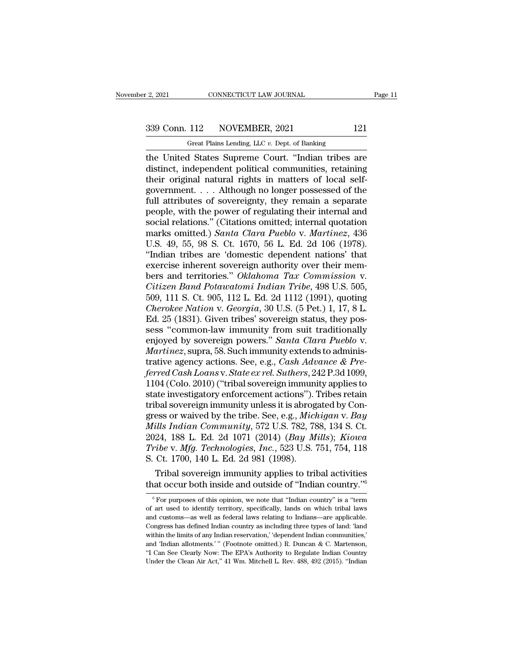# 2, 2021 CONNECTICUT LAW JOURNAL Page 11<br>339 Conn. 112 NOVEMBER, 2021 121<br>Great Plains Lending, LLC v. Dept. of Banking

r 2, 2021 CONNECTICUT LAW JOURNAL<br>
Great Plains Lending, LLC *v.* Dept. of Banking<br>
the United States Supreme Court. "Indian tribes are The United States Supreme Court. 'The United States Supreme Court.' The United States Supreme Court. ''Indian tribes are<br>
distinct, independent political communities, retaining<br>
their criginal natural rights in matters of 339 Conn. 112 NOVEMBER, 2021 121<br>
Great Plains Lending, LLC v. Dept. of Banking<br>
the United States Supreme Court. "Indian tribes are<br>
distinct, independent political communities, retaining<br>
their original natural rights in 339 Conn. 112 NOVEMBER, 2021 121<br>
Great Plains Lending, LLC v. Dept. of Banking<br>
the United States Supreme Court. "Indian tribes are<br>
distinct, independent political communities, retaining<br>
their original natural rights i 339 Conn. 112 NOVEMBER, 2021 121<br>
Great Plains Lending, LLC  $v$ . Dept. of Banking<br>
the United States Supreme Court. "Indian tribes are<br>
distinct, independent political communities, retaining<br>
their original natural rights From Later Theory (Section 2011)<br>
Great Plains Lending, LLC v. Dept. of Banking<br>
the United States Supreme Court. "Indian tribes are<br>
distinct, independent political communities, retaining<br>
their original natural rights i Great Plains Lending, LLC  $v$ . Dept. of Banking<br>the United States Supreme Court. "Indian tribes are<br>distinct, independent political communities, retaining<br>their original natural rights in matters of local self-<br>government the United States Supreme Court. "Indian tribes are<br>distinct, independent political communities, retaining<br>their original natural rights in matters of local self-<br>government.... Although no longer possessed of the<br>full att distinct, independent political communities, retaining<br>their original natural rights in matters of local self-<br>government.... Although no longer possessed of the<br>full attributes of sovereignty, they remain a separate<br>peopl their original natural rights in matters of local self-<br>government. . . . Although no longer possessed of the<br>full attributes of sovereignty, they remain a separate<br>people, with the power of regulating their internal and<br>s government.... Although no longer possessed of the<br>full attributes of sovereignty, they remain a separate<br>people, with the power of regulating their internal and<br>social relations." (Citations omitted; internal quotation<br>ma full attributes of sovereignty, they remain a separate<br>people, with the power of regulating their internal and<br>social relations." (Citations omitted; internal quotation<br>marks omitted.) *Santa Clara Pueblo v. Martinez*, 436 people, with the power of regulating their internal and<br>social relations." (Citations omitted; internal quotation<br>marks omitted.) *Santa Clara Pueblo v. Martinez*, 436<br>U.S. 49, 55, 98 S. Ct. 1670, 56 L. Ed. 2d 106 (1978).<br> *Social relations."* (Citations omitted; internal quotation marks omitted.) *Santa Clara Pueblo v. Martinez*, 436 U.S. 49, 55, 98 S. Ct. 1670, 56 L. Ed. 2d 106 (1978). "Indian tribes are 'domestic dependent nations' that e marks omitted.) *Santa Clara Pueblo v. Martinez*, 436<br>U.S. 49, 55, 98 S. Ct. 1670, 56 L. Ed. 2d 106 (1978).<br>"Indian tribes are 'domestic dependent nations' that<br>exercise inherent sovereign authority over their mem-<br>bers an U.S. 49, 55, 98 S. Ct. 1670, 56 L. Ed. 2d 106 (1978).<br>
"Indian tribes are 'domestic dependent nations' that<br>
exercise inherent sovereign authority over their mem-<br>
bers and territories." *Oklahoma Tax Commission* v.<br> *Citi* "Indian tribes are 'domestic dependent nations' that exercise inherent sovereign authority over their members and territories." Oklahoma Tax Commission v. Citizen Band Potawatomi Indian Tribe, 498 U.S. 505, 509, 111 S. Ct. exercise inherent sovereign authority over their members and territories." *Oklahoma Tax Commission v.*<br>Citizen Band Potawatomi Indian Tribe, 498 U.S. 505,<br>509, 111 S. Ct. 905, 112 L. Ed. 2d 1112 (1991), quoting<br>*Cherokee* bers and territories." *Oklahoma Tax Commission v.*<br>Citizen Band Potawatomi Indian Tribe, 498 U.S. 505,<br>509, 111 S. Ct. 905, 112 L. Ed. 2d 1112 (1991), quoting<br>*Cherokee Nation v. Georgia*, 30 U.S. (5 Pet.) 1, 17, 8 L.<br>Ed. *Citizen Band Potawatomi Indian Tribe*, 498 U.S. 505, 509, 111 S. Ct. 905, 112 L. Ed. 2d 1112 (1991), quoting *Cherokee Nation v. Georgia*, 30 U.S. (5 Pet.) 1, 17, 8 L. Ed. 25 (1831). Given tribes' sovereign status, they p 509, 111 S. Ct. 905, 112 L. Ed. 2d 1112 (1991), quoting<br>Cherokee Nation v. Georgia, 30 U.S. (5 Pet.) 1, 17, 8 L.<br>Ed. 25 (1831). Given tribes' sovereign status, they pos-<br>sess "common-law immunity from suit traditionally<br>en *Cherokee Nation v. Georgia,* 30 U.S. (5 Pet.) 1, 17, 8 L.<br>Ed. 25 (1831). Given tribes' sovereign status, they possess "common-law immunity from suit traditionally<br>enjoyed by sovereign powers." *Santa Clara Pueblo v.*<br>*Mar* Ed. 25 (1831). Given tribes' sovereign status, they possess "common-law immunity from suit traditionally<br>enjoyed by sovereign powers." *Santa Clara Pueblo v.*<br>*Martinez*, supra, 58. Such immunity extends to adminis-<br>trativ sess "common-law immunity from suit traditionally<br>enjoyed by sovereign powers." *Santa Clara Pueblo v.*<br>Martinez, supra, 58. Such immunity extends to adminis-<br>trative agency actions. See, e.g., *Cash Advance & Pre-<br>ferred* enjoyed by sovereign powers." *Santa Clara Pueblo v.*<br>Martinez, supra, 58. Such immunity extends to administrative agency actions. See, e.g., *Cash Advance & Preferred Cash Loans v. State ex rel. Suthers*, 242 P.3d 1099, 1 Martinez, supra, 58. Such immunity extends to administrative agency actions. See, e.g., *Cash Advance & Preferred Cash Loans v. State ex rel. Suthers*, 242 P.3d 1099, 1104 (Colo. 2010) ("tribal sovereign immunity applies t *Milly a gency actions. See, e.g., Cash Advance & Preferred Cash Loans v. State ex rel. Suthers, 242 P.3d 1099,* 1104 (Colo. 2010) ("tribal sovereign immunity applies to state investigatory enforcement actions"). Tribes re ferred Cash Loans v. State ex rel. Suthers, 242 P.3d 1099,<br>1104 (Colo. 2010) ("tribal sovereign immunity applies to<br>state investigatory enforcement actions"). Tribes retain<br>tribal sovereign immunity unless it is abrogated 1104 (Colo. 2010) ("tribal sovereign immunity applies to<br>state investigatory enforcement actions"). Tribes retain<br>tribal sovereign immunity unless it is abrogated by Con-<br>gress or waived by the tribe. See, e.g., *Michigan* state investigatory enforcement actions").<br>
tribal sovereign immunity unless it is abrog<br>
gress or waived by the tribe. See, e.g., *Mich*<br> *Mills Indian Community*, 572 U.S. 782, 78<br>
2024, 188 L. Ed. 2d 1071 (2014) (*Bay M* bal sovereign immunity unless it is abrogated by Con-<br>ess or waived by the tribe. See, e.g., *Michigan v. Bay*<br>ills Indian Community, 572 U.S. 782, 788, 134 S. Ct.<br>24, 188 L. Ed. 2d 1071 (2014) (*Bay Mills*); *Kiowa*<br>ibe gress or waived by the tribe. See, e.g., *Michigan v. Bay*<br>*Mills Indian Community*, 572 U.S. 782, 788, 134 S. Ct.<br>2024, 188 L. Ed. 2d 1071 (2014) (*Bay Mills*); *Kiowa<br>Tribe v. Mfg. Technologies, Inc.*, 523 U.S. 751, 754,

For eventually the control of the control of the control of the control of the control of "Indian country."<sup>6</sup><br>at occur both inside and outside of "Indian country."<sup>6</sup><br> $\frac{1}{6}$  For purposes of this opinion, we note that

S. Ct. 1700, 140 L. Ed. 2d 981 (1998).<br>
Tribal sovereign immunity applies to tribal activities<br>
that occur both inside and outside of "Indian country."<sup>6</sup><br>
<sup>6</sup> For purposes of this opinion, we note that "Indian country" i Tribal sovereign immunity applies to tribal activities<br>that occur both inside and outside of "Indian country."<sup>6</sup><br> $\frac{6}{10}$  For purposes of this opinion, we note that "Indian country" is a "term<br>of art used to identify t Thota Sovereign minitality applies to also a activities<br>that occur both inside and outside of "Indian country."<sup>6</sup><br><sup>6</sup> For purposes of this opinion, we note that "Indian country" is a "term<br>of art used to identify territor That OCCUT DOLT INSIQE and OULSIQE OF INCHAIT COUNTY.<br>
<sup>6</sup> For purposes of this opinion, we note that "Indian country" is a "term<br>
of art used to identify territory, specifically, lands on which tribal laws<br>
and customs—as <sup>6</sup> For purposes of this opinion, we note that "Indian country" is a "term of art used to identify territory, specifically, lands on which tribal laws and customs—as well as federal laws relating to Indians—are applicable of art used to identify territory, specifically, lands on which tribal laws<br>and customs—as well as federal laws relating to Indians—are applicable.<br>Congress has defined Indian country as including three types of land: 'lan and customs—as well as federal laws relating to Indians—are applicable.<br>Congress has defined Indian country as including three types of land: 'land<br>within the limits of any Indian reservation,' 'dependent Indian communiti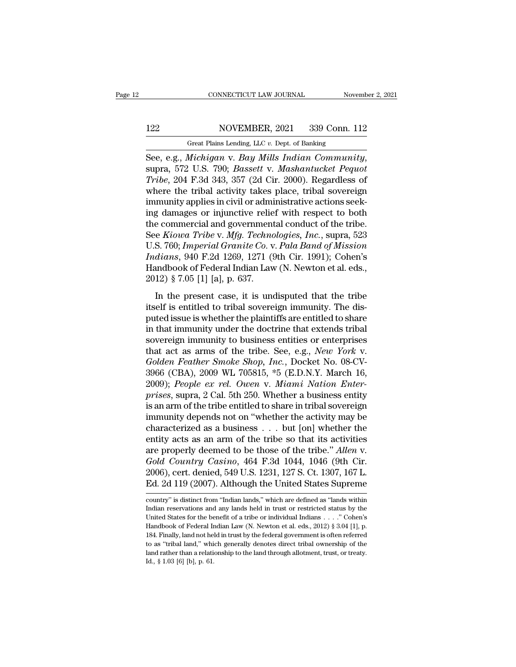# 122 CONNECTICUT LAW JOURNAL November 2, 2021<br>122 NOVEMBER, 2021 339 Conn. 112<br>124 Great Plains Lending, LLC v. Dept. of Banking

CONNECTICUT LAW JOURNAL November 2, 2021<br>122 NOVEMBER, 2021 339 Conn. 112<br>Great Plains Lending, LLC *v.* Dept. of Banking<br>See, e.g., *Michigan* v. *Bay Mills Indian Community*, SEE, CONNECTICUT LAW JOURNAL<br>
See, e.g., *Michigan* v. *Bay Mills Indian Community*,<br>
See, e.g., *Michigan* v. *Bay Mills Indian Community*,<br>
supra, 572 U.S. 790; *Bassett* v. *Mashantucket Pequot*<br>
Tribe, 204 F.3d 343, 35 *Tribe*, 2021 *Tribe, 2021 Tribe, 2021 Tribe, 204 F.3d 343, 357 (2d Cir. 2000). Regardless of* where the tribal activity takes place, tribal sovereign immunity applies in civil or edministrative actions sock NOVEMBER, 2021 339 Conn. 112<br>
Great Plains Lending, LLC v. Dept. of Banking<br>
See, e.g., *Michigan* v. *Bay Mills Indian Community*,<br>
supra, 572 U.S. 790; *Bassett* v. *Mashantucket Pequot*<br>
Tribe, 204 F.3d 343, 357 (2d Cir Great Plains Lending, LLC v. Dept. of Banking<br>
See, e.g., *Michigan v. Bay Mills Indian Community*,<br>
supra, 572 U.S. 790; *Bassett v. Mashantucket Pequot*<br>
Tribe, 204 F.3d 343, 357 (2d Cir. 2000). Regardless of<br>
where the Great Plans Lending, LLC v. Dept. of Banking<br>
See, e.g., Michigan v. Bay Mills Indian Community,<br>
supra, 572 U.S. 790; Bassett v. Mashantucket Pequot<br>
Tribe, 204 F.3d 343, 357 (2d Cir. 2000). Regardless of<br>
where the trib See, e.g., *Michigan v. Bay Mills Indian Community*,<br>supra, 572 U.S. 790; *Bassett v. Mashantucket Pequot*<br>Tribe, 204 F.3d 343, 357 (2d Cir. 2000). Regardless of<br>where the tribal activity takes place, tribal sovereign<br>immu supra, 572 U.S. 790; *Bassett v. Mashantucket Pequot*<br>*Tribe*, 204 F.3d 343, 357 (2d Cir. 2000). Regardless of<br>where the tribal activity takes place, tribal sovereign<br>immunity applies in civil or administrative actions see Tribe, 204 F.3d 343, 357 (2d Cir. 2000). Regardless of<br>where the tribal activity takes place, tribal sovereign<br>immunity applies in civil or administrative actions seek-<br>ing damages or injunctive relief with respect to both where the tribal activity takes place, tribal sovereign<br>immunity applies in civil or administrative actions seek-<br>ing damages or injunctive relief with respect to both<br>the commercial and governmental conduct of the tribe.<br> immunity applies in civil or administrative actions seeking damages or injunctive relief with respect to both<br>the commercial and governmental conduct of the tribe.<br>See *Kiowa Tribe* v. *Mfg. Technologies, Inc.*, supra, 523 ing damages or injunctive relie<br>the commercial and government<br>See *Kiowa Tribe* v. *Mfg. Techno*<br>U.S. 760; *Imperial Granite Co. v*<br>*Indians*, 940 F.2d 1269, 1271 ({<br>Handbook of Federal Indian Law<br>2012) § 7.05 [1] [a], p. is extinted that governmental contacts of the tribe.<br>
E Kiowa Tribe v. Mfg. Technologies, Inc., supra, 523<br>
S. 760; Imperial Granite Co. v. Pala Band of Mission<br>
dians, 940 F.2d 1269, 1271 (9th Cir. 1991); Cohen's<br>
undbook its and the contrast in the U.S. 760; *Imperial Granite Co. v. Pala Band of Mission Indians*, 940 F.2d 1269, 1271 (9th Cir. 1991); Cohen's Handbook of Federal Indian Law (N. Newton et al. eds., 2012) § 7.05 [1] [a], p. 637

*Putions, 940 F.2d 1269, 1271 (9th Cir. 1991); Cohen's*<br>*Handbook of Federal Indian Law (N. Newton et al. eds., 2012)* § 7.05 [1] [a], p. 637.<br>In the present case, it is undisputed that the tribe<br>itself is entitled to tri Handbook of Federal Indian Law (N. Newton et al. eds.,<br>2012) § 7.05 [1] [a], p. 637.<br>In the present case, it is undisputed that the tribe<br>itself is entitled to tribal sovereign immunity. The dis-<br>puted issue is whether th Franceson of Federal Handrican (ii) received et al. eds.,<br>2012) § 7.05 [1] [a], p. 637.<br>In the present case, it is undisputed that the tribe<br>itself is entitled to tribal sovereign immunity. The dis-<br>puted issue is whether In the present case, it is undisputed that the tribe<br>itself is entitled to tribal sovereign immunity. The dis-<br>puted issue is whether the plaintiffs are entitled to share<br>in that immunity under the doctrine that extends tr In the present case, it is undisputed that the tribe<br>itself is entitled to tribal sovereign immunity. The dis-<br>puted issue is whether the plaintiffs are entitled to share<br>in that immunity under the doctrine that extends tr itself is entitled to tribal sovereign immunity. The dis-<br>puted issue is whether the plaintiffs are entitled to share<br>in that immunity under the doctrine that extends tribal<br>sovereign immunity to business entities or enter puted issue is whether the plaintiffs are entitled to share<br>in that immunity under the doctrine that extends tribal<br>sovereign immunity to business entities or enterprises<br>that act as arms of the tribe. See, e.g., *New York* in that immunity under the doctrine that extends tribal<br>sovereign immunity to business entities or enterprises<br>that act as arms of the tribe. See, e.g., *New York v.*<br>*Golden Feather Smoke Shop, Inc.*, Docket No. 08-CV-<br>39 sovereign immunity to business entities or enterprises<br>that act as arms of the tribe. See, e.g., *New York v.*<br>Golden Feather Smoke Shop, Inc., Docket No. 08-CV-<br>3966 (CBA), 2009 WL 705815, \*5 (E.D.N.Y. March 16,<br>2009); Pe that act as arms of the tribe. See, e.g., *New York v.*<br>Golden Feather Smoke Shop, Inc., Docket No. 08-CV-<br>3966 (CBA), 2009 WL 705815, \*5 (E.D.N.Y. March 16,<br>2009); People ex rel. Owen v. Miami Nation Enter-<br>prises, supra Golden Feather Smoke Shop, Inc., Docket No. 08-CV-3966 (CBA), 2009 WL 705815, \*5 (E.D.N.Y. March 16, 2009); People ex rel. Owen v. Miami Nation Enter-<br>prises, supra, 2 Cal. 5th 250. Whether a business entity is an arm of 3966 (CBA), 2009 WL 705815, \*5 (E.D.N.Y. March 16, 2009); *People ex rel. Owen v. Miami Nation Enter-*<br>prises, supra, 2 Cal. 5th 250. Whether a business entity is an arm of the tribe entitled to share in tribal sovereign<br> 2009); *People ex rel. Owen v. Miami Nation Enter-*<br>*prises*, supra, 2 Cal. 5th 250. Whether a business entity<br>is an arm of the tribe entitled to share in tribal sovereign<br>immunity depends not on "whether the activity may prises, supra, 2 Cal. 5th 250. Whether a business entity<br>is an arm of the tribe entitled to share in tribal sovereign<br>immunity depends not on "whether the activity may be<br>characterized as a business . . . but [on] whether is an arm of the tribe entitled to share in tribal sovereign<br>immunity depends not on "whether the activity may be<br>characterized as a business  $\ldots$  but [on] whether the<br>entity acts as an arm of the tribe so that its activ immunity depends not on "whether the activity may be characterized as a business . . . but [on] whether the entity acts as an arm of the tribe so that its activities are properly deemed to be those of the tribe." Allen v. are properly deemed to be those of the tribe." Allen V.<br>Gold Country Casino, 464 F.3d 1044, 1046 (9th Cir.<br>2006), cert. denied, 549 U.S. 1231, 127 S. Ct. 1307, 167 L.<br>Ed. 2d 119 (2007). Although the United States Supreme<br>c Gold Country Casino, 464 F.3d 1044, 1046 (9th Cir.<br>2006), cert. denied, 549 U.S. 1231, 127 S. Ct. 1307, 167 L.<br>Ed. 2d 119 (2007). Although the United States Supreme<br>country" is distinct from "Indian lands," which are defin

<sup>2006),</sup> cert. denied, 549 U.S. 1231, 127 S. Ct. 1307, 167 L.<br>Ed. 2d 119 (2007). Although the United States Supreme<br>country" is distinct from "Indian lands," which are defined as "lands within<br>Indian reservations and any lan Ed. 2d 119 (2007). Although the United States Supreme<br>country" is distinct from "Indian lands," which are defined as "lands within<br>Indian reservations and any lands held in trust or restricted status by the<br>United States f 184. Finally, land not held in trust by the federal government is often referred in trust or restricted status by the United States for the benefit of a tribe or individual Indians . . . . " Cohen's Handbook of Federal Ind country" is distinct from "Indian lands," which are defined as "lands within<br>Indian reservations and any lands held in trust or restricted status by the<br>United States for the benefit of a tribe or individual Indians . . . Indian reservations and any lands held in trust or restricted status by the United States for the benefit of a tribe or individual Indians . . . . " Cohen's Handbook of Federal Indian Law (N. Newton et al. eds., 2012) § 3 United States for the benefit of a tribe or individual Indians . . . . " Cohen's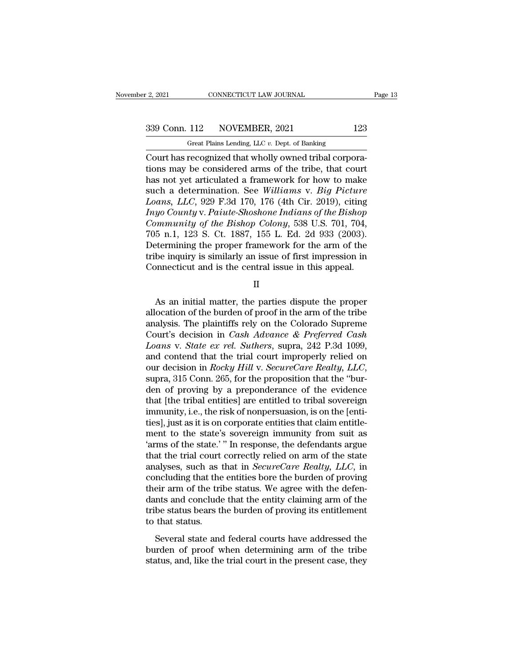F. 2, 2021 CONNECTICUT LAW JOURNAL<br>
Great Plains Lending, LLC *v.* Dept. of Banking<br>
Court has recognized that wholly owned tribal corpora-Court has recognized that wholly owned tribal corpora-<br>Court has recognized that wholly owned tribal corpora-<br>Court has recognized that wholly owned tribal corpora-<br>tions may be considered arms of the tribe, that court<br>has 339 Conn. 112 NOVEMBER, 2021 123<br>
Great Plains Lending, LLC  $v$ . Dept. of Banking<br>
Court has recognized that wholly owned tribal corporations<br>
may be considered arms of the tribe, that court<br>
has not yet articulated a fra 339 Conn. 112 NOVEMBER, 2021 123<br>
Great Plains Lending, LLC v. Dept. of Banking<br>
Court has recognized that wholly owned tribal corporations<br>
may be considered arms of the tribe, that court<br>
has not yet articulated a frame Such a determination. See *Williams of the Bishon Country Caunty Paints* Jesusalism and the seeding componentions may be considered arms of the tribe, that court has not yet articulated a framework for how to make such a d *Great Plains Lending, LLC v. Dept. of Banking*<br> *Court has recognized that wholly owned tribal corporations may be considered arms of the tribe, that court has not yet articulated a framework for how to make such a dete Great Plains Lending, LLC v. Dept. of Banking*<br> *Court has recognized that wholly owned tribal corporations may be considered arms of the tribe, that court has not yet articulated a framework for how to make<br>
such a deter Court has recognized that wholly owned tribal corporations may be considered arms of the tribe, that court has not yet articulated a framework for how to make such a determination. See <i>Williams v. Big Picture Loans, LLC* tions may be considered arms of the tribe, that court<br>has not yet articulated a framework for how to make<br>such a determination. See Williams v. Big Picture<br>Loans, LLC, 929 F.3d 170, 176 (4th Cir. 2019), citing<br>Inyo County has not yet articulated a framework for how to make<br>such a determination. See *Williams v. Big Picture*<br>Loans, LLC, 929 F.3d 170, 176 (4th Cir. 2019), citing<br>Inyo County v. Paiute-Shoshone Indians of the Bishop<br>Community o such a determination. See Williams v. Big Picture<br>Loans, LLC, 929 F.3d 170, 176 (4th Cir. 2019), citing<br>Inyo County v. Paiute-Shoshone Indians of the Bishop<br>Community of the Bishop Colony, 538 U.S. 701, 704,<br>705 n.1, 123 S Loans, LLC, 929 F.3d 170, 176 (4th Cir. 2019), citing<br>
Inyo County v. Paiute-Shoshone Indians of the Bishop<br>
Community of the Bishop Colony, 538 U.S. 701, 704,<br>
705 n.1, 123 S. Ct. 1887, 155 L. Ed. 2d 933 (2003).<br>
Determi 5 n.1, 123 S. Ct. 1887, 155 L. Ed. 2d 933 (2003).<br>
Etermining the proper framework for the arm of the<br>
be inquiry is similarly an issue of first impression in<br>
princeticut and is the central issue in this appeal.<br>  $\parallel$ <br>
A

II

Determining the proper framework for the arm of the<br>tribe inquiry is similarly an issue of first impression in<br>Connecticut and is the central issue in this appeal.<br>II<br>As an initial matter, the parties dispute the proper<br>a tribe inquiry is similarly an issue of first impression in<br>Connecticut and is the central issue in this appeal.<br>II<br>As an initial matter, the parties dispute the proper<br>allocation of the burden of proof in the arm of the t Connecticut and is the central issue in this appeal.<br>
II<br>
As an initial matter, the parties dispute the proper<br>
allocation of the burden of proof in the arm of the tribe<br>
analysis. The plaintiffs rely on the Colorado Supre *Loans* II<br>*Loans* an initial matter, the parties dispute the proper<br>allocation of the burden of proof in the arm of the tribe<br>analysis. The plaintiffs rely on the Colorado Supreme<br>*Court's* decision in *Cash Advance & Pre* As an initial matter, the parties dispute the proper<br>allocation of the burden of proof in the arm of the tribe<br>analysis. The plaintiffs rely on the Colorado Supreme<br>Court's decision in *Cash Advance & Preferred Cash*<br>Loan As an initial matter, the parties dispute the proper<br>allocation of the burden of proof in the arm of the tribe<br>analysis. The plaintiffs rely on the Colorado Supreme<br>Court's decision in *Cash Advance & Preferred Cash*<br>Loans analysis. The plaintiffs rely on the Colorado Supreme<br>Court's decision in *Cash Advance & Preferred Cash*<br>Loans v. *State ex rel. Suthers*, supra, 242 P.3d 1099,<br>and contend that the trial court improperly relied on<br>our de Court's decision in *Cash Advance & Preferred Cash Loans v. State ex rel. Suthers*, supra, 242 P.3d 1099, and contend that the trial court improperly relied on our decision in *Rocky Hill v. SecureCare Realty, LLC*, supra Loans v. State ex rel. Suthers, supra, 242 P.3d 1099,<br>and contend that the trial court improperly relied on<br>our decision in *Rocky Hill* v. SecureCare Realty, LLC,<br>supra, 315 Conn. 265, for the proposition that the "bur-<br>d and contend that the trial court improperly relied on<br>our decision in *Rocky Hill* v. *SecureCare Realty, LLC*,<br>supra, 315 Conn. 265, for the proposition that the "bur-<br>den of proving by a preponderance of the evidence<br>tha our decision in *Rocky Hill* v. *SecureCare Realty, LLC*,<br>supra, 315 Conn. 265, for the proposition that the "bur-<br>den of proving by a preponderance of the evidence<br>that [the tribal entities] are entitled to tribal soverei supra, 315 Conn. 265, for the proposition that the "bur-<br>den of proving by a preponderance of the evidence<br>that [the tribal entities] are entitled to tribal sovereign<br>immunity, i.e., the risk of nonpersuasion, is on the [e den of proving by a preponderance of the evidence<br>that [the tribal entities] are entitled to tribal sovereign<br>immunity, i.e., the risk of nonpersuasion, is on the [enti-<br>ties], just as it is on corporate entities that clai that [the tribal entities] are entitled to tribal sovereign<br>immunity, i.e., the risk of nonpersuasion, is on the [enti-<br>ties], just as it is on corporate entities that claim entitle-<br>ment to the state's sovereign immunity immunity, i.e., the risk of nonpersuasion, is on the [enti-<br>ties], just as it is on corporate entities that claim entitle-<br>ment to the state's sovereign immunity from suit as<br>'arms of the state.' " In response, the defenda ties], just as it is on corporate entities that claim entitlement to the state's sovereign immunity from suit as<br>'arms of the state.' " In response, the defendants argue<br>that the trial court correctly relied on arm of the ment to the state's sovereign immunity from suit as<br>
"arms of the state." " In response, the defendants argue<br>
that the trial court correctly relied on arm of the state<br>
analyses, such as that in *SecureCare Realty*, *LLC* " " " In response, the defendants argue that the trial court correctly relied on arm of the state analyses, such as that in *SecureCare Realty*,  $LLC$ , in concluding that the entities bore the burden of proving their arm o that the trial court<br>analyses, such as t<br>concluding that the<br>their arm of the tri<br>dants and conclude<br>tribe status bears tl<br>to that status.<br>Several state and Examples, stated as stated in Securiocal controlling, EDC, in<br>ncluding that the entities bore the burden of proving<br>eir arm of the tribe status. We agree with the defen-<br>nts and conclude that the entity claiming arm of the burden of the tribe status. We agree with the defendants and conclude that the entity claiming arm of the tribe status bears the burden of proving its entitlement to that status.<br>Several state and federal courts have addre status and conclude that the entity claiming arm of the tribe status bears the burden of proving its entitlement to that status.<br>Several state and federal courts have addressed the burden of proof when determining arm of t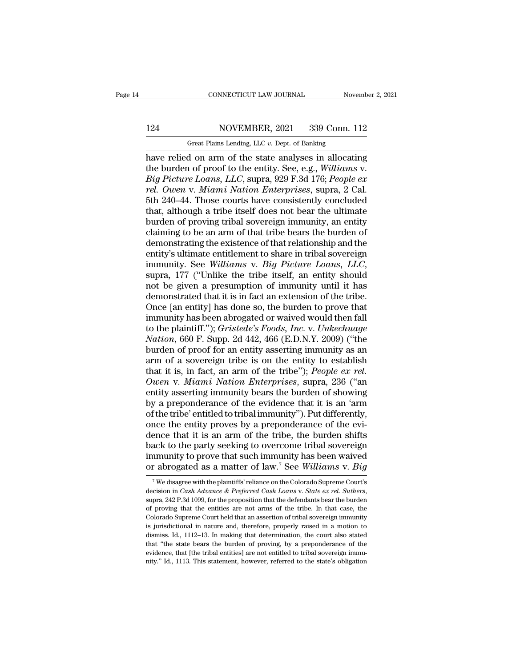# 124 CONNECTICUT LAW JOURNAL November 2, 2021<br>124 NOVEMBER, 2021 339 Conn. 112<br>124 Great Plains Lending, LLC v. Dept. of Banking

CONNECTICUT LAW JOURNAL November 2, 2021<br>124 NOVEMBER, 2021 339 Conn. 112<br>Great Plains Lending, LLC *v.* Dept. of Banking<br>have relied on arm of the state analyses in allocating CONNECTICUT LAW JOURNAL November 2, 2021<br>
124 NOVEMBER, 2021 339 Conn. 112<br>
6 Great Plains Lending, LLC v. Dept. of Banking<br>
have relied on arm of the state analyses in allocating<br>
the burden of proof to the entity. See, e 124 NOVEMBER, 2021 339 Conn. 112<br>
Great Plains Lending, LLC v. Dept. of Banking<br>
have relied on arm of the state analyses in allocating<br>
the burden of proof to the entity. See, e.g., *Williams* v.<br> *Big Picture Loans, LLC Big Picture Loans, LLC*, *Big Picture Loans, LLC*, *Banking*<br>*Big Picture Loans, LLC*, *Big Picture Loans, LLC*, *Supra, 929 F.3d 176; <i>People ex*<br>*Pig Picture Loans, LLC*, *Supra, 929 F.3d 176; <i>People ex*<br>*Pig Picture L Rea. MOVEMBER, 2021* 339 Conn. 112<br> *Great Plains Lending, LLC v. Dept. of Banking*<br> *rel. of Danking*<br> *rel. ourden of proof to the entity. See, e.g., Williams v.<br>
<i>Big Picture Loans, LLC, supra, 929 F.3d 176; People ex* Great Plains Lending, LLC v. Dept. of Banking<br>have relied on arm of the state analyses in allocating<br>the burden of proof to the entity. See, e.g., Williams v.<br>Big Picture Loans, LLC, supra, 929 F.3d 176; People ex<br>rel. Ow Great Plains Lending, LLC v. Dept. of Banking<br>
have relied on arm of the state analyses in allocating<br>
the burden of proof to the entity. See, e.g., *Williams v.*<br> *Big Picture Loans, LLC*, supra, 929 F.3d 176; *People ex* have relied on arm of the state analyses in allocating<br>the burden of proof to the entity. See, e.g., *Williams v.<br>Big Picture Loans, LLC*, supra, 929 F.3d 176; *People ex*<br>rel. Owen v. Miami Nation Enterprises, supra, 2 Ca the burden of proof to the entity. See, e.g., *Williams v.*<br> *Big Picture Loans, LLC,* supra, 929 F.3d 176; *People ex*<br> *rel. Owen v. Miami Nation Enterprises,* supra, 2 Cal.<br>
5th 240–44. Those courts have consistently co Big Picture Loans, LLC, supra, 929 F.3d 176; People ex<br>rel. Owen v. Miami Nation Enterprises, supra, 2 Cal.<br>5th 240–44. Those courts have consistently concluded<br>that, although a tribe itself does not bear the ultimate<br>burd rel. Owen v. Miami Nation Enterprises, supra, 2 Cal.<br>5th 240–44. Those courts have consistently concluded<br>that, although a tribe itself does not bear the ultimate<br>burden of proving tribal sovereign immunity, an entity<br>clai 5th 240–44. Those courts have consistently concluded<br>that, although a tribe itself does not bear the ultimate<br>burden of proving tribal sovereign immunity, an entity<br>claiming to be an arm of that tribe bears the burden of<br>d burden of proving tribal sovereign immunity, an entity<br>claiming to be an arm of that tribe bears the burden of<br>demonstrating the existence of that relationship and the<br>entity's ultimate entitlement to share in tribal sover claiming to be an arm of that tribe bears the burden of<br>demonstrating the existence of that relationship and the<br>entity's ultimate entitlement to share in tribal sovereign<br>immunity. See Williams v. Big Picture Loans, LLC,<br> demonstrating the existence of that relationship and the<br>entity's ultimate entitlement to share in tribal sovereign<br>immunity. See Williams v. Big Picture Loans, LLC,<br>supra, 177 ("Unlike the tribe itself, an entity should<br>n entity's ultimate entitlement to share in tribal sovereign<br>immunity. See *Williams* v. *Big Picture Loans*, *LLC*,<br>supra, 177 ("Unlike the tribe itself, an entity should<br>not be given a presumption of immunity until it has<br> immunity. See *Williams* v. *Big Picture Loans, LLC,*<br>supra, 177 ("Unlike the tribe itself, an entity should<br>not be given a presumption of immunity until it has<br>demonstrated that it is in fact an extension of the tribe.<br>On supra, 177 ("Unlike the tribe itself, an entity should<br>not be given a presumption of immunity until it has<br>demonstrated that it is in fact an extension of the tribe.<br>Once [an entity] has done so, the burden to prove that<br>i not be given a presumption of immunity until it has<br>demonstrated that it is in fact an extension of the tribe.<br>Once [an entity] has done so, the burden to prove that<br>immunity has been abrogated or waived would then fall<br>to demonstrated that it is in fact an extension of the tribe.<br>
Once [an entity] has done so, the burden to prove that<br>
immunity has been abrogated or waived would then fall<br>
to the plaintiff."); *Gristede's Foods, Inc.* v. Once [an entity] has done so, the burden to prove that<br>immunity has been abrogated or waived would then fall<br>to the plaintiff."); *Gristede's Foods, Inc.* v. *Unkechuage*<br>Nation, 660 F. Supp. 2d 442, 466 (E.D.N.Y. 2009) (" immunity has been abrogated or waived would then fall<br>to the plaintiff."); *Gristede's Foods, Inc. v. Unkechuage*<br>Nation, 660 F. Supp. 2d 442, 466 (E.D.N.Y. 2009) ("the<br>burden of proof for an entity asserting immunity as a to the plaintiff."); *Gristede's Foods, Inc.* v. *Unkechuage*<br>Nation, 660 F. Supp. 2d 442, 466 (E.D.N.Y. 2009) ("the<br>burden of proof for an entity asserting immunity as an<br>arm of a sovereign tribe is on the entity to estab Nation, 660 F. Supp. 2d 442, 466 (E.D.N.Y. 2009) ("the<br>burden of proof for an entity asserting immunity as an<br>arm of a sovereign tribe is on the entity to establish<br>that it is, in fact, an arm of the tribe"); *People ex r* burden of proof for an entity asserting immunity as an<br>arm of a sovereign tribe is on the entity to establish<br>that it is, in fact, an arm of the tribe''); *People ex rel.*<br>Owen v. Miami Nation Enterprises, supra, 236 ("an<br> arm of a sovereign tribe is on the entity to establish<br>that it is, in fact, an arm of the tribe"); *People ex rel.*<br>Owen v. Miami Nation Enterprises, supra, 236 ("an<br>entity asserting immunity bears the burden of showing<br>by that it is, in fact, an arm of the tribe"); *People ex rel.*<br>Owen v. Miami Nation Enterprises, supra, 236 ("an<br>entity asserting immunity bears the burden of showing<br>by a preponderance of the evidence that it is an 'arm<br>of Owen v. Miami Nation Enterprises, supra, 236 ("an<br>entity asserting immunity bears the burden of showing<br>by a preponderance of the evidence that it is an 'arm<br>of the tribe' entitled to tribal immunity"). Put differently,<br>o entity asserting immunity bears the burden of showing<br>by a preponderance of the evidence that it is an 'arm<br>of the tribe' entitled to tribal immunity"). Put differently,<br>once the entity proves by a preponderance of the evi by a preponderance of the evidence that it is an 'arm<br>of the tribe' entitled to tribal immunity"). Put differently,<br>once the entity proves by a preponderance of the evi-<br>dence that it is an arm of the tribe, the burden shi dence that it is an arm of the tribe, the burden shifts<br>back to the party seeking to overcome tribal sovereign<br>immunity to prove that such immunity has been waived<br>or abrogated as a matter of law.<sup>7</sup> See Williams v. Big<br>

back to the party seeking to overcome tribal sovereign<br>immunity to prove that such immunity has been waived<br>or abrogated as a matter of law.<sup>7</sup> See *Williams v. Big*<br><sup>7</sup> We disagree with the plaintiffs' reliance on the Col or abrogated as a matter of law.<sup>7</sup> See Williams v. Big  $\frac{7}{7}$  We disagree with the plaintiffs' reliance on the Colorado Supreme Court's decision in *Cash Advance & Preferred Cash Loans v. State ex rel. Suthers*, supra Or abrogated as a matter Of Iaw. See Wuttams V. Buy<br>
<sup>7</sup> We disagree with the plaintiffs' reliance on the Colorado Supreme Court's<br>
decision in *Cash Advance & Preferred Cash Loans v. State ex rel. Suthers*,<br>
supra, 242 P. <sup>7</sup> We disagree with the plaintiffs' reliance on the Colorado Supreme Court's decision in *Cash Advance & Preferred Cash Loans v. State ex rel. Suthers*, supra, 242 P.3d 1099, for the proposition that the defendants bear decision in *Cash Advance & Preferred Cash Loans v. State ex rel. Suthers*, supra, 242 P.3d 1099, for the proposition that the defendants bear the burden of proving that the entities are not arms of the tribe. In that cas supra, 242 P.3d 1099, for the proposition that the defendants bear the burden<br>of proving that the entities are not arms of the tribe. In that case, the<br>Colorado Supreme Court held that an assertion of tribal sovereign immu of proving that the entities are not arms of the tribe. In that case, the Colorado Supreme Court held that an assertion of tribal sovereign immunity is jurisdictional in nature and, therefore, properly raised in a motion t is jurisdictional in nature and, therefore, properly raised in a motion to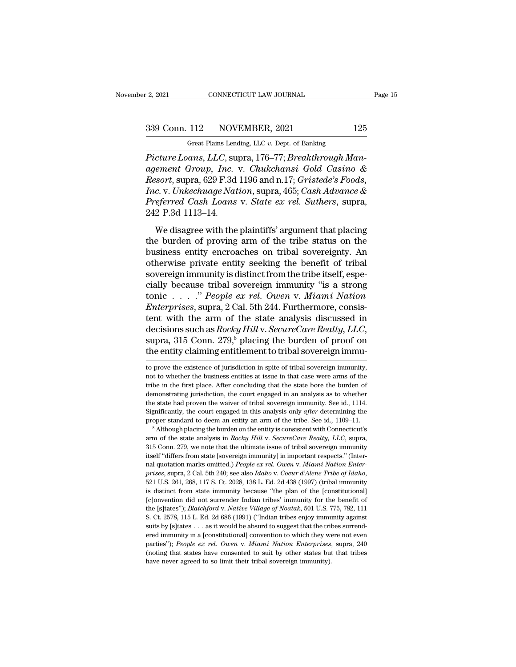2, 2021 CONNECTICUT LAW JOURNAL Page 15<br>339 Conn. 112 NOVEMBER, 2021 125<br>Great Plains Lending, LLC v. Dept. of Banking

r 2, 2021 CONNECTICUT LAW JOURNAL<br>
Great Plains Lending, LLC *v.* Dept. of Banking<br>
Picture Loans, LLC, supra, 176–77; Breakthrough Man-<sup>2</sup>, 2021 CONNECTICUT LAW JOURNAL<br>
<sup>2</sup> 339 Conn. 112 NOVEMBER, 2021 125<br>
<sup>2</sup> Great Plains Lending, LLC *v*. Dept. of Banking<br> *Picture Loans, LLC,* supra, 176–77; *Breakthrough Man-*<br> *Pagement Group, Inc.* v. *Chukchansi agement Group, Inc. v. Chukchansi Gold Casino &*<br>*agement Group, Inc. v. Chukchansi Gold Casino &*<br>*Resort, supra, 629 F.3d 1196 and n.17; Gristede's Foods,*<br>*Free v. Linkeebuuge Nation, cupra, 465; Cash Advance &* <sup>239</sup> Conn. 112 NOVEMBER, 2021 125<br>
<sup>Great Plains Lending, LLC v. Dept. of Banking<br> *Picture Loans, LLC, supra, 176–77; Breakthrough Man-*<br> *Resort, supra, 629 F.3d 1196 and n.17; Gristede's Foods,*<br> *Inc. v. Unkechuage Na</sup> Inc. Inc. Inc. Inc. Inc. Inc. Inc. Inc. Inc. <i>Inc. Inc. Y. Dept. of Banking*<br> *Picture Loans, LLC, supra, 176–77; Breakthrough Man-*<br> *Agement Group, Inc. v. Chukchansi Gold Casino &*<br> *Resort, supra, 629 F.3d 119 Great Plains Lending, LLC v. Dept. of Banking*<br>*Picture Loans, LLC, supra, 176–77; Breakthrough Management Group, Inc. v. Chukchansi Gold Casino &<br>Resort, supra, 629 F.3d 1196 and n.17; <i>Gristede's Foods, Inc. v. Unkechua* Great Plans Lend<br>Picture Loans, LLC, sure<br>agement Group, Inc.<br>Resort, supra, 629 F.3d<br>Inc. v. Unkechuage Nat<br>Preferred Cash Loans<br>242 P.3d 1113–14.<br>We disagree with the Fraction Library, Energy Supplet, 115 11, Diventual origin India<br>
ement Group, Inc. v. Chukchansi Gold Casino &<br>
ssort, supra, 629 F.3d 1196 and n.17; Gristede's Foods,<br>
c. v. Unkechuage Nation, supra, 465; Cash Advance & the burden of proving and neutron of the tribe<br> *Resort*, supra, 629 F.3d 1196 and n.17; *Gristede's Foods*,<br> *Inc.* v. Unkechuage Nation, supra, 465; Cash Advance &<br> *Preferred Cash Loans* v. *State ex rel. Suthers*, supr

business entity cases is a filter and filter, a research bottom,<br>
Inc. v. Unkechuage Nation, supra, 465; Cash Advance &<br>
Preferred Cash Loans v. State ex rel. Suthers, supra,<br>
242 P.3d 1113–14.<br>
We disagree with the plaint *Preferred Cash Loans v. State ex rel. Suthers, supra,*<br>242 P.3d 1113–14.<br>We disagree with the plaintiffs' argument that placing<br>the burden of proving arm of the tribe status on the<br>business entity encroaches on tribal sov Friggereign immunity is distinct from the tribe is a strong the burden of proving arm of the tribe status on the business entity encroaches on tribal sovereignty. An otherwise private entity seeking the benefit of tribal ELET FIRE THE THE THE HALL IN THE THE UP OF THE UP OF THE BUT AND THE BUT AND THE BUT AND SURVEY PRESENT IN OTHER SOVER THE SOVER THE SOVER THE SOVER THE SOVER THE SOVER THE SOVER THE SOVER THE SOVER THE SOVER THE SOVER T We disagree with the plaintiffs' argument that placing<br>the burden of proving arm of the tribe status on the<br>business entity encroaches on tribal sovereignty. An<br>otherwise private entity seeking the benefit of tribal<br>sovere the burden of proving arm of the tribe status on the<br>business entity encroaches on tribal sovereignty. An<br>otherwise private entity seeking the benefit of tribal<br>sovereign immunity is distinct from the tribe itself, espe-<br>c business entity encroaches on tribal sovereignty. An<br>otherwise private entity seeking the benefit of tribal<br>sovereign immunity is distinct from the tribe itself, espe-<br>cially because tribal sovereign immunity "is a strong otherwise private entity seeking the benefit of tribal<br>sovereign immunity is distinct from the tribe itself, espe-<br>cially because tribal sovereign immunity "is a strong<br>tonic . . . . ." *People ex rel. Owen* v. *Miami Nati* cially because tribal sovereign immunity "is a strong<br>tonic . . . . " *People ex rel. Owen v. Miami Nation*<br>*Enterprises*, supra, 2 Cal. 5th 244. Furthermore, consis-<br>tent with the arm of the state analysis discussed in<br>d tent with the arm of the state analysis discussed in decisions such as *Rocky Hill* v. *SecureCare Realty, LLC*, supra, 315 Conn. 279,<sup>8</sup> placing the burden of proof on the entity claiming entitlement to tribal sovereign decisions such as *Rocky Hill* v. *SecureCare Realty*, *LLC*, supra, 315 Conn. 279,<sup>8</sup> placing the burden of proof on the entity claiming entitlement to tribal sovereign immu-<br>to prove the existence of jurisdiction in spit

the state had proven the waiver of tribal sovereign immunity. See id., 1114.<br>Significantly, the court engaged in this analysis only *after* determining the<br>proper standard to deem an entity an arm of the tribe. See id., 11 Significantly, the court engaged in this analysis only *after* determining the proper standard to deem an entity an arm of the tribe. See id., 1109–11.<br>
<sup>8</sup> Although placing the burden on the entity is consistent with Con nal quotation marks omitted.) *People ex rel. Owen* v. *Miami Nation Enter-*<sup>8</sup> Although placing the burden on the entity is consistent with Connecticut's arm of the state analysis in *Rocky Hill v. SecureCare Realty, LLC*, supra, 315 Com. 279, we note that the ultimate issue of tribal sovereign i and 315 Conn. 279, we note that the ultimate issue of tribal sovereign immunity itself "differs from state [sovereign immunity] in important respects." (Internal quotation marks omitted.) *People ex rel. Owen v. Miami Nat* itself "differs from state [sovereign immunity] in important respects." (Inter-<br>nal quotation marks omitted.) *People ex rel. Owen v. Miami Nation Enter-*<br>prises, supra, 2 Cal. 5th 240; see also *Idaho v. Coeur d'Alene Tri* nal quotation marks omitted.) *People ex rel. Owen v. Miami Nation Enter-*<br>prises, supra, 2 Cal. 5th 240; see also *Idaho v. Coeur d'Alene Tribe of Idaho*,<br>521 U.S. 261, 268, 117 S. Ct. 2028, 138 L. Ed. 2d 438 (1997) (trib myses, supra, 2 Cal. 5th 240; see also *Idaho* v. *Coeur d'Alene Tribe of Idaho*, 521 U.S. 261, 268, 117 S. Ct. 2028, 138 L. Ed. 2d 438 (1997) (tribal immunity is distinct from state immunity because "the plan of the [cons 521 U.S. 261, 268, 117 S. Ct. 2028, 138 L. Ed. 2d 438 (1997) (tribal immunity is distinct from state immunity because "the plan of the [constitutional] [c]onvention did not surrender Indian tribes' immunity for the benefi is distinct from state immunity because "the plan of the [constitutional] [c]onvention did not surrender Indian tribes' immunity for the benefit of the [s]tates''); *Blatchford v. Native Village of Noatak*, 501 U.S. 775, parties Tom state minitary seculate the part of the benefit of the [s]tates"); *Blatchford v. Native Village of Noatak*, 501 U.S. 775, 782, 111 S. Ct. 2578, 115 L. Ed. 2d 686 (1991) ("Indian tribes enjoy immunity against s [c]<br>onvention did not surrender Indian tribes' immunity for the benefit of<br>the [s]<br>tates"); *Blatchford* v. *Native Village of Noatak*, 501 U.S. 775, 782, 111<br>S. Ct. 2578, 115 L. Ed. 2d 686 (1991) ("Indian tribes enjoy im S. Ct. 2578, 115 L. Ed. 2d 686 (1991) ("Indian tribes enjoy immunity against

supra, 315 Conn. 279,<sup>8</sup> placing the burden of proof on the entity claiming entitlement to tribal sovereign immu-<br>to prove the existence of jurisdiction in spite of tribal sovereign immunity, not to whether the business e the entity claiming entitlement to tribal sovereign immu-<br>to prove the existence of jurisdiction in spite of tribal sovereign immunity,<br>not to whether the business entities at issue in that case were arms of the<br>tribe in t the entity claiming entitentent to tribal sovereign initial-<br>to prove the existence of jurisdiction in spite of tribal sovereign immunity,<br>not to whether the business entities at issue in that case were arms of the<br>tribe i to prove the existence of jurisdiction in spite of tribal sovereign inmunity, not to whether the business entities at issue in that case were arms of the tribe in the first place. After concluding that the state bore the b proper standard to deem an entity an arm of the tribe. See id., 1114. Significantly, the court engaged in an analysis as to whether the state had proven the waiver of tribal sovereign immunity. See id., 1114. Significantl are<br>demonstrating jurisdiction, the court engaged in an analysis as to whether<br>the state had proven the waiver of tribal sovereign immunity. See id., 1114.<br>Significantly, the court engaged in this analysis only *after* det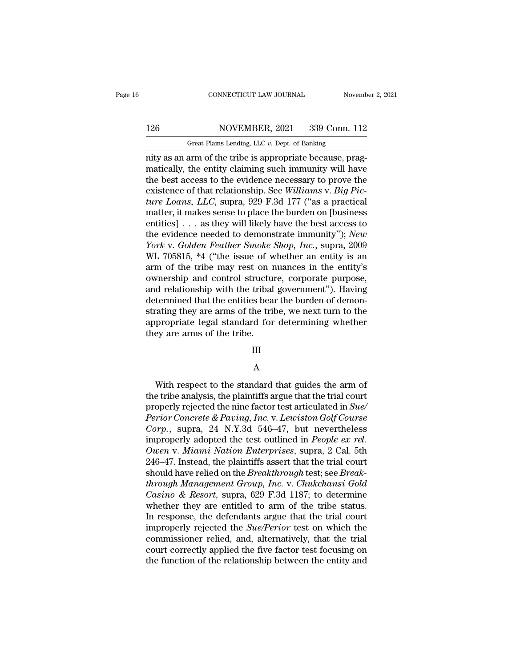# 126 CONNECTICUT LAW JOURNAL November 2, 2021<br>126 NOVEMBER, 2021 339 Conn. 112<br>Great Plains Lending, LLC v. Dept. of Banking

CONNECTICUT LAW JOURNAL November 2, 2021<br>126 NOVEMBER, 2021 339 Conn. 112<br>Great Plains Lending, LLC *v.* Dept. of Banking<br>nity as an arm of the tribe is appropriate because, prag-CONNECTICUT LAW JOURNAL November November November 2021<br>
126 NOVEMBER, 2021 339 Conn. 112<br>
126 Great Plains Lending, LLC v. Dept. of Banking<br>
126 Great Plains Lending, LLC v. Dept. of Banking<br>
126 Great Plains Lending, LLC MOVEMBER, 2021 339 Conn. 112<br>
Great Plains Lending, LLC v. Dept. of Banking<br>
mity as an arm of the tribe is appropriate because, prag-<br>
matically, the entity claiming such immunity will have<br>
the best access to the evidenc 126 NOVEMBER, 2021 339 Conn. 112<br>
Great Plains Lending, LLC v. Dept. of Banking<br>
mity as an arm of the tribe is appropriate because, prag-<br>
matically, the entity claiming such immunity will have<br>
the best access to the ev NOVEMBER, 2021 339 Conn. 112<br>
Great Plains Lending, LLC v. Dept. of Banking<br>
mity as an arm of the tribe is appropriate because, prag-<br>
matically, the entity claiming such immunity will have<br>
the best access to the evidenc *Great Plains Lending, LLC v. Dept. of Banking*<br>
mity as an arm of the tribe is appropriate because, prag-<br>
matically, the entity claiming such immunity will have<br>
the best access to the evidence necessary to prove the<br>
ex Great Plans Lending, LLC v. Dept. of Banking<br>mity as an arm of the tribe is appropriate because, prag-<br>matically, the entity claiming such immunity will have<br>the best access to the evidence necessary to prove the<br>existenc nity as an arm of the tribe is appropriate because, pragmatically, the entity claiming such immunity will have<br>the best access to the evidence necessary to prove the<br>existence of that relationship. See Williams v. Big Picmatically, the entity claiming such immunity will have<br>the best access to the evidence necessary to prove the<br>existence of that relationship. See *Williams v. Big Pic-<br>ture Loans*, *LLC*, supra, 929 F.3d 177 ("as a practic *X* the best access to the evidence necessary to prove the existence of that relationship. See *Williams v. Big Picture Loans, LLC*, supra, 929 F.3d 177 ("as a practical matter, it makes sense to place the burden on [busin existence of that relationship. See Williams v. Big Pic-<br>ture Loans, LLC, supra, 929 F.3d 177 ("as a practical<br>matter, it makes sense to place the burden on [business<br>entities] . . . as they will likely have the best acces ture Loans, LLC, supra, 929 F.3d 177 ("as a practical<br>matter, it makes sense to place the burden on [business<br>entities] . . . as they will likely have the best access to<br>the evidence needed to demonstrate immunity"); *New* matter, it makes sense to place the burden on [business<br>entities] . . . as they will likely have the best access to<br>the evidence needed to demonstrate immunity"); *New<br>York v. Golden Feather Smoke Shop, Inc.*, supra, 2009 entities] . . . as they will likely have the best access to<br>the evidence needed to demonstrate immunity"); *New*<br>York v. Golden Feather Smoke Shop, Inc., supra, 2009<br>WL 705815, \*4 ("the issue of whether an entity is an<br>ar the evidence needed to demonstrate immunity"); New<br>York v. Golden Feather Smoke Shop, Inc., supra, 2009<br>WL 705815, \*4 ("the issue of whether an entity is an<br>arm of the tribe may rest on nuances in the entity's<br>ownership an York v. Golden Feather Smoke Shop, Inc., supra, 2009<br>WL 705815, \*4 ("the issue of whether an entity is an<br>arm of the tribe may rest on nuances in the entity's<br>ownership and control structure, corporate purpose,<br>and relatio WL 705815, \*4 ("the issue of whether an entity is an arm of the tribe may rest on nuances in the entity's ownership and control structure, corporate purpose, and relationship with the tribal government"). Having determined arm of the tribe may rest on r<br>ownership and control structure<br>and relationship with the tribal<br>determined that the entities bea<br>strating they are arms of the tril<br>appropriate legal standard for<br>they are arms of the tribe.

### III

### A

propriate legal standard for determining whether<br>ey are arms of the tribe.<br> $\hfill$  H<br> $\hfill$  A<br>With respect to the standard that guides the arm of<br>e tribe analysis, the plaintiffs argue that the trial court<br>enorly rejected th they are arms of the tribe.<br>
III<br>
A<br>
With respect to the standard that guides the arm of<br>
the tribe analysis, the plaintiffs argue that the trial court<br>
properly rejected the nine factor test articulated in Sue/<br>
Period Co From the standard that guides the arm of<br>the tribe analysis, the plaintiffs argue that the trial court<br>properly rejected the nine factor test articulated in *Sue/*<br>*Perior Concrete & Paving, Inc.* v. *Lewiston Golf Course Perior Perior Concrete & Paving, Inc.* v. *Lewiston Golf Course*<br> *Perior Concrete & Paving, Inc.* v. *Lewiston Golf Course*<br> *Corp.*, supra, 24 N.Y.3d 546–47, but nevertheless<br> *Perior Concrete & Paving, Inc.* v. *Le* <sup>2</sup> A<br> *Corp. With respect to the standard that guides the arm of*<br> *Corp.*, respected the nine factor test articulated in *Sue/*<br> *Perior Concrete & Paving, Inc. v. Lewiston Golf Course*<br> *Corp.*, supra, 24 N.Y.3d 546–47, With respect to the standard that guides the arm of<br>the tribe analysis, the plaintiffs argue that the trial court<br>properly rejected the nine factor test articulated in *Sue/<br>Perior Concrete & Paving, Inc.* v. Lewiston Golf With respect to the standard that guides the arm of<br>the tribe analysis, the plaintiffs argue that the trial court<br>properly rejected the nine factor test articulated in *Sue/*<br>*Perior Concrete & Paving, Inc.* v. *Lewiston G* the tribe analysis, the plaintiffs argue that the trial court<br>properly rejected the nine factor test articulated in *Sue/*<br>*Perior Concrete & Paving, Inc.* v. *Lewiston Golf Course*<br>*Corp.*, supra, 24 N.Y.3d 546–47, but ne properly rejected the nine factor test articulated in *Sue/*<br>*Perior Concrete & Paving, Inc. v. Lewiston Golf Course*<br>*Corp.*, supra, 24 N.Y.3d 546–47, but nevertheless<br>improperly adopted the test outlined in *People ex re Perior Concrete & Paving, Inc.* v. *Lewiston Golf Course*<br> *Corp.*, supra, 24 N.Y.3d 546–47, but nevertheless<br>
improperly adopted the test outlined in *People ex rel.*<br> *Owen* v. *Miami Nation Enterprises*, supra, 2 Cal. *Corp.*, supra, 24 N.Y.3d 546–47, but nevertheless<br>improperly adopted the test outlined in *People ex rel.*<br>*Owen* v. *Miami Nation Enterprises*, supra, 2 Cal. 5th<br>246–47. Instead, the plaintiffs assert that the trial cour improperly adopted the test outlined in *People ex rel.*<br>Owen v. Miami Nation Enterprises, supra, 2 Cal. 5th<br>246–47. Instead, the plaintiffs assert that the trial court<br>should have relied on the *Breakthrough* test; see *B* Owen v. Miami Nation Enterprises, supra, 2 Cal. 5th<br>246–47. Instead, the plaintiffs assert that the trial court<br>should have relied on the *Breakthrough* test; see *Break-<br>through Management Group, Inc.* v. *Chukchansi Gold* 246–47. Instead, the plaintiffs assert that the trial court<br>should have relied on the *Breakthrough* test; see *Break-<br>through Management Group, Inc.* v. *Chukchansi Gold*<br>*Casino & Resort*, supra, 629 F.3d 1187; to determ should have relied on the *Breakthrough* test; see *Break-<br>through Management Group, Inc.* v. *Chukchansi Gold*<br>*Casino & Resort*, supra, 629 F.3d 1187; to determine<br>whether they are entitled to arm of the tribe status.<br>In through Management Group, Inc. v. Chukchansi Gold<br>Casino & Resort, supra, 629 F.3d 1187; to determine<br>whether they are entitled to arm of the tribe status.<br>In response, the defendants argue that the trial court<br>improperly Casino & Resort, supra, 629 F.3d 1187; to determine whether they are entitled to arm of the tribe status.<br>In response, the defendants argue that the trial court improperly rejected the *Sue/Perior* test on which the commi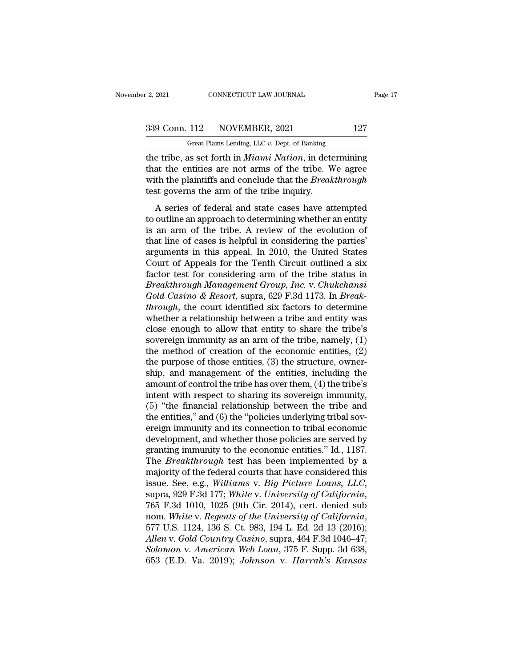| r 2, 2021 | CONNECTICUT LAW JOURNAL                       | Page 17 |  |
|-----------|-----------------------------------------------|---------|--|
|           | 339 Conn. 112 NOVEMBER, 2021                  | 127     |  |
|           | Great Plains Lending, LLC v. Dept. of Banking |         |  |

F. 2, 2021 CONNECTICUT LAW JOURNAL<br>
Great Plains Lending, LLC *v.* Dept. of Banking<br>
the tribe, as set forth in *Miami Nation*, in determining the tribe, as set forth in *Miami Nation*, in determining<br>that the entities are not arms of the tribe. We agree<br>with the plaintiffs and conclude that the *Precel*through<br>with the plaintiffs and conclude that the *Precelthr* 339 Conn. 112 NOVEMBER, 2021 127<br>
Great Plains Lending, LLC v. Dept. of Banking<br>
the tribe, as set forth in *Miami Nation*, in determining<br>
that the entities are not arms of the tribe. We agree<br>
with the plaintiffs and con 339 Conn. 112 NOVEMBER, 2021 127<br>
Great Plains Lending, LLC v. Dept. of Banking<br>
the tribe, as set forth in *Miami Nation*, in determining<br>
that the entities are not arms of the tribe. We agree<br>
with the plaintiffs and con 339 Conn. 112 NOVEMBER, 2021<br>
Great Plains Lending, LLC  $v$ . Dept. of Banking<br>
the tribe, as set forth in *Miami Nation*, in deter<br>
that the entities are not arms of the tribe. W<br>
with the plaintiffs and conclude that the Great Plains Lending, LLC  $v$ . Dept. of Banking<br>
e tribe, as set forth in *Miami Nation*, in determining<br>
at the entities are not arms of the tribe. We agree<br>
th the plaintiffs and conclude that the *Breakthrough*<br>
st gov the tribe, as set forth in *Miami Nation*, in determining<br>that the entities are not arms of the tribe. We agree<br>with the plaintiffs and conclude that the *Breakthrough*<br>test governs the arm of the tribe inquiry.<br>A series o

that the entities are not arms of the tribe. We agree<br>with the plaintiffs and conclude that the *Breakthrough*<br>test governs the arm of the tribe inquiry.<br>A series of federal and state cases have attempted<br>to outline an ap with the plaintiffs and conclude that the *Breakthrough*<br>test governs the arm of the tribe inquiry.<br>A series of federal and state cases have attempted<br>to outline an approach to determining whether an entity<br>is an arm of t Arian die plantants and concluded that are *Dreamanought*<br>test governs the arm of the tribe inquiry.<br>A series of federal and state cases have attempted<br>to outline an approach to determining whether an entity<br>is an arm of t A series of federal and state cases have attempted<br>to outline an approach to determining whether an entity<br>is an arm of the tribe. A review of the evolution of<br>that line of cases is helpful in considering the parties'<br>arg A series of federal and state cases have attempted<br>to outline an approach to determining whether an entity<br>is an arm of the tribe. A review of the evolution of<br>that line of cases is helpful in considering the parties'<br>arg *Breakthrough Management Group, Inc. Breakthrough the several through Managements in this appeal.* In 2010, the United States Court of Appeals for the Tenth Circuit outlined a six factor test for considering arm of the t is an arm of the tribe. A review of the evolution of<br>that line of cases is helpful in considering the parties'<br>arguments in this appeal. In 2010, the United States<br>Court of Appeals for the Tenth Circuit outlined a six<br>fact that line of cases is helpful in considering the parties'<br>arguments in this appeal. In 2010, the United States<br>Court of Appeals for the Tenth Circuit outlined a six<br>factor test for considering arm of the tribe status in<br>*B* arguments in this appeal. In 2010, the United States<br>Court of Appeals for the Tenth Circuit outlined a six<br>factor test for considering arm of the tribe status in<br>*Breakthrough Management Group, Inc. v. Chukchansi*<br>*Gold Ca* Court of Appeals for the Tenth Circuit outlined a six<br>factor test for considering arm of the tribe status in<br>*Breakthrough Management Group, Inc.* v. *Chukchansi*<br>*Gold Casino & Resort*, supra, 629 F.3d 1173. In *Break-<br>t* factor test for considering arm of the tribe status in<br>Breakthrough Management Group, Inc. v. Chukchansi<br>Gold Casino & Resort, supra, 629 F.3d 1173. In Break-<br>through, the court identified six factors to determine<br>whether *Breakthrough Management Group, Inc.* v. *Chukchansi*<br>Gold *Casino & Resort*, supra, 629 F.3d 1173. In *Break-<br>through*, the court identified six factors to determine<br>whether a relationship between a tribe and entity was<br>c Gold Casino & Resort, supra, 629 F.3d 1173. In *Break-through*, the court identified six factors to determine whether a relationship between a tribe and entity was close enough to allow that entity to share the tribe's so through, the court identified six factors to determine<br>whether a relationship between a tribe and entity was<br>close enough to allow that entity to share the tribe's<br>sovereign immunity as an arm of the tribe, namely, (1)<br>the whether a relationship between a tribe and entity was<br>close enough to allow that entity to share the tribe's<br>sovereign immunity as an arm of the tribe, namely, (1)<br>the method of creation of the economic entities, (2)<br>the p close enough to allow that entity to share the tribe's<br>sovereign immunity as an arm of the tribe, namely, (1)<br>the method of creation of the economic entities, (2)<br>the purpose of those entities, (3) the structure, owner-<br>s sovereign immunity as an arm of the tribe, namely, (1)<br>the method of creation of the economic entities, (2)<br>the purpose of those entities, (3) the structure, owner-<br>ship, and management of the entities, including the<br>amoun the method of creation of the economic entities, (2) the purpose of those entities, (3) the structure, owner-<br>ship, and management of the entities, including the amount of control the tribe has over them, (4) the tribe's<br> the purpose of those entities,  $(3)$  the structure, owner-<br>ship, and management of the entities, including the<br>amount of control the tribe has over them,  $(4)$  the tribe's<br>intent with respect to sharing its sovereign immu ship, and management of the entities, including the<br>amount of control the tribe has over them, (4) the tribe's<br>intent with respect to sharing its sovereign immunity,<br>(5) "the financial relationship between the tribe and<br>th amount of control the tribe has over them, (4) the tribe's<br>intent with respect to sharing its sovereign immunity,<br>(5) "the financial relationship between the tribe and<br>the entities," and (6) the "policies underlying tribal intent with respect to sharing its sovereign immunity,<br>
(5) "the financial relationship between the tribe and<br>
the entities," and (6) the "policies underlying tribal sov-<br>
ereign immunity and its connection to tribal econ (5) "the financial relationship between the tribe and<br>the entities," and (6) the "policies underlying tribal sov-<br>ereign immunity and its connection to tribal economic<br>development, and whether those policies are served by the entities," and (6) the "policies underlying tribal sov-<br>ereign immunity and its connection to tribal economic<br>development, and whether those policies are served by<br>granting immunity to the economic entities." Id., 1187 granting immunity to the economic entities." Id., 1187.<br>The *Breakthrough* test has been implemented by a<br>majority of the federal courts that have considered this<br>issue. See, e.g., *Williams v. Big Picture Loans, LLC*,<br>sup majority of the federal courts that have considered this<br>issue. See, e.g., *Williams v. Big Picture Loans, LLC*,<br>supra, 929 F.3d 177; *White v. University of California*,<br>765 F.3d 1010, 1025 (9th Cir. 2014), cert. denied s issue. See, e.g., *Williams v. Big Picture Loans, LLC,* supra, 929 F.3d 177; *White v. University of California*, 765 F.3d 1010, 1025 (9th Cir. 2014), cert. denied sub nom. *White v. Regents of the University of California* supra, 929 F.3d 177; *White v. University of California*, 765 F.3d 1010, 1025 (9th Cir. 2014), cert. denied sub nom. *White v. Regents of the University of California*, 577 U.S. 1124, 136 S. Ct. 983, 194 L. Ed. 2d 13 (2016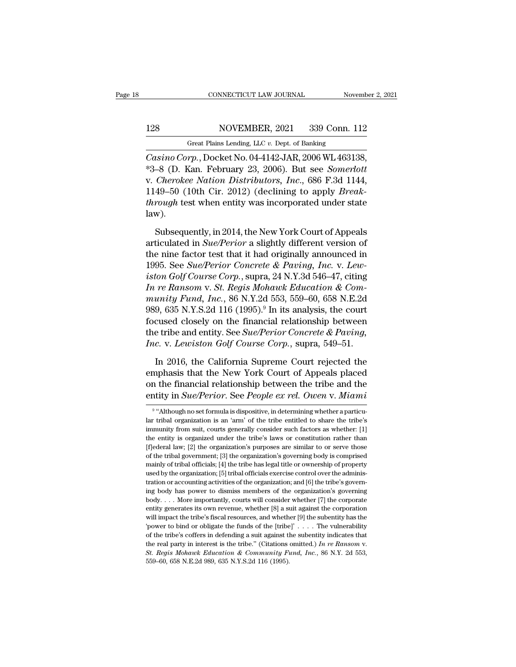# 128 CONNECTICUT LAW JOURNAL November 2, 2021<br>128 NOVEMBER, 2021 339 Conn. 112<br>Great Plains Lending, LLC v. Dept. of Banking

CONNECTICUT LAW JOURNAL November 2, 2021<br>128 NOVEMBER, 2021 339 Conn. 112<br>Great Plains Lending, LLC *v*. Dept. of Banking<br>Casino Corp., Docket No. 04-4142-JAR, 2006 WL 463138, *CONNECTICUT LAW JOURNAL* Movember 2, 2<br>
128 NOVEMBER, 2021 339 Conn. 112<br> *Great Plains Lending, LLC v. Dept. of Banking*<br> *Casino Corp.*, Docket No. 04-4142-JAR, 2006 WL 463138,<br>
<sup>\*3</sup>–8 (D. Kan. February 23, 2006). But s Xan. 128 (D. Kan. February 23, 2021 (D. Kan. February 23, 2006). But see *Somerlott*<br>
The South State No. 04-4142-JAR, 2006 WL 463138,<br>
The South State Somerlott<br>
The South State Somerlott<br>
The South State Somerlot City, 2 V. *Cherokee Nation Distributors, Inc.*, 686 F.3d 1144, 1149–50 (10th Cir. 2012) (declining to apply *Break-through* test when entity we incorperated under state through test when entity we incorperated under state through 128 NOVEMBER, 2021 339 Conn. 112<br>
Great Plains Lending, LLC v. Dept. of Banking<br>
Casino Corp., Docket No. 04-4142-JAR, 2006 WL 463138,<br>
\*3–8 (D. Kan. February 23, 2006). But see *Somerlott*<br>
v. Cherokee Nation Distributors Great Plains Lending, LLC v. Dept. of Banking<br> *Casino Corp.*, Docket No. 04-4142-JAR, 2006 WL 463138,<br>
\*3–8 (D. Kan. February 23, 2006). But see *Somerlott*<br>
v. *Cherokee Nation Distributors, Inc.*, 686 F.3d 1144,<br>
1149–5 law). -8 (D. Kan. February 23, 2006). But see *Somerlott*<br>Cherokee Nation Distributors, Inc., 686 F.3d 1144,<br>49–50 (10th Cir. 2012) (declining to apply *Break-*<br>rough test when entity was incorporated under state<br>w).<br>Subsequent v. Cherokee Nation Distributors, Inc., 686 F.3d 1144, 1149–50 (10th Cir. 2012) (declining to apply *Break-through* test when entity was incorporated under state law).<br>Subsequently, in 2014, the New York Court of Appeals ar

1149–50 (10th Cir. 2012) (declining to apply *Break-<br>through* test when entity was incorporated under state<br>law).<br>Subsequently, in 2014, the New York Court of Appeals<br>articulated in *Sue/Perior* a slightly different versi through test when entity was incorporated under state<br>law).<br>Subsequently, in 2014, the New York Court of Appeals<br>articulated in *Sue/Perior* a slightly different version of<br>the nine factor test that it had originally annou **ison Golf Course Concilisting Control**<br> **i** Subsequently, in 2014, the New York Court of Appeals<br>
articulated in *Sue/Perior* a slightly different version of<br>
the nine factor test that it had originally announced in<br>
1995 Subsequently, in 2014, the New York Court of Appeals<br>articulated in *Sue/Perior* a slightly different version of<br>the nine factor test that it had originally announced in<br>1995. See *Sue/Perior Concrete & Paving, Inc.* v. *L* Subsequently, in 2014, the New York Court of Appeals<br>articulated in *Sue/Perior* a slightly different version of<br>the nine factor test that it had originally announced in<br>1995. See *Sue/Perior Concrete & Paving, Inc.* v. *L* articulated in *Sue/Perior* a slightly different version of<br>the nine factor test that it had originally announced in<br>1995. See *Sue/Perior Concrete & Paving*, *Inc.* v. Lew-<br>iston Golf Course Corp., supra, 24 N.Y.3d 546–47 the nine factor test that it had originally announced in<br>1995. See *Sue/Perior Concrete & Paving*, *Inc.* v. *Lew-*<br>iston Golf Course Corp., supra, 24 N.Y.3d 546–47, citing<br>*In re Ransom* v. *St. Regis Mohawk Education &* 1995. See *Sue/Perior Concrete & Paving, Inc.* v. Lewiston Golf Course Corp., supra, 24 N.Y.3d 546–47, citing In re Ransom v. St. Regis Mohawk Education & Community Fund, Inc., 86 N.Y.2d 553, 559–60, 658 N.E.2d 989, 635 N. *iston Golf Course Corp.*, supra, 24 N.Y.3d 546–47, citing<br> *In re Ransom* v. *St. Regis Mohawk Education & Com-*<br> *munity Fund, Inc.*, 86 N.Y.2d 553, 559–60, 658 N.E.2d<br>
989, 635 N.Y.S.2d 116 (1995).<sup>9</sup> In its analysis, t unity Fund, Inc., 86 N.Y.2d 553, 559–60, 658 N.E.2d<br>9, 635 N.Y.S.2d 116 (1995).<sup>9</sup> In its analysis, the court<br>cused closely on the financial relationship between<br>e tribe and entity. See *Sue/Perior Concrete & Paving*,<br>*c.* 989, 635 N.Y.S.2d 116 (1995).<sup>9</sup> In its analysis, the court<br>focused closely on the financial relationship between<br>the tribe and entity. See *Sue/Perior Concrete & Paving*,<br>*Inc.* v. *Lewiston Golf Course Corp.*, supra, 54

focused closely on the financial relationship between<br>the tribe and entity. See *Sue/Perior Concrete & Paving*,<br>*Inc.* v. *Lewiston Golf Course Corp.*, supra, 549–51.<br>In 2016, the California Supreme Court rejected the<br>emp the tribe and entity. See *Sue/Perior Concrete & Paving*,<br> *Inc.* v. *Lewiston Golf Course Corp.*, supra, 549–51.<br>
In 2016, the California Supreme Court rejected the<br>
emphasis that the New York Court of Appeals placed<br>
on In 2016, the California Supreme Court rejected the phasis that the New York Court of Appeals placed<br>the financial relationship between the tribe and the<br>tity in *Sue/Perior*. See *People ex rel. Owen v. Miami*<br>"Although no emphasis that the New York Court of Appeals placed<br>on the financial relationship between the tribe and the<br>entity in  $Sue/Perior$ . See People ex rel. Owen v. Miami<br><sup>9</sup> "Although no set formula is dispositive, in determining wh

<sup>&</sup>lt;sup>9</sup> "Although no set formula is dispositive, in determining whether a particuon the financial relationship between the tribe and the entity in *Sue/Perior*. See *People ex rel. Owen* v. *Miami*  $\frac{1}{s}$  "Although no set formula is dispositive, in determining whether a particular tribal organizati entity in *Sue/Perior*. See *People ex rel. Owen* v. *Miami*<br>
<sup>9</sup> "Although no set formula is dispositive, in determining whether a particular tribal organization is an 'am' of the tribe entitled to share the tribe's immu Finally III Sue/I ET tor. See I Eopte Extractive. Ower v. In turn to  $\frac{1}{s}$  and  $\frac{1}{s}$  and  $\frac{1}{s}$  and  $\frac{1}{s}$  and  $\frac{1}{s}$  and  $\frac{1}{s}$  in determining whether a particular tribal organization is an 'arm' of t <sup>9</sup> "Although no set formula is dispositive, in determining whether a particular tribal organization is an 'arm' of the tribe entitled to share the tribe's immunity from suit, courts generally consider such factors as whe ratively discussed in a family of the tribe entitled to share the tribe's<br>immunity from suit, courts generally consider such factors as whether: [1]<br>the entity is organized under the tribe's laws or constitution rather tha in minimal of find the organization; is denoted by the organization; it has in the original of the entity is organized under the tribe's laws or constitution rather than [f]ederal law; [2] the organization's purposes are the entity is organized under the tribe's laws or constitution rather than  $[f]$ ederal law; [2] the organization's purposes are similar to or serve those of the tribal government; [3] the organization's governing body is c If Jederal law; [2] the organization's purposes are similar to or serve those of the tribal government; [3] the organization's governing body is comprised mainly of tribal officials; [4] the tribe has legal title or owner of the tribal government; [3] the organization's governing body is comprised mainly of tribal officials; [4] the tribe has legal title or ownership of property used by the organization; [5] tribal officials exercise contr mainly of tribal officials; [4] the tribe has legal title or ownership of property used by the organization; [5] tribal officials exercise control over the administration or accounting activities of the organization; and will impact the tribe's fiscal resources, and whether [9] the subentity has the tribe's governing body has power to dismiss members of the organization's governing body has power to dismiss members of the organization's g  $\frac{1}{2}$  and  $\frac{1}{2}$  or obligate the funds of the organization; and [6] the tribe's governing body has power to dismiss members of the organization's governing body. . . . More importantly, courts will consider whether ing body has power to dismiss members of the organization's governing<br>body.... More importantly, courts will consider whether [7] the corporate<br>entity generates its own revenue, whether [8] a suit against the corporation<br> the real party is the real party in interest is the tribe.'' (The corporate entity generates its own revenue, whether [8] a suit against the corporation will impact the tribe's fiscal resources, and whether [9] the subenti will impact the tribe's fiscal resources, and whether [9] the subentity has the 'power to bind or obligate the funds of the [tribe]' . . . . The vulnerability of the tribe's coffers in defending a suit against the subenti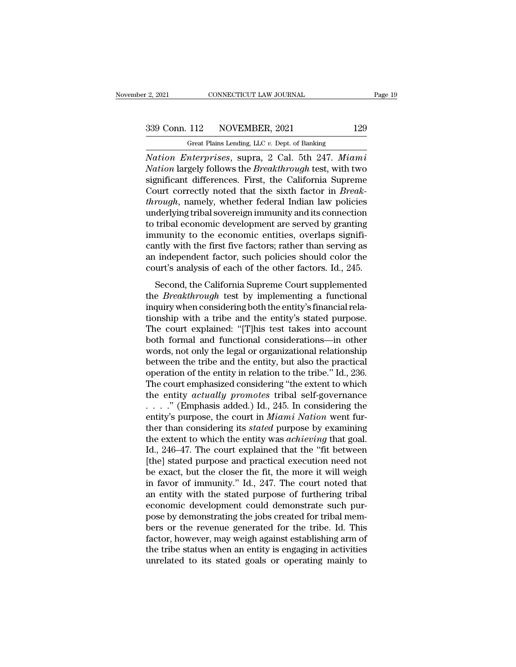r 2, 2021 CONNECTICUT LAW JOURNAL<br>
Great Plains Lending, LLC *v.* Dept. of Banking<br>
Nation Enterprises, supra, 2 Cal. 5th 247. Miami *Nation Enterprises*, supra, 2 Cal. 5th 247. *Miami*<br> *Nation Enterprises*, supra, 2 Cal. 5th 247. *Miami*<br> *Nation Enterprises*, supra, 2 Cal. 5th 247. *Miami*<br> *Nation largely follows the Breakthrough test, with two*<br>
ci <sup>339</sup> Conn. 112 NOVEMBER, 2021 129<br>
<sup>Great Plains Lending, LLC v. Dept. of Banking<br> *Nation Enterprises*, supra, 2 Cal. 5th 247. *Miami*<br> *Nation* largely follows the *Breakthrough* test, with two<br>
significant differences.</sup> 339 Conn. 112 NOVEMBER, 2021 129<br>
Great Plains Lending, LLC v. Dept. of Banking<br>
Nation Enterprises, supra, 2 Cal. 5th 247. Miami<br>
Nation largely follows the *Breakthrough* test, with two<br>
significant differences. First, 339 Conn. 112 NOVEMBER, 2021 129<br>
Great Plains Lending, LLC v. Dept. of Banking<br>
Nation Enterprises, supra, 2 Cal. 5th 247. Miami<br>
Nation largely follows the *Breakthrough* test, with two<br>
significant differences. First, t *Great Plains Lending, LLC v. Dept. of Banking*<br> *Nation Enterprises, supra, 2 Cal. 5th 247. Miami*<br> *Nation largely follows the Breakthrough test, with two*<br>
significant differences. First, the California Supreme<br>
Court c Great Plans Lending, LLC v. Dept. of Banking<br>
Nation Enterprises, supra, 2 Cal. 5th 247. Miami<br>
Nation largely follows the Breakthrough test, with two<br>
significant differences. First, the California Supreme<br>
Court correct Nation Enterprises, supra, 2 Cal. 5th 247. Miami<br>Nation largely follows the Breakthrough test, with two<br>significant differences. First, the California Supreme<br>Court correctly noted that the sixth factor in Break-<br>through, Nation largely follows the *Breakthrough* test, with two<br>significant differences. First, the California Supreme<br>Court correctly noted that the sixth factor in *Break-<br>through*, namely, whether federal Indian law policies<br>u significant differences. First, the California Supreme<br>Court correctly noted that the sixth factor in *Break-<br>through*, namely, whether federal Indian law policies<br>underlying tribal sovereign immunity and its connection<br>t Court correctly noted that the sixth factor in *Break-<br>through*, namely, whether federal Indian law policies<br>underlying tribal sovereign immunity and its connection<br>to tribal economic development are served by granting<br>imm through, namely, whether federal Indian law policies<br>underlying tribal sovereign immunity and its connection<br>to tribal economic development are served by granting<br>immunity to the economic entities, overlaps signifi-<br>cantly tribal economic development are served by granting<br>tribal economic development are served by granting<br>munity with the first five factors; rather than serving as<br>independent factor, such policies should color the<br>urt's anal the article is a final test by the economic entities, overlaps significantly with the first five factors; rather than serving as<br>an independent factor, such policies should color the<br>court's analysis of each of the other f

minimality to the economic entries, overtage significantly with the first five factors; rather than serving as<br>an independent factor, such policies should color the<br>court's analysis of each of the other factors. Id., 245.<br> Early with are most the factors, rather and test ring as<br>an independent factor, such policies should color the<br>court's analysis of each of the other factors. Id., 245.<br>Second, the California Supreme Court supplemented<br>the an independent factor, such ponetes should color are<br>court's analysis of each of the other factors. Id., 245.<br>Second, the California Supreme Court supplemented<br>the *Breakthrough* test by implementing a functional<br>inquiry w both formal and functional considerations.<br>
Second, the California Supreme Court supplemented<br>
the *Breakthrough* test by implementing a functional<br>
inquiry when considering both the entity's financial rela-<br>
tionship with Second, the California Supreme Court supplemented<br>the *Breakthrough* test by implementing a functional<br>inquiry when considering both the entity's financial rela-<br>tionship with a tribe and the entity's stated purpose.<br>The the *Breakthrough* test by implementing a functional<br>inquiry when considering both the entity's financial rela-<br>tionship with a tribe and the entity's stated purpose.<br>The court explained: "[T]his test takes into account<br>bo inquiry when considering both the entity's financial relationship with a tribe and the entity's stated purpose.<br>The court explained: "[T]his test takes into account both formal and functional considerations—in other words, tionship with a tribe and the entity's stated purpose.<br>The court explained: "[T]his test takes into account<br>both formal and functional considerations—in other<br>words, not only the legal or organizational relationship<br>betwe The court explained: "[T]his test takes into account<br>both formal and functional considerations—in other<br>words, not only the legal or organizational relationship<br>between the tribe and the entity, but also the practical<br>ope both formal and functional considerations—in other<br>words, not only the legal or organizational relationship<br>between the tribe and the entity, but also the practical<br>operation of the entity in relation to the tribe." Id., words, not only the legal or organizational relationship<br>between the tribe and the entity, but also the practical<br>operation of the entity in relation to the tribe." Id., 236.<br>The court emphasized considering "the extent to between the tribe and the entity, but also the practical<br>operation of the entity in relation to the tribe." Id., 236.<br>The court emphasized considering "the extent to which<br>the entity *actually promotes* tribal self-governa operation of the entity in relation to the tribe." Id., 236.<br>The court emphasized considering "the extent to which<br>the entity *actually promotes* tribal self-governance<br>....." (Emphasis added.) Id., 245. In considering the The court emphasized considering "the extent to which<br>the entity *actually promotes* tribal self-governance<br>....." (Emphasis added.) Id., 245. In considering the<br>entity's purpose, the court in *Miami Nation* went fur-<br>the the entity *actually promotes* tribal self-governance<br>  $\ldots$  ." (Emphasis added.) Id., 245. In considering the<br>
entity's purpose, the court in *Miami Nation* went fur-<br>
ther than considering its *stated* purpose by examin be entity's purpose, the court in *Miami Nation* went fur-<br>entity's purpose, the court in *Miami Nation* went fur-<br>ther than considering its *stated* purpose by examining<br>the extent to which the entity was *achieving* tha entity's purpose, the court in *Miami Nation* went fur-<br>ther than considering its *stated* purpose by examining<br>the extent to which the entity was *achieving* that goal.<br>Id., 246–47. The court explained that the "fit betwe ther than considering its *stated* purpose by examining<br>the extent to which the entity was *achieving* that goal.<br>Id., 246–47. The court explained that the "fit between<br>[the] stated purpose and practical execution need not the extent to which the entity was *achieving* that goal.<br>Id., 246–47. The court explained that the "fit between<br>[the] stated purpose and practical execution need not<br>be exact, but the closer the fit, the more it will weig Id., 246–47. The court explained that the "fit between<br>[the] stated purpose and practical execution need not<br>be exact, but the closer the fit, the more it will weigh<br>in favor of immunity." Id., 247. The court noted that<br>an [the] stated purpose and practical execution need not<br>be exact, but the closer the fit, the more it will weigh<br>in favor of immunity." Id., 247. The court noted that<br>an entity with the stated purpose of furthering tribal<br>ec be exact, but the closer the fit, the more it will weigh<br>in favor of immunity." Id., 247. The court noted that<br>an entity with the stated purpose of furthering tribal<br>economic development could demonstrate such pur-<br>pose by in favor of immunity." Id., 247. The court noted that<br>an entity with the stated purpose of furthering tribal<br>economic development could demonstrate such pur-<br>pose by demonstrating the jobs created for tribal mem-<br>bers or t an entity with the stated purpose of furthering tribal<br>economic development could demonstrate such pur-<br>pose by demonstrating the jobs created for tribal mem-<br>bers or the revenue generated for the tribe. Id. This<br>factor, h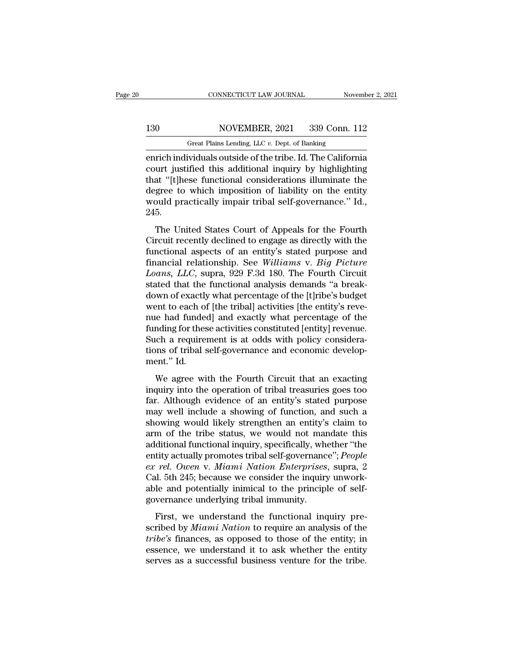# 130 CONNECTICUT LAW JOURNAL November 2, 2021<br>130 NOVEMBER, 2021 339 Conn. 112<br>130 Great Plains Lending, LLC v. Dept. of Banking

CONNECTICUT LAW JOURNAL November 2, 2021<br>130 NOVEMBER, 2021 339 Conn. 112<br>Great Plains Lending, LLC *v*. Dept. of Banking<br>enrich individuals outside of the tribe. Id. The California ENDER CONNECTICUT LAW JOURNAL Movember 2, 2021<br>
130 NOVEMBER, 2021 339 Conn. 112<br>
6 Great Plains Lending, LLC v. Dept. of Banking<br>
130 Great Plains Lending, LLC v. Dept. of Banking<br>
12 Great Plains Lending, LLC v. Dept. of 130 NOVEMBER, 2021 339 Conn. 112<br>
Great Plains Lending, LLC v. Dept. of Banking<br>
enrich individuals outside of the tribe. Id. The California<br>
court justified this additional inquiry by highlighting<br>
that "[t]hese functiona 130 NOVEMBER, 2021 339 Conn. 112<br>
Great Plains Lending, LLC  $v$ . Dept. of Banking<br>
enrich individuals outside of the tribe. Id. The California<br>
court justified this additional inquiry by highlighting<br>
that "[t]hese functi 130 NOVEMBER, 2021 339 Conn. 112<br>
Great Plains Lending, LLC  $v$ . Dept. of Banking<br>
enrich individuals outside of the tribe. Id. The California<br>
court justified this additional inquiry by highlighting<br>
that "[t]hese functi Great Plains Lending, LLC v. Dept. of Banking<br>enrich individuals outside of the tribe. Id. The California<br>court justified this additional inquiry by highlighting<br>that "[t]hese functional considerations illuminate the<br>degre 245. The United States Court of Appeals for the Fourth<br>and "[t]hese functional considerations illuminate the<br>gree to which imposition of liability on the entity<br>build practically impair tribal self-governance." Id.,<br>5.<br>The Unit that "[t]hese functional considerations illuminate the<br>degree to which imposition of liability on the entity<br>would practically impair tribal self-governance." Id.,<br>245.<br>The United States Court of Appeals for the Fourth<br>Ci

degree to which imposition of liability on the entity<br>would practically impair tribal self-governance." Id.,<br>245.<br>The United States Court of Appeals for the Fourth<br>Circuit recently declined to engage as directly with the<br> final relationships and the Financial relationship.<br>The United States Court of Appeals for the Fourth<br>Circuit recently declined to engage as directly with the<br>functional aspects of an entity's stated purpose and<br>financial *Loans, Higherian, Higherian Schigovernance.* Tal., 245.<br> *Localistic The United States Court of Appeals for the Fourth*<br> *Circuit recently declined to engage as directly with the functional aspects of an entity's stated p* The United States Court of Appeals for the Fourth<br>Circuit recently declined to engage as directly with the<br>functional aspects of an entity's stated purpose and<br>financial relationship. See Williams v. Big Picture<br>Loans, LLC The United States Court of Appeals for the Fourth<br>Circuit recently declined to engage as directly with the<br>functional aspects of an entity's stated purpose and<br>financial relationship. See Williams v. Big Picture<br>Loans, LLC Circuit recently declined to engage as directly with the functional aspects of an entity's stated purpose and financial relationship. See *Williams v. Big Picture Loans, LLC*, supra, 929 F.3d 180. The Fourth Circuit stated functional aspects of an entity's stated purpose and<br>financial relationship. See *Williams* v. *Big Picture*<br>*Loans, LLC*, supra, 929 F.3d 180. The Fourth Circuit<br>stated that the functional analysis demands "a break-<br>down financial relationship. See Williams v. Big Picture<br>Loans, LLC, supra, 929 F.3d 180. The Fourth Circuit<br>stated that the functional analysis demands "a break-<br>down of exactly what percentage of the [t]ribe's budget<br>went to Loans, LLC, supra, 929 F.3d 180. The Fourth Circuit stated that the functional analysis demands "a break-<br>down of exactly what percentage of the [t]ribe's budget went to each of [the tribal] activities [the entity's reve-<br> stated that the functional analysis demands "a break-<br>down of exactly what percentage of the [t]ribe's budget<br>went to each of [the tribal] activities [the entity's reve-<br>nue had funded] and exactly what percentage of the<br>f down of exactly<br>went to each of<br>nue had funde<br>funding for thes<br>Such a require<br>tions of tribal s<br>ment." Id.<br>We agree wi Find to each of [the thour] derivates [the endty 5 force<br>the had funded] and exactly what percentage of the<br>nding for these activities constituted [entity] revenue.<br>ch a requirement is at odds with policy considera-<br>ns of Funding for these activities constituted [entity] revenue.<br>
Such a requirement is at odds with policy considera-<br>
tions of tribal self-governance and economic develop-<br>
ment." Id.<br>
We agree with the Fourth Circuit that an

Far. although evidence and economic development." Id.<br>
We agree with the Fourth Circuit that an exacting<br>
inquiry into the operation of tribal treasuries goes too<br>
far. Although evidence of an entity's stated purpose<br>
may may exist the reduction is a state with policy constant<br>tions of tribal self-governance and economic develop-<br>ment." Id.<br>We agree with the Fourth Circuit that an exacting<br>inquiry into the operation of tribal treasuries goe showing the state of the state of the contour and the state of the state inquiry into the operation of tribal treasuries goes too<br>far. Although evidence of an entity's stated purpose<br>may well include a showing of function, We agree with the Fourth Circuit that an exacting<br>inquiry into the operation of tribal treasuries goes too<br>far. Although evidence of an entity's stated purpose<br>may well include a showing of function, and such a<br>showing wou We agree with the Fourth Circuit that an exacting<br>inquiry into the operation of tribal treasuries goes too<br>far. Although evidence of an entity's stated purpose<br>may well include a showing of function, and such a<br>showing wou inquiry into the operation of tribal treasuries goes too<br>far. Although evidence of an entity's stated purpose<br>may well include a showing of function, and such a<br>showing would likely strengthen an entity's claim to<br>arm of t *far. Although evidence of an entity's stated purpose*<br>*may well include a showing of function, and such a*<br>*showing would likely strengthen an entity's claim to*<br>*arm of the tribe status, we would not mandate this*<br>*addit* may well include a showing of function, and such a<br>showing would likely strengthen an entity's claim to<br>arm of the tribe status, we would not mandate this<br>additional functional inquiry, specifically, whether "the<br>entity ac showing would likely strengthen an entity's claim to<br>arm of the tribe status, we would not mandate this<br>additional functional inquiry, specifically, whether "the<br>entity actually promotes tribal self-governance"; *People*<br>e arm of the tribe status, we would not mandiditional functional inquiry, specifically, when<br>tity actually promotes tribal self-governance are rel. Owen v. Miami Nation Enterprises<br>Cal. 5th 245; because we consider the inqui First, we understand the functional self-governance"; *People*<br>rel. Owen v. Miami Nation Enterprises, supra, 2<br>al. 5th 245; because we consider the inquiry unwork-<br>le and potentially inimical to the principle of self-<br>vern ex rel. Owen v. Miami Nation Enterprises, supra, 2<br>Cal. 5th 245; because we consider the inquiry unwork-<br>able and potentially inimical to the principle of self-<br>governance underlying tribal immunity.<br>First, we understand t

*the 18. Secondary in the secondary considers* the inquiry unworkable and potentially inimical to the principle of self-<br>governance underlying tribal immunity.<br>First, we understand the functional inquiry pre-<br>scribed by *M* essence, we underlying tribal immunity.<br>able and potentially inimical to the principle of self-<br>governance underlying tribal immunity.<br>First, we understand the functional inquiry pre-<br>scribed by *Miami Nation* to require a serve and potentially infinited to the principle of sem<br>governance underlying tribal immunity.<br>First, we understand the functional inquiry pre-<br>scribed by *Miami Nation* to require an analysis of the<br>*tribe's* finances, as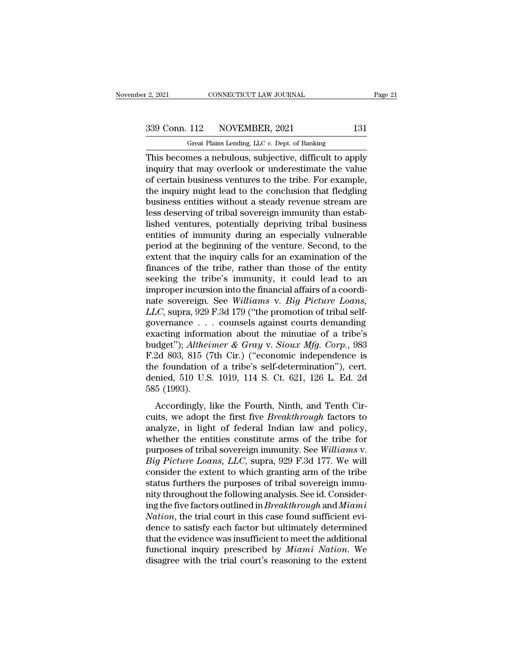r 2, 2021 CONNECTICUT LAW JOURNAL<br>
Great Plains Lending, LLC *v.* Dept. of Banking<br>
This becomes a nebulous, subjective, difficult to apply  $\frac{12,2021}{2,2021}$  CONNECTICUT LAW JOURNAL Page 21<br>339 Conn. 112 NOVEMBER, 2021 131<br>Great Plains Lending, LLC v. Dept. of Banking<br>This becomes a nebulous, subjective, difficult to apply<br>inquiry that may overlook or unde 339 Conn. 112 NOVEMBER, 2021 131<br>
Great Plains Lending, LLC v. Dept. of Banking<br>
This becomes a nebulous, subjective, difficult to apply<br>
inquiry that may overlook or underestimate the value<br>
of certain business ventures t  $\frac{339 \text{ Conn. } 112}{\text{Great Plans Length, } 2021}$  131<br>
Great Plains Lending, LLC v. Dept. of Banking<br>
This becomes a nebulous, subjective, difficult to apply<br>
inquiry that may overlook or underestimate the value<br>
of certain business vent 339 Conn. 112 NOVEMBER, 2021 131<br>
Great Plains Lending, LLC  $v$ . Dept. of Banking<br>
This becomes a nebulous, subjective, difficult to apply<br>
inquiry that may overlook or underestimate the value<br>
of certain business venture Great Plains Lending, LLC v. Dept. of Banking<br>This becomes a nebulous, subjective, difficult to apply<br>inquiry that may overlook or underestimate the value<br>of certain business ventures to the tribe. For example,<br>the inquiry Great Plants Lending, LLC  $v$ . Dept. of Banking<br>This becomes a nebulous, subjective, difficult to apply<br>inquiry that may overlook or underestimate the value<br>of certain business ventures to the tribe. For example,<br>the inqu This becomes a nebulous, subjective, difficult to apply<br>inquiry that may overlook or underestimate the value<br>of certain business ventures to the tribe. For example,<br>the inquiry might lead to the conclusion that fledgling<br>b inquiry that may overlook or underestimate the value<br>of certain business ventures to the tribe. For example,<br>the inquiry might lead to the conclusion that fledgling<br>business entities without a steady revenue stream are<br>les of certain business ventures to the tribe. For example,<br>the inquiry might lead to the conclusion that fledgling<br>business entities without a steady revenue stream are<br>less deserving of tribal sovereign immunity than estab-<br> the inquiry might lead to the conclusion that fledgling<br>business entities without a steady revenue stream are<br>less deserving of tribal sovereign immunity than estab-<br>lished ventures, potentially depriving tribal business<br>e business entities without a steady revenue stream are<br>less deserving of tribal sovereign immunity than estab-<br>lished ventures, potentially depriving tribal business<br>entities of immunity during an especially vulnerable<br>peri less deserving of tribal sovereign immunity than established ventures, potentially depriving tribal business<br>entities of immunity during an especially vulnerable<br>period at the beginning of the venture. Second, to the<br>exte lished ventures, potentially depriving tribal business<br>entities of immunity during an especially vulnerable<br>period at the beginning of the venture. Second, to the<br>extent that the inquiry calls for an examination of the<br>fi entities of immunity during an especially vulnerable<br>period at the beginning of the venture. Second, to the<br>extent that the inquiry calls for an examination of the<br>finances of the tribe, rather than those of the entity<br>see period at the beginning of the venture. Second, to the extent that the inquiry calls for an examination of the finances of the tribe, rather than those of the entity seeking the tribe's immunity, it could lead to an improp extent that the inquiry calls for an examination of the finances of the tribe, rather than those of the entity seeking the tribe's immunity, it could lead to an improper incursion into the financial affairs of a coordinat finances of the tribe, rather than those of the entity<br>seeking the tribe's immunity, it could lead to an<br>improper incursion into the financial affairs of a coordi-<br>nate sovereign. See *Williams* v. *Big Picture Loans*,<br>*L* seeking the tribe's immunity, it could lead to an<br>improper incursion into the financial affairs of a coordi-<br>nate sovereign. See *Williams* v. *Big Picture Loans*,<br>*LLC*, supra, 929 F.3d 179 ("the promotion of tribal selfimproper incursion into the financial affairs of a coordinate sovereign. See Williams v. Big Picture Loans, <br>LLC, supra, 929 F.3d 179 ("the promotion of tribal self-<br>governance . . . counsels against courts demanding<br>exac nate sovereign. See *Williams v. Big Picture Loans,*<br>*LLC*, supra, 929 F.3d 179 ("the promotion of tribal self-<br>governance . . . counsels against courts demanding<br>exacting information about the minutiae of a tribe's<br>budget LLC, supra, 929 F.3d 179 ("the promotion of tribal self-governance . . . counsels against courts demanding exacting information about the minutiae of a tribe's budget"); *Altheimer* & Gray v. Sioux Mfg. Corp., 983 F.2d 803 governance . .<br>exacting inform<br>budget"); Althei<br>F.2d 803, 815 (7<br>the foundation<br>denied, 510 U.S<br>585 (1993).<br>Accordingly, l det"); *Altheimer & Gray v. Sioux Mfg. Corp.*, 983<br>2d 803, 815 (7th Cir.) ("economic independence is<br>e foundation of a tribe's self-determination"), cert.<br>mied, 510 U.S. 1019, 114 S. Ct. 621, 126 L. Ed. 2d<br>5 (1993).<br>Accord Exaget *f*, *neterials* a drag *v*. *Broads higg*. *Corp.*, *cos*<br>F.2d 803, 815 (7th Cir.) ("economic independence is<br>the foundation of a tribe's self-determination"), cert.<br>denied, 510 U.S. 1019, 114 S. Ct. 621, 126 L. Ed

and soo, organism.) (constraint mateperature is<br>the foundation of a tribe's self-determination''), cert.<br>denied, 510 U.S. 1019, 114 S. Ct. 621, 126 L. Ed. 2d<br>585 (1993).<br>Accordingly, like the Fourth, Ninth, and Tenth Cirdenied, 510 U.S. 1019, 114 S. Ct. 621, 126 L. Ed. 2d<br>585 (1993).<br>Accordingly, like the Fourth, Ninth, and Tenth Circuits, we adopt the first five *Breakthrough* factors to<br>analyze, in light of federal Indian law and polic purposes (1993).<br>Accordingly, like the Fourth, Ninth, and Tenth Circuits, we adopt the first five *Breakthrough* factors to<br>analyze, in light of federal Indian law and policy,<br>whether the entities constitute arms of the tr *Big Picture Loans, Like the Fourth, Ninth, and Tenth Circuits, we adopt the first five <i>Breakthrough* factors to analyze, in light of federal Indian law and policy, whether the entities constitute arms of the tribe for pu Accordingly, like the Fourth, Ninth, and Tenth Circuits, we adopt the first five *Breakthrough* factors to analyze, in light of federal Indian law and policy, whether the entities constitute arms of the tribe for purposes cuits, we adopt the first five *Breakthrough* factors to analyze, in light of federal Indian law and policy, whether the entities constitute arms of the tribe for purposes of tribal sovereign immunity. See *Williams v. Big* analyze, in light of federal Indian law and policy,<br>whether the entities constitute arms of the tribe for<br>purposes of tribal sovereign immunity. See Williams v.<br>Big Picture Loans, LLC, supra, 929 F.3d 177. We will<br>consider whether the entities constitute arms of the tribe for<br>purposes of tribal sovereign immunity. See *Williams* v.<br>*Big Picture Loans, LLC*, supra, 929 F.3d 177. We will<br>consider the extent to which granting arm of the tribe<br>s purposes of tribal sovereign immunity. See *Williams* v.<br>*Big Picture Loans, LLC,* supra, 929 F.3d 177. We will<br>consider the extent to which granting arm of the tribe<br>status furthers the purposes of tribal sovereign immu-<br> Big Picture Loans, LLC, supra, 929 F.3d 177. We will<br>consider the extent to which granting arm of the tribe<br>status furthers the purposes of tribal sovereign immu-<br>nity throughout the following analysis. See id. Consider-<br>i consider the extent to which granting arm of the tribe<br>status furthers the purposes of tribal sovereign immu-<br>nity throughout the following analysis. See id. Consider-<br>ing the five factors outlined in *Breakthrough* and *M* status furthers the purposes of tribal sovereign immu-<br>nity throughout the following analysis. See id. Consider-<br>ing the five factors outlined in *Breakthrough* and *Miami*<br>*Nation*, the trial court in this case found suff nity throughout the following analysis. See id. Considering the five factors outlined in *Breakthrough* and *Miami* Nation, the trial court in this case found sufficient evidence to satisfy each factor but ultimately deter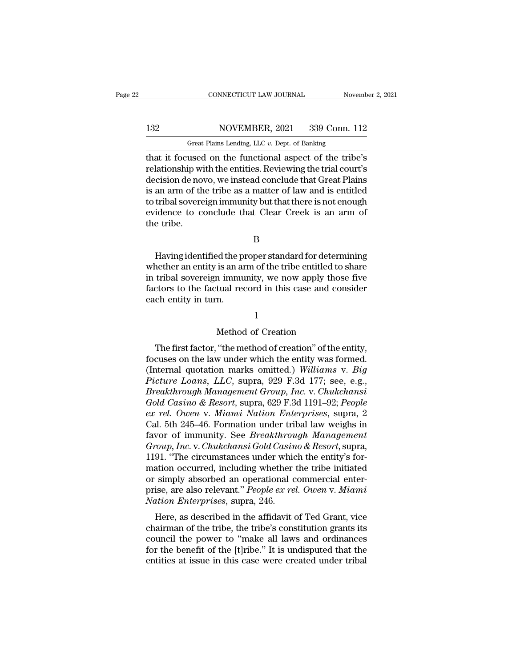# 132 CONNECTICUT LAW JOURNAL November 2, 2021<br>132 NOVEMBER, 2021 339 Conn. 112<br>132 Great Plains Lending, LLC v. Dept. of Banking

CONNECTICUT LAW JOURNAL November 2, 2021<br>132 NOVEMBER, 2021 339 Conn. 112<br>Great Plains Lending, LLC *v.* Dept. of Banking<br>that it focused on the functional aspect of the tribe's CONNECTICUT LAW JOURNAL November 2, 2021<br>
132 NOVEMBER, 2021 339 Conn. 112<br>
Great Plains Lending, LLC v. Dept. of Banking<br>
132 Great Plains Lending, LLC v. Dept. of Banking<br>
12 That it focused on the functional aspect of t 132 NOVEMBER, 2021 339 Conn. 112<br>
Great Plains Lending, LLC v. Dept. of Banking<br>
that it focused on the functional aspect of the tribe's<br>
relationship with the entities. Reviewing the trial court's<br>
decision de novo, we in 132 NOVEMBER, 2021 339 Conn. 112<br>
Great Plains Lending, LLC  $v$ . Dept. of Banking<br>
that it focused on the functional aspect of the tribe's<br>
relationship with the entities. Reviewing the trial court's<br>
decision de novo, we 132 NOVEMBER, 2021 339 Conn. 112<br>
Great Plains Lending, LLC  $v$ . Dept. of Banking<br>
that it focused on the functional aspect of the tribe's<br>
relationship with the entities. Reviewing the trial court's<br>
decision de novo, we Great Plains Lending, LLC v. Dept. of Banking<br>that it focused on the functional aspect of the tribe's<br>relationship with the entities. Reviewing the trial court's<br>decision de novo, we instead conclude that Great Plains<br>is a Great Plans Lending, LLC  $v$ . Dept. of Banking<br>that it focused on the functional aspect of the tribe's<br>relationship with the entities. Reviewing the trial court's<br>decision de novo, we instead conclude that Great Plains<br>is that it focused<br>relationship wi<br>decision de no<br>is an arm of th<br>to tribal sovere<br>evidence to ce<br>the tribe. an arm of the tribe as a matter of law and is entitled<br>tribal sovereign immunity but that there is not enough<br>idence to conclude that Clear Creek is an arm of<br>e tribe.<br>B<br>Having identified the proper standard for determinin

B

to tribal sovereign immunity but that there is not enough<br>evidence to conclude that Clear Creek is an arm of<br>the tribe.<br>B<br>Having identified the proper standard for determining<br>whether an entity is an arm of the tribe entit evidence to conclude that Clear Creek is an arm of<br>the tribe.<br>B<br>Having identified the proper standard for determining<br>whether an entity is an arm of the tribe entitled to share<br>in tribal sovereign immunity, we now apply th Factors the tribe.<br>B<br>Having identified the proper standard for determining<br>whether an entity is an arm of the tribe entitled to share<br>in tribal sovereign immunity, we now apply those five<br>factors to the factual record in t Having identified the p<br>whether an entity is an ai<br>in tribal sovereign immu<br>factors to the factual ree<br>each entity in turn. is an arm of the tribe entitled to<br>
a immunity, we now apply thos<br>
tual record in this case and co<br>
n.<br>  $1$ <br>
Method of Creation<br>
"the method of creation" of the

### 1

The first factual record in this case and consider<br>
chectors to the factual record in this case and consider<br>
check entity in turn.<br>
1<br>
Method of Creation<br>
The first factor, "the method of creation" of the entity,<br>
cuses factors to the factual fecord in this case and consider<br>each entity in turn.<br>
1<br>
Method of Creation<br>
The first factor, "the method of creation" of the entity,<br>
focuses on the law under which the entity was formed.<br>
(Intern Method of Creation<br>
The first factor, "the method of creation" of the entity,<br>
focuses on the law under which the entity was formed.<br>
(Internal quotation marks omitted.) *Williams* v. *Big*<br>
Picture Loans, LLC, supra, 929 *Picture Loans, Alexandry Compare 1900 F. Alexandron Compare Loans, Location Compare Loans, LLC, supra, 929 F.3d 177; see, e.g., Breakthrough Management Group, Inc. v. Chukchansi Gold Casino & Pescert supra, 929 F.3d 170; Breakthrough Method of Creation*<br> *Breakthrough Management Group, Inc. Chukchansi*<br> *Breakthrough Management Group, Inc.* v. *Chukchansi*<br> *Gold Casino & Resort, supra, 629 F.3d 1191–92; People*<br> *Cold Casino & Resort, Free first factor, "the method of creation" of the entity,*<br> *focuses on the law under which the entity was formed.*<br> *(Internal quotation marks omitted.) Williams v. Big*<br> *Picture Loans, LLC, supra, 929 F.3d 177; see, e* The first factor, "the method of creation" of the entity,<br>focuses on the law under which the entity was formed.<br>(Internal quotation marks omitted.) *Williams v. Big*<br>*Picture Loans, LLC, supra, 929 F.3d 177; see, e.g.,*<br>*B* focuses on the law under which the entity was formed.<br>
(Internal quotation marks omitted.) Williams v. Big<br>
Picture Loans, LLC, supra, 929 F.3d 177; see, e.g.,<br>
Breakthrough Management Group, Inc. v. Chukchansi<br>
Gold Casin (Internal quotation marks omitted.) Williams v. Big<br>Picture Loans, LLC, supra, 929 F.3d 177; see, e.g.,<br>Breakthrough Management Group, Inc. v. Chukchansi<br>Gold Casino & Resort, supra, 629 F.3d 1191–92; People<br>ex rel. Owen v *Picture Loans, LLC, supra, 929 F.3d 177; see, e.g., Breakthrough Management Group, Inc. v. Chukchansi Gold Casino & Resort, supra, 629 F.3d 1191–92; People ex rel. Owen v. Miami Nation Enterprises, supra, 2 Cal. 5th 245–4* Breakthrough Management Group, Inc. v. Chukchansi<br>
Gold Casino & Resort, supra, 629 F.3d 1191–92; People<br>
ex rel. Owen v. Miami Nation Enterprises, supra, 2<br>
Cal. 5th 245–46. Formation under tribal law weighs in<br>
favor of Gold Casino & Resort, supra, 629 F.3d 1191–92; People<br>ex rel. Owen v. Miami Nation Enterprises, supra, 2<br>Cal. 5th 245–46. Formation under tribal law weighs in<br>favor of immunity. See *Breakthrough Management*<br>Group, Inc. v. ex rel. Owen v. Miami Nation Enterprises, supra, 2<br>Cal. 5th 245–46. Formation under tribal law weighs in<br>favor of immunity. See *Breakthrough Management*<br>Group, Inc. v. Chukchansi Gold Casino & Resort, supra,<br>1191. "The ci Cal. 5th 245–46. Formation under tribal law weighs in<br>favor of immunity. See *Breakthrough Management*<br>Group, Inc. v. Chukchansi Gold Casino & Resort, supra,<br>1191. "The circumstances under which the entity's for-<br>mation oc favor of immunity. See *Breakthrou*<br>*Group, Inc.* v. *Chukchansi Gold Casin*<br>1191. "The circumstances under whic<br>mation occurred, including whether<br>or simply absorbed an operational c<br>prise, are also relevant." *People ex* bup, the v. Chakehalast Gold Castho & Resort, supra,<br>91. "The circumstances under which the entity's for-<br>ation occurred, including whether the tribe initiated<br>simply absorbed an operational commercial enter-<br>ise, are als The chairmances under which the entry submation occurred, including whether the tribe initiated<br>or simply absorbed an operational commercial enter-<br>prise, are also relevant." *People ex rel. Owen v. Miami*<br>Mation Enterpris

mation occurred, including whether the tribe initiated<br>or simply absorbed an operational commercial enter-<br>prise, are also relevant." *People ex rel. Owen v. Miami*<br>*Nation Enterprises*, supra, 246.<br>Here, as described in or simply absorbed an operational confinercial enter-<br>prise, are also relevant." *People ex rel. Owen v. Miami*<br>*Nation Enterprises*, supra, 246.<br>Here, as described in the affidavit of Ted Grant, vice<br>chairman of the tribe prise, are also relevant. *Teople ex ret. Owen* v. *Intumt*<br>Nation Enterprises, supra, 246.<br>Here, as described in the affidavit of Ted Grant, vice<br>chairman of the tribe, the tribe's constitution grants its<br>council the powe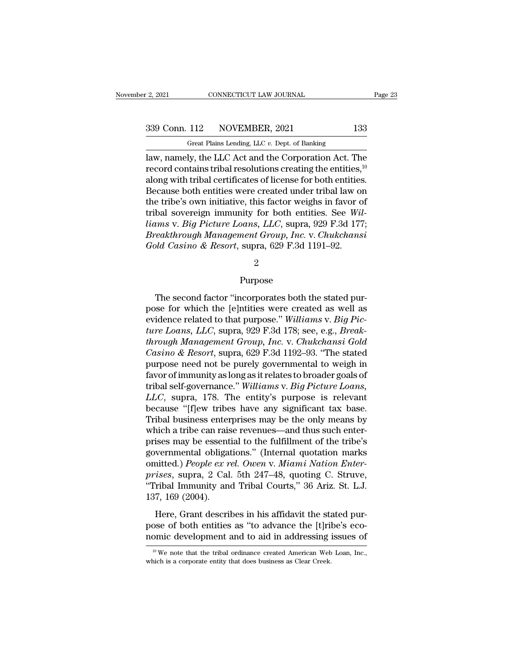# 2, 2021 CONNECTICUT LAW JOURNAL Page 23<br>339 Conn. 112 NOVEMBER, 2021 133<br>Great Plains Lending, LLC v. Dept. of Banking

r 2, 2021 CONNECTICUT LAW JOURNAL<br>
Great Plains Lending, LLC *v.* Dept. of Banking<br>
Iaw, namely, the LLC Act and the Corporation Act. The  $\frac{12,2021}{2,2021}$  CONNECTICUT LAW JOURNAL Page 23<br>339 Conn. 112 NOVEMBER, 2021 133<br>6 Great Plains Lending, LLC  $v$ . Dept. of Banking<br>alaw, namely, the LLC Act and the Corporation Act. The<br>record contains tribal resolut 339 Conn. 112 NOVEMBER, 2021 133<br>
Great Plains Lending, LLC  $v$ . Dept. of Banking<br>
law, namely, the LLC Act and the Corporation Act. The<br>
record contains tribal resolutions creating the entities,<sup>10</sup><br>
along with tribal ce 339 Conn. 112 NOVEMBER, 2021 133<br>
Great Plains Lending, LLC  $v$ . Dept. of Banking<br>
law, namely, the LLC Act and the Corporation Act. The<br>
record contains tribal resolutions creating the entities,  $10$ <br>
along with tribal c 339 Conn. 112 NOVEMBER, 2021 133<br>
Great Plains Lending, LLC  $v$ . Dept. of Banking<br>
law, namely, the LLC Act and the Corporation Act. The<br>
record contains tribal resolutions creating the entities,  $10$ <br>
along with tribal c Great Plains Lending, LLC v. Dept. of Banking<br>law, namely, the LLC Act and the Corporation Act. The<br>record contains tribal resolutions creating the entities,<sup>10</sup><br>along with tribal certificates of license for both entities Great Plans Lending, LLC *v*. Dept. of Banking<br>law, namely, the LLC Act and the Corporation Act. The<br>record contains tribal resolutions creating the entities.<sup>10</sup><br>along with tribal certificates of license for both entities law, namely, the LLC Act and the Corporation Act. The record contains tribal resolutions creating the entities,<sup>10</sup> along with tribal certificates of license for both entities. Because both entities were created under trib record contains tribal resolutions creating the entities,<sup>10</sup><br>along with tribal certificates of license for both entities.<br>Because both entities were created under tribal law on<br>the tribe's own initiative, this factor weig along with tribal certificates of license for both entities<br>Because both entities were created under tribal law on<br>the tribe's own initiative, this factor weighs in favor of<br>tribal sovereign immunity for both entities. See

### 2

### Purpose

reakthrough Management Group, Inc. v. Chukchansi<br>
Ud Casino & Resort, supra, 629 F.3d 1191–92.<br>  $2$ <br>
Purpose<br>
The second factor "incorporates both the stated pur-<br>
see for which the [e]ntities were created as well as<br>
ide Gold Casino & Resort, supra, 629 F.3d 1191–92.<br>  $\begin{array}{r} 2 \ \end{array}$  Purpose<br>
The second factor "incorporates both the stated purpose for which the [e]ntities were created as well as<br>
evidence related to that purpose." Willi evideo Purpose.<br>
The second factor "incorporates both the stated purpose for which the [e]ntities were created as well as<br>
evidence related to that purpose." *Williams* v. *Big Pic-*<br>
ture Loans, LLC, supra, 929 F.3d 178; <sup>2</sup><br> *Purpose*<br> *The second factor "incorporates both the stated pur-<br>
pose for which the [e]ntities were created as well as<br>
evidence related to that purpose." Williams v. <i>Big Pic-<br>
ture Loans, LLC*, supra, 929 F.3d 178; Purpose<br>
The second factor "incorporates both the stated pur-<br>
pose for which the [e]ntities were created as well as<br>
evidence related to that purpose." Williams v. *Big Pic-*<br> *ture Loans, LLC*, supra, 929 F.3d 178; see, The second factor "incorporates both the stated pur-<br>pose for which the [e]ntities were created as well as<br>evidence related to that purpose." Williams v. Big Pic-<br>ture Loans, LLC, supra, 929 F.3d 178; see, e.g., Break-<br>thr The second factor "incorporates both the stated pur-<br>pose for which the [e]ntities were created as well as<br>evidence related to that purpose." Williams v. Big Pic-<br>ture Loans, LLC, supra, 929 F.3d 178; see, e.g., Break-<br>thr pose for which the [e]ntities were created as well as<br>evidence related to that purpose." Williams v. Big Pic-<br>ture Loans, LLC, supra, 929 F.3d 178; see, e.g., Break-<br>through Management Group, Inc. v. Chukchansi Gold<br>Casino evidence related to that purpose." *Williams* v. *Big Picture Loans, LLC,* supra, 929 F.3d 178; see, e.g., *Break-through Management Group, Inc.* v. *Chukchansi Gold Casino & Resort*, supra, 629 F.3d 1192–93. "The stated p *ture Loans, LLC,* supra, 929 F.3d 178; see, e.g., *Break-<br><i>through Management Group, Inc.* v. *Chukchansi Gold*<br>*Casino & Resort*, supra, 629 F.3d 1192–93. "The stated<br>purpose need not be purely governmental to weigh in<br>f through Management Group, Inc. v. Chukchansi Gold<br>Casino & Resort, supra, 629 F.3d 1192–93. "The stated<br>purpose need not be purely governmental to weigh in<br>favor of immunity as long as it relates to broader goals of<br>tribal Casino & Resort, supra, 629 F.3d 1192–93. "The stated<br>purpose need not be purely governmental to weigh in<br>favor of immunity as long as it relates to broader goals of<br>tribal self-governance." Williams v. Big Picture Loans, purpose need not be purely governmental to weigh in<br>favor of immunity as long as it relates to broader goals of<br>tribal self-governance." Williams v. Big Picture Loans,<br>LLC, supra, 178. The entity's purpose is relevant<br>beca favor of immunity as long as it relates to broader goals of<br>tribal self-governance." Williams v. Big Picture Loans,<br>LLC, supra, 178. The entity's purpose is relevant<br>because "[f]ew tribes have any significant tax base.<br>Tri tribal self-governance." Williams v. *Big Picture Loans*,<br>*LLC*, supra, 178. The entity's purpose is relevant<br>because "[f]ew tribes have any significant tax base.<br>Tribal business enterprises may be the only means by<br>which *LLC*, supra, 178. The entity's purpose is relevant because "[f]ew tribes have any significant tax base. Tribal business enterprises may be the only means by which a tribe can raise revenues—and thus such enter-<br>prises may because "[f]ew tribes have any significant tax base.<br>Tribal business enterprises may be the only means by<br>which a tribe can raise revenues—and thus such enter-<br>prises may be essential to the fulfillment of the tribe's<br>gove Tribal business enterprises may be the only means by<br>which a tribe can raise revenues—and thus such enter-<br>prises may be essential to the fulfillment of the tribe's<br>governmental obligations." (Internal quotation marks<br>omit which a tribe can rais<br>prises may be essent<br>governmental obliga<br>omitted.) *People ex r<br>prises*, supra, 2 Cal<br>"Tribal Immunity an<br>137, 169 (2004).<br>Here, Grant descri Here, Grant describes in his affidavit the stated purises, supra, 2 Cal. 5th 247–48, quoting C. Struve, ribal Immunity and Tribal Courts," 36 Ariz. St. L.J. 7, 169 (2004).<br>Here, Grant describes in his affidavit the stated pose of both entitled.) People ex rel. Owen v. Miami Nation Enter-<br>prises, supra, 2 Cal. 5th 247–48, quoting C. Struve,<br>"Tribal Immunity and Tribal Courts," 36 Ariz. St. L.J.<br>137, 169 (2004).<br>Here, Grant describes in his a prises, supra, 2 Cal. 5th 247–48, quoting C. Struve, "Tribal Immunity and Tribal Courts," 36 Ariz. St. L.J. 137, 169 (2004).<br>Here, Grant describes in his affidavit the stated purpose of both entities as "to advance the [t

Here, Grant describes in his affidavit the stated pur-<br>ose of both entities as "to advance the [t]ribe's eco-<br>omic development and to aid in addressing issues of<br><sup>10</sup> We note that the tribal ordinance created American Web Here, Grant describes in his affidavit the stappose of both entities as "to advance the [t]ril nomic development and to aid in addressing  $\frac{10 \text{ W}}{10 \text{ W}}$  we note that the tribal ordinance created American Web which i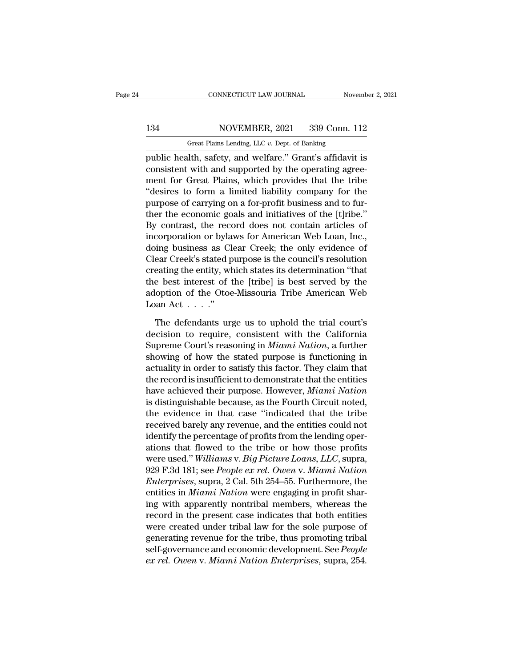# 134 CONNECTICUT LAW JOURNAL November 2, 2021<br>134 NOVEMBER, 2021 339 Conn. 112<br>134 Great Plains Lending, LLC v. Dept. of Banking

CONNECTICUT LAW JOURNAL November 2, 2021<br>134 NOVEMBER, 2021 339 Conn. 112<br>Great Plains Lending, LLC *v.* Dept. of Banking<br>public health, safety, and welfare." Grant's affidavit is CONNECTICUT LAW JOURNAL November 2, 2021<br>
134 NOVEMBER, 2021 339 Conn. 112<br>
Great Plains Lending, LLC v. Dept. of Banking<br>
public health, safety, and welfare.'' Grant's affidavit is<br>
consistent with and supported by the op 134 NOVEMBER, 2021 339 Conn. 112<br>
Great Plains Lending, LLC v. Dept. of Banking<br>
public health, safety, and welfare." Grant's affidavit is<br>
consistent with and supported by the operating agree-<br>
ment for Great Plains, whic 134 NOVEMBER, 2021 339 Conn. 112<br>
Great Plains Lending, LLC v. Dept. of Banking<br>
public health, safety, and welfare." Grant's affidavit is<br>
consistent with and supported by the operating agree-<br>
ment for Great Plains, whi 134 NOVEMBER, 2021 339 Conn. 112<br>
Great Plains Lending, LLC  $v$ . Dept. of Banking<br>
public health, safety, and welfare." Grant's affidavit is<br>
consistent with and supported by the operating agree-<br>
ment for Great Plains, w Great Plains Lending, LLC  $v$ . Dept. of Banking<br>public health, safety, and welfare." Grant's affidavit is<br>consistent with and supported by the operating agree-<br>ment for Great Plains, which provides that the tribe<br>"desires The east rians Lending, ELC *v*. Bept. of Banking<br>public health, safety, and welfare." Grant's affidavit is<br>consistent with and supported by the operating agree-<br>ment for Great Plains, which provides that the tribe<br>"desir public health, safety, and welfare." Grant's affidavit is<br>consistent with and supported by the operating agree-<br>ment for Great Plains, which provides that the tribe<br>"desires to form a limited liability company for the<br>purp consistent with and supported by the operating agreement for Great Plains, which provides that the tribe "desires to form a limited liability company for the purpose of carrying on a for-profit business and to further the ment for Great Plains, which provides that the tribe<br>
"desires to form a limited liability company for the<br>
purpose of carrying on a for-profit business and to fur-<br>
ther the economic goals and initiatives of the [t]ribe." "desires to form a limited liability company for the<br>purpose of carrying on a for-profit business and to fur-<br>ther the economic goals and initiatives of the [t]ribe."<br>By contrast, the record does not contain articles of<br>in purpose of carrying on a for-profit business and to fur-<br>ther the economic goals and initiatives of the [t]ribe."<br>By contrast, the record does not contain articles of<br>incorporation or bylaws for American Web Loan, Inc.,<br>do ther the economic goals and initiatives of the [t]ribe."<br>By contrast, the record does not contain articles of<br>incorporation or bylaws for American Web Loan, Inc.,<br>doing business as Clear Creek; the only evidence of<br>Clear C By contrast, the record does not contain articles of<br>incorporation or bylaws for American Web Loan, Inc.,<br>doing business as Clear Creek; the only evidence of<br>Clear Creek's stated purpose is the council's resolution<br>creati incorporation or byla<br>doing business as Cl<br>Clear Creek's stated p<br>creating the entity, wh<br>the best interest of 1<br>adoption of the Otoe<br>Loan Act . . . .''<br>The defendants ur; ear Creek's stated purpose is the council's resolution<br>eating the entity, which states its determination "that<br>e best interest of the [tribe] is best served by the<br>option of the Otoe-Missouria Tribe American Web<br>an Act . creating the entity, which states its determination "that<br>the best interest of the [tribe] is best served by the<br>adoption of the Otoe-Missouria Tribe American Web<br>Loan Act . . . ."<br>The defendants urge us to uphold the tri

the best interest of the [tribe] is best served by the adoption of the Otoe-Missouria Tribe American Web<br>Loan Act . . . ."<br>The defendants urge us to uphold the trial court's<br>decision to require, consistent with the Califor adoption of the Otoe-Missouria Tribe American Web<br>Loan Act . . . ."<br>The defendants urge us to uphold the trial court's<br>decision to require, consistent with the California<br>Supreme Court's reasoning in *Miami Nation*, a fur Loan Act . . . ."<br>
The defendants urge us to uphold the trial court's<br>
decision to require, consistent with the California<br>
Supreme Court's reasoning in *Miami Nation*, a further<br>
showing of how the stated purpose is func The defendants urge us to uphold the trial court's<br>decision to require, consistent with the California<br>Supreme Court's reasoning in *Miami Nation*, a further<br>showing of how the stated purpose is functioning in<br>actuality in The defendants urge us to uphold the trial court's<br>decision to require, consistent with the California<br>Supreme Court's reasoning in *Miami Nation*, a further<br>showing of how the stated purpose is functioning in<br>actuality in decision to require, consistent with the California<br>Supreme Court's reasoning in *Miami Nation*, a further<br>showing of how the stated purpose is functioning in<br>actuality in order to satisfy this factor. They claim that<br>the Supreme Court's reasoning in *Miami Nation*, a further<br>showing of how the stated purpose is functioning in<br>actuality in order to satisfy this factor. They claim that<br>the record is insufficient to demonstrate that the enti showing of how the stated purpose is functioning in<br>actuality in order to satisfy this factor. They claim that<br>the record is insufficient to demonstrate that the entities<br>have achieved their purpose. However, *Miami Nation* actuality in order to satisfy this factor. They claim that<br>the record is insufficient to demonstrate that the entities<br>have achieved their purpose. However, *Miami Nation*<br>is distinguishable because, as the Fourth Circuit the record is insufficient to demonstrate that the entities<br>have achieved their purpose. However, *Miami Nation*<br>is distinguishable because, as the Fourth Circuit noted,<br>the evidence in that case "indicated that the tribe<br> have achieved their purpose. However, *Miami Nation*<br>is distinguishable because, as the Fourth Circuit noted,<br>the evidence in that case "indicated that the tribe<br>received barely any revenue, and the entities could not<br>iden is distinguishable because, as the Fourth Circuit noted,<br>the evidence in that case "indicated that the tribe<br>received barely any revenue, and the entities could not<br>identify the percentage of profits from the lending operthe evidence in that case "indicated that the tribe<br>received barely any revenue, and the entities could not<br>identify the percentage of profits from the lending oper-<br>ations that flowed to the tribe or how those profits<br>wer received barely any revenue, and the entities could not<br>identify the percentage of profits from the lending oper-<br>ations that flowed to the tribe or how those profits<br>were used." Williams v. Big Picture Loans, LLC, supra,<br> identify the percentage of profits from the lending operations that flowed to the tribe or how those profits<br>were used." Williams v. Big Picture Loans, LLC, supra,<br>929 F.3d 181; see *People ex rel. Owen v. Miami Nation*<br>*E* ations that flowed to the tribe or how those profits<br>were used." Williams v. Big Picture Loans, LLC, supra,<br>929 F.3d 181; see People ex rel. Owen v. Miami Nation<br>Enterprises, supra, 2 Cal. 5th 254–55. Furthermore, the<br>enti were used." Williams v. Big Picture Loans, LLC, supra,<br>929 F.3d 181; see People ex rel. Owen v. Miami Nation<br>Enterprises, supra, 2 Cal. 5th 254–55. Furthermore, the<br>entities in Miami Nation were engaging in profit shar-<br>in 929 F.3d 181; see *People ex rel. Owen v. Miami Nation*<br>*Enterprises*, supra, 2 Cal. 5th 254–55. Furthermore, the<br>entities in *Miami Nation* were engaging in profit shar-<br>ing with apparently nontribal members, whereas the *Enterprises*, supra, 2 Cal. 5th 254–55. Furthermore, the entities in *Miami Nation* were engaging in profit sharing with apparently nontribal members, whereas the record in the present case indicates that both entities we entities in *Miami Nation* were engaging in profit sharing with apparently nontribal members, whereas the record in the present case indicates that both entities were created under tribal law for the sole purpose of genera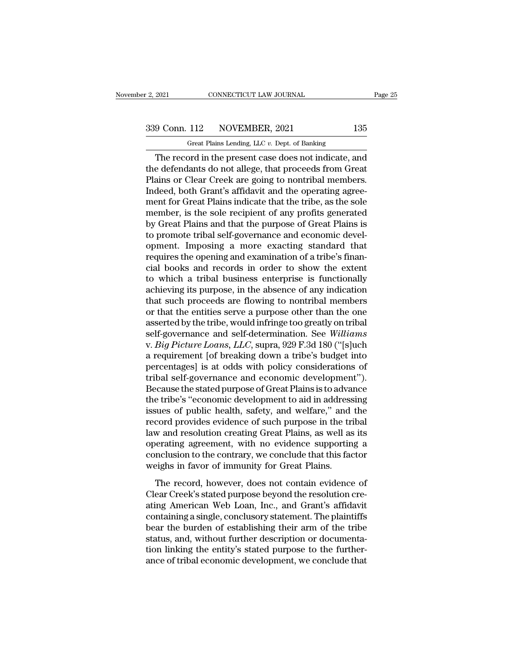F. 2, 2021 CONNECTICUT LAW JOURNAL<br>
Great Plains Lending, LLC *v.* Dept. of Banking<br>
The record in the present case does not indicate, and EXECUTE 2021 CONNECTICUT LAW JOURNAL Page 25<br>
9 Conn. 112 NOVEMBER, 2021 135<br>
Great Plains Lending, LLC v. Dept. of Banking<br>
The record in the present case does not indicate, and<br>
e defendants do not allege, that proceeds 339 Conn. 112 NOVEMBER, 2021 135<br>
Great Plains Lending, LLC v. Dept. of Banking<br>
The record in the present case does not indicate, and<br>
the defendants do not allege, that proceeds from Great<br>
Plains or Clear Creek are goin  $\frac{339 \text{ Conn. } 112 \qquad \text{NOVEMBER, } 2021 \qquad \qquad 135}$ <br>
Great Plains Lending, LLC v. Dept. of Banking<br>
The record in the present case does not indicate, and<br>
the defendants do not allege, that proceeds from Great<br>
Plains or Clear 339 Conn. 112 NOVEMBER, 2021 135<br>
Great Plains Lending, LLC  $v$ . Dept. of Banking<br>
The record in the present case does not indicate, and<br>
the defendants do not allege, that proceeds from Great<br>
Plains or Clear Creek are g Great Plains Lending, LLC v. Dept. of Banking<br>The record in the present case does not indicate, and<br>the defendants do not allege, that proceeds from Great<br>Plains or Clear Creek are going to nontribal members.<br>Indeed, both Great Plains Lending, LLC  $v$ . Dept. of Banking<br>The record in the present case does not indicate, and<br>the defendants do not allege, that proceeds from Great<br>Plains or Clear Creek are going to nontribal members.<br>Indeed, bo The record in the present case does not indicate, and<br>the defendants do not allege, that proceeds from Great<br>Plains or Clear Creek are going to nontribal members.<br>Indeed, both Grant's affidavit and the operating agree-<br>men the defendants do not allege, that proceeds from Great<br>Plains or Clear Creek are going to nontribal members.<br>Indeed, both Grant's affidavit and the operating agree-<br>ment for Great Plains indicate that the tribe, as the sol Plains or Clear Creek are going to nontribal members.<br>Indeed, both Grant's affidavit and the operating agreement for Great Plains indicate that the tribe, as the sole<br>member, is the sole recipient of any profits generated<br> Indeed, both Grant's affidavit and the operating agreement for Great Plains indicate that the tribe, as the sole member, is the sole recipient of any profits generated by Great Plains and that the purpose of Great Plains i ment for Great Plains indicate that the tribe, as the sole<br>member, is the sole recipient of any profits generated<br>by Great Plains and that the purpose of Great Plains is<br>to promote tribal self-governance and economic devel member, is the sole recipient of any profits generated<br>by Great Plains and that the purpose of Great Plains is<br>to promote tribal self-governance and economic devel-<br>opment. Imposing a more exacting standard that<br>requires t by Great Plains and that the purpose of Great Plains is<br>to promote tribal self-governance and economic devel-<br>opment. Imposing a more exacting standard that<br>requires the opening and examination of a tribe's finan-<br>cial boo to promote tribal self-governance and economic devel-<br>opment. Imposing a more exacting standard that<br>requires the opening and examination of a tribe's finan-<br>cial books and records in order to show the extent<br>to which a tr opment. Imposing a more exacting standard that<br>requires the opening and examination of a tribe's finan-<br>cial books and records in order to show the extent<br>to which a tribal business enterprise is functionally<br>achieving its requires the opening and examination of a tribe's financial books and records in order to show the extent<br>to which a tribal business enterprise is functionally<br>achieving its purpose, in the absence of any indication<br>that cial books and records in order to show the extent<br>to which a tribal business enterprise is functionally<br>achieving its purpose, in the absence of any indication<br>that such proceeds are flowing to nontribal members<br>or that t to which a tribal business enterprise is functionally<br>achieving its purpose, in the absence of any indication<br>that such proceeds are flowing to nontribal members<br>or that the entities serve a purpose other than the one<br>asse achieving its purpose, in the absence of any indication<br>that such proceeds are flowing to nontribal members<br>or that the entities serve a purpose other than the one<br>asserted by the tribe, would infringe too greatly on triba that such proceeds are flowing to nontribal members<br>or that the entities serve a purpose other than the one<br>asserted by the tribe, would infringe too greatly on tribal<br>self-governance and self-determination. See Williams<br>v or that the entities serve a purpose other than the one<br>asserted by the tribe, would infringe too greatly on tribal<br>self-governance and self-determination. See *Williams*<br>v. *Big Picture Loans, LLC*, supra, 929 F.3d 180 (" asserted by the tribe, would infringe too greatly on tribal<br>self-governance and self-determination. See Williams<br>v. Big Picture Loans, LLC, supra, 929 F.3d 180 ("[s]uch<br>a requirement [of breaking down a tribe's budget into self-governance and self-determination. See *Williams*<br>v. *Big Picture Loans*, *LLC*, supra, 929 F.3d 180 ("[s]uch<br>a requirement [of breaking down a tribe's budget into<br>percentages] is at odds with policy considerations of v. *Big Picture Loans, LLC*, supra, 929 F.3d 180 ("[s]uch<br>a requirement [of breaking down a tribe's budget into<br>percentages] is at odds with policy considerations of<br>tribal self-governance and economic development").<br>Becau a requirement [of breaking down a tribe's budget into<br>percentages] is at odds with policy considerations of<br>tribal self-governance and economic development'').<br>Because the stated purpose of Great Plains is to advance<br>the t percentages] is at odds with policy considerations of<br>tribal self-governance and economic development").<br>Because the stated purpose of Great Plains is to advance<br>the tribe's "economic development to aid in addressing<br>issue tribal self-governance and economic development").<br>Because the stated purpose of Great Plains is to advance<br>the tribe's "economic development to aid in addressing<br>issues of public health, safety, and welfare," and the<br>reco Because the stated purpose of Great Plains is to advance<br>the tribe's "economic development to aid in addressing<br>issues of public health, safety, and welfare," and the<br>record provides evidence of such purpose in the tribal<br> the tribe's "economic development to aid in address<br>issues of public health, safety, and welfare," and<br>record provides evidence of such purpose in the tr<br>law and resolution creating Great Plains, as well as<br>operating agree Example of plants recursity, stately, and working the tribal<br>cord provides evidence of such purpose in the tribal<br>w and resolution creating Great Plains, as well as its<br>verating agreement, with no evidence supporting a<br>not The record provides originate of state purpose in the this diam<br>law and resolution creating Great Plains, as well as its<br>operating agreement, with no evidence supporting a<br>conclusion to the contrary, we conclude that this

ative and resolution croasing areas I hand, as well as its<br>operating agreement, with no evidence supporting a<br>conclusion to the contrary, we conclude that this factor<br>weighs in favor of immunity for Great Plains.<br>The recor conclusion to the contrary, we conclude that this factor<br>weighs in favor of immunity for Great Plains.<br>The record, however, does not contain evidence of<br>Clear Creek's stated purpose beyond the resolution cre-<br>ating America bearasion to the bondary, we bondard that this rate of<br>weighs in favor of immunity for Great Plains.<br>The record, however, does not contain evidence of<br>Clear Creek's stated purpose beyond the resolution cre-<br>ating American The record, however, does not contain evidence of<br>Clear Creek's stated purpose beyond the resolution cre-<br>ating American Web Loan, Inc., and Grant's affidavit<br>containing a single, conclusory statement. The plaintiffs<br>bear The record, however, does not contain evidence of<br>Clear Creek's stated purpose beyond the resolution cre-<br>ating American Web Loan, Inc., and Grant's affidavit<br>containing a single, conclusory statement. The plaintiffs<br>bear Clear Creek's stated purpose beyond the resolution creating American Web Loan, Inc., and Grant's affidavit containing a single, conclusory statement. The plaintiffs bear the burden of establishing their arm of the tribe st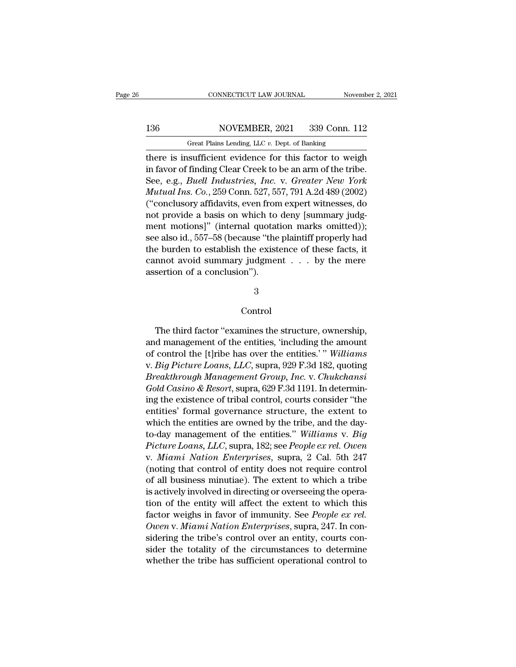# 136 CONNECTICUT LAW JOURNAL November 2, 2021<br>136 NOVEMBER, 2021 339 Conn. 112<br>Great Plains Lending, LLC v. Dept. of Banking

CONNECTICUT LAW JOURNAL November 2, 2021<br>136 NOVEMBER, 2021 339 Conn. 112<br>Great Plains Lending, LLC *v.* Dept. of Banking<br>there is insufficient evidence for this factor to weigh CONNECTICUT LAW JOURNAL November 2, 2021<br>
136 NOVEMBER, 2021 339 Conn. 112<br>
Great Plains Lending, LLC v. Dept. of Banking<br>
there is insufficient evidence for this factor to weigh<br>
in favor of finding Clear Creek to be an a 136 NOVEMBER, 2021 339 Conn. 112<br>
Great Plains Lending, LLC v. Dept. of Banking<br>
there is insufficient evidence for this factor to weigh<br>
in favor of finding Clear Creek to be an arm of the tribe.<br>
See, e.g., *Buell Indust* See, Buell Industries, 1921 and 1939 Conn. 112<br>
See, Plains Lending, LLC v. Dept. of Banking<br>
There is insufficient evidence for this factor to weigh<br>
in favor of finding Clear Creek to be an arm of the tribe.<br>
See, e.g., *MOVEMBER, 2021* 339 Conn. 112<br> *Great Plains Lending, LLC v. Dept. of Banking*<br>
there is insufficient evidence for this factor to weigh<br>
in favor of finding Clear Creek to be an arm of the tribe.<br> *See, e.g., Buell Indust* Great Plains Lending, LLC  $v$ . Dept. of Banking<br>there is insufficient evidence for this factor to weigh<br>in favor of finding Clear Creek to be an arm of the tribe.<br>See, e.g., *Buell Industries, Inc.* v. *Greater New York*<br> noted Finally, the *c. Exp.* or Balance there is insufficient evidence for this factor to weight<br>in favor of finding Clear Creek to be an arm of the tribe.<br>See, e.g., *Buell Industries*, *Inc.* v. *Greater New York*<br>*Mutua* there is insufficient evidence for this factor to weigh<br>
in favor of finding Clear Creek to be an arm of the tribe.<br>
See, e.g., *Buell Industries*, *Inc.* v. *Greater New York*<br> *Mutual Ins. Co.*, 259 Conn. 527, 557, 791 A in favor of finding Clear Creek to be an arm of the tribe.<br>See, e.g., *Buell Industries, Inc.* v. *Greater New York*<br>*Mutual Ins. Co.*, 259 Conn. 527, 557, 791 A.2d 489 (2002)<br>("conclusory affidavits, even from expert witn See, e.g., *Buell Industries*, *Inc.* v. Greater New York<br>Mutual Ins. Co., 259 Conn. 527, 557, 791 A.2d 489 (2002)<br>("conclusory affidavits, even from expert witnesses, do<br>not provide a basis on which to deny [summary judg *Mutual Ins.* Co., 259 Conn. 527, 557, 791 A.2d 489 (2002)<br>("conclusory affidavits, even from expert witnesses, do<br>not provide a basis on which to deny [summary judg-<br>ment motions]" (internal quotation marks omitted));<br>se ("conclusory attidavits, even from<br>not provide a basis on which to<br>ment motions]" (internal quotat<br>see also id., 557–58 (because "the<br>the burden to establish the exist<br>cannot avoid summary judgmer<br>assertion of a conclusion

3

### Control

The third factor "examines the structure, ownership,<br>The third factor "examines the structure, ownership,<br>d management of the entities, "including the amount<br>control the [third box example outities]". Williams  $\footnotesize$  3<br>Control<br>The third factor "examines the structure, ownership,<br>and management of the entities, 'including the amount<br>of control the [t]ribe has over the entities.' " Williams<br> $\footnotesize$  Big Rightung Lagres,  $\footnotesize$  LG g <sup>3</sup><br>Control<br>The third factor "examines the structure, ownership,<br>and management of the entities, 'including the amount<br>of control the [t]ribe has over the entities.' " *Williams*<br>v. *Big Picture Loans, LLC*, supra, 929 F.3 Control<br>
The third factor "examines the structure, ownership,<br>
and management of the entities, "including the amount<br>
of control the [t]ribe has over the entities.'" Williams<br>
v. *Big Picture Loans, LLC*, supra, 929 F.3d 1 Control<br>
The third factor "examines the structure, ownership,<br>
and management of the entities, "including the amount<br>
of control the [t]ribe has over the entities.' "*Williams*<br>
v. *Big Picture Loans, LLC*, supra, 929 F.3d The third factor "examines the structure, ownership,<br>and management of the entities, 'including the amount<br>of control the [t]ribe has over the entities.' "Williams<br>v. Big Picture Loans, LLC, supra, 929 F.3d 182, quoting<br>*B* Ine third ractor "examines the structure, ownership,<br>and management of the entities, 'including the amount<br>of control the [t]ribe has over the entities.' "Williams<br>v. Big Picture Loans, LLC, supra, 929 F.3d 182, quoting<br>Br and management of the entities, including the amount<br>of control the [t]ribe has over the entities.' " Williams<br>v. Big Picture Loans, LLC, supra, 929 F.3d 182, quoting<br>Breakthrough Management Group, Inc. v. Chukchansi<br>Gold *Breakthrough Management Group, Inc.* v. *Chukchansi Gold Casino & Resort,* supra, 629 F.3d 1191. In determining the existence of tribal control, courts consider "the entities" formal governance structure, the extent to v. *Big Picture Loans, LLC*, supra, 929 F.3d 182, quoting<br>*Breakthrough Management Group, Inc.* v. *Chukchansi*<br>Gold Casino & Resort, supra, 629 F.3d 1191. In determin-<br>ing the existence of tribal control, courts consider *Breakthrough Management Group, Inc.* v. Chukchansi<br> *Gold Casino & Resort*, supra, 629 F.3d 1191. In determin-<br>
ing the existence of tribal control, courts consider "the<br>
entities' formal governance structure, the extent Gold Casino & Resort, supra, 629 F.3d 1191. In determin-<br>ing the existence of tribal control, courts consider "the<br>entities' formal governance structure, the extent to<br>which the entities are owned by the tribe, and the day ing the existence of tribal control, courts consider The<br>entities' formal governance structure, the extent to<br>which the entities are owned by the tribe, and the day-<br>to-day management of the entities." Williams v. Big<br>Pict entities Tormal governance structure, the extent to<br>which the entities are owned by the tribe, and the day-<br>to-day management of the entities." Williams v. Big<br>Picture Loans, LLC, supra, 182; see People ex rel. Owen<br>v. Mia which the entities are owned by the tribe, and the day-<br>to-day management of the entities." Williams v. Big<br>Picture Loans, LLC, supra, 182; see People ex rel. Owen<br>v. Miami Nation Enterprises, supra, 2 Cal. 5th 247<br>(noting to-day management of the entities. *Wultams v. Big*<br>*Picture Loans, LLC,* supra, 182; see *People ex rel. Owen*<br>v. *Miami Nation Enterprises*, supra, 2 Cal. 5th 247<br>(noting that control of entity does not require control<br> Picture Loans, LLC, supra, 182; see *People ex rel. Owen*<br>v. *Miami Nation Enterprises*, supra, 2 Cal. 5th 247<br>(noting that control of entity does not require control<br>of all business minutiae). The extent to which a tribe<br> *V. Miami Nation Enterprises*, supra, 2 Cal. 5th 247.<br>
(noting that control of entity does not require control<br>
of all business minutiae). The extent to which a tribe<br>
is actively involved in directing or overseeing the op (noting that control of entity does not require control<br>of all business minutiae). The extent to which a tribe<br>is actively involved in directing or overseeing the opera-<br>tion of the entity will affect the extent to which or all business minutiae). The extent to which a tribe<br>is actively involved in directing or overseeing the opera-<br>tion of the entity will affect the extent to which this<br>factor weighs in favor of immunity. See *People ex r* is actively involved in directing or overseeing the operation of the entity will affect the extent to which this factor weighs in favor of immunity. See *People ex rel.* Owen v. *Miami Nation Enterprises*, supra, 247. In c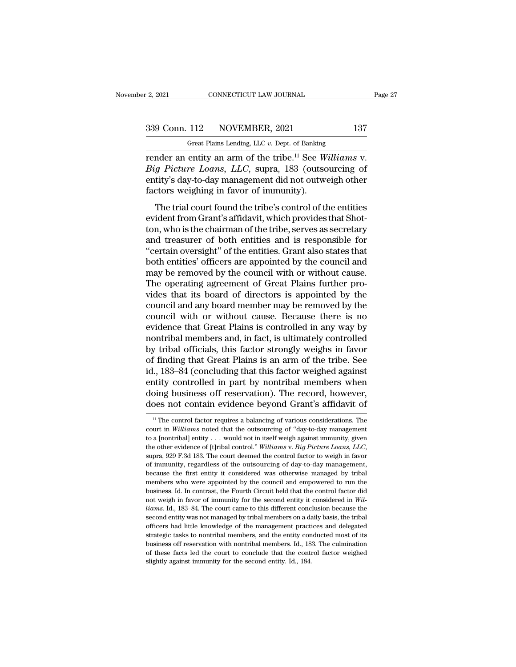F. 2, 2021 CONNECTICUT LAW JOURNAL<br>
Great Plains Lending, LLC *v.* Dept. of Banking<br>
Tender an entity an arm of the tribe.<sup>11</sup> See Williams v. render an entity and arm of the tribe.<sup>11</sup> See *Williams* v.<br> *Great Plains Lending, LLC v. Dept. of Banking*<br> **Example 2** The tribe.<sup>11</sup> See *Williams* v.<br> *Big Picture Loans, LLC, supra, 183* (outsourcing of entity's day <sup>339</sup> Conn. 112 NOVEMBER, 2021 137<br>
<sup>Great Plains Lending, LLC v. Dept. of Banking<br> **Picture 2021** 137<br> **Big Picture Loans, LLC**, supra, 183 (outsourcing of<br>
entity's day-to-day management did not outweigh other<br>
factors w</sup> 339 Conn. 112 NOVEMBER, 2021 137<br>
Great Plains Lending, LLC v. Dept. of Banking<br>
render an entity an arm of the tribe.<sup>11</sup> See *Williams v.<br>
Big Picture Loans, LLC*, supra, 183 (outsourcing of<br>
entity's day-to-day managem  $\frac{339 \text{ Conn. } 112}{339 \text{ Cent. } 112}$  NOVEMBER, 2021<br>The Great Plains Lending, LLC v. Dept. of Banking<br>render an entity an arm of the tribe.<sup>11</sup> See W<br>Big Picture Loans, LLC, supra, 183 (outsc<br>entity's day-to-day management d Great Plains Lending, LLC  $v$ . Dept. of Banking<br>
Inder an entity an arm of the tribe.<sup>11</sup> See *Williams* v.<br> *g Picture Loans*, *LLC*, supra, 183 (outsourcing of<br>
tity's day-to-day management did not outweigh other<br>
ctors render an entity an arm of the tribe.<sup>11</sup> See *Williams* v.<br>Big Picture Loans, LLC, supra, 183 (outsourcing of<br>entity's day-to-day management did not outweigh other<br>factors weighing in favor of immunity).<br>The trial court f

Fender an entry an arm of the tribe. See *Wattams v.*<br> *Big Picture Loans, LLC,* supra, 183 (outsourcing of<br>
entity's day-to-day management did not outweigh other<br>
factors weighing in favor of immunity).<br>
The trial court f Both entity's day-to-day management did not outweigh other<br>factors weighing in favor of immunity).<br>The trial court found the tribe's control of the entities<br>evident from Grant's affidavit, which provides that Shot-<br>ton, wh Factors weighing in favor of immunity).<br>
The trial court found the tribe's control of the entities<br>
evident from Grant's affidavit, which provides that Shot-<br>
ton, who is the chairman of the tribe, serves as secretary<br>
and ractors weiginig in ravor or minianity).<br>The trial court found the tribe's control of the entities<br>evident from Grant's affidavit, which provides that Shot-<br>ton, who is the chairman of the tribe, serves as secretary<br>and tr The trial court found the tribe's control of the entities<br>evident from Grant's affidavit, which provides that Shot-<br>ton, who is the chairman of the tribe, serves as secretary<br>and treasurer of both entities and is responsib evident from Grant's affidavit, which provides that Shotton, who is the chairman of the tribe, serves as secretary<br>and treasurer of both entities and is responsible for<br>"certain oversight" of the entities. Grant also state ton, who is the chairman of the tribe, serves as secretary<br>and treasurer of both entities and is responsible for<br>"certain oversight" of the entities. Grant also states that<br>both entities' officers are appointed by the coun and treasurer of both entities and is responsible for<br>"certain oversight" of the entities. Grant also states that<br>both entities' officers are appointed by the council and<br>may be removed by the council with or without cause "certain oversight" of the entities. Grant also states that<br>both entities' officers are appointed by the council and<br>may be removed by the council with or without cause.<br>The operating agreement of Great Plains further proboth entities' officers are appointed by the council and<br>may be removed by the council with or without cause.<br>The operating agreement of Great Plains further pro-<br>vides that its board of directors is appointed by the<br>counc may be removed by the council with or without cause.<br>The operating agreement of Great Plains further provides that its board of directors is appointed by the<br>council and any board member may be removed by the<br>council with The operating agreement of Great Plains further provides that its board of directors is appointed by the council and any board member may be removed by the council with or without cause. Because there is no evidence that G vides that its board of directors is appointed by the council and any board member may be removed by the council with or without cause. Because there is no evidence that Great Plains is controlled in any way by nontribal m council and any board member may be removed by the<br>council with or without cause. Because there is no<br>evidence that Great Plains is controlled in any way by<br>nontribal members and, in fact, is ultimately controlled<br>by triba council with or without cause. Because there is no<br>evidence that Great Plains is controlled in any way by<br>nontribal members and, in fact, is ultimately controlled<br>by tribal officials, this factor strongly weighs in favor<br>o evidence that Great Plains is controlled in any way by<br>nontribal members and, in fact, is ultimately controlled<br>by tribal officials, this factor strongly weighs in favor<br>of finding that Great Plains is an arm of the tribe. nontribal members and, in fact, is ultimately controlled<br>by tribal officials, this factor strongly weighs in favor<br>of finding that Great Plains is an arm of the tribe. See<br>id., 183–84 (concluding that this factor weighed a 11, 183–84 (concluding that this factor weighed against<br>ntity controlled in part by nontribal members when<br>poing business off reservation). The record, however,<br>poes not contain evidence beyond Grant's affidavit of<br> $\frac{11$ entity controlled in part by nontribal members when<br>doing business off reservation). The record, however,<br>does not contain evidence beyond Grant's affidavit of<br><sup>11</sup> The control factor requires a balancing of various consid

doing business off reservation). The record, however,<br>does not contain evidence beyond Grant's affidavit of<br> $\frac{1}{1}$  The control factor requires a balancing of various considerations. The<br>court in *Williams* noted that t the other evidence of **Existing Controll.** The vector, the word, does not contrain evidence beyond Grant's affidavit of  $\frac{W}{W}$  in Fector requires a balancing of "day-to-day management to a [nontribal] entity . . . would <sup>11</sup> The control factor requires a balancing of various considerations. The court in *Williams* noted that the outsourcing of "day-to-day management to a [nontribal] entity . . . would not in itself weigh against immunity court in *Williams* noted that the outsourcing of "day-to-day management to a [nontribal] entity . . . would not in itself weigh against immunity, given the other evidence of [t]ribal control." *Williams v. Big Picture Lo* to a [nontribal] entity . . . would not in itself weigh against immunity, given<br>the other evidence of [t]ribal control." Williams v. Big Picture Loans, LLC,<br>supra, 929 F.3d 183. The court deemed the control factor to weig the other evidence of [t]ribal control." Williams v. Big Picture Loans, LLC, supra, 929 F.3d 183. The court deemed the control factor to weigh in favor of immunity, regardless of the outsourcing of day-to-day management, supra, 929 F.3d 183. The court deemed the control factor to weigh in favor<br>of immunity, regardless of the outsourcing of day-to-day management,<br>because the first entity it considered was otherwise managed by tribal<br>members of immunity, regardless of the outsourcing of day-to-day management, because the first entity it considered was otherwise managed by tribal members who were appointed by the council and empowered to run the business. Id. I second entity it considered was otherwise managed by tribal members who were appointed by the council and empowered to run the business. Id. In contrast, the Fourth Circuit held that the control factor did not weigh in fav nembers who were appointed by the council and empowered to run the business. Id. In contrast, the Fourth Circuit held that the control factor did not weigh in favor of immunity for the second entity it considered in *Will*members who were appointed by the council and empowered to run the business. Id. In contrast, the Fourth Circuit held that the control factor did not weigh in favor of immunity for the second entity it considered in *Will* business of intervals and the second entity it considered in Williams. Id., 183–84. The court came to this different conclusion because the second entity was not managed by tribal members on a daily basis, the tribal offi *liams*. Id., 183–84. The court came to this different conclusion because the second entity was not managed by tribal members on a daily basis, the tribal officers had little knowledge of the management practices and deleg second entity was not managed by tribal members on a daily basis, the tribal officers had little knowledge of the management practices and delegated strategic tasks to nontribal members, and the entity conducted most of it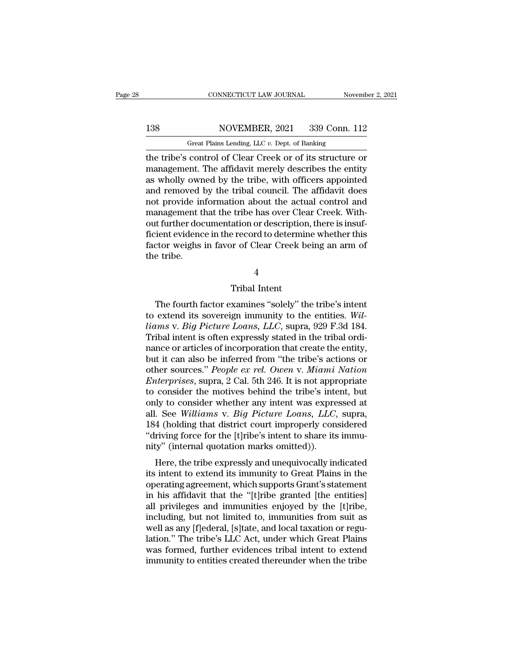# 138 CONNECTICUT LAW JOURNAL November 2, 2021<br>138 NOVEMBER, 2021 339 Conn. 112<br>138 Great Plains Lending, LLC v. Dept. of Banking

CONNECTICUT LAW JOURNAL November 2, 2021<br>138 NOVEMBER, 2021 339 Conn. 112<br>Great Plains Lending, LLC *v.* Dept. of Banking<br>the tribe's control of Clear Creek or of its structure or CONNECTICUT LAW JOURNAL November 2, 2021<br>
138 NOVEMBER, 2021 339 Conn. 112<br>
Great Plains Lending, LLC v. Dept. of Banking<br>
the tribe's control of Clear Creek or of its structure or<br>
management. The affidavit merely describ MOVEMBER, 2021 339 Conn. 112<br>
Great Plains Lending, LLC v. Dept. of Banking<br>
the tribe's control of Clear Creek or of its structure or<br>
management. The affidavit merely describes the entity<br>
as wholly owned by the tribe, w 138 NOVEMBER, 2021 339 Conn. 112<br>
Great Plains Lending, LLC  $v$ . Dept. of Banking<br>
the tribe's control of Clear Creek or of its structure or<br>
management. The affidavit merely describes the entity<br>
as wholly owned by the t 138 NOVEMBER, 2021 339 Conn. 112<br>
Great Plains Lending, LLC  $v$ . Dept. of Banking<br>
the tribe's control of Clear Creek or of its structure or<br>
management. The affidavit merely describes the entity<br>
as wholly owned by the t Great Plains Lending, LLC v. Dept. of Banking<br>the tribe's control of Clear Creek or of its structure or<br>management. The affidavit merely describes the entity<br>as wholly owned by the tribe, with officers appointed<br>and remove Great Plans Lending, LLC  $v$ . Dept. of Banking<br>the tribe's control of Clear Creek or of its structure or<br>management. The affidavit merely describes the entity<br>as wholly owned by the tribe, with officers appointed<br>and remo the tribe's control of Clear Creek or of its structure or<br>management. The affidavit merely describes the entity<br>as wholly owned by the tribe, with officers appointed<br>and removed by the tribal council. The affidavit does<br>no management. The affidavit merely describes the entity<br>as wholly owned by the tribe, with officers appointed<br>and removed by the tribal council. The affidavit does<br>not provide information about the actual control and<br>managem as wholly owned by the tribe, with officers appointed<br>and removed by the tribal council. The affidavit does<br>not provide information about the actual control and<br>management that the tribe has over Clear Creek. With-<br>out fur and removed |<br>not provide in<br>management t<br>out further doc<br>ficient evidenc<br>factor weighs<br>the tribe. ation or description<br>
The record to determing<br>
Tribal Intent<br>
Tribal Intent<br>
Xamines "solely" th The fourth factor of Clear Creek being an arm of<br>tribe.<br>The fourth factor examines "solely" the tribe's intent<br>extend its sovereign immunity to the entities. Wil-<br> $W^{12}$ 

4

the tribe.<br>
Tribal Intent<br>
The fourth factor examines "solely" the tribe's intent<br>
to extend its sovereign immunity to the entities. *Wil-<br>
liams v. Big Picture Loans, LLC,* supra, 929 F.3d 184.<br>
Tribal intent is often exp *liams* v. *Big Picture Loans, LLC*, supra, 929 F.3d 184.<br>Tribal intent is sovereign immunity to the entities. *Williams* v. *Big Picture Loans, LLC*, supra, 929 F.3d 184.<br>Tribal intent is often expressly stated in the tri Tribal Intent<br>Tribal Intent<br>The fourth factor examines "solely" the tribe's intent<br>to extend its sovereign immunity to the entities. Wil-<br>liams v. Big Picture Loans, LLC, supra, 929 F.3d 184.<br>Tribal intent is often express Tribal Intent<br>The fourth factor examines "solely" the tribe's intent<br>to extend its sovereign immunity to the entities. Wil-<br>liams v. Big Picture Loans, LLC, supra, 929 F.3d 184.<br>Tribal intent is often expressly stated in t The fourth factor examines "solely" the tribe's intent<br>to extend its sovereign immunity to the entities. Wil-<br>liams v. Big Picture Loans, LLC, supra, 929 F.3d 184.<br>Tribal intent is often expressly stated in the tribal ord The fourth factor examines "solely" the tribe's intent<br>to extend its sovereign immunity to the entities. *Wil-<br>liams v. Big Picture Loans, LLC*, supra, 929 F.3d 184.<br>Tribal intent is often expressly stated in the tribal or to extend its sovereign immunity to the entities. *Will-*<br>*Liams v. Big Picture Loans, LLC,* supra, 929 F.3d 184.<br>Tribal intent is often expressly stated in the tribal ordinance or articles of incorporation that create the liams v. *Big Picture Loans*, *LLC*, supra, 929 F.3d 184.<br>Tribal intent is often expressly stated in the tribal ordinance or articles of incorporation that create the entity,<br>but it can also be inferred from "the tribe's Tribal intent is often expressly stated in the tribal ordinance or articles of incorporation that create the entity, but it can also be inferred from "the tribe's actions or other sources." *People ex rel. Owen v. Miami Na* nance or articles of incorporation that create the entity,<br>but it can also be inferred from "the tribe's actions or<br>other sources." *People ex rel. Owen v. Miami Nation*<br>*Enterprises*, supra, 2 Cal. 5th 246. It is not appr but it can also be inferred from "the tribe's actions or<br>other sources." *People ex rel. Owen v. Miami Nation*<br>*Enterprises*, supra, 2 Cal. 5th 246. It is not appropriate<br>to consider the motives behind the tribe's intent, other sources." *People ex rel. Owen v. Miami Nation*<br> *Enterprises*, supra, 2 Cal. 5th 246. It is not appropriate<br>
to consider the motives behind the tribe's intent, but<br>
only to consider whether any intent was expressed *Enterprises*, supra, 2 Cal. 5th 246. It is not approto consider the motives behind the tribe's inte<br>only to consider whether any intent was expreall. See *Williams v. Big Picture Loans*, *LLC*,<br>184 (holding that district Let the tribe stand the tribe statent, but<br>dy to consider whether any intent was expressed at<br>. See Williams v. Big Picture Loans, LLC, supra,<br>4 (holding that district court improperly considered<br>riving force for the [t]ri only to Consider whether any intent was expressed at<br>all. See *Williams v. Big Picture Loans, LLC*, supra,<br>184 (holding that district court improperly considered<br>"driving force for the [t]ribe's intent to share its immu-<br>n

an. See *Watams V. Big I tetare Loans*, *EEC*, supra,<br>184 (holding that district court improperly considered<br>"driving force for the [t]ribe's intent to share its immu-<br>nity" (internal quotation marks omitted)).<br>Here, the t Fo4 (holding that district court improperty considered<br>
"driving force for the [t]ribe's intent to share its immu-<br>
nity" (internal quotation marks omitted)).<br>
Here, the tribe expressly and unequivocally indicated<br>
its int all privileges and immunities and local travelson and the filter and the operating agreement, which supports Grant's statement<br>in his affidavit that the "[t]ribe granted [the entities]<br>all privileges and immunities enjoyed including, the tribe expressly and unequivocally indicated<br>its intent to extend its immunity to Great Plains in the<br>operating agreement, which supports Grant's statement<br>in his affidavit that the "[t]ribe granted [the enti Here, the tribe expressly and unequivocally indicated<br>its intent to extend its immunity to Great Plains in the<br>operating agreement, which supports Grant's statement<br>in his affidavit that the "[t]ribe granted [the entities] its intent to extend its immunity to Great Plains in the<br>operating agreement, which supports Grant's statement<br>in his affidavit that the "[t]ribe granted [the entities]<br>all privileges and immunities enjoyed by the [t]ribe, operating agreement, which supports Grant's statement<br>in his affidavit that the "[t]ribe granted [the entities]<br>all privileges and immunities enjoyed by the [t]ribe,<br>including, but not limited to, immunities from suit as<br>w in his affidavit that the "[t]ribe granted [the entities]<br>all privileges and immunities enjoyed by the [t]ribe,<br>including, but not limited to, immunities from suit as<br>well as any [f]ederal, [s]tate, and local taxation or r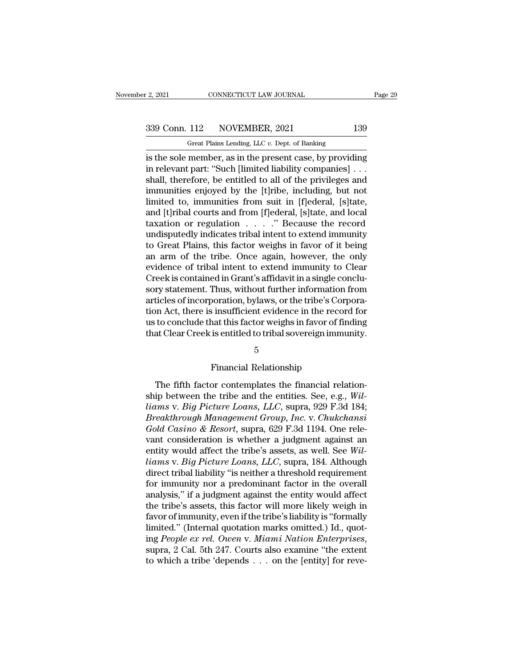# 2, 2021 CONNECTICUT LAW JOURNAL Page 29<br>339 Conn. 112 NOVEMBER, 2021 139<br>Great Plains Lending, LLC v. Dept. of Banking

r 2, 2021 CONNECTICUT LAW JOURNAL<br>
Great Plains Lending, LLC *v.* Dept. of Banking<br>
is the sole member, as in the present case, by providing <sup>2</sup> 2021 CONNECTICUT LAW JOURNAL Page 29<br>
339 Conn. 112 NOVEMBER, 2021 139<br>
<sup>Great Plains Lending, LLC *v*. Dept. of Banking<br>
is the sole member, as in the present case, by providing<br>
in relevant part: "Such [limited liab</sup> 339 Conn. 112 NOVEMBER, 2021 139<br>
Great Plains Lending, LLC  $v$ . Dept. of Banking<br>
is the sole member, as in the present case, by providing<br>
in relevant part: "Such [limited liability companies] . . .<br>
shall, therefore, b 339 Conn. 112 NOVEMBER, 2021 139<br>
Great Plains Lending, LLC  $v$ . Dept. of Banking<br>
is the sole member, as in the present case, by providing<br>
in relevant part: "Such [limited liability companies]...<br>
shall, therefore, be e 339 Conn. 112 NOVEMBER, 2021 139<br>
Great Plains Lending, LLC  $v$ . Dept. of Banking<br>
is the sole member, as in the present case, by providing<br>
in relevant part: "Such [limited liability companies]...<br>
shall, therefore, be e Great Plains Lending, LLC v. Dept. of Banking<br>
is the sole member, as in the present case, by providing<br>
in relevant part: "Such [limited liability companies]...<br>
shall, therefore, be entitled to all of the privileges and<br> Great Plans Lending, LLC v. Dept. of Banking<br>
is the sole member, as in the present case, by providing<br>
in relevant part: "Such [limited liability companies] . . .<br>
shall, therefore, be entitled to all of the privileges a is the sole member, as in the present case, by providing<br>in relevant part: "Such [limited liability companies] . . .<br>shall, therefore, be entitled to all of the privileges and<br>immunities enjoyed by the [t]ribe, including, in relevant part: "Such [limited liability companies] . . .<br>shall, therefore, be entitled to all of the privileges and<br>immunities enjoyed by the [t]ribe, including, but not<br>limited to, immunities from suit in [f]ederal, [s shall, therefore, be entitled to all of the privileges and<br>immunities enjoyed by the [t]ribe, including, but not<br>limited to, immunities from suit in [f]ederal, [s]tate,<br>and [t]ribal courts and from [f]ederal, [s]tate, and immunities enjoyed by the [t]ribe, including, but not<br>limited to, immunities from suit in [f]ederal, [s]tate,<br>and [t]ribal courts and from [f]ederal, [s]tate, and local<br>taxation or regulation . . . . " Because the record<br>u limited to, immunities from suit in [f]ederal, [s]tate,<br>and [t]ribal courts and from [f]ederal, [s]tate, and local<br>taxation or regulation . . . . ." Because the record<br>undisputedly indicates tribal intent to extend immunit and [t]ribal courts and from [f]ederal, [s]tate, and local taxation or regulation  $\ldots$   $\ldots$  " Because the record undisputedly indicates tribal intent to extend immunity to Great Plains, this factor weighs in favor of it taxation or regulation . . . . . " Because the record<br>undisputedly indicates tribal intent to extend immunity<br>to Great Plains, this factor weighs in favor of it being<br>an arm of the tribe. Once again, however, the only<br>evid undisputedly indicates tribal intent to extend immunity<br>to Great Plains, this factor weighs in favor of it being<br>an arm of the tribe. Once again, however, the only<br>evidence of tribal intent to extend immunity to Clear<br>Cree to Great Plains, this factor weighs in favor of it being<br>an arm of the tribe. Once again, however, the only<br>evidence of tribal intent to extend immunity to Clear<br>Creek is contained in Grant's affidavit in a single conclu-<br> an arm of the tribe. Once again, however, the only<br>evidence of tribal intent to extend immunity to Clear<br>Creek is contained in Grant's affidavit in a single conclu-<br>sory statement. Thus, without further information from<br>ar evidence of tribal intent to extend immunity to Clear<br>Creek is contained in Grant's affidavit in a single conclu-<br>sory statement. Thus, without further information from<br>articles of incorporation, bylaws, or the tribe's Cor boration, bylaws, or the tribe's Corp<br>
is insufficient evidence in the recornat this factor weighs in favor of fin<br>
is entitled to tribal sovereign immu<br>
5<br>
Financial Relationship<br>
or contemplates the financial rela

### 5

to conclude that this factor weighs in favor of finding<br>at Clear Creek is entitled to tribal sovereign immunity.<br> $\frac{5}{5}$ <br>Financial Relationship<br>The fifth factor contemplates the financial relation-<br>ip between the tribe that Clear Creek is entitled to tribal sovereign immunity.<br>
5<br>
Financial Relationship<br>
The fifth factor contemplates the financial relationship<br>
between the tribe and the entities. See, e.g., *Williams v. Big Picture Loans Limitation* variables in the contract of the contract of the contract of the financial relationship<br>
The fifth factor contemplates the financial relationship between the tribe and the entities. See, e.g., Will-<br>
Values v. <sup>5</sup><br>
Financial Relationship<br>
The fifth factor contemplates the financial relationship<br>
between the tribe and the entities. See, e.g., *Williams v. Big Picture Loans, LLC*, supra, 929 F.3d 184;<br> *Breakthrough Management Gro* Financial Relationship<br>The fifth factor contemplates the financial relation-<br>ship between the tribe and the entities. See, e.g., *Wil-*<br>liams v. *Big Picture Loans, LLC*, supra, 929 F.3d 184;<br>*Breakthrough Management Group* The fifth factor contemplates the financial relationship<br>ship between the tribe and the entities. See, e.g., Will-<br>liams v. Big Picture Loans, LLC, supra, 929 F.3d 184;<br>Breakthrough Management Group, Inc. v. Chukchansi<br>Go The fifth factor contemplates the financial relationship between the tribe and the entities. See, e.g., *Williams v. Big Picture Loans, LLC*, supra, 929 F.3d 184; *Breakthrough Management Group, Inc. v. Chukchansi Gold C ship between the tribe and the entities. See, e.g., Will-<br><i>liams v. Big Picture Loans, LLC, supra, 929 F.3d 184;*<br>*Breakthrough Management Group, Inc. v. Chukchansi*<br>*Gold Casino & Resort, supra, 629 F.3d 1194. One rele*liams v. Big Picture Loans, LLC, supra, 929 F.3d 184;<br>Breakthrough Management Group, Inc. v. Chukchansi<br>Gold Casino & Resort, supra, 629 F.3d 1194. One rele-<br>vant consideration is whether a judgment against an<br>entity would *Breakthrough Management Group, Inc.* v. *Chukchansi*<br>Gold Casino & Resort, supra, 629 F.3d 1194. One rele-<br>vant consideration is whether a judgment against an<br>entity would affect the tribe's assets, as well. See Wil-<br>liam Gold Casino & Resort, supra, 629 F.3d 1194. One relevant consideration is whether a judgment against an entity would affect the tribe's assets, as well. See Williams v. Big Picture Loans, LLC, supra, 184. Although direct vant consideration is whether a judgment against an<br>entity would affect the tribe's assets, as well. See Wil-<br>liams v. Big Picture Loans, LLC, supra, 184. Although<br>direct tribal liability "is neither a threshold requiremen entity would affect the tribe's assets, as well. See *Williams v. Big Picture Loans, LLC*, supra, 184. Although<br>direct tribal liability "is neither a threshold requirement<br>for immunity nor a predominant factor in the overa *liams v. Big Picture Loans, LLC,* supra, 184. Although direct tribal liability "is neither a threshold requirement for immunity nor a predominant factor in the overall analysis," if a judgment against the entity would af direct tribal liability "is neither a threshold requirement<br>for immunity nor a predominant factor in the overall<br>analysis," if a judgment against the entity would affect<br>the tribe's assets, this factor will more likely wei analysis," if a judgment against the entity would affect<br>the tribe's assets, this factor will more likely weigh in<br>favor of immunity, even if the tribe's liability is "formally<br>limited." (Internal quotation marks omitted.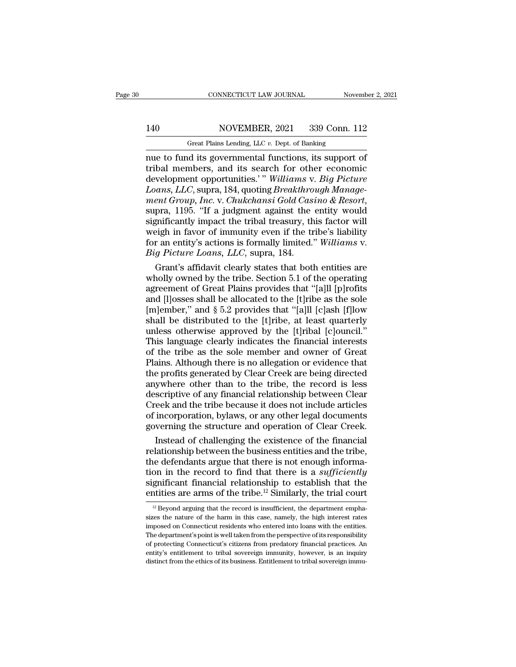# 140 CONNECTICUT LAW JOURNAL November 2, 2021<br>140 NOVEMBER, 2021 339 Conn. 112<br>140 Great Plains Lending, LLC v. Dept. of Banking

CONNECTICUT LAW JOURNAL November 2, 2021<br>140 NOVEMBER, 2021 339 Conn. 112<br>Great Plains Lending, LLC *v.* Dept. of Banking<br>nue to fund its governmental functions, its support of CONNECTICUT LAW JOURNAL November 2, 202<br>
140 NOVEMBER, 2021 339 Conn. 112<br>
Great Plains Lending, LLC v. Dept. of Banking<br>
110 Great Plains Lending, LLC v. Dept. of Banking<br>
112<br>
The functions, its support of tribal members 140 NOVEMBER, 2021 339 Conn. 112<br>
Great Plains Lending, LLC v. Dept. of Banking<br>
The to fund its governmental functions, its support of<br>
tribal members, and its search for other economic<br>
development opportunities.'" Willi 140 NOVEMBER, 2021 339 Conn. 112<br>
Great Plains Lending, LLC v. Dept. of Banking<br>
nue to fund its governmental functions, its support of<br>
tribal members, and its search for other economic<br>
development opportunities.' " *Wil Loans Lending, LLC v. Dept. of Banking*<br> *Creat Plains Lending, LLC v. Dept. of Banking*<br> **Loans, LLC**, supra, and its search for other economic<br> *Doans, LLC*, supra, 184, quoting *Breakthrough Manage-*<br> *Manage-ment Great Plains Lending, LLC v. Dept. of Banking*<br>
nue to fund its governmental functions, its support of<br>
tribal members, and its search for other economic<br>
development opportunities.'" *Williams v. Big Picture<br>
Loans, LLC* nue to fund its governmental functions, its support of<br>tribal members, and its search for other economic<br>development opportunities.'" Williams v. Big Picture<br>Loans, LLC, supra, 184, quoting Breakthrough Manage-<br>ment Group, tribal members, and its search for other economic<br>development opportunities.'" Williams v. Big Picture<br>Loans, LLC, supra, 184, quoting Breakthrough Manage-<br>ment Group, Inc. v. Chukchansi Gold Casino & Resort,<br>supra, 1195. development opportunities.' " Williams v. Big Picture Loans, LLC, supra, 184, quoting Breakthrough Management Group, Inc. v. Chukchansi Gold Casino & Resort, supra, 1195. "If a judgment against the entity would significant *Loans, LLC, supra, 184, quoting Breakthro* ment Group, Inc. v. Chukchansi Gold Cass<br>supra, 1195. "If a judgment against the significantly impact the tribal treasury, the weigh in favor of immunity even if the tr<br>for an en ent Group, Inc. v. Chukchansi Gold Casino & Resort,<br>pra, 1195. "If a judgment against the entity would<br>gnificantly impact the tribal treasury, this factor will<br>eigh in favor of immunity even if the tribe's liability<br>r an e supra, 1195. "If a judgment against the entity would<br>significantly impact the tribal treasury, this factor will<br>weigh in favor of immunity even if the tribe's liability<br>for an entity's actions is formally limited." Willia

significantly impact the tribal treasury, this factor will<br>weigh in favor of immunity even if the tribe's liability<br>for an entity's actions is formally limited." Williams v.<br>Big Picture Loans, LLC, supra, 184.<br>Grant's affi weigh in favor of immunity even if the tribe's liability<br>for an entity's actions is formally limited." Williams v.<br>Big Picture Loans, LLC, supra, 184.<br>Grant's affidavit clearly states that both entities are<br>wholly owned b for an entity's actions is formally limited." Williams v.<br> *Big Picture Loans, LLC,* supra, 184.<br>
Grant's affidavit clearly states that both entities are<br>
wholly owned by the tribe. Section 5.1 of the operating<br>
agreement Big Picture Loans, LLC, supra, 184.<br>
Grant's affidavit clearly states that both entities are<br>
wholly owned by the tribe. Section 5.1 of the operating<br>
agreement of Great Plains provides that "[a]ll [p]rofits<br>
and [l]osses Grant's affidavit clearly states that both entities are<br>wholly owned by the tribe. Section 5.1 of the operating<br>agreement of Great Plains provides that "[a]ll [p]rofits<br>and [l]osses shall be allocated to the [t]ribe as the wholly owned by the tribe. Section 5.1 of the operating<br>agreement of Great Plains provides that "[a]ll [p]rofits<br>and [l]osses shall be allocated to the [t]ribe as the sole<br>[m]ember," and § 5.2 provides that "[a]ll [c]ash [ agreement of Great Plains provides that "[a]ll [p]rofits<br>and [l]osses shall be allocated to the [t]ribe as the sole<br>[m]ember," and § 5.2 provides that "[a]ll [c]ash [f]low<br>shall be distributed to the [t]ribe, at least quar and [I]osses shall be allocated to the [t]ribe as the sole [m]ember," and  $\S$  5.2 provides that "[a]ll [c]ash [f]low shall be distributed to the [t]ribe, at least quarterly unless otherwise approved by the [t]ribal [c]oun [m]ember," and  $\S$  5.2 provides that "[a]ll [c]ash [f]low<br>shall be distributed to the [t]ribe, at least quarterly<br>unless otherwise approved by the [t]ribal [c]ouncil."<br>This language clearly indicates the financial interes shall be distributed to the [t]ribe, at least quarterly unless otherwise approved by the [t]ribal [c]ouncil."<br>This language clearly indicates the financial interests of the tribe as the sole member and owner of Great Plain unless otherwise approved by the [t]ribal [c]ouncil."<br>This language clearly indicates the financial interests<br>of the tribe as the sole member and owner of Great<br>Plains. Although there is no allegation or evidence that<br>the This language clearly indicates the financial interests<br>of the tribe as the sole member and owner of Great<br>Plains. Although there is no allegation or evidence that<br>the profits generated by Clear Creek are being directed<br>an of the tribe as the sole member and owner of Great<br>Plains. Although there is no allegation or evidence that<br>the profits generated by Clear Creek are being directed<br>anywhere other than to the tribe, the record is less<br>descr Plains. Although there is no allegation or evidence that<br>the profits generated by Clear Creek are being directed<br>anywhere other than to the tribe, the record is less<br>descriptive of any financial relationship between Clear<br> e profits generated by Clear Creek are being directed<br>ywhere other than to the tribe, the record is less<br>scriptive of any financial relationship between Clear<br>reek and the tribe because it does not include articles<br>incorpo anywhere other than to the tribe, the record is less<br>descriptive of any financial relationship between Clear<br>Creek and the tribe because it does not include articles<br>of incorporation, bylaws, or any other legal documents<br>g

descriptive of any financial relationship between Clear<br>Creek and the tribe because it does not include articles<br>of incorporation, bylaws, or any other legal documents<br>governing the structure and operation of Clear Creek.<br> Creek and the tribe because it does not include articles<br>of incorporation, bylaws, or any other legal documents<br>governing the structure and operation of Clear Creek.<br>Instead of challenging the existence of the financial<br>re of incorporation, bylaws, or any other legal documents<br>governing the structure and operation of Clear Creek.<br>Instead of challenging the existence of the financial<br>relationship between the business entities and the tribe,<br>t governing the structure and operation of Clear Creek.<br>
Instead of challenging the existence of the financial<br>
relationship between the business entities and the tribe,<br>
the defendants argue that there is not enough inform 12 Beyond arguing that there is not enough information in the record to find that there is a *sufficiently* gnificant financial relationship to establish that the numerities are arms of the tribe.<sup>12</sup> Similarly, the trial tion in the record to find that there is a *sufficiently* significant financial relationship to establish that the entities are arms of the tribe.<sup>12</sup> Similarly, the trial court  $\frac{12 \text{ Beyond arguing}}{12 \text{ Beyond arguing that the record is insufficient, the department emphasize the nature of the harm in this case, namely, the high interest$ 

significant financial relationship to establish that the entities are arms of the tribe.<sup>12</sup> Similarly, the trial court  $\frac{12}{5}$  Beyond arguing that the record is insufficient, the department emphasizes the nature of th Example 12 and the department is are arms of the tribe.<sup>12</sup> Similarly, the trial court<br><sup>12</sup> Beyond arguing that the record is insufficient, the department emphasizes the nature of the harm in this case, namely, the high i  $\frac{1}{12}$  Beyond arguing that the record is insufficient, the department emphasizes the nature of the harm in this case, namely, the high interest rates imposed on Connecticut residents who entered into loans with the en  $^{12}$  Beyond arguing that the record is insufficient, the department emphasizes the nature of the harm in this case, namely, the high interest rates imposed on Connecticut residents who entered into loans with the entiti sizes the nature of the harm in this case, namely, the high interest rates imposed on Connecticut residents who entered into loans with the entities. The department's point is well taken from the perspective of its respons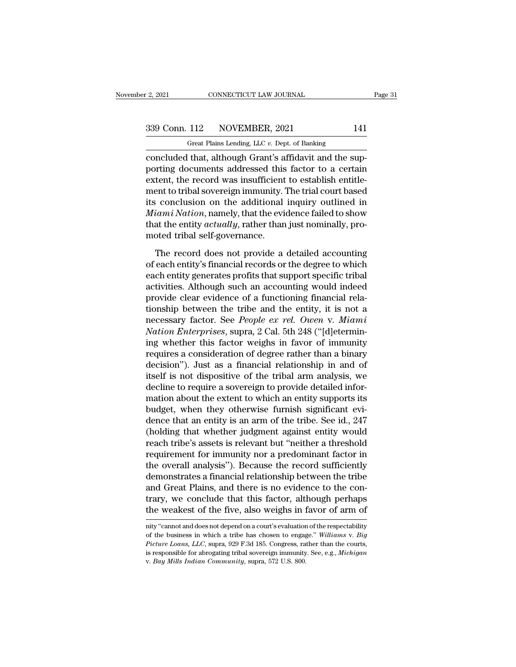F. 2, 2021 CONNECTICUT LAW JOURNAL<br>
Great Plains Lending, LLC *v.* Dept. of Banking<br>
Concluded that, although Grant's affidavit and the supconvecticut LAW JOURNAL<br>
Concluded that, although Grant's affidavit and the sup-<br>
porting documents addressed this factor to a certain<br>
extent the record was insufficient to otteblish entitle 339 Conn. 112 NOVEMBER, 2021 141<br>
Great Plains Lending, LLC v. Dept. of Banking<br>
concluded that, although Grant's affidavit and the sup-<br>
porting documents addressed this factor to a certain<br>
extent, the record was insuffi 339 Conn. 112 NOVEMBER, 2021 141<br>
Great Plains Lending, LLC  $v$ . Dept. of Banking<br>
concluded that, although Grant's affidavit and the sup-<br>
porting documents addressed this factor to a certain<br>
extent, the record was insu 339 Conn. 112 NOVEMBER, 2021 141<br>
Great Plains Lending, LLC  $v$ . Dept. of Banking<br>
concluded that, although Grant's affidavit and the sup-<br>
porting documents addressed this factor to a certain<br>
extent, the record was insu Great Plains Lending, LLC  $v$ . Dept. of Banking<br>
concluded that, although Grant's affidavit and the sup-<br>
porting documents addressed this factor to a certain<br>
extent, the record was insufficient to establish entitle-<br>
me *Great Plains Lending, LLC v. Dept. of Banking*<br>
concluded that, although Grant's affidavit and the sup-<br>
porting documents addressed this factor to a certain<br>
extent, the record was insufficient to establish entitle-<br>
men concluded that, although Grant's affidavit and the supporting documents addressed this factor to a certain extent, the record was insufficient to establish entitlement to tribal sovereign immunity. The trial court based it porting documents addressed this<br>extent, the record was insufficient<br>ment to tribal sovereign immunity.'<br>its conclusion on the additional<br>*Miami Nation*, namely, that the evi<br>that the entity *actually*, rather than<br>moted t First, o tribal sovereign immunity. The trial court based<br>  $\mu$  conclusion on the additional inquiry outlined in<br>  $\lim_{\text{in}} N \text{ation}$ , namely, that the evidence failed to show<br>
at the entity  $\text{actual} \text{y}$ , rather than just no its conclusion on the additional inquiry outlined in<br> *Miami Nation*, namely, that the evidence failed to show<br>
that the entity *actually*, rather than just nominally, pro-<br>
moted tribal self-governance.<br>
The record does n

 $Miami Nation$ , namely, that the evidence failed to show<br>that the entity  $actually$ , rather than just nominally, pro-<br>moted tribal self-governance.<br>The record does not provide a detailed accounting<br>of each entity's financial records or that the entity *actually*, rather than just nominally, promoted tribal self-governance.<br>The record does not provide a detailed accounting of each entity's financial records or the degree to which each entity generates pro moted tribal self-governance.<br>
The record does not provide a detailed accounting<br>
of each entity's financial records or the degree to which<br>
each entity generates profits that support specific tribal<br>
activities. Although The record does not provide a detailed accounting<br>of each entity's financial records or the degree to which<br>each entity generates profits that support specific tribal<br>activities. Although such an accounting would indeed<br>p The record does not provide a detailed accounting<br>of each entity's financial records or the degree to which<br>each entity generates profits that support specific tribal<br>activities. Although such an accounting would indeed<br>pr of each entity's financial records or the degree to which<br>each entity generates profits that support specific tribal<br>activities. Although such an accounting would indeed<br>provide clear evidence of a functioning financial re each entity generates profits that support specific tribal<br>activities. Although such an accounting would indeed<br>provide clear evidence of a functioning financial rela-<br>tionship between the tribe and the entity, it is not a activities. Although such an accounting would indeed<br>provide clear evidence of a functioning financial rela-<br>tionship between the tribe and the entity, it is not a<br>necessary factor. See *People ex rel. Owen* v. *Miami*<br>*Na* provide clear evidence of a functioning financial relationship between the tribe and the entity, it is not a necessary factor. See *People ex rel. Owen* v. *Miami* Nation Enterprises, supra, 2 Cal. 5th 248 ("[d]etermining tionship between the tribe and the entity, it is not a<br>necessary factor. See *People ex rel. Owen* v. *Miami*<br>*Nation Enterprises*, supra, 2 Cal. 5th 248 ("[d]etermin-<br>ing whether this factor weighs in favor of immunity<br>re necessary factor. See *People ex rel. Owen v. Miami*<br>Nation Enterprises, supra, 2 Cal. 5th 248 ("[d]etermin-<br>ing whether this factor weighs in favor of immunity<br>requires a consideration of degree rather than a binary<br>decis Nation Enterprises, supra, 2 Cal. 5th 248 ("[d]etermin-<br>ing whether this factor weighs in favor of immunity<br>requires a consideration of degree rather than a binary<br>decision"). Just as a financial relationship in and of<br>its ing whether this factor weighs in favor of immunity<br>requires a consideration of degree rather than a binary<br>decision"). Just as a financial relationship in and of<br>itself is not dispositive of the tribal arm analysis, we<br>de requires a consideration of degree rather than a binary<br>decision"). Just as a financial relationship in and of<br>itself is not dispositive of the tribal arm analysis, we<br>decline to require a sovereign to provide detailed inf decision"). Just as a financial relationship in and of<br>itself is not dispositive of the tribal arm analysis, we<br>decline to require a sovereign to provide detailed infor-<br>mation about the extent to which an entity supports itself is not dispositive of the tribal arm analysis, we<br>decline to require a sovereign to provide detailed infor-<br>mation about the extent to which an entity supports its<br>budget, when they otherwise furnish significant evi decline to require a sovereign to provide detailed information about the extent to which an entity supports its<br>budget, when they otherwise furnish significant evi-<br>dence that an entity is an arm of the tribe. See id., 247 mation about the extent to which an entity supports its<br>budget, when they otherwise furnish significant evi-<br>dence that an entity is an arm of the tribe. See id., 247<br>(holding that whether judgment against entity would<br>rea budget, when they otherwise furnish significant evidence that an entity is an arm of the tribe. See id., 247 (holding that whether judgment against entity would reach tribe's assets is relevant but "neither a threshold req dence that an entity is an arm of the tribe. See id., 247 (holding that whether judgment against entity would reach tribe's assets is relevant but "neither a threshold requirement for immunity nor a predominant factor in t (holding that whether judgment against entity would<br>reach tribe's assets is relevant but "neither a threshold<br>requirement for immunity nor a predominant factor in<br>the overall analysis"). Because the record sufficiently<br>dem reach tribe's assets is relevant but "neither a threshold<br>requirement for immunity nor a predominant factor in<br>the overall analysis"). Because the record sufficiently<br>demonstrates a financial relationship between the tribe demonstrates a mancial relationship between the tribe<br>and Great Plains, and there is no evidence to the con-<br>trary, we conclude that this factor, although perhaps<br>the weakest of the five, also weighs in favor of arm of<br>nit and Great Plains, and there is no evidence to the contrary, we conclude that this factor, although perhaps the weakest of the five, also weighs in favor of arm of mity "cannot and does not depend on a court's evaluation of

*Picture Coans, We* conclude that this factor, although perhaps the weakest of the five, also weighs in favor of arm of  $\overline{m}$  in the version of the constrained and does not depend on a court's evaluation of the respecta is responsible for abrogating tribal sovereign in favor of arm of<br>inity "cannot and does not depend on a court's evaluation of the respectability<br>of the business in which a tribe has chosen to engage." *Williams v. Big*<br>*P* nity "cannot and does not depend on a court's evaluation of the respectability of the business in which a tribe has chosen to engage." Williams v. Big Picture Loans, LLC, supra, 929 F.3d 185. Congress, rather than the cour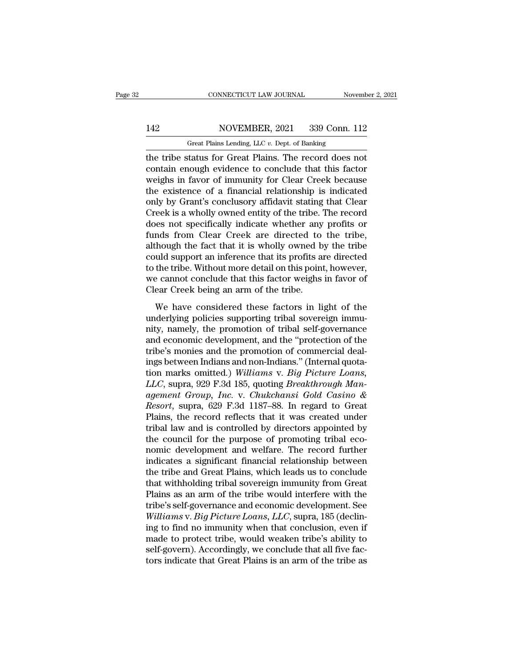### 142 CONNECTICUT LAW JOURNAL November 2, 2021<br>142 NOVEMBER, 2021 339 Conn. 112<br>142 Great Plains Lending, LLC v. Dept. of Banking CONNECTICUT LAW JOURNAL November 2, 2021<br>142 NOVEMBER, 2021 339 Conn. 112<br>Great Plains Lending, LLC *v*. Dept. of Banking<br>the tribe status for Great Plains. The record does not

CONNECTICUT LAW JOURNAL November 2, 202<br>
142 NOVEMBER, 2021 339 Conn. 112<br>
6 Great Plains Lending, LLC v. Dept. of Banking<br>
112 Great Plains Lending, LLC v. Dept. of Banking<br>
112 Great Plains Lending, LLC v. Dept. of Banki NOVEMBER, 2021 339 Conn. 112<br>
Great Plains Lending, LLC v. Dept. of Banking<br>
the tribe status for Great Plains. The record does not<br>
contain enough evidence to conclude that this factor<br>
weighs in favor of immunity for Cle 142 NOVEMBER, 2021 339 Conn. 112<br>
Great Plains Lending, LLC v. Dept. of Banking<br>
the tribe status for Great Plains. The record does not<br>
contain enough evidence to conclude that this factor<br>
weighs in favor of immunity fo 142 NOVEMBER, 2021 339 Conn. 112<br>
Great Plains Lending, LLC  $v$ . Dept. of Banking<br>
the tribe status for Great Plains. The record does not<br>
contain enough evidence to conclude that this factor<br>
weighs in favor of immunity Great Plains Lending, LLC v. Dept. of Banking<br>the tribe status for Great Plains. The record does not<br>contain enough evidence to conclude that this factor<br>weighs in favor of immunity for Clear Creek because<br>the existence of Great Plains Lending, LLC v. Dept. of Banking<br>the tribe status for Great Plains. The record does not<br>contain enough evidence to conclude that this factor<br>weighs in favor of immunity for Clear Creek because<br>the existence of the tribe status for Great Plains. The record does not contain enough evidence to conclude that this factor weighs in favor of immunity for Clear Creek because the existence of a financial relationship is indicated only by contain enough evidence to conclude that this factor<br>weighs in favor of immunity for Clear Creek because<br>the existence of a financial relationship is indicated<br>only by Grant's conclusory affidavit stating that Clear<br>Creek weighs in favor of immunity for Clear Creek because<br>the existence of a financial relationship is indicated<br>only by Grant's conclusory affidavit stating that Clear<br>Creek is a wholly owned entity of the tribe. The record<br>doe the existence of a financial relationship is indicated<br>only by Grant's conclusory affidavit stating that Clear<br>Creek is a wholly owned entity of the tribe. The record<br>does not specifically indicate whether any profits or<br>f only by Grant's conclusory affidavit stating that Clear<br>Creek is a wholly owned entity of the tribe. The record<br>does not specifically indicate whether any profits or<br>funds from Clear Creek are directed to the tribe,<br>althou Creek is a wholly owned entity of the tribe. The record<br>does not specifically indicate whether any profits or<br>funds from Clear Creek are directed to the tribe,<br>although the fact that it is wholly owned by the tribe<br>could s does not specifically indicate whether any<br>funds from Clear Creek are directed to<br>although the fact that it is wholly owned b<br>could support an inference that its profits a<br>to the tribe. Without more detail on this point<br>we Mas from Great Greek are affected to the tribe,<br>hough the fact that it is wholly owned by the tribe<br>uld support an inference that its profits are directed<br>the tribe. Without more detail on this point, however,<br>e cannot con Example 23 and support an inference that its profits are directed<br>to the tribe. Without more detail on this point, however,<br>we cannot conclude that this factor weighs in favor of<br>Clear Creek being an arm of the tribe.<br>We h

to the tribe. Without more detail on this point, however,<br>we cannot conclude that this factor weighs in favor of<br>Clear Creek being an arm of the tribe.<br>We have considered these factors in light of the<br>underlying policies s and conclude that this factor weighs in favor of<br>Clear Creek being an arm of the tribe.<br>We have considered these factors in light of the<br>underlying policies supporting tribal sovereign immu-<br>nity, namely, the promotion of The cannot conclude that this factor weight in favor of<br>Clear Creek being an arm of the tribe.<br>We have considered these factors in light of the<br>underlying policies supporting tribal sovereign immu-<br>nity, namely, the promo We have considered these factors in light of the<br>underlying policies supporting tribal sovereign immu-<br>nity, namely, the promotion of tribal self-governance<br>and economic development, and the "protection of the<br>tribe's mon We have considered these factors in light of the<br>underlying policies supporting tribal sovereign immu-<br>nity, namely, the promotion of tribal self-governance<br>and economic development, and the "protection of the<br>tribe's moni underlying policies supporting tribal sovereign immunity, namely, the promotion of tribal self-governance<br>and economic development, and the "protection of the<br>tribe's monies and the promotion of commercial deal-<br>ings betwe mity, namely, the promotion of tribal self-governance<br>and economic development, and the "protection of the<br>tribe's monies and the promotion of commercial deal-<br>ings between Indians and non-Indians." (Internal quota-<br>tion m and economic development, and the "protection of the<br>tribe's monies and the promotion of commercial deal-<br>ings between Indians and non-Indians." (Internal quota-<br>tion marks omitted.) *Williams v. Big Picture Loans,<br>LLC*, s tribe's monies and the promotion of commercial deal-<br>ings between Indians and non-Indians." (Internal quota-<br>tion marks omitted.) Williams v. Big Picture Loans,<br>LLC, supra, 929 F.3d 185, quoting Breakthrough Man-<br>agement G ings between Indians and non-Indians." (Internal quotation marks omitted.) Williams v. Big Picture Loans, <br>LLC, supra, 929 F.3d 185, quoting Breakthrough Man-<br>agement Group, Inc. v. Chukchansi Gold Casino &<br>Resort, supra, tion marks omitted.) Williams v. Big Picture Loans,<br>LLC, supra, 929 F.3d 185, quoting Breakthrough Man-<br>agement Group, Inc. v. Chukchansi Gold Casino &<br>Resort, supra, 629 F.3d 1187–88. In regard to Great<br>Plains, the record LLC, supra, 929 F.3d 185, quoting *Breakthrough Man-*<br>agement Group, Inc. v. Chukchansi Gold Casino &<br>Resort, supra, 629 F.3d 1187–88. In regard to Great<br>Plains, the record reflects that it was created under<br>tribal law and agement Group, Inc. v. Chukchansi Gold Casino &<br>Resort, supra, 629 F.3d 1187–88. In regard to Great<br>Plains, the record reflects that it was created under<br>tribal law and is controlled by directors appointed by<br>the council f Resort, supra, 629 F.3d 1187–88. In regard to Great<br>Plains, the record reflects that it was created under<br>tribal law and is controlled by directors appointed by<br>the council for the purpose of promoting tribal eco-<br>nomic de Plains, the record reflects that it was created under<br>tribal law and is controlled by directors appointed by<br>the council for the purpose of promoting tribal eco-<br>nomic development and welfare. The record further<br>indicates tribal law and is controlled by directors appointed by<br>the council for the purpose of promoting tribal eco-<br>nomic development and welfare. The record further<br>indicates a significant financial relationship between<br>the tribe the council for the purpose of promoting tribal eco-<br>nomic development and welfare. The record further<br>indicates a significant financial relationship between<br>the tribe and Great Plains, which leads us to conclude<br>that with nomic development and welfare. The record further indicates a significant financial relationship between the tribe and Great Plains, which leads us to conclude that withholding tribal sovereign immunity from Great Plains a indicates a significant financial relationship between<br>the tribe and Great Plains, which leads us to conclude<br>that withholding tribal sovereign immunity from Great<br>Plains as an arm of the tribe would interfere with the<br>tri the tribe and Great Plains, which leads us to conclude<br>that withholding tribal sovereign immunity from Great<br>Plains as an arm of the tribe would interfere with the<br>tribe's self-governance and economic development. See<br>Will that withholding tribal sovereign immunity from Great<br>Plains as an arm of the tribe would interfere with the<br>tribe's self-governance and economic development. See<br>Williams v. Big Picture Loans, LLC, supra, 185 (declin-<br>ing Plains as an arm of the tribe would interfere with the tribe's self-governance and economic development. See Williams v. Big Picture Loans, LLC, supra, 185 (declining to find no immunity when that conclusion, even if made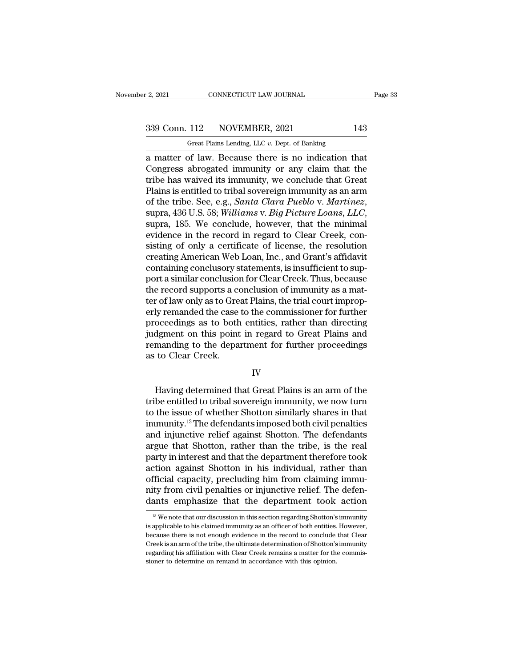2, 2021 CONNECTICUT LAW JOURNAL Page 33<br>339 Conn. 112 NOVEMBER, 2021 143<br>Great Plains Lending, LLC v. Dept. of Banking

F. 2, 2021 CONNECTICUT LAW JOURNAL<br>
Great Plains Lending, LLC *v.* Dept. of Banking<br>
a matter of law. Because there is no indication that 2, 2021 CONNECTICUT LAW JOURNAL Page 3:<br>
339 Conn. 112 NOVEMBER, 2021 143<br>
Great Plains Lending, LLC v. Dept. of Banking<br>
a matter of law. Because there is no indication that<br>
Congress abrogated immunity or any claim that 339 Conn. 112 NOVEMBER, 2021 143<br>
Great Plains Lending, LLC v. Dept. of Banking<br>
a matter of law. Because there is no indication that<br>
Congress abrogated immunity or any claim that the<br>
tribe has waived its immunity, we co 339 Conn. 112 NOVEMBER, 2021 143<br>
Great Plains Lending, LLC v. Dept. of Banking<br>
a matter of law. Because there is no indication that<br>
Congress abrogated immunity or any claim that the<br>
tribe has waived its immunity, we c 339 Conn. 112 NOVEMBER, 2021 143<br>
Great Plains Lending, LLC v. Dept. of Banking<br>
a matter of law. Because there is no indication that<br>
Congress abrogated immunity or any claim that the<br>
tribe has waived its immunity, we c **SEE TRIBE. SEE, E.G.,** *See, o. Dept. of Banking***<br>
a matter of law. Because there is no indication that<br>
Congress abrogated immunity or any claim that the<br>
tribe has waived its immunity, we conclude that Great<br>
Plains is e** Congress abrogated immunity or any claim that the<br>tribe has waived its immunity, we conclude that Great<br>Plains is entitled to tribal sovereign immunity as an arm<br>of the tribe. See, e.g., *Santa Clara Pueblo v. Martinez*,<br>s tribe has waived its immunity, we conclude that Great<br>Plains is entitled to tribal sovereign immunity as an arm<br>of the tribe. See, e.g., *Santa Clara Pueblo v. Martinez*,<br>supra, 436 U.S. 58; *Williams v. Big Picture Loans,* Plains is entitled to tribal sovereign immunity as an arm<br>of the tribe. See, e.g., *Santa Clara Pueblo v. Martinez*,<br>supra, 436 U.S. 58; *Williams v. Big Picture Loans, LLC*,<br>supra, 185. We conclude, however, that the mini of the tribe. See, e.g., *Santa Clara Pueblo v. Martinez*, supra, 436 U.S. 58; *Williams v. Big Picture Loans, LLC*, supra, 185. We conclude, however, that the minimal evidence in the record in regard to Clear Creek, consi supra, 436 U.S. 58; *Williams v. Big Picture Loans, LLC*,<br>supra, 185. We conclude, however, that the minimal<br>evidence in the record in regard to Clear Creek, con-<br>sisting of only a certificate of license, the resolution<br>cr supra, 185. We conclude, however, that the minimal<br>evidence in the record in regard to Clear Creek, con-<br>sisting of only a certificate of license, the resolution<br>creating American Web Loan, Inc., and Grant's affidavit<br>cont evidence in the record in regard to Clear Creek, consisting of only a certificate of license, the resolution<br>creating American Web Loan, Inc., and Grant's affidavit<br>containing conclusory statements, is insufficient to supsisting of only a certificate of license, the resolution<br>creating American Web Loan, Inc., and Grant's affidavit<br>containing conclusory statements, is insufficient to sup-<br>port a similar conclusion for Clear Creek. Thus, be creating American Web Loan, Inc., and Grant's affidavit<br>containing conclusory statements, is insufficient to sup-<br>port a similar conclusion for Clear Creek. Thus, because<br>the record supports a conclusion of immunity as a m containing conclusory statements, is insufficient to support a similar conclusion for Clear Creek. Thus, because<br>the record supports a conclusion of immunity as a mat-<br>ter of law only as to Great Plains, the trial court im port a similar conclusion for Clear Creek. Thus, because<br>the record supports a conclusion of immunity as a mat-<br>ter of law only as to Great Plains, the trial court improp-<br>erly remanded the case to the commissioner for fur the record supports a conduction the record supports a conduction of the case proceedings as to both judgment on this point remanding to the deparation of Clear Creek. oceedings as to both entities, rather than directing<br>dgment on this point in regard to Great Plains and<br>manding to the department for further proceedings<br>to Clear Creek.<br>IV<br>Having determined that Great Plains is an arm of

### IV

fully judgment on this point in regard to Great Plains and<br>remanding to the department for further proceedings<br>as to Clear Creek.<br>IV<br>Having determined that Great Plains is an arm of the<br>tribe entitled to tribal sovereign remanding to the department for further proceedings<br>as to Clear Creek.<br>IV<br>Having determined that Great Plains is an arm of the<br>tribe entitled to tribal sovereign immunity, we now turn<br>to the issue of whether Shotton simila IV<br>IV<br>Having determined that Great Plains is an arm of the<br>tribe entitled to tribal sovereign immunity, we now turn<br>to the issue of whether Shotton similarly shares in that<br>immunity.<sup>13</sup> The defendants imposed both civil p IV<br>Itaving determined that Great Plains is an arm of the<br>tribe entitled to tribal sovereign immunity, we now turn<br>to the issue of whether Shotton similarly shares in that<br>immunity.<sup>13</sup> The defendants imposed both civil pen Having determined that Great Plains is an arm of the<br>tribe entitled to tribal sovereign immunity, we now turn<br>to the issue of whether Shotton similarly shares in that<br>immunity.<sup>13</sup> The defendants imposed both civil penalti Having determined that Great Plains is an arm of the<br>tribe entitled to tribal sovereign immunity, we now turn<br>to the issue of whether Shotton similarly shares in that<br>immunity.<sup>13</sup> The defendants imposed both civil penalti tribe entitled to tribal sovereign immunity, we now turn<br>to the issue of whether Shotton similarly shares in that<br>immunity.<sup>13</sup> The defendants imposed both civil penalties<br>and injunctive relief against Shotton. The defenda to the issue of whether Shotton similarly shares in that<br>immunity.<sup>13</sup> The defendants imposed both civil penalties<br>and injunctive relief against Shotton. The defendants<br>argue that Shotton, rather than the tribe, is the rea immunity.<sup>13</sup> The defendants imposed both civil penalties<br>and injunctive relief against Shotton. The defendants<br>argue that Shotton, rather than the tribe, is the real<br>party in interest and that the department therefore too and injunctive relief against Shotton. The defendants<br>argue that Shotton, rather than the tribe, is the real<br>party in interest and that the department therefore took<br>action against Shotton in his individual, rather than<br>o The magnity, precluding him from claiming immulty from civil penalties or injunctive relief. The defen-<br>ity from civil penalties or injunctive relief. The defen-<br>ants emphasize that the department took action<br><sup>13</sup> We note official capacity, precluding him from claiming immu-<br>nity from civil penalties or injunctive relief. The defen-<br>dants emphasize that the department took action<br> $\frac{1}{12}$  We note that our discussion in this section regar

nity from civil penalties or injunctive relief. The defendants emphasize that the department took action<br>as we note that our discussion in this section regarding Shotton's immunity<br>is applicable to his claimed immunity as CREE IS A are that the department took action<br>
<sup>13</sup> We note that our discussion in this section regarding Shotton's immunity<br>
is applicable to his claimed immunity as an officer of both entities. However,<br>
because there is <sup>13</sup> We note that our discussion in this section regarding Shotton's immunity is applicable to his claimed immunity as an officer of both entities. However, because there is not enough evidence in the record to conclude t  $^{13}$  We note that our discussion in this section regarding Shotton's<br>is applicable to his claimed immunity as an officer of both entities.<br>because there is not enough evidence in the record to conclude<br>Creek is an arm o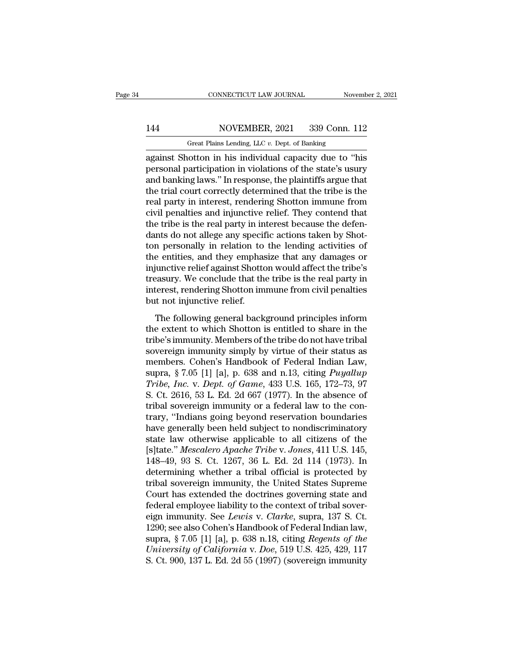# 144 CONNECTICUT LAW JOURNAL November 2, 2021<br>144 NOVEMBER, 2021 339 Conn. 112<br>144 Great Plains Lending, LLC v. Dept. of Banking

CONNECTICUT LAW JOURNAL November 2, 2021<br>144 NOVEMBER, 2021 339 Conn. 112<br>Great Plains Lending, LLC *v*. Dept. of Banking<br>against Shotton in his individual capacity due to "his CONNECTICUT LAW JOURNAL November 2, 2021<br>
144 NOVEMBER, 2021 339 Conn. 112<br>
6 Great Plains Lending, LLC v. Dept. of Banking<br>
16 Great Plains Lending, LLC v. Dept. of Banking<br>
16 Great Shotton in his individual capacity due 144 NOVEMBER, 2021 339 Conn. 112<br>
Great Plains Lending, LLC v. Dept. of Banking<br>
against Shotton in his individual capacity due to "his<br>
personal participation in violations of the state's usury<br>
and banking laws." In resp 144 NOVEMBER, 2021 339 Conn. 112<br>
Great Plains Lending, LLC  $v$ . Dept. of Banking<br>
against Shotton in his individual capacity due to "his<br>
personal participation in violations of the state's usury<br>
and banking laws." In r 144 NOVEMBER, 2021 339 Conn. 112<br>
Great Plains Lending, LLC  $v$ . Dept. of Banking<br>
against Shotton in his individual capacity due to "his<br>
personal participation in violations of the state's usury<br>
and banking laws." In r Great Plains Lending, LLC v. Dept. of Banking<br>against Shotton in his individual capacity due to "his<br>personal participation in violations of the state's usury<br>and banking laws." In response, the plaintiffs argue that<br>the t Great Plans Lending, LLC  $v$ . Dept. of Banking<br>against Shotton in his individual capacity due to "his<br>personal participation in violations of the state's usury<br>and banking laws." In response, the plaintiffs argue that<br>the against Shotton in his individual capacity due to "his<br>personal participation in violations of the state's usury<br>and banking laws." In response, the plaintiffs argue that<br>the trial court correctly determined that the tribe personal participation in violations of the state's usury<br>and banking laws." In response, the plaintiffs argue that<br>the trial court correctly determined that the tribe is the<br>real party in interest, rendering Shotton immun and banking laws." In response, the plaintiffs argue that<br>the trial court correctly determined that the tribe is the<br>real party in interest, rendering Shotton immune from<br>civil penalties and injunctive relief. They contend the trial court correctly determined that the tribe is the<br>real party in interest, rendering Shotton immune from<br>civil penalties and injunctive relief. They contend that<br>the tribe is the real party in interest because the real party in interest, rendering Shotton immune from<br>civil penalties and injunctive relief. They contend that<br>the tribe is the real party in interest because the defen-<br>dants do not allege any specific actions taken by Sh civil penalties and injunctive relief. They contend that<br>the tribe is the real party in interest because the defen-<br>dants do not allege any specific actions taken by Shot-<br>ton personally in relation to the lending activiti the tribe is the real party in interest because the defendants do not allege any specific actions taken by Shotton personally in relation to the lending activities of the entities, and they emphasize that any damages or in dants do not allege any specif<br>ton personally in relation to<br>the entities, and they emphas<br>injunctive relief against Shottc<br>treasury. We conclude that th<br>interest, rendering Shotton im<br>but not injunctive relief.<br>The follow references of<br>the entities, and they emphasize that any damages or<br>iunctive relief against Shotton would affect the tribe's<br>easury. We conclude that the tribe is the real party in<br>terest, rendering Shotton immune from civi the entates, and they emphasize that any damages of<br>injunctive relief against Shotton would affect the tribe's<br>treasury. We conclude that the tribe is the real party in<br>interest, rendering Shotton immune from civil penalti

In the same of the tribe is the real party in the tribes.<br>The treasury. We conclude that the tribe is the real party in interest, rendering Shotton immune from civil penalties<br>but not injunctive relief.<br>The following gener interest, rendering Shotton immune from civil penalties<br>but not injunctive relief.<br>The following general background principles inform<br>the extent to which Shotton is entitled to share in the<br>tribe's immunity. Members of the merese, renaering shoctor minimic from ervir penalities<br>but not injunctive relief.<br>The following general background principles inform<br>the extent to which Shotton is entitled to share in the<br>tribe's immunity. Members of th supra, The following general background principles inform<br>the extent to which Shotton is entitled to share in the<br>tribe's immunity. Members of the tribe do not have tribal<br>sovereign immunity simply by virtue of their statu The following general background principles inform<br>the extent to which Shotton is entitled to share in the<br>tribe's immunity. Members of the tribe do not have tribal<br>sovereign immunity simply by virtue of their status as<br>me the extent to which Shotton is entitled to share in the<br>tribe's immunity. Members of the tribe do not have tribal<br>sovereign immunity simply by virtue of their status as<br>members. Cohen's Handbook of Federal Indian Law,<br>supr tribe's immunity. Members of the tribe do not have tribal<br>sovereign immunity simply by virtue of their status as<br>members. Cohen's Handbook of Federal Indian Law,<br>supra, § 7.05 [1] [a], p. 638 and n.13, citing *Puyallup*<br>Tr sovereign immunity simply by virtue of their status as<br>members. Cohen's Handbook of Federal Indian Law,<br>supra, § 7.05 [1] [a], p. 638 and n.13, citing *Puyallup*<br>Tribe, Inc. v. Dept. of Game, 433 U.S. 165, 172–73, 97<br>S. C members. Cohen's Handbook of Federal Indian Law,<br>supra, § 7.05 [1] [a], p. 638 and n.13, citing *Puyallup*<br>*Tribe, Inc. v. Dept. of Game*, 433 U.S. 165, 172–73, 97<br>S. Ct. 2616, 53 L. Ed. 2d 667 (1977). In the absence of<br>tr supra, § 7.05 [1] [a], p. 638 and n.13, citing *Puyallup*<br>Tribe, Inc. v. Dept. of Game, 433 U.S. 165, 172–73, 97<br>S. Ct. 2616, 53 L. Ed. 2d 667 (1977). In the absence of<br>tribal sovereign immunity or a federal law to the co Tribe, *Inc.* v. *Dept. of Game*, 433 U.S. 165, 172–73, 97<br>S. Ct. 2616, 53 L. Ed. 2d 667 (1977). In the absence of<br>tribal sovereign immunity or a federal law to the con-<br>trary, "Indians going beyond reservation boundaries<br> S. Ct. 2616, 53 L. Ed. 2d 667 (1977). In the absence of<br>tribal sovereign immunity or a federal law to the con-<br>trary, "Indians going beyond reservation boundaries<br>have generally been held subject to nondiscriminatory<br>state tribal sovereign immunity or a federal law to the con-<br>trary, "Indians going beyond reservation boundaries<br>have generally been held subject to nondiscriminatory<br>state law otherwise applicable to all citizens of the<br>[s]tate trary, "Indians going beyond reservation boundaries<br>have generally been held subject to nondiscriminatory<br>state law otherwise applicable to all citizens of the<br>[s]tate." Mescalero Apache Tribe v. Jones, 411 U.S. 145,<br>148–4 have generally been held subject to nondiscriminatory<br>state law otherwise applicable to all citizens of the<br>[s]tate." *Mescalero Apache Tribe* v. Jones, 411 U.S. 145,<br>148–49, 93 S. Ct. 1267, 36 L. Ed. 2d 114 (1973). In<br>de state law otherwise applicable to all citizens of the [s]tate." *Mescalero Apache Tribe* v. *Jones*, 411 U.S. 145, 148–49, 93 S. Ct. 1267, 36 L. Ed. 2d 114 (1973). In determining whether a tribal official is protected by t [s]tate." *Mescalero Apache Tribe v. Jones*, 411 U.S. 145, 148–49, 93 S. Ct. 1267, 36 L. Ed. 2d 114 (1973). In determining whether a tribal official is protected by tribal sovereign immunity, the United States Supreme Cour 148–49, 93 S. Ct. 1267, 36 L. Ed. 2d 114 (1973). In<br>determining whether a tribal official is protected by<br>tribal sovereign immunity, the United States Supreme<br>Court has extended the doctrines governing state and<br>federal e determining whether a tribal official is protected by<br>tribal sovereign immunity, the United States Supreme<br>Court has extended the doctrines governing state and<br>federal employee liability to the context of tribal sover-<br>eig *University of California* v. *Doe*, 519 U.S. 425, 429, 117 S. Ct. 900, 137 L. Ed. 2d 55 (1997) (sovereign immunity. Betwis v. *Clarke*, supra, 137 S. Ct. 1290; see also Cohen's Handbook of Federal Indian law, supra, § 7.0 Court has extended the doctrines governing state and<br>federal employee liability to the context of tribal sover-<br>eign immunity. See *Lewis* v. *Clarke*, supra, 137 S. Ct.<br>1290; see also Cohen's Handbook of Federal Indian la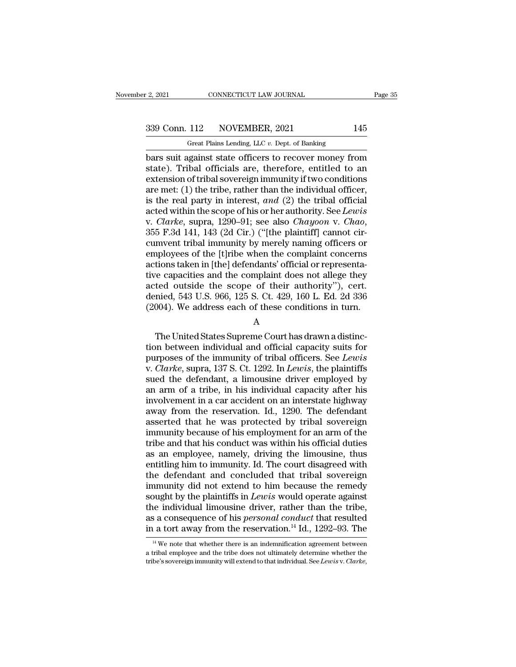# 2, 2021 CONNECTICUT LAW JOURNAL Page 35<br>339 Conn. 112 NOVEMBER, 2021 145<br>Great Plains Lending, LLC v. Dept. of Banking

CONNECTICUT LAW JOURNAL<br>
112 NOVEMBER, 2021<br>
112 Great Plains Lending, LLC *v.* Dept. of Banking<br>
1921 Instant Plains Lending, LLC *v.* Dept. of Banking  $\begin{array}{|l|l|} \hline \text{2, 2021} & \text{CONNECTICUT LAW JOURNAL} & \text{Page 35} \ \hline \text{339 Conn. 112} & \text{NOVEMBER, 2021} & 145 \ \hline \text{Great Plans Lending, LLC } v. \text{ Dept. of Banking} \ \hline \text{bars suit against state officers to recover money from state). Tribunal officials are, therefore, entitled to an extension of tribal soversion immunity if two conditions.} \hline \end{array}$ 339 Conn. 112 NOVEMBER, 2021 145<br>
Great Plains Lending, LLC v. Dept. of Banking<br>
bars suit against state officers to recover money from<br>
state). Tribal officials are, therefore, entitled to an<br>
extension of tribal sovereig 339 Conn. 112 NOVEMBER, 2021 145<br>
Great Plains Lending, LLC v. Dept. of Banking<br>
bars suit against state officers to recover money from<br>
state). Tribal officials are, therefore, entitled to an<br>
extension of tribal soverei 339 Conn. 112 NOVEMBER, 2021 145<br>
Great Plains Lending, LLC v. Dept. of Banking<br>
bars suit against state officers to recover money from<br>
state). Tribal officials are, therefore, entitled to an<br>
extension of tribal soverei Great Plains Lending, LLC v. Dept. of Banking<br>bars suit against state officers to recover money from<br>state). Tribal officials are, therefore, entitled to an<br>extension of tribal sovereign immunity if two conditions<br>are met Great Plains Lending, LLC v. Dept. of Banking<br>bars suit against state officers to recover money from<br>state). Tribal officials are, therefore, entitled to an<br>extension of tribal sovereign immunity if two conditions<br>are met: bars suit against state officers to recover money from<br>state). Tribal officials are, therefore, entitled to an<br>extension of tribal sovereign immunity if two conditions<br>are met: (1) the tribe, rather than the individual off extension of tribal sovereign immunity if two conditions<br>are met: (1) the tribe, rather than the individual officer,<br>is the real party in interest, and (2) the tribal official<br>acted within the scope of his or her authorit are met: (1) the tribe, rather than the individual officer,<br>is the real party in interest, and (2) the tribal official<br>acted within the scope of his or her authority. See Lewis<br>v. Clarke, supra, 1290–91; see also Chayoon is the real party in interest, and (2) the tribal official<br>acted within the scope of his or her authority. See Lewis<br>v. Clarke, supra, 1290–91; see also Chayoon v. Chao,<br>355 F.3d 141, 143 (2d Cir.) ("[the plaintiff] canno acted within the scope of his or her authority. See Lewis<br>v. Clarke, supra, 1290–91; see also Chayoon v. Chao,<br>355 F.3d 141, 143 (2d Cir.) ("[the plaintiff] cannot cir-<br>cumvent tribal immunity by merely naming officers or<br> v. *Clarke*, supra, 1290–91; see also *Chayoon* v. *Chao*, 355 F.3d 141, 143 (2d Cir.) ("[the plaintiff] cannot circumvent tribal immunity by merely naming officers or employees of the [t]ribe when the complaint concerns a 355 F.3d 141, 143 (2d Cir.) ("[the plaintiff] cannot circumvent tribal immunity by merely naming officers or employees of the [t]ribe when the complaint concerns actions taken in [the] defendants' official or representativ cumvent tribal immunity by merely naming officers or<br>employees of the [t]ribe when the complaint concerns<br>actions taken in [the] defendants' official or representa-<br>tive capacities and the complaint does not allege they<br>ac The United States Supreme Court has drawn a distinction<br>The United States Supreme Court has drawn a distinction.<br>The United States Supreme Court has drawn a distinc-<br>The United States Supreme Court has drawn a distinc-<br>In

### A

are capaciales and are complaint does not dinge ancy<br>acted outside the scope of their authority"), cert.<br>denied, 543 U.S. 966, 125 S. Ct. 429, 160 L. Ed. 2d 336<br>(2004). We address each of these conditions in turn.<br>A<br>The U denied, 543 U.S. 966, 125 S. Ct. 429, 160 L. Ed. 2d 336 (2004). We address each of these conditions in turn.<br>A<br>The United States Supreme Court has drawn a distinction between individual and official capacity suits for<br>purp (2004). We address each of these conditions in turn.<br>
A<br>
The United States Supreme Court has drawn a distinc-<br>
tion between individual and official capacity suits for<br>
purposes of the immunity of tribal officers. See *Lewi* A<br>
Suppreme Court has drawn a distinction between individual and official capacity suits for<br>
purposes of the immunity of tribal officers. See Lewis<br>
v. Clarke, supra, 137 S. Ct. 1292. In Lewis, the plaintiffs<br>
sued the de A<br>
The United States Supreme Court has drawn a distinc-<br>
tion between individual and official capacity suits for<br>
purposes of the immunity of tribal officers. See Lewis<br>
v. Clarke, supra, 137 S. Ct. 1292. In Lewis, the pla The United States Supreme Court has drawn a distinction between individual and official capacity suits for purposes of the immunity of tribal officers. See *Lewis* v. *Clarke*, supra, 137 S. Ct. 1292. In *Lewis*, the plain tion between individual and official capacity suits for<br>purposes of the immunity of tribal officers. See Lewis<br>v. Clarke, supra, 137 S. Ct. 1292. In Lewis, the plaintiffs<br>sued the defendant, a limousine driver employed by<br> purposes of the immunity of tribal officers. See *Lewis*<br>v. *Clarke*, supra, 137 S. Ct. 1292. In *Lewis*, the plaintiffs<br>sued the defendant, a limousine driver employed by<br>an arm of a tribe, in his individual capacity afte v. *Clarke*, supra, 137 S. Ct. 1292. In *Lewis*, the plaintiffs sued the defendant, a limousine driver employed by an arm of a tribe, in his individual capacity after his involvement in a car accident on an interstate hig sued the defendant, a limousine driver employed by<br>an arm of a tribe, in his individual capacity after his<br>involvement in a car accident on an interstate highway<br>away from the reservation. Id., 1290. The defendant<br>asserted an arm of a tribe, in his individual capacity after his<br>involvement in a car accident on an interstate highway<br>away from the reservation. Id., 1290. The defendant<br>asserted that he was protected by tribal sovereign<br>immunity involvement in a car accident on an interstate highway<br>away from the reservation. Id., 1290. The defendant<br>asserted that he was protected by tribal sovereign<br>immunity because of his employment for an arm of the<br>tribe and t away from the reservation. Id., 1290. The defendant<br>asserted that he was protected by tribal sovereign<br>immunity because of his employment for an arm of the<br>tribe and that his conduct was within his official duties<br>as an em asserted that he was protected by tribal sovereign<br>immunity because of his employment for an arm of the<br>tribe and that his conduct was within his official duties<br>as an employee, namely, driving the limousine, thus<br>entitlin immunity because of his employment for an arm of the<br>tribe and that his conduct was within his official duties<br>as an employee, namely, driving the limousine, thus<br>entitling him to immunity. Id. The court disagreed with<br>the tribe and that his conduct was within his official duties<br>as an employee, namely, driving the limousine, thus<br>entitling him to immunity. Id. The court disagreed with<br>the defendant and concluded that tribal sovereign<br>immuni as an employee, namely, driving the limousine, thus<br>entitling him to immunity. Id. The court disagreed with<br>the defendant and concluded that tribal sovereign<br>immunity did not extend to him because the remedy<br>sought by the entitling him to immunity. Id. The court disagreed with<br>the defendant and concluded that tribal sovereign<br>immunity did not extend to him because the remedy<br>sought by the plaintiffs in *Lewis* would operate against<br>the indi bught by the plaintiffs in *Lewis* would operate against<br>ne individual limousine driver, rather than the tribe,<br>a consequence of his *personal conduct* that resulted<br> $\frac{1}{2}$  a tort away from the reservation.<sup>14</sup> Id., 12 the individual limousine driver, rather than the tribe, as a consequence of his *personal conduct* that resulted in a tort away from the reservation.<sup>14</sup> Id., 1292–93. The  $\frac{14 \text{ We}}{4 \text{ We}}$  note that whether there is

as a consequence of his *personal conduct* that resulted<br>in a tort away from the reservation.<sup>14</sup> Id., 1292–93. The<br><sup>14</sup> We note that whether there is an indemnification agreement between<br>a tribal employee and the tribe do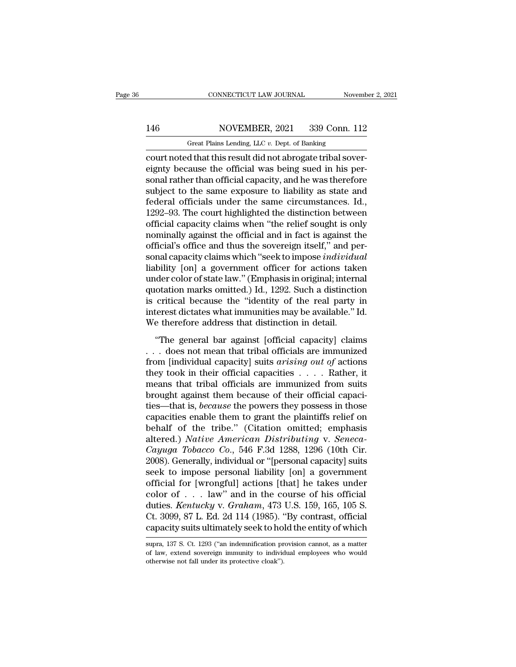# 146 CONNECTICUT LAW JOURNAL November 2, 2021<br>146 NOVEMBER, 2021 339 Conn. 112<br>146 Great Plains Lending, LLC v. Dept. of Banking

CONNECTICUT LAW JOURNAL November 2, 2021<br>146 NOVEMBER, 2021 339 Conn. 112<br>Great Plains Lending, LLC *v*. Dept. of Banking<br>court noted that this result did not abrogate tribal sover-CONNECTICUT LAW JOURNAL November November 146<br>146 NOVEMBER, 2021 339 Conn. 112<br>16 Great Plains Lending, LLC v. Dept. of Banking<br>12 Great Plains Lending, LLC v. Dept. of Banking<br>12 Court noted that this result did not abrog 146 NOVEMBER, 2021 339 Conn. 112<br>
Great Plains Lending, LLC v. Dept. of Banking<br>
court noted that this result did not abrogate tribal sover-<br>
eignty because the official was being sued in his per-<br>
sonal rather than offici  $\begin{tabular}{l l l l} \hline & NOVEMBER, 2021 & 339 Conn. 112 \\ \hline \multicolumn{3}{l}{\textbf{Great Plans Length, LLC $v. Dept. of Banking}} \\ \hline \multicolumn{2}{l}{\textbf{court noted that this result did not abrogate tribal sovereight} } \\ \hline \multicolumn{2}{l}{\textbf{e.g.}} \\ \hline \multicolumn{2}{l}{\textbf{e.g.}} \\ \hline \multicolumn{2}{l}{\textbf{e.g.}} \\ \hline \multicolumn{2}{l}{\textbf{t}} \\ \hline \multicolumn{2}{l}{\textbf{t}} \\ \hline \multicolumn{2}{l}{\textbf$ 146 NOVEMBER, 2021 339 Conn. 112<br>
Great Plains Lending, LLC  $v$ . Dept. of Banking<br>
court noted that this result did not abrogate tribal sover-<br>
eignty because the official was being sued in his per-<br>
sonal rather than off Great Plains Lending, LLC v. Dept. of Banking<br>
court noted that this result did not abrogate tribal sover-<br>
eignty because the official was being sued in his per-<br>
sonal rather than official capacity, and he was therefore<br> Great Plans Lending, LLC  $v$ . Dept. of Banking<br>
court noted that this result did not abrogate tribal sover-<br>
eignty because the official was being sued in his per-<br>
sonal rather than official capacity, and he was therefor court noted that this result did not abrogate tribal sover-<br>eignty because the official was being sued in his per-<br>sonal rather than official capacity, and he was therefore<br>subject to the same exposure to liability as stat eignty because the official was being sued in his per-<br>sonal rather than official capacity, and he was therefore<br>subject to the same exposure to liability as state and<br>federal officials under the same circumstances. Id.,<br>1 sonal rather than official capacity, and he was therefore<br>subject to the same exposure to liability as state and<br>federal officials under the same circumstances. Id.,<br>1292–93. The court highlighted the distinction between<br>o subject to the same exposure to liability as state and<br>federal officials under the same circumstances. Id.,<br>1292–93. The court highlighted the distinction between<br>official capacity claims when "the relief sought is only<br>no federal officials under the same circumstances. Id.,<br>1292–93. The court highlighted the distinction between<br>official capacity claims when "the relief sought is only<br>nominally against the official and in fact is against th 1292–93. The court highlighted the distinction between<br>official capacity claims when "the relief sought is only<br>nominally against the official and in fact is against the<br>official's office and thus the sovereign itself," an official capacity claims when "the relief sought is only<br>nominally against the official and in fact is against the<br>official's office and thus the sovereign itself," and per-<br>sonal capacity claims which "seek to impose *ind* nominally against the official and in fact is against the<br>official's office and thus the sovereign itself," and per-<br>sonal capacity claims which "seek to impose *individual*<br>liability [on] a government officer for actions official's office and thus the sovereign itself," and per-<br>sonal capacity claims which "seek to impose *individual*<br>liability [on] a government officer for actions taken<br>under color of state law." (Emphasis in original; in sonal capacity claims which "seek to impose *individu*<br>liability [on] a government officer for actions take<br>under color of state law." (Emphasis in original; interr<br>quotation marks omitted.) Id., 1292. Such a distinction<br>i  $\sum_{i=1}^{\infty}$  and  $\sum_{i=1}^{\infty}$  and  $\sum_{i=1}^{\infty}$  (Emphasis in original; internal otation marks omitted.) Id., 1292. Such a distinction critical because the "identity of the real party interest dictates what immunities ductation marks omitted.) Id., 1292. Such a distinction<br>is critical because the "identity of the real party in<br>interest dictates what immunities may be available." Id.<br>We therefore address that distinction in detail.<br>"The

from final capacity, and the real party in<br>interest dictates what immunities may be available." Id.<br>We therefore address that distinction in detail.<br>"The general bar against [official capacity] claims<br>... does not mean tha the end of the state in the same interest dictates what immunities may be available." Id.<br>We therefore address that distinction in detail.<br>
"The general bar against [official capacity] claims<br>
. . . does not mean that tri means that distinction in detail.<br>
We therefore address that distinction in detail.<br>
"The general bar against [official capacity] claims<br>
... does not mean that tribal officials are immunized<br>
from [individual capacity] s "The general bar against [official capacity] claims<br>  $\ldots$  does not mean that tribal officials are immunized<br>
from [individual capacity] suits *arising out of* actions<br>
they took in their official capacities  $\ldots$ . Rather "The general bar against [official capacity] claims<br>  $\ldots$  does not mean that tribal officials are immunized<br>
from [individual capacity] suits *arising out of* actions<br>
they took in their official capacities  $\ldots$ . Rather ... does not mean that tribal officials are immunized<br>from [individual capacity] suits *arising out of* actions<br>they took in their official capacities .....Rather, it<br>means that tribal officials are immunized from suits<br>b from [individual capacity] suits *arising out of* actions<br>they took in their official capacities . . . . Rather, it<br>means that tribal officials are immunized from suits<br>brought against them because of their official capac they took in their official capacities . . . . . Rather, it<br>means that tribal officials are immunized from suits<br>brought against them because of their official capaci-<br>ties—that is, *because* the powers they possess in tho means that tribal officials are immunized from suits<br>brought against them because of their official capaci-<br>ties—that is, *because* the powers they possess in those<br>capacities enable them to grant the plaintiffs relief on<br> brought against them because of their official capacities—that is, *because* the powers they possess in those capacities enable them to grant the plaintiffs relief on behalf of the tribe." (Citation omitted; emphasis alter ties—that is, *because* the powers they possess in those<br>capacities enable them to grant the plaintiffs relief on<br>behalf of the tribe." (Citation omitted; emphasis<br>altered.) *Native American Distributing* v. *Seneca-*<br>*Cay* capacities enable them to grant the plaintiffs relief on<br>behalf of the tribe." (Citation omitted; emphasis<br>altered.) Native American Distributing v. Seneca-<br>Cayuga Tobacco Co., 546 F.3d 1288, 1296 (10th Cir.<br>2008). Genera behalf of the tribe." (Citation omitted; emphasis altered.) *Native American Distributing* v. *Seneca-Cayuga Tobacco Co.*, 546 F.3d 1288, 1296 (10th Cir. 2008). Generally, individual or "[personal capacity] suits seek to altered.) *Native American Distributing* v. *Seneca-Cayuga Tobacco Co.*, 546 F.3d 1288, 1296 (10th Cir. 2008). Generally, individual or "[personal capacity] suits seek to impose personal liability [on] a government officia Cayuga Tobacco Co., 546 F.3d 1288, 1296 (10th Cir. 2008). Generally, individual or "[personal capacity] suits seek to impose personal liability [on] a government official for [wrongful] actions [that] he takes under color 2008). Generally, individual or "[personal capacity] suits<br>seek to impose personal liability [on] a government<br>official for [wrongful] actions [that] he takes under<br>color of . . . law" and in the course of his official<br>du color of . . . law" and in the course of his official<br>duties. *Kentucky* v. *Graham*, 473 U.S. 159, 165, 105 S.<br>Ct. 3099, 87 L. Ed. 2d 114 (1985). "By contrast, official<br>capacity suits ultimately seek to hold the entity o duties. *Kentucky* v. *Graham*, 473 U.S. 159, 165, 105 S.<br>Ct. 3099, 87 L. Ed. 2d 114 (1985). "By contrast, official<br>capacity suits ultimately seek to hold the entity of which<br>supra, 137 S. Ct. 1293 ("an indemnification pro

Ct. 3099, 87 L. Ed. 2d 114 (1985). "Capacity suits ultimately seek to homography suits ultimately seek to homography of law, extend sovereign immunity to individe otherwise not fall under its protective cloak").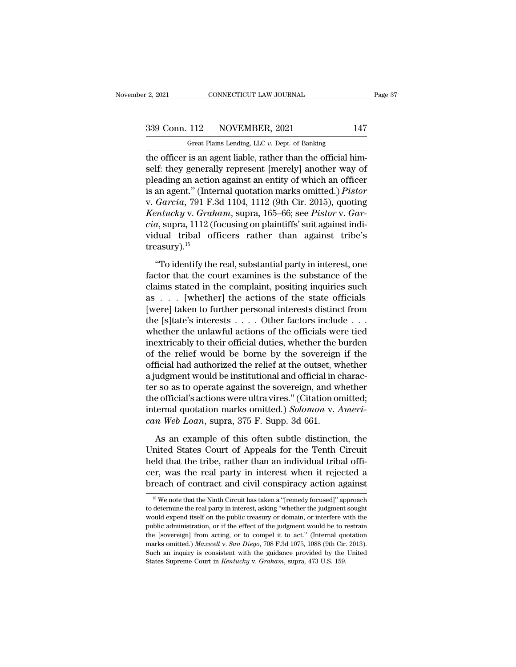2, 2021 CONNECTICUT LAW JOURNAL Page 37<br>339 Conn. 112 NOVEMBER, 2021 147<br>Great Plains Lending, LLC v. Dept. of Banking

F. 2, 2021 CONNECTICUT LAW JOURNAL<br>
Great Plains Lending, LLC *v.* Dept. of Banking<br>
the officer is an agent liable, rather than the official him-Feg. 2021 CONNECTICUT LAW JOURNAL<br>  $\frac{339 \text{ Conn. } 112}{339 \text{ Genn. } 112}$  NOVEMBER, 2021 147<br>  $\frac{147}{339 \text{ Genen. } 112}$   $\frac{147}{339 \text{ Genen. } 112}$   $\frac{147}{339 \text{ Genen. } 112}$   $\frac{147}{33 \text{ Genen. } 112}$   $\frac{147}{33 \text{ Genen. } 112}$   $\frac{147}{$ 339 Conn. 112 NOVEMBER, 2021 147<br>
Great Plains Lending, LLC  $v$ . Dept. of Banking<br>
the officer is an agent liable, rather than the official him-<br>
self: they generally represent [merely] another way of<br>
pleading an action 339 Conn. 112 NOVEMBER, 2021 147<br>
Great Plains Lending, LLC v. Dept. of Banking<br>
the officer is an agent liable, rather than the official him-<br>
self: they generally represent [merely] another way of<br>
pleading an action ag 339 Conn. 112 NOVEMBER, 2021 147<br>
Great Plains Lending, LLC v. Dept. of Banking<br>
the officer is an agent liable, rather than the official him-<br>
self: they generally represent [merely] another way of<br>
pleading an action aga Great Plains Lending, LLC v. Dept. of Banking<br>the officer is an agent liable, rather than the official him-<br>self: they generally represent [merely] another way of<br>pleading an action against an entity of which an officer<br>is *Kentucky* v. *Great Pianis Lending, LLC 0: Dept.* of Banking<br>
the officer is an agent liable, rather than the official him-<br>
self: they generally represent [merely] another way of<br>
pleading an action against an entity of the officer is an agent liable, rather than the official himself: they generally represent [merely] another way of pleading an action against an entity of which an officer is an agent." (Internal quotation marks omitted.) self: they generally represent [merely] another way of<br>pleading an action against an entity of which an officer<br>is an agent." (Internal quotation marks omitted.) *Pistor*<br>v. Garcia, 791 F.3d 1104, 1112 (9th Cir. 2015), quo treasury). $15$ Garcia, 791 F.3d 1104, 1112 (9th Cir. 2015), quoting<br>
entucky v. Graham, supra, 165–66; see Pistor v. Gar-<br>
a, supra, 1112 (focusing on plaintiffs' suit against indi-<br>
dual tribal officers rather than against tribe's<br>
easu *Kentucky* v. *Graham*, supra, 165–66; see *Pistor* v. *Garcia*, supra, 1112 (focusing on plaintiffs' suit against individual tribal officers rather than against tribe's treasury).<sup>15</sup><br>
"To identify the real, substantial

*cia*, supra, 1112 (focusing on plaintiffs' suit against individual tribal officers rather than against tribe's treasury).<sup>15</sup><br>
"To identify the real, substantial party in interest, one factor that the court examines is t vidual tribal officers rather than against tribe's<br>treasury).<sup>15</sup><br>"To identify the real, substantial party in interest, one<br>factor that the court examines is the substance of the<br>claims stated in the complaint, positing i treasury).<sup>15</sup><br>
"To identify the real, substantial party in interest, one<br>
factor that the court examines is the substance of the<br>
claims stated in the complaint, positing inquiries such<br>
as . . . . [whether] the actions "To identify the real, substantial party in interest, one factor that the court examines is the substance of the claims stated in the complaint, positing inquiries such as . . . [whether] the actions of the state official "To identify the real, substantial party in interest, one<br>factor that the court examines is the substance of the<br>claims stated in the complaint, positing inquiries such<br>as . . . [whether] the actions of the state official factor that the court examines is the substance of the claims stated in the complaint, positing inquiries such as . . . [whether] the actions of the state officials [were] taken to further personal interests distinct from claims stated in the complaint, positing inquiries such<br>as . . . [whether] the actions of the state officials<br>[were] taken to further personal interests distinct from<br>the [s]tate's interests . . . . Other factors include as . . . . [whether] the actions of the state officials<br>[were] taken to further personal interests distinct from<br>the [s]tate's interests . . . . Other factors include . . .<br>whether the unlawful actions of the officials we [were] taken to further personal interests distinct from<br>the [s]tate's interests  $\dots$  . Other factors include  $\dots$ <br>whether the unlawful actions of the officials were tied<br>inextricably to their official duties, whether the the [s]tate's interests  $\dots$  . Other factors include  $\dots$  whether the unlawful actions of the officials were tied<br>inextricably to their official duties, whether the burden<br>of the relief would be borne by the sovereign if whether the unlawful actions of the officials were tied<br>inextricably to their official duties, whether the burden<br>of the relief would be borne by the sovereign if the<br>official had authorized the relief at the outset, whet inextricably to their official duties, whether the burden<br>of the relief would be borne by the sovereign if the<br>official had authorized the relief at the outset, whether<br>a judgment would be institutional and official in cha of the relief would be borne by the sovereign<br>official had authorized the relief at the outset, w.<br>a judgment would be institutional and official in c<br>ter so as to operate against the sovereign, and w.<br>the official's actio udgment would be institutional and official in charac-<br>r so as to operate against the sovereign, and whether<br>e official's actions were ultra vires." (Citation omitted;<br>ternal quotation marks omitted.) *Solomon* v. Ameri-<br>n ter so as to operate against the sovereign, and whether<br>the official's actions were ultra vires." (Citation omitted;<br>internal quotation marks omitted.) *Solomon* v. Ameri-<br>can Web Loan, supra, 375 F. Supp. 3d 661.<br>As an ex

the official's actions were ultra vires." (Citation omitted;<br>internal quotation marks omitted.) Solomon v. Ameri-<br>can Web Loan, supra, 375 F. Supp. 3d 661.<br>As an example of this often subtle distinction, the<br>United States internal quotation marks omitted.) Solomon v. Ameri-<br>can Web Loan, supra, 375 F. Supp. 3d 661.<br>As an example of this often subtle distinction, the<br>United States Court of Appeals for the Tenth Circuit<br>held that the tribe, r can Web Loan, supra, 375 F. Supp. 3d 661.<br>
As an example of this often subtle distinction, the<br>
United States Court of Appeals for the Tenth Circuit<br>
held that the tribe, rather than an individual tribal offi-<br>
cer, was t nited States Court of Appeais for the Tenth Circuit<br>eld that the tribe, rather than an individual tribal offi-<br>er, was the real party in interest when it rejected a<br>reach of contract and civil conspiracy action against<br> $^{1$ held that the tribe, rather than an individual tribal officer, was the real party in interest when it rejected a breach of contract and civil conspiracy action against  $\frac{15 \text{ We}}{15 \text{ We}}$  note that the Ninth Circuit has

cer, was the real party in interest when it rejected a breach of contract and civil conspiracy action against  $\frac{15 \text{ We} \text{ note that the Ninth Circuit has taken a "[remedy focused]" approach to determine the real party in interest, asking "whether the judgment sought would expand itself on the public Treasury or domain, or interfere with the public administration, or if the effect of the judgment would be to restrain.}$ breach of contract and civil conspiracy action against<br>
<sup>15</sup> We note that the Ninth Circuit has taken a "[remedy focused]" approach<br>
to determine the real party in interest, asking "whether the judgment sought<br>
would expe The EXC of the EXC and CIVII COISDIT acty action against<br>
<sup>15</sup> We note that the Ninth Circuit has taken a "[remedy focused]" approach<br>
to determine the real party in interest, asking "whether the judgment sought<br>
would ex <sup>15</sup> We note that the Ninth Circuit has taken a "[remedy focused]" approach to determine the real party in interest, asking "whether the judgment sought would expend itself on the public treasury or domain, or interfere w to determine the real party in interest, asking "whether the judgment sought would expend itself on the public treasury or domain, or interfere with the public administration, or if the effect of the judgment would be to to determine the real party in interest, asking "whether the judgment sought would expend itself on the public treasury or domain, or interfere with the public administration, or if the effect of the judgment would be to r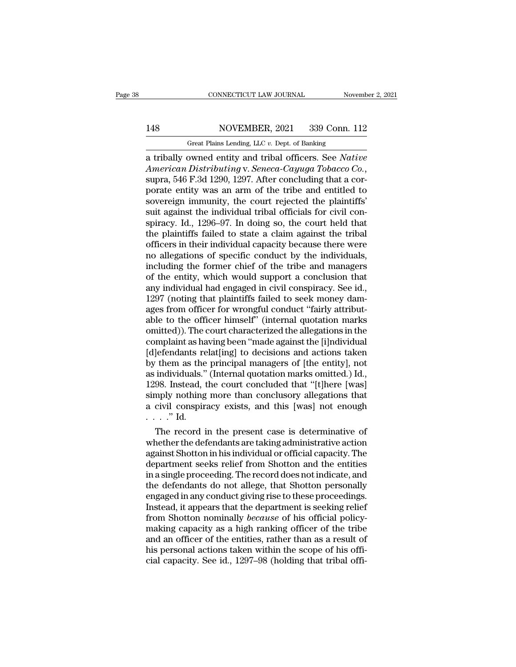# 148 CONNECTICUT LAW JOURNAL November 2, 2021<br>148 NOVEMBER, 2021 339 Conn. 112<br>148 Great Plains Lending, LLC v. Dept. of Banking

CONNECTICUT LAW JOURNAL November 2, 2021<br>148 NOVEMBER, 2021 339 Conn. 112<br>Great Plains Lending, LLC *v*. Dept. of Banking<br>a tribally owned entity and tribal officers. See Native cONNECTICUT LAW JOURNAL November 2, 2021<br>
148 NOVEMBER, 2021 339 Conn. 112<br>
<sup>Great</sup> Plains Lending, LLC v. Dept. of Banking<br>
a tribally owned entity and tribal officers. See *Native*<br> *American Distributing* v. *Seneca-Cay American Distributing* v. *Seneca-Cayuga Tobacco Co.*, supra, 546 F.3d 1290, 1297. After concluding that a corporate entity was an arm of the tribe and entitled to sovereign immunity the court rejected the plaintiffs' 148 NOVEMBER, 2021 339 Conn. 112<br>
Great Plains Lending, LLC  $v$ . Dept. of Banking<br>
a tribally owned entity and tribal officers. See Native<br>
American Distributing v. Seneca-Cayuga Tobacco Co.,<br>
supra, 546 F.3d 1290, 1297. Great Plains Lending, LLC v. Dept. of Banking<br>a tribally owned entity and tribal officers. See Native<br>American Distributing v. Seneca-Cayuga Tobacco Co.,<br>supra, 546 F.3d 1290, 1297. After concluding that a cor-<br>porate enti Great Plains Lending, LLC v. Dept. of Banking<br>
a tribally owned entity and tribal officers. See Native<br>
American Distributing v. Seneca-Cayuga Tobacco Co.,<br>
supra, 546 F.3d 1290, 1297. After concluding that a cor-<br>
porate a tribally owned entity and tribal officers. See *Native*<br>American Distributing v. Seneca-Cayuga Tobacco Co.,<br>supra, 546 F.3d 1290, 1297. After concluding that a cor-<br>porate entity was an arm of the tribe and entitled to<br>s American Distributing v. Seneca-Cayuga Tobacco Co.,<br>supra, 546 F.3d 1290, 1297. After concluding that a cor-<br>porate entity was an arm of the tribe and entitled to<br>sovereign immunity, the court rejected the plaintiffs'<br>suit supra, 546 F.3d 1290, 1297. After concluding that a cor-<br>porate entity was an arm of the tribe and entitled to<br>sovereign immunity, the court rejected the plaintiffs'<br>suit against the individual tribal officials for civil c porate entity was an arm of the tribe and entitled to<br>sovereign immunity, the court rejected the plaintiffs'<br>suit against the individual tribal officials for civil con-<br>spiracy. Id., 1296–97. In doing so, the court held th sovereign immunity, the court rejected the plaintiffs'<br>suit against the individual tribal officials for civil con-<br>spiracy. Id., 1296–97. In doing so, the court held that<br>the plaintiffs failed to state a claim against the suit against the individual tribal officials for civil conspiracy. Id., 1296–97. In doing so, the court held that<br>the plaintiffs failed to state a claim against the tribal<br>officers in their individual capacity because ther spiracy. Id., 1296–97. In doing so, the court held that<br>the plaintiffs failed to state a claim against the tribal<br>officers in their individual capacity because there were<br>no allegations of specific conduct by the individua the plaintiffs failed to state a claim against the tribal officers in their individual capacity because there were no allegations of specific conduct by the individuals, including the former chief of the tribe and managers officers in their individual capacity because there were<br>no allegations of specific conduct by the individuals,<br>including the former chief of the tribe and managers<br>of the entity, which would support a conclusion that<br>any no allegations of specific conduct by the individuals,<br>including the former chief of the tribe and managers<br>of the entity, which would support a conclusion that<br>any individual had engaged in civil conspiracy. See id.,<br>1297 including the former chief of the tribe and managers<br>of the entity, which would support a conclusion that<br>any individual had engaged in civil conspiracy. See id.,<br>1297 (noting that plaintiffs failed to seek money dam-<br>ages of the entity, which would support a conclusion that<br>any individual had engaged in civil conspiracy. See id.,<br>1297 (noting that plaintiffs failed to seek money dam-<br>ages from officer for wrongful conduct "fairly attribut-<br> any individual had engaged in civil conspiracy. See id.,<br>1297 (noting that plaintiffs failed to seek money dam-<br>ages from officer for wrongful conduct "fairly attribut-<br>able to the officer himself" (internal quotation mark 1297 (noting that plaintiffs failed to seek money damages from officer for wrongful conduct "fairly attributable to the officer himself" (internal quotation marks omitted)). The court characterized the allegations in the c ages from officer for wrongful conduct "fairly attributable to the officer himself" (internal quotation marks omitted)). The court characterized the allegations in the complaint as having been "made against the [i]ndividua able to the officer himself" (internal quotation marks<br>omitted)). The court characterized the allegations in the<br>complaint as having been "made against the [i]ndividual<br>[d]efendants relat[ing] to decisions and actions take omitted)). The court characterized the allegations in the complaint as having been "made against the [i]ndividual [d]efendants relat[ing] to decisions and actions taken by them as the principal managers of [the entity], no complaint as having been "made against the [i]ndividual [d]efendants relat[ing] to decisions and actions taken by them as the principal managers of [the entity], not as individuals." (Internal quotation marks omitted.) Id. (d)efendants re<br>by them as the<br>as individuals."<br>1298. Instead, t<br>simply nothing<br>a civil conspir:<br>...." Id.<br>The record i The record in the present case is determinative actions and the record in the present concluded that "[t]here [was] mply nothing more than conclusory allegations that civil conspiracy exists, and this [was] not enough  $\cdot$ as marviauals." (Internal quotation marks omitted.) Id.,<br>1298. Instead, the court concluded that "[t]here [was]<br>simply nothing more than conclusory allegations that<br>a civil conspiracy exists, and this [was] not enough<br> $\dots$ 

1298. Instead, the court concluded that "[t]nere [was]<br>simply nothing more than conclusory allegations that<br>a civil conspiracy exists, and this [was] not enough<br>..." Id.<br>The record in the present case is determinative of<br>w simply nothing more than conclusory allegations that<br>a civil conspiracy exists, and this [was] not enough<br> $\dots$ ." Id.<br>The record in the present case is determinative of<br>whether the defendants are taking administrative acti a civil conspiracy exists, and this [was] not enough<br>
....." Id.<br>
The record in the present case is determinative of<br>
whether the defendants are taking administrative action<br>
against Shotton in his individual or official c The record in the present case is determinative of<br>whether the defendants are taking administrative action<br>against Shotton in his individual or official capacity. The<br>department seeks relief from Shotton and the entities<br> The record in the present case is determinative of<br>whether the defendants are taking administrative action<br>against Shotton in his individual or official capacity. The<br>department seeks relief from Shotton and the entities<br>i whether the defendants are taking administrative action<br>against Shotton in his individual or official capacity. The<br>department seeks relief from Shotton and the entities<br>in a single proceeding. The record does not indicate against Shotton in his individual or official capacity. The department seeks relief from Shotton and the entities<br>in a single proceeding. The record does not indicate, and<br>the defendants do not allege, that Shotton persona department seeks relief from Shotton and the entities<br>in a single proceeding. The record does not indicate, and<br>the defendants do not allege, that Shotton personally<br>engaged in any conduct giving rise to these proceedings. in a single proceeding. The record does not indicate, and<br>the defendants do not allege, that Shotton personally<br>engaged in any conduct giving rise to these proceedings.<br>Instead, it appears that the department is seeking re the defendants do not allege, that Shotton personally<br>engaged in any conduct giving rise to these proceedings.<br>Instead, it appears that the department is seeking relief<br>from Shotton nominally *because* of his official poli engaged in any conduct giving rise to these proceedings.<br>Instead, it appears that the department is seeking relief<br>from Shotton nominally *because* of his official policy-<br>making capacity as a high ranking officer of the t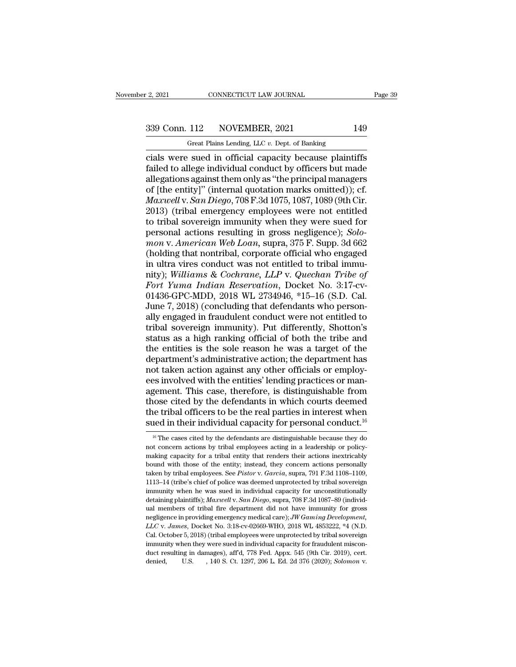F. 2, 2021 CONNECTICUT LAW JOURNAL<br>
Great Plains Lending, LLC *v.* Dept. of Banking<br>
Cials were sued in official capacity because plaintiffs cials were sued in official capacity because plaintiffs<br>
and the substitute of Banking<br>
cials were sued in official capacity because plaintiffs<br>
failed to allege individual conduct by officers but made<br>
allegations agains Failed to allege individual conduct by officers but made allegations against them only as "the principal managers"<br>The antityly (internal conduct by officers but made allegations against them only as "the principal manager 339 Conn. 112 NOVEMBER, 2021 149<br>
Great Plains Lending, LLC v. Dept. of Banking<br>
cials were sued in official capacity because plaintiffs<br>
failed to allege individual conduct by officers but made<br>
allegations against them 339 Conn. 112 NOVEMBER, 2021 149<br>
Great Plains Lending, LLC  $v$ . Dept. of Banking<br>
cials were sued in official capacity because plaintiffs<br>
failed to allege individual conduct by officers but made<br>
allegations against the *Great Plains Lending, LLC v. Dept. of Banking*<br>
cials were sued in official capacity because plaintiffs<br>
failed to allege individual conduct by officers but made<br>
allegations against them only as "the principal managers<br> Great Plains Lending, LLC  $v$ . Dept. of Banking<br>
cials were sued in official capacity because plaintiffs<br>
failed to allege individual conduct by officers but made<br>
allegations against them only as "the principal managers<br> cials were sued in official capacity because plaintiffs<br>failed to allege individual conduct by officers but made<br>allegations against them only as "the principal managers<br>of [the entity]" (internal quotation marks omitted)) failed to allege individual conduct by officers but made<br>allegations against them only as "the principal managers<br>of [the entity]" (internal quotation marks omitted)); cf.<br>*Maxwell* v. *San Diego*, 708 F.3d 1075, 1087, 108 allegations against them only as "the principal managers<br>of [the entity]" (internal quotation marks omitted)); cf.<br>*Maxwell* v. *San Diego*, 708 F.3d 1075, 1087, 1089 (9th Cir.<br>2013) (tribal emergency employees were not en of [the entity]" (internal quotation marks omitted)); cf.<br> *Maxwell* v. *San Diego*, 708 F.3d 1075, 1087, 1089 (9th Cir.<br>
2013) (tribal emergency employees were not entitled<br>
to tribal sovereign immunity when they were sue *Maxwell* v. San Diego, 708 F.3d 1075, 1087, 1089 (9th Cir. 2013) (tribal emergency employees were not entitled<br>to tribal sovereign immunity when they were sued for<br>personal actions resulting in gross negligence); Solo-<br>m 2013) (tribal emergency employees were not entitled<br>to tribal sovereign immunity when they were sued for<br>personal actions resulting in gross negligence); *Solo-<br>mon v. American Web Loan*, supra, 375 F. Supp. 3d 662<br>(holdin to tribal sovereign immunity when they were sued for<br>personal actions resulting in gross negligence); *Solo-<br>mon v. American Web Loan*, supra, 375 F. Supp. 3d 662<br>(holding that nontribal, corporate official who engaged<br>in personal actions resulting in gross negligence); *Solomon v. American Web Loan*, supra, 375 F. Supp. 3d 662 (holding that nontribal, corporate official who engaged in ultra vires conduct was not entitled to tribal immunity mon v. American Web Loan, supra, 375 F. Supp. 3d 662<br>(holding that nontribal, corporate official who engaged<br>in ultra vires conduct was not entitled to tribal immu-<br>nity); Williams & Cochrane, LLP v. Quechan Tribe of<br>Fort (holding that nontribal, corporate official who engaged<br>in ultra vires conduct was not entitled to tribal immu-<br>nity); *Williams & Cochrane, LLP v. Quechan Tribe of*<br>Fort Yuma Indian Reservation, Docket No. 3:17-cv-<br>01436 in ultra vires conduct was not entitled to tribal immu-<br>nity); *Williams & Cochrane, LLP v. Quechan Tribe of*<br>*Fort Yuma Indian Reservation*, Docket No. 3:17-cv-<br>01436-GPC-MDD, 2018 WL 2734946, \*15–16 (S.D. Cal.<br>June 7, 20 nity); *Williams & Cochrane, LLP v. Quechan Tribe of*<br>Fort Yuma Indian Reservation, Docket No. 3:17-cv-<br>01436-GPC-MDD, 2018 WL 2734946, \*15–16 (S.D. Cal.<br>June 7, 2018) (concluding that defendants who person-<br>ally engaged i Fort Yuma Indian Reservation, Docket No. 3:17-cv-01436-GPC-MDD, 2018 WL 2734946, \*15–16 (S.D. Cal.<br>June 7, 2018) (concluding that defendants who person-<br>ally engaged in fraudulent conduct were not entitled to<br>tribal sovere 01436-GPC-MDD, 2018 WL 2734946, \*15–16 (S.D. Cal.<br>June 7, 2018) (concluding that defendants who person-<br>ally engaged in fraudulent conduct were not entitled to<br>tribal sovereign immunity). Put differently, Shotton's<br>status June 7, 2018) (concluding that defendants who personally engaged in fraudulent conduct were not entitled to tribal sovereign immunity). Put differently, Shotton's status as a high ranking official of both the tribe and the ally engaged in fraudulent conduct were not entitled to<br>tribal sovereign immunity). Put differently, Shotton's<br>status as a high ranking official of both the tribe and<br>the entities is the sole reason he was a target of the<br> tribal sovereign immunity). Put differently, Shotton's<br>status as a high ranking official of both the tribe and<br>the entities is the sole reason he was a target of the<br>department's administrative action; the department has<br>n status as a high ranking official of both the tribe and<br>the entities is the sole reason he was a target of the<br>department's administrative action; the department has<br>not taken action against any other officials or employthe entities is the sole reason he was a target of the<br>department's administrative action; the department has<br>not taken action against any other officials or employ-<br>ees involved with the entities' lending practices or man department's administrative action; the department has<br>not taken action against any other officials or employ-<br>ees involved with the entities' lending practices or man-<br>agement. This case, therefore, is distinguishable fr gement. This case, therefore, is distinguishable from<br>nose cited by the defendants in which courts deemed<br>te tribal officers to be the real parties in interest when<br>ned in their individual capacity for personal conduct.<sup>1</sup> those cited by the defendants in which courts deemed<br>the tribal officers to be the real parties in interest when<br>sued in their individual capacity for personal conduct.<sup>16</sup><br><sup>16</sup> The cases cited by the defendants are distin

the tribal officers to be the real parties in interest when<br>sued in their individual capacity for personal conduct.<sup>16</sup><br> $\frac{16}{16}$  The cases cited by the defendants are distinguishable because they do<br>not concern actions sued in their individual capacity for personal conduct.<sup>16</sup><br>
<sup>16</sup> The cases cited by the defendants are distinguishable because they do not concern actions by tribal employees acting in a leadership or policy-<br>
making cap Sued in their individual capacity for personial conduct.<sup>5</sup><br><sup>16</sup> The cases cited by the defendants are distinguishable because they do<br>not concern actions by tribal employees acting in a leadership or policy-<br>making capaci <sup>16</sup> The cases cited by the defendants are distinguishable because they do not concern actions by tribal employees acting in a leadership or policy-<br>making capacity for a tribal entity that renders their actions inextrica immunity of the was sued in individual capacity for unconstructions in the was supermaking capacity for a tribal entity, instead, they concern actions personally bound with those of the entity; instead, they concern action making capacity for a tribal entity that renders their actions inextricably<br>bound with those of the entity; instead, they concern actions personally<br>taken by tribal employees. See *Pistor* v. *Garcia*, supra, 791 F.3d 1108 bound with those of the entity; instead, they concern actions personally taken by tribal employees. See *Pistor* v. *Garcia*, supra, 791 F.3d 1108-1109, 1113-14 (tribe's chief of police was deemed unprotected by tribal so taken by tribal employees. See *Pistor* v. *Garcia*, supra, 791 F.3d 1108–1109, 1113–14 (tribe's chief of police was deemed unprotected by tribal sovereign immunity when he was sued in individual capacity for unconstitutio 1113–14 (tribe's chief of police was deemed unprotected by tribal sovereign<br>immunity when he was sued in individual capacity for unconstitutionally<br>detaining plaintiffs); *Maxwell* v. *San Diego*, supra, 708 F.3d 1087–89 ( immunity when he was sued in individual capacity for unconstitutionally<br>detaining plaintiffs);  $Maxwell$  v. San Diego, supra, 708 F.3d 1087–89 (individual members of tribal fire department did not have immunity for gross<br>negli detaining plaintiffs); *Maxwell* v. *San Diego*, supra, 708 F.3d 1087–89 (individual members of tribal fire department did not have immunity for gross negligence in providing emergency medical care); *JW Gaming Developmen* ual members of tribal fire department did not have immunity for gross are digence in providing emergency medical care); *JW Gaming Development*, *LLC* v. *James*, Docket No. 3:18-cv-02669-WHO, 2018 WL 4853222, \*4 (N.D. Cal. October 5, 2018) (tribal employees were unprotected by tribal sovere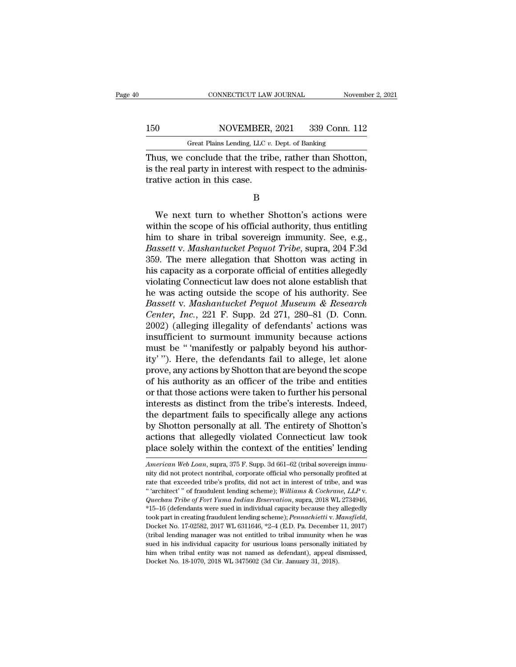## 150 CONNECTICUT LAW JOURNAL November 2, 2021<br>150 NOVEMBER, 2021 339 Conn. 112<br>Great Plains Lending, LLC v. Dept. of Banking CONNECTICUT LAW JOURNAL November 2, 2021<br>150 NOVEMBER, 2021 339 Conn. 112<br>Great Plains Lending, LLC *v.* Dept. of Banking<br>Thus, we conclude that the tribe, rather than Shotton,

CONNECTICUT LAW JOURNAL November 2, 2<br>
150 NOVEMBER, 2021 339 Conn. 112<br>
Great Plains Lending, LLC v. Dept. of Banking<br>
Thus, we conclude that the tribe, rather than Shotton,<br>
is the real party in interest with respect to 150 NOVEMBER, 2021 339 Conn. 112<br>Great Plains Lending, LLC v. Dept. of Banking<br>Thus, we conclude that the tribe, rather than Shotton,<br>is the real party in interest with respect to the adminis-<br>trative action in this case. 150 NOVEMBER,<br>
Great Plains Lending, LLC v.<br>
Thus, we conclude that the trit<br>
is the real party in interest with<br>
trative action in this case.<br>
B Mean Frans Echang, EE v. Dept. of Banking<br>
is turn to whether than Shotton,<br>
We next turn to whether Shotton's actions were<br>
thin the scope of his official authority, thus entitling<br>
means to share in tribal sovereign immu

B

Thus, we conclude that the tribe, rather than Shotton,<br>is the real party in interest with respect to the adminis-<br>trative action in this case.<br> $B$ <br>We next turn to whether Shotton's actions were<br>within the scope of his off is the real party in interest with respect to the administrative action in this case.<br>
B<br>
We next turn to whether Shotton's actions were<br>
within the scope of his official authority, thus entitling<br>
him to share in tribal s *B*<br> *B*<br>
We next turn to whether Shotton's actions were<br>
within the scope of his official authority, thus entitling<br>
him to share in tribal sovereign immunity. See, e.g.,<br> *Bassett* v. *Mashantucket Pequot Tribe*, supra, B<br>
359. We next turn to whether Shotton's actions were<br>
within the scope of his official authority, thus entitling<br>
him to share in tribal sovereign immunity. See, e.g.,<br> *Bassett v. Mashantucket Pequot Tribe*, supra, 204 We next turn to whether Shotton's actions were<br>within the scope of his official authority, thus entitling<br>him to share in tribal sovereign immunity. See, e.g.,<br>Bassett v. Mashantucket Pequot Tribe, supra, 204 F.3d<br>359. The We next turn to whether Shotton's actions were<br>within the scope of his official authority, thus entitling<br>him to share in tribal sovereign immunity. See, e.g.,<br>Bassett v. Mashantucket Pequot Tribe, supra, 204 F.3d<br>359. The within the scope of his official authority, thus entitling<br>him to share in tribal sovereign immunity. See, e.g.,<br>Bassett v. Mashantucket Pequot Tribe, supra, 204 F.3d<br>359. The mere allegation that Shotton was acting in<br>hi *him to share in tribal sovereign immunity. See, e.g., Bassett v. Mashantucket Pequot Tribe, supra, 204 F.3d*<br>359. The mere allegation that Shotton was acting in<br>his capacity as a corporate official of entities allegedly<br>v *Bassett v. Mashantucket Pequot Tribe*, supra, 204 F.3d<br>359. The mere allegation that Shotton was acting in<br>his capacity as a corporate official of entities allegedly<br>violating Connecticut law does not alone establish that 359. The mere allegation that Shotton was acting in<br>his capacity as a corporate official of entities allegedly<br>violating Connecticut law does not alone establish that<br>he was acting outside the scope of his authority. See<br> his capacity as a corporate official of entities allegedly<br>violating Connecticut law does not alone establish that<br>he was acting outside the scope of his authority. See<br>Bassett v. Mashantucket Pequot Museum & Research<br>Cent violating Connecticut law does not alone establish that<br>he was acting outside the scope of his authority. See<br>Bassett v. Mashantucket Pequot Museum & Research<br>Center, Inc., 221 F. Supp. 2d 271, 280–81 (D. Conn.<br>2002) (alle he was acting outside the scope of his authority. See<br>Bassett v. Mashantucket Pequot Museum & Research<br>Center, Inc., 221 F. Supp. 2d 271, 280–81 (D. Conn.<br>2002) (alleging illegality of defendants' actions was<br>insufficient Bassett v. Mashantucket Pequot Museum & Research<br>Center, Inc., 221 F. Supp. 2d 271, 280–81 (D. Conn.<br>2002) (alleging illegality of defendants' actions was<br>insufficient to surmount immunity because actions<br>must be " 'manife Center, Inc., 221 F. Supp. 2d 271, 280–81 (D. Conn.<br>2002) (alleging illegality of defendants' actions was<br>insufficient to surmount immunity because actions<br>must be " 'manifestly or palpably beyond his author-<br>ity' "). Here 2002) (alleging illegality of defendants' actions was<br>insufficient to surmount immunity because actions<br>must be "'manifestly or palpably beyond his author-<br>ity'''). Here, the defendants fail to allege, let alone<br>prove, any insufficient to surmount immunity because actions<br>must be " 'manifestly or palpably beyond his author-<br>ity' "). Here, the defendants fail to allege, let alone<br>prove, any actions by Shotton that are beyond the scope<br>of his must be " 'manifestly or palpably beyond his authority' "). Here, the defendants fail to allege, let alone<br>prove, any actions by Shotton that are beyond the scope<br>of his authority as an officer of the tribe and entities<br>or ity' "). Here, the defendants fail to allege, let alone<br>prove, any actions by Shotton that are beyond the scope<br>of his authority as an officer of the tribe and entities<br>or that those actions were taken to further his perso prove, any actions by Shotton that are beyond the scope<br>of his authority as an officer of the tribe and entities<br>or that those actions were taken to further his personal<br>interests as distinct from the tribe's interests. In of his authority as an officer of the tribe and entities<br>or that those actions were taken to further his personal<br>interests as distinct from the tribe's interests. Indeed,<br>the department fails to specifically allege any a the department fails to specifically allege any actions<br>by Shotton personally at all. The entirety of Shotton's<br>actions that allegedly violated Connecticut law took<br>place solely within the context of the entities' lending<br> by Shotton personally at all. The entirety of Shotton's<br>actions that allegedly violated Connecticut law took<br>place solely within the context of the entities' lending<br> $\overline{American\ Web\ Laa}$ , supra, 375 F. Supp. 3d 661–62 (tribal s

actions that allegedly violated Connecticut law took<br>place solely within the context of the entities' lending<br>*American Web Loan*, supra, 375 F. Supp. 3d 661–62 (tribal sovereign immu-<br>nity did not protect nontribal, corpo It is a sector of the entities' lending a metal of the entities' lending a *American Web Loan*, supra, 375 F. Supp. 3d 661–62 (tribal sovereign immulity did not protect nontribal, corporate official who personally profited American Web Loan, supra, 375 F. Supp. 3d 661–62 (tribal sovereign immu-<br>nity did not protect nontribal, corporate official who personally profited at<br>rate that exceeded tribe's profits, did not act in interest of tribe, a took part in creating fraudulent lending scheme); *Pennachiet* and was the that exceeded tribe's profits, did not act in interest of tribe, and was "architect" of fraudulent lending scheme); *Williams & Cochrane*, *LLP* v. " 'architect' " of fraudulent lending scheme); Williams & Cochrane, LLP v.<br>Quechan Tribe of Fort Yuma Indian Reservation, supra, 2018 WL 2734946,<br>\*15–16 (defendants were sued in individual capacity because they allegedly<br> Quechan Tribe of Fort Yuma Indian Reservation, supra, 2018 WL 2734946,<br>\*15–16 (defendants were sued in individual capacity because they allegedly<br>took part in creating fraudulent lending scheme); *Pennachietti* v. *Mansfie* \*15–16 (defendants were sued in individual capacity because they allegedly took part in creating fraudulent lending scheme); *Pennachietti* v. *Mansfield*, Docket No. 17-02582, 2017 WL 6311646, \*2–4 (E.D. Pa. December 11, took part in creating fraudulent lending scheme); Pennachietti v. Mansfield,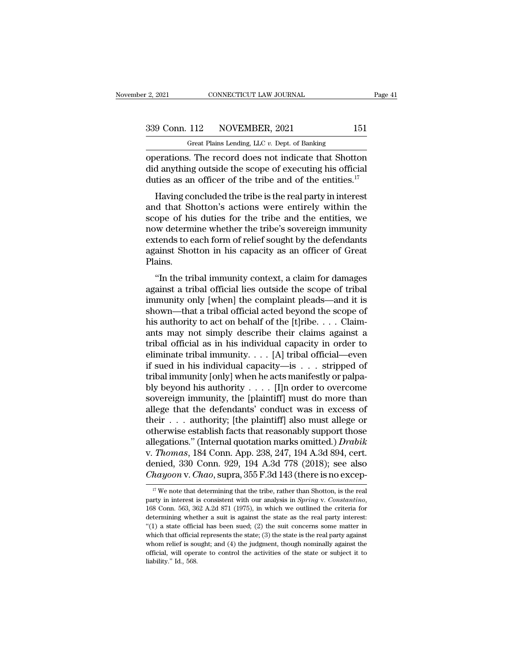F. 2, 2021 CONNECTICUT LAW JOURNAL<br>
Great Plains Lending, LLC *v.* Dept. of Banking<br>
Operations. The record does not indicate that Shotton operations. The record does not indicate that Shotton<br>did anything outside the scope of executing his official<br>duties as an efficient of the tribe and of the entities  $\frac{17}{17}$  $\begin{array}{c} \text{339 Conn. 112} \quad \text{NOVEMBER, 2021} \quad \text{151} \\ \text{Great Plains Lending, LLC } v. \text{ Dept. of Banking} \\ \text{operations. The record does not indicate that Shottom did anything outside the scope of executing his official duties as an officer of the triple and of the entities.<sup>17</sup> \end{array}$ 339 Conn. 112 NOVEMBER, 2021 151<br>
Great Plains Lending, LLC v. Dept. of Banking<br>
operations. The record does not indicate that Shotton<br>
did anything outside the scope of executing his official<br>
duties as an officer of the  $\frac{9 \text{ Conn. } 112}{9 \text{ Grant } \text{Plains Lending, } \text{LLC } v. \text{ Dept. of Banking}}$ <br>
Fractions. The record does not indicate that Shotton<br>
d anything outside the scope of executing his official<br>
ties as an officer of the tribe and of the entities.<sup>17</sup><br>
Ha

Great Plains Lending, LLC  $v$ . Dept. of Banking<br>
operations. The record does not indicate that Shotton<br>
did anything outside the scope of executing his official<br>
duties as an officer of the tribe and of the entities.<sup>17</sup><br> operations. The record does not indicate that Shotton<br>did anything outside the scope of executing his official<br>duties as an officer of the tribe and of the entities.<sup>17</sup><br>Having concluded the tribe is the real party in inte operations. The record does not indicate that shotton<br>did anything outside the scope of executing his official<br>duties as an officer of the tribe and of the entities.<sup>17</sup><br>Having concluded the tribe is the real party in int duties as an officer of the tribe and of the entities.<sup>17</sup><br>Having concluded the tribe is the real party in interest<br>and that Shotton's actions were entirely within the<br>scope of his duties for the tribe and the entities, w Having concluded the tribe and of the entities.<br>Having concluded the tribe is the real party in interest<br>and that Shotton's actions were entirely within the<br>scope of his duties for the tribe and the entities, we<br>now determ Plains. In the tribal immunity context, a claim for damages<br>
in the tribe is sovereign immunity<br>
tends to each form of relief sought by the defendants<br>
ainst Shotton in his capacity as an officer of Great<br>
ains.<br>
"In the tribal im scope of his dutes for the tribe and the entrices, we<br>now determine whether the tribe's sovereign immunity<br>extends to each form of relief sought by the defendants<br>against Shotton in his capacity as an officer of Great<br>Plai

France we are the completed by the defendants<br>against Shotton in his capacity as an officer of Great<br>Plains.<br>"In the tribal immunity context, a claim for damages<br>against a tribal official lies outside the scope of tribal<br>i Extends to each form of fener sought by the detendants<br>against Shotton in his capacity as an officer of Great<br>Plains.<br>"In the tribal immunity context, a claim for damages<br>against a tribal official lies outside the scope of magainst shotton in his capacity as an officer of oreat<br>Plains.<br>"In the tribal immunity context, a claim for damages<br>against a tribal official lies outside the scope of tribal<br>immunity only [when] the complaint pleads—and "In the tribal immunity context, a claim for damages<br>against a tribal official lies outside the scope of tribal<br>immunity only [when] the complaint pleads—and it is<br>shown—that a tribal official acted beyond the scope of<br>hi "In the tribal immunity context, a claim for damages<br>against a tribal official lies outside the scope of tribal<br>immunity only [when] the complaint pleads—and it is<br>shown—that a tribal official acted beyond the scope of<br>hi against a tribal official lies outside the scope of tribal<br>immunity only [when] the complaint pleads—and it is<br>shown—that a tribal official acted beyond the scope of<br>his authority to act on behalf of the [t]ribe. . . . Cl immunity only [when] the complaint pleads—and it is<br>shown—that a tribal official acted beyond the scope of<br>his authority to act on behalf of the [t]ribe. . . . Claim-<br>ants may not simply describe their claims against a<br>tr shown—that a tribal official acted beyond the scope of<br>his authority to act on behalf of the [t]ribe. . . . Claim-<br>ants may not simply describe their claims against a<br>tribal official as in his individual capacity in order his authority to act on behalf of the [t]ribe.... Claim-<br>ants may not simply describe their claims against a<br>tribal official as in his individual capacity in order to<br>eliminate tribal immunity.... [A] tribal official—even ants may not simply describe their claims against a<br>tribal official as in his individual capacity in order to<br>eliminate tribal immunity, . . . [A] tribal official—even<br>if sued in his individual capacity—is . . . stripped tribal official as in his individual capacity in order to<br>eliminate tribal immunity. . . . [A] tribal official—even<br>if sued in his individual capacity—is . . . stripped of<br>tribal immunity [only] when he acts manifestly or eliminate tribal immunity. . . . [A] tribal official—even<br>if sued in his individual capacity—is . . . stripped of<br>tribal immunity [only] when he acts manifestly or palpa-<br>bly beyond his authority . . . . [I]n order to ove if sued in his individual capacity—is  $\dots$  stripped of<br>tribal immunity [only] when he acts manifestly or palpa-<br>bly beyond his authority  $\dots$  [I]n order to overcome<br>sovereign immunity, the [plaintiff] must do more than<br>al tribal immunity [only] when he acts manifestly or palpa-<br>bly beyond his authority . . . . . [I]n order to overcome<br>sovereign immunity, the [plaintiff] must do more than<br>allege that the defendants' conduct was in excess of bly beyond his authority . . . . . [I]n order to overcome<br>sovereign immunity, the [plaintiff] must do more than<br>allege that the defendants' conduct was in excess of<br>their . . . authority; [the plaintiff] also must allege o sovereign immunity, the [plaintiff] must do more than<br>allege that the defendants' conduct was in excess of<br>their . . . authority; [the plaintiff] also must allege or<br>otherwise establish facts that reasonably support those<br> allege that the defendants' conduct was in excess of<br>their . . . authority; [the plaintiff] also must allege or<br>otherwise establish facts that reasonably support those<br>allegations." (Internal quotation marks omitted.) *Dra* 19 Hegations." (Internal quotation marks omitted.) *Drabik*<br>
17 *Thomas*, 184 Conn. App. 238, 247, 194 A.3d 894, cert.<br>
2018, see also<br> *hayoon v. Chao*, supra, 355 F.3d 143 (there is no excep-<br>
<sup>17</sup> We note that determin

v. *Thomas*, 184 Conn. App. 238, 247, 194 A.3d 894, cert.<br>denied, 330 Conn. 929, 194 A.3d 778 (2018); see also<br>*Chayoon* v. *Chao*, supra, 355 F.3d 143 (there is no excep-<br><sup>17</sup> We note that determining that the tribe, rath denied, 330 Conn. 929, 194 A.3d 778 (2018); see also *Chayoon v. Chao*, supra, 355 F.3d 143 (there is no excep-<br>
<sup>17</sup> We note that determining that the tribe, rather than Shotton, is the real party in interest is consiste The method of the state of the supplementation of the substrated of  $\frac{1}{n}$  we note that determining that the tribe, rather than Shotton, is the real party in interest is consistent with our analysis in *Spring* v. *Con* <sup>17</sup> We note that determining that the tribe, rather than Shotton, is the real party in interest is consistent with our analysis in *Spring* v. *Constantino*, 168 Conn. 563, 362 A.2d 871 (1975), in which we outlined the c party in interest is consistent with our analysis in *Spring* v. Constantino, 168 Conn. 563, 362 A.2d 871 (1975), in which we outlined the criteria for determining whether a suit is against the state as the real party int be connected. The state of the state of the control the criteria for determining whether a suit is against the state as the real party interest: "(1) a state official has been sued; (2) the suit concerns some matter in wh determining whether a suit is against the state as the real party interest: "(1) a state official has been sued; (2) the suit concerns some matter in which that official represents the state; (3) the state is the real par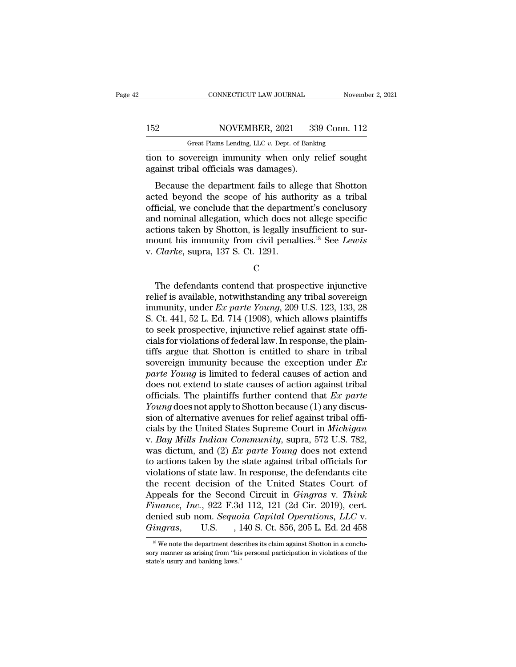|     | CONNECTICUT LAW JOURNAL                            | November 2, 2021 |
|-----|----------------------------------------------------|------------------|
|     |                                                    |                  |
| 152 | NOVEMBER, 2021                                     | 339 Conn. 112    |
|     | Great Plains Lending, LLC $v$ . Dept. of Banking   |                  |
|     | tion to sovereign immunity when only relief sought |                  |

THE CONNECTICUT LAW JOURNAL Movember 2, 202<br>
152 NOVEMBER, 2021 339 Conn. 112<br>
16 Great Plains Lending, LLC v. Dept. of Banking<br>
16 Great Plains Lending, LLC v. Dept. of Banking<br>
16 Great Plains Lending, LLC v. Dept. of Ba 152 NOVEMBER, 2021 33<br>Great Plains Lending, LLC v. Dept. of Banki<br>tion to sovereign immunity when only r<br>against tribal officials was damages).<br>Because the department fails to allege t

NOVEMBER, 2021 339 Conn. 112<br>
Great Plains Lending, LLC v. Dept. of Banking<br>
on to sovereign immunity when only relief sought<br>
ainst tribal officials was damages).<br>
Because the department fails to allege that Shotton<br>
ted 152 NOVEMBER, 2021 339 Conn. 112<br>
Great Plains Lending, LLC v. Dept. of Banking<br>
tion to sovereign immunity when only relief sought<br>
against tribal officials was damages).<br>
Because the department fails to allege that Shot Great Plains Lending, LLC  $v$ . Dept. of Banking<br>tion to sovereign immunity when only relief sought<br>against tribal officials was damages).<br>Because the department fails to allege that Shotton<br>acted beyond the scope of his a tion to sovereign immunity when only relief sought<br>against tribal officials was damages).<br>Because the department fails to allege that Shotton<br>acted beyond the scope of his authority as a tribal<br>official, we conclude that dentified associated beyond the sovereign minimality when only rener sought against tribal officials was damages).<br>Because the department fails to allege that Shotton acted beyond the scope of his authority as a tribal of Because the department fails to allege that Shotton<br>acted beyond the scope of his authority as a tribal<br>official, we conclude that the department's conclusory<br>and nominal allegation, which does not allege specific<br>actions Because the department fails to all<br>acted beyond the scope of his auth<br>official, we conclude that the departm<br>and nominal allegation, which does n<br>actions taken by Shotton, is legally in<br>mount his immunity from civil penal d nominal allegation, which does not allege specific<br>tions taken by Shotton, is legally insufficient to sur-<br>ount his immunity from civil penalties.<sup>18</sup> See *Lewis*<br>*Clarke*, supra, 137 S. Ct. 1291.<br>C<br>The defendants conte

C<sub>c</sub>

actions taken by Shotton, is legally insufficient to sur-<br>mount his immunity from civil penalties.<sup>18</sup> See *Lewis*<br>v. *Clarke*, supra, 137 S. Ct. 1291.<br>C<br>The defendants contend that prospective injunctive<br>relief is availa mount his immunity from civil penalties.<sup>18</sup> See *Lewis*<br>v. *Clarke*, supra, 137 S. Ct. 1291.<br>C<br>The defendants contend that prospective injunctive<br>relief is available, notwithstanding any tribal sovereign<br>immunity, under v. *Clarke*, supra, 137 S. Ct. 1291.<br>
C<br>
The defendants contend that prospective injunctive<br>
relief is available, notwithstanding any tribal sovereign<br>
immunity, under *Ex parte Young*, 209 U.S. 123, 133, 28<br>
S. Ct. 441, C<br>
The defendants contend that prospective injunctive<br>
relief is available, notwithstanding any tribal sovereign<br>
immunity, under *Ex parte Young*, 209 U.S. 123, 133, 28<br>
S. Ct. 441, 52 L. Ed. 714 (1908), which allows pla The defendants contend that prospective injunctive<br>relief is available, notwithstanding any tribal sovereign<br>immunity, under *Ex parte Young*, 209 U.S. 123, 133, 28<br>S. Ct. 441, 52 L. Ed. 714 (1908), which allows plaintiff The defendants contend that prospective injunctive<br>relief is available, notwithstanding any tribal sovereign<br>immunity, under *Ex parte Young*, 209 U.S. 123, 133, 28<br>S. Ct. 441, 52 L. Ed. 714 (1908), which allows plaintiff relief is available, notwithstanding any tribal sovereign<br>immunity, under *Ex parte Young*, 209 U.S. 123, 133, 28<br>S. Ct. 441, 52 L. Ed. 714 (1908), which allows plaintiffs<br>to seek prospective, injunctive relief against st immunity, under *Ex parte Young*, 209 U.S. 123, 133, 28<br> *S.* Ct. 441, 52 L. Ed. 714 (1908), which allows plaintiffs<br>
to seek prospective, injunctive relief against state offi-<br>
cials for violations of federal law. In res S. Ct. 441, 52 L. Ed. 714 (1908), which allows plaintiffs<br>to seek prospective, injunctive relief against state offi-<br>cials for violations of federal law. In response, the plain-<br>tiffs argue that Shotton is entitled to sha to seek prospective, injunctive relief against state officials for violations of federal law. In response, the plaintiffs argue that Shotton is entitled to share in tribal sovereign immunity because the exception under *Ex* cials for violations of federal law. In response, the plaintiffs argue that Shotton is entitled to share in tribal<br>sovereign immunity because the exception under *Ex*<br>*parte Young* is limited to federal causes of action an tiffs argue that Shotton is entitled to share in tribal<br>sovereign immunity because the exception under  $Ex$ <br>parte Young is limited to federal causes of action and<br>does not extend to state causes of action against tribal<br>of sovereign immunity because the exception under  $Ex$ <br>*parte Young* is limited to federal causes of action and<br>does not extend to state causes of action against tribal<br>officials. The plaintiffs further contend that  $Ex$  *part* parte Young is limited to federal causes of action and<br>does not extend to state causes of action against tribal<br>officials. The plaintiffs further contend that *Ex parte*<br>Young does not apply to Shotton because (1) any disc does not extend to state causes of action against tribal<br>officials. The plaintiffs further contend that *Ex parte*<br>Young does not apply to Shotton because (1) any discus-<br>sion of alternative avenues for relief against trib officials. The plaintiffs further contend that  $Ex$  parte Young does not apply to Shotton because (1) any discussion of alternative avenues for relief against tribal officials by the United States Supreme Court in *Michiga* Young does not apply to Shotton because (1) any discussion of alternative avenues for relief against tribal officials by the United States Supreme Court in *Michigan* v. *Bay Mills Indian Community*, supra, 572 U.S. 782, sion of alternative avenues for relief against tribal officials by the United States Supreme Court in *Michigan* v. *Bay Mills Indian Community*, supra, 572 U.S. 782, was dictum, and (2) *Ex parte Young* does not extend t cials by the United States Supreme Court in *Michigan*<br>v. *Bay Mills Indian Community*, supra, 572 U.S. 782,<br>was dictum, and (2) *Ex parte Young* does not extend<br>to actions taken by the state against tribal officials for<br>v *Finance, IIS Finance, IIS Finance, IIS Finance, IIS Finance, IIS Finance, IIS Finance, Inc.*, 922 F.3d 112, 121 (2d Cir. 2019), cert. denied sub nom. *Sequoia Capital Operations, LLC v. Gingras* **Fig.** 710 was dictum, and (2) *Ex parte Young* does not extend<br>to actions taken by the state against tribal officials for<br>violations of state law. In response, the defendants cite<br>the recent decision of the United States Court of<br>Ap to actions taken by the state against tribal officials for<br>violations of state law. In response, the defendants cite<br>the recent decision of the United States Court of<br>Appeals for the Second Circuit in *Gingras* v. *Think*<br> ppeals for the Second Circuit in *Gingras* v. *Think*<br>inance, Inc., 922 F.3d 112, 121 (2d Cir. 2019), cert.<br>enied sub nom. *Sequoia Capital Operations*, *LLC* v.<br>ingras, U.S. , 140 S. Ct. 856, 205 L. Ed. 2d 458<br><sup>18</sup> We not Finance, Inc., 922 F.3d 112, 121 (2d Cir. 2019), cert.<br>denied sub nom. Sequoia Capital Operations, LLC v.<br>Gingras, U.S., 140 S. Ct. 856, 205 L. Ed. 2d 458<br><sup>18</sup> We note the department describes its claim against Shotton in

denied sub nom. Sequoia Capital Operations, LLC v.<br>  $Gingras$ , U.S., 140 S. Ct. 856, 205 L. Ed. 2d 458<br>
<sup>18</sup> We note the department describes its claim against Shotton in a conclusory manner as arising from "his personal part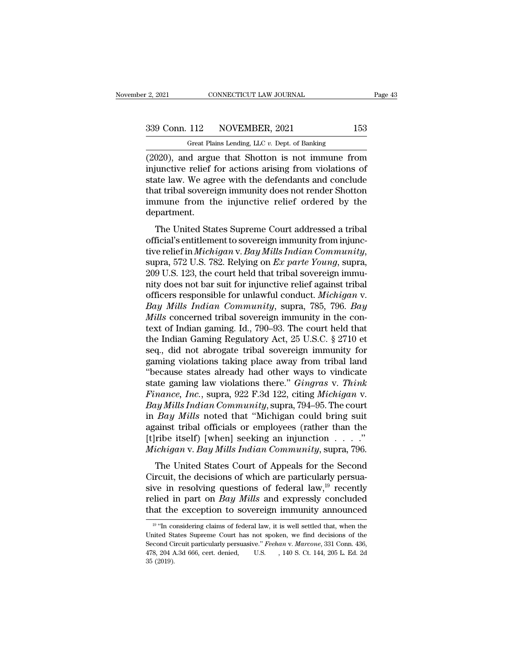F. 2, 2021 CONNECTICUT LAW JOURNAL<br>
Great Plains Lending, LLC *v.* Dept. of Banking<br>
(2020), and argue that Shotton is not immune from (2, 2021 CONNECTICUT LAW JOURNAL Page 43<br>  $\frac{339 \text{ Conn. } 112}{339 \text{ Genn. } 112}$  NOVEMBER, 2021 153<br>  $\frac{339 \text{ Genn. } 112}{339 \text{ Genn. } 112}$  NOVEMBER, 2021 153<br>  $\frac{339 \text{ Genn. } 112}{339 \text{ Genn. } 112}$  argue that Shotton is not immune 339 Conn. 112 NOVEMBER, 2021 153<br>
Great Plains Lending, LLC  $v$ . Dept. of Banking<br>
(2020), and argue that Shotton is not immune from<br>
injunctive relief for actions arising from violations of<br>
state law. We agree with the 339 Conn. 112 NOVEMBER, 2021 153<br>
Great Plains Lending, LLC  $v$ . Dept. of Banking<br>
(2020), and argue that Shotton is not immune from<br>
injunctive relief for actions arising from violations of<br>
state law. We agree with the 339 Conn. 112 NOVEMBER, 2021 153<br>
Great Plains Lending, LLC  $v$ . Dept. of Banking<br>
(2020), and argue that Shotton is not immune from<br>
injunctive relief for actions arising from violations of<br>
state law. We agree with the Great Plains Lending, LLC  $v$ . Dept. of Banking<br>
(2020), and argue that Shotton is not immune from<br>
injunctive relief for actions arising from violations of<br>
state law. We agree with the defendants and conclude<br>
that trib department.  $U_{2OJ}$ , and argue that Shotton is not infinite from<br>iunctive relief for actions arising from violations of<br>tate law. We agree with the defendants and conclude<br>at tribal sovereign immunity does not render Shotton<br>munne f mjunctive rener for actions arising from violations of<br>state law. We agree with the defendants and conclude<br>that tribal sovereign immunity does not render Shotton<br>immune from the injunctive relief ordered by the<br>departmen

state raw. We agree with the defendants and concrider<br>that tribal sovereign immunity does not render Shotton<br>immune from the injunctive relief ordered by the<br>department.<br>The United States Supreme Court addressed a tribal<br>o department.<br>
The United States Supreme Court addressed a tribal<br>
official's entitlement to sovereign immunity from injunc-<br>
tive relief in *Michigan* v. *Bay Mills Indian Community*,<br>
supra, 572 U.S. 782. Relying on *Ex pa* The United States Supreme Court addressed a tribal<br>official's entitlement to sovereign immunity from injunc-<br>tive relief in *Michigan* v. *Bay Mills Indian Community*,<br>supra, 572 U.S. 782. Relying on *Ex parte Young*, supr The United States Supreme Court addressed a tribal<br>official's entitlement to sovereign immunity from injunc-<br>tive relief in *Michigan* v. *Bay Mills Indian Community*,<br>supra, 572 U.S. 782. Relying on *Ex parte Young*, supr official's entitlement to sovereign immunity from injunctive relief in *Michigan v. Bay Mills Indian Community*, supra, 572 U.S. 782. Relying on *Ex parte Young*, supra, 209 U.S. 123, the court held that tribal sovereign i tive relief in *Michigan* v. *Bay Mills Indian Community*, supra, 572 U.S. 782. Relying on *Ex parte Young*, supra, 209 U.S. 123, the court held that tribal sovereign immunity does not bar suit for injunctive relief agains supra, 572 U.S. 782. Relying on *Ex parte Young*, supra, 209 U.S. 123, the court held that tribal sovereign immunity does not bar suit for injunctive relief against tribal officers responsible for unlawful conduct. *Michi* 209 U.S. 123, the court held that tribal sovereign immunity does not bar suit for injunctive relief against tribal<br>officers responsible for unlawful conduct. *Michigan* v.<br>Bay Mills Indian Community, supra, 785, 796. Bay<br>M nity does not bar suit for injunctive relief against tribal<br>officers responsible for unlawful conduct. *Michigan v.*<br>Bay Mills Indian Community, supra, 785, 796. Bay<br>Mills concerned tribal sovereign immunity in the con-<br>te officers responsible for unlawful conduct. *Michigan v.*<br>Bay Mills Indian Community, supra, 785, 796. Bay<br>Mills concerned tribal sovereign immunity in the con-<br>text of Indian gaming. Id., 790–93. The court held that<br>the In Bay Mills Indian Community, supra, 785, 796. Bay<br>
Mills concerned tribal sovereign immunity in the con-<br>
text of Indian gaming. Id., 790–93. The court held that<br>
the Indian Gaming Regulatory Act, 25 U.S.C. § 2710 et<br>
seq. Mills concerned tribal sovereign immunity in the con-<br>text of Indian gaming. Id., 790–93. The court held that<br>the Indian Gaming Regulatory Act, 25 U.S.C. § 2710 et<br>seq., did not abrogate tribal sovereign immunity for<br>gamin rext of Indian gaming. Id., 790–93. The court held that<br>the Indian Gaming Regulatory Act, 25 U.S.C. § 2710 et<br>seq., did not abrogate tribal sovereign immunity for<br>gaming violations taking place away from tribal land<br>"becau the Indian Gaming Regulatory Act, 25 U.S.C. § 2710 et<br>seq., did not abrogate tribal sovereign immunity for<br>gaming violations taking place away from tribal land<br>"because states already had other ways to vindicate<br>state gami seq., did not abrogate tribal sovereign immunity for<br>gaming violations taking place away from tribal land<br>"because states already had other ways to vindicate<br>state gaming law violations there." *Gingras v. Think*<br>Finance, gaming violations taking place away from tribal land<br>
"because states already had other ways to vindicate<br>
state gaming law violations there." *Gingras v. Think*<br>
Finance, Inc., supra, 922 F.3d 122, citing Michigan v.<br>
Bay "because states already had other ways to vindicate<br>state gaming law violations there." *Gingras* v. *Think*<br>*Finance, Inc.*, supra, 922 F.3d 122, citing *Michigan* v.<br>Bay Mills Indian Community, supra, 794–95. The court<br> state gaming law violations there." *Gingras v. Think*<br>*Finance, Inc.*, supra, 922 F.3d 122, citing *Michigan v.*<br>*Bay Mills Indian Community*, supra, 794–95. The court<br>in *Bay Mills* noted that "Michigan could bring suit<br> *Hance, The.*, sapra,  $\sigma$ 22 1:5d 122, etailg *methigan* v.<br>ty *Mills Indian Community*, supra, 794–95. The court<br>*Bay Mills* noted that "Michigan could bring suit<br>ainst tribal officials or employees (rather than the<br>ribe Bay Mills Indian Community, supra, 794–95. The court<br>in Bay Mills noted that "Michigan could bring suit<br>against tribal officials or employees (rather than the<br>[t]ribe itself) [when] seeking an injunction . . . . ."<br>Michig

in *Buy muss* hoced that intentigant coduct of higher<br>against tribal officials or employees (rather than the<br>[t]ribe itself) [when] seeking an injunction  $\ldots$ ."<br>*Michigan v. Bay Mills Indian Community*, supra, 796.<br>The U relief itself) [when] seeking an injunction . . . ."<br>*Michigan* v. *Bay Mills Indian Community*, supra, 796.<br>The United States Court of Appeals for the Second<br>Circuit, the decisions of which are particularly persua-<br>sive i Michigan v. Bay Mills Indian Community, supra, 796.<br>The United States Court of Appeals for the Second<br>Circuit, the decisions of which are particularly persua-<br>sive in resolving questions of federal law,<sup>19</sup> recently<br>relie sive in resolving questions of federal law, <sup>19</sup> recently relied in part on *Bay Mills* and expressly concluded that the exception to sovereign immunity announced  $\frac{19 \text{ H}}{19 \text{ H}}$  considering claims of federal law, it sive in resolving questions of federal law,<sup>19</sup> recently<br>relied in part on *Bay Mills* and expressly concluded<br>that the exception to sovereign immunity announced<br> $\frac{19 \text{ °T}}{19 \text{ °T}}$  considering claims of federal law, i

relied in part on *Bay Mills* and expressly concluded<br>that the exception to sovereign immunity announced<br><sup>19</sup> "In considering claims of federal law, it is well settled that, when the<br>United States Supreme Court has not spo that the exception to sovereign immunity announced<br>
<sup>19</sup> "In considering claims of federal law, it is well settled that, when the<br>
United States Supreme Court has not spoken, we find decisions of the<br>
Second Circuit parti  $^{19}$  "In considering claims of federal law, it is well settled that, when the United States Supreme Court has not spoken, we find decisions of the Second Circuit particularly persuasive." *Feehan v. Marcone*, 331 Conn.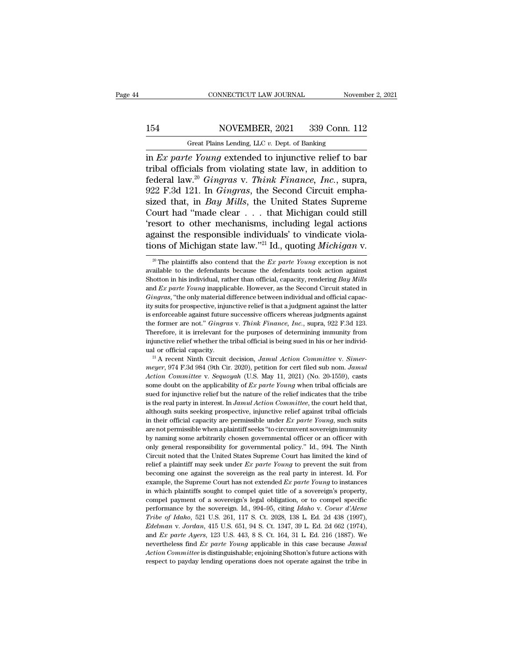### 154 CONNECTICUT LAW JOURNAL November 2, 2021<br>154 NOVEMBER, 2021 339 Conn. 112<br>154 Great Plains Lending, LLC v. Dept. of Banking CONNECTICUT LAW JOURNAL Nov<br>NOVEMBER, 2021 339 Conn. 1<br>Great Plains Lending, LLC *v.* Dept. of Banking<br>is Vouna extended to iniunctive relief to b

CONNECTICUT LAW JOURNAL November 2, 2021<br> **in** *Ex parte Young* extended to injunctive relief to bar<br>
tribal officials from violating state law, in addition to<br>
foderal law <sup>20</sup> *Cineras* v. *Think Finance*, *Inc.* supra 154 NOVEMBER, 2021 339 Conn. 112<br>
Great Plains Lending, LLC v. Dept. of Banking<br>
in *Ex parte Young* extended to injunctive relief to bar<br>
tribal officials from violating state law, in addition to<br>
federal law.<sup>20</sup> *Gingr* Federal Movember, 2021 339 Conn. 112<br>
Great Plains Lending, LLC v. Dept. of Banking<br>
in *Ex parte Young* extended to injunctive relief to bar<br>
tribal officials from violating state law, in addition to<br>
federal law.<sup>20</sup> *Gi* 154 NOVEMBER, 2021 339 Conn. 112<br>
Great Plains Lending, LLC v. Dept. of Banking<br>
in *Ex parte Young* extended to injunctive relief to bar<br>
tribal officials from violating state law, in addition to<br>
federal law.<sup>20</sup> Gingras Great Plains Lending, LLC v. Dept. of Banking<br>in *Ex parte Young* extended to injunctive relief to bar<br>tribal officials from violating state law, in addition to<br>federal law.<sup>20</sup> Gingras v. Think Finance, Inc., supra,<br>922 F Great Plans Lending, LLC v. Dept. of Banking<br>
in *Ex parte Young* extended to injunctive relief to bar<br>
tribal officials from violating state law, in addition to<br>
federal law.<sup>20</sup> Gingras v. Think Finance, Inc., supra,<br>
9 in *Ex parte Young* extended to injunctive relief to bar<br>tribal officials from violating state law, in addition to<br>federal law.<sup>20</sup> *Gingras* v. *Think Finance*, *Inc.*, supra,<br>922 F.3d 121. In *Gingras*, the Second Circu tribal officials from violating state law, in addition to<br>federal law.<sup>20</sup> Gingras v. Think Finance, Inc., supra,<br>922 F.3d 121. In Gingras, the Second Circuit empha-<br>sized that, in *Bay Mills*, the United States Supreme<br>C federal law.<sup>20</sup> *Gingras* v. *Think Finance, Inc.*, supra, 922 F.3d 121. In *Gingras*, the Second Circuit emphasized that, in *Bay Mills*, the United States Supreme Court had "made clear . . . that Michigan could still 'r ourt had "made clear . . . that Michigan could still<br>esort to other mechanisms, including legal actions<br>gainst the responsible individuals' to vindicate viola-<br>ons of Michigan state law."<sup>21</sup> Id., quoting *Michigan* v.<br><sup>20</sup> "resort to other mechanisms, including legal actions against the responsible individuals' to vindicate violations of Michigan state law."<sup>21</sup> Id., quoting *Michigan* v.<br><sup>20</sup> The plaintiffs also contend that the *Ex parte* 

against the responsible individuals' to vindicate violations of Michigan state law."<sup>21</sup> Id., quoting *Michigan* v.<br><sup>20</sup> The plaintiffs also contend that the *Ex parte Young* exception is not available to the defendants b tions of Michigan state law."<sup>21</sup> Id., quoting *Michigan* v.<br>
<sup>20</sup> The plaintiffs also contend that the *Ex parte Young* exception is not<br>
available to the defendants because the defendants took action against<br>
Shotton in <sup>20</sup> The plaintiffs also contend that the *Ex parte Young* exception is not available to the defendants because the defendants took action against Shotton in his individual, rather than official, capacity, rendering *Bay* <sup>20</sup> The plaintiffs also contend that the *Ex parte Young* exception is not available to the defendants because the defendants took action against Shotton in his individual, rather than official, capacity, rendering *Bay* available to the defendants because the defendants took action against Shotton in his individual, rather than official, capacity, rendering *Bay Mills* and *Ex parte Young* inapplicable. However, as the Second Circuit sta Shotton in his individual, rather than official, capacity, rendering *Bay Mills* and *Ex parte Young* inapplicable. However, as the Second Circuit stated in *Gingras*, "the only material difference between individual and o and *Ex parte Young* inapplicable. However, as the Second Circuit stated in *Gingras*, "the only material difference between individual and official capacity suits for prospective, injunctive relief is that a judgment agai Gingras, "the only material difference between individual and official capacity suits for prospective, injunctive relief is that a judgment against the latter is enforceable against future successive officers whereas judg unity suits for prospective, injunctive relief is that a judgment against the latter is enforceable against future successive officers whereas judgments against the former are not." *Gingras* v. *Think Finance, Inc.*, supr *mether former are not." Gingras v. Think Finance, Inc.*, supra, 922 F.3d 123.<br>Therefore, it is irrelevant for the purposes of determining immunity from<br>injunctive relief whether the tribal official is being sued in his or

*Action Committee v. Sequoyah (U.S. May 11, 2021)* (No. 20-1559), casts and dominative relief whether the tribal official is being sued in his or her individual or official capacity.<br><sup>21</sup> A recent Ninth Circuit decision, injunctive relief whether the tribal official is being sued in his or her individual or official capacity.<br><sup>21</sup> A recent Ninth Circuit decision, *Jamul Action Committee v. Simer-<br><i>meyer*, 974 F.3d 984 (9th Cir. 2020), peti sued for official capacity.<br>
<sup>21</sup> A recent Ninth Circuit decision, *Jamul Action Committee v. Simer-*<br>
<sup>21</sup> A recent Ninth Circuit decision, *Jamul Action Committee v. Simer-*<br> *Action Committee v. Sequoyah* (U.S. May 11, <sup>21</sup> A recent Ninth Circuit decision, *Jamul Action Committee* v. *Simer-*<br><sup>21</sup> A recent Ninth Circuit decision, *Jamul Action Committee* v. *Sequoyah* (U.S. May 11, 2021) (No. 20-1559), casts<br>some doubt on the applicabili meyer, 974 F.3d 984 (9th Cir. 2020), petition for cert filed sub nom. *Jamul* Action Committee v. Sequoyah (U.S. May 11, 2021) (No. 20-1559), casts some doubt on the applicability of *Ex parte Young* when tribal officials in their official capacity, such an allowing the applicability of *Ex parte Young* when tribal officials are sued for injunctive relief but the nature of the relief indicates that the tribe is the real party in interest. I some doubt on the applicability of *Ex parte Young* when tribal officials are sued for injunctive relief but the nature of the relief indicates that the tribe is the real party in interest. In *Jamul Action Committee*, th sued for injunctive relief but the nature of the relief indicates that the tribe<br>is the real party in interest. In *Jamul Action Committee*, the court held that,<br>although suits seeking prospective, injunctive relief again sis the real party in interest. In *Jamul Action Committee*, the court held that, although suits seeking prospective, injunctive relief against tribal officials in their official capacity are permissible under *Ex parte Yo* although suits seeking prospective, injunctive relief against tribal officials<br>in their official capacity are permissible under Ex parte Young, such suits<br>are not permissible when a plaintiff seeks "to circumvent sovereig in their official capacity are permissible under *Ex parte Young*, such suits are not permissible when a plaintiff seeks "to circumvent sovereign immunity by naming some arbitrarily chosen governmental officer or an offic are not permissible when a plaintiff seeks "to circumvent sovereign immunity<br>by naming some arbitrarily chosen governmental officer or an officer with<br>only general responsibility for governmental officer or an officer wit by naming some arbitrarily chosen governmental officer or an officer with<br>only general responsibility for governmental officer or an officer with<br>only general responsibility for governmental policy." Id., 994. The Ninth<br>Ci For which plaintiffs sought to compel and biling the solution only general responsibility for governmental policy." Id., 994. The Ninth Circuit noted that the United States Supreme Court has limited the kind of relief a p Circuit noted that the United States Supreme Court has limited the kind of relief a plaintiff may seek under *Ex parte Young* to prevent the suit from becoming one against the sovereign as the real party in interest. Id. erelief a plaintiff may seek under *Ex parte Young* to prevent the suit from becoming one against the sovereign as the real party in interest. Id. For example, the Supreme Court has not extended *Ex parte Young* to instanc **Example, the Sovereign as the real party in interest.** Id. For becoming one against the sovereign as the real party in interest. Id. For example, the Supreme Court has not extended *Ex parte Young* to instances in which p example, the Supreme Court has not extended *Ex parte Young* to instances in which plaintiffs sought to compel quiet title of a sovereign's property, compel payment of a sovereign. Id., 994–95, citing *Idaho* v. *Coeur d'* chample, the supprent of a sovereign's legal obligation, or to compel peerfict<br>in which plaintiffs sought to compel quiet title of a sovereign's property,<br>compel payment of a sovereign. Id., 994–95, citing *Idaho v. Coeur* compel payment of a sovereign's legal obligation, or to compel specific<br>performance by the sovereign. Id., 994–95, citing *Idaho* v. Coeur d'Alene<br>Tribe of Idaho, 521 U.S. 261, 117 S. Ct. 2028, 138 L. Ed. 2d 438 (1997),<br>*E Action Committee* is distinguishable; enjoining *Action Committee is distinguishable*; enjoining *Action Committee is distinguishable*; enjoining Shotton's future actions with energies find *Ex parte Ayers*, 123 U.S. 443, Tribe of Idaho, 521 U.S. 261, 117 S. Ct. 2028, 138 L. Ed. 2d 438 (1997),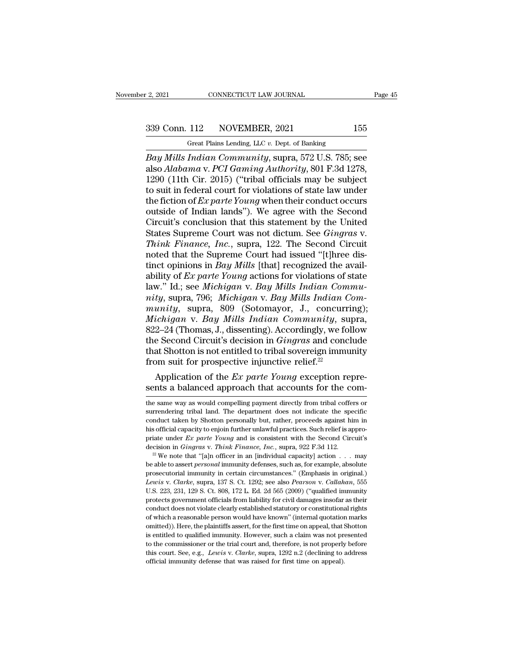Great Plains Lending, LLC *v.* Dept. of Banking *Bay Mills Indian Community*, supra, 572 U.S. 785; see also *Alabama v. PCI Gaming Authority*, 801 F.3d 1278, 1200 (11th Cir. 2015) ("tribal officials may be subject also Conn. 112 NOVEMBER, 2021 155<br>
Great Plains Lending, LLC v. Dept. of Banking<br> *Bay Mills Indian Community*, supra, 572 U.S. 785; see<br>
also *Alabama* v. *PCI Gaming Authority*, 801 F.3d 1278,<br>
1290 (11th Cir. 2015) ("tr 339 Conn. 112 NOVEMBER, 2021 155<br>
Great Plains Lending, LLC v. Dept. of Banking<br>
Bay Mills Indian Community, supra, 572 U.S. 785; see<br>
also Alabama v. PCI Gaming Authority, 801 F.3d 1278,<br>
1290 (11th Cir. 2015) ("tribal o 339 Conn. 112 NOVEMBER, 2021 155<br>
Great Plains Lending, LLC v. Dept. of Banking<br>
Bay Mills Indian Community, supra, 572 U.S. 785; see<br>
also Alabama v. PCI Gaming Authority, 801 F.3d 1278,<br>
1290 (11th Cir. 2015) ("tribal o Grad Plains Lending, LLC v. Dept. of Banking<br> *Bay Mills Indian Community*, supra, 572 U.S. 785; see<br>
also *Alabama* v. *PCI Gaming Authority*, 801 F.3d 1278,<br>
1290 (11th Cir. 2015) ("tribal officials may be subject<br>
to su Great Plains Lending, LLC v. Dept. of Banking<br> *Bay Mills Indian Community*, supra, 572 U.S. 785; see<br>
also Alabama v. PCI Gaming Authority, 801 F.3d 1278,<br>
1290 (11th Cir. 2015) ("tribal officials may be subject<br>
to suit Bay Mills Indian Community, supra, 572 U.S. 785; see<br>also Alabama v. PCI Gaming Authority, 801 F.3d 1278,<br>1290 (11th Cir. 2015) ("tribal officials may be subject<br>to suit in federal court for violations of state law under<br>t also Alabama v. PCI Gaming Authority, 801 F.3d 1278,<br>1290 (11th Cir. 2015) ("tribal officials may be subject<br>to suit in federal court for violations of state law under<br>the fiction of *Ex parte Young* when their conduct occ 1290 (11th Cir. 2015) ("tribal officials may be subject<br>to suit in federal court for violations of state law under<br>the fiction of *Ex parte Young* when their conduct occurs<br>outside of Indian lands"). We agree with the Sec to suit in federal court for violations of state law under<br>the fiction of *Ex parte Young* when their conduct occurs<br>outside of Indian lands"). We agree with the Second<br>Circuit's conclusion that this statement by the Unit the fiction of *Ex parte Young* when their conduct occurs<br>outside of Indian lands"). We agree with the Second<br>Circuit's conclusion that this statement by the United<br>States Supreme Court was not dictum. See *Gingras* v.<br>Thi outside of Indian lands"). We agree with the Second<br>Circuit's conclusion that this statement by the United<br>States Supreme Court was not dictum. See *Gingras v.*<br>Think Finance, Inc., supra, 122. The Second Circuit<br>noted tha Circuit's conclusion that this statement by the United<br>States Supreme Court was not dictum. See *Gingras v.*<br>Think Finance, Inc., supra, 122. The Second Circuit<br>noted that the Supreme Court had issued "[t]hree dis-<br>tinct o States Supreme Court was not dictum. See *Gingras* v.<br> *Think Finance, Inc.*, supra, 122. The Second Circuit<br>
noted that the Supreme Court had issued "[t]hree dis-<br>
tinct opinions in *Bay Mills* [that] recognized the avail *Think Finance, Inc.*, supra, 122. The Second Circuit<br>noted that the Supreme Court had issued "[t]hree dis-<br>tinct opinions in *Bay Mills* [that] recognized the avail-<br>ability of *Ex parte Young* actions for violations of s noted that the Supreme Court had issued "[t]hree distinct opinions in *Bay Mills* [that] recognized the availability of *Ex parte Young* actions for violations of state law." Id.; see *Michigan* v. *Bay Mills Indian Commun* tinct opinions in *Bay Mills* [that] recognized the availability of *Ex parte Young* actions for violations of state law." Id.; see *Michigan v. Bay Mills Indian Community*, supra, 796; *Michigan v. Bay Mills Indian Commun* ability of *Ex parte Young* actions for violations of state<br>law." Id.; see *Michigan v. Bay Mills Indian Community*, supra, 796; *Michigan v. Bay Mills Indian Community*, supra, 809 (Sotomayor, J., concurring);<br>*Michigan v* law." Id.; see Michigan v. Bay Mills Indian Community, supra, 796; Michigan v. Bay Mills Indian Community, supra, 809 (Sotomayor, J., concurring); Michigan v. Bay Mills Indian Community, supra, 822–24 (Thomas, J., dissenti mity, supra, 796; Michigan v. Bay Mills Indian C<br>munity, supra, 809 (Sotomayor, J., concurr<br>Michigan v. Bay Mills Indian Community, st<br>822–24 (Thomas, J., dissenting). Accordingly, we for<br>the Second Circuit's decision in untty, supra, 809 (Sotomayor, J., concurring);<br>ichigan v. Bay Mills Indian Community, supra,<br>2–24 (Thomas, J., dissenting). Accordingly, we follow<br>e Second Circuit's decision in *Gingras* and conclude<br>at Shotton is not ent Michigan v. Bay Mills Indian Community, supra,<br>822–24 (Thomas, J., dissenting). Accordingly, we follow<br>the Second Circuit's decision in *Gingras* and conclude<br>that Shotton is not entitled to tribal sovereign immunity<br>from

from suit for prospective injunctive relief.<sup>22</sup><br>Application of the *Ex parte Young* exception repre-<br>sents a balanced approach that accounts for the com-<br>the same way as would compelling payment directly from tribal coff From suit for prospective injunctive relief.<sup>--</sup><br>Application of the  $Ex$  parte Young exception represents a balanced approach that accounts for the com-<br>the same way as would compelling payment directly from tribal coffers Application of the *Ex parte Young* exception represents a balanced approach that accounts for the com-<br>the same way as would compelling payment directly from tribal coffers or<br>surrendering tribal land. The department doe Example 2013 and approach that accounts for the com-<br>the same way as would compelling payment directly from tribal coffers or<br>surrendering tribal land. The department does not indicate the specific<br>conduct taken by Shotto **EXERT SET ALCOULT SET AND THE CONFIDENT CONFIDENT**<br>the same way as would compelling payment directly from tribal coffers or<br>surrendering tribal land. The department does not indicate the specific<br>conduct taken by Shotton decision in *Gingras* v. *Think Finance, Inc.*, superators in this offers or surrendering tribal land. The department does not indicate the specific conduct taken by Shotton personally but, rather, proceeds against him in conduct taken by Shotton personally but, rather, proceeds against him in<br>bis official capacity to enjoin further unlawful practices. Such relief is appro-<br>priate under *Ex parte Young* and is consistent with the Second Cir

bis official capacity to enjoin further unlawful practices. Such relief is appropriate under *Ex parte Young* and is consistent with the Second Circuit's decision in *Gingras v. Think Finance, Inc.*, supra, 922 F.3d 112.<br> *Lewis* v. *Clarke, supra, 137 S. Ct. 1292; see also <i>Pearson* v. *Callahan, 555* U.S. 223, 231, 129 S. Ct. 808, 172 L. Ed. 2d 565 (2009) ("qualified immunity be allergies by C. 23, 231, 129 S. Ct. 808, 172 L. Ed. 2d 565 ( decision in *Gingras v. Think Finance*, *Inc.*, supra, 922 F.3d 112.<br>
<sup>22</sup> We note that "[a]n officer in an [individual capacity] action . . . may<br>
be able to assert *personal* immunity defenses, such as, for example, abs <sup>22</sup> We note that "[a]n officer in an [individual capacity] action  $\ldots$  may be able to assert *personal* immunity defenses, such as, for example, absolute prosecutorial immunity in certain circumstances." (Emphasis in or be able to assert *personal* immunity defenses, such as, for example, absolute prosecutorial immunity in certain circumstances." (Emphasis in original.) *Lewis v. Clarke*, supra, 137 S. Ct. 1292; see also *Pearson v. Calla* prosecutorial immunity in certain circumstances." (Emphasis in original.)<br>Lewis v. Clarke, supra, 137 S. Ct. 1292; see also Pearson v. Callahan, 555<br>U.S. 223, 231, 129 S. Ct. 808, 172 L. Ed. 2d 565 (2009) ("qualified immu Lewis v. Clarke, supra, 137 S. Ct. 1292; see also Pearson v. Callahan, 555<br>U.S. 223, 231, 129 S. Ct. 808, 172 L. Ed. 2d 565 (2009) ("qualified immunity<br>protects government officials from liability for civil damages insofar LU.S. 223, 231, 129 S. Ct. 808, 172 L. Ed. 2d 565 (2009) ("qualified immunity protects government officials from liability for civil damages insofar as their conduct does not violate clearly established statutory or consti encets government officials from liability for civil damages insofar as their conduct does not violate clearly established statutory or constitutional rights of which a reasonable person would have known" (internal quotat protects government officials from liability for civil damages insofar as their conduct does not violate clearly established statutory or constitutional rights of which a reasonable person would have known" (internal quota of which a reasonable person would have known" (internal quotation marks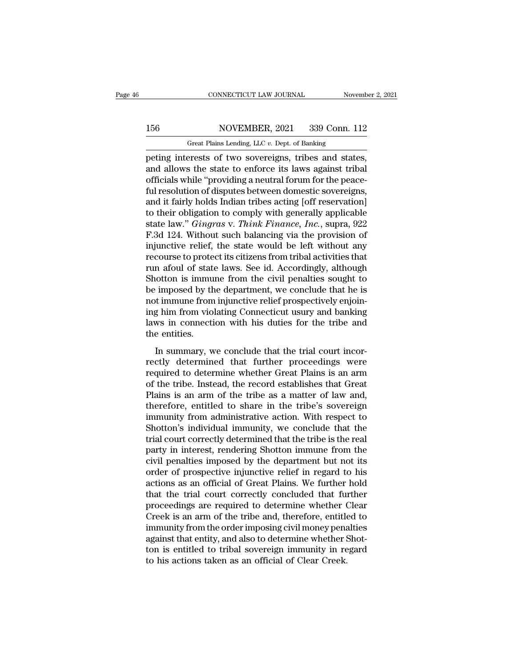# 156 CONNECTICUT LAW JOURNAL November 2, 2021<br>156 NOVEMBER, 2021 339 Conn. 112<br>Great Plains Lending, LLC v. Dept. of Banking

CONNECTICUT LAW JOURNAL November 2, 2021<br>156 NOVEMBER, 2021 339 Conn. 112<br>Great Plains Lending, LLC *v.* Dept. of Banking<br>peting interests of two sovereigns, tribes and states, CONNECTICUT LAW JOURNAL November 2, 2<br>
156 NOVEMBER, 2021 339 Conn. 112<br>
Great Plains Lending, LLC v. Dept. of Banking<br>
peting interests of two sovereigns, tribes and states,<br>
and allows the state to enforce its laws again 156 NOVEMBER, 2021 339 Conn. 112<br>Great Plains Lending, LLC v. Dept. of Banking<br>peting interests of two sovereigns, tribes and states,<br>and allows the state to enforce its laws against tribal<br>officials while "providing a neu 156 NOVEMBER, 2021 339 Conn. 112<br>
Great Plains Lending, LLC  $v$ . Dept. of Banking<br>
peting interests of two sovereigns, tribes and states,<br>
and allows the state to enforce its laws against tribal<br>
officials while "providin 156 NOVEMBER, 2021 339 Conn. 112<br>
Great Plains Lending, LLC  $v$ . Dept. of Banking<br>
peting interests of two sovereigns, tribes and states,<br>
and allows the state to enforce its laws against tribal<br>
officials while "providin Great Plains Lending, LLC v. Dept. of Banking<br>peting interests of two sovereigns, tribes and states,<br>and allows the state to enforce its laws against tribal<br>officials while "providing a neutral forum for the peace-<br>ful res Great Plains Lending, LLC v. Dept. of Banking<br>
peting interests of two sovereigns, tribes and states,<br>
and allows the state to enforce its laws against tribal<br>
officials while "providing a neutral forum for the peace-<br>
ful peting interests of two sovereigns, tribes and states,<br>and allows the state to enforce its laws against tribal<br>officials while "providing a neutral forum for the peace-<br>ful resolution of disputes between domestic sovereign and allows the state to enforce its laws against tribal<br>officials while "providing a neutral forum for the peace-<br>ful resolution of disputes between domestic sovereigns,<br>and it fairly holds Indian tribes acting [off reserv officials while "providing a neutral forum for the peace-<br>ful resolution of disputes between domestic sovereigns,<br>and it fairly holds Indian tribes acting [off reservation]<br>to their obligation to comply with generally appl ful resolution of disputes between domestic sovereigns,<br>and it fairly holds Indian tribes acting [off reservation]<br>to their obligation to comply with generally applicable<br>state law." *Gingras* v. *Think Finance, Inc.*, sup and it fairly holds Indian tribes acting [off reservation]<br>to their obligation to comply with generally applicable<br>state law." *Gingras* v. *Think Finance*, *Inc.*, supra, 922<br>F.3d 124. Without such balancing via the provi to their obligation to comply with generally applicable<br>state law." *Gingras* v. *Think Finance*, *Inc.*, supra, 922<br>F.3d 124. Without such balancing via the provision of<br>injunctive relief, the state would be left without state law." *Gingras* v. *Think Finance, Inc.*, supra, 922<br>F.3d 124. Without such balancing via the provision of<br>injunctive relief, the state would be left without any<br>recourse to protect its citizens from tribal activitie F.3d 124. Without such balancing via the provision of<br>injunctive relief, the state would be left without any<br>recourse to protect its citizens from tribal activities that<br>run afoul of state laws. See id. Accordingly, althou injunctive relief, the state would be left without any<br>recourse to protect its citizens from tribal activities that<br>run afoul of state laws. See id. Accordingly, although<br>Shotton is immune from the civil penalties sought t recourse to protect its citizens from tribal activities that<br>run afoul of state laws. See id. Accordingly, although<br>Shotton is immune from the civil penalties sought to<br>be imposed by the department, we conclude that he is<br> run afoul of state<br>Shotton is immu<br>be imposed by th<br>not immune from<br>ing him from viol<br>laws in connecti<br>the entities.<br>In summary, w Imposed by the department, we conclude that he is<br>imposed by the department, we conclude that he is<br>timmume from injunctive relief prospectively enjoin-<br>g him from violating Connecticut usury and banking<br>ws in connection w rectly determined that further Great Plains is an arm<br>of immune from injunctive relief prospectively enjoin-<br>ing him from violating Connecticut usury and banking<br>laws in connection with his duties for the tribe and<br>the ent

required to determine the prospectively enjoint<br>ling him from violating Connecticut usury and banking<br>laws in connection with his duties for the tribe and<br>the entities.<br>In summary, we conclude that the trial court incor-<br>r Iaws in connection with his duties for the tribe and<br>the entities.<br>In summary, we conclude that the trial court incor-<br>rectly determined that further proceedings were<br>required to determine whether Great Plains is an arm<br>of The entities.<br>
In summary, we conclude that the trial court incor-<br>
rectly determined that further proceedings were<br>
required to determine whether Great Plains is an arm<br>
of the tribe. Instead, the record establishes that In summary, we conclude that the trial court incorrectly determined that further proceedings were required to determine whether Great Plains is an arm of the tribe. Instead, the record establishes that Great Plains is an a In summary, we conclude that the trial court incor-<br>rectly determined that further proceedings were<br>required to determine whether Great Plains is an arm<br>of the tribe. Instead, the record establishes that Great<br>Plains is an rectly determined that further proceedings were<br>required to determine whether Great Plains is an arm<br>of the tribe. Instead, the record establishes that Great<br>Plains is an arm of the tribe as a matter of law and,<br>therefore, required to determine whether Great Plains is an arm<br>of the tribe. Instead, the record establishes that Great<br>Plains is an arm of the tribe as a matter of law and,<br>therefore, entitled to share in the tribe's sovereign<br>immu of the tribe. Instead, the record establishes that Great<br>Plains is an arm of the tribe as a matter of law and,<br>therefore, entitled to share in the tribe's sovereign<br>immunity from administrative action. With respect to<br>Shot Plains is an arm of the tribe as a matter of law and,<br>therefore, entitled to share in the tribe's sovereign<br>immunity from administrative action. With respect to<br>Shotton's individual immunity, we conclude that the<br>trial cou therefore, entitled to share in the tribe's sovereign<br>immunity from administrative action. With respect to<br>Shotton's individual immunity, we conclude that the<br>trial court correctly determined that the tribe is the real<br>par immunity from administrative action. With respect to<br>Shotton's individual immunity, we conclude that the<br>trial court correctly determined that the tribe is the real<br>party in interest, rendering Shotton immune from the<br>civi Shotton's individual immunity, we conclude that the<br>trial court correctly determined that the tribe is the real<br>party in interest, rendering Shotton immune from the<br>civil penalties imposed by the department but not its<br>ord trial court correctly determined that the tribe is the real<br>party in interest, rendering Shotton immune from the<br>civil penalties imposed by the department but not its<br>order of prospective injunctive relief in regard to his party in interest, rendering Shotton immune from the<br>civil penalties imposed by the department but not its<br>order of prospective injunctive relief in regard to his<br>actions as an official of Great Plains. We further hold<br>tha civil penalties imposed by the department but not its<br>order of prospective injunctive relief in regard to his<br>actions as an official of Great Plains. We further hold<br>that the trial court correctly concluded that further<br>pr order of prospective injunctive relief in regard to his<br>actions as an official of Great Plains. We further hold<br>that the trial court correctly concluded that further<br>proceedings are required to determine whether Clear<br>Cree actions as an official of Great Plains. We further hold<br>that the trial court correctly concluded that further<br>proceedings are required to determine whether Clear<br>Creek is an arm of the tribe and, therefore, entitled to<br>imm that the trial court correctly concluded that furty<br>proceedings are required to determine whether (<br>Creek is an arm of the tribe and, therefore, entitle<br>immunity from the order imposing civil money pena<br>against that entity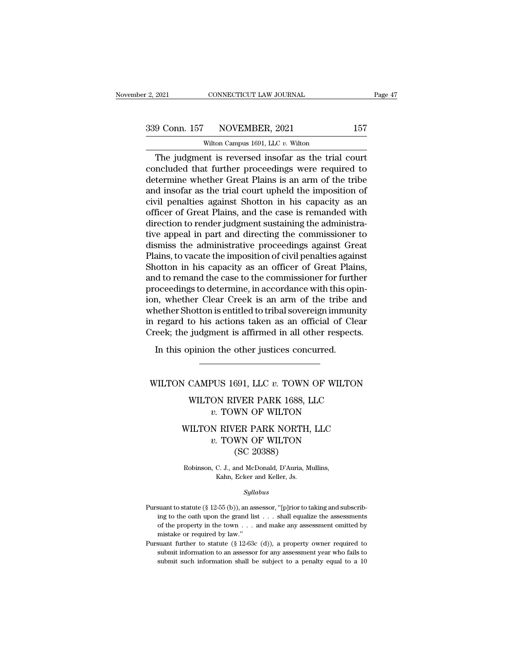CONNECTICUT LAW JOURNAL<br>NOVEMBER, 2021<br>Wilton Campus 1691, LLC *v.* Wilton<br>nt is reversed insofar as the trial Fage 4<br>
9 Conn. 157 NOVEMBER, 2021 157<br>
Wilton Campus 1691, LLC v. Wilton<br>
The judgment is reversed insofar as the trial court<br>
ncluded that further proceedings were required to<br>
termine whether Great Plains is an arm of t  $\begin{array}{c|c} \text{339 Conn. 157} & \text{NOVEMBER, 2021} & \text{157} \\ \hline \text{Wilton Campus 1691, LLC } v. \text{Wilton} \\ \hline \end{array}$  The judgment is reversed insofar as the trial court concluded that further proceedings were required to determine whether Great Plains is  $\begin{array}{c|c} \text{339 Conn. 157} & \text{NOVEMBER, 2021} & \text{157} \\ \hline \text{Without Campus 1691, LLC } v. \text{ Without}\\ \hline \text{The judgment is reversed insofar as the trial court} \\ \text{concluded that further proceedings were required to determine whether Great Plains is an arm of the triple} \\ \text{and insofar as the trial court upheld the imposition of} \\ \text{civil nonalties against Shotten in his capacity as an} \end{array}$ 339 Conn. 157 NOVEMBER, 2021 157<br>
Wilton Campus 1691, LLC  $v$ . Wilton<br>
The judgment is reversed insofar as the trial court<br>
concluded that further proceedings were required to<br>
determine whether Great Plains is an arm of Wilton Campus 1691, LLC v. Wilton<br>The judgment is reversed insofar as the trial court<br>concluded that further proceedings were required to<br>determine whether Great Plains is an arm of the tribe<br>and insofar as the trial cour Witten Campus 1691, LLC v. Witton<br>
The judgment is reversed insofar as the trial court<br>
concluded that further proceedings were required to<br>
determine whether Great Plains is an arm of the tribe<br>
and insofar as the trial c The judgment is reversed insofar as the trial court<br>concluded that further proceedings were required to<br>determine whether Great Plains is an arm of the tribe<br>and insofar as the trial court upheld the imposition of<br>civil pe concluded that further proceedings were required to<br>determine whether Great Plains is an arm of the tribe<br>and insofar as the trial court upheld the imposition of<br>civil penalties against Shotton in his capacity as an<br>office determine whether Great Plains is an arm of the tribe<br>and insofar as the trial court upheld the imposition of<br>civil penalties against Shotton in his capacity as an<br>officer of Great Plains, and the case is remanded with<br>dir and insofar as the trial court upheld the imposition of<br>civil penalties against Shotton in his capacity as an<br>officer of Great Plains, and the case is remanded with<br>direction to render judgment sustaining the administra-<br>t civil penalties against Shotton in his capacity as an officer of Great Plains, and the case is remanded with direction to render judgment sustaining the administrative appeal in part and directing the commissioner to dismi officer of Great Plains, and the case is remanded with<br>direction to render judgment sustaining the administra-<br>tive appeal in part and directing the commissioner to<br>dismiss the administrative proceedings against Great<br>Plai direction to render judgment sustaining the administrative appeal in part and directing the commissioner to dismiss the administrative proceedings against Great Plains, to vacate the imposition of civil penalties against S tive appeal in part and directing the commissioner to<br>dismiss the administrative proceedings against Great<br>Plains, to vacate the imposition of civil penalties against<br>Shotton in his capacity as an officer of Great Plains,<br> dismiss the administrative proceedings against Great<br>Plains, to vacate the imposition of civil penalties against<br>Shotton in his capacity as an officer of Great Plains,<br>and to remand the case to the commissioner for further Plains, to vacate the imposition of civil penalties against<br>Shotton in his capacity as an officer of Great Plains,<br>and to remand the case to the commissioner for further<br>proceedings to determine, in accordance with this op Shotton in his capacity as an officer of Great Plains,<br>and to remand the case to the commissioner for further<br>proceedings to determine, in accordance with this opin-<br>ion, whether Clear Creek is an arm of the tribe and<br>whet In this opinion the other justices concurred.<br>In this open with this open with this open with the Clear Creek is an arm of the tribe a<br>nether Shotton is entitled to tribal sovereign immun<br>regard to his actions taken as an In regard to his actions taken as an official of Clear<br>
Yreek; the judgment is affirmed in all other respects.<br>
In this opinion the other justices concurred.<br>
WILTON CAMPUS 1691, LLC *v*. TOWN OF WILTON<br>
WILTON RIVER PARK

## %)<br>pinion the other justices concurred.<br>CAMPUS 1691, LLC  $v$ . TOWN OF WILTON<br>WILTON RIVER PARK 1688, LLC<br> $v$ . TOWN OF WILTON m the other justices concurred.<br> **v. TOWN OF WILTON**<br> **v. TOWN OF WILTON**<br> **v. TOWN OF WILTON**<br> **v. TOWN OF WILTON**<br> **N RIVER PARK NORTH, LLC**

### VALUATION RIVER PARK 1688, LLC <br>
WILTON RIVER PARK 1688, LLC <br>
WILTON RIVER PARK NORTH, LLC <br>
WILTON RIVER PARK NORTH, LLC <br>
WILTON CSC 20289) PUS 1691, LLC *v.* TOWN OF WILTON<br>ON RIVER PARK 1688, LLC<br>*v.* TOWN OF WILTON<br>N RIVER PARK NORTH, LLC<br>*v.* TOWN OF WILTON<br>(SC 20388) 691, LLC v. TOWN<br>IVER PARK 1688, I<br>WN OF WILTON<br>ER PARK NORTH,<br>WN OF WILTON<br>(SC 20388)<br>and McDonald, D'Auria, M WILTON RIVER PARK NORTH, LLC<br>
v. TOWN OF WILTON<br>
(SC 20388)<br>
Robinson, C. J., and McDonald, D'Auria, Mullins,<br>
Kahn, Ecker and Keller, Js. RIVER PARK NORTH,<br>
TOWN OF WILTON<br>
(SC 20388)<br>
C. J., and McDonald, D'Auria, M<br>
Kahn, Ecker and Keller, Js.<br>
Sallabus

### *Syllabus*

Robinson, C. J., and McDonald, D'Auria, Mullins,<br>Kahn, Ecker and Keller, Js.<br>Syllabus<br>Pursuant to statute (§ 12-55 (b)), an assessor, "[p]rior to taking and subscribing to the oath upon the grand list  $\dots$  shall equalize From Kahn, Ecker and Keller, Js.<br>
Kahn, Ecker and Keller, Js.<br>
Syllabus<br>
suant to statute (§ 12-55 (b)), an assessor, "[p]rior to taking and subscribing to the oath upon the grand list . . . shall equalize the assessments Fig.  $Syllabus$ <br>Syllabus<br>suant to statute (§ 12-55 (b)), an assessor, "[p]rior to taking and subscribing to the oath upon the grand list  $\ldots$  shall equalize the assessments of the property in the town  $\ldots$  and make any asses  $Syll_8$ <br>suant to statute (§ 12-55 (b)), an as<br>ing to the oath upon the grand lis<br>of the property in the town  $\dots$ <br>mistake or required by law.''<br>suant further to statute (§ 12-63 $\alpha$ Pursuant to statute (§ 12-55 (b)), an assessor, "[p]rior to taking and subscribing to the oath upon the grand list . . . shall equalize the assessments of the property in the town . . . and make any assessment omitted by suant to statute (§ 12-55 (b)), an assessor, "[p]rior to taking and subscribing to the oath upon the grand list . . . shall equalize the assessments of the property in the town . . . and make any assessment omitted by mis ing to the oath upon the grand list  $\ldots$  shall equalize the assessments of the property in the town  $\ldots$  and make any assessment omitted by mistake or required by law."<br>suant further to statute (§ 12-63c (d)), a propert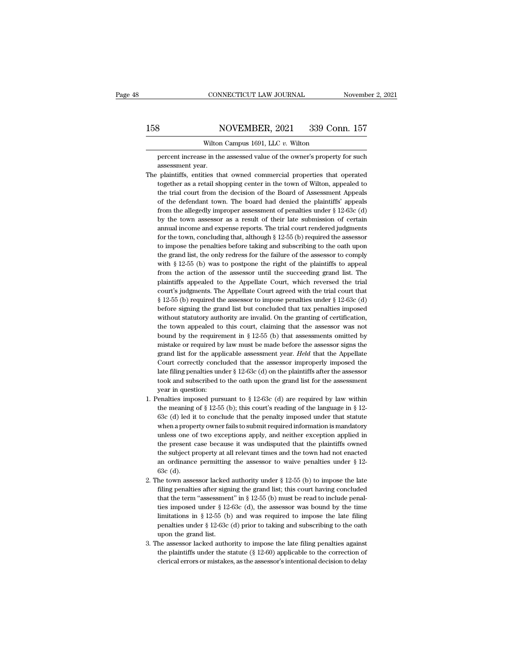### 158 CONNECTICUT LAW JOURNAL November 2, 2021<br>158 NOVEMBER, 2021 339 Conn. 157<br>Wilton Campus 1691, LLC v. Wilton CONNECTICUT LAW JOURNAL<br>NOVEMBER, 2021 339 Con<br>Wilton Campus 1691, LLC *v.* Wilton<br>e in the assessed value of the owner's property

NOVEMBER, 2021 339 Conn. 157<br>Wilton Campus 1691, LLC v. Wilton<br>percent increase in the assessed value of the owner's property for such<br>assessment year. **a**<br> **assessment**<br> **assessment**<br> **year.**<br> **plaintiffs, entities then** 

- 158 NOVEMBER, 2021 339 Conn. 157<br>Wilton Campus 1691, LLC v. Wilton<br>percent increase in the assessed value of the owner's property for such<br>assessment year.<br>The plaintiffs, entities that owned commercial properties that ope Wilton Campus 1691, LLC  $v$ . Wilton<br>percent increase in the assessed value of the owner's property for such<br>assessment year.<br>plaintiffs, entities that owned commercial properties that operated<br>together as a retail shoppin Wilton Campus 1691, LLC  $v$ . Wilton<br>percent increase in the assessed value of the owner's property for such<br>assessment year.<br>plaintiffs, entities that owned commercial properties that operated<br>together as a retail shoppin percent increase in the assessed value of the owner's property for such assessment year.<br>
plaintiffs, entities that owned commercial properties that operated<br>
together as a retail shopping center in the town of Wilton, app assessment year.<br>
plaintiffs, entities that owned commercial properties that operated<br>
together as a retail shopping center in the town of Wilton, appealed to<br>
the trial court from the decision of the Board of Assessment plaintiffs, entities that owned commercial properties that operated together as a retail shopping center in the town of Wilton, appealed to the trial court from the decision of the Board of Assessment Appeals of the defen together as a retail shopping center in the town of Wilton, appealed to the trial court from the decision of the Board of Assessment Appeals of the defendant town. The board had denied the plaintiffs' appeals from the all the trial court from the decision of the Board of Assessment Appeals<br>of the defendant town. The board had denied the plaintiffs' appeals<br>from the allegedly improper assessment of penalties under § 12-63c (d)<br>by the town as of the defendant town. The board had denied the plaintiffs' appeals<br>from the allegedly improper assessment of penalties under  $\S 12-63c$  (d)<br>by the town assessor as a result of their late submission of certain<br>annual inco from the allegedly improper assessment of penalties under  $\S$  12-63c (d) by the town assessor as a result of their late submission of certain annual income and expense reports. The trial court rendered judgments for the t by the town assessor as a result of their late submission of certain annual income and expense reports. The trial court rendered judgments for the town, concluding that, although  $\S 12-55$  (b) required the assessor to imp annual income and expense reports. The trial court rendered judgments for the town, concluding that, although  $\S$  12-55 (b) required the assessor to impose the penalties before taking and subscribing to the oath upon the for the town, concluding that, although  $\S$  12-55 (b) required the assessor to impose the penalties before taking and subscribing to the oath upon the grand list, the only redress for the failure of the assessor to comply to impose the penalties before taking and subscribing to the oath upon<br>the grand list, the only redress for the failure of the assessor to comply<br>with § 12-55 (b) was to postpone the right of the plaintiffs to appeal<br>from the grand list, the only redress for the failure of the assessor to comply with  $\S$  12-55 (b) was to postpone the right of the plaintiffs to appeal from the action of the assessor until the succeeding grand list. The plai with § 12-55 (b) was to postpone the right of the plaintiffs to appeal<br>from the action of the assessor until the succeeding grand list. The<br>plaintiffs appealed to the Appellate Court, which reversed the trial<br>court's judg from the action of the assessor until the succeeding grand list. The plaintiffs appealed to the Appellate Court, which reversed the trial court's judgments. The Appellate Court agreed with the trial court that  $\S$  12-55 ( plaintiffs appealed to the Appellate Court, which reversed the trial court's judgments. The Appellate Court agreed with the trial court that  $\S$  12-55 (b) required the assessor to impose penalties under  $\S$  12-63c (d) bef court's judgments. The Appellate Court agreed with the trial court that  $\S$  12-55 (b) required the assessor to impose penalties under  $\S$  12-63c (d) before signing the grand list but concluded that tax penalties imposed w § 12-55 (b) required the assessor to impose penalties under § 12-63c (d) before signing the grand list but concluded that tax penalties imposed without statutory authority are invalid. On the granting of certification, th before signing the grand list but concluded that tax penalties imposed without statutory authority are invalid. On the granting of certification, the town appealed to this court, claiming that the assessor was not bound by without statutory authority are invalid. On the granting of certification, the town appealed to this court, claiming that the assessor was not bound by the requirement in  $\S 12-55$  (b) that assessments omitted by mistake the town appealed to this court, claiming that the assessor was not bound by the requirement in  $\S 12-55$  (b) that assessments omitted by mistake or required by law must be made before the assessor signs the grand list fo bound by the requirement in § 12-55 (b) that assessments omitted by mistake or required by law must be made before the assessor signs the grand list for the applicable assessment year. *Held* that the Appellate Court corr % grand list for the applicable assessment year. Held that the Appellate<br>Court correctly concluded that the assessor improperly imposed the<br>late filing penalties under § 12-63c (d) on the plaintiffs after the assessor<br>too grand list for the applicable assessment year. *Held* that the Appellate<br>Court correctly concluded that the assessor improperly imposed the<br>late filing penalties under § 12-63c (d) on the plaintiffs after the assessor<br>too Court correctly concluded that the assessor improperly imposed the late filing penalties under § 12-63c (d) on the plaintiffs after the assessor took and subscribed to the oath upon the grand list for the assessment year
- late filing penalties under § 12-63c (d) on the plaintiffs after the assessor took and subscribed to the oath upon the grand list for the assessment year in question:<br>enalties imposed pursuant to § 12-63c (d) are required took and subscribed to the oath upon the grand list for the assessment<br>year in question:<br>enalties imposed pursuant to  $\S$  12-63c (d) are required by law within<br>the meaning of  $\S$  12-55 (b); this court's reading of the lan year in question:<br>
enalties imposed pursuant to  $\S$  12-63c (d) are required by law within<br>
the meaning of  $\S$  12-55 (b); this court's reading of the language in  $\S$  12-<br>
63c (d) led it to conclude that the penalty imposed enalties imposed pursuant to  $\S$  12-63c (d) are required by law within<br>the meaning of  $\S$  12-55 (b); this court's reading of the language in  $\S$  12-<br>63c (d) led it to conclude that the penalty imposed under that statute<br>w the meaning of  $\S$  12-55 (b); this court's reading of the language in  $\S$  12-63c (d) led it to conclude that the penalty imposed under that statute when a property owner fails to submit required information is mandatory u 63c (d) led it to conclude that the penalty imposed under that statute when a property owner fails to submit required information is mandatory unless one of two exceptions apply, and neither exception applied in the prese 63c (d) led it to conclude that the penalty imposed under that statute<br>when a property owner fails to submit required information is mandatory<br>unless one of two exceptions apply, and neither exception applied in<br>the prese unless one of two exceptions apply, and neither exception applied in<br>the present case because it was undisputed that the plaintiffs owned<br>the subject property at all relevant times and the town had not enacted<br>an ordinanc the present case because it was undisputed that the plaintiffs owned<br>the subject property at all relevant times and the town had not enacted<br>an ordinance permitting the assessor to waive penalties under  $\S$  12-<br>63c (d).<br>h
- the subject property at all relevant times and the town had not enacted<br>an ordinance permitting the assessor to waive penalties under § 12-<br>63c (d).<br>he town assessor lacked authority under § 12-55 (b) to impose the late<br>f an ordinance permitting the assessor to waive penalties under § 12-63c (d).<br>he town assessor lacked authority under § 12-55 (b) to impose the late<br>filing penalties after signing the grand list; this court having concluded 63c (d).<br>he town assessor lacked authority under § 12-55 (b) to impose the late<br>filing penalties after signing the grand list; this court having concluded<br>that the term "assessment" in § 12-55 (b) must be read to include he town assessor lacked authority under § 12-55 (b) to impose the late filing penalties after signing the grand list; this court having concluded that the term "assessment" in § 12-55 (b) must be read to include penalties ties imposed under § 12-63c (d), the assessor was bound by the time<br>limitations in § 12-55 (b) and was required to impose the late filing<br>penalties under § 12-63c (d) prior to taking and subscribing to the oath<br>upon the g that the term "assessment" in § 12-55 (b) must be read to include penalties imposed under § 12-63c (d), the assessor was bound by the time limitations in § 12-55 (b) and was required to impose the late filing penalties un ties imposed under  $\S$  12-63c (d), the assessor was bound by the time<br>limitations in  $\S$  12-55 (b) and was required to impose the late filing<br>penalties under  $\S$  12-63c (d) prior to taking and subscribing to the oath<br>upon
- penalties under  $\S$  12-63c (d) prior to taking and subscribing to the oath<br>upon the grand list.<br>The assessor lacked authority to impose the late filing penalties against<br>the plaintiffs under the statute ( $\S$  12-60) applic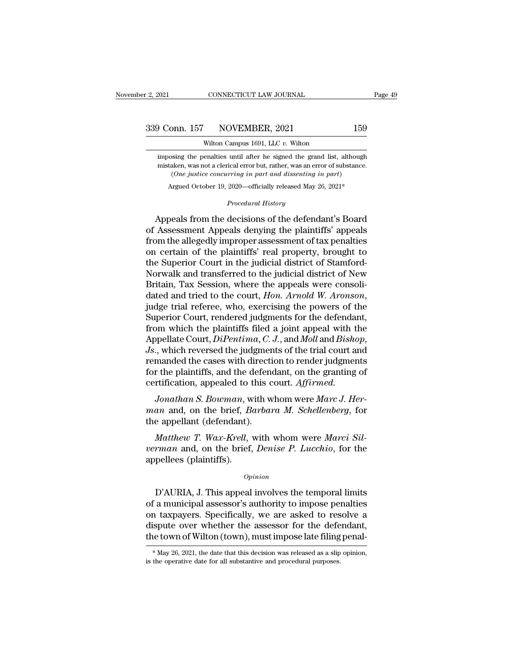CONNECTICUT LAW JOURNAL<br>NOVEMBER, 2021<br>Wilton Campus 1691, LLC *v.* Wilton<br>enalties until after he signed the grand list, a **imposing the penalties until after he signed the grand list, although mistaken, was not a clerical error but, rather, was an error of substance. 159**<br>
Wilton Campus 1691, LLC  $v$ . Wilton<br>
imposing the penalties until after he signed the grand list, although<br>
mistaken, was not a clerical error but, rather, was an error of substance.<br>
(One justice concurring in par ord. 157 NOVEMBER, 2021 159<br>Wilton Campus 1691, LLC v. Wilton<br>Sing the penalties until after he signed the grand list, although<br>aken, was not a clerical error but, rather, was an error of substance<br>(*One justice concurring* Wilton Campus 1691, LLC v. Wilton<br>
oosing the penalties until after he signed the grand list, although<br>
taken, was not a clerical error but, rather, was an error of substance.<br>
(One justice concurring in part and dissentin until after he signed the gramical error but, rather, was an error but, rather, was an error *in part and dissenting* is 2020—officially released May 2<br>*Procedural History* 

imposing the penalties until after he signed the grand list, although<br>mistaken, was not a clerical error but, rather, was an error of substance.<br>(One justice concurring in part and dissenting in part)<br>Argued October 19, 2 mistaken, was not a clerical error but, rather, was an error of substance.<br>
(One justice concurring in part and dissenting in part)<br>
Argued October 19, 2020—officially released May 26, 2021\*<br>
Procedural History<br>
Appeals fr From the allegedly improvement of the sum of the sum of the sum of the decisions of the defendant's Board of Assessment Appeals denying the plaintiffs' appeals from the allegedly improper assessment of tax penalties on ce Argued October 19, 2020—officially released May 26, 2021\*<br>
Procedural History<br>
Appeals from the decisions of the defendant's Board<br>
of Assessment Appeals denying the plaintiffs' appeals<br>
from the allegedly improper assessm *Procedural History*<br>Appeals from the decisions of the defendant's Board<br>of Assessment Appeals denying the plaintiffs' appeals<br>from the allegedly improper assessment of tax penalties<br>on certain of the plaintiffs' real prop Appeals from the decisions of the defendant's Board<br>of Assessment Appeals denying the plaintiffs' appeals<br>from the allegedly improper assessment of tax penalties<br>on certain of the plaintiffs' real property, brought to<br>the Appeals from the decisions of the defendant's Board<br>of Assessment Appeals denying the plaintiffs' appeals<br>from the allegedly improper assessment of tax penalties<br>on certain of the plaintiffs' real property, brought to<br>the of Assessment Appeals denying the plaintiffs' appeals<br>from the allegedly improper assessment of tax penalties<br>on certain of the plaintiffs' real property, brought to<br>the Superior Court in the judicial district of Stamfordon certain of the plaintiffs' real property, brought to<br>the Superior Court in the judicial district of Stamford-<br>Norwalk and transferred to the judicial district of New<br>Britain, Tax Session, where the appeals were consoli the Superior Court in the judicial district of Stamford-<br>Norwalk and transferred to the judicial district of New<br>Britain, Tax Session, where the appeals were consoli-<br>dated and tried to the court, *Hon. Arnold W. Aronson*, Norwalk and transferred to the judicial district of New<br>Britain, Tax Session, where the appeals were consoli-<br>dated and tried to the court, *Hon. Arnold W. Aronson*,<br>judge trial referee, who, exercising the powers of the<br>S dated and tried to the court, *Hon. Arnold W. Aronson*,<br>judge trial referee, who, exercising the powers of the<br>Superior Court, rendered judgments for the defendant,<br>from which the plaintiffs filed a joint appeal with the<br>A judge trial referee, who, exercising the powers of the Superior Court, rendered judgments for the defendant, from which the plaintiffs filed a joint appeal with the Appellate Court, *DiPentima*, *C. J.*, and *Moll* and *Bi* Superior Court, rendered judgments for the defendar<br>from which the plaintiffs filed a joint appeal with tl<br>Appellate Court, *DiPentima*, *C*. *J*., and *Moll* and *Bisho*<br>*Js.*, which reversed the judgments of the trial co *Jonathan S. Bowman*, *C. J.*, and *Moll* and *Bishop*,<br> *J.* which reversed the judgments of the trial court and<br>
manded the cases with direction to render judgments<br>
r the plaintiffs, and the defendant, on the granting o *Mappenate Court, Diremina, C. J., and mou and Bishop,*<br>*Js.*, which reversed the judgments of the trial court and<br>remanded the cases with direction to render judgments<br>for the plaintiffs, and the defendant, on the grantin both, which reversed the judgment<br>remanded the cases with directification, appealed to this contrification, appealed to this contract<br>*Jonathan S. Bowman*, with w<br>man and, on the brief, *Barban*<br>the appellant (defendant).<br>

*Mather increases and the defendant, on the granting of* rtification, appealed to this court. *Affirmed.*<br> *Jonathan S. Bowman*, with whom were *Marc J. Her-*<br> *Mathew T. Wax-Krell*, with whom were *Marci Sil-*<br> *Matthew T* Jonathan S. Bowman, w<br>man and, on the brief, B<br>the appellant (defendant).<br>Matthew T. Wax-Krell, v<br>verman and, on the brief,<br>appellees (plaintiffs).

*vertification, appealed to this court. Affirmed.*<br>*Jonathan S. Bowman,* with whom were *Marc J. Herman* and, on the brief, *Barbara M. Schellenberg*, for the appellant (defendant).<br>*Matthew T. Wax-Krell*, with whom were Matthew T. Wax-Krell, with whom were Marci Sil-<br>
rman and, on the brief, Denise P. Lucchio, for the<br>
pellees (plaintiffs).<br>  $\frac{1}{2}$ <br>  $\frac{1}{2}$ <br>  $\frac{1}{2}$ <br>
D'AURIA, J. This appeal involves the temporal limits<br>
a municipa

### *Opinion*

Matthew T. Wax-Krell, with whom were Marci Silverman and, on the brief, Denise P. Lucchio, for the<br>appellees (plaintiffs).<br>Opinion<br>D'AURIA, J. This appeal involves the temporal limits<br>of a municipal assessor's authority to verman and, on the brief, *Denise P. Lucchio*, for the<br>appellees (plaintiffs).<br>Opinion<br>D'AURIA, J. This appeal involves the temporal limits<br>of a municipal assessor's authority to impose penalties<br>on taxpayers. Specifically opinion<br>
opinion<br>
D'AURIA, J. This appeal involves the temporal limits<br>
of a municipal assessor's authority to impose penalties<br>
on taxpayers. Specifically, we are asked to resolve a<br>
dispute over whether the assessor for *Opinion*<br>
D'AURIA, J. This appeal involves the temporal limits<br>
of a municipal assessor's authority to impose penalties<br>
on taxpayers. Specifically, we are asked to resolve a<br>
dispute over whether the assessor for the de on taxpayers. Specifically, we are asked to resolve a dispute over whether the assessor for the defendant, the town of Wilton (town), must impose late filing penal-<br>\*  $May 26$ , 2021, the date that this decision was release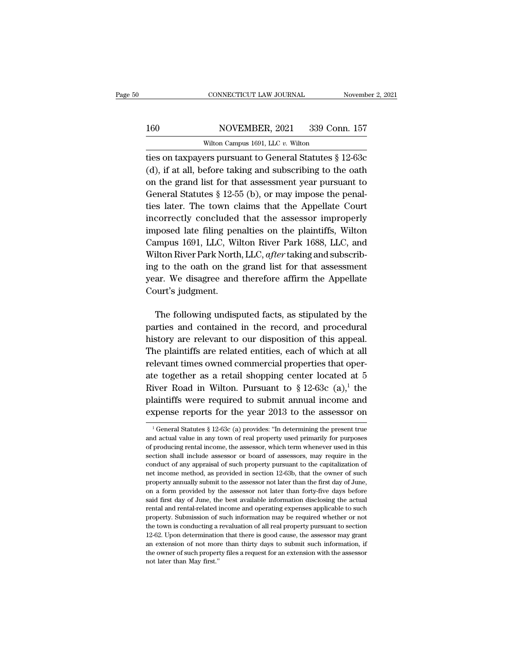### 160 CONNECTICUT LAW JOURNAL November 2, 2021<br>160 NOVEMBER, 2021 339 Conn. 157<br>Wilton Campus 1691, LLC v. Wilton CONNECTICUT LAW JOURNAL<br>NOVEMBER, 2021 339 Con<br>Wilton Campus 1691, LLC *v.* Wilton<br>Pers pursuant to General Statutes 8

THE CONNECTICUT LAW JOURNAL Movember 2, 2021<br>
160 NOVEMBER, 2021 339 Conn. 157<br>
Wilton Campus 1691, LLC v. Wilton<br>
169 ties on taxpayers pursuant to General Statutes § 12-63c<br>
(d), if at all, before taking and subscribing 160 NOVEMBER, 2021 339 Conn. 157<br>Wilton Campus 1691, LLC v. Wilton<br>ties on taxpayers pursuant to General Statutes § 12-63c<br>(d), if at all, before taking and subscribing to the oath<br>on the grand list for that assessment ye NOVEMBER, 2021 339 Conn. 157<br>
Wilton Campus 1691, LLC v. Wilton<br>
ties on taxpayers pursuant to General Statutes § 12-63c<br>
(d), if at all, before taking and subscribing to the oath<br>
on the grand list for that assessment yea 160 NOVEMBER, 2021 339 Conn. 157<br>Wilton Campus 1691, LLC v. Wilton<br>ties on taxpayers pursuant to General Statutes § 12-63c<br>(d), if at all, before taking and subscribing to the oath<br>on the grand list for that assessment yea Wilton Campus 1691, LLC v. Wilton<br>ties on taxpayers pursuant to General Statutes § 12-63c<br>(d), if at all, before taking and subscribing to the oath<br>on the grand list for that assessment year pursuant to<br>General Statutes § ties on taxpayers pursuant to General Statutes  $\S$  12-63c<br>(d), if at all, before taking and subscribing to the oath<br>on the grand list for that assessment year pursuant to<br>General Statutes  $\S$  12-55 (b), or may impose the (d), if at all, before taking and subscribing to the oath<br>on the grand list for that assessment year pursuant to<br>General Statutes § 12-55 (b), or may impose the penal-<br>ties later. The town claims that the Appellate Court<br> (a),  $\pi$  at all, service datally and subserving to the star.<br>
on the grand list for that assessment year pursuant to<br>
General Statutes § 12-55 (b), or may impose the penal-<br>
ties later. The town claims that the Appellate General Statutes § 12-55 (b), or may impose the penal-<br>ties later. The town claims that the Appellate Court<br>incorrectly concluded that the assessor improperly<br>imposed late filing penalties on the plaintiffs, Wilton<br>Campus the latter. The town claims that the Appellate Court<br>incorrectly concluded that the assessor improperly<br>imposed late filing penalties on the plaintiffs, Wilton<br>Campus 1691, LLC, Wilton River Park 1688, LLC, and<br>Wilton Riv incorrectly concluded that the assessor improperly<br>imposed late filing penalties on the plaintiffs, Wilton<br>Campus 1691, LLC, Wilton River Park 1688, LLC, and<br>Wilton River Park North, LLC, after taking and subscrib-<br>ing to mposed late filing per<br>Campus 1691, LLC, Wi<br>Wilton River Park North<br>ing to the oath on the<br>year. We disagree and<br>Court's judgment. The following undisputed facts, as stipulated by the rises and contained in the record, and subscributed are. We disagree and therefore affirm the Appellate burt's judgment.<br>The following undisputed facts, as stipulated by mediated i anti-bar, and, and, and, and, and particularly ing to the oath on the grand list for that assessment<br>year. We disagree and therefore affirm the Appellate<br>Court's judgment.<br>The following undisputed facts, as stip

historical weak in the spank has for that assessment<br>year. We disagree and therefore affirm the Appellate<br>Court's judgment.<br>The following undisputed facts, as stipulated by the<br>parties and contained in the record, and proc The following undisputed facts, as stipulated by the parties and contained in the record, and procedural history are relevant to our disposition of this appeal. The plaintiffs are related entities, each of which at all rel The following undisputed facts, as stipulated by the<br>parties and contained in the record, and procedural<br>history are relevant to our disposition of this appeal.<br>The plaintiffs are related entities, each of which at all<br>rel The following undisputed facts, as stipulated by the parties and contained in the record, and procedural history are relevant to our disposition of this appeal. The plaintiffs are related entities, each of which at all re parties and contained in the record, and procedural<br>history are relevant to our disposition of this appeal.<br>The plaintiffs are related entities, each of which at all<br>relevant times owned commercial properties that oper-<br>a history are relevant to our disposition of this appeal.<br>The plaintiffs are related entities, each of which at all<br>relevant times owned commercial properties that oper-<br>ate together as a retail shopping center located at 5 The plaintiffs are related entities, each of which at all relevant times owned commercial properties that operate together as a retail shopping center located at 5 River Road in Wilton. Pursuant to  $\S 12-63c$  (a),<sup>1</sup> the tiver Road in Wilton. Pursuant to  $\S 12-63c$  (a),<sup>1</sup> the laintiffs were required to submit annual income and spense reports for the year 2013 to the assessor on  $\frac{1}{1}$  General Statutes  $\S 12-63c$  (a) provides: "In dete EXTERT ACTUAL VALUE IN STEP  $\frac{1}{2}$  and  $\frac{1}{2}$  and  $\frac{1}{2}$  and  $\frac{1}{2}$  are plaintiffs were required to submit annual income and expense reports for the year 2013 to the assessor on  $\frac{1}{2}$  General Statutes § 12

plaintiffs were required to submit annual income and<br>expense reports for the year 2013 to the assessor on<br> $\frac{1}{1}$  General Statutes § 12-63c (a) provides: "In determining the present true<br>and actual value in any town of expense reports for the year 2013 to the assessor on  $\frac{1}{1}$  General Statutes § 12-63c (a) provides: "In determining the present true and actual value in any town of real property used primarily for purposes of producin CAPCHESE TUPOTES TOT LIFE  $y$ Car 2010 to the assessor of  $\frac{1}{2}$ <br>
<sup>1</sup> General Statutes § 12-63c (a) provides: "In determining the present true<br>
and actual value in any town of real property used primarily for purposes<br> <sup>1</sup> General Statutes  $\S$  12-63c (a) provides: "In determining the present true and actual value in any town of real property used primarily for purposes of producing rental income, the assessor, which term whenever used i and actual value in any town of real property used primarily for purposes<br>of producing rental income, the assessor, which term whenever used in this<br>section shall include assessor or board of assessors, may require in the<br> and a form and some in the assessor, which term whenever used in this section shall include assessor or board of assessors, may require in the conduct of any appraisal of such property pursuant to the capitalization of met section shall include assessor or board of assessors, may require in the conduct of any appraisal of such property pursuant to the capitalization of net income method, as provided in section 12-63b, that the owner of such conduct of any appraisal of such property pursuant to the capitalization of net income method, as provided in section 12-63b, that the owner of such property annually submit to the assessor not later than the first day of property. Submission of submission of submission of submission of submission of subproperty annually submit to the assessor not later than the first day of June, on a form provided by the assessor not later than forty-five the town is conducting a revaluation of all real property annually submit to the assessor not later than forty-five days before said first day of June, the best available information disclosing the actual rental and rental property annually submit to the assessor not later than the first day of June, on a form provided by the assessor not later than forty-five days before said first day of June, the best available information disclosing the said first day of June, the best available information disclosing the actual rental and rental-related income and operating expenses applicable to such property. Submission of such information may be required whether or no rental and rental-related income and operating expenses applicable to such the town is conducting a revaluation of all real property pursuant to section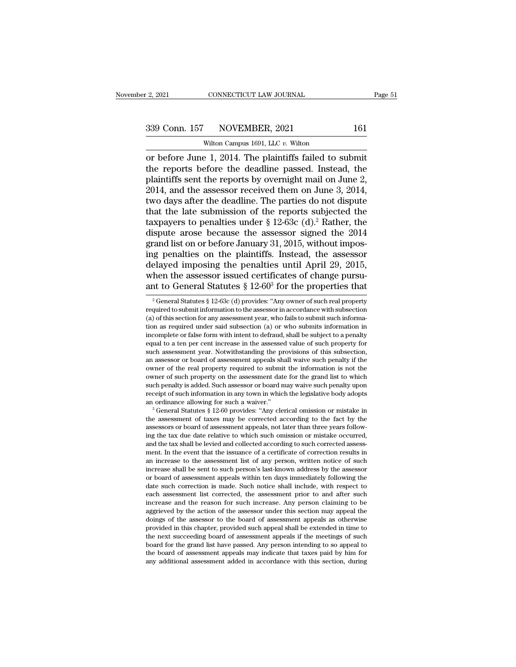# $\frac{2,2021}{2}$  CONNECTICUT LAW JOURNAL Page 51<br>339 Conn. 157 NOVEMBER, 2021 161<br>Wilton Campus 1691, LLC v. Wilton

r. 2, 2021 CONNECTICUT LAW JOURNAL<br>
339 Conn. 157 NOVEMBER, 2021 161<br>
Wilton Campus 1691, LLC *v.* Wilton<br>
or before June 1, 2014. The plaintiffs failed to submit <sup>2</sup>, 2021 CONNECTICUT LAW JOURNAL Page 5<br>
339 Conn. 157 NOVEMBER, 2021 161<br>
wilton Campus 1691, LLC *v*. Wilton<br>
or before June 1, 2014. The plaintiffs failed to submit<br>
the reports before the deadline passed. Instead, th 339 Conn. 157 NOVEMBER, 2021 161<br>Wilton Campus 1691, LLC v. Wilton<br>or before June 1, 2014. The plaintiffs failed to submit<br>the reports before the deadline passed. Instead, the<br>plaintiffs sent the reports by overnight mail 339 Conn. 157 NOVEMBER, 2021 161<br>Wilton Campus 1691, LLC v. Wilton<br>or before June 1, 2014. The plaintiffs failed to submit<br>the reports before the deadline passed. Instead, the<br>plaintiffs sent the reports by overnight mail 339 Conn. 157 NOVEMBER, 2021 161<br>wilton Campus 1691, LLC  $v$ . Wilton<br>or before June 1, 2014. The plaintiffs failed to submit<br>the reports before the deadline passed. Instead, the<br>plaintiffs sent the reports by overnight ma Wilton Campus 1691, LLC v. Wilton<br>
or before June 1, 2014. The plaintiffs failed to submit<br>
the reports before the deadline passed. Instead, the<br>
plaintiffs sent the reports by overnight mail on June 2,<br>
2014, and the ass Wilton Campus 1691, LLC v. Wilton<br>
or before June 1, 2014. The plaintiffs failed to submit<br>
the reports before the deadline passed. Instead, the<br>
plaintiffs sent the reports by overnight mail on June 2,<br>
2014, and the ass or before June 1, 2014. The plaintiffs failed to submit<br>the reports before the deadline passed. Instead, the<br>plaintiffs sent the reports by overnight mail on June 2,<br>2014, and the assessor received them on June 3, 2014,<br>t the reports before the deadline passed. Instead, the plaintiffs sent the reports by overnight mail on June 2, 2014, and the assessor received them on June 3, 2014, two days after the deadline. The parties do not dispute t plaintiffs sent the reports by overnight mail on June 2, 2014, 2014, and the assessor received them on June 3, 2014, two days after the deadline. The parties do not dispute that the late submission of the reports subjected 2014, and the assessor received them on June 3, 2014,<br>two days after the deadline. The parties do not dispute<br>that the late submission of the reports subjected the<br>taxpayers to penalties under  $\S$  12-63c (d).<sup>2</sup> Rather, t two days after the deadline. The parties do not dispute<br>that the late submission of the reports subjected the<br>taxpayers to penalties under  $\S$  12-63c (d).<sup>2</sup> Rather, the<br>dispute arose because the assessor signed the 2014<br> that the late submission of the reports subjected the taxpayers to penalties under  $\S$  12-63c (d).<sup>2</sup> Rather, the dispute arose because the assessor signed the 2014 grand list on or before January 31, 2015, without imposi taxpayers to penalties under § 12-63c (d).<sup>2</sup> Rather, the dispute arose because the assessor signed the 2014 grand list on or before January 31, 2015, without imposing penalties on the plaintiffs. Instead, the assessor de ig penalties on the plaintiffs. Instead, the assessor elayed imposing the penalties until April 29, 2015, then the assessor issued certificates of change pursu-<br>that to General Statutes § 12-60<sup>3</sup> for the properties that delayed imposing the penalties until April 29, 2015,<br>when the assessor issued certificates of change pursu-<br>ant to General Statutes § 12-60<sup>3</sup> for the properties that<br><sup>2</sup> General Statutes § 12-63c (d) provides: "Any owner

when the assessor issued certificates dinarity and the assessor issued certificates of change pursu-<br>ant to General Statutes § 12-60° for the properties that<br><sup>2</sup> General Statutes § 12-63c (d) provides: "Any owner of such when the assessor issued certificates of change pursu-<br>ant to General Statutes § 12-60<sup>3</sup> for the properties that<br> $\frac{1}{2}$  General statutes § 12-63c (d) provides: "Any owner of such real property<br>required to submit infor ant to General Statutes  $\S 12-60^{\circ}$  for the properties that<br>
<sup>2</sup> General Statutes  $\S 12-63c$  (d) provides: "Any owner of such real property<br>
required to submit information to the assessor in accordance with subsection<br> <sup>2</sup> General Statutes § 12-63c (d) provides: "Any owner of such real property required to submit information to the assessor in accordance with subsection (a) of this section for any assessment year, who fails to submit su Formal statutes  $\S$  12-osc (d) provides: Any owner of such real property required to submit information to the assessor in accordance with subsection (a) of this section for any assessment year, who fails to submit such i required to submit information to the assessor in accordance with subsection (a) of this section for any assessment year, who fails to submit such information as required under said subsection (a) or who submits informatio (a) of this section for any assessment year, who fails to submit such information as required under said subsection (a) or who submits information in incomplete or false form with intent to defraud, shall be subject to a tion as required under said subsection (a) or who submits information in<br>incomplete or false form with intent to defraud, shall be subject to a penalty<br>equal to a ten per cent increase in the assessed value of such propert mcomplete or raise rorm with intent to derraud, shall be subject to a penalty equal to a ten per cent increase in the assessed value of such property for such assessment year. Notwithstanding the provisions of this subsect equal to a ten per cent increase in the assessed value of such property for<br>such assessment year. Notwithstanding the provisions of this subsection,<br>an assessor or board of assessment appeals shall waive such penalty if th such assessment year. Notwinstanding the provisions of this subsection,<br>an assessor or board of assessment appeals shall waive such penalty if the<br>owner of the real property required to submit the information is not the<br>ow owner of the real property required to submit the information is not the owner of such property on the assessment date for the grand list to which such penalty is added. Such assessor or board may waive such penalty upon

<sup>%</sup> owner of such property on the assessment date for the grand list to which such penalty is added. Such assessor or board may waive such penalty upon receipt of such information in any town in which the legislative body a such penatty is added. Such assessor or board may waive such penatty upon<br>receipt of such information in any town in which the legislative body adopts<br>an ordinance allowing for such a waiver."<br><sup>3</sup> General Statutes § 12-60 ing the tax due date relative to which such omission or mistake occurred, and the tax shall be levied and collected according to such corrected assessment. In the event that the issuance of a certificate of correction resu an ordinance allowing for such a walver.<br>
<sup>3</sup> General Statutes § 12-60 provides: "Any clerical omission or mistake in<br>
the assessment of taxes may be corrected according to the fact by the<br>
assessors or board of assessmen <sup>2</sup> General statutes § 12-60 provides: "Any clerical omission or mistake in<br>the assessment of taxes may be corrected according to the fact by the<br>assessors or board of assessment appeals, not later than three years followincrease shall be sent to such person's last-known address by the assessor<br>or board of assessment appeals within ten days immediately following the<br>date such correction is made. Such notice shall include, with respect to assessors or board of assessment appeals, not later than three years following the tax due date relative to which such omission or mistake occurred, and the tax shall be levied and collected according to such corrected ass im the tax due date relative to which such omission or mistake occurred,<br>and the tax shall be levied and collected according to such corrected assess-<br>ment. In the event that the issuance of a certificate of correction res and the tax shall be levied and collected according to such corrected assessment. In the event that the issuance of a certificate of correction results in an increase to the assessment list of any person, written notice of ment. In the event that the issuance of a certuricate of correction results in<br>an increase to the assessment list of any person, written notice of such<br>increase shall be sent to such person's last-known address by the asse an increase to the assessment list of any person, written notice of such<br>increase shall be sent to such person's last-known address by the assessor<br>or board of assessment appeals within ten days immediately following the<br>d increase snall be sent to such person's last-known address by the assessor<br>or board of assessment appeals within ten days immediately following the<br>date such correction is made. Such notice shall include, with respect to<br>e or board of assessment appeals wunnt ten days immediately following the date such correction is made. Such notice shall include, with respect to each assessment list corrected, the assessment prior to and after such increa date such correction is made. Such notice snall include, with respect to each assessment list corrected, the assessment prior to and after such increase and the reason for such increase. Any person claiming to be aggrieved each assessment list corrected, the assessment prior to and atter such<br>increase and the reason for such increase. Any person claiming to be<br>aggrieved by the action of the assessor under this section may appeal the<br>doings o Increase and the reason for such increase. Any person claiming to be aggrieved by the action of the assessor under this section may appeal the doings of the assessor to the board of assessment appeals as otherwise provided aggrieved by the action of the assessor under this section may appeal the doings of the assessor to the board of assessment appeals as otherwise provided in this chapter, provided such appeal shall be extended in time to t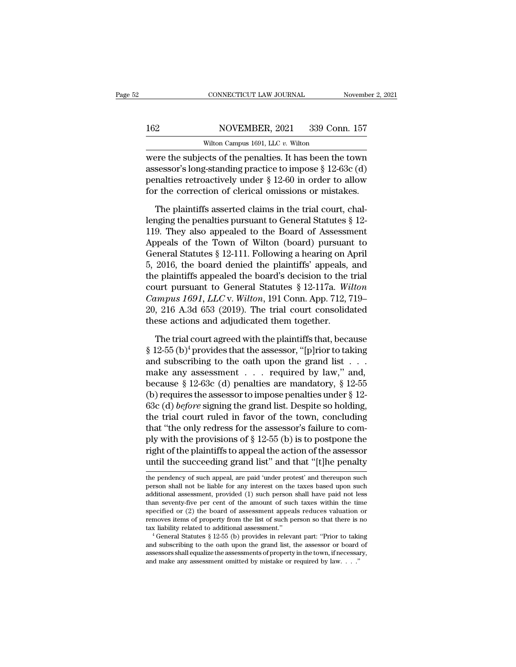### 162 CONNECTICUT LAW JOURNAL November 2, 2021<br>162 NOVEMBER, 2021 339 Conn. 157<br>Wilton Campus 1691, LLC v. Wilton CONNECTICUT LAW JOURNAL<br>NOVEMBER, 2021 339 Con<br>Wilton Campus 1691, LLC *v.* Wilton<br>Crts of the penalties It has been the

CONNECTICUT LAW JOURNAL November 2, 2021<br>
NOVEMBER, 2021 339 Conn. 157<br>
Wilton Campus 1691, LLC v. Wilton<br>
Were the subjects of the penalties. It has been the town<br>
assessor's long-standing practice to impose  $\S 12-63c$  ( 162 NOVEMBER, 2021 339 Conn. 157<br>Wilton Campus 1691, LLC v. Wilton<br>Were the subjects of the penalties. It has been the town<br>assessor's long-standing practice to impose § 12-63c (d)<br>penalties retroactively under § 12-60 in 162 NOVEMBER, 2021 339 Conn. 157<br>Wilton Campus 1691, LLC v. Wilton<br>were the subjects of the penalties. It has been the town<br>assessor's long-standing practice to impose § 12-63c (d)<br>penalties retroactively under § 12-60 in I62 NOVEMBER, 2021 339 Conn. 157<br>Wilton Campus 1691, LLC v. Wilton<br>were the subjects of the penalties. It has been the town<br>assessor's long-standing practice to impose § 12-63c (d)<br>penalties retroactively under § 12-60 in Wilton Campus 1691, LLC v. Wilton<br>
ere the subjects of the penalties. It has been the town<br>
sessor's long-standing practice to impose § 12-63c (d)<br>
malties retroactively under § 12-60 in order to allow<br>
r the correction o were the subjects of the penalties. It has been the town<br>assessor's long-standing practice to impose  $\S$  12-63c (d)<br>penalties retroactively under  $\S$  12-60 in order to allow<br>for the correction of clerical omissions or mis

assessor's long-standing practice to impose  $\S$  12-63c (d)<br>penalties retroactively under  $\S$  12-60 in order to allow<br>for the correction of clerical omissions or mistakes.<br>The plaintiffs asserted claims in the trial court, penalties retroactively under  $\S$  12-60 in order to allow<br>for the correction of clerical omissions or mistakes.<br>The plaintiffs asserted claims in the trial court, chal-<br>lenging the penalties pursuant to General Statutes For the correction of clerical omissions or mistakes.<br>The plaintiffs asserted claims in the trial court, challenging the penalties pursuant to General Statutes  $\S$  12-119. They also appealed to the Board of Assessment App The plaintiffs asserted claims in the trial court, chal-<br>lenging the penalties pursuant to General Statutes  $\S$  12-<br>119. They also appealed to the Board of Assessment<br>Appeals of the Town of Wilton (board) pursuant to<br>Gene The plaintiffs asserted claims in the trial court, chal-<br>lenging the penalties pursuant to General Statutes § 12-<br>119. They also appealed to the Board of Assessment<br>Appeals of the Town of Wilton (board) pursuant to<br>Genera lenging the penalties pursuant to General Statutes § 12-<br>119. They also appealed to the Board of Assessment<br>Appeals of the Town of Wilton (board) pursuant to<br>General Statutes § 12-111. Following a hearing on April<br>5, 2016, 119. They also appealed to the Board of Assessment<br>Appeals of the Town of Wilton (board) pursuant to<br>General Statutes § 12-111. Following a hearing on April<br>5, 2016, the board denied the plaintiffs' appeals, and<br>the plaint Appeals of the Town of Wilton (board) pursuant to<br>General Statutes § 12-111. Following a hearing on April<br>5, 2016, the board denied the plaintiffs' appeals, and<br>the plaintiffs appealed the board's decision to the trial<br>co General Statutes § 12-111. Following a hearing on April 5, 2016, the board denied the plaintiffs' appeals, and the plaintiffs appealed the board's decision to the trial court pursuant to General Statutes § 12-117a. Wilton e plaintiffs appealed the board's decision to the trial<br>urt pursuant to General Statutes § 12-117a. Wilton<br>umpus 1691, LLC v. Wilton, 191 Conn. App. 712, 719–<br>, 216 A.3d 653 (2019). The trial court consolidated<br>ese action court pursuant to General Statutes § 12-117a. Wilton<br> *Campus 1691, LLC* v. Wilton, 191 Conn. App. 712, 719–<br>
20, 216 A.3d 653 (2019). The trial court consolidated<br>
these actions and adjudicated them together.<br>
The trial

Campus 1691, LLC v. Wilton, 191 Conn. App. 712, 719–20, 216 A.3d 653 (2019). The trial court consolidated<br>these actions and adjudicated them together.<br>The trial court agreed with the plaintiffs that, because<br>§ 12-55 (b)<sup>4</sup> 20, 216 A.3d 653 (2019). The trial court consolidated<br>these actions and adjudicated them together.<br>The trial court agreed with the plaintiffs that, because<br>§ 12-55 (b)<sup>4</sup> provides that the assessor, "[p]rior to taking<br>and these actions and adjudicated them together.<br>
The trial court agreed with the plaintiffs that, because<br>
§ 12-55 (b)<sup>4</sup> provides that the assessor, "[p]rior to taking<br>
and subscribing to the oath upon the grand list . . .<br> The trial court agreed with the plaintiffs that, because § 12-55 (b)<sup>4</sup> provides that the assessor, "[p]rior to taking and subscribing to the oath upon the grand list . . . . make any assessment . . . required by law," an The trial court agreed with the plaintiffs that, because  $\S$  12-55 (b)<sup>4</sup> provides that the assessor, "[p]rior to taking and subscribing to the oath upon the grand list . . . . make any assessment . . . required by law," § 12-55 (b)<sup>4</sup> provides that the assessor, "[p]rior to taking<br>and subscribing to the oath upon the grand list . . .<br>make any assessment . . . required by law," and,<br>because § 12-63c (d) penalties are mandatory, § 12-55<br>(b and subscribing to the oath upon the grand list . . . make any assessment . . . required by law," and, because § 12-63c (d) penalties are mandatory, § 12-55 (b) requires the assessor to impose penalties under § 12-63c (d) make any assessment . . . . required by law," and,<br>because § 12-63c (d) penalties are mandatory, § 12-55<br>(b) requires the assessor to impose penalties under § 12-<br>63c (d) *before* signing the grand list. Despite so holdin because § 12-63c (d) penalties are mandatory, § 12-55<br>(b) requires the assessor to impose penalties under § 12-<br>63c (d) *before* signing the grand list. Despite so holding,<br>the trial court ruled in favor of the town, conc (b) requires the assessor to impose penalties under  $\S$  12-63c (d) *before* signing the grand list. Despite so holding, the trial court ruled in favor of the town, concluding that "the only redress for the assessor's fail that "the only redress for the assessor's failure to com-<br>ply with the provisions of  $\S$  12-55 (b) is to postpone the<br>right of the plaintiffs to appeal the action of the assessor<br>until the succeeding grand list" and that ply with the provisions of § 12-55 (b) is to postpone the<br>right of the plaintiffs to appeal the action of the assessor<br>until the succeeding grand list" and that "[t]he penalty<br>the pendency of such appeal, are paid 'under p

right of the plaintiffs to appeal the action of the assessor<br>until the succeeding grand list" and that "[t]he penalty<br>the pendency of such appeal, are paid 'under protest' and thereupon such<br>person shall not be liable for Traction of the praintints to appear the action of the assessor<br>until the succeeding grand list" and that "[t]he penalty<br>the pendency of such appeal, are paid 'under protest' and thereupon such<br>person shall not be liable f the pendency of such appeal, are paid 'under protest' and the<br>reupon such person shall not be liable for any interest on the taxes based upon such<br>additional assessment, provided (1) such person shall have paid not less<br>t The pendency of such appeal, are paid 'under protest' and thereupon such person shall not be liable for any interest on the taxes based upon such additional assessment, provided (1) such person shall have paid not less tha the pendency of such appear, are paid under protest and thereupon such<br>person shall not be liable for any interest on the taxes based upon such<br>additional assessment, provided (1) such person shall have paid not less<br>than than seventy-five per cent of the amount of such taxes within the time specified or (2) the board of assessment appeals reduces valuation or removes items of property from the list of such person so that there is no tax l

than seventy-five per cent of the amount of such taxes within the time specified or (2) the board of assessment appeals reduces valuation or removes items of property from the list of such person so that there is no tax l specified or  $(2)$  the board of assessment appeals reduces valuation<br>removes items of property from the list of such person so that there is  $\frac{1}{4}$  take and stature  $\S 12-55$  (b) provides in relevant part: "Prior to ta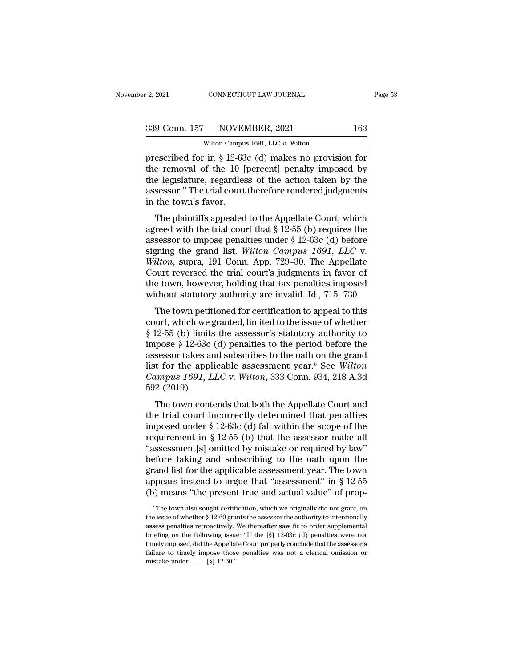CONNECTICUT LAW JOURNAL<br>NOVEMBER, 2021<br>Wilton Campus 1691, LLC *v.* Wilton<br>in § 12-63c (d) makes no provisit Prescribed for in § 12-63c (d) makes no provision for<br>the removal of the 10 [percent] penalty imposed by<br>the logislature regardless of the action takes hypersubsed by<br>the logislature regardless of the action takes by<br>the l 339 Conn. 157 NOVEMBER, 2021 163<br>Wilton Campus 1691, LLC v. Wilton<br>prescribed for in § 12-63c (d) makes no provision for<br>the removal of the 10 [percent] penalty imposed by<br>the legislature, regardless of the action taken b 339 Conn. 157 NOVEMBER, 2021 163<br>Wilton Campus 1691, LLC v. Wilton<br>prescribed for in § 12-63c (d) makes no provision for<br>the removal of the 10 [percent] penalty imposed by<br>the legislature, regardless of the action taken b 339 Conn. 157 NOVEMBER, 2021 163<br>wilton Campus 1691, LLC v. Wilton<br>prescribed for in § 12-63c (d) makes no provision for<br>the removal of the 10 [percent] penalty imposed by<br>the legislature, regardless of the action taken b Wilton Campu<br>
prescribed for in § 12-63<br>
the removal of the 10 [<br>
the legislature, regardles<br>
assessor." The trial court<br>
in the town's favor.<br>
The plaintiffs appealed escribed for in § 12-63c (d) makes no provision for<br>e removal of the 10 [percent] penalty imposed by<br>e legislature, regardless of the action taken by the<br>sessor." The trial court therefore rendered judgments<br>the town's fa the removal of the 10 [percent] penalty imposed by<br>the legislature, regardless of the action taken by the<br>assessor." The trial court therefore rendered judgments<br>in the town's favor.<br>The plaintiffs appealed to the Appella

the legislature, regardless of the action taken by the<br>assessor." The trial court therefore rendered judgments<br>in the town's favor.<br>The plaintiffs appealed to the Appellate Court, which<br>agreed with the trial court that  $\S$ the regislature, regardless of the action taken by the<br>assessor." The trial court therefore rendered judgments<br>in the town's favor.<br>The plaintiffs appealed to the Appellate Court, which<br>agreed with the trial court that § 1 *Michael States Court and Court and Court and Court and Court, which*<br> *Wilton*, supposed with the trial court that § 12-55 (b) requires the<br>
assessor to impose penalties under § 12-63c (d) before<br>
signing the grand list. The plaintiffs appealed to the Appellate Court, which<br>agreed with the trial court that  $\S$  12-55 (b) requires the<br>assessor to impose penalties under  $\S$  12-63c (d) before<br>signing the grand list. Wilton Campus 1691, LLC v. The plaintiffs appealed to the Appellate Court, which<br>agreed with the trial court that  $\S$  12-55 (b) requires the<br>assessor to impose penalties under  $\S$  12-63c (d) before<br>signing the grand list. Wilton Campus 1691, LLC v. agreed with the trial court that  $\S$  12-55 (b) requires the assessor to impose penalties under  $\S$  12-63c (d) before signing the grand list. Wilton Campus 1691, LLC v. Wilton, supra, 191 Conn. App. 729–30. The Appellate C gaing the grand list. Wilton Campus 1691, LLC v.<br> *ilton*, supra, 191 Conn. App. 729–30. The Appellate<br>
burt reversed the trial court's judgments in favor of<br>
e town, however, holding that tax penalties imposed<br>
thout sta signing the grand iss. *which* campas 1051, EEC v.<br>Wilton, supra, 191 Conn. App. 729–30. The Appellate<br>Court reversed the trial court's judgments in favor of<br>the town, however, holding that tax penalties imposed<br>without s

which, supra, 191 Colli. App.  $125-50$ . The Appendic<br>Court reversed the trial court's judgments in favor of<br>the town, however, holding that tax penalties imposed<br>without statutory authority are invalid. Id., 715, 730.<br>The board reversed are that coards judgments in favor of<br>the town, however, holding that tax penalties imposed<br>without statutory authority are invalid. Id., 715, 730.<br>The town petitioned for certification to appeal to this<br>co assessor takes and subscribes are model of the subset without statutory authority are invalid. Id., 715, 730.<br>The town petitioned for certification to appeal to this court, which we granted, limited to the issue of whethe The town petitioned for certification to appeal to this<br>court, which we granted, limited to the issue of whether<br>§ 12-55 (b) limits the assessor's statutory authority to<br>impose § 12-63c (d) penalties to the period before The town petitioned for certification to appeal to this<br>court, which we granted, limited to the issue of whether<br>§ 12-55 (b) limits the assessor's statutory authority to<br>impose § 12-63c (d) penalties to the period before t court, which we granted, limited to the issue of whether  $\S$  12-55 (b) limits the assessor's statutory authority to impose  $\S$  12-63c (d) penalties to the period before the assessor takes and subscribes to the oath on the pose § 12-63c (d) penalties to the period before the<br>sessor takes and subscribes to the oath on the grand<br>t for the applicable assessment year.<sup>5</sup> See Wilton<br>umpus 1691, LLC v. Wilton, 333 Conn. 934, 218 A.3d<br>2 (2019).<br>Th the trial court incorrectly determined that penalties<br>the trial court incompasses is the period of the grand<br>campus 1691, LLC v. Wilton, 333 Conn. 934, 218 A.3d<br>592 (2019).<br>The town contends that both the Appellate Court

dist for the applicable assessment year.<sup>5</sup> See Wilton<br>list for the applicable assessment year.<sup>5</sup> See Wilton<br>*Campus 1691*, *LLC* v. Wilton, 333 Conn. 934, 218 A.3d<br>592 (2019).<br>The town contends that both the Appellate C Campus 1691, LLC v. Wilton, 333 Conn. 934, 218 A.3d<br>592 (2019).<br>The town contends that both the Appellate Court and<br>the trial court incorrectly determined that penalties<br>imposed under § 12-63c (d) fall within the scope of The town contends that both the Appellate Court and<br>the trial court incorrectly determined that penalties<br>imposed under  $\S$  12-63c (d) fall within the scope of the<br>requirement in  $\S$  12-55 (b) that the assessor make all<br>" The town contends that both the Appellate Court and<br>the trial court incorrectly determined that penalties<br>imposed under § 12-63c (d) fall within the scope of the<br>requirement in § 12-55 (b) that the assessor make all<br>"asse The town contends that both the Appellate Court and<br>the trial court incorrectly determined that penalties<br>imposed under  $\S 12-63c$  (d) fall within the scope of the<br>requirement in  $\S 12-55$  (b) that the assessor make all<br>" the trial court incorrectly determined that penalties<br>imposed under  $\S$  12-63c (d) fall within the scope of the<br>requirement in  $\S$  12-55 (b) that the assessor make all<br>"assessment[s] omitted by mistake or required by law" imposed under  $\S$  12-63c (d) fall within the scope of the requirement in  $\S$  12-55 (b) that the assessor make all "assessment[s] omitted by mistake or required by law" before taking and subscribing to the oath upon the gr From the town also sought certification, which we originally did not grant, on  $\frac{5}{12-55}$ <br>  $\frac{5}{12-55}$ <br>  $\frac{5}{12-55}$ <br>  $\frac{5}{12-55}$ <br>  $\frac{5}{12-55}$ <br>  $\frac{5}{12-55}$ <br>  $\frac{5}{12-55}$ <br>  $\frac{5}{12-55}$ <br>  $\frac{5}{12-55}$ <br>  $\frac{5}{1$ grand list for the applicable assessment year. The town<br>appears instead to argue that "assessment" in § 12-55<br>(b) means "the present true and actual value" of prop-<br><sup>5</sup>The town also sought certification, which we original

appears instead to argue that "assessment" in § 12-55 (b) means "the present true and actual value" of prop-<br>  $\frac{1}{\pi}$  The town also sought certification, which we originally did not grant, on<br>
the issue of whether § 12 (b) means "the present true and actual value" of prop-<br>  $\frac{1}{100}$  The town also sought certification, which we originally did not grant, on<br>
the issue of whether § 12-60 grants the assessor the authority to intentionall The town also sought certification, which we originally did not grant, on the issue of whether § 12-60 grants the assessor the authority to intentionally assess penalties retroactively. We thereafter saw fit to order supp <sup>5</sup> The town also sought certification, which we originally did not grant, on the issue of whether § 12-60 grants the assessor the authority to intentionally assess penalties retroactively. We thereafter saw fit to order the issue of whether  $\S$  12-60 grants the assessor the authority to intentionally assess penalties retroactively. We thereafter saw fit to order supplemental briefing on the following issue: "If the [ $\S$ ] 12-63c (d) penal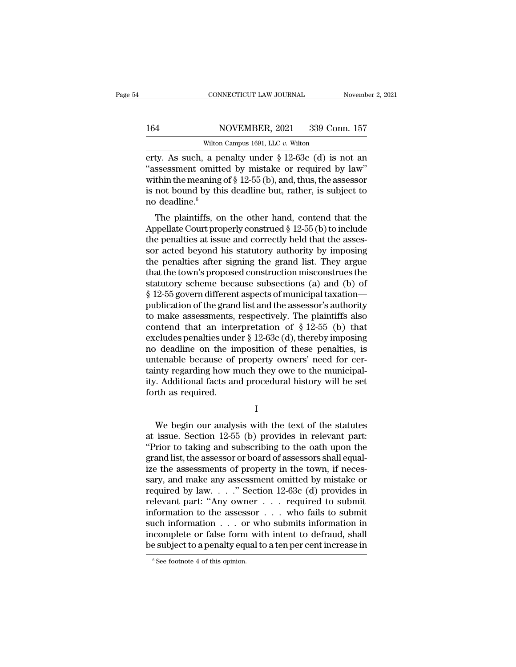### 164 CONNECTICUT LAW JOURNAL November 2, 2021<br>164 NOVEMBER, 2021 339 Conn. 157<br>Wilton Campus 1691, LLC v. Wilton CONNECTICUT LAW JOURNAL<br>NOVEMBER, 2021 339 Con<br>Wilton Campus 1691, LLC *v.* Wilton<br>a penalty under § 12-63c (d) is r

EXECUTE CONNECTICUT LAW JOURNAL Movember 2, 2021<br>
164 NOVEMBER, 2021 339 Conn. 157<br>
Wilton Campus 1691, LLC v. Wilton<br>
erty. As such, a penalty under § 12-63c (d) is not an<br>
"assessment omitted by mistake or required by l 164 NOVEMBER, 2021 339 Conn. 157<br>Wilton Campus 1691, LLC v. Wilton<br>erty. As such, a penalty under § 12-63c (d) is not an<br>"assessment omitted by mistake or required by law"<br>within the meaning of § 12-55 (b), and, thus, the 164 NOVEMBER, 2021 339 Conn. 157<br>Wilton Campus 1691, LLC v. Wilton<br>erty. As such, a penalty under § 12-63c (d) is not an<br>"assessment omitted by mistake or required by law"<br>within the meaning of § 12-55 (b), and, thus, the 164 NOVEMBER, 2021 339 Conn. 157<br>
Wilton Campus 1691, LLC v. Wilton<br>
erty. As such, a penalty under § 12-63c (d) is not an<br>
"assessment omitted by mistake or required by law"<br>
within the meaning of § 12-55 (b), and, thus, witton<br>erty. As such, a pe<br>"assessment omitte"<br>within the meaning<br>is not bound by thi<br>no deadline.<sup>6</sup><br>The plaintiffs, or ty. As such, a penalty under  $\S$  12-63c (d) is not an ssessment omitted by mistake or required by law"<br>thin the meaning of  $\S$  12-55 (b), and, thus, the assessor<br>not bound by this deadline but, rather, is subject to<br>deadl Erly. As such, a penalty under  $\S$  12-65C (d) is not all<br>
"assessment omitted by mistake or required by law"<br>
within the meaning of  $\S$  12-55 (b), and, thus, the assessor<br>
is not bound by this deadline but, rather, is sub

assessment omitted by inistake of required by law<br>within the meaning of § 12-55 (b), and, thus, the assessor<br>is not bound by this deadline but, rather, is subject to<br>no deadline.<sup>6</sup><br>The plaintiffs, on the other hand, cont which the meaning of  $\S$  12-55 (b), and, thus, the assessor<br>is not bound by this deadline but, rather, is subject to<br>no deadline.<sup>6</sup><br>The plaintiffs, on the other hand, contend that the<br>Appellate Court properly construed the penalties after signing the grand list. They argue<br>the penalties at issue and correctly held that the assessor acted beyond his statutory authority by imposing<br>the penalties after signing the grand list. They argue<br>th The plaintiffs, on the other hand, contend that the<br>Appellate Court properly construed  $\S$  12-55 (b) to include<br>the penalties at issue and correctly held that the assessor<br>acted beyond his statutory authority by imposing<br> The plaintiffs, on the other hand, contend that the<br>Appellate Court properly construed  $\S$  12-55 (b) to include<br>the penalties at issue and correctly held that the assessor<br>acted beyond his statutory authority by imposing<br> Appellate Court properly construed  $\S$  12-55 (b) to include<br>the penalties at issue and correctly held that the assessor<br>acted beyond his statutory authority by imposing<br>the penalties after signing the grand list. They arg the penalties at issue and correctly held that the assessor acted beyond his statutory authority by imposing<br>the penalties after signing the grand list. They argue<br>that the town's proposed construction misconstrues the<br>st sor acted beyond his statutory authority by imposing<br>the penalties after signing the grand list. They argue<br>that the town's proposed construction misconstrues the<br>statutory scheme because subsections (a) and (b) of<br> $§ 12$ the penalties after signing the grand list. They argue<br>that the town's proposed construction misconstrues the<br>statutory scheme because subsections (a) and (b) of<br> $§$  12-55 govern different aspects of municipal taxation—<br>p that the town's proposed construction misconstrues the<br>statutory scheme because subsections (a) and (b) of<br> $§$  12-55 govern different aspects of municipal taxation—<br>publication of the grand list and the assessor's authori statutory scheme because subsections (a) and (b) of<br>
§ 12-55 govern different aspects of municipal taxation—<br>
publication of the grand list and the assessor's authority<br>
to make assessments, respectively. The plaintiffs a  $\S$  12-55 govern different aspects of municipal taxation—<br>publication of the grand list and the assessor's authority<br>to make assessments, respectively. The plaintiffs also<br>contend that an interpretation of  $\S$  12-55 (b) t publication of the grand list and the assessor's authority<br>to make assessments, respectively. The plaintiffs also<br>contend that an interpretation of § 12-55 (b) that<br>excludes penalties under § 12-63c (d), thereby imposing<br>n to make assessments, respectively. The plaintiffs also contend that an interpretation of  $\S$  12-55 (b) that excludes penalties under  $\S$  12-63c (d), thereby imposing no deadline on the imposition of these penalties, is un contend that an inte<br>excludes penalties und<br>no deadline on the in<br>untenable because of<br>tainty regarding how n<br>ity. Additional facts an<br>forth as required. tenable because of property owners' need for cer-<br>inty regarding how much they owe to the municipal-<br>. Additional facts and procedural history will be set<br>rth as required.<br>I<br>We begin our analysis with the text of the statu

I

tainty regarding how much they owe to the municipality. Additional facts and procedural history will be set<br>forth as required.<br>I<br>We begin our analysis with the text of the statutes<br>at issue. Section 12-55 (b) provides in r ity. Additional facts and procedural history will be set<br>forth as required.<br>I<br>We begin our analysis with the text of the statutes<br>at issue. Section 12-55 (b) provides in relevant part:<br>"Prior to taking and subscribing to t forth as required.<br>
I<br>
We begin our analysis with the text of the statutes<br>
at issue. Section 12-55 (b) provides in relevant part:<br>
"Prior to taking and subscribing to the oath upon the<br>
grand list, the assessor or board o I<br>
We begin our analysis with the text of the statutes<br>
at issue. Section 12-55 (b) provides in relevant part:<br>
"Prior to taking and subscribing to the oath upon the<br>
grand list, the assessor or board of assessors shall e We begin our analysis with the text of the statutes<br>at issue. Section 12-55 (b) provides in relevant part:<br>"Prior to taking and subscribing to the oath upon the<br>grand list, the assessor or board of assessors shall equal-<br> We begin our analysis with the text of the statutes<br>at issue. Section 12-55 (b) provides in relevant part:<br>"Prior to taking and subscribing to the oath upon the<br>grand list, the assessor or board of assessors shall equal-<br> at issue. Section 12-55 (b) provides in relevant part:<br>
"Prior to taking and subscribing to the oath upon the<br>
grand list, the assessor or board of assessors shall equal-<br>
ize the assessments of property in the town, if ne "Prior to taking and subscribing to the oath upon the grand list, the assessor or board of assessors shall equal-<br>ize the assessments of property in the town, if necessary, and make any assessment omitted by mistake or<br>re grand list, the assessor or board of assessors shall equal-<br>ize the assessments of property in the town, if neces-<br>sary, and make any assessment omitted by mistake or<br>required by law...." Section 12-63c (d) provides in<br>rel ize the assessments of property in the town, if necessary, and make any assessment omitted by mistake or required by law. . . . " Section  $12-63c$  (d) provides in relevant part: "Any owner . . . required to submit informa sary, and make any assessment omitted by mistake or<br>required by law...." Section 12-63c (d) provides in<br>relevant part: "Any owner ... required to submit<br>information to the assessor ... who fails to submit<br>such information such information . . . or who submits information in incomplete or false form with intent to defraud, shall be subject to a penalty equal to a ten per cent increase in  $\frac{1}{\sqrt{6}}$  See footnote 4 of this opinion.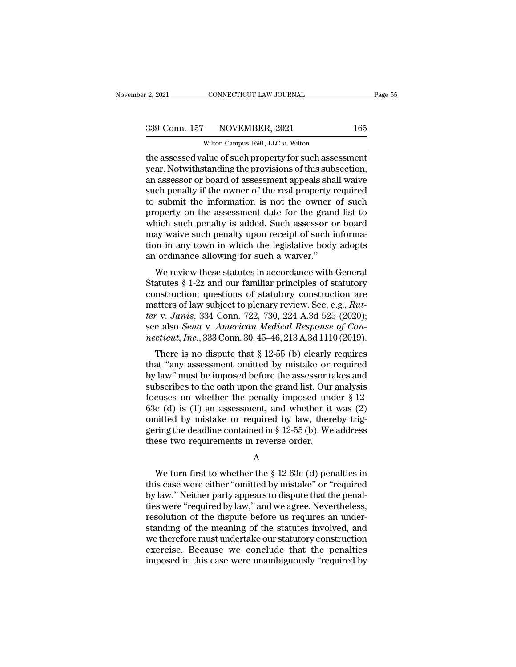CONNECTICUT LAW JOURNAL<br>NOVEMBER, 2021<br>Wilton Campus 1691, LLC *v.* Wilton<br>alue of such property for such assess Fage 5:<br>  $\frac{1}{2}$ , 2021 CONNECTICUT LAW JOURNAL Page 5:<br>  $\frac{339 \text{ Conn. } 157 \text{ NOVEMBER, } 2021 \text{ } 165}$ <br>  $\frac{1}{2}$ <br>
Wilton Campus 1691, LLC v. Wilton<br>
the assessed value of such property for such assessment<br>
year. Notwithstan 339 Conn. 157 NOVEMBER, 2021 165<br>Wilton Campus 1691, LLC v. Wilton<br>the assessed value of such property for such assessment<br>year. Notwithstanding the provisions of this subsection,<br>an assessor or board of assessment appeals 339 Conn. 157 NOVEMBER, 2021 165<br>Wilton Campus 1691, LLC  $v$ . Wilton<br>the assessed value of such property for such assessment<br>year. Notwithstanding the provisions of this subsection,<br>an assessor or board of assessment appe  $\frac{339 \text{ Conn. } 157 \qquad \text{NOVEMBER, } 2021 \qquad \qquad 165}{\text{Wilton Campus 1691, LLC } v. \text{Wilton}}$ <br>the assessed value of such property for such assessment<br>year. Notwithstanding the provisions of this subsection,<br>an assessor or board of assessment appe Wilton Campus 1691, LLC v. Wilton<br>the assessed value of such property for such assessment<br>year. Notwithstanding the provisions of this subsection,<br>an assessor or board of assessment appeals shall waive<br>such penalty if the witten Campus 1691, LLC  $v$ . Witton<br>the assessed value of such property for such assessment<br>year. Notwithstanding the provisions of this subsection,<br>an assessor or board of assessment appeals shall waive<br>such penalty if t the assessed value of such property for such assessment<br>year. Notwithstanding the provisions of this subsection,<br>an assessor or board of assessment appeals shall waive<br>such penalty if the owner of the real property require year. Notwithstanding the provisions of this subsection,<br>an assessor or board of assessment appeals shall waive<br>such penalty if the owner of the real property required<br>to submit the information is not the owner of such<br>pro an assessor or board of assessment appeals shall waive<br>such penalty if the owner of the real property required<br>to submit the information is not the owner of such<br>property on the assessment date for the grand list to<br>which such penalty if the owner of the real property r<br>to submit the information is not the owner<br>property on the assessment date for the grand<br>which such penalty is added. Such assessor o<br>may waive such penalty upon receipt of Sublimation is not the owner or such<br>operty on the assessment date for the grand list to<br>nich such penalty is added. Such assessor or board<br>ay waive such penalty upon receipt of such informa-<br>in any town in which the legi property on the assessment date for the grand list to<br>which such penalty is added. Such assessor or board<br>may waive such penalty upon receipt of such informa-<br>tion in any town in which the legislative body adopts<br>an ordina

which such penalty is added. Such assessor of board<br>may waive such penalty upon receipt of such informa-<br>tion in any town in which the legislative body adopts<br>an ordinance allowing for such a waiver."<br>We review these stat may wave such penaty upon recept or such miorina-<br>tion in any town in which the legislative body adopts<br>an ordinance allowing for such a waiver."<br>We review these statutes in accordance with General<br>Statutes § 1-2z and our *territorial and in any town in which the registative body adopts*<br> *territorial and original statutes*  $\$  1-2z and our familiar principles of statutory<br>
construction; questions of statutory construction are<br>
matters of l an ordinance anowing for such a warver.<br>We review these statutes in accordance with General<br>Statutes § 1-2z and our familiar principles of statutory<br>construction; questions of statutory construction are<br>matters of law subj We review these statutes in accordance with General<br>Statutes § 1-2z and our familiar principles of statutory<br>construction; questions of statutory construction are<br>matters of law subject to plenary review. See, e.g., *Rut*atures y 1-22 and our familiar principles of statutory<br>nstruction; questions of statutory construction are<br>atters of law subject to plenary review. See, e.g., *Rut-*<br>r v. *Janis*, 334 Conn. 722, 730, 224 A.3d 525 (2020);<br>e tonstruction, questions or statutory construction are<br>
matters of law subject to plenary review. See, e.g., Rut-<br>
ter v. Janis, 334 Conn. 722, 730, 224 A.3d 525 (2020);<br>
see also *Sena* v. American Medical Response of Con

matters of law subject to pienary feview. See, e.g., *ratter v. Janis*, 334 Conn. 722, 730, 224 A.3d 525 (2020);<br>see also *Sena v. American Medical Response of Connecticut, Inc.*, 333 Conn. 30, 45–46, 213 A.3d 1110 (2019) see also *Sena* v. American Medical Response of Connecticut, Inc., 333 Conn. 30, 45–46, 213 A.3d 1110 (2019).<br>There is no dispute that § 12-55 (b) clearly requires<br>that "any assessment omitted by mistake or required<br>by la see also *Seha* v. American meatical response of Connecticut, Inc., 333 Conn. 30, 45–46, 213 A.3d 1110 (2019).<br>There is no dispute that § 12-55 (b) clearly requires<br>that "any assessment omitted by mistake or required<br>by l There is no dispute that  $\S$  12-55 (b) clearly requires<br>that "any assessment omitted by mistake or required<br>by law" must be imposed before the assessor takes and<br>subscribes to the oath upon the grand list. Our analysis<br>fo There is no dispute that  $\S$  12-55 (b) clearly requires<br>that "any assessment omitted by mistake or required<br>by law" must be imposed before the assessor takes and<br>subscribes to the oath upon the grand list. Our analysis<br>fo that "any assessment omitted by mistake or required<br>by law" must be imposed before the assessor takes and<br>subscribes to the oath upon the grand list. Our analysis<br>focuses on whether the penalty imposed under  $\S$  12-<br>63c ( by law" must be imposed before the assessor ta<br>subscribes to the oath upon the grand list. Our<br>focuses on whether the penalty imposed und<br>63c (d) is (1) an assessment, and whether it<br>omitted by mistake or required by law, c (d) is (1) an assessment, and whether it was (2)<br>
initted by mistake or required by law, thereby trig-<br>
ring the deadline contained in § 12-55 (b). We address<br>
ese two requirements in reverse order.<br>
A<br>
We turn first to

### A

omitted by mistake or required by law, thereby triggering the deadline contained in § 12-55 (b). We address<br>these two requirements in reverse order.<br>A<br>We turn first to whether the § 12-63c (d) penalties in<br>this case were e gering the deadline contained in § 12-55 (b). We address<br>these two requirements in reverse order.<br>A<br>We turn first to whether the § 12-63c (d) penalties in<br>this case were either "omitted by mistake" or "required<br>by law." Ne these two requirements in reverse order.<br>
A<br>
We turn first to whether the § 12-63c (d) penalties in<br>
this case were either "omitted by mistake" or "required<br>
by law." Neither party appears to dispute that the penal-<br>
ties A<br>
We turn first to whether the  $\S$  12-63c (d) penalties in<br>
this case were either "omitted by mistake" or "required<br>
by law." Neither party appears to dispute that the penal-<br>
ties were "required by law," and we agree. N We turn first to whether the  $\S$  12-63c (d) penalties in<br>this case were either "omitted by mistake" or "required<br>by law." Neither party appears to dispute that the penal-<br>ties were "required by law," and we agree. Neverth We turn first to whether the  $\S$  12-63c (d) penalties in<br>this case were either "omitted by mistake" or "required<br>by law." Neither party appears to dispute that the penal-<br>ties were "required by law," and we agree. Neverth this case were either "omitted by mistake" or "required<br>by law." Neither party appears to dispute that the penal-<br>ties were "required by law," and we agree. Nevertheless,<br>resolution of the dispute before us requires an und by law." Neither party appears to dispute that the penalties were "required by law," and we agree. Nevertheless, resolution of the dispute before us requires an understanding of the meaning of the statutes involved, and we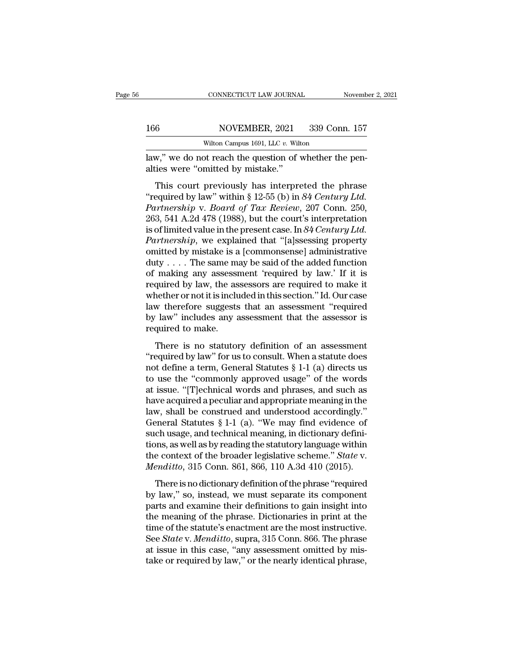CONNECTICUT LAW JOURNAL November 166<br>166 NOVEMBER, 2021 339 Conn. 157<br>Wilton Campus 1691, LLC v. Wilton<br>Law," we do not reach the question of whether the pen-<br>alties were "omitted by mistake." 166 NOVEMBER, 2021<br>Wilton Campus 1691, LLC v. Wilton,"<br>This court previously has interpre

For the NOVEMBER, 2021 339 Conn. 157<br>
Wilton Campus 1691, LLC v. Wilton<br>
W," we do not reach the question of whether the pen-<br>
ies were "omitted by mistake."<br>
This court previously has interpreted the phrase<br>
equired by l NOVEMBER, 2021 339 Conn. 157<br>Wilton Campus 1691, LLC v. Wilton<br>law," we do not reach the question of whether the pen-<br>alties were "omitted by mistake."<br>This court previously has interpreted the phrase<br>"required by law" wit *Partners Wilton Campus 1691, LLC v. Wilton*<br> *Partnership* v. *Board of whether the penalties were "omitted by mistake."*<br> *Partnership v. Board of Tax Review, 207 Conn. 250,*<br> *Partnership v. Board of Tax Review, 207 Con* law," we do not reach the question of whether the penalties were "omitted by mistake."<br>This court previously has interpreted the phrase<br>"required by law" within § 12-55 (b) in 84 Century Ltd.<br>Partnership v. Board of Tax R zaw, we do not reach the question of whether the per-<br>alties were "omitted by mistake."<br>This court previously has interpreted the phrase<br>"required by law" within § 12-55 (b) in *84 Century Ltd.*<br>Partnership v. Board of Tax This court previously has interpreted the phrase<br>
"required by law" within § 12-55 (b) in 84 Century Ltd.<br> *Partnership* v. *Board of Tax Review*, 207 Conn. 250,<br>
263, 541 A.2d 478 (1988), but the court's interpretation<br>
i This court previously has interpreted the phrase<br>
"required by law" within § 12-55 (b) in 84 Century Ltd.<br>
Partnership v. Board of Tax Review, 207 Conn. 250,<br>
263, 541 A.2d 478 (1988), but the court's interpretation<br>
is o "required by law" within § 12-55 (b) in 84 Century Ltd.<br>
Partnership v. Board of Tax Review, 207 Conn. 250,<br>
263, 541 A.2d 478 (1988), but the court's interpretation<br>
is of limited value in the present case. In 84 Century Partnership v. Board of Tax Review, 207 Conn. 250,<br>263, 541 A.2d 478 (1988), but the court's interpretation<br>is of limited value in the present case. In 84 Century Ltd.<br>Partnership, we explained that "[a]ssessing property<br> 263, 541 A.2d 478 (1988), but the court's interpretation<br>is of limited value in the present case. In 84 Century Ltd.<br>Partnership, we explained that "[a]ssessing property<br>omitted by mistake is a [commonsense] administrativ is of limited value in the present case. In  $84$  Century Ltd.<br> *Partnership*, we explained that "[a]ssessing property<br>
omitted by mistake is a [commonsense] administrative<br>
duty . . . . The same may be said of the added f Partnership, we explained that "[a]ssessing property<br>omitted by mistake is a [commonsense] administrative<br>duty . . . . The same may be said of the added function<br>of making any assessment 'required by law.' If it is<br>requir omitted by mistake is a [commonsense] administrative duty . . . . The same may be said of the added function of making any assessment 'required by law.' If it is required by law, the assessors are required to make it whet duty . . . . The same mof making any assessi<br>required by law, the as<br>whether or not it is inclu<br>law therefore suggests<br>by law" includes any a<br>required to make.<br>There is no statuton making any assessment required by law. If n is<br>quired by law, the assessors are required to make it<br>nether or not it is included in this section." Id. Our case<br>w therefore suggests that an assessment "required<br>law" includ whether or not it is included in this section." Id. Our case<br>
law therefore suggests that an assessment "required<br>
by law" includes any assessment that the assessor is<br>
required to make.<br>
There is no statutory definition

have therefore suggests that an assessment "required<br>by law" includes any assessment that the assessor is<br>required to make.<br>There is no statutory definition of an assessment<br>"required by law" for us to consult. When a sta the ''commonly approved usage'' of the words<br>
the use the assessor is<br>
required to make.<br>
There is no statutory definition of an assessment<br>
"required by law" for us to consult. When a statute does<br>
not define a term, Gen Equired to make.<br>
There is no statutory definition of an assessment<br>
"required by law" for us to consult. When a statute does<br>
not define a term, General Statutes  $\S 1-1$  (a) directs us<br>
to use the "commonly approved usag There is no statutory definition of an assessment<br>
"required by law" for us to consult. When a statute does<br>
not define a term, General Statutes  $\S 1$ -1 (a) directs us<br>
to use the "commonly approved usage" of the words<br>
a There is no statutory definition of an assessment<br>
"required by law" for us to consult. When a statute does<br>
not define a term, General Statutes  $\S 1-1$  (a) directs us<br>
to use the "commonly approved usage" of the words<br>
a "required by law" for us to consult. When a statute does<br>not define a term, General Statutes  $\S$  1-1 (a) directs us<br>to use the "commonly approved usage" of the words<br>at issue. "[T]echnical words and phrases, and such as<br>h not define a term, General Statutes  $\S$  1-1 (a) directs us<br>to use the "commonly approved usage" of the words<br>at issue. "[T]echnical words and phrases, and such as<br>have acquired a peculiar and appropriate meaning in the<br>la to use the "commonly approved usage" of the words<br>at issue. "[T]echnical words and phrases, and such as<br>have acquired a peculiar and appropriate meaning in the<br>law, shall be construed and understood accordingly."<br>General at issue. "[T]echnical words and phrases, and such as<br>have acquired a peculiar and appropriate meaning in the<br>law, shall be construed and understood accordingly."<br>General Statutes § 1-1 (a). "We may find evidence of<br>such u have acquired a peculiar and appropriate meaning in the<br>law, shall be construed and understood accordingly."<br>General Statutes § 1-1 (a). "We may find evidence of<br>such usage, and technical meaning, in dictionary defini-<br>tio meral Statutes § 1-1 (a). "We may find evidence of<br>ch usage, and technical meaning, in dictionary defini-<br>ons, as well as by reading the statutory language within<br>e context of the broader legislative scheme." *State v.*<br>e such usage, and technical meaning, in dictionary defini-<br>tions, as well as by reading the statutory language within<br>the context of the broader legislative scheme." *State* v.<br>*Menditto*, 315 Conn. 861, 866, 110 A.3d 410 (

back assige, and definited including, in dictionary definitions, as well as by reading the statutory language within the context of the broader legislative scheme." *State* v. *Menditto*, 315 Conn. 861, 866, 110 A.3d 410 the context of the broader legislative scheme." *State v.*<br> *Menditto*, 315 Conn. 861, 866, 110 A.3d 410 (2015).<br>
There is no dictionary definition of the phrase "required<br>
by law," so, instead, we must separate its compo *Menditto*, 315 Conn. 861, 866, 110 A.3d 410 (2015).<br>
There is no dictionary definition of the phrase "required<br>
by law," so, instead, we must separate its component<br>
parts and examine their definitions to gain insight int There is no dictionary definition of the phrase "required<br>by law," so, instead, we must separate its component<br>parts and examine their definitions to gain insight into<br>the meaning of the phrase. Dictionaries in print at th There is no dictionary definition of the phrase "required<br>by law," so, instead, we must separate its component<br>parts and examine their definitions to gain insight into<br>the meaning of the phrase. Dictionaries in print at th by law," so, instead, we must separate its component<br>parts and examine their definitions to gain insight into<br>the meaning of the phrase. Dictionaries in print at the<br>time of the statute's enactment are the most instructive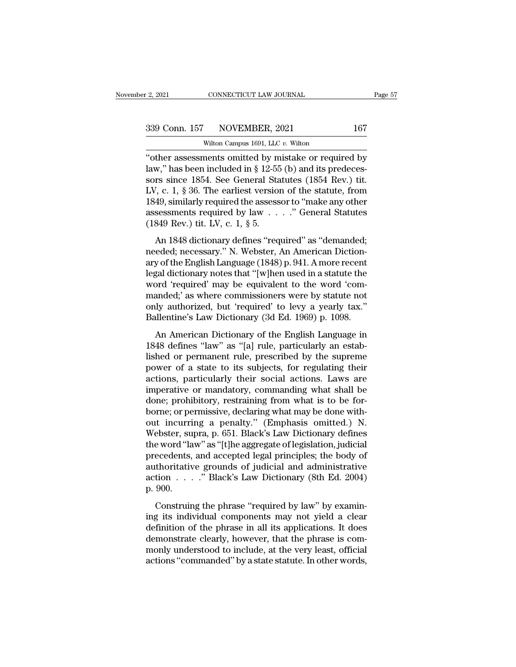CONNECTICUT LAW JOURNAL<br>NOVEMBER, 2021<br>Wilton Campus 1691, LLC *v.* Wilton<br>ments omitted by mistake or requir <sup>2</sup> 2021 CONNECTICUT LAW JOURNAL Page 57<br>
339 Conn. 157 NOVEMBER, 2021 167<br>
Wilton Campus 1691, LLC v. Wilton<br>
"Other assessments omitted by mistake or required by<br>
law," has been included in § 12-55 (b) and its predecesso 339 Conn. 157 NOVEMBER, 2021 167<br>Wilton Campus 1691, LLC v. Wilton<br>"other assessments omitted by mistake or required by<br>law," has been included in § 12-55 (b) and its predeces-<br>sors since 1854. See General Statutes (1854 R 339 Conn. 157 NOVEMBER, 2021 167<br>Wilton Campus 1691, LLC v. Wilton<br>"other assessments omitted by mistake or required by<br>law," has been included in § 12-55 (b) and its predecessors since 1854. See General Statutes (1854 Re 339 Conn. 157 NOVEMBER, 2021 167<br>
Wilton Campus 1691, LLC v. Wilton<br>
"other assessments omitted by mistake or required by<br>
law," has been included in § 12-55 (b) and its predecessors since 1854. See General Statutes (1854 Wilton Campus 1691, LLC v. Wilton<br>
"Other assessments omitted by mistake or required by<br>
law," has been included in § 12-55 (b) and its predecessors since 1854. See General Statutes (1854 Rev.) tit.<br>
LV, c. 1, § 36. The e witten Campus 1691, LLC v. Witton<br>
"other assessments omitted by mistake or required by<br>
law," has been included in § 12-55 (b) and its predecessors since 1854. See General Statutes (1854 Rev.) tit.<br>
LV, c. 1, § 36. The e "other assessments omitted by m<br>law," has been included in  $\S$  12-55<br>sors since 1854. See General Sta<br>LV, c. 1,  $\S$  36. The earliest version<br>1849, similarly required the assess<br>assessments required by law . . (1849 Rev.) An 1848 dictionary defines "required" as "demanded;<br>
An 1848 dictionary defines "required" as "demanded;<br>
An 1848 dictionary defines "required" as "demanded;<br>
eded; necessary." N. Webster, An American Diction-<br>
and the En LV, c. 1, § 36. The earliest version of the statute, from<br>1849, similarly required the assessor to "make any other<br>assessments required by  $law$ ...." General Statutes<br>(1849 Rev.) tit. LV, c. 1, § 5.<br>An 1848 dictionary defi

27, e. 1, 3 50. The callest version of the statute, non-<br>1849, similarly required the assessor to "make any other<br>assessments required by law  $\ldots$ ." General Statutes<br>(1849 Rev.) tit. LV, c. 1, § 5.<br>An 1848 dictionary def legal dictionary  $\mu$  and  $\mu$  and  $\mu$  and  $\mu$  and  $\mu$  and  $\mu$  and  $\mu$  and  $\mu$  and  $\mu$  and  $\mu$  and  $\mu$  and  $\mu$  and  $\mu$  and  $\mu$  and  $\mu$  are  $\mu$  and  $\mu$  are  $\mu$  and  $\mu$  are  $\mu$  and  $\mu$  are  $\mu$  and  $\mu$  a (1849 Rev.) tit. LV, c. 1, § 5.<br>
An 1848 dictionary defines "required" as "demanded;<br>
needed; necessary." N. Webster, An American Diction-<br>
ary of the English Language (1848) p. 941. A more recent<br>
legal dictionary notes An 1848 dictionary defines "required" as "demanded;<br>
needed; necessary." N. Webster, An American Diction-<br>
ary of the English Language (1848) p. 941. A more recent<br>
legal dictionary notes that "[w]hen used in a statute th An 1848 dictionary defines "required" as "demanded;<br>needed; necessary." N. Webster, An American Diction-<br>ary of the English Language (1848) p. 941. A more recent<br>legal dictionary notes that "[w]hen used in a statute the<br>wo needed; necessary." N. Webster, An American Dictionary of the English Language (1848) p. 941. A more recent legal dictionary notes that "[w]hen used in a statute the word 'required' may be equivalent to the word 'commanded gal dictionary notes that "[w]hen used in a statute the<br>prd 'required' may be equivalent to the word 'com-<br>anded;' as where commissioners were by statute not<br>ly authorized, but 'required' to levy a yearly tax."<br>illentine' regard areasonary notes and <sup>r</sup> (*w*] phent assed in a statute are<br>word 'required' may be equivalent to the word 'com-<br>manded;' as where commissioners were by statute not<br>only authorized, but 'required' to levy a yearly ta

manded;' as where commissioners were by statute not<br>only authorized, but 'required' to levy a yearly tax."<br>Ballentine's Law Dictionary (3d Ed. 1969) p. 1098.<br>An American Dictionary of the English Language in<br>1848 defines " manded, as where commissioners were by statute not<br>only authorized, but 'required' to levy a yearly tax."<br>Ballentine's Law Dictionary (3d Ed. 1969) p. 1098.<br>An American Dictionary of the English Language in<br>1848 defines "l and the controller is the controller in the method is the solution of the English Language in 1848 defines "law" as "[a] rule, particularly an established or permanent rule, prescribed by the supreme power of a state to it Editerative 5 East Electronary (of Ed. 1868) p. 1868.<br>
An American Dictionary of the English Language in<br>
1848 defines "law" as "[a] rule, particularly an estab-<br>
lished or permanent rule, prescribed by the supreme<br>
power An American Dictionary of the English Language in<br>1848 defines "law" as "[a] rule, particularly an estab-<br>lished or permanent rule, prescribed by the supreme<br>power of a state to its subjects, for regulating their<br>actions, 1848 defines "law" as "[a] rule, particularly an established or permanent rule, prescribed by the supreme<br>power of a state to its subjects, for regulating their<br>actions, particularly their social actions. Laws are<br>imperat lished or permanent rule, prescribed by the supreme<br>power of a state to its subjects, for regulating their<br>actions, particularly their social actions. Laws are<br>imperative or mandatory, commanding what shall be<br>done; prohib power of a state to its subjects, for regulating their<br>actions, particularly their social actions. Laws are<br>imperative or mandatory, commanding what shall be<br>done; prohibitory, restraining from what is to be for-<br>borne; or actions, particularly their social actions. Laws are<br>imperative or mandatory, commanding what shall be<br>done; prohibitory, restraining from what is to be for-<br>borne; or permissive, declaring what may be done with-<br>out incur imperative or mandatory, commanding what shall be<br>done; prohibitory, restraining from what is to be for-<br>borne; or permissive, declaring what may be done with-<br>out incurring a penalty." (Emphasis omitted.) N.<br>Webster, supr done; prohibitory, restraining from what is to be for-<br>borne; or permissive, declaring what may be done with-<br>out incurring a penalty." (Emphasis omitted.) N.<br>Webster, supra, p. 651. Black's Law Dictionary defines<br>the word borne; or permissive, declaring what may be done with-<br>out incurring a penalty." (Emphasis omitted.) N.<br>Webster, supra, p. 651. Black's Law Dictionary defines<br>the word "law" as "[t]he aggregate of legislation, judicial<br>pre out incurri<br>Webster, su<br>the word "la<br>precedents,<br>authoritativ<br>action . . .<br>p. 900.<br>Construir Experience is a "reactor" and the phrase text of the aggregate of legislation, judicial eccedents, and accepted legal principles; the body of thoritative grounds of judicial and administrative tion . . . . ." Black's Law D precedents, and accepted legal principles; the body of<br>authoritative grounds of judicial and administrative<br>action  $\ldots$ ." Black's Law Dictionary (8th Ed. 2004)<br>p. 900.<br>Construing the phrase "required by law" by examin-<br>i

precedently, and decepted tegat principles, are soly of authoritative grounds of judicial and administrative action  $\ldots$ ." Black's Law Dictionary (8th Ed. 2004) p. 900.<br>Construing the phrase "required by law" by examinin demonstrate clearly, however, that the phrase is com-<br>construing the phrase "required by law" by examining its individual components may not yield a clear<br>definition of the phrase in all its applications. It does<br>demonstr p. 900.<br>
Construing the phrase "required by law" by examining its individual components may not yield a clear<br>
definition of the phrase in all its applications. It does<br>
demonstrate clearly, however, that the phrase is co Construing the phrase "required by law" by examining its individual components may not yield a clear definition of the phrase in all its applications. It does demonstrate clearly, however, that the phrase is commonly under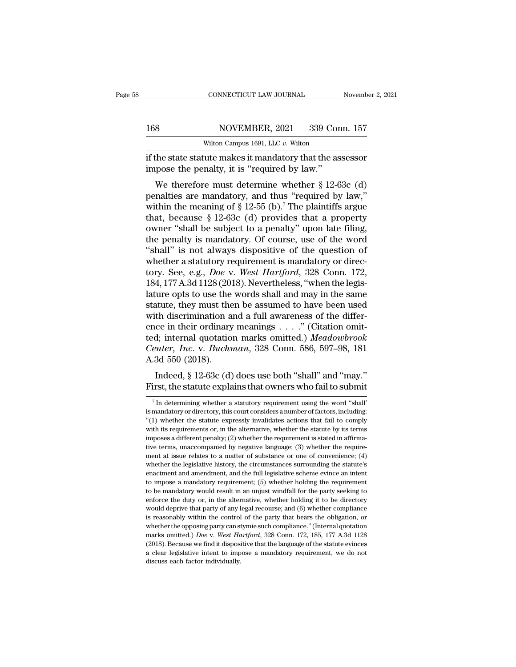### 168 CONNECTICUT LAW JOURNAL November 2, 2021<br>168 NOVEMBER, 2021 339 Conn. 157<br>Wilton Campus 1691, LLC v. Wilton CONNECTICUT LAW JOURNAL<br>NOVEMBER, 2021 339 Con<br>Wilton Campus 1691, LLC *v.* Wilton<br>Tute makes it mandatory that the ass

CONNECTICUT LAW JOURNAL November 2, 2021<br>
168 NOVEMBER, 2021 339 Conn. 157<br>
Wilton Campus 1691, LLC v. Wilton<br>
if the state statute makes it mandatory that the assessor<br>
impose the penalty, it is "required by law." 168 NOVEMBER, 2021 339 Cor<br>
witton Campus 1691, LLC v. Wilton<br>
if the state statute makes it mandatory that the as<br>
impose the penalty, it is "required by law."<br>
We therefore must determine whether § 12-6

We Subsetemberry, 1921 and 157<br>Wilton Campus 1691, LLC v. Wilton<br>The state statute makes it mandatory that the assessor<br>pose the penalty, it is "required by law."<br>We therefore must determine whether § 12-63c (d)<br>nalties a 168 NOVEMBER, 2021 339 Conn. 157<br>
Wilton Campus 1691, LLC v. Wilton<br>
if the state statute makes it mandatory that the assessor<br>
impose the penalty, it is "required by law."<br>
We therefore must determine whether § 12-63c (d witton Campus 1691, LLC v. Witton<br>
if the state statute makes it mandatory that the assessor<br>
impose the penalty, it is "required by law."<br>
We therefore must determine whether § 12-63c (d)<br>
penalties are mandatory, and th if the state statute makes it mandatory that the assessor<br>impose the penalty, it is "required by law."<br>We therefore must determine whether § 12-63c (d)<br>penalties are mandatory, and thus "required by law,"<br>within the meani It the state statute makes it manuatory that the assessor<br>
impose the penalty, it is "required by law."<br>
We therefore must determine whether  $\S$  12-63c (d)<br>
penalties are mandatory, and thus "required by law,"<br>
within the The penalty, it is required by law.<br>
We therefore must determine whether § 12-63c (d)<br>
penalties are mandatory, and thus "required by law,"<br>
within the meaning of § 12-55 (b).<sup>7</sup> The plaintiffs argue<br>
that, because § 12-6 We therefore must determine whether § 12-63c (d)<br>penalties are mandatory, and thus "required by law,"<br>within the meaning of § 12-55 (b).<sup>7</sup> The plaintiffs argue<br>that, because § 12-63c (d) provides that a property<br>owner "s penalties are mandatory, and thus "required by law,"<br>within the meaning of § 12-55 (b).<sup>7</sup> The plaintiffs argue<br>that, because § 12-63c (d) provides that a property<br>owner "shall be subject to a penalty" upon late filing,<br>t within the meaning of § 12-55 (b).<sup>7</sup> The plaintiffs argue<br>that, because § 12-63c (d) provides that a property<br>owner "shall be subject to a penalty" upon late filing,<br>the penalty is mandatory. Of course, use of the word<br>"s that, because § 12-63c (d) provides that a property<br>owner "shall be subject to a penalty" upon late filing,<br>the penalty is mandatory. Of course, use of the word<br>"shall" is not always dispositive of the question of<br>whether owner "shall be subject to a penalty" upon late filing,<br>the penalty is mandatory. Of course, use of the word<br>"shall" is not always dispositive of the question of<br>whether a statutory requirement is mandatory or direc-<br>tory. the penalty is mandatory. Of course, use of the word<br>
"shall" is not always dispositive of the question of<br>
whether a statutory requirement is mandatory or direc-<br>
tory. See, e.g., *Doe* v. *West Hartford*, 328 Conn. 172, "shall" is not always dispositive of the question of whether a statutory requirement is mandatory or directory. See, e.g., *Doe* v. *West Hartford*, 328 Conn. 172, 184, 177 A.3d 1128 (2018). Nevertheless, "when the legisl whether a statutory requirement is mandatory or directory. See, e.g., *Doe v. West Hartford*, 328 Conn. 172, 184, 177 A.3d 1128 (2018). Nevertheless, "when the legislature opts to use the words shall and may in the same s tory. See, e.g., *Doe v. West Hartford*, 328 Conn. 172, 184, 177 A.3d 1128 (2018). Nevertheless, "when the legis-<br>lature opts to use the words shall and may in the same<br>statute, they must then be assumed to have been used<br> 184, 177 A.3d 1128 (2018). Nevertheless, "when the legislature opts to use the words shall and may in the same statute, they must then be assumed to have been used with discrimination and a full awareness of the difference lature opts to use the<br>statute, they must the<br>with discrimination a<br>ence in their ordinary<br>ted; internal quotatio<br>*Center, Inc.* v. *Buchn*<br>A.3d 550 (2018).<br>Indeed, § 12-63c (d) Indee, they must then be assumed to have been used<br>th discrimination and a full awareness of the differ-<br>ce in their ordinary meanings . . . ." (Citation omit-<br>d; internal quotation marks omitted.) Meadowbrook<br>mter, Inc. v with discrimination and a fun awareness of the difference in their ordinary meanings  $\ldots$ ." (Citation omitted; internal quotation marks omitted.) *Meadowbrook Center, Inc.* v. *Buchman*, 328 Conn. 586, 597–98, 181 A.3d

3d 550 (2018).<br>Indeed, § 12-63c (d) does use both "shall" and "may."<br>irst, the statute explains that owners who fail to submit<br> $\frac{7}{1}$  In determining whether a statutory requirement using the word "shall"<br>mandatory or d

Indeed, § 12-63c (d) does use both "shall" and "may."<br>First, the statute explains that owners who fail to submit<br> $\frac{1}{10}$  in determining whether a statutory requirement using the word "shall"<br>is mandatory or directory, Indeed,  $\S$  12-63c (d) does use both "shall" and "may."<br>First, the statute explains that owners who fail to submit<br> $\frac{1}{\pi}$  In determining whether a statutory requirement using the word "shall"<br>is mandatory or directory First, the statute explains that owners who fail to submit<br>  $\frac{1}{\pi}$  in determining whether a statutory requirement using the word "shall"<br>
is mandatory or directory, this court considers a number of factors, including: FIFSU, The Statute explains that OWHEIS WHO Tall to Subflitt<br>
<sup>7</sup> In determining whether a statutory requirement using the word "shall"<br>
is mandatory or directory, this court considers a number of factors, including:<br>
"(1 The determining whether a statutory requirement using the word "shall" is mandatory or directory, this court considers a number of factors, including: "(1) whether the statute expressly invalidates actions that fail to co is mandatory or directory, this court considers a number of factors, including: "(1) whether the statute expressly invalidates actions that fail to comply with its requirements or, in the alternative, whether the statute whether the statute expressly invalidates actions that fail to comply with its requirements or, in the alternative, whether the statute by its terms imposes a different penalty; (2) whether the requirement is stated in af ( $\epsilon$ ) structure are structure in the alternative, whether the statute by its terms imposes a different penalty; (2) whether the requirement is stated in affirmative terms, unaccompanied by negative language; (3) whether mandatory is a mandatory requirement is stated in affirmative terms, unaccompanied by negative language; (3) whether the requirement at issue relates to a matter of substance or one of convenience; (4) whether the legisla the terms, unaccompanied by negative language; (3) whether the requirement at issue relates to a matter of substance or one of convenience; (4) whether the legislative history, the circumstances surrounding the statute's ment at issue relates to a matter of substance or one of convenience;  $(4)$  whether the legislative history, the circumstances surrounding the statute's enactment and amendment, and the full legislative scheme evince an i whether the legislative history, the circumstances surrounding the statute's enactment and amendment, and the full legislative scheme evince an intent to impose a mandatory requirement; (5) whether holding the requirement is reactment and amendment, and the full legislative scheme evince an intent to impose a mandatory requirement; (5) whether holding the requirement to be mandatory would result in an unjust windfall for the party seeking to impose a mandatory requirement; (5) whether holding the requirement to be mandatory would result in an unjust windfall for the party seeking to enforce the duty or, in the alternative, whether holding it to be director marks omitted.) *Doe* v. *West Hartford*, 328 Conn. 172, 185, 177 A.3d 1128 (2018). Because we find it dispositive that the language of the statute eviness of any legal recourse; and (6) whether compliance is reasonably wi enforce the duty or, in the alternative, whether holding it to be directory would deprive that party of any legal recourse; and (6) whether compliance is reasonably within the control of the party that bears the obligatio would deprive that party of any legal recourse; and (6) whether compliance is reasonably within the control of the party that bears the obligation, or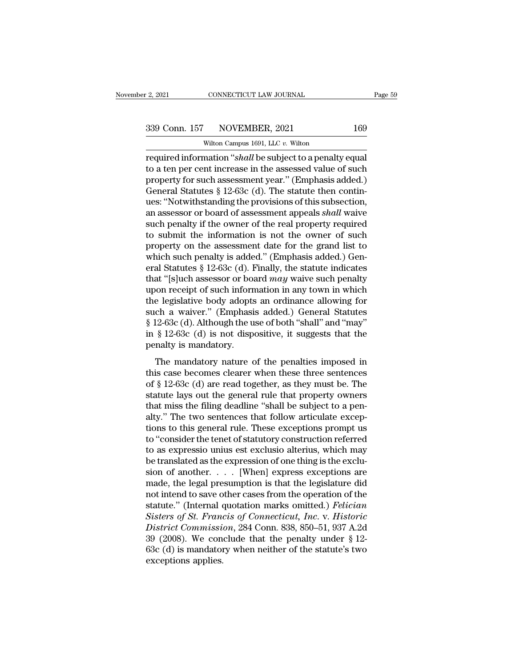CONNECTICUT LAW JOURNAL<br>NOVEMBER, 2021<br>Wilton Campus 1691, LLC *v.* Wilton<br>mation "*shall* be subject to a nenalty required information ''*shall* be subject to a penalty equal<br>
required information ''*shall* be subject to a penalty equal<br>
to a ten per cent increase in the assessed value of such<br>
required information ''*shall* be subjec 339 Conn. 157 NOVEMBER, 2021 169<br>Wilton Campus 1691, LLC v. Wilton<br>required information "*shall* be subject to a penalty equal<br>to a ten per cent increase in the assessed value of such<br>property for such assessment year." ( 339 Conn. 157 NOVEMBER, 2021 169<br>Wilton Campus 1691, LLC v. Wilton<br>required information "*shall* be subject to a penalty equal<br>to a ten per cent increase in the assessed value of such<br>property for such assessment year." (  $\frac{339 \text{ Conn. } 157 \qquad \text{NOVEMBER, } 2021 \qquad \qquad 169}{\text{Wilton Campus 1691, LLC } v. \text{ Wilton}}$ <br>
required information "*shall* be subject to a penalty equal<br>
to a ten per cent increase in the assessed value of such<br>
property for such assessment ye wilton Campus 1691, LLC v. Wilton<br>
required information "*shall* be subject to a penalty equal<br>
to a ten per cent increase in the assessed value of such<br>
property for such assessment year." (Emphasis added.)<br>
General Stat witten Campus 1691, LLC v. Witten<br>required information "*shall* be subject to a penalty equal<br>to a ten per cent increase in the assessed value of such<br>property for such assessment year." (Emphasis added.)<br>General Statutes required information "*shall* be subject to a penalty equal<br>to a ten per cent increase in the assessed value of such<br>property for such assessment year." (Emphasis added.)<br>General Statutes § 12-63c (d). The statute then con to a ten per cent increase in the assessed value of such<br>property for such assessment year." (Emphasis added.)<br>General Statutes § 12-63c (d). The statute then contin-<br>ues: "Notwithstanding the provisions of this subsectio property for such assessment year." (Emphasis added.)<br>General Statutes § 12-63c (d). The statute then contin-<br>ues: "Notwithstanding the provisions of this subsection,<br>an assessor or board of assessment appeals *shall* wai General Statutes § 12-63c (d). The statute then continues: "Notwithstanding the provisions of this subsection, an assessor or board of assessment appeals *shall* waive such penalty if the owner of the real property requir ues: "Notwithstanding the provisions of this subsection,<br>an assessor or board of assessment appeals *shall* waive<br>such penalty if the owner of the real property required<br>to submit the information is not the owner of such<br>p an assessor or board of assessment appeals *shall* waive<br>such penalty if the owner of the real property required<br>to submit the information is not the owner of such<br>property on the assessment date for the grand list to<br>whic such penalty if the owner of the real property required<br>to submit the information is not the owner of such<br>property on the assessment date for the grand list to<br>which such penalty is added." (Emphasis added.) Gen-<br>eral Sta to submit the information is not the owner of such<br>property on the assessment date for the grand list to<br>which such penalty is added." (Emphasis added.) Gen-<br>eral Statutes § 12-63c (d). Finally, the statute indicates<br>that property on the assessment date for the grand list to<br>which such penalty is added." (Emphasis added.) Gen-<br>eral Statutes § 12-63c (d). Finally, the statute indicates<br>that "[s]uch assessor or board *may* waive such penalty which such penalty is added." (Emphasis added.) General Statutes § 12-63c (d). Finally, the statute indicates that "[s]uch assessor or board *may* waive such penalty upon receipt of such information in any town in which t eral Statutes § 12-63c (d). Finally, the statute indicates<br>that "[s]uch assessor or board *may* waive such penalty<br>upon receipt of such information in any town in which<br>the legislative body adopts an ordinance allowing fo that "[s]uch assessor or boat<br>upon receipt of such inform<br>the legislative body adopts<br>such a waiver." (Emphasi<br>§ 12-63c (d). Although the u<br>in § 12-63c (d) is not disp-<br>penalty is mandatory.<br>The mandatory nature of be legislative body adopts an ordinance allowing for<br>ch a waiver." (Emphasis added.) General Statutes<br> $12-63c$  (d). Although the use of both "shall" and "may"<br> $\frac{8}{3}$  12-63c (d) is not dispositive, it suggests that the<br> such a waiver." (Emphasis added.) General Statutes  $§$  12-63c (d). Although the use of both "shall" and "may"<br>in  $§$  12-63c (d) is not dispositive, it suggests that the<br>penalty is mandatory.<br>The mandatory nature of the pe

 $\frac{1}{2}$  12-63c (d). Although the use of both "shall" and "may"<br>in  $\frac{1}{2}$  12-63c (d) is not dispositive, it suggests that the<br>penalty is mandatory.<br>The mandatory nature of the penalties imposed in<br>this case becomes cl in § 12 650 (d). That also statute is of boath shall raid that,<br>in § 12-63c (d) is not dispositive, it suggests that the<br>penalty is mandatory.<br>The mandatory nature of the penalties imposed in<br>this case becomes clearer whe The mandatory.<br>The mandatory nature of the penalties imposed in<br>this case becomes clearer when these three sentences<br>of  $\S$  12-63c (d) are read together, as they must be. The<br>statute lays out the general rule that propert The mandatory nature of the penalties imposed in<br>this case becomes clearer when these three sentences<br>of  $\S$  12-63c (d) are read together, as they must be. The<br>statute lays out the general rule that property owners<br>that m The mandatory nature of the penalties imposed in<br>this case becomes clearer when these three sentences<br>of § 12-63c (d) are read together, as they must be. The<br>statute lays out the general rule that property owners<br>that miss this case becomes clearer when these three sentences<br>of § 12-63c (d) are read together, as they must be. The<br>statute lays out the general rule that property owners<br>that miss the filing deadline "shall be subject to a pen-<br> of § 12-63c (d) are read together, as they must be. The<br>statute lays out the general rule that property owners<br>that miss the filing deadline "shall be subject to a pen-<br>alty." The two sentences that follow articulate excep statute lays out the general rule that property owners<br>that miss the filing deadline "shall be subject to a pen-<br>alty." The two sentences that follow articulate excep-<br>tions to this general rule. These exceptions prompt us that miss the filing deadline "shall be subject to a penalty." The two sentences that follow articulate exceptions to this general rule. These exceptions prompt us to "consider the tenet of statutory construction referred alty." The two sentences that follow articulate exceptions to this general rule. These exceptions prompt us<br>to "consider the tenet of statutory construction referred<br>to as expressio unius est exclusio alterius, which may<br> tions to this general rule. These exceptions prompt us<br>to "consider the tenet of statutory construction referred<br>to as expressio unius est exclusio alterius, which may<br>be translated as the expression of one thing is the e to "consider the tenet of statutory construction referred<br>to as expressio unius est exclusio alterius, which may<br>be translated as the expression of one thing is the exclu-<br>sion of another. . . . . [When] express exceptions to as expressio unius est exclusio alterius, which may<br>be translated as the expression of one thing is the exclu-<br>sion of another. . . . . [When] express exceptions are<br>made, the legal presumption is that the legislature d be translated as the expression of one thing is the exclusion of another. . . . . [When] express exceptions are made, the legal presumption is that the legislature did not intend to save other cases from the operation of t sion of another. . . . . [When] express exceptions are<br>made, the legal presumption is that the legislature did<br>not intend to save other cases from the operation of the<br>statute." (Internal quotation marks omitted.) *Felici* made, the legal presumption is that the legislature did<br>not intend to save other cases from the operation of the<br>statute." (Internal quotation marks omitted.) *Felician*<br>Sisters of St. Francis of Connecticut, Inc. v. Histo not intend to save o<br>statute." (Internal c<br>Sisters of St. Franc<br>District Commissi<br>39 (2008). We con<br>63c (d) is mandaton<br>exceptions applies.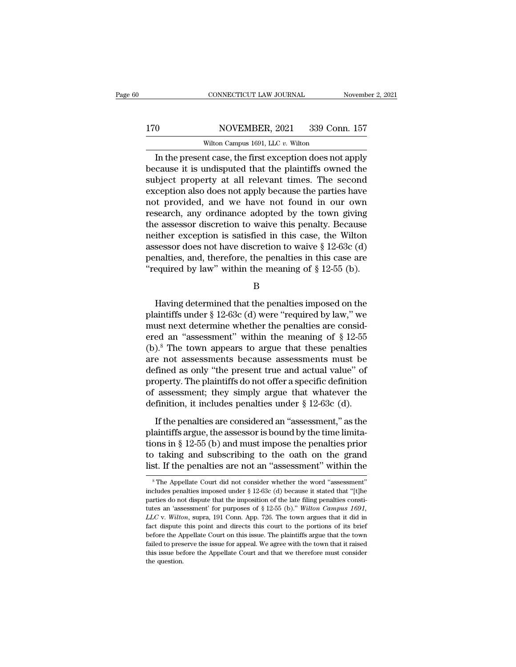### 170 CONNECTICUT LAW JOURNAL November 2, 2021<br>170 NOVEMBER, 2021 339 Conn. 157<br>Wilton Campus 1691, LLC v. Wilton CONNECTICUT LAW JOURNAL<br>NOVEMBER, 2021 339 Con<br>Wilton Campus 1691, LLC *v.* Wilton<br>nt case the first exception does not

CONNECTICUT LAW JOURNAL November 2, 2021<br>
O NOVEMBER, 2021 339 Conn. 157<br>
Wilton Campus 1691, LLC v. Wilton<br>
In the present case, the first exception does not apply<br>
cause it is undisputed that the plaintiffs owned the<br>
bl 170 NOVEMBER, 2021 339 Conn. 157<br>Wilton Campus 1691, LLC v. Wilton<br>In the present case, the first exception does not apply<br>because it is undisputed that the plaintiffs owned the<br>subject property at all relevant times. The  $\frac{\text{NOVEMBER, 2021}}{\text{Wilton Campus 1691, LLC } v. \text{Wilton}}$ <br>
In the present case, the first exception does not apply<br>
because it is undisputed that the plaintiffs owned the<br>
subject property at all relevant times. The second<br>
exception als 170 NOVEMBER, 2021 339 Conn. 157<br>Wilton Campus 1691, LLC  $v$ . Wilton<br>In the present case, the first exception does not apply<br>because it is undisputed that the plaintiffs owned the<br>subject property at all relevant times. T Wilton Campus 1691, LLC  $v$ . Wilton<br>
In the present case, the first exception does not apply<br>
because it is undisputed that the plaintiffs owned the<br>
subject property at all relevant times. The second<br>
exception also does which campus 1691, LLC  $v$ . which<br>In the present case, the first exception does not apply<br>because it is undisputed that the plaintiffs owned the<br>subject property at all relevant times. The second<br>exception also does not a In the present case, the first exception does not apply<br>because it is undisputed that the plaintiffs owned the<br>subject property at all relevant times. The second<br>exception also does not apply because the parties have<br>not because it is undisputed that the plaintiffs owned the<br>subject property at all relevant times. The second<br>exception also does not apply because the parties have<br>not provided, and we have not found in our own<br>research, any subject property at all relevant times. The second<br>exception also does not apply because the parties have<br>not provided, and we have not found in our own<br>research, any ordinance adopted by the town giving<br>the assessor disc exception also does not apply because the parties have<br>not provided, and we have not found in our own<br>research, any ordinance adopted by the town giving<br>the assessor discretion to waive this penalty. Because<br>neither excep not provided, and we have not found in our own<br>
research, any ordinance adopted by the town giving<br>
the assessor discretion to waive this penalty. Because<br>
neither exception is satisfied in this case, the Wilton<br>
assessor The exception is satisfied in this case, the Wilton<br>sessor does not have discretion to waive § 12-63c (d)<br>nalties, and, therefore, the penalties in this case are<br>equired by law" within the meaning of § 12-55 (b).<br>B<br>Having

B

assessor does not have discretion to waive  $\S$  12-63c (d)<br>penalties, and, therefore, the penalties in this case are<br>"required by law" within the meaning of  $\S$  12-55 (b).<br>B<br>Having determined that the penalties imposed on penalties, and, therefore, the penalties in this case are<br>
"required by law" within the meaning of § 12-55 (b).<br>
B<br>
Having determined that the penalties imposed on the<br>
plaintiffs under § 12-63c (d) were "required by law, Trequired by law" within the meaning of § 12-55 (b).<br>
B<br>
Having determined that the penalties imposed on the<br>
plaintiffs under § 12-63c (d) were "required by law," we<br>
must next determine whether the penalties are consid-B<br>
Having determined that the penalties imposed on the<br>
plaintiffs under  $\S$  12-63c (d) were "required by law," we<br>
must next determine whether the penalties are consid-<br>
ered an "assessment" within the meaning of  $\S$  12-Having determined that the penalties imposed on the<br>plaintiffs under  $\S$  12-63c (d) were "required by law," we<br>must next determine whether the penalties are consid-<br>ered an "assessment" within the meaning of  $\S$  12-55<br>(b) Having determined that the penalties imposed on the<br>plaintiffs under  $\S$  12-63c (d) were "required by law," we<br>must next determine whether the penalties are consid-<br>ered an "assessment" within the meaning of  $\S$  12-55<br>(b) plaintiffs under § 12-63c (d) were "required by law," we<br>must next determine whether the penalties are consid-<br>ered an "assessment" within the meaning of § 12-55<br>(b).<sup>8</sup> The town appears to argue that these penalties<br>are must next determine whether the penalties are considered an "assessment" within the meaning of  $\S 12-55$ <br>(b).<sup>8</sup> The town appears to argue that these penalties<br>are not assessments because assessments must be<br>defined as on ered an "assessment" within the meaning of  $\S 12-55$ <br>(b).<sup>8</sup> The town appears to argue that these penalties<br>are not assessments because assessments must be<br>defined as only "the present true and actual value" of<br>property. From the period of any time term of periments are and actual value" of<br>
fined as only "the present true and actual value" of<br>
operty. The plaintiffs do not offer a specific definition<br>
assessment; they simply argue that w are not assessments because assessments must be defined as only "the present true and actual value" of property. The plaintiffs do not offer a specific definition of assessment; they simply argue that whatever the definit

property. The plaintiffs do not offer a specific definition<br>of assessment; they simply argue that whatever the<br>definition, it includes penalties under  $\S$  12-63c (d).<br>If the penalties are considered an "assessment," as th of assessment; they simply argue that whatever the<br>definition, it includes penalties under  $\S$  12-63c (d).<br>If the penalties are considered an "assessment," as the<br>plaintiffs argue, the assessor is bound by the time limita definition, it includes penalties under  $\S$  12-63c (d).<br>If the penalties are considered an "assessment," as the<br>plaintiffs argue, the assessor is bound by the time limita-<br>tions in  $\S$  12-55 (b) and must impose the penalt tions in § 12-55 (b) and must impose the penalties prior<br>to taking and subscribing to the oath on the grand<br>list. If the penalties are not an "assessment" within the<br> $\frac{1}{10}$ <br> $\frac{1}{10}$ <br> $\frac{1}{10}$  The Appellate Court di tions in § 12-55 (b) and must impose the penalties prior<br>to taking and subscribing to the oath on the grand<br>list. If the penalties are not an "assessment" within the<br> $^8$ The Appellate Court did not consider whether the wo

to taking and subscribing to the oath on the grand<br>list. If the penalties are not an "assessment" within the<br><sup>\*</sup>The Appellate Court did not consider whether the word "assessment"<br>includes penalties imposed under § 12-63c list. If the penalties are not an "assessment" within the<br>
<sup>8</sup>The Appellate Court did not consider whether the word "assessment"<br>
includes penalties imposed under § 12-63c (d) because it stated that "[t]he<br>
parties do not <sup>8</sup> The Appellate Court did not consider whether the word "assessment" includes penalties imposed under § 12-63c (d) because it stated that "[t]he parties do not dispute that the imposition of the late filing penalties con includes penalties imposed under § 12-63c (d) because it stated that "[t]he parties do not dispute that the imposition of the late filing penalties constitutes an 'assessment' for purposes of § 12-55 (b)." Wilton Campus 1 before the Appellate Court on this issue. The plaintiffs argue that the town failed that "[t] parties do not dispute that the imposition of the late filing penalties constitutes an 'assessment' for purposes of § 12-55 (b) parties do not dispute that the imposition of the late filing penalties constitutes an 'assessment' for purposes of § 12-55 (b)." Wilton Campus 1691, LLC v. Wilton, supra, 191 Conn. App. 726. The town argues that it did i tutes an 'assessment' for purposes of § 12-55 (b)." Wilton Campus 1691,  $LLC$  v. Wilton, supra, 191 Conn. App. 726. The town argues that it did in fact dispute this point and directs this court to the portions of its brief  $LLC$  v. Wilton, supra, 191 Conn. App. 726. The town argues that it did in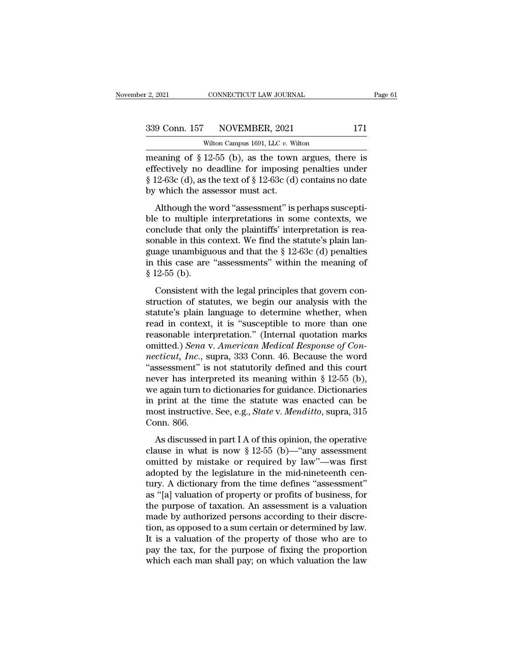CONNECTICUT LAW JOURNAL<br>NOVEMBER, 2021<br>Wilton Campus 1691, LLC *v.* Wilton<br>12-55 (b) as the town argues the 2, 2021 CONNECTICUT LAW JOURNAL Page 61<br>
339 Conn. 157 NOVEMBER, 2021 171<br>
wilton Campus 1691, LLC v. Wilton<br>
meaning of § 12-55 (b), as the town argues, there is<br>
effectively no deadline for imposing penalties under<br>
8.1 339 Conn. 157 NOVEMBER, 2021 171<br>Wilton Campus 1691, LLC v. Wilton<br>meaning of § 12-55 (b), as the town argues, there is<br>effectively no deadline for imposing penalties under<br>§ 12-63c (d), as the text of § 12-63c (d) contai 339 Conn. 157 NOVEMBER, 2021 171<br>Wilton Campus 1691, LLC v. Wilton<br>meaning of § 12-55 (b), as the town argues, there is<br>effectively no deadline for imposing penalties under<br>§ 12-63c (d), as the text of § 12-63c (d) contai 339 Conn. 157 NOVEMBER, 2021<br>wilton Campus 1691, LLC  $v$ . Wi<br>meaning of § 12-55 (b), as the town<br>effectively no deadline for imposing<br>§ 12-63c (d), as the text of § 12-63c (d)<br>by which the assessor must act.<br>Although the Wilton Campus 1691, LLC v. Wilton<br>
eaning of § 12-55 (b), as the town argues, there is<br>
fectively no deadline for imposing penalties under<br>
12-63c (d), as the text of § 12-63c (d) contains no date<br>
which the assessor must meaning of  $\S$  12-55 (b), as the town argues, there is<br>effectively no deadline for imposing penalties under<br> $\S$  12-63c (d), as the text of  $\S$  12-63c (d) contains no date<br>by which the assessor must act.<br>Although the word

effectively no deadline for imposing penalties under<br>
§ 12-63c (d), as the text of § 12-63c (d) contains no date<br>
by which the assessor must act.<br>
Although the word "assessment" is perhaps suscepti-<br>
ble to multiple inter  $\S$  12-63c (d), as the text of  $\S$  12-63c (d) contains no date<br>by which the assessor must act.<br>Although the word "assessment" is perhaps suscepti-<br>ble to multiple interpretations in some contexts, we<br>conclude that only th g 12-63c (d), as the text or  $\frac{1}{8}$  12-63c (d) contains no date<br>by which the assessor must act.<br>Although the word "assessment" is perhaps suscepti-<br>ble to multiple interpretations in some contexts, we<br>conclude that onl Eq. Although the word "assessment" is perhaps suscepti-<br>ble to multiple interpretations in some contexts, we<br>conclude that only the plaintiffs' interpretation is rea-<br>sonable in this context. We find the statute's plain l Although the v<br>ble to multiple<br>conclude that or<br>sonable in this c<br>guage unambigu<br>in this case are<br>§ 12-55 (b).<br>Consistent wit nelude that only the plaintiffs' interpretation is rea-<br>nable in this context. We find the statute's plain lan-<br>age unambiguous and that the  $\S 12-63c$  (d) penalties<br>this case are "assessments" within the meaning of<br> $12-5$ sonable in this context. We find the statute's plain language unambiguous and that the  $\S 12-63c$  (d) penalties<br>in this case are "assessments" within the meaning of<br> $\S 12-55$  (b).<br>Consistent with the legal principles that

solation in and collective. We find the statute is plain fait<br>guage unambiguous and that the § 12-63c (d) penalties<br>in this case are "assessments" within the meaning of<br>§ 12-55 (b).<br>Consistent with the legal principles th in this case are "assessments" within the meaning of<br>
§ 12-55 (b).<br>
Consistent with the legal principles that govern construction of statutes, we begin our analysis with the<br>
statute's plain language to determine whether,  $\frac{1}{2}$  12-55 (b).<br>
Consistent with the legal principles that govern construction of statutes, we begin our analysis with the<br>
statute's plain language to determine whether, when<br>
read in context, it is "susceptible to Consistent with the legal principles that govern construction of statutes, we begin our analysis with the statute's plain language to determine whether, when read in context, it is "susceptible to more than one reasonable Consistent with the legal principles that govern construction of statutes, we begin our analysis with the statute's plain language to determine whether, when read in context, it is "susceptible to more than one reasonable struction of statutes, we begin our analysis with the<br>statute's plain language to determine whether, when<br>read in context, it is "susceptible to more than one<br>reasonable interpretation." (Internal quotation marks<br>omitted. statute's plain language to determine whether, when<br>read in context, it is "susceptible to more than one<br>reasonable interpretation." (Internal quotation marks<br>omitted.) *Sena* v. American Medical Response of Con-<br>necticut, read in context, it is "susceptible to more than one<br>reasonable interpretation." (Internal quotation marks<br>omitted.) *Sena* v. American Medical Response of Con-<br>necticut, Inc., supra, 333 Conn. 46. Because the word<br>"asses reasonable interpretation." (Internal quotation marks<br>omitted.) *Sena* v. *American Medical Response of Con-*<br>*necticut, Inc.*, supra, 333 Conn. 46. Because the word<br>"assessment" is not statutorily defined and this court<br>n omitted.) *Sena* v. *American Medical Response of Connecticut, Inc.*, *supra, 333 Conn. 46. Because the word* "assessment" is not *statutorily defined and this court* never has interpreted its meaning within § 12-55 (b), w mecticut, Inc., s<br>
"assessment" is<br>
never has inter<br>
we again turn tc<br>
in print at the<br>
most instructive<br>
Conn. 866.<br>
As discussed wer has interpreted its meaning within § 12-55 (b),<br>e again turn to dictionaries for guidance. Dictionaries<br>print at the time the statute was enacted can be<br>ost instructive. See, e.g., *State* v. *Menditto*, supra, 315<br>pn clause in turn to dictionaries for guidance. Dictionaries<br>in print at the time the statute was enacted can be<br>most instructive. See, e.g., *State* v. *Menditto*, supra, 315<br>Conn. 866.<br>As discussed in part I A of this opin

or eigent can be decoduated by galaxiee. Becausines<br>in print at the time the statute was enacted can be<br>most instructive. See, e.g., *State* v. *Menditto*, supra, 315<br>Conn. 866.<br>As discussed in part I A of this opinion, t m pine at the the statute was entered can be<br>most instructive. See, e.g., *State* v. *Menditto*, supra, 315<br>Conn. 866.<br>As discussed in part I A of this opinion, the operative<br>clause in what is now § 12-55 (b)—"any assessm The time defined in part I A of this opinion, the operative<br>clause in what is now  $\S 12{\text -}55$  (b)—"any assessment<br>omitted by mistake or required by law"—was first<br>adopted by the legislature in the mid-nineteenth cen-<br>tur As discussed in part I A of this opinion, the operative<br>
clause in what is now  $\S 12-55$  (b)—"any assessment<br>
omitted by mistake or required by law"—was first<br>
adopted by the legislature in the mid-nineteenth cen-<br>
tury. As discussed in part I A of this opinion, the operative<br>clause in what is now  $\S 12-55$  (b)—"any assessment<br>omitted by mistake or required by law"—was first<br>adopted by the legislature in the mid-nineteenth cen-<br>tury. A di clause in what is now § 12-55 (b)—"any assessment<br>omitted by mistake or required by law"—was first<br>adopted by the legislature in the mid-nineteenth cen-<br>tury. A dictionary from the time defines "assessment"<br>as "[a] valuat omitted by mistake or required by law"—was first<br>adopted by the legislature in the mid-nineteenth cen-<br>tury. A dictionary from the time defines "assessment"<br>as "[a] valuation of property or profits of business, for<br>the pur adopted by the legislature in the mid-nineteenth century. A dictionary from the time defines "assessment"<br>as "[a] valuation of property or profits of business, for<br>the purpose of taxation. An assessment is a valuation<br>made tury. A dictionary from the time defines "assessment"<br>as "[a] valuation of property or profits of business, for<br>the purpose of taxation. An assessment is a valuation<br>made by authorized persons according to their discre-<br>ti as "[a] valuation of property or profits of business, for<br>the purpose of taxation. An assessment is a valuation<br>made by authorized persons according to their discre-<br>tion, as opposed to a sum certain or determined by law.<br>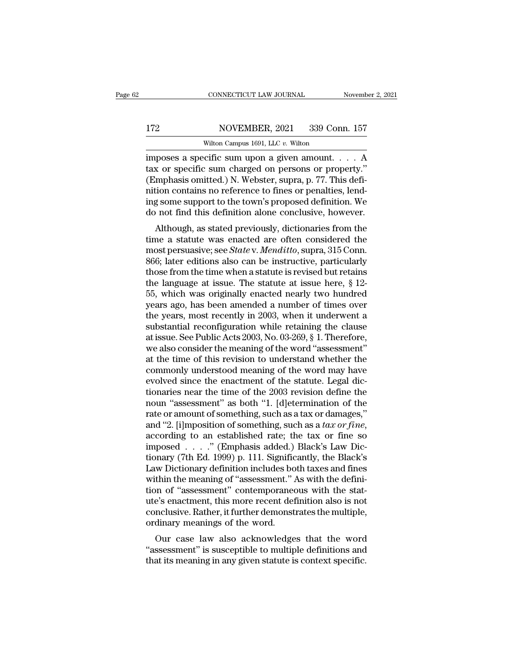### 172 CONNECTICUT LAW JOURNAL November 2, 2021<br>172 NOVEMBER, 2021 339 Conn. 157<br>Wilton Campus 1691, LLC v. Wilton CONNECTICUT LAW JOURNAL<br>NOVEMBER, 2021 339 Con<br>Wilton Campus 1691, LLC *v.* Wilton<br>Cific sum upon a given amount

CONNECTICUT LAW JOURNAL November 2, 2021<br>
172 NOVEMBER, 2021 339 Conn. 157<br>
Wilton Campus 1691, LLC v. Wilton<br>
imposes a specific sum upon a given amount. . . . A<br>
tax or specific sum charged on persons or property."<br>
(Emp 172 NOVEMBER, 2021 339 Conn. 157<br>Wilton Campus 1691, LLC v. Wilton<br>imposes a specific sum upon a given amount. . . . A<br>tax or specific sum charged on persons or property.''<br>(Emphasis omitted.) N. Webster, supra, p. 77. Thi 172 NOVEMBER, 2021 339 Conn. 157<br>Wilton Campus 1691, LLC v. Wilton<br>imposes a specific sum upon a given amount. . . . . A<br>tax or specific sum charged on persons or property."<br>(Emphasis omitted.) N. Webster, supra, p. 77. Th 172 NOVEMBER, 2021 339 Conn. 157<br>
Wilton Campus 1691, LLC v. Wilton<br>
imposes a specific sum upon a given amount. . . . A<br>
tax or specific sum charged on persons or property."<br>
(Emphasis omitted.) N. Webster, supra, p. 77. Wilton Campus 1691, LLC v. Wilton<br>imposes a specific sum upon a given amount.  $\ldots$  A<br>tax or specific sum charged on persons or property."<br>(Emphasis omitted.) N. Webster, supra, p. 77. This defi-<br>nition contains no refere Wilton Campus 1691, LLC v. Wilton<br>imposes a specific sum upon a given amount.... A<br>tax or specific sum charged on persons or property."<br>(Emphasis omitted.) N. Webster, supra, p. 77. This defi-<br>nition contains no reference poses a specific sum upon a given amount.  $\ldots$  A<br>  $x$  or specific sum charged on persons or property."<br>
Imphasis omitted.) N. Webster, supra, p. 77. This defi-<br>
tion contains no reference to fines or penalties, lend-<br>  $g$ tax of specific suff charged of persons of property.<br>
(Emphasis omitted.) N. Webster, supra, p. 77. This defi-<br>
nition contains no reference to fines or penalties, lend-<br>
ing some support to the town's proposed definition

(Entipriasis officially N. Webster, supra, p. 77. This definition contains no reference to fines or penalties, lending some support to the town's proposed definition. We do not find this definition alone conclusive, howeve fluid contains no reference to fines of penalties, refu-<br>ing some support to the town's proposed definition. We<br>do not find this definition alone conclusive, however.<br>Although, as stated previously, dictionaries from the<br> the support to the town's proposed definition. We<br>do not find this definition alone conclusive, however.<br>Although, as stated previously, dictionaries from the<br>time a statute was enacted are often considered the<br>most persu the language at issue. The statute at issue here, since the was enacted at interest at its most persuasive; see *State v. Menditto*, supra, 315 Conn. 866; later editions also can be instructive, particularly those from the Although, as stated previously, dictionaries from the<br>time a statute was enacted are often considered the<br>most persuasive; see *State* v. *Menditto*, supra, 315 Conn.<br>866; later editions also can be instructive, particula time a statute was enacted are often considered the<br>most persuasive; see *State* v. *Menditto*, supra, 315 Conn.<br>866; later editions also can be instructive, particularly<br>those from the time when a statute is revised but most persuasive; see *State* v. *Menditto*, supra, 315 Conn.<br>866; later editions also can be instructive, particularly<br>those from the time when a statute is revised but retains<br>the language at issue. The statute at issue 866; later editions also can be instructive, particularly<br>those from the time when a statute is revised but retains<br>the language at issue. The statute at issue here,  $\S$  12-<br>55, which was originally enacted nearly two hun those from the time when a statute is revised but retains<br>the language at issue. The statute at issue here, § 12-<br>55, which was originally enacted nearly two hundred<br>years ago, has been amended a number of times over<br>the y the language at issue. The statute at issue here, § 12-<br>55, which was originally enacted nearly two hundred<br>years ago, has been amended a number of times over<br>the years, most recently in 2003, when it underwent a<br>substanti 55, which was originally enacted nearly two hundred<br>years ago, has been amended a number of times over<br>the years, most recently in 2003, when it underwent a<br>substantial reconfiguration while retaining the clause<br>at issue. years ago, has been amended a number of times over<br>the years, most recently in 2003, when it underwent a<br>substantial reconfiguration while retaining the clause<br>at issue. See Public Acts 2003, No. 03-269, § 1. Therefore,<br>we the years, most recently in 2003, when it underwent a<br>substantial reconfiguration while retaining the clause<br>at issue. See Public Acts 2003, No. 03-269, § 1. Therefore,<br>we also consider the meaning of the word "assessment" substantial reconfiguration while retaining the clause<br>at issue. See Public Acts 2003, No. 03-269, § 1. Therefore,<br>we also consider the meaning of the word "assessment"<br>at the time of this revision to understand whether th at issue. See Public Acts 2003, No. 03-269, § 1. Therefore,<br>we also consider the meaning of the word "assessment"<br>at the time of this revision to understand whether the<br>commonly understood meaning of the word may have<br>evol we also consider the meaning of the word "assessment"<br>at the time of this revision to understand whether the<br>commonly understood meaning of the word may have<br>evolved since the enactment of the statute. Legal dic-<br>tionarie at the time of this revision to understand whether the<br>commonly understood meaning of the word may have<br>evolved since the enactment of the statute. Legal dic-<br>tionaries near the time of the 2003 revision define the<br>noun "a evolved since the enactment of the statute. Legal dictionaries near the time of the 2003 revision define the noun "assessment" as both "1. [d]etermination of the rate or amount of something, such as a tax or damages," and tionaries near the time of the 2003 revision define the<br>noun "assessment" as both "1. [d]etermination of the<br>rate or amount of something, such as a tax or damages,"<br>and "2. [i]mposition of something, such as a tax or fine noun "assessment" as both "1. [d]etermination of the<br>rate or amount of something, such as a tax or damages,"<br>and "2. [i]mposition of something, such as a tax or fine,<br>according to an established rate; the tax or fine so<br>i rate or amount of something, such as a tax or damages,"<br>and "2. [i]mposition of something, such as a tax or fine,<br>according to an established rate; the tax or fine so<br>imposed . . . . ." (Emphasis added.) Black's Law Dic-<br> and "2. [i]mposition of something, such as a *tax or fine*, according to an established rate; the tax or fine so imposed  $\ldots$ ." (Emphasis added.) Black's Law Dictionary (7th Ed. 1999) p. 111. Significantly, the Black's L according to an established rate; the tax or fine so<br>imposed . . . ." (Emphasis added.) Black's Law Dic-<br>tionary (7th Ed. 1999) p. 111. Significantly, the Black's<br>Law Dictionary definition includes both taxes and fines<br>wit imposed . . . . ." (Emphasis added.) Black's Law Dictionary (7th Ed. 1999) p. 111. Significantly, the Black's Law Dictionary definition includes both taxes and fines within the meaning of "assessment." As with the definiti tionary (7th Ed. 1999) p. 111. Signific<br>Law Dictionary definition includes bo<br>within the meaning of "assessment." *i*<br>tion of "assessment" contemporane<br>ute's enactment, this more recent def<br>conclusive. Rather, it further d We Dictionary definition includes both taxes and lines<br>thin the meaning of "assessment." As with the defini-<br>on of "assessment" contemporaneous with the stat-<br>e's enactment, this more recent definition also is not<br>nclusive whill the meaning of assessment. As with the definition of "assessment" contemporaneous with the stature's enactment, this more recent definition also is not conclusive. Rather, it further demonstrates the multiple, ordina Figure 1 assessment contemporaleous with the stature's enactment, this more recent definition also is not conclusive. Rather, it further demonstrates the multiple, ordinary meanings of the word.<br>Our case law also acknowled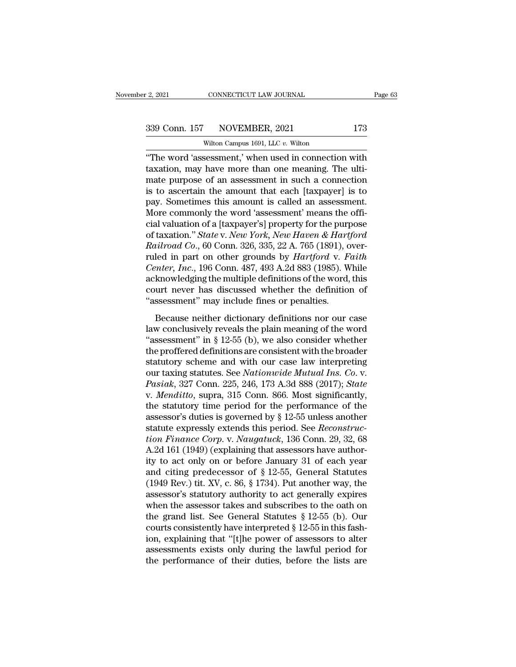CONNECTICUT LAW JOURNAL<br>NOVEMBER, 2021<br>Wilton Campus 1691, LLC *v.* Wilton<br>sessment ' when used in connection <sup>2</sup>, 2021 CONNECTICUT LAW JOURNAL Page 63<br>
339 Conn. 157 NOVEMBER, 2021 173<br>
Wilton Campus 1691, LLC v. Wilton<br>
"The word 'assessment,' when used in connection with<br>
taxation, may have more than one meaning. The ulti-<br>
mat 339 Conn. 157 NOVEMBER, 2021 173<br>Wilton Campus 1691, LLC v. Wilton<br>"The word 'assessment,' when used in connection with<br>taxation, may have more than one meaning. The ulti-<br>mate purpose of an assessment in such a connection 339 Conn. 157 NOVEMBER, 2021 173<br>
Wilton Campus 1691, LLC v. Wilton<br>
"The word 'assessment,' when used in connection with<br>
taxation, may have more than one meaning. The ulti-<br>
mate purpose of an assessment in such a conne 339 Conn. 157 NOVEMBER, 2021 173<br>
wilton Campus 1691, LLC v. Wilton<br>
"The word 'assessment,' when used in connection with<br>
taxation, may have more than one meaning. The ulti-<br>
mate purpose of an assessment in such a conne Wilton Campus 1691, LLC v. Wilton<br>
"The word 'assessment,' when used in connection with<br>
taxation, may have more than one meaning. The ulti-<br>
mate purpose of an assessment in such a connection<br>
is to ascertain the amount t Witton Campus 1691, LLC v. Witton<br>
"The word 'assessment,' when used in connection with<br>
taxation, may have more than one meaning. The ulti-<br>
mate purpose of an assessment in such a connection<br>
is to ascertain the amount "The word 'assessment,' when used in connection with<br>taxation, may have more than one meaning. The ulti-<br>mate purpose of an assessment in such a connection<br>is to ascertain the amount that each [taxpayer] is to<br>pay. Someti taxation, may have more than one meaning. The ulti-<br>mate purpose of an assessment in such a connection<br>is to ascertain the amount that each [taxpayer] is to<br>pay. Sometimes this amount is called an assessment.<br>More commonly mate purpose of an assessment in such a connection<br>is to ascertain the amount that each [taxpayer] is to<br>pay. Sometimes this amount is called an assessment.<br>More commonly the word 'assessment' means the offi-<br>cial valuatio is to ascertain the amount that each [taxpayer] is to<br>pay. Sometimes this amount is called an assessment.<br>More commonly the word 'assessment' means the offi-<br>cial valuation of a [taxpayer's] property for the purpose<br>of tax pay. Sometimes this amount is called an assessment.<br>*More commonly the word 'assessment' means the official valuation of a [taxpayer's] property for the purpose<br>of taxation." <i>State v. New York, New Haven & Hartford*<br>*Rail* More commonly the word 'assessment' means the official valuation of a [taxpayer's] property for the purpose<br>of taxation." *State v. New York, New Haven & Hartford*<br>*Railroad Co.*, 60 Conn. 326, 335, 22 A. 765 (1891), over cial valuation of a [taxpayer's] property for the purpose<br>of taxation." *State* v. *New York, New Haven & Hartford*<br>*Railroad Co.*, 60 Conn. 326, 335, 22 A. 765 (1891), over-<br>ruled in part on other grounds by *Hartford* v of taxation." *State* v. *New York*, *New Haven & Hart*<br>*Railroad Co.*, 60 Conn. 326, 335, 22 A. 765 (1891), c<br>ruled in part on other grounds by *Hartford* v. *F*<br>*Center, Inc.*, 196 Conn. 487, 493 A.2d 883 (1985). W<br>ackno because of the pair. See, 309, 2211. To (1991), over<br>led in part on other grounds by *Hartford* v. *Faith*<br>*mter, Inc.*, 196 Conn. 487, 493 A.2d 883 (1985). While<br>knowledging the multiple definitions of the word, this<br>urt Center, Inc., 196 Conn. 487, 493 A.2d 883 (1985). While<br>acknowledging the multiple definitions of the word, this<br>court never has discussed whether the definition of<br>"assessment" may include fines or penalties.<br>Because nei

Example 19: 12-55 (b), we also consider the definition of "assessment" may include fines or penalties.<br>
Because neither dictionary definitions nor our case<br>
law conclusively reveals the plain meaning of the word "assessmen the profile of the profile of the profile of the set of the definition of "assessment" may include fines or penalties.<br>Because neither dictionary definitions nor our case law conclusively reveals the plain meaning of the "assessment" may include fines or penalties.<br>
"assessment" may include fines or penalties.<br>
Because neither dictionary definitions nor our case<br>
law conclusively reveals the plain meaning of the word<br>
"assessment" in § 12 Because neither dictionary definitions nor our case<br>law conclusively reveals the plain meaning of the word<br>"assessment" in § 12-55 (b), we also consider whether<br>the proffered definitions are consistent with the broader<br>sta Because neither dictionary definitions nor our case<br>law conclusively reveals the plain meaning of the word<br>"assessment" in § 12-55 (b), we also consider whether<br>the proffered definitions are consistent with the broader<br>sta law conclusively reveals the plain meaning of the word<br>
"assessment" in § 12-55 (b), we also consider whether<br>
the proffered definitions are consistent with the broader<br>
statutory scheme and with our case law interpreting<br> "assessment" in § 12-55 (b), we also consider whether<br>the proffered definitions are consistent with the broader<br>statutory scheme and with our case law interpreting<br>our taxing statutes. See *Nationwide Mutual Ins. Co. v.*<br> the proffered definitions are consistent with the broader<br>statutory scheme and with our case law interpreting<br>our taxing statutes. See *Nationwide Mutual Ins. Co. v.*<br>*Pasiak*, 327 Conn. 225, 246, 173 A.3d 888 (2017); *St* statutory scheme and with our case law interpreting<br>our taxing statutes. See *Nationwide Mutual Ins. Co.* v.<br>*Pasiak*, 327 Conn. 225, 246, 173 A.3d 888 (2017); *State*<br>v. *Menditto*, supra, 315 Conn. 866. Most significantl our taxing statutes. See *Nationwide Mutual Ins. Co. v. Pasiak*, 327 Conn. 225, 246, 173 A.3d 888 (2017); *State* v. *Menditto*, supra, 315 Conn. 866. Most significantly, the statutory time period for the performance of *Pasiak*, 327 Conn. 225, 246, 173 A.3d 888 (2017); *State* v. *Menditto*, supra, 315 Conn. 866. Most significantly, the statutory time period for the performance of the assessor's duties is governed by § 12-55 unless anot v. *Menditto*, supra, 315 Conn. 866. Most significantly,<br>the statutory time period for the performance of the<br>assessor's duties is governed by § 12-55 unless another<br>statute expressly extends this period. See *Reconstruc*the statutory time period for the performance of the<br>assessor's duties is governed by  $\S$  12-55 unless another<br>statute expressly extends this period. See *Reconstruc-<br>tion Finance Corp.* v. *Naugatuck*, 136 Conn. 29, 32, assessor's duties is governed by  $\S$  12-55 unless another<br>statute expressly extends this period. See *Reconstruc-<br>tion Finance Corp.* v. *Naugatuck*, 136 Conn. 29, 32, 68<br>A.2d 161 (1949) (explaining that assessors have au statute expressly extends this period. See *Reconstruction Finance Corp.* v. *Naugatuck*, 136 Conn. 29, 32, 68<br>A.2d 161 (1949) (explaining that assessors have author-<br>ity to act only on or before January 31 of each year<br>a tion Finance Corp. v. Naugatuck, 136 Conn. 29, 32, 68<br>A.2d 161 (1949) (explaining that assessors have author-<br>ity to act only on or before January 31 of each year<br>and citing predecessor of § 12-55, General Statutes<br>(1949 A.2d 161 (1949) (explaining that assessors have authority to act only on or before January 31 of each year<br>and citing predecessor of § 12-55, General Statutes<br>(1949 Rev.) tit. XV, c. 86, § 1734). Put another way, the<br>asse ity to act only on or before January 31 of each year<br>and citing predecessor of § 12-55, General Statutes<br>(1949 Rev.) tit. XV, c. 86, § 1734). Put another way, the<br>assessor's statutory authority to act generally expires<br>wh and citing predecessor of § 12-55, General Statutes (1949 Rev.) tit. XV, c. 86, § 1734). Put another way, the assessor's statutory authority to act generally expires when the assessor takes and subscribes to the oath on t (1949 Rev.) tit. XV, c. 86, § 1734). Put another way, the assessor's statutory authority to act generally expires when the assessor takes and subscribes to the oath on the grand list. See General Statutes § 12-55 (b). Our assessor's statutory authority to act generally expires<br>when the assessor takes and subscribes to the oath on<br>the grand list. See General Statutes  $\S 12-55$  (b). Our<br>courts consistently have interpreted  $\S 12-55$  in this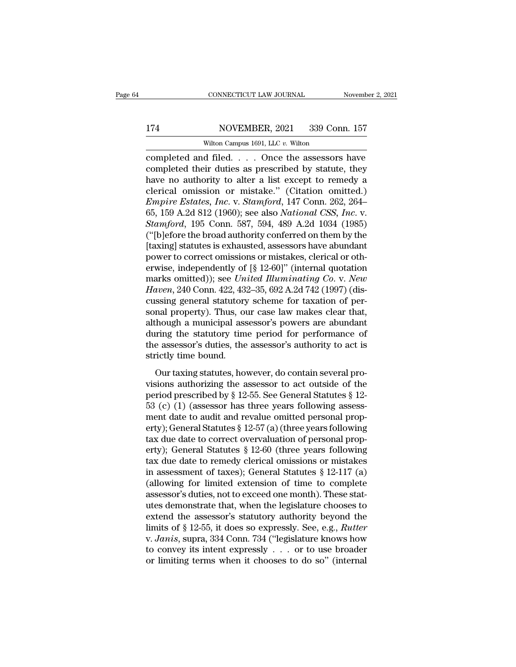### 174 CONNECTICUT LAW JOURNAL November 2, 2021<br>174 NOVEMBER, 2021 339 Conn. 157<br>Wilton Campus 1691, LLC v. Wilton CONNECTICUT LAW JOURNAL<br>NOVEMBER, 2021 339 Con<br>Wilton Campus 1691, LLC *v.* Wilton<br>d filed Once the assessors

CONNECTICUT LAW JOURNAL November 2, 2021<br>
174 NOVEMBER, 2021 339 Conn. 157<br>
Wilton Campus 1691, LLC v. Wilton<br>
completed and filed. . . . Once the assessors have<br>
completed their duties as prescribed by statute, they<br>
have 174 NOVEMBER, 2021 339 Conn. 157<br>Wilton Campus 1691, LLC v. Wilton<br>Completed and filed. . . . Once the assessors have<br>completed their duties as prescribed by statute, they<br>have no authority to alter a list except to remedy  $\begin{array}{c|c} \text{174} & \text{NOVEMBER, 2021} & \text{339 Conn. 157} \ \hline \text{Wilton Campus 1691, LLC } v. \text{ Without } \text{158} \\\text{completed and filed. . . . Once the assessors have completed their duties as prescribed by statute, they have no authority to alter a list except to remedy a clerical omission or mistake." (Citation omitted.) \n\nFmmics Eetate, Inc. V. Stamford, 147 Conn, 262, 264$ NOVEMBER, 2021 339 Conn. 157<br>
Wilton Campus 1691, LLC v. Wilton<br>
completed and filed.... Once the assessors have<br>
completed their duties as prescribed by statute, they<br>
have no authority to alter a list except to remedy a<br> *EMPIRENT, 2021 CONSTRIMET CONSTRIMET CONSTRIMET CONTRIMET CONTRIMET COMPOUND Completed their duties as prescribed by statute, they have no authority to alter a list except to remedy a clerical omission or mistake." (Cit* Witter Campus 1691, LLC v. Witton<br>
completed and filed. . . . Once the assessors have<br>
completed their duties as prescribed by statute, they<br>
have no authority to alter a list except to remedy a<br>
clerical omission or mista completed and filed. . . . . Once the assessors have<br>completed their duties as prescribed by statute, they<br>have no authority to alter a list except to remedy a<br>clerical omission or mistake." (Citation omitted.)<br>*Empire Est* completed their duties as prescribed by statute, they<br>have no authority to alter a list except to remedy a<br>clerical omission or mistake." (Citation omitted.)<br>*Empire Estates, Inc.* v. *Stamford*, 147 Conn. 262, 264–<br>65, 15 have no authority to alter a list except to remedy a<br>clerical omission or mistake." (Citation omitted.)<br>*Empire Estates, Inc.* v. *Stamford*, 147 Conn. 262, 264–<br>65, 159 A.2d 812 (1960); see also *National CSS, Inc.* v.<br>*S* clerical omission or mistake." (Citation omitted.)<br> *Empire Estates, Inc.* v. *Stamford*, 147 Conn. 262, 264–65, 159 A.2d 812 (1960); see also *National CSS, Inc.* v.<br> *Stamford*, 195 Conn. 587, 594, 489 A.2d 1034 (1985)<br> Empire Estates, Inc. v. Stamford, 147 Conn. 262, 264–65, 159 A.2d 812 (1960); see also *National CSS, Inc.* v.<br>Stamford, 195 Conn. 587, 594, 489 A.2d 1034 (1985)<br>("[b]efore the broad authority conferred on them by the<br>[ta 65, 159 A.2d 812 (1960); see also *National CSS, Inc.* v.<br>*Stamford*, 195 Conn. 587, 594, 489 A.2d 1034 (1985)<br>("[b]efore the broad authority conferred on them by the<br>[taxing] statutes is exhausted, assessors have abundant *Stamford*, 195 Conn. 587, 594, 489 A.2d 1034 (1985)<br>("[b]efore the broad authority conferred on them by the<br>[taxing] statutes is exhausted, assessors have abundant<br>power to correct omissions or mistakes, clerical or oth-<br> ("[b]efore the broad authority conferred on them by the [taxing] statutes is exhausted, assessors have abundant power to correct omissions or mistakes, clerical or otherwise, independently of  $[\S 12-60]$ " (internal quotat [taxing] statutes is exhausted, assessors have abundant<br>power to correct omissions or mistakes, clerical or otherwise, independently of  $[8 12-60]$ " (internal quotation<br>marks omitted)); see *United Illuminating Co.* v. *N* power to correct omissions or mistakes, clerical or otherwise, independently of [§ 12-60]" (internal quotation<br>marks omitted)); see *United Illuminating Co.* v. *New*<br>*Haven*, 240 Conn. 422, 432–35, 692 A.2d 742 (1997) (di erwise, independently of  $[\S 12-60]$ " (internal quotation<br>marks omitted)); see *United Illuminating Co.* v. *New*<br>*Haven*, 240 Conn. 422, 432–35, 692 A.2d 742 (1997) (dis-<br>cussing general statutory scheme for taxation of marks omitted)); see *United Illuminating Co.* v. *New*<br>Haven, 240 Conn. 422, 432–35, 692 A.2d 742 (1997) (dis-<br>cussing general statutory scheme for taxation of per-<br>sonal property). Thus, our case law makes clear that,<br>al Haven, 240 Conn. 422, 43<br>cussing general statutory<br>sonal property). Thus, or<br>although a municipal ass<br>during the statutory tim<br>the assessor's duties, the<br>strictly time bound.<br>Our taxing statutes, ho and property). Thus, our case law makes clear that,<br>though a municipal assessor's powers are abundant<br>tring the statutory time period for performance of<br>e assessor's duties, the assessor's authority to act is<br>ictly time b sonal property). Thus, our case faw makes electrically,<br>although a municipal assessor's powers are abundant<br>during the statutory time period for performance of<br>the assessor's duties, the assessor's authority to act is<br>str

during the statutory time period for performance of<br>the assessor's duties, the assessor's authority to act is<br>strictly time bound.<br>Our taxing statutes, however, do contain several pro-<br>visions authorizing the assessor to the assessor's duties, the assessor's authority to act is<br>strictly time bound.<br>Our taxing statutes, however, do contain several pro-<br>visions authorizing the assessor to act outside of the<br>period prescribed by § 12-55. See strictly time bound.<br>
Our taxing statutes, however, do contain several provisions authorizing the assessor to act outside of the<br>
period prescribed by § 12-55. See General Statutes § 12-<br>
53 (c) (1) (assessor has three ye Our taxing statutes, however, do contain several provisions authorizing the assessor to act outside of the<br>period prescribed by § 12-55. See General Statutes § 12-<br>53 (c) (1) (assessor has three years following assess-<br>me Our taxing statutes, however, do contain several provisions authorizing the assessor to act outside of the period prescribed by  $\S$  12-55. See General Statutes  $\S$  12-53 (c) (1) (assessor has three years following assessm visions authorizing the assessor to act outside of the<br>period prescribed by § 12-55. See General Statutes § 12-<br>53 (c) (1) (assessor has three years following assess-<br>ment date to audit and revalue omitted personal prop-<br> period prescribed by § 12-55. See General Statutes § 12-<br>53 (c) (1) (assessor has three years following assessment date to audit and revalue omitted personal property); General Statutes § 12-57 (a) (three years following<br> 53 (c) (1) (assessor has three years following assessment date to audit and revalue omitted personal property); General Statutes  $\S 12-57$  (a) (three years following tax due date to correct overvaluation of personal prope ment date to audit and revalue omitted personal property); General Statutes § 12-57 (a) (three years following<br>tax due date to correct overvaluation of personal property); General Statutes § 12-60 (three years following<br>ta erty); General Statutes § 12-57 (a) (three years following<br>tax due date to correct overvaluation of personal prop-<br>erty); General Statutes § 12-60 (three years following<br>tax due date to remedy clerical omissions or mistake tax due date to correct overvaluation of personal property); General Statutes  $\S 12-60$  (three years following<br>tax due date to remedy clerical omissions or mistakes<br>in assessment of taxes); General Statutes  $\S 12-117$  (a) erty); General Statutes § 12-60 (three years following<br>tax due date to remedy clerical omissions or mistakes<br>in assessment of taxes); General Statutes § 12-117 (a)<br>(allowing for limited extension of time to complete<br>asses tax due date to remedy clerical omissions or mistakes<br>in assessment of taxes); General Statutes § 12-117 (a)<br>(allowing for limited extension of time to complete<br>assessor's duties, not to exceed one month). These stat-<br>utes in assessment of taxes); General Statutes § 12-117 (a)<br>(allowing for limited extension of time to complete<br>assessor's duties, not to exceed one month). These stat-<br>utes demonstrate that, when the legislature chooses to<br>ext (allowing for limited extension of time to complete assessor's duties, not to exceed one month). These stat-<br>utes demonstrate that, when the legislature chooses to<br>extend the assessor's statutory authority beyond the<br>limi assessor's duties, not to exceed one month). These statures demonstrate that, when the legislature chooses to extend the assessor's statutory authority beyond the limits of § 12-55, it does so expressly. See, e.g., *Rutte*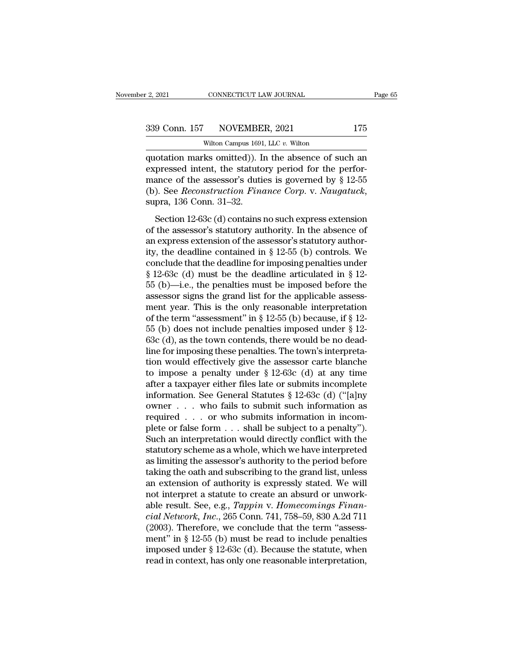CONNECTICUT LAW JOURNAL<br>NOVEMBER, 2021<br>Wilton Campus 1691, LLC *v.* Wilton<br>ks omitted)) In the absence of su 2, 2021 CONNECTICUT LAW JOURNAL Page 65<br>
339 Conn. 157 NOVEMBER, 2021 175<br>
Wilton Campus 1691, LLC v. Wilton<br>
quotation marks omitted)). In the absence of such an<br>
expressed intent, the statutory period for the perfor-<br>
m (339 Conn. 157 NOVEMBER, 2021 175<br>
Wilton Campus 1691, LLC v. Wilton<br>
(approximate intent, the statutory period for the perfor-<br>
mance of the assessor's duties is governed by § 12-55<br>
(b) Soo Perconstruction Finance Corn v 339 Conn. 157 NOVEMBER, 2021 175<br>Wilton Campus 1691, LLC v. Wilton<br>quotation marks omitted)). In the absence of such an<br>expressed intent, the statutory period for the perfor-<br>mance of the assessor's duties is governed by (b). See *Reconstruction Finance Corp.* v. *Naugatuck*, supra, 136 Conn. 31–32.<br>
Section 12-63c (d) contains no such expressed by § 12-55 (b). See *Reconstruction Finance Corp.* v. *Naugatuck*, supra, 136 Conn. 31–32.<br>
Sec otation marks omitted)). In the absence of such an pressed intent, the statutory period for the perfor-<br>ance of the assessor's duties is governed by  $\S$  12-55<br>). See *Reconstruction Finance Corp.* v. *Naugatuck*,<br>pra, 136 expressed intent, the statutory period for the perfor-<br>mance of the assessor's duties is governed by § 12-55<br>(b). See *Reconstruction Finance Corp.* v. *Naugatuck*,<br>supra, 136 Conn. 31–32.<br>Section 12-63c (d) contains no s

mance of the assessor's duties is governed by  $\S$  12-55<br>(b). See *Reconstruction Finance Corp.* v. *Naugatuck*,<br>supra, 136 Conn. 31–32.<br>Section 12-63c (d) contains no such express extension<br>of the assessor's statutory aut Finance of the dissessor's didlete is governed by  $\frac{1}{3}$  12-55 (b). See *Reconstruction Finance Corp.* v. *Naugatuck*, supra, 136 Conn. 31–32.<br>Section 12-63c (d) contains no such express extension of the assessor's sta supra, 136 Conn. 31–32.<br>
Section 12-63c (d) contains no such express extension<br>
of the assessor's statutory authority. In the absence of<br>
an express extension of the assessor's statutory author-<br>
ity, the deadline contain Section 12-63c (d) contains no such express extension<br>of the assessor's statutory authority. In the absence of<br>an express extension of the assessor's statutory author-<br>ity, the deadline contained in § 12-55 (b) controls. Section 12-63c (d) contains no such express extension<br>of the assessor's statutory authority. In the absence of<br>an express extension of the assessor's statutory author-<br>ity, the deadline contained in § 12-55 (b) controls. of the assessor's statutory authority. In the absence of<br>an express extension of the assessor's statutory author-<br>ity, the deadline contained in § 12-55 (b) controls. We<br>conclude that the deadline for imposing penalties u an express extension of the assessor's statutory author-<br>ity, the deadline contained in § 12-55 (b) controls. We<br>conclude that the deadline for imposing penalties under<br>§ 12-63c (d) must be the deadline articulated in § 1 ity, the deadline contained in § 12-55 (b) controls. We conclude that the deadline for imposing penalties under § 12-63c (d) must be the deadline articulated in § 12-55 (b)—i.e., the penalties must be imposed before the a conclude that the deadline for imposing penalties under  $\S$  12-63c (d) must be the deadline articulated in  $\S$  12-55 (b)—i.e., the penalties must be imposed before the assessor signs the grand list for the applicable asse § 12-63c (d) must be the deadline articulated in § 12-<br>55 (b)—i.e., the penalties must be imposed before the<br>assessor signs the grand list for the applicable assess-<br>ment year. This is the only reasonable interpretation<br>o 55 (b)—i.e., the penalties must be imposed before the assessor signs the grand list for the applicable assessment year. This is the only reasonable interpretation of the term "assessment" in § 12-55 (b) because, if § 12-5 assessor signs the grand list for the applicable assessment year. This is the only reasonable interpretation<br>of the term "assessment" in § 12-55 (b) because, if § 12-<br>55 (b) does not include penalties imposed under § 12-<br> ment year. This is the only reasonable interpretation<br>of the term "assessment" in § 12-55 (b) because, if § 12-<br>55 (b) does not include penalties imposed under § 12-<br>63c (d), as the town contends, there would be no dead-<br> of the term "assessment" in § 12-55 (b) because, if § 12-<br>55 (b) does not include penalties imposed under § 12-<br>63c (d), as the town contends, there would be no dead-<br>line for imposing these penalties. The town's interpre 55 (b) does not include penalties imposed under § 12-63c (d), as the town contends, there would be no dead-<br>line for imposing these penalties. The town's interpreta-<br>tion would effectively give the assessor carte blanche<br> 63c (d), as the town contends, there would be no dead-<br>line for imposing these penalties. The town's interpreta-<br>tion would effectively give the assessor carte blanche<br>to impose a penalty under § 12-63c (d) at any time<br>af line for imposing these penalties. The town's interpretation would effectively give the assessor carte blanche to impose a penalty under  $\S$  12-63c (d) at any time after a taxpayer either files late or submits incomplete tion would effectively give the assessor carte blanche<br>to impose a penalty under  $\S 12-63c$  (d) at any time<br>after a taxpayer either files late or submits incomplete<br>information. See General Statutes  $\S 12-63c$  (d) ("[a]ny to impose a penalty under  $\S$  12-63c (d) at any time<br>after a taxpayer either files late or submits incomplete<br>information. See General Statutes  $\S$  12-63c (d) ("[a]ny<br>owner . . . who fails to submit such information as<br>re after a taxpayer either files late or submits incomplete<br>information. See General Statutes  $\S 12-63c$  (d) ("[a]ny<br>owner . . . who fails to submit such information as<br>required . . . or who submits information in incom-<br>ple information. See General Statutes § 12-63c (d) ("[a]ny owner . . . who fails to submit such information as required . . . or who submits information in incomplete or false form . . . shall be subject to a penalty"). Such owner . . . who fails to submit such information as<br>required . . . or who submits information in incom-<br>plete or false form . . . shall be subject to a penalty").<br>Such an interpretation would directly conflict with the<br>st required . . . . or who submits information in incomplete or false form . . . shall be subject to a penalty").<br>Such an interpretation would directly conflict with the statutory scheme as a whole, which we have interpreted plete or false form  $\dots$  shall be subject to a penalty").<br>Such an interpretation would directly conflict with the<br>statutory scheme as a whole, which we have interpreted<br>as limiting the assessor's authority to the period b Such an interpretation would directly conflict with the<br>statutory scheme as a whole, which we have interpreted<br>as limiting the assessor's authority to the period before<br>taking the oath and subscribing to the grand list, un statutory scheme as a whole, which we have interpreted<br>as limiting the assessor's authority to the period before<br>taking the oath and subscribing to the grand list, unless<br>an extension of authority is expressly stated. We w as limiting the assessor's authority to the period before<br>taking the oath and subscribing to the grand list, unless<br>an extension of authority is expressly stated. We will<br>not interpret a statute to create an absurd or unw taking the oath and subscribing to the grand list, unless<br>an extension of authority is expressly stated. We will<br>not interpret a statute to create an absurd or unwork-<br>able result. See, e.g., *Tappin v. Homecomings Finan*an extension of authority is expressly stated. We will<br>not interpret a statute to create an absurd or unwork-<br>able result. See, e.g., *Tappin v. Homecomings Finan-*<br>cial Network, Inc., 265 Conn. 741, 758–59, 830 A.2d 711<br> not interpret a statute to create an absurd or unwork-<br>able result. See, e.g., *Tappin v. Homecomings Finan-*<br>*cial Network, Inc.*, 265 Conn. 741, 758–59, 830 A.2d 711<br>(2003). Therefore, we conclude that the term "assess-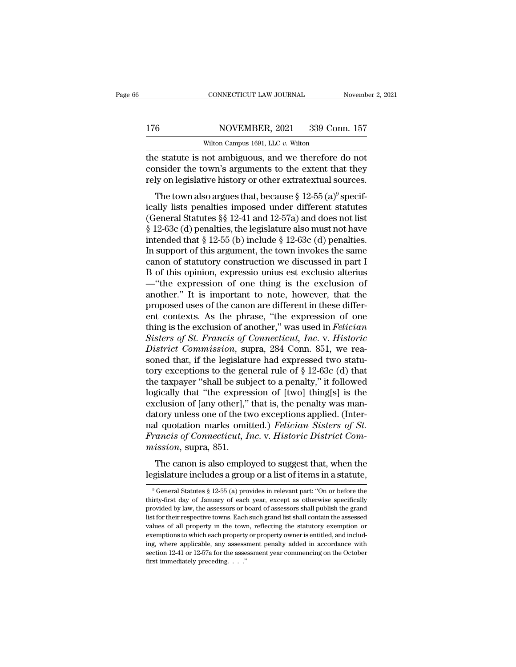### 176 CONNECTICUT LAW JOURNAL November 2, 2021<br>176 NOVEMBER, 2021 339 Conn. 157<br>Wilton Campus 1691, LLC v. Wilton CONNECTICUT LAW JOURNAL<br>NOVEMBER, 2021 339 Con<br>Wilton Campus 1691, LLC *v.* Wilton<br>not ambiguous, and we therefore o

CONNECTICUT LAW JOURNAL November 2, 202<br>
176 NOVEMBER, 2021 339 Conn. 157<br>
Wilton Campus 1691, LLC v. Wilton<br>
the statute is not ambiguous, and we therefore do not<br>
consider the town's arguments to the extent that they<br>
re 176 NOVEMBER, 2021 339 Conn. 157<br>Wilton Campus 1691, LLC v. Wilton<br>the statute is not ambiguous, and we therefore do not<br>consider the town's arguments to the extent that they<br>rely on legislative history or other extratextu 176 NOVEMBER, 2021 339 Conn. 157<br>Wilton Campus 1691, LLC v. Wilton<br>the statute is not ambiguous, and we therefore do not<br>consider the town's arguments to the extent that they<br>rely on legislative history or other extratext  $\frac{6}{120}$  NOVEMBER, 2021 339 Conn. 157<br>Wilton Campus 1691, LLC v. Wilton<br>e statute is not ambiguous, and we therefore do not<br>msider the town's arguments to the extent that they<br>ly on legislative history or other extrate

wilton Campus 1691, LLC v. Wilton<br>the statute is not ambiguous, and we therefore do not<br>consider the town's arguments to the extent that they<br>rely on legislative history or other extratextual sources.<br>The town also argues the statute is not ambiguous, and we therefore do not<br>consider the town's arguments to the extent that they<br>rely on legislative history or other extratextual sources.<br>The town also argues that, because § 12-55 (a)<sup>9</sup> spec the statute is not antisquotas, and we therefore to not<br>consider the town's arguments to the extent that they<br>rely on legislative history or other extratextual sources.<br>The town also argues that, because § 12-55 (a)<sup>9</sup> sp rely on legislative history or other extratextual sources.<br>The town also argues that, because § 12-55 (a)<sup>9</sup> specifically lists penalties imposed under different statutes<br>(General Statutes §§ 12-41 and 12-57a) and does no The town also argues that, because  $\S 12-55$  (a)<sup>9</sup> specifically lists penalties imposed under different statutes (General Statutes  $\S$  12-41 and 12-57a) and does not list  $\S 12-63c$  (d) penalties, the legislature also mu The town also argues that, because  $\S$  12-55 (a)<sup>9</sup> specifically lists penalties imposed under different statutes (General Statutes  $\S$  12-41 and 12-57a) and does not list  $\S$  12-63c (d) penalties, the legislature also mu ically lists penalties imposed under different statutes<br>(General Statutes §§ 12-41 and 12-57a) and does not list<br>§ 12-63c (d) penalties, the legislature also must not have<br>intended that § 12-55 (b) include § 12-63c (d) pen (General Statutes §§ 12-41 and 12-57a) and does not list<br>§ 12-63c (d) penalties, the legislature also must not have<br>intended that § 12-55 (b) include § 12-63c (d) penalties.<br>In support of this argument, the town invokes t  $\S$  12-63c (d) penalties, the legislature also must not have<br>intended that  $\S$  12-55 (b) include  $\S$  12-63c (d) penalties.<br>In support of this argument, the town invokes the same<br>canon of statutory construction we discusse intended that  $\S 12-55$  (b) include  $\S 12-63c$  (d) penalties.<br>In support of this argument, the town invokes the same<br>canon of statutory construction we discussed in part I<br>B of this opinion, expressio unius est exclusion In support of this argument, the town invokes the same<br>canon of statutory construction we discussed in part I<br>B of this opinion, expressio unius est exclusio alterius<br>—"the expression of one thing is the exclusion of<br>anot canon of statutory construction we discussed in part I<br>B of this opinion, expressio unius est exclusio alterius<br>—"the expression of one thing is the exclusion of<br>another." It is important to note, however, that the<br>propose *B* of this opinion, expressio unius est exclusio alterius —"the expression of one thing is the exclusion of another." It is important to note, however, that the proposed uses of the canon are different in these different —"the expression of one thing is the exclusion of another." It is important to note, however, that the proposed uses of the canon are different in these different contexts. As the phrase, "the expression of one thing is th another." It is important to note, however, that the proposed uses of the canon are different in these different contexts. As the phrase, "the expression of one thing is the exclusion of another," was used in *Felician Si* proposed uses of the canon are different in these different contexts. As the phrase, "the expression of one thing is the exclusion of another," was used in *Felician* Sisters of St. Francis of Connecticut, Inc. v. Historic ent contexts. As the phrase, "the expression of one<br>thing is the exclusion of another," was used in *Felician*<br>Sisters of St. Francis of Connecticut, Inc. v. Historic<br>District Commission, supra, 284 Conn. 851, we rea-<br>sone thing is the exclusion of another," was used in *Felician*<br>Sisters of St. Francis of Connecticut, Inc. v. Historic<br>District Commission, supra, 284 Conn. 851, we rea-<br>soned that, if the legislature had expressed two statu-<br> Sisters of St. Francis of Connecticut, Inc. v. Historic District Commission, supra, 284 Conn. 851, we reasoned that, if the legislature had expressed two statutory exceptions to the general rule of § 12-63c (d) that the t District Commission, supra, 284 Conn. 851, we reasoned that, if the legislature had expressed two statu-<br>tory exceptions to the general rule of § 12-63c (d) that<br>the taxpayer "shall be subject to a penalty," it followed<br>lo soned that, if the legislature had expressed two statu-<br>tory exceptions to the general rule of § 12-63c (d) that<br>the taxpayer "shall be subject to a penalty," it followed<br>logically that "the expression of [two] thing[s] is tory exceptions to the general rule of § 12-63c (d) that<br>the taxpayer "shall be subject to a penalty," it followed<br>logically that "the expression of [two] thing[s] is the<br>exclusion of [any other]," that is, the penalty was the taxpayer "shall be sub<br>logically that "the expres<br>exclusion of [any other],"<br>datory unless one of the tv<br>nal quotation marks omit<br>*Francis of Connecticut*, *I*<br>mission, supra, 851.<br>The canon is also emplo Example 12 and the Capter Capter of Two Tumgler is alternative clusion of [any other]," that is, the penalty was mantrory unless one of the two exceptions applied. (Inter-<br>1 quotation marks omitted.) *Felician Sisters of S* exertision or [airy orier], that is, the periarly was inter-<br>datory unless one of the two exceptions applied. (Inter-<br>nal quotation marks omitted.) *Felician Sisters of St.*<br>Francis of Connecticut, Inc. v. Historic Distri

*exission*, supra, 851.<br>The canon is also employed to suggest that, when the gislature includes a group or a list of items in a statute,<br><sup>9</sup> General Statutes § 12-55 (a) provides in relevant part: "On or before the irty-f

The canon is also employed to suggest that, when the legislature includes a group or a list of items in a statute,<br> $\frac{1}{2}$  General Statutes § 12-55 (a) provides in relevant part: "On or before the thirty-first day of Ja The canon is also employed to suggest that, when the legislature includes a group or a list of items in a statute,<br> $\frac{9}{9}$  General Statutes  $\frac{8}{9}$  12-55 (a) provides in relevant part: "On or before the thirty-first d legislature includes a group or a list of items in a statute,<br> $\frac{1}{2}$  is General Statutes § 12-55 (a) provides in relevant part: "On or before the thirty-first day of January of each year, except as otherwise specifical values of all property of a list of iterits in a statute,<br>
<sup>9</sup> General Statutes § 12-55 (a) provides in relevant part: "On or before the<br>
thirty-first day of January of each year, except as otherwise specifically<br>
provided <sup>9</sup> General Statutes  $\S$  12-55 (a) provides in relevant part: "On or before the thirty-first day of January of each year, except as otherwise specifically provided by law, the assessors or board of assessors shall publish thirty-first day of January of each year, except as otherwise specifically provided by law, the assessors or board of assessors shall publish the grand list for their respective towns. Each such grand list shall contain th thirty-first day of January of each year, except as otherwise specifically provided by law, the assessors or board of assessors shall publish the grand list for their respective towns. Each such grand list shall contain t list for their respective towns. Each such grand list shall contain the assessed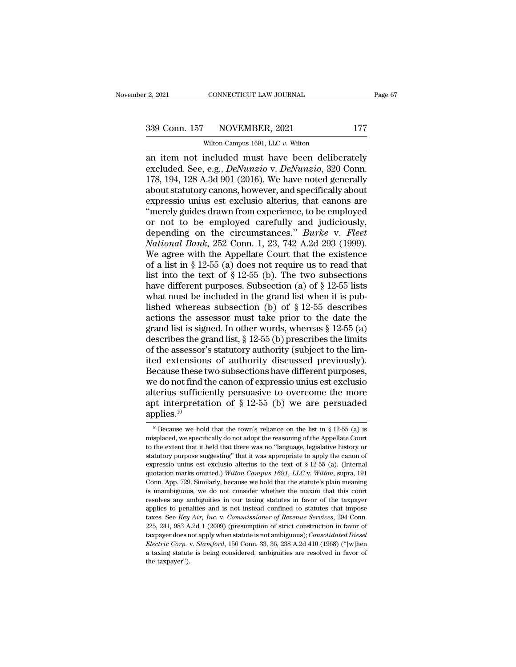# $\frac{2,2021}{2,2021}$  CONNECTICUT LAW JOURNAL Page 67<br>339 Conn. 157 NOVEMBER, 2021 177<br>Wilton Campus 1691, LLC v. Wilton

CONNECTICUT LAW JOURNAL<br>NOVEMBER, 2021<br>Wilton Campus 1691, LLC *v.* Wilton<br>included must have been delibe 2, 2021 CONNECTICUT LAW JOURNAL Page 67<br>
339 Conn. 157 NOVEMBER, 2021 177<br>
Wilton Campus 1691, LLC v. Wilton<br>
an item not included must have been deliberately<br>
excluded. See, e.g., *DeNunzio* v. *DeNunzio*, 320 Conn.<br>
178 excellent 157 NOVEMBER, 2021 177<br>
Wilton Campus 1691, LLC v. Wilton<br>
an item not included must have been deliberately<br>
excluded. See, e.g., *DeNunzio* v. *DeNunzio*, 320 Conn.<br>
178, 194, 128 A.3d 901 (2016). We have noted 339 Conn. 157 NOVEMBER, 2021 177<br>
Wilton Campus 1691, LLC v. Wilton<br>
an item not included must have been deliberately<br>
excluded. See, e.g., *DeNunzio* v. *DeNunzio*, 320 Conn.<br>
178, 194, 128 A.3d 901 (2016). We have noted 339 Conn. 157 NOVEMBER, 2021 177<br>
Wilton Campus 1691, LLC v. Wilton<br>
an item not included must have been deliberately<br>
excluded. See, e.g., *DeNunzio* v. *DeNunzio*, 320 Conn.<br>
178, 194, 128 A.3d 901 (2016). We have noted wilton Campus 1691, LLC v. Wilton<br>an item not included must have been deliberately<br>excluded. See, e.g., *DeNunzio* v. *DeNunzio*, 320 Conn.<br>178, 194, 128 A.3d 901 (2016). We have noted generally<br>about statutory canons, ho wilton Campus 1691, LLC v. Wilton<br>
an item not included must have been deliberately<br>
excluded. See, e.g., *DeNunzio* v. *DeNunzio*, 320 Conn.<br>
178, 194, 128 A.3d 901 (2016). We have noted generally<br>
about statutory canons an item not included must have been deliberately<br>excluded. See, e.g., *DeNunzio* v. *DeNunzio*, 320 Conn.<br>178, 194, 128 A.3d 901 (2016). We have noted generally<br>about statutory canons, however, and specifically about<br>expr excluded. See, e.g., *DeNunzio v. DeNunzio*, 320 Conn.<br>178, 194, 128 A.3d 901 (2016). We have noted generally<br>about statutory canons, however, and specifically about<br>expressio unius est exclusio alterius, that canons are<br>" 178, 194, 128 A.3d 901 (2016). We have noted generally<br>about statutory canons, however, and specifically about<br>expressio unius est exclusio alterius, that canons are<br>"merely guides drawn from experience, to be employed<br>or about statutory canons, however, and specifically about<br>expressio unius est exclusio alterius, that canons are<br>"merely guides drawn from experience, to be employed<br>or not to be employed carefully and judiciously,<br>dependin expressio unius est exclusio alterius, that canons are<br>
"merely guides drawn from experience, to be employed<br>
or not to be employed carefully and judiciously,<br>
depending on the circumstances." *Burke* v. *Fleet*<br> *Nationa* "merely guides drawn from experience, to be employed<br>or not to be employed carefully and judiciously,<br>depending on the circumstances." *Burke* v. *Fleet*<br>National Bank, 252 Conn. 1, 23, 742 A.2d 293 (1999).<br>We agree with or not to be employed carefully and judiciously,<br>depending on the circumstances." *Burke* v. *Fleet*<br>National Bank, 252 Conn. 1, 23, 742 A.2d 293 (1999).<br>We agree with the Appellate Court that the existence<br>of a list in § depending on the circumstances." *Burke* v. *Fleet*<br>National Bank, 252 Conn. 1, 23, 742 A.2d 293 (1999).<br>We agree with the Appellate Court that the existence<br>of a list in § 12-55 (a) does not require us to read that<br>list *National Bank*, 252 Conn. 1, 23, 742 A.2d 293 (1999).<br>We agree with the Appellate Court that the existence<br>of a list in § 12-55 (a) does not require us to read that<br>list into the text of § 12-55 (b). The two subsections<br> We agree with the Appellate Court that the existence<br>of a list in § 12-55 (a) does not require us to read that<br>list into the text of § 12-55 (b). The two subsections<br>have different purposes. Subsection (a) of § 12-55 list of a list in § 12-55 (a) does not require us to read that<br>list into the text of § 12-55 (b). The two subsections<br>have different purposes. Subsection (a) of § 12-55 lists<br>what must be included in the grand list when it is list into the text of § 12-55 (b). The two subsections<br>have different purposes. Subsection (a) of § 12-55 lists<br>what must be included in the grand list when it is pub-<br>lished whereas subsection (b) of § 12-55 describes<br>ac have different purposes. Subsection (a) of  $\S$  12-55 lists<br>what must be included in the grand list when it is pub-<br>lished whereas subsection (b) of  $\S$  12-55 describes<br>actions the assessor must take prior to the date the<br> what must be included in the grand list when it is pub-<br>lished whereas subsection (b) of  $\S$  12-55 describes<br>actions the assessor must take prior to the date the<br>grand list is signed. In other words, whereas  $\S$  12-55 (a) lished whereas subsection (b) of  $\S$  12-55 describes<br>actions the assessor must take prior to the date the<br>grand list is signed. In other words, whereas  $\S$  12-55 (a)<br>describes the grand list,  $\S$  12-55 (b) prescribes the actions the assessor must take prior to the date the<br>grand list is signed. In other words, whereas § 12-55 (a)<br>describes the grand list, § 12-55 (b) prescribes the limits<br>of the assessor's statutory authority (subject to grand list is signed. In other words, whereas  $\S$  12-55 (a)<br>describes the grand list,  $\S$  12-55 (b) prescribes the limits<br>of the assessor's statutory authority (subject to the lim-<br>ited extensions of authority discussed p describes the grand list,  $\S$  12-55 (b) prescribes the limits<br>of the assessor's statutory authority (subject to the lim-<br>ited extensions of authority discussed previously).<br>Because these two subsections have different pur applies. $10$ 10 Because we hold that the town's reliance on the list in § 12-55 (a) is<br>necessary we hold that the town's reliance on the list in § 12-55 (a) is<br>not because we hold that the town's reliance on the list in § 12-55 (a) is alterius sufficiently persuasive to overcome the more<br>apt interpretation of § 12-55 (b) we are persuaded<br>applies.<sup>10</sup><br><sup>10</sup> Because we hold that the town's reliance on the list in § 12-55 (a) is<br>misplaced, we specifically

apt interpretation of § 12-55 (b) we are persuaded<br>applies.<sup>10</sup><br><sup>10</sup> Because we hold that the town's reliance on the list in § 12-55 (a) is<br>misplaced, we specifically do not adopt the reasoning of the Appellate Court<br>to t applies.<sup>10</sup><br>applies.<sup>10</sup><br><sup>10</sup> Because we hold that the town's reliance on the list in § 12-55 (a) is<br>misplaced, we specifically do not adopt the reasoning of the Appellate Court<br>to the extent that it held that there was applies.<sup>16</sup><br><sup>10</sup> Because we hold that the town's reliance on the list in § 12-55 (a) is<br>misplaced, we specifically do not adopt the reasoning of the Appellate Court<br>to the extent that it held that there was no "language, <sup>10</sup> Because we hold that the town's reliance on the list in § 12-55 (a) is misplaced, we specifically do not adopt the reasoning of the Appellate Court to the extent that it held that there was no "language, legislative misplaced, we specifically do not adopt the reasoning of the Appellate Court<br>to the extent that it held that there was no "language, legislative history or<br>statutory purpose suggesting" that it was appropriate to apply th from the extent that it held that there was no "language, legislative history or statutory purpose suggesting" that it was appropriate to apply the canon of expressio unius est exclusio alterius to the text of  $\S 12-55$  ( statutory purpose suggesting" that it was appropriate to apply the canon of expressio unius est exclusio alterius to the text of  $\S 12{\text -}55$  (a). (Internal quotation marks omitted.) Wilton Campus 1691, LLC v. Wilton, sup expressio unius est exclusio alterius to the text of § 12-55 (a). (Internal quotation marks omitted.) Wilton Campus 1691, LLC v. Wilton, supra, 191 Conn. App. 729. Similarly, because we hold that the statute's plain meani expectation marks omitted.) Wilton Campus 1691, LLC v. Wilton, supra, 191 Conn. App. 729. Similarly, because we hold that the statute's plain meaning is unambiguous, we do not consider whether the maxim that this court res Conn. App. 729. Similarly, because we hold that the statute's plain meaning is unambiguous, we do not consider whether the maxim that this court resolves any ambiguities in our taxing statutes in favor of the taxpayer app is unambiguous, we do not consider whether the maxim that this court resolves any ambiguities in our taxing statutes in favor of the taxpayer applies to penalties and is not instead confined to statutes that impose taxes. *Electric Corp. v. Corp. Electric Corp. v. Commissioner of Revenue Services, 294 Conn.* 225, 241, 983 A.2d 1 (2009) (presumption of strict construction in favor of taxpayer does not apply when statute is not ambiguous); applies to penalties and is not instead confined to statutes that impose taxes. See *Key Air*, *Inc.* v. *Commissioner of Revenue Services*, 294 Conn. 225, 241, 983 A.2d 1 (2009) (presumption of strict construction in favo taxes. See  $Key$ <br>taxes. See  $Key$ <br>225, 241, 983 A<br>taxpayer does r<br>*Electric Corp.*<br>a taxing statute the taxpayer").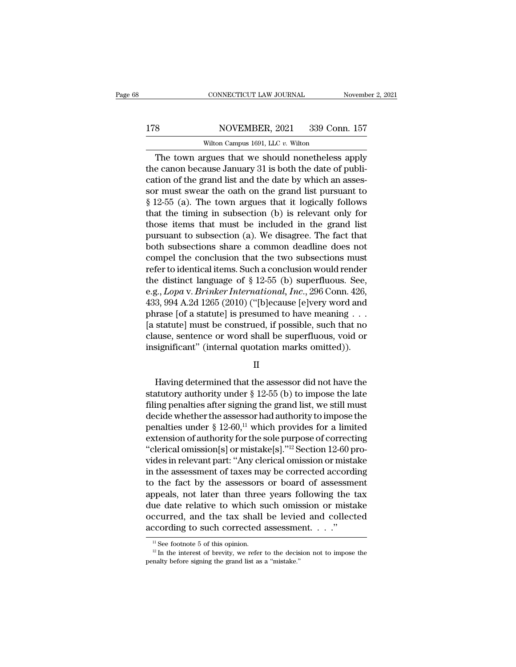### 178 CONNECTICUT LAW JOURNAL November 2, 2021<br>178 NOVEMBER, 2021 339 Conn. 157<br>Wilton Campus 1691, LLC v. Wilton CONNECTICUT LAW JOURNAL<br>NOVEMBER, 2021 339 Con<br>Wilton Campus 1691, LLC *v.* Wilton<br>roues that we should nonetheless

CONNECTICUT LAW JOURNAL November 2, 2021<br>
S<br>
S<br>
NOVEMBER, 2021 339 Conn. 157<br>
Wilton Campus 1691, LLC v. Wilton<br>
The town argues that we should nonetheless apply<br>
e canon because January 31 is both the date of publi-<br>
tion 178 NOVEMBER, 2021 339 Conn. 157<br>Wilton Campus 1691, LLC v. Wilton<br>The town argues that we should nonetheless apply<br>the canon because January 31 is both the date of publi-<br>cation of the grand list and the date by which an 178 NOVEMBER, 2021 339 Conn. 157<br>Wilton Campus 1691, LLC v. Wilton<br>The town argues that we should nonetheless apply<br>the canon because January 31 is both the date of publi-<br>cation of the grand list and the date by which an 178 NOVEMBER, 2021 339 Conn. 157<br>Wilton Campus 1691, LLC v. Wilton<br>The town argues that we should nonetheless apply<br>the canon because January 31 is both the date of publi-<br>cation of the grand list and the date by which an Wilton Campus 1691, LLC v. Wilton<br>
The town argues that we should nonetheless apply<br>
the canon because January 31 is both the date of publi-<br>
cation of the grand list and the date by which an assessor<br>
must swear the oath which campus itself, LLC v. which<br>The town argues that we should nonetheless apply<br>the canon because January 31 is both the date of publi-<br>cation of the grand list and the date by which an asses-<br>sor must swear the oath o The town argues that we should nonetheless apply<br>the canon because January 31 is both the date of publi-<br>cation of the grand list and the date by which an assessor<br>must swear the oath on the grand list pursuant to<br> $§ 12-5$ the canon because January 31 is both the date of publication of the grand list and the date by which an assessor must swear the oath on the grand list pursuant to  $§$  12-55 (a). The town argues that it logically follows t cation of the grand list and the date by which an assessor must swear the oath on the grand list pursuant to § 12-55 (a). The town argues that it logically follows that the timing in subsection (b) is relevant only for tho sor must swear the oath on the grand list pursuant to  $\S$  12-55 (a). The town argues that it logically follows that the timing in subsection (b) is relevant only for those items that must be included in the grand list pur § 12-55 (a). The town argues that it logically follows<br>that the timing in subsection (b) is relevant only for<br>those items that must be included in the grand list<br>pursuant to subsection (a). We disagree. The fact that<br>both that the timing in subsection (b) is relevant only for<br>those items that must be included in the grand list<br>pursuant to subsection (a). We disagree. The fact that<br>both subsections share a common deadline does not<br>compel th those items that must be included in the grand list<br>pursuant to subsection (a). We disagree. The fact that<br>both subsections share a common deadline does not<br>compel the conclusion that the two subsections must<br>refer to iden pursuant to subsection (a). We disagree. The fact that<br>both subsections share a common deadline does not<br>compel the conclusion that the two subsections must<br>refer to identical items. Such a conclusion would render<br>the dis both subsections share a common deadline does not<br>compel the conclusion that the two subsections must<br>refer to identical items. Such a conclusion would render<br>the distinct language of § 12-55 (b) superfluous. See,<br>e.g., compel the conclusion that the two subsections must<br>refer to identical items. Such a conclusion would render<br>the distinct language of § 12-55 (b) superfluous. See,<br>e.g., *Lopa* v. *Brinker International*, *Inc.*, 296 Conn refer to identical items. Such a conclusion would render<br>the distinct language of  $\S$  12-55 (b) superfluous. See,<br>e.g., *Lopa* v. *Brinker International*, *Inc.*, 296 Conn. 426,<br>433, 994 A.2d 1265 (2010) ("[b]ecause [e]ve the distinct language of § 12-55 (b) superfluous. See,<br>e.g., *Lopa* v. *Brinker International*, *Inc.*, 296 Conn. 426,<br>433, 994 A.2d 1265 (2010) ("[b]ecause [e]very word and<br>phrase [of a statute] is presumed to have meani rase [of a statute] is presumed to have meaning . . .<br>statute] must be construed, if possible, such that no<br>ause, sentence or word shall be superfluous, void or<br>significant" (internal quotation marks omitted)).<br> $II$ <br>Having

II

[a statute] must be construed, if possible, such that no<br>clause, sentence or word shall be superfluous, void or<br>insignificant" (internal quotation marks omitted)).<br> $\hfill \Pi$ <br>Having determined that the assessor did not have clause, sentence or word shall be superfluous, vold or<br>insignificant" (internal quotation marks omitted)).<br> $\qquad$   $\qquad$   $\qquad$   $\qquad$   $\qquad$   $\qquad$   $\qquad$   $\qquad$   $\qquad$   $\qquad$   $\qquad$   $\qquad$   $\qquad$   $\qquad$   $\qquad$   $\qquad$   $\qquad$   $\qquad$   $\qquad$  insignificant" (internal quotation marks omitted)).<br>  $\rm H$ <br>
Having determined that the assessor did not have the<br>
statutory authority under § 12-55 (b) to impose the late<br>
filing penalties after signing the grand list, we II<br>
Having determined that the assessor did not have the<br>
statutory authority under § 12-55 (b) to impose the late<br>
filing penalties after signing the grand list, we still must<br>
decide whether the assessor had authority t Having determined that the assessor did not have the<br>statutory authority under § 12-55 (b) to impose the late<br>filing penalties after signing the grand list, we still must<br>decide whether the assessor had authority to impos Having determined that the assessor did not have the statutory authority under  $\S$  12-55 (b) to impose the late filing penalties after signing the grand list, we still must decide whether the assessor had authority to imp statutory authority under § 12-55 (b) to impose the late<br>filing penalties after signing the grand list, we still must<br>decide whether the assessor had authority to impose the<br>penalties under § 12-60,<sup>11</sup> which provides for filing penalties after signing the grand list, we still must<br>decide whether the assessor had authority to impose the<br>penalties under  $\S$  12-60,<sup>11</sup> which provides for a limited<br>extension of authority for the sole purpose decide whether the assessor had authority to impose the<br>penalties under § 12-60,<sup>11</sup> which provides for a limited<br>extension of authority for the sole purpose of correcting<br>"clerical omission[s] or mistake[s]."<sup>12</sup> Section penalties under § 12-60,<sup>11</sup> which provides for a limited<br>extension of authority for the sole purpose of correcting<br>"clerical omission[s] or mistake[s]."<sup>12</sup> Section 12-60 pro-<br>vides in relevant part: "Any clerical omissi extension of authority for the sole purpose of correcting<br>
"clerical omission[s] or mistake[s]."<sup>12</sup> Section 12-60 pro-<br>
vides in relevant part: "Any clerical omission or mistake<br>
in the assessment of taxes may be correcte "clerical omission[s] or mistake[s]."<sup>12</sup> Section 12-60 provides in relevant part: "Any clerical omission or mistake<br>in the assessment of taxes may be corrected according<br>to the fact by the assessors or board of assessmen vides in relevant part: "Any clerical omission or mistain the assessment of taxes may be corrected accordito the fact by the assessors or board of assessme appeals, not later than three years following the 1 due date rela ppears, not later than three years following the tax<br>ue date relative to which such omission or mistake<br>ccurred, and the tax shall be levied and collected<br>ccording to such corrected assessment...."<br> $\frac{11}{11}$  See footnot occurred, and the tax shall be levied and collected<br>according to such corrected assessment. . . ."<br> $\frac{1}{12}$  is see footnote 5 of this opinion.<br> $\frac{12}{12}$  in the interest of brevity, we refer to the decision not to impo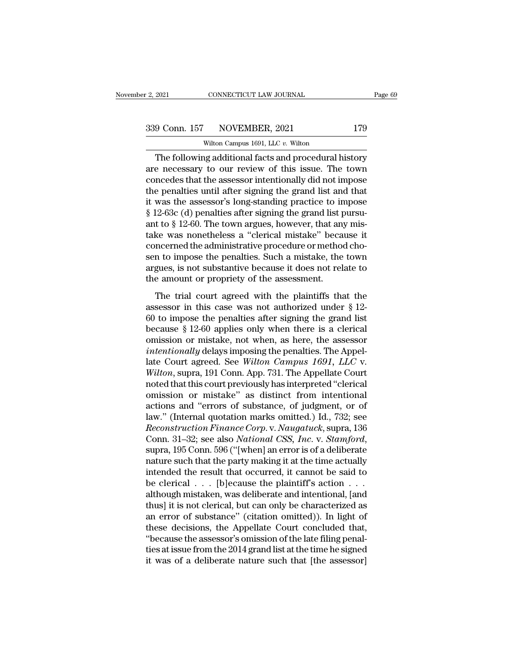CONNECTICUT LAW JOURNAL<br>NOVEMBER, 2021<br>Wilton Campus 1691, LLC *v.* Wilton<br>ng additional facts and procedural h 2021 CONNECTICUT LAW JOURNAL Page 69<br>
9 Conn. 157 NOVEMBER, 2021 179<br>
Wilton Campus 1691, LLC v. Wilton<br>
The following additional facts and procedural history<br>
e necessary to our review of this issue. The town<br>
procedural  $\begin{array}{c|c} \text{339 Conn. 157} & \text{NOVEMBER, 2021} & \text{179} \\ \hline \text{Wilton Campus 1691, LLC } v. \text{Wilton} \\ \hline \end{array}$  The following additional facts and procedural history are necessary to our review of this issue. The town concedes that the assessor inten  $\begin{array}{c} \text{339 Conn. 157} \text{NOVEMBER, 2021} \text{179} \\ \text{Without Campus 1691, LLC } v. \text{ Without}\\ \text{The following additional facts and procedural history} \\ \text{are necessary to our review of this issue. The town \\ \text{concedes that the assessment intentionally did not impose the penalties until after signing the grand list and that}\\ \text{it was the assessment's long standing practice to impose a function.} \end{array}$ 339 Conn. 157 NOVEMBER, 2021 179<br>
wilton Campus 1691, LLC v. Wilton<br>
The following additional facts and procedural history<br>
are necessary to our review of this issue. The town<br>
concedes that the assessor intentionally did Wilton Campus 1691, LLC v. Wilton<br>
The following additional facts and procedural history<br>
are necessary to our review of this issue. The town<br>
concedes that the assessor intentionally did not impose<br>
the penalties until a Witton Campus 1691, LLC v. Witton<br>
The following additional facts and procedural history<br>
are necessary to our review of this issue. The town<br>
concedes that the assessor intentionally did not impose<br>
the penalties until a The following additional facts and procedural history<br>are necessary to our review of this issue. The town<br>concedes that the assessor intentionally did not impose<br>the penalties until after signing the grand list and that<br>it are necessary to our review of this issue. The town<br>concedes that the assessor intentionally did not impose<br>the penalties until after signing the grand list and that<br>it was the assessor's long-standing practice to impose<br>§ concedes that the assessor intentionally did not impose<br>the penalties until after signing the grand list and that<br>it was the assessor's long-standing practice to impose<br>§ 12-63c (d) penalties after signing the grand list p the penalties until after signing the grand list and that<br>it was the assessor's long-standing practice to impose<br>§ 12-63c (d) penalties after signing the grand list pursu-<br>ant to § 12-60. The town argues, however, that any it was the assessor's long-standing practice to impose<br>§ 12-63c (d) penalties after signing the grand list pursu-<br>ant to § 12-60. The town argues, however, that any mis-<br>take was nonetheless a "clerical mistake" because it  $\S$  12-63c (d) penalties after signing the grand list pant to  $\S$  12-60. The town argues, however, that and take was nonetheless a "clerical mistake" beca concerned the administrative procedure or methosen to impose the p Example 12 35. The trial court algebra, however, and any this<br>te was nonetheless a "clerical mistake" because it<br>incerned the administrative procedure or method cho-<br>n to impose the penalties. Such a mistake, the town<br>gues concerned the administrative procedure or method chosen to impose the penalties. Such a mistake, the town<br>argues, is not substantive because it does not relate to<br>the amount or propriety of the assessment.<br>The trial court

sen to impose the penalties. Such a mistake, the town<br>argues, is not substantive because it does not relate to<br>the amount or propriety of the assessment.<br>The trial court agreed with the plaintiffs that the<br>assessor in thi because it permanels. Such a mistake, are covinal argues, is not substantive because it does not relate to the amount or propriety of the assessment.<br>The trial court agreed with the plaintiffs that the assessor in this ca The trial court agreed with the plaintiffs that the<br>assessor in this case was not authorized under § 12-<br>60 to impose the penalties after signing the grand list<br>because § 12-60 applies only when there is a clerical<br>omissi The trial court agreed with the plaintiffs that the<br>assessor in this case was not authorized under § 12-<br>60 to impose the penalties after signing the grand list<br>because § 12-60 applies only when there is a clerical<br>omissio The trial court agreed with the plaintiffs that the<br>assessor in this case was not authorized under § 12-<br>60 to impose the penalties after signing the grand list<br>because § 12-60 applies only when there is a clerical<br>omissio assessor in this case was not authorized under § 12-60 to impose the penalties after signing the grand list because § 12-60 applies only when there is a clerical omission or mistake, not when, as here, the assessor *intent* 60 to impose the penalties after signing the grand list<br>because § 12-60 applies only when there is a clerical<br>omission or mistake, not when, as here, the assessor<br>intentionally delays imposing the penalties. The Appel-<br>la because § 12-60 applies only when there is a clerical omission or mistake, not when, as here, the assessor *intentionally* delays imposing the penalties. The Appellate Court agreed. See *Wilton Campus 1691, LLC* v. *Wilto* omission or mistake, not when, as here, the assessor<br> *intentionally* delays imposing the penalties. The Appel-<br>
late Court agreed. See *Wilton Campus 1691*, *LLC* v.<br> *Wilton*, supra, 191 Conn. App. 731. The Appellate Cou intentionally delays imposing the penalties. The Appellate Court agreed. See Wilton Campus 1691, LLC v.<br>Wilton, supra, 191 Conn. App. 731. The Appellate Court<br>noted that this court previously has interpreted "clerical<br>omis late Court agreed. See *Wilton Campus 1691, LLC* v.<br>*Wilton,* supra, 191 Conn. App. 731. The Appellate Court<br>noted that this court previously has interpreted "clerical<br>omission or mistake" as distinct from intentional<br>acti Wilton, supra, 191 Conn. App. 731. The Appellate Court<br>noted that this court previously has interpreted "clerical<br>omission or mistake" as distinct from intentional<br>actions and "errors of substance, of judgment, or of<br>law." omission or mistake" as distinct from intentional<br>actions and "errors of substance, of judgment, or of<br>law." (Internal quotation marks omitted.) Id., 732; see<br>*Reconstruction Finance Corp.* v. *Naugatuck*, supra, 136<br>Conn. actions and "errors of substance, of judgment, or of<br>law." (Internal quotation marks omitted.) Id., 732; see<br>*Reconstruction Finance Corp.v. Naugatuck*, supra, 136<br>Conn. 31–32; see also *National CSS, Inc.v. Stamford*,<br>su law." (Internal quotation marks omitted.) Id., 732; see<br>*Reconstruction Finance Corp.* v. *Naugatuck*, supra, 136<br>Conn. 31–32; see also *National CSS, Inc.* v. *Stamford*,<br>supra, 195 Conn. 596 ("[when] an error is of a del Reconstruction Finance Corp. v. Naugatuck, supra, 136<br>Conn. 31–32; see also National CSS, Inc. v. Stamford,<br>supra, 195 Conn. 596 ("[when] an error is of a deliberate<br>nature such that the party making it at the time actuall Conn. 31–32; see also *National CSS, Inc.* v. *Stamford*,<br>supra, 195 Conn. 596 ("[when] an error is of a deliberate<br>nature such that the party making it at the time actually<br>intended the result that occurred, it cannot be supra, 195 Conn. 596 ("[when] an error is of a deliberate<br>nature such that the party making it at the time actually<br>intended the result that occurred, it cannot be said to<br>be clerical . . . [b]ecause the plaintiff's action nature such that the party making it at the time actually<br>intended the result that occurred, it cannot be said to<br>be clerical  $\ldots$ . [b]ecause the plaintiff's action  $\ldots$ .<br>although mistaken, was deliberate and intentiona intended the result that occurred, it cannot be said to<br>be clerical . . . [b]ecause the plaintiff's action . . .<br>although mistaken, was deliberate and intentional, [and<br>thus] it is not clerical, but can only be characteriz be clerical . . . [b]ecause the plaintiff's action . . .<br>although mistaken, was deliberate and intentional, [and<br>thus] it is not clerical, but can only be characterized as<br>an error of substance" (citation omitted)). In lig although mistaken, was deliberate and intentional, [and thus] it is not clerical, but can only be characterized as an error of substance" (citation omitted)). In light of these decisions, the Appellate Court concluded that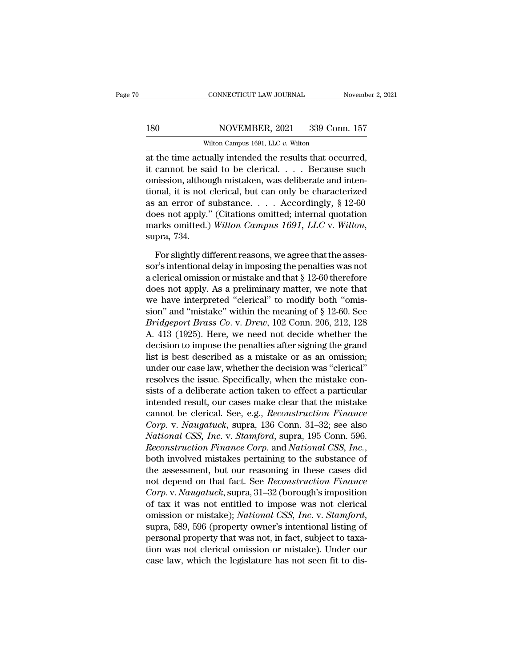### 180 CONNECTICUT LAW JOURNAL November 2, 2021<br>180 NOVEMBER, 2021 339 Conn. 157<br>Wilton Campus 1691, LLC v. Wilton CONNECTICUT LAW JOURNAL<br>NOVEMBER, 2021 339 Con<br>Wilton Campus 1691, LLC *v.* Wilton<br>Tially intended the results that occ

CONNECTICUT LAW JOURNAL November 2, 2<br>
180 NOVEMBER, 2021 339 Conn. 157<br>
Wilton Campus 1691, LLC v. Wilton<br>
at the time actually intended the results that occurred,<br>
it cannot be said to be clerical.... Because such<br>
emis 180 NOVEMBER, 2021 339 Conn. 157<br>Wilton Campus 1691, LLC v. Wilton<br>at the time actually intended the results that occurred,<br>it cannot be said to be clerical. . . . Because such<br>omission, although mistaken, was deliberate a 180 NOVEMBER, 2021 339 Conn. 157<br>Wilton Campus 1691, LLC v. Wilton<br>at the time actually intended the results that occurred,<br>it cannot be said to be clerical. . . . . Because such<br>omission, although mistaken, was deliberat 180 NOVEMBER, 2021 339 Conn. 157<br>
Wilton Campus 1691, LLC v. Wilton<br>
at the time actually intended the results that occurred,<br>
it cannot be said to be clerical. . . . Because such<br>
omission, although mistaken, was deliber Wilton Campus 1691, LLC v. Wilton<br>at the time actually intended the results that occurred,<br>it cannot be said to be clerical. . . . Because such<br>omission, although mistaken, was deliberate and inten-<br>tional, it is not cler which can pus fost, E.C. which<br>at the time actually intended the results that occurred,<br>it cannot be said to be clerical. . . . Because such<br>omission, although mistaken, was deliberate and inten-<br>tional, it is not clerica at the time actually intended the results that occurred,<br>it cannot be said to be clerical. . . . Because such<br>omission, although mistaken, was deliberate and inten-<br>tional, it is not clerical, but can only be characterized be the slightly different reasons, we agree that the assessor's intending the penalties and apply." (Citations omitted; internal quotation arks omitted.) Wilton Campus 1691, LLC v. Wilton, pra, 734.<br>For slightly different as an error of substance. . . . Accordingly, § 12-60<br>
does not apply." (Citations omitted; internal quotation<br>
marks omitted.) Wilton Campus 1691, LLC v. Wilton,<br>
supra, 734.<br>
For slightly different reasons, we agree that

does not apply." (Citations omitted; internal quotation<br>marks omitted.) Wilton Campus 1691, LLC v. Wilton,<br>supra, 734.<br>For slightly different reasons, we agree that the assessor's intentional delay in imposing the penaltie marks omitted.) Wilton Campus 1691, LLC v. Wilton,<br>supra, 734.<br>For slightly different reasons, we agree that the assessor's intentional delay in imposing the penalties was not<br>a clerical omission or mistake and that  $\S$  1 supra, 734.<br>
For slightly different reasons, we agree that the assessor's intentional delay in imposing the penalties was not<br>
a clerical omission or mistake and that  $\S$  12-60 therefore<br>
does not apply. As a preliminary For slightly different reasons, we agree that the assessor's intentional delay in imposing the penalties was not<br>a clerical omission or mistake and that  $\S$  12-60 therefore<br>does not apply. As a preliminary matter, we note For slightly different reasons, we agree that the assessor's intentional delay in imposing the penalties was not a clerical omission or mistake and that § 12-60 therefore does not apply. As a preliminary matter, we note th sor's intentional delay in imposing the penalties was not<br>a clerical omission or mistake and that  $\S$  12-60 therefore<br>does not apply. As a preliminary matter, we note that<br>we have interpreted "clerical" to modify both "om a clerical omission or mistake and that  $\S$  12-60 therefore<br>does not apply. As a preliminary matter, we note that<br>we have interpreted "clerical" to modify both "omis-<br>sion" and "mistake" within the meaning of  $\S$  12-60. S does not apply. As a preliminary matter, we note that<br>we have interpreted "clerical" to modify both "omis-<br>sion" and "mistake" within the meaning of § 12-60. See<br>*Bridgeport Brass Co.* v. *Drew*, 102 Conn. 206, 212, 128<br>A. we have interpreted "clerical" to modify both "omission" and "mistake" within the meaning of  $\S$  12-60. See *Bridgeport Brass Co. v. Drew*, 102 Conn. 206, 212, 128 A. 413 (1925). Here, we need not decide whether the decis sion" and "mistake" within the meaning of  $\S$  12-60. See<br>*Bridgeport Brass Co. v. Drew*, 102 Conn. 206, 212, 128<br>A. 413 (1925). Here, we need not decide whether the<br>decision to impose the penalties after signing the grand *Bridgeport Brass Co. v. Drew*, 102 Conn. 206, 212, 128<br>A. 413 (1925). Here, we need not decide whether the<br>decision to impose the penalties after signing the grand<br>list is best described as a mistake or as an omission;<br>un A. 413 (1925). Here, we need not decide whether the<br>decision to impose the penalties after signing the grand<br>list is best described as a mistake or as an omission;<br>under our case law, whether the decision was "clerical"<br>r decision to impose the penalties after signing the grand<br>list is best described as a mistake or as an omission;<br>under our case law, whether the decision was "clerical"<br>resolves the issue. Specifically, when the mistake con list is best described as a mistake or as an omission;<br>
under our case law, whether the decision was "clerical"<br>
resolves the issue. Specifically, when the mistake con-<br>
sists of a deliberate action taken to effect a parti under our case law, whether the decision was "clerical"<br>resolves the issue. Specifically, when the mistake con-<br>sists of a deliberate action taken to effect a particular<br>intended result, our cases make clear that the mista resolves the issue. Specifically, when the mistake consists of a deliberate action taken to effect a particular intended result, our cases make clear that the mistake cannot be clerical. See, e.g., *Reconstruction Finance* intended result, our cases make clear that the mistake<br>cannot be clerical. See, e.g., *Reconstruction Finance*<br>*Corp.* v. *Naugatuck*, supra, 136 Conn. 31–32; see also<br>*National CSS, Inc.* v. *Stamford*, supra, 195 Conn. 5 cannot be clerical. See, e.g., *Reconstruction Finance*<br>Corp. v. *Naugatuck*, supra, 136 Conn. 31–32; see also<br>*National CSS, Inc.* v. *Stamford*, supra, 195 Conn. 596.<br>*Reconstruction Finance Corp.* and *National CSS, Inc Corp.* v. *Naugatuck*, supra, 136 Conn. 31–32; see also<br>*National CSS, Inc.* v. *Stamford*, supra, 195 Conn. 596.<br>*Reconstruction Finance Corp.* and *National CSS, Inc.*,<br>both involved mistakes pertaining to the substance National CSS, Inc. v. Stamford, supra, 195 Conn. 596.<br>Reconstruction Finance Corp. and National CSS, Inc.,<br>both involved mistakes pertaining to the substance of<br>the assessment, but our reasoning in these cases did<br>not depe *Reconstruction Finance Corp.* and *National CSS, Inc.*, both involved mistakes pertaining to the substance of the assessment, but our reasoning in these cases did not depend on that fact. See *Reconstruction Finance Corp.* the assessment, but our reasoning in these cases did<br>not depend on that fact. See *Reconstruction Finance*<br>*Corp.* v. *Naugatuck*, supra, 31–32 (borough's imposition<br>of tax it was not entitled to impose was not clerical<br>om not depend on that fact. See *Reconstruction Finance*<br>Corp. v. Naugatuck, supra, 31–32 (borough's imposition<br>of tax it was not entitled to impose was not clerical<br>omission or mistake); National CSS, Inc. v. Stamford,<br>supra Corp. v. Naugatuck, supra, 31–32 (borough's imposition<br>of tax it was not entitled to impose was not clerical<br>omission or mistake); National CSS, Inc. v. Stamford,<br>supra, 589, 596 (property owner's intentional listing of<br>p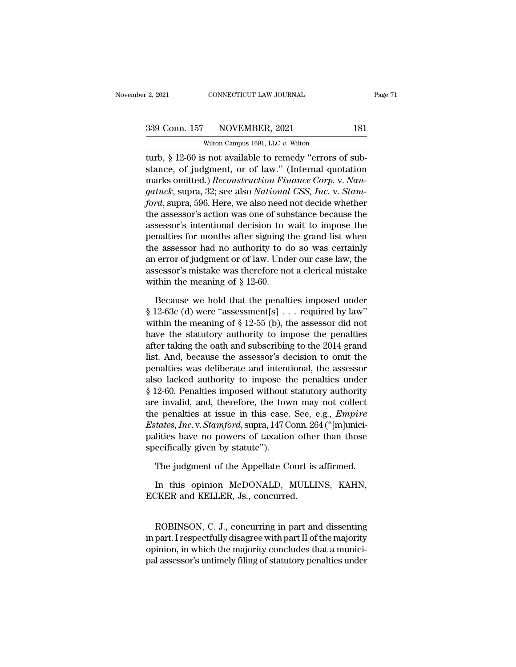CONNECTICUT LAW JOURNAL<br>NOVEMBER, 2021<br>Wilton Campus 1691, LLC *v.* Wilton<br>S not available to remedy "errors o the 2, 2021 CONNECTICUT LAW JOURNAL<br>
Sammen and Solid Connection Connection Connection Connection Connection Connection Connection Connection Connection Connection Connection Connection Connection Connection Connection Con 339 Conn. 157 NOVEMBER, 2021 181<br>Wilton Campus 1691, LLC v. Wilton<br>turb, § 12-60 is not available to remedy "errors of substance, of judgment, or of law." (Internal quotation<br>marks omitted.) *Reconstruction Finance Corp. v* 339 Conn. 157 NOVEMBER, 2021 181<br>
Witton Campus 1691, LLC v. Witton<br>
turb, § 12-60 is not available to remedy "errors of sub-<br>
stance, of judgment, or of law." (Internal quotation<br>
marks omitted.) *Reconstruction Finance C gature 157 gature 1691, LLC v. Wilton*<br> *gature Campus 1691, LLC v. Wilton*<br> *gature,*  $\oint$  12-60 is not available to remedy "errors of substance, of judgment, or of law." (Internal quotation<br>
marks omitted.) *Reconstru* Wilton Campus 1691, LLC v. Wilton<br> **for the UPS 12-60** is not available to remedy "errors of substance, of judgment, or of law." (Internal quotation<br>
marks omitted.) *Reconstruction Finance Corp.* v. *Naugatuck*, supra, 32 which camples first, E.C. which<br>turb, § 12-60 is not available to remedy "errors of sub-<br>stance, of judgment, or of law." (Internal quotation<br>marks omitted.) *Reconstruction Finance Corp.* v. *Nau-*<br>*gatuck*, supra, 32; s turb, § 12-60 is not available to remedy "errors of substance, of judgment, or of law." (Internal quotation<br>marks omitted.) *Reconstruction Finance Corp.* v. *Naugatuck*, supra, 32; see also *National CSS*, *Inc.* v. *Stam* stance, of judgment, or of law." (Internal quotation<br>marks omitted.) *Reconstruction Finance Corp.* v. *Nau-*<br>*gatuck*, supra, 32; see also *National CSS*, *Inc.* v. *Stam-*<br>*ford*, supra, 596. Here, we also need not decid marks omitted.) *Reconstruction Finance Corp.* v. *Naugatuck*, supra, 32; see also *National CSS*, *Inc.* v. *Stamford*, supra, 596. Here, we also need not decide whether the assessor's action was one of substance because gatuck, supra, 32; see also *National CSS*, *Inc.* v. *Stam-<br>ford*, supra, 596. Here, we also need not decide whether<br>the assessor's action was one of substance because the<br>assessor's intentional decision to wait to impos ford, supra, 596. Here, we also need not decide whether<br>the assessor's action was one of substance because the<br>assessor's intentional decision to wait to impose the<br>penalties for months after signing the grand list when<br>t the assessor's action was one of substance because the assessor's intentional decision to wait to impose the penalties for months after signing the grand list when the assessor had no authority to do so was certainly an e malties for months after signing the grand list when<br>e assessor had no authority to do so was certainly<br>error of judgment or of law. Under our case law, the<br>sessor's mistake was therefore not a clerical mistake<br>thin the m

 $§$  12-63c (d) were "assessment[s] . . . required by law" within the meaning of  $§$  12-55 (b), the assessor did not have the statutory authority to impose the penalties an error of judgment or of law. Under our case law, the<br>assessor's mistake was therefore not a clerical mistake<br>within the meaning of  $\S$  12-60.<br>Because we hold that the penalties imposed under<br> $\S$  12-63c (d) were "assess assessor's mistake was therefore not a clerical mistake<br>within the meaning of § 12-60.<br>Because we hold that the penalties imposed under<br>§ 12-63c (d) were "assessment[s] . . . required by law"<br>within the meaning of § 12-55 within the meaning of  $\S$  12-60.<br>Because we hold that the penalties imposed under<br> $\S$  12-63c (d) were "assessment[s] . . . required by law"<br>within the meaning of  $\S$  12-55 (b), the assessor did not<br>have the statutory auth Because we hold that the penalties imposed under  $\S$  12-63c (d) were "assessment[s] ... required by law" within the meaning of  $\S$  12-55 (b), the assessor did not have the statutory authority to impose the penalties after Because we hold that the penalties imposed under  $\S$  12-63c (d) were "assessment[s] . . . required by law" within the meaning of  $\S$  12-55 (b), the assessor did not have the statutory authority to impose the penalties aft  $\S$  12-63c (d) were "assessment[s] . . . required by law"<br>within the meaning of  $\S$  12-55 (b), the assessor did not<br>have the statutory authority to impose the penalties<br>after taking the oath and subscribing to the 2014 gr within the meaning of § 12-55 (b), the assessor did not<br>have the statutory authority to impose the penalties<br>after taking the oath and subscribing to the 2014 grand<br>list. And, because the assessor's decision to omit the<br>p have the statutory authority to impose the penalties<br>after taking the oath and subscribing to the 2014 grand<br>list. And, because the assessor's decision to omit the<br>penalties was deliberate and intentional, the assessor<br>als after taking the oath and subscribing to the 2014 grand<br>list. And, because the assessor's decision to omit the<br>penalties was deliberate and intentional, the assessor<br>also lacked authority to impose the penalties under<br>§ 12 list. And, because the assessor's decision to omit the<br>penalties was deliberate and intentional, the assessor<br>also lacked authority to impose the penalties under<br>§ 12-60. Penalties imposed without statutory authority<br>are i penalties was deliberate and intentional, the assessor<br>also lacked authority to impose the penalties under<br>§ 12-60. Penalties imposed without statutory authority<br>are invalid, and, therefore, the town may not collect<br>the pe also lacked authority to impose the  $§$  12-60. Penalties imposed without<br>are invalid, and, therefore, the tow<br>the penalties at issue in this case.<br>*Estates, Inc.* v. *Stamford*, supra, 147 C<br>palities have no powers of tax e invalid, and, therefore, the town may not collect<br>e penalties at issue in this case. See, e.g., *Empire*<br>tates, *Inc.* v. *Stamford*, supra, 147 Conn. 264 ("[m]unici-<br>lities have no powers of taxation other than those<br>ec *E* penalties at issue in this case. See, e.g., *Empire*<br> *Intates, Inc.* v. *Stamford*, supra, 147 Conn. 264 ("[m]unici-<br>
lities have no powers of taxation other than those<br>
ecifically given by statute").<br>
The judgment of Estates, *Inc.* C. Stamford, supra, 147 Colui. 26<br>palities have no powers of taxation other<br>specifically given by statute").<br>The judgment of the Appellate Court is<br>In this opinion McDONALD, MULLI<br>ECKER and KELLER, Js., con

The judgment of the Appellate Court is affirmed.<br>
In this opinion McDONALD, MULLINS, KAHN,<br>
EKER and KELLER, Js., concurred.<br>
ROBINSON, C. J., concurring in part and dissenting<br>
part. I respectfully disagree with part II o In this opinion McDONALD, MULLINS, KAHN,<br>ECKER and KELLER, Js., concurred.<br>ROBINSON, C. J., concurring in part and dissenting<br>in part. I respectfully disagree with part II of the majority<br>opinion, in which the majority con In this opinion McDONALD, MULLINS, KAHN,<br>ECKER and KELLER, Js., concurred.<br>ROBINSON, C. J., concurring in part and dissenting<br>in part. I respectfully disagree with part II of the majority<br>opinion, in which the majority con ECKER and KELLER, Js., concurred.<br>ROBINSON, C. J., concurring in part and dissenting<br>in part. I respectfully disagree with part II of the majority<br>opinion, in which the majority concludes that a munici-<br>pal assessor's unti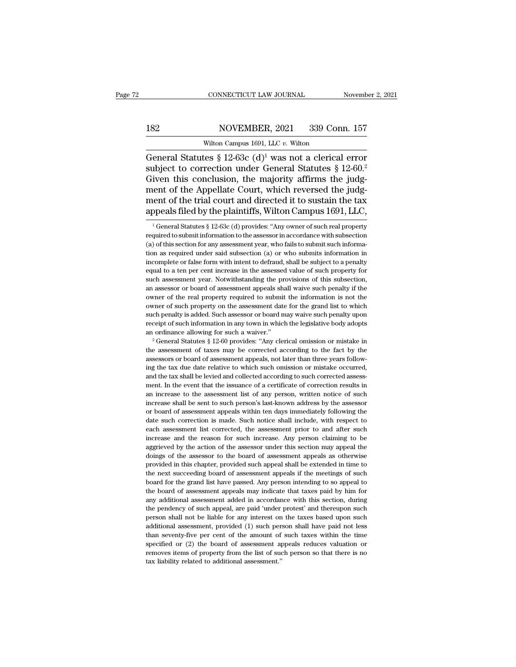### 182 CONNECTICUT LAW JOURNAL November 2, 2021<br>182 NOVEMBER, 2021 339 Conn. 157<br>Wilton Campus 1691, LLC v. Wilton CONNECTICUT LAW JOURNAL<br>NOVEMBER, 2021 339 Con<br>Wilton Campus 1691, LLC *v.* Wilton<br>tes § 12-63c (d)<sup>1</sup> was not a clerical

CONNECTICUT LAW JOURNAL November 2, 2021<br>
Statutes & 12-63c (d)<sup>1</sup> was not a clerical error<br>
Statutes & 12-63c (d)<sup>1</sup> was not a clerical error<br>
Subject to correction under General Statutes & 12-60.<sup>2</sup><br>
Given this conclusi Subject to correction under General Statutes  $\{12-63c\}$  (d)<sup>1</sup> was not a clerical error subject to correction under General Statutes  $\{12-60\}$ .<br>Given this conclusion, the majority affirms the judgment of the Annellate 182 NOVEMBER, 2021 339 Conn. 157<br>Wilton Campus 1691, LLC v. Wilton<br>General Statutes § 12-63c (d)<sup>1</sup> was not a clerical error<br>subject to correction under General Statutes § 12-60.<sup>2</sup><br>Given this conclusion, the majority aff 182 NOVEMBER, 2021 339 Conn. 157<br>Wilton Campus 1691, LLC v. Wilton<br>General Statutes § 12-63c (d)<sup>1</sup> was not a clerical error<br>subject to correction under General Statutes § 12-60.<sup>2</sup><br>Given this conclusion, the majority aff mental Statutes  $\S 12-63c$  (d)<sup>1</sup> was not a clerical error<br>subject to correction under General Statutes  $\S 12-60$ .<sup>2</sup><br>Given this conclusion, the majority affirms the judg-<br>ment of the Appellate Court, which reversed the j Wilton Campus 1691, LLC v. Wilton<br>General Statutes § 12-63c (d)<sup>1</sup> was not a clerical error<br>subject to correction under General Statutes § 12-60.<sup>2</sup><br>Given this conclusion, the majority affirms the judg-<br>ment of the Appell iven this conclusion, the majority affirms the judge-<br>ent of the Appellate Court, which reversed the judge-<br>ent of the trial court and directed it to sustain the tax<br>ppeals filed by the plaintiffs, Wilton Campus 1691, LLC ment of the Appellate Court, which reversed the judgment of the trial court and directed it to sustain the tax appeals filed by the plaintiffs, Wilton Campus 1691, LLC,<br> $\frac{1}{1}$  General Statutes § 12-63c (d) provides: "A

ment of the trial court and directed it to sustain the tax appeals filed by the plaintiffs, Wilton Campus 1691, LLC,<br> $\frac{1}{1}$  General Statutes § 12-63c (d) provides: "Any owner of such real property required to submit in appeals filed by the plaintiffs, Wilton Campus 1691, LLC,<br>
<sup>1</sup> General Statutes § 12-63c (d) provides: "Any owner of such real property<br>
required to submit information to the assessor in accordance with subsection<br>
(a) of appears filed by the plaintiffs, whitehecally stop  $I$ , LLC,<br>
<sup>1</sup> General Statutes § 12-63c (d) provides: "Any owner of such real property<br>
required to submit information to the assessor in accordance with subsection<br>
(a) <sup>1</sup> General Statutes § 12-63c (d) provides: "Any owner of such real property required to submit information to the assessor in accordance with subsection (a) of this section for any assessment year, who fails to submit su required to submit information to the assessor in accordance with subsection (a) of this section for any assessment year, who fails to submit such information as required under said subsection (a) or who submits informatio required to solve the section for any assessment year, who fails to submit such information as required under said subsection (a) or who submits information in incomplete or false form with intent to defraud, shall be subj (s) or an expected to a percept and subsection (a) or who submits information in incomplete or false form with intent to defraud, shall be subject to a penalty equal to a ten per cent increase in the assessed value of such incomplete or false form with intent to defraud, shall be subject to a penalty equal to a ten per cent increase in the assessed value of such property for such assessment year. Notwithstanding the provisions of this subsec equal to a ten per cent increase in the assessed value of such property for such assessment year. Notwithstanding the provisions of this subsection, an assessor or board of assessment appeals shall waive such penalty if th such assessment year. Notwithstanding the provisions of this subsection, an assessor or board of assessment appeals shall waive such penalty if the owner of the real property required to submit the information is not the o an assessor or board of assessment appeals shall waive such penalty if the owner of the real property required to submit the information is not the owner of such property on the assessment date for the grand list to which owner of such property or the assessment date for the grand list to which<br>such penalty is added. Such assessor or board may waive such penalty upon<br>receipt of such information in any town in which the legislative body ado

such penalty is added. Such assessor or board may waive such penalty upon receipt of such information in any town in which the legislative body adopts an ordinance allowing for such a waiver."<br> $2^{\circ}$  General Statutes § 1 Example 1 and information in any town in which the legislative body adopts an ordinance allowing for such a waiver."<br>
<sup>2</sup> General Statutes § 12-60 provides: "Any clerical omission or mistake in the assessment of taxes may an ordinance allowing for such a waiver."<br>
<sup>2</sup> General Statutes § 12-60 provides: "Any clerical omission or mistake in<br>
the assessment of taxes may be corrected according to the fact by the<br>
assessors or board of assessme <sup>2</sup> General Statutes § 12-60 provides: "Any clerical omission or mistake in the assessment of taxes may be corrected according to the fact by the assessors or board of assessment appeals, not later than three years follow the assessment of taxes may be corrected according to the fact by the assessors or board of assessment appeals, not later than three years following the tax due date relative to which such omission or mistake occurred, and all assessors or board of assessment appeals, not later than three years following the tax due date relative to which such omission or mistake occurred, and the tax shall be levied and collected according to such corrected ing the tax due date relative to which such omission or mistake occurred, and the tax shall be levied and collected according to such corrected assessment. In the event that the issuance of a certificate of correction resu and the tax shall be levied and collected according to such corrected assessment. In the event that the issuance of a certificate of correction results in an increase to the assessment list of any person, written notice of ment. In the event that the issuance of a certificate of correction results in an increase to the assessment list of any person, written notice of such increase shall be sent to such person's last-known address by the asse increase to the assessment list of any person, written notice of such<br>increase shall be sent to such person's last-known address by the assessor<br>or board of assessment appeals within ten days immediately following the<br>date are measured by the section of the section of the action of the assessor or board of assessment appeals within ten days immediately following the date such correction is made. Such notice shall include, with respect to eac or board of assessment appeals within ten days immediately following the date such correction is made. Such notice shall include, with respect to each assessment list corrected, the assessment prior to and after such incre of date such correction is made. Such notice shall include, with respect to each assessment list corrected, the assessment prior to and after such increase and the reason for such increase. Any person claiming to be aggrie each assessment list corrected, the assessment prior to and after such increase and the reason for such increase. Any person claiming to be aggrieved by the action of the assessor under this section may appeal the doings o board for the grand for the sessor when the grand the reason for such increase. Any person claiming to be aggrieved by the action of the assessor under this section may appeal the doings of the assessor to the board of ass are discussed by the action of the assessor under this section may appeal the doings of the assessor to the board of assessment appeals as otherwise provided in this chapter, provided such appeal shall be extended in time alonings of the assessor to the board of assessment appeals as otherwise provided in this chapter, provided such appeal shall be extended in time to the next succeeding board of assessment appeals if the meetings of such b provided in this chapter, provided such appeal shall be extended in time to the next succeeding board of assessment appeals if the meetings of such board for the grand list have passed. Any person intending to so appeal to person shall not be lable for any interest on the taxes based upon shall not be least succeeding board of assessment appeals if the meetings of such the board of assessment appeals may indicate that taxes paid by him for a add for the grand list have passed. Any person intending to so appeal to the board of assessment appeals may indicate that taxes paid by him for any additional assessment added in accordance with this section, during the p between the board of assessment appeals may indicate that taxes paid by him for any additional assessment added in accordance with this section, during the pendency of such appeal, are paid 'under protest' and thereupon su the board of assessment appeals may indicate that taxes paid by him for any additional assessment added in accordance with this section, during the pendency of such appeal, are paid 'under protest' and the<br>reupon such pers removes items of such appeal, are paid 'under protest' and thereupon such person shall not be liable for any interest on the taxes based upon such additional assessment, provided (1) such person shall have paid not less th person shall not be liable for any interest on the taxes based upon such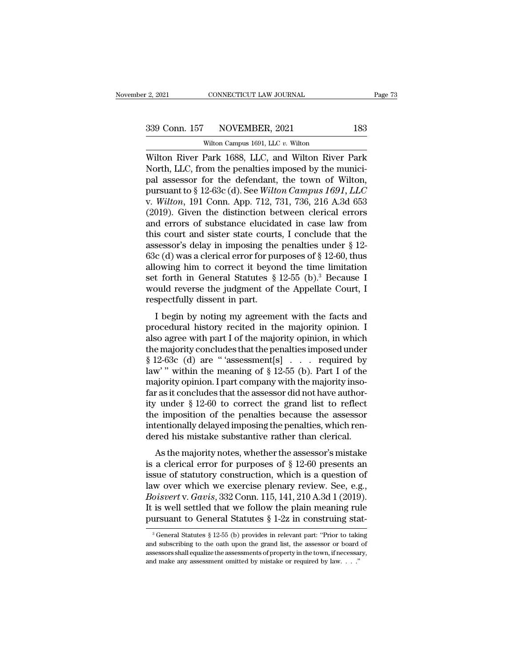CONNECTICUT LAW JOURNAL<br>NOVEMBER, 2021<br>Wilton Campus 1691, LLC *v.* Wilton<br>Park 1688, LLC, and Wilton River 2, 2021 CONNECTICUT LAW JOURNAL Page 73<br>
339 Conn. 157 NOVEMBER, 2021 183<br>
Wilton Campus 1691, LLC v. Wilton<br>
Wilton River Park 1688, LLC, and Wilton River Park<br>
North, LLC, from the penalties imposed by the munici-339 Conn. 157 NOVEMBER, 2021 183<br>Wilton Campus 1691, LLC v. Wilton<br>Wilton River Park 1688, LLC, and Wilton River Park<br>North, LLC, from the penalties imposed by the munici-<br>pal assessor for the defendant, the town of Wilto 339 Conn. 157 NOVEMBER, 2021 183<br>
Wilton Campus 1691, LLC v. Wilton<br>
Wilton River Park 1688, LLC, and Wilton River Park<br>
North, LLC, from the penalties imposed by the munici-<br>
pal assessor for the defendant, the town of W 939 Conn. 157 NOVEMBER, 2021 183<br>
Wilton Campus 1691, LLC v. Wilton<br>
Wilton River Park 1688, LLC, and Wilton River Park<br>
North, LLC, from the penalties imposed by the munici-<br>
pal assessor for the defendant, the town of Wi Wilton River Park 1688, LLC v. Wilton<br>Wilton River Park 1688, LLC, and Wilton River Park<br>North, LLC, from the penalties imposed by the munici-<br>pal assessor for the defendant, the town of Wilton,<br>pursuant to § 12-63c (d). S Wilton River Park 1688, LLC v. Wilton<br>Wilton River Park 1688, LLC, and Wilton River Park<br>North, LLC, from the penalties imposed by the munici-<br>pal assessor for the defendant, the town of Wilton,<br>pursuant to § 12-63c (d). Wilton River Park 1688, LLC, and Wilton River Park<br>North, LLC, from the penalties imposed by the munici-<br>pal assessor for the defendant, the town of Wilton,<br>pursuant to § 12-63c (d). See *Wilton Campus 1691, LLC*<br>v. *Wilt* North, LLC, from the penalties imposed by the munici-<br>pal assessor for the defendant, the town of Wilton,<br>pursuant to  $\S 12-63c$  (d). See *Wilton Campus 1691, LLC*<br>v. *Wilton*, 191 Conn. App. 712, 731, 736, 216 A.3d 653<br>( pal assessor for the defendant, the town of Wilton,<br>pursuant to § 12-63c (d). See *Wilton Campus 1691, LLC*<br>v. *Wilton*, 191 Conn. App. 712, 731, 736, 216 A.3d 653<br>(2019). Given the distinction between clerical errors<br>and pursuant to § 12-63c (d). See *Wilton Campus 1691, LLC*<br>v. *Wilton*, 191 Conn. App. 712, 731, 736, 216 A.3d 653<br>(2019). Given the distinction between clerical errors<br>and errors of substance elucidated in case law from<br>thi v. Wilton, 191 Conn. App. 712, 731, 736, 216 A.3d 653 (2019). Given the distinction between clerical errors<br>and errors of substance elucidated in case law from<br>this court and sister state courts, I conclude that the<br>asses (2019). Given the distinction between clerical errors<br>and errors of substance elucidated in case law from<br>this court and sister state courts, I conclude that the<br>assessor's delay in imposing the penalties under § 12-<br>63c and errors of substance elucidated in case law from<br>this court and sister state courts, I conclude that the<br>assessor's delay in imposing the penalties under § 12-<br>63c (d) was a clerical error for purposes of § 12-60, thus this court and sister state court:<br>assessor's delay in imposing the<br>63c (d) was a clerical error for pu<br>allowing him to correct it beyor<br>set forth in General Statutes §<br>would reverse the judgment of t<br>respectfully dissent  $\epsilon$  (d) was a clerical error for purposes of § 12-60, thus<br>owing him to correct it beyond the time limitation<br>t forth in General Statutes § 12-55 (b).<sup>3</sup> Because I<br>puld reverse the judgment of the Appellate Court, I<br>spec boc (a) was a cicrical error for purposes or  $\frac{1}{8}$  12-00, thus<br>allowing him to correct it beyond the time limitation<br>set forth in General Statutes  $\frac{8}{3}$  12-55 (b).<sup>3</sup> Because I<br>would reverse the judgment of the Ap

allowing limit to correct it beyond the time inhibition<br>set forth in General Statutes § 12-55 (b).<sup>3</sup> Because I<br>would reverse the judgment of the Appellate Court, I<br>respectfully dissent in part.<br>I begin by noting my agree set form in deficial statutes  $\frac{1}{8}$  12-55 (b). Because I<br>would reverse the judgment of the Appellate Court, I<br>respectfully dissent in part.<br>I begin by noting my agreement with the facts and<br>procedural history recited Free the substitute of the Appendate Court, if<br>the respectfully dissent in part.<br>I begin by noting my agreement with the facts and<br>procedural history recited in the majority opinion. I<br>also agree with part I of the majori I begin by noting my agreement with the facts and<br>procedural history recited in the majority opinion. I<br>also agree with part I of the majority opinion, in which<br>the majority concludes that the penalties imposed under<br> $§ 1$ I begin by noting my agreement with the facts and<br>procedural history recited in the majority opinion. I<br>also agree with part I of the majority opinion, in which<br>the majority concludes that the penalties imposed under<br> $§ 1$ procedural history recited in the majority opinion. I<br>also agree with part I of the majority opinion, in which<br>the majority concludes that the penalties imposed under<br> $§ 12-63c$  (d) are "'assessment[s] . . . required by<br>l also agree with part I of the majority opinion, in which<br>the majority concludes that the penalties imposed under<br> $§ 12-63c$  (d) are "assessment[s] . . . required by<br>law" within the meaning of  $§ 12-55$  (b). Part I of the<br> the majority concludes that the penalties imposed under<br>
§ 12-63c (d) are " 'assessment[s] . . . . required by<br>
law' " within the meaning of § 12-55 (b). Part I of the<br>
majority opinion. I part company with the majority i  $§$  12-63c (d) are "'assessment[s] . . . required by<br>law'" within the meaning of  $§$  12-55 (b). Part I of the<br>majority opinion. I part company with the majority inso-<br>far as it concludes that the assessor did not have aut law'" within the meaning of § 12-55 (b). Part I of the majority opinion. I part company with the majority insofar as it concludes that the assessor did not have authority under § 12-60 to correct the grand list to reflect  $\alpha$  as it concludes that the assessor did not have author-<br>  $\alpha$  as it concludes that the assessor did not have author-<br>  $\alpha$  imposition of the penalties because the assessor<br>
tentionally delayed imposing the penalties, ity under § 12-60 to correct the grand list to reflect<br>the imposition of the penalties because the assessor<br>intentionally delayed imposing the penalties, which ren-<br>dered his mistake substantive rather than clerical.<br>As t

It is under  $\frac{1}{8}$  12-00 to correct the grand list to reflect<br>the imposition of the penalties because the assessor<br>intentionally delayed imposing the penalties, which ren-<br>dered his mistake substantive rather than cler Interminonally delayed imposing the penalties, which rendered his mistake substantive rather than clerical.<br>As the majority notes, whether the assessor's mistake<br>is a clerical error for purposes of  $\S$  12-60 presents an<br>i *Boisverthed and Statistics* and *Boisvertifiers* and *Boisvertifiers* and *Boisvertifiers* and *Boisvert* v. *Gavis*, 332 Conn. 115, 141, 210 A.3d 1 (2019). It is well settled that we follow the plain meaning rule pursuan As the majority notes, whether the assessor's mistake<br>is a clerical error for purposes of  $\S$  12-60 presents an<br>issue of statutory construction, which is a question of<br>law over which we exercise plenary review. See, e.g., As the majority notes, whether the assessor's mistake<br>is a clerical error for purposes of § 12-60 presents an<br>issue of statutory construction, which is a question of<br>law over which we exercise plenary review. See, e.g.,<br> w over which we exercise plenary review. See, e.g., oisvert v. Gavis, 332 Conn. 115, 141, 210 A.3d 1 (2019). is well settled that we follow the plain meaning rule ursuant to General Statutes § 1-2z in construing stat-<br><sup>3</sup> Boisvert v. Gavis, 332 Conn. 115, 141, 210 A.3d 1 (2019).<br>It is well settled that we follow the plain meaning rule<br>pursuant to General Statutes § 1-2z in construing stat-<br><sup>3</sup> General Statutes § 12-55 (b) provides in relev

It is well settled that we follow the plain meaning rule<br>pursuant to General Statutes § 1-2z in construing stat-<br> $\frac{3}{10}$  General Statutes § 12-55 (b) provides in relevant part: "Prior to taking<br>and subscribing to the o **PUIFSUART TO GENERAL SET AND SET AND MAKE AND MAKE AND SET AND SET A GENERAL SET A GENERAL SET AND SET AND SET ASSESS OF PROPERTY IN THE ASSESSOR SHALL equalize the assessments of property in the town, if necessal and ma**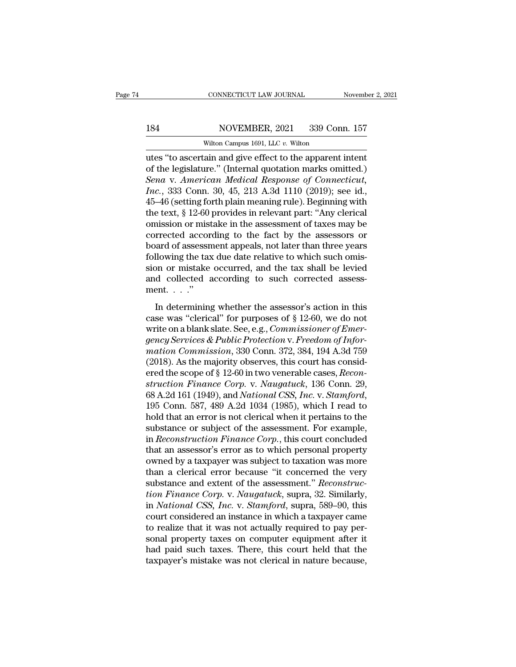### 184 CONNECTICUT LAW JOURNAL November 2, 2021<br>184 NOVEMBER, 2021 339 Conn. 157<br>Wilton Campus 1691, LLC v. Wilton CONNECTICUT LAW JOURNAL<br>NOVEMBER, 2021 339 Con<br>Wilton Campus 1691, LLC *v.* Wilton<br>ain and give effect to the annarent

CONNECTICUT LAW JOURNAL November 2, 202<br>
184 NOVEMBER, 2021 339 Conn. 157<br>
Wilton Campus 1691, LLC v. Wilton<br>
Utes "to ascertain and give effect to the apparent intent<br>
of the legislature." (Internal quotation marks omitte 184 NOVEMBER, 2021 339 Conn. 157<br>Wilton Campus 1691, LLC v. Wilton<br>utes "to ascertain and give effect to the apparent intent<br>of the legislature." (Internal quotation marks omitted.)<br>Sena v. American Medical Response of Con **Example 339 Sena** v. **American Medical Response of Connective Sena** v. *American Medical Response of Connecticut,*<br>*Inc.*, 333 Conn. 30, 45, 213 A.3d 1110 (2019); see id., 45, 46 (estting forth plain meaning rule). Beginn *ISA Inc. ISB INCVEMBER, 2021 339 Conn. 157*<br>*Vilton Campus 1691, LLC v. Wilton*<br>*Intes* "to ascertain and give effect to the apparent intent<br>of the legislature." (Internal quotation marks omitted.)<br>*Sena v. Americ* Wilton Campus 1691, LLC v. Wilton<br>
utes "to ascertain and give effect to the apparent intent<br>
of the legislature." (Internal quotation marks omitted.)<br>
Sena v. American Medical Response of Connecticut,<br>
Inc., 333 Conn. 30 witten Campus 1691, LLC v. Witten<br>
utes "to ascertain and give effect to the apparent intent<br>
of the legislature." (Internal quotation marks omitted.)<br>
Sena v. American Medical Response of Connecticut,<br>
Inc., 333 Conn. 30 utes "to ascertain and give effect to the apparent intent<br>of the legislature." (Internal quotation marks omitted.)<br>Sena v. American Medical Response of Connecticut,<br>Inc., 333 Conn. 30, 45, 213 A.3d 1110 (2019); see id.,<br>45 of the legislature." (Internal quotation marks omitted.)<br>Sena v. American Medical Response of Connecticut,<br>Inc., 333 Conn. 30, 45, 213 A.3d 1110 (2019); see id.,<br>45–46 (setting forth plain meaning rule). Beginning with<br>the Sena v. American Medical Response of Connecticut,<br>Inc., 333 Conn. 30, 45, 213 A.3d 1110 (2019); see id.,<br>45–46 (setting forth plain meaning rule). Beginning with<br>the text, § 12-60 provides in relevant part: "Any clerical<br>o Inc., 333 Conn. 30, 45, 213 A.3d 1110 (2019); see id., 45–46 (setting forth plain meaning rule). Beginning with the text,  $§$  12-60 provides in relevant part: "Any clerical omission or mistake in the assessment of taxes m 45–46 (setting forth plain meaning rule). Beginning with<br>the text, § 12-60 provides in relevant part: "Any clerical<br>omission or mistake in the assessment of taxes may be<br>corrected according to the fact by the assessors or<br> the text,  $\S$  12-60 provides in relevant part: "Any clerical omission or mistake in the assessment of taxes may be corrected according to the fact by the assessors or board of assessment appeals, not later than three year omission or mist<br>corrected accor<br>board of assessn<br>following the tax<br>sion or mistake<br>and collected a<br>ment....."<br>In determining Frected according to the fact by the assessors of<br>ard of assessment appeals, not later than three years<br>llowing the tax due date relative to which such omis-<br>on or mistake occurred, and the tax shall be levied<br>d collected following the tax due date relative to which such omission or mistake occurred, and the tax shall be levied<br>and collected according to such corrected assessment. . . ."<br>In determining whether the assessor's action in this

sion or mistake occurred, and the tax shall be levied<br>and collected according to such corrected assess-<br>ment. . . ."<br>In determining whether the assessor's action in this<br>case was "clerical" for purposes of § 12-60, we do n *gency Services & Public Protection v. Freedom of Infor-<br>
<i>gency Services & Public Protection v. Freedom of Infor-*<br> *gency Services & Public Protection v. Freedom of Infor-*<br> *gency Services & Public Protection v. Freedom ment.* . . ."<br>
In determining whether the assessor's action in this<br>
case was "clerical" for purposes of § 12-60, we do not<br>
write on a blank slate. See, e.g., *Commissioner of Emer-<br>
gency Services & Public Protection v.* In determining whether the assessor's action in this<br>case was "clerical" for purposes of § 12-60, we do not<br>write on a blank slate. See, e.g., *Commissioner of Emer-<br>gency Services & Public Protection v. Freedom of Infor-*In determining whether the assessor's action in this<br>case was "clerical" for purposes of § 12-60, we do not<br>write on a blank slate. See, e.g., *Commissioner of Emer-*<br>*gency Services & Public Protection v. Freedom of Infor* case was "clerical" for purposes of § 12-60, we do not<br>write on a blank slate. See, e.g., *Commissioner of Emer-*<br>*gency Services & Public Protection v. Freedom of Infor-*<br>mation Commission, 330 Conn. 372, 384, 194 A.3d 75 write on a blank slate. See, e.g., *Commissioner of Emergency Services & Public Protection v. Freedom of Information Commission*, 330 Conn. 372, 384, 194 A.3d 759 (2018). As the majority observes, this court has considered mation Commission, 330 Conn. 372, 384, 194 A.3d 759<br>(2018). As the majority observes, this court has considered the scope of § 12-60 in two venerable cases, *Reconstruction Finance Corp.* v. *Naugatuck*, 136 Conn. 29, 68 A (2018). As the majority observes, this court has considered the scope of § 12-60 in two venerable cases, *Reconstruction Finance Corp.* v. *Naugatuck*, 136 Conn. 29, 68 A.2d 161 (1949), and *National CSS, Inc.* v. *Stamfo* ered the scope of § 12-60 in two venerable cases, *Reconstruction Finance Corp.* v. *Naugatuck*, 136 Conn. 29, 68 A.2d 161 (1949), and *National CSS, Inc.* v. *Stamford*, 195 Conn. 587, 489 A.2d 1034 (1985), which I read t struction Finance Corp. v. Naugatuck, 136 Conn. 29,<br>68 A.2d 161 (1949), and National CSS, Inc. v. Stamford,<br>195 Conn. 587, 489 A.2d 1034 (1985), which I read to<br>hold that an error is not clerical when it pertains to the<br>su 68 A.2d 161 (1949), and *National CSS, Inc.* v. *Stamford*, 195 Conn. 587, 489 A.2d 1034 (1985), which I read to hold that an error is not clerical when it pertains to the substance or subject of the assessment. For examp 195 Conn. 587, 489 A.2d 1034 (1985), which I read to<br>hold that an error is not clerical when it pertains to the<br>substance or subject of the assessment. For example,<br>in *Reconstruction Finance Corp.*, this court concluded<br> hold that an error is not clerical when it pertains to the substance or subject of the assessment. For example, in *Reconstruction Finance Corp*., this court concluded that an assessor's error as to which personal property substance or subject of the assessment. For example,<br>in *Reconstruction Finance Corp*., this court concluded<br>that an assessor's error as to which personal property<br>owned by a taxpayer was subject to taxation was more<br>than in *Reconstruction Finance Corp.*, this court concluded<br>that an assessor's error as to which personal property<br>owned by a taxpayer was subject to taxation was more<br>than a clerical error because "it concerned the very<br>subst that an assessor's error as to which personal property<br>owned by a taxpayer was subject to taxation was more<br>than a clerical error because "it concerned the very<br>substance and extent of the assessment." *Reconstruc-<br>tion Fi* owned by a taxpayer was subject to taxation was more<br>than a clerical error because "it concerned the very<br>substance and extent of the assessment." *Reconstruc-<br>tion Finance Corp.* v. *Naugatuck*, supra, 52. Similarly,<br>in than a clerical error because "it concerned the very<br>substance and extent of the assessment." Reconstruc-<br>tion Finance Corp. v. Naugatuck, supra, 32. Similarly,<br>in National CSS, Inc. v. Stamford, supra, 589–90, this<br>court substance and extent of the assessment." *Reconstruction Finance Corp.* v. *Naugatuck*, supra, 32. Similarly, in *National CSS, Inc.* v. *Stamford*, supra, 589–90, this court considered an instance in which a taxpayer came tion Finance Corp. v. Naugatuck, supra, 32. Similarly,<br>in National CSS, Inc. v. Stamford, supra, 589–90, this<br>court considered an instance in which a taxpayer came<br>to realize that it was not actually required to pay per-<br>s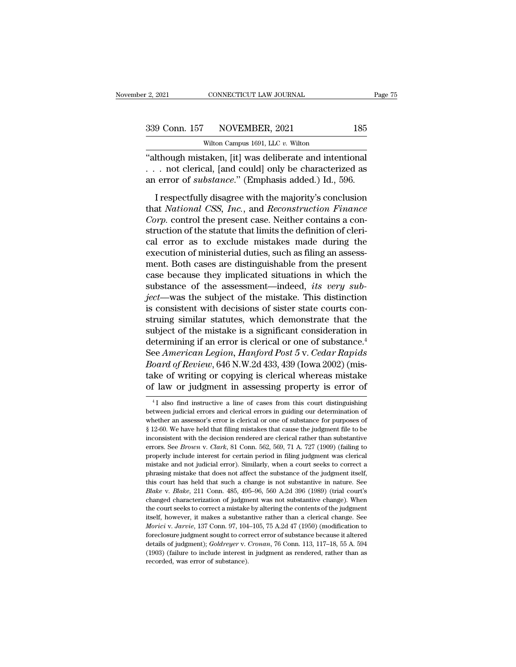| r 2, 2021 | CONNECTICUT LAW JOURNAL              | Page 75 |
|-----------|--------------------------------------|---------|
|           | 339 Conn. 157 NOVEMBER, 2021         | 185     |
|           | Wilton Campus 1691, LLC $v$ . Wilton |         |

CONNECTICUT LAW JOURNAL<br>NOVEMBER, 2021<br>Wilton Campus 1691, LLC *v.* Wilton<br>taken [it] was deliberate and inten <sup>2</sup>. 2021 CONNECTICUT LAW JOURNAL Page<br>
339 Conn. 157 NOVEMBER, 2021 185<br>
Wilton Campus 1691, LLC v. Wilton<br>
"although mistaken, [it] was deliberate and intentional<br>
... not clerical, [and could] only be characterized as 339 Conn. 157 NOVEMBER, 2021 185<br>Wilton Campus 1691, LLC v. Wilton<br>"although mistaken, [it] was deliberate and intentional<br>... not clerical, [and could] only be characterized as<br>an error of *substance*." (Emphasis added.) an error of *substance*.'' (Emphasis added.) Id., 596.<br>
The *substance*.'' (Emphasis added.) Id., 596.<br>
The *substance*.'' (Emphasis added.) Id., 596.<br>
I respectfully disagree with the majority's conclusion  $\frac{157}{200}$  Wilton Campus 1691, LLC v. Wilton<br>
Ithough mistaken, [it] was deliberate and intentional<br>
. not clerical, [and could] only be characterized as<br>
error of *substance*." (Emphasis added.) Id., 596.<br>
I respectfu

Wilton Campus 1691, LLC v. Wilton<br>
"although mistaken, [it] was deliberate and intentional<br>
. . . not clerical, [and could] only be characterized as<br>
an error of *substance*." (Emphasis added.) Id., 596.<br>
I respectfully di "although mistaken, [it] was deliberate and intentional  $\ldots$  not clerical, [and could] only be characterized as an error of *substance*." (Emphasis added.) Id., 596.<br>I respectfully disagree with the majority's conclusion statute that limits the status of the status of the status in the status of the status and error of *substance.*" (Emphasis added.) Id., 596.<br>I respectfully disagree with the majority's conclusion that *National CSS*, *In* cal error of *substance*." (Emphasis added.) Id., 596.<br>I respectfully disagree with the majority's conclusion<br>that *National CSS*, *Inc.*, and *Reconstruction Finance*<br>Corp. control the present case. Neither contains a con I respectfully disagree with the majority's conclusion<br>that *National CSS*, *Inc.*, and *Reconstruction Finance*<br>*Corp.* control the present case. Neither contains a con-<br>struction of the statute that limits the definition I respectfully disagree with the majority's conclusion<br>that *National CSS*, *Inc.*, and *Reconstruction Finance*<br>*Corp.* control the present case. Neither contains a con-<br>struction of the statute that limits the definition that *National CSS*, *Inc.*, and *Reconstruction Finance*<br>Corp. control the present case. Neither contains a construction of the statute that limits the definition of cleri-<br>cal error as to exclude mistakes made during the Corp. control the present case. Neither contains a construction of the statute that limits the definition of clerical error as to exclude mistakes made during the execution of ministerial duties, such as filing an assessme struction of the statute that limits the definition of clerical error as to exclude mistakes made during the execution of ministerial duties, such as filing an assessment. Both cases are distinguishable from the present ca cal error as to exclude mistakes made during the<br>execution of ministerial duties, such as filing an assess-<br>ment. Both cases are distinguishable from the present<br>case because they implicated situations in which the<br>substan execution of ministerial duties, such as filing an assessment. Both cases are distinguishable from the present case because they implicated situations in which the substance of the assessment—indeed, *its very subject*—was ment. Both cases are distinguishable from the present<br>case because they implicated situations in which the<br>substance of the assessment—indeed, *its very sub-*<br>ject—was the subject of the mistake. This distinction<br>is consi case because they implicated situations in which the<br>substance of the assessment—indeed, *its very sub-*<br>ject—was the subject of the mistake. This distinction<br>is consistent with decisions of sister state courts con-<br>strui substance of the assessment—indeed, *its very sub-*<br>ject—was the subject of the mistake. This distinction<br>is consistent with decisions of sister state courts con-<br>struing similar statutes, which demonstrate that the<br>subjec *iect*—was the subject of the mistake. This distinction<br>is consistent with decisions of sister state courts con-<br>struing similar statutes, which demonstrate that the<br>subject of the mistake is a significant consideration in is consistent with decisions of sister state courts construing similar statutes, which demonstrate that the subject of the mistake is a significant consideration in determining if an error is clerical or one of substance. struing similar statutes, which demonstrate that the<br>subject of the mistake is a significant consideration in<br>determining if an error is clerical or one of substance.<sup>4</sup><br>See American Legion, Hanford Post 5 v. Cedar Rapids ee American Legion, Hanjora Post 5 v. Ceaar Rapias<br>oard of Review, 646 N.W.2d 433, 439 (Iowa 2002) (mis-<br>ke of writing or copying is clerical whereas mistake<br>f law or judgment in assessing property is error of<br><sup>4</sup>I also fi *Board of Review*, 646 N.W.2d 433, 439 (Iowa 2002) (mistake of writing or copying is clerical whereas mistake of law or judgment in assessing property is error of  $\frac{4}{1}$  also find instructive a line of cases from this

take of writing or copying is clerical whereas mistake<br>of law or judgment in assessing property is error of<br> $\frac{41}{1}$  also find instructive a line of cases from this court distinguishing<br>between judicial errors and cleri of law or judgment in assessing property is error of<br>
<sup>4</sup>I also find instructive a line of cases from this court distinguishing<br>
between judicial errors and clerical errors in guiding our determination of<br>
whether an asses <sup>4</sup> I also find instructive a line of cases from this court distinguishing<br>between judicial errors and clerical errors in guiding our determination of<br>whether an assessor's error is clerical or one of substance for purpos <sup>4</sup>I also find instructive a line of cases from this court distinguishing between judicial errors and clerical errors in guiding our determination of whether an assessor's error is clerical or one of substance for purpose between judicial errors and clerical errors in guiding our determination of whether an assessor's error is clerical or one of substance for purposes of § 12-60. We have held that filing mistakes that cause the judgment fi whether an assessor's error is clerical or one of substance for purposes of § 12-60. We have held that filing mistakes that cause the judgment file to be inconsistent with the decision rendered are clerical rather than su where the substantiant is a set of the substantiant is a set of the substantiant file to be inconsistent with the decision rendered are clerical rather than substantive errors. See *Brown v. Clark*, 81 Conn. 562, 569, 71 is consistent with the decision rendered are clerical rather than substantive errors. See *Brown v. Clark*, 81 Conn. 562, 569, 71 A. 727 (1909) (failing to properly include interest for certain period in filing judgment w *Blake Brown v*. *Clark*, 81 Conn. 562, 569, 71 A. 727 (1909) (failing to properly include interest for certain period in filing judgment was clerical mistake and not judicial error). Similarly, when a court seeks to c properly include interest for certain period in filing judgment was clerical mistake and not judicial error). Similarly, when a court seeks to correct a phrasing mistake that does not affect the substantive of the judgment mistake and not judicial error). Similarly, when a court seeks to correct a phrasing mistake that does not affect the substance of the judgment itself, this court has held that such a change is not substantive in nature. invasing mistake that does not affect the substance of the judgment itself, this court has held that such a change is not substantive in nature. See *Blake* v. *Blake*, 211 Conn. 485, 495–96, 560 A.2d 396 (1989) (trial cou *Moricia* v. *Hake, 211 Conn. 485, 495–96, 560 A.2d 396 (1989) (trial court's changed characterization of judgment was not substantive change). When the court seeks to correct a mistake by altering the contents of the judg Elake v. Blake*, 211 Conn. 485, 495–96, 560 A.2d 396 (1989) (trial court's changed characterization of judgment was not substantive change). When the court seeks to correct a mistake by altering the contents of the judgme changed characterization of judgment was not substantive change). When<br>the court seeks to correct a mistake by altering the contents of the judgment<br>itself, however, it makes a substantive rather than a clerical change. Se changed characterization of judgment was not substantive change). When<br>the court seeks to correct a mistake by altering the contents of the judgment<br>itself, however, it makes a substantive rather than a clerical change. S itself, however, it makes a substantive rather than a clerical change. See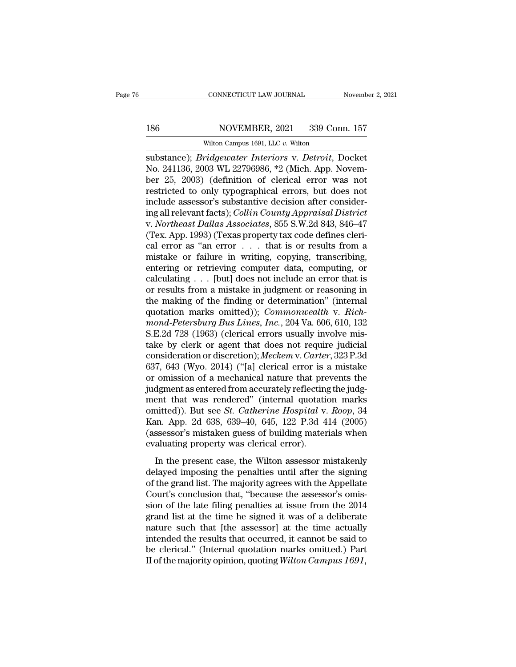# 186 CONNECTICUT LAW JOURNAL November 2, 2021<br>186 NOVEMBER, 2021 339 Conn. 157<br>Wilton Campus 1691, LLC v. Wilton

CONNECTICUT LAW JOURNAL<br>NOVEMBER, 2021 339 Con<br>Wilton Campus 1691, LLC *v.* Wilton<br>Wilton Campus 1691, LLC *v.* Wilton SUBSECTICUT LAW JOURNAL November 2, 2021<br>
SUBSECTICUT LAW JOURNAL<br>
SUBSTANCE); *Bridgewater Interiors* v. *Detroit*, Docket<br>
No. 241136, 2003 WL 22796986, \*2 (Mich. App. November 25, 2003). *Cofinition* of clerical error w NOVEMBER, 2021 339 Conn. 157<br>Wilton Campus 1691, LLC v. Wilton<br>Substance); *Bridgewater Interiors v. Detroit*, Docket<br>No. 241136, 2003 WL 22796986, \*2 (Mich. App. Novem-<br>ber 25, 2003) (definition of clerical error was not 186 NOVEMBER, 2021 339 Conn. 157<br>Wilton Campus 1691, LLC v. Wilton<br>substance); *Bridgewater Interiors* v. *Detroit*, Docket<br>No. 241136, 2003 WL 22796986, \*2 (Mich. App. Novem-<br>ber 25, 2003) (definition of clerical error w Research Move MBER, 2021 339 Conn. 157<br>
Wilton Campus 1691, LLC v. Wilton<br>
Substance); *Bridgewater Interiors* v. *Detroit*, Docket<br>
No. 241136, 2003 WL 22796986, \*2 (Mich. App. Novem-<br>
ber 25, 2003) (definition of clerica Wilton Campus 1691, LLC v. Wilton<br>
substance); *Bridgewater Interiors v. Detroit*, Docket<br>
No. 241136, 2003 WL 22796986, \*2 (Mich. App. Novem-<br>
ber 25, 2003) (definition of clerical error was not<br>
restricted to only typogr witten Campus 1691, LtC v. Witten<br>
substance); *Bridgewater Interiors* v. *Detroit*, Docket<br>
No. 241136, 2003 WL 22796986, \*2 (Mich. App. Novem-<br>
ber 25, 2003) (definition of clerical error was not<br>
restricted to only typo substance); *Bridgewater Interiors v. Detroit*, Docket<br>No. 241136, 2003 WL 22796986, \*2 (Mich. App. Novem-<br>ber 25, 2003) (definition of clerical error was not<br>restricted to only typographical errors, but does not<br>include a No. 241136, 2003 WL 22796986, \*2 (Mich. App. November 25, 2003) (definition of clerical error was not restricted to only typographical errors, but does not include assessor's substantive decision after considering all rele ber 25, 2003) (definition of clerical error was not restricted to only typographical errors, but does not include assessor's substantive decision after considering all relevant facts); *Collin County Appraisal District* v. restricted to only typographical errors, but does not<br>include assessor's substantive decision after consider-<br>ing all relevant facts); *Collin County Appraisal District*<br>v. *Northeast Dallas Associates*, 855 S.W.2d 843, 84 include assessor's substantive decision after considering all relevant facts); *Collin County Appraisal District*<br>v. *Northeast Dallas Associates*, 855 S.W.2d 843, 846–47<br>(Tex. App. 1993) (Texas property tax code defines c ing all relevant facts); *Collin County Appraisal District*<br>v. *Northeast Dallas Associates*, 855 S.W.2d 843, 846–47<br>(Tex. App. 1993) (Texas property tax code defines cleri-<br>cal error as "an error . . . that is or results v. *Northeast Dallas Associates*, 855 S.W.2d 843, 846–47<br>(Tex. App. 1993) (Texas property tax code defines cleri-<br>cal error as "an error  $\ldots$  that is or results from a<br>mistake or failure in writing, copying, transcribing (Tex. App. 1993) (Texas property tax code defines clerical error as "an error  $\ldots$  that is or results from a mistake or failure in writing, copying, transcribing, entering or retrieving computer data, computing, or calcu cal error as "an error  $\ldots$  that is or results from a mistake or failure in writing, copying, transcribing, entering or retrieving computer data, computing, or calculating  $\ldots$  [but] does not include an error that is or mistake or failure in writing, copying, transcribing,<br>
entering or retrieving computer data, computing, or<br>
calculating . . . [but] does not include an error that is<br>
or results from a mistake in judgment or reasoning in<br> entering or retrieving computer data, computing, or calculating . . . [but] does not include an error that is<br>or results from a mistake in judgment or reasoning in<br>the making of the finding or determination" (internal<br>quo calculating . . . [but] does not include an error that is<br>or results from a mistake in judgment or reasoning in<br>the making of the finding or determination" (internal<br>quotation marks omitted)); *Commonwealth* v. *Rich-<br>mon* or results from a mistake in judgment or reasoning in<br>the making of the finding or determination" (internal<br>quotation marks omitted)); *Commonwealth* v. *Rich-*<br>mond-Petersburg Bus Lines, Inc., 204 Va. 606, 610, 132<br>S.E.2d the making of the finding or determination" (internal<br>quotation marks omitted)); *Commonwealth* v. *Rich-<br>mond-Petersburg Bus Lines, Inc.*, 204 Va. 606, 610, 132<br>S.E.2d 728 (1963) (clerical errors usually involve mis-<br>take quotation marks omitted)); *Commonwealth* v. *Rich-<br>mond-Petersburg Bus Lines, Inc.*, 204 Va. 606, 610, 132<br>S.E.2d 728 (1963) (clerical errors usually involve mis-<br>take by clerk or agent that does not require judicial<br>cons mond-Petersburg Bus Lines, Inc., 204 Va. 606, 610, 132<br>S.E.2d 728 (1963) (clerical errors usually involve mis-<br>take by clerk or agent that does not require judicial<br>consideration or discretion); Meckem v. Carter, 323 P.3d S.E.2d 728 (1963) (clerical errors usually involve mis-<br>take by clerk or agent that does not require judicial<br>consideration or discretion); *Meckem* v. *Carter*, 323 P.3d<br>637, 643 (Wyo. 2014) ("[a] clerical error is a mis take by clerk or agent that does not require judicial<br>consideration or discretion); Meckem v. Carter, 323 P.3d<br>637, 643 (Wyo. 2014) ("[a] clerical error is a mistake<br>or omission of a mechanical nature that prevents the<br>jud consideration or discretion); *Meckem* v. *Carter*, 323 P.3d<br>637, 643 (Wyo. 2014) ("[a] clerical error is a mistake<br>or omission of a mechanical nature that prevents the<br>judgment as entered from accurately reflecting the ju 637, 643 (Wyo. 2014) ("[a] clerical error is a mistake<br>or omission of a mechanical nature that prevents the<br>judgment as entered from accurately reflecting the judg-<br>ment that was rendered" (internal quotation marks<br>omitte or omission of a mechanical nature that pre<br>judgment as entered from accurately reflecting<br>ment that was rendered" (internal quotationitted)). But see *St. Catherine Hospital* v.<br>Kan. App. 2d 638, 639–40, 645, 122 P.3d 4<br> igniera as entered in a declination accurately reneeding and judge<br>
ent that was rendered" (internal quotation marks<br>
inted)). But see *St. Catherine Hospital* v. *Roop*, 34<br>
un. App. 2d 638, 639–40, 645, 122 P.3d 414 (200 omitted)). But see *St. Catherine Hospital* v. *Roop*, 34 Kan. App. 2d 638, 639–40, 645, 122 P.3d 414 (2005) (assessor's mistaken guess of building materials when evaluating property was clerical error).<br>In the present ca

Example 12 and 12 and 12 and 12 and 14 (2005)<br>
(assessor's mistaken guess of building materials when<br>
evaluating property was clerical error).<br>
In the present case, the Wilton assessor mistakenly<br>
delayed imposing the pen The same of the assessor's mistaken guess of building materials when<br>evaluating property was clerical error).<br>In the present case, the Wilton assessor mistakenly<br>delayed imposing the penalties until after the signing<br>of th (assessor *s* mistaken gasss or standing materials when<br>evaluating property was clerical error).<br>In the present case, the Wilton assessor mistakenly<br>delayed imposing the penalties until after the signing<br>of the grand list. In the present case, the Wilton assessor mistakenly<br>delayed imposing the penalties until after the signing<br>of the grand list. The majority agrees with the Appellate<br>Court's conclusion that, "because the assessor's omis-<br>si In the present case, the Wilton assessor mistakenly<br>delayed imposing the penalties until after the signing<br>of the grand list. The majority agrees with the Appellate<br>Court's conclusion that, "because the assessor's omis-<br>si delayed imposing the penalties until after the signing<br>of the grand list. The majority agrees with the Appellate<br>Court's conclusion that, "because the assessor's omis-<br>sion of the late filing penalties at issue from the 20 of the grand list. The majority agrees with the Appellate<br>Court's conclusion that, "because the assessor's omis-<br>sion of the late filing penalties at issue from the 2014<br>grand list at the time he signed it was of a deliber Court's conclusion that, "because the assessor's omission of the late filing penalties at issue from the 2014 grand list at the time he signed it was of a deliberate nature such that [the assessor] at the time actually int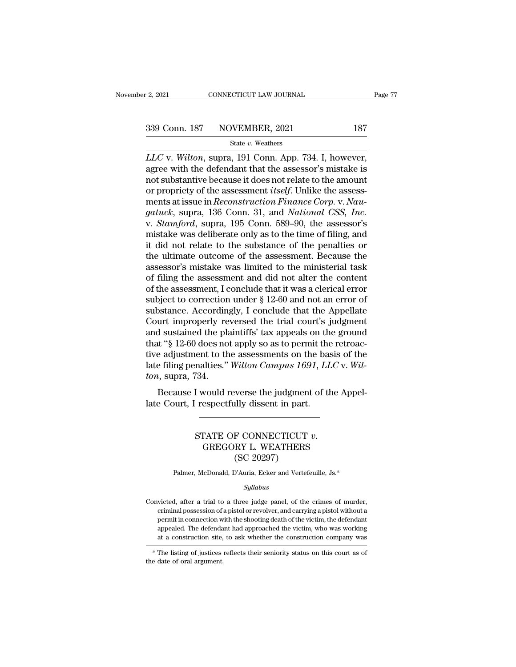*L*<sub>2, 2021</sub> CONNECTICUT LAW JOURNAL Page<br>
2339 Conn. 187 NOVEMBER, 2021 187<br>
State v. Weathers<br> *LLC* v. *Wilton*, supra, 191 Conn. App. 734. I, however, agree with the defendant that the assessor's mistake is 339 Conn. 187 NOVEMBER, 2021 187<br>State v. Weathers<br>LLC v. Wilton, supra, 191 Conn. App. 734. I, however, agree with the defendant that the assessor's mistake is<br>not substantive because it does not relate to the amount<br>or p 339 Conn. 187 NOVEMBER, 2021 187<br>
State v. Weathers<br>
LLC v. Wilton, supra, 191 Conn. App. 734. I, however,<br>
agree with the defendant that the assessor's mistake is<br>
not substantive because it does not relate to the amount 339 Conn. 187 NOVEMBER, 2021 187<br>
<sup>State v.</sup> Weathers<br> *LLC* v. *Wilton*, supra, 191 Conn. App. 734. I, however,<br>
agree with the defendant that the assessor's mistake is<br>
not substantive because it does not relate to the a State v. Weathers<br>
LLC v. Wilton, supra, 191 Conn. App. 734. I, however,<br>
agree with the defendant that the assessor's mistake is<br>
not substantive because it does not relate to the amount<br>
or propriety of the assessment *i gature with the defendant that the assessor's mistake is*<br> *garee with the defendant that the assessor's mistake is*<br> *not substantive because it does not relate to the amount*<br> *or propriety of the assessment itself.* Un LLC v. *Wilton*, supra, 191 Conn. App. 734. I, however, agree with the defendant that the assessor's mistake is not substantive because it does not relate to the amount or propriety of the assessment *itself*. Unlike the a agree with the defendant that the assessor's mistake is<br>not substantive because it does not relate to the amount<br>or propriety of the assessment *itself*. Unlike the assess-<br>ments at issue in *Reconstruction Finance Corp.* not substantive because it does not relate to the amount<br>or propriety of the assessment *itself*. Unlike the assess-<br>ments at issue in *Reconstruction Finance Corp.* v. *Nau-*<br>*gatuck*, supra, 136 Conn. 31, and *National C* or propriety of the assessment *itself*. Unlike the assessments at issue in *Reconstruction Finance Corp.* v. *Naugatuck*, supra, 136 Conn. 31, and *National CSS*, *Inc.* v. *Stamford*, supra, 195 Conn. 589–90, the assesso ments at issue in *Reconstruction Finance Corp.* v. *Naugatuck*, supra, 136 Conn. 31, and *National CSS*, *Inc.*<br>v. *Stamford*, supra, 195 Conn. 589–90, the assessor's<br>mistake was deliberate only as to the time of filing, gatuck, supra, 136 Conn. 31, and *National CSS, Inc.*<br>v. *Stamford*, supra, 195 Conn. 589–90, the assessor's<br>mistake was deliberate only as to the time of filing, and<br>it did not relate to the substance of the penalties or v. *Stamford*, supra, 195 Conn. 589–90, the assessor's mistake was deliberate only as to the time of filing, and it did not relate to the substance of the penalties or the ultimate outcome of the assessment. Because the a mistake was deliberate only as to the time of filing, and<br>it did not relate to the substance of the penalties or<br>the ultimate outcome of the assessment. Because the<br>assessor's mistake was limited to the ministerial task<br>of it did not relate to the substance of the penalties or<br>the ultimate outcome of the assessment. Because the<br>assessor's mistake was limited to the ministerial task<br>of filing the assessment and did not alter the content<br>of th the ultimate outcome of the assessment. Because the<br>assessor's mistake was limited to the ministerial task<br>of filing the assessment and did not alter the content<br>of the assessment, I conclude that it was a clerical error<br>s assessor's mistake was limited to the ministerial task<br>of filing the assessment and did not alter the content<br>of the assessment, I conclude that it was a clerical error<br>subject to correction under § 12-60 and not an error of filing the assessment and did not alter the content<br>of the assessment, I conclude that it was a clerical error<br>subject to correction under § 12-60 and not an error of<br>substance. Accordingly, I conclude that the Appella of the assessment, I conclude that it was a clerical error<br>subject to correction under  $\S$  12-60 and not an error of<br>substance. Accordingly, I conclude that the Appellate<br>Court improperly reversed the trial court's judgme subject to correction under § 12-60 and not an error of substance. Accordingly, I conclude that the Appellate Court improperly reversed the trial court's judgment and sustained the plaintiffs' tax appeals on the ground tha substance. Accordin<br>
Court improperly re<br>
and sustained the pla<br>
that "§ 12-60 does no<br>
tive adjustment to th<br>
late filing penalties."<br> *ton*, supra, 734.<br>
Because I would r In the interest of the first court's judgment<br>d sustained the plaintiffs' tax appeals on the ground<br>t "§ 12-60 does not apply so as to permit the retroac-<br>e adjustment to the assessments on the basis of the<br>filing penaltie and sustained the plantins dax appeals on the that "§ 12-60 does not apply so as to permit the tive adjustment to the assessments on the base late filing penalties." *Wilton Campus 1691*, *LL* ton, supra, 734. Because I wo

### Frames. Which Cumpus 1031, EEC v. W<br>
134.<br>
I would reverse the judgment of the Appe<br>
respectfully dissent in part.<br>
STATE OF CONNECTICUT v.<br>
GREGORY L. WEATHERS<br>
(SC 20297) verse the judgment<br>
Illy dissent in part.<br>
F CONNECTICUT<br>
RY L. WEATHERS<br>
(SC 20297)<br>
YAuria, Ecker and Vertefe STATE OF CONNECTICUT  $v$ .<br>
GREGORY L. WEATHERS<br>
(SC 20297)<br>
Palmer, McDonald, D'Auria, Ecker and Vertefeuille, Js.\*<br>
Sullabus

### *Syllabus*

 $(SC\ 20297)$ <br>Palmer, McDonald, D'Auria, Ecker and Vertefeuille, Js.\*<br>Syllabus<br>Convicted, after a trial to a three judge panel, of the crimes of murder,<br>criminal possession of a pistol or revolver, and carrying a pistol wi Palmer, McDonald, D'Auria, Ecker and Vertefeuille, Js.\*<br>Syllabus<br>victed, after a trial to a three judge panel, of the crimes of murder,<br>criminal possession of a pistol or revolver, and carrying a pistol without a<br>permit i Palmer, McDonald, D'Auria, Ecker and Vertefeuille, Js.\*<br>Syllabus<br>victed, after a trial to a three judge panel, of the crimes of murder,<br>criminal possession of a pistol or revolver, and carrying a pistol without a<br>permit in *Syllabus*<br>victed, after a trial to a three judge panel, of the crimes of murder,<br>criminal possession of a pistol or revolver, and carrying a pistol without a<br>permit in connection with the shooting death of the victim, the *Syltabus*<br>
site, after a trial to a three judge panel, of the crimes of murder,<br>
criminal possession of a pistol or revolver, and carrying a pistol without a<br>
permit in connection with the shooting death of the victim, th moretical, and a divided procedure in the shooting death, or the crimes of murder, criminal possession of a pistol or revolver, and carrying a pistol without a permit in connection with the shooting death of the victim, th Final possession of a<br>permit in connection we<br>appealed. The defenda<br>at a construction site,<br> $*$  The listing of justices<br>the date of oral argument.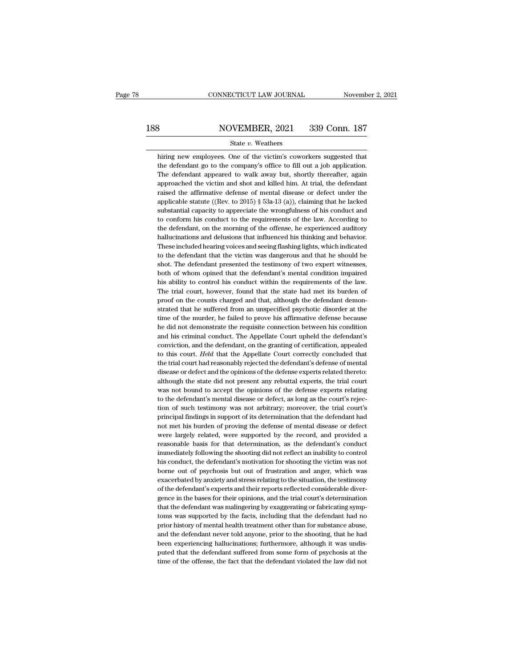# EXECUTE CONNECTICUT LAW JOURNAL Movember 2, 2021<br>188 NOVEMBER, 2021 339 Conn. 187<br>188 State v. Weathers

### State *v.* Weathers

MOVEMBER, 2021 339 Conn. 187<br>
State v. Weathers<br>
hiring new employees. One of the victim's coworkers suggested that<br>
the defendant go to the company's office to fill out a job application. NOVEMBER, 2021 339 Conn. 187<br>
State v. Weathers<br>
hiring new employees. One of the victim's coworkers suggested that<br>
the defendant go to the company's office to fill out a job application.<br>
The defendant appeared to walk  $\frac{\text{S339}}{\text{State } v. \text{ Weather}}$   $\frac{2021}{\text{State } v. \text{ Weather}}$ <br>
hiring new employees. One of the victim's coworkers suggested that<br>
the defendant go to the company's office to fill out a job application.<br>
The defendant appeared to walk State v. Weathers<br>hiring new employees. One of the victim's coworkers suggested that<br>the defendant go to the company's office to fill out a job application.<br>The defendant appeared to walk away but, shortly thereafter, agai State v. Weathers<br>hiring new employees. One of the victim's coworkers suggested that<br>the defendant go to the company's office to fill out a job application.<br>The defendant appeared to walk away but, shortly thereafter, aga hiring new employees. One of the victim's coworkers suggested that<br>the defendant go to the company's office to fill out a job application.<br>The defendant appeared to walk away but, shortly thereafter, again<br>approached the the defendant go to the company's office to fill out a job application.<br>The defendant appeared to walk away but, shortly thereafter, again<br>approached the victim and shot and killed him. At trial, the defendant<br>raised the The defendant appeared to walk away but, shortly thereafter, again approached the victim and shot and killed him. At trial, the defendant raised the affirmative defense of mental disease or defect under the applicable sta approached the victim and shot and killed him. At trial, the defendant raised the affirmative defense of mental disease or defect under the applicable statute ((Rev. to 2015)  $\S$  53a-13 (a)), claiming that he lacked subst raised the affirmative defense of mental disease or defect under the applicable statute ((Rev. to  $2015$ )  $\S$  53a-13 (a)), claiming that he lacked substantial capacity to appreciate the wrongfulness of his conduct and to applicable statute ((Rev. to 2015)  $\S$  53a-13 (a)), claiming that he lacked substantial capacity to appreciate the wrongfulness of his conduct and to conform his conduct to the requirements of the law. According to the de substantial capacity to appreciate the wrongfulness of his conduct and<br>to conform his conduct to the requirements of the law. According to<br>the defendant, on the morning of the offense, he experienced auditory<br>hallucination to conform his conduct to the requirements of the law. According to the defendant, on the morning of the offense, he experienced auditory hallucinations and delusions that influenced his thinking and behavior. These includ the defendant, on the morning of the offense, he experienced auditory<br>hallucinations and delusions that influenced his thinking and behavior.<br>These included hearing voices and seeing flashing lights, which indicated<br>to the hallucinations and delusions that influenced his thinking and behavior.<br>These included hearing voices and seeing flashing lights, which indicated<br>to the defendant that the victim was dangerous and that he should be<br>shot. T These included hearing voices and seeing flashing lights, which indicated<br>to the defendant that the victim was dangerous and that he should be<br>shot. The defendant presented the testimony of two expert witnesses,<br>both of wh to the defendant that the victim was dangerous and that he should be shot. The defendant presented the testimony of two expert witnesses, both of whom opined that the defendant's mental condition impaired his ability to co shot. The defendant presented the testimony of two expert witnesses, both of whom opined that the defendant's mental condition impaired his ability to control his conduct within the requirements of the law. The trial court both of whom opined that the defendant's mental condition impaired<br>his ability to control his conduct within the requirements of the law.<br>The trial court, however, found that the state had met its burden of<br>proof on the co his ability to control his conduct within the requirements of the law.<br>The trial court, however, found that the state had met its burden of<br>proof on the counts charged and that, although the defendant demon-<br>strated that h The trial court, however, found that the state had met its burden of<br>proof on the counts charged and that, although the defendant demon-<br>strated that he suffered from an unspecified psychotic disorder at the<br>time of the mu proof on the counts charged and that, although the defendant demonstrated that he suffered from an unspecified psychotic disorder at the time of the murder, he failed to prove his affirmative defense because he did not dem strated that he suffered from an unspecified psychotic disorder at the time of the murder, he failed to prove his affirmative defense because he did not demonstrate the requisite connection between his condition and his cr time of the murder, he failed to prove his affirmative defense because<br>he did not demonstrate the requisite connection between his condition<br>and his criminal conduct. The Appellate Court upheld the defendant's<br>conviction, he did not demonstrate the requisite connection between his condition<br>and his criminal conduct. The Appellate Court upheld the defendant's<br>conviction, and the defendant, on the granting of certification, appealed<br>to this c and his criminal conduct. The Appellate Court upheld the defendant's conviction, and the defendant, on the granting of certification, appealed to this court. *Held* that the Appellate Court correctly concluded that the tri conviction, and the defendant, on the granting of certification, appealed<br>to this court. *Held* that the Appellate Court correctly concluded that<br>the trial court had reasonably rejected the defendant's defense of mental<br>di conviction, and the defendant, on the granting of certification, appealed<br>to this court. Held that the Appellate Court correctly concluded that<br>the trial court had reasonably rejected the defendant's defense of mental<br>dis the trial court had reasonably rejected the defendant's defense of mental disease or defect and the opinions of the defense experts related thereto: although the state did not present any rebuttal experts, the trial court disease or defect and the opinions of the defense experts related thereto:<br>although the state did not present any rebuttal experts, the trial court<br>was not bound to accept the opinions of the defense experts relating<br>to th although the state did not present any rebuttal experts, the trial court<br>was not bound to accept the opinions of the defense experts relating<br>to the defendant's mental disease or defect, as long as the court's rejec-<br>tion was not bound to accept the opinions of the defense experts relating<br>to the defendant's mental disease or defect, as long as the court's rejec-<br>tion of such testimony was not arbitrary; moreover, the trial court's<br>principa to the defendant's mental disease or defect, as long as the court's rejection of such testimony was not arbitrary; moreover, the trial court's principal findings in support of its determination that the defendant had not m tion of such testimony was not arbitrary; moreover, the trial court's<br>principal findings in support of its determination that the defendant had<br>not met his burden of proving the defense of mental disease or defect<br>were lar principal findings in support of its determination that the defendant had<br>not met his burden of proving the defense of mental disease or defect<br>were largely related, were supported by the record, and provided a<br>reasonable not met his burden of proving the defense of mental disease or defect<br>were largely related, were supported by the record, and provided a<br>reasonable basis for that determination, as the defendant's conduct<br>immediately follo were largely related, were supported by the record, and provided a reasonable basis for that determination, as the defendant's conduct immediately following the shooting did not reflect an inability to control his conduct, reasonable basis for that determination, as the defendant's conduct<br>immediately following the shooting did not reflect an inability to control<br>his conduct, the defendant's motivation for shooting the victim was not<br>borne o immediately following the shooting did not reflect an inability to control<br>his conduct, the defendant's motivation for shooting the victim was not<br>borne out of psychosis but out of frustration and anger, which was<br>exacerba his conduct, the defendant's motivation for shooting the victim was not borne out of psychosis but out of frustration and anger, which was exacerbated by anxiety and stress relating to the situation, the testimony of the d borne out of psychosis but out of frustration and anger, which was exacerbated by anxiety and stress relating to the situation, the testimony of the defendant's experts and their reports reflected considerable divergence i exacerbated by anxiety and stress relating to the situation, the testimony of the defendant's experts and their reports reflected considerable divergence in the bases for their opinions, and the trial court's determination of the defendant's experts and their reports reflected considerable divergence in the bases for their opinions, and the trial court's determination that the defendant was malingering by exaggerating or fabricating symptoms gence in the bases for their opinions, and the trial court's determination<br>that the defendant was malingering by exaggerating or fabricating symp-<br>toms was supported by the facts, including that the defendant had no<br>prior that the defendant was malingering by exaggerating or fabricating symptoms was supported by the facts, including that the defendant had no prior history of mental health treatment other than for substance abuse, and the de toms was supported by the facts, including that the defendant had no<br>prior history of mental health treatment other than for substance abuse,<br>and the defendant never told anyone, prior to the shooting, that he had<br>been exp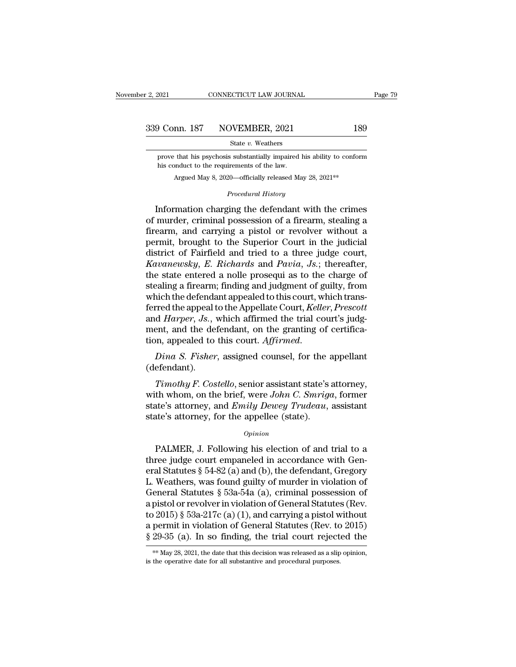**Phronon.** 187 NOVEMBER, 2021 189<br>
State v. Weathers<br>
prove that his psychosis substantially impaired his ability to conform<br>
this conduct to the requirements of the law.  $\frac{187}{\text{State } v. \text{ Weather}}$  WOVEMBER, 2021<br>State  $v.$  Weathers<br>prove that his psychosis substantially impaired list conduct to the requirements of the law.<br>Argued May 8, 2020—officially released Ma **Argued May 8, 2020—officially impaired his ability to conform**<br>Argued May 8, 2020—officially released May 28, 2021<sup>\*\*</sup><br>*Procedural History* State *v*. Weathers<br> *s* substantially impaired his ab<br>
irements of the law.<br>
20—officially released May 28,<br> *Procedural History* 

State v. Weathers<br>
prove that his psychosis substantially impaired his ability to conform<br>
his conduct to the requirements of the law.<br>
Argued May 8, 2020—officially released May 28, 2021<sup>\*\*</sup><br> *Procedural History*<br> **Inform** prove that his psychosis substantially impaired his ability to conform<br>his conduct to the requirements of the law.<br>Argued May 8, 2020—officially released May 28, 2021<sup>\*\*</sup><br>*Procedural History*<br>Information charging the defen his conduct to the requirements of the law.<br>
Argued May 8, 2020—officially released May 28, 2021<sup>\*\*</sup><br> *Procedural History*<br> **Information charging the defendant with the crimes<br>
of murder, criminal possession of a firearm,** Argued May 8, 2020—officially released May 28, 2021<sup>\*\*</sup><br> *Procedural History*<br>
Information charging the defendant with the crimes<br>
of murder, criminal possession of a firearm, stealing a<br>
firearm, and carrying a pistol or *Procedural History*<br>Information charging the defendant with the crimes<br>of murder, criminal possession of a firearm, stealing a<br>firearm, and carrying a pistol or revolver without a<br>permit, brought to the Superior Court in *Froceaura History*<br>
Information charging the defendant with the crimes<br>
of murder, criminal possession of a firearm, stealing a<br>
firearm, and carrying a pistol or revolver without a<br>
permit, brought to the Superior Court Information charging the defendant with the crimes<br>of murder, criminal possession of a firearm, stealing a<br>firearm, and carrying a pistol or revolver without a<br>permit, brought to the Superior Court in the judicial<br>district of murder, criminal possession of a firearm, stealing a<br>firearm, and carrying a pistol or revolver without a<br>permit, brought to the Superior Court in the judicial<br>district of Fairfield and tried to a three judge court,<br>*Ka* firearm, and carrying a pistol or revolver without a<br>permit, brought to the Superior Court in the judicial<br>district of Fairfield and tried to a three judge court,<br>*Kavanewsky*, *E. Richards* and *Pavia*, *Js.*; thereafter, permit, brought to the Superior Court in the judicial<br>district of Fairfield and tried to a three judge court,<br>*Kavanewsky*, *E. Richards* and *Pavia*, *Js.*; thereafter,<br>the state entered a nolle prosequi as to the charge district of Fairfield and tried to a three judge court,<br>*Kavanewsky*, *E. Richards* and *Pavia*, *Js.*; thereafter,<br>the state entered a nolle prosequi as to the charge of<br>stealing a firearm; finding and judgment of guilty, Kavanewsky, E. Richards and Pavia, Js.; thereafter, the state entered a nolle prosequi as to the charge of stealing a firearm; finding and judgment of guilty, from which the defendant appealed to this court, which transfe the state entered a nolle prosequi as to the charge of stealing a firearm; finding and judgment of guilty, from which the defendant appealed to this court, *Keller*, *Prescott* and *Harper*, *Js.*, which affirmed the trial *The Harper, Js.*, which affirmed the trial court's judgent, and the defendant, on the granting of certification, appealed to this court. Affirmed.<br> *Dina S. Fisher*, assigned counsel, for the appellant efendant).<br> *Timoth* 

(defendant).

ment, and the defendant, on the granting of certification, appealed to this court. *Affirmed.*<br> *Dina S. Fisher*, assigned counsel, for the appellant (defendant).<br> *Timothy F. Costello*, senior assistant state's attorney, tion, appealed to this court. *Affirmed.*<br> *Dina S. Fisher*, assigned counsel, for the appellant<br>
(defendant).<br> *Timothy F. Costello*, senior assistant state's attorney,<br>
with whom, on the brief, were *John C. Smriga*, for Dina S. Fisher, assigned counsel, for the and (defendant).<br>Timothy F. Costello, senior assistant state's with whom, on the brief, were John C. Smright state's attorney, and Emily Dewey Trudeau, state's attorney, for the a Fimothy F. Costello, senior assistant state's attorney,<br>th whom, on the brief, were John C. Smriga, former<br>ate's attorney, and Emily Dewey Trudeau, assistant<br>de's attorney, for the appellee (state).<br> $o_{pinion}$ <br>PALMER, J. Fol

### *Opinion*

with whom, on the brief, were *John C. Smriga*, former<br>state's attorney, and *Emily Dewey Trudeau*, assistant<br>state's attorney, for the appellee (state).<br> $o$ <sub>pinion</sub><br>PALMER, J. Following his election of and trial to a<br>thr state's attorney, and *Emily Dewey Trudeau*, assistant<br>state's attorney, for the appellee (state).<br> $opinion$ <br>PALMER, J. Following his election of and trial to a<br>three judge court empaneled in accordance with Gen-<br>eral Statutes state's attorney, for the appellee (state).<br>
opinion<br>
PALMER, J. Following his election of and trial to a<br>
three judge court empaneled in accordance with Gen-<br>
eral Statutes § 54-82 (a) and (b), the defendant, Gregory<br>
L. *Opinion*<br>
PALMER, J. Following his election of and trial to a<br>
three judge court empaneled in accordance with Gen-<br>
eral Statutes § 54-82 (a) and (b), the defendant, Gregory<br>
L. Weathers, was found guilty of murder in vi BALMER, J. Following his election of and trial to a<br>three judge court empaneled in accordance with Gen-<br>eral Statutes § 54-82 (a) and (b), the defendant, Gregory<br>L. Weathers, was found guilty of murder in violation of<br>Gen PALMER, J. Following his election of and trial to a<br>three judge court empaneled in accordance with Gen-<br>eral Statutes § 54-82 (a) and (b), the defendant, Gregory<br>L. Weathers, was found guilty of murder in violation of<br>Gen three judge court empaneled in accordance with General Statutes  $\S$  54-82 (a) and (b), the defendant, Gregory L. Weathers, was found guilty of murder in violation of General Statutes  $\S$  53a-54a (a), criminal possession o eral Statutes § 54-82 (a) and (b), the defendant, Gregory<br>L. Weathers, was found guilty of murder in violation of<br>General Statutes § 53a-54a (a), criminal possession of<br>a pistol or revolver in violation of General Statute a pistol or revolver in violation of General Statutes (Rev.<br>to 2015) § 53a-217c (a) (1), and carrying a pistol without<br>a permit in violation of General Statutes (Rev. to 2015)<br>§ 29-35 (a). In so finding, the trial court r  $\S 29-35$  (a). In so finding, the trial court rejected the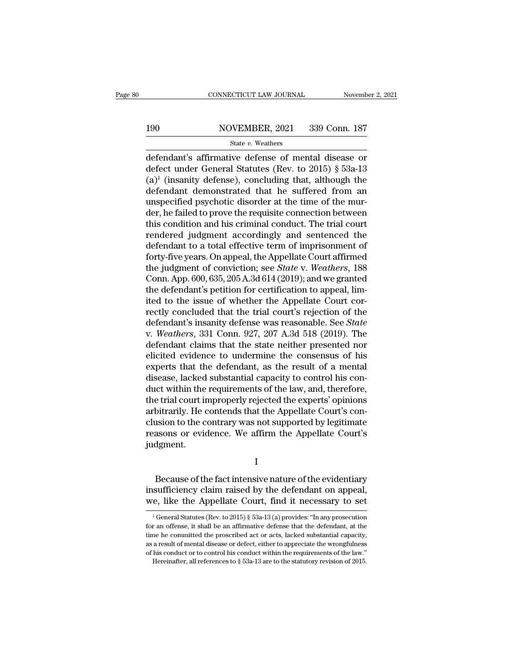# EXECUTE CONNECTICUT LAW JOURNAL Movember 2, 2021<br>190 NOVEMBER, 2021 339 Conn. 187<br>State v. Weathers

### State *v.* Weathers

 $\begin{array}{r|l}\n\text{COMRECTICUT LAW JOURNAL} & \text{November 2, 2021} \\
\hline\n\text{190} & \text{NOVEMBER, 2021} & \text{339 Conn. 187} \\
\hline\n\text{State } v. \text{ Weathers} & \text{defendant's affirmative defense of mental disease or defect under General Statistics (Rev. to 2015) § 53a-13} \\
\text{(a)}\n\end{array}$ 190 NOVEMBER, 2021 339 Conn. 187<br>
State v. Weathers<br>
defendant's affirmative defense of mental disease or<br>
defect under General Statutes (Rev. to 2015) § 53a-13<br>
(a)<sup>1</sup> (insanity defense), concluding that, although the<br>
d 190 NOVEMBER, 2021 339 Conn. 187<br>
State v. Weathers<br>
defendant's affirmative defense of mental disease or<br>
defect under General Statutes (Rev. to 2015) § 53a-13<br>
(a)<sup>1</sup> (insanity defense), concluding that, although the<br>
d 190 NOVEMBER, 2021 339 Conn. 187<br>
State v. Weathers<br>
defendant's affirmative defense of mental disease or<br>
defect under General Statutes (Rev. to 2015) § 53a-13<br>
(a)<sup>1</sup> (insanity defense), concluding that, although the<br>
d State v. Weathers<br>defendant's affirmative defense of mental disease or<br>defect under General Statutes (Rev. to 2015) § 53a-13<br>(a)<sup>1</sup> (insanity defense), concluding that, although the<br>defendant demonstrated that he suffered state v. weathers<br>defendant's affirmative defense of mental disease or<br>defect under General Statutes (Rev. to 2015) § 53a-13<br>(a)<sup>1</sup> (insanity defense), concluding that, although the<br>defendant demonstrated that he suffered defendant's affirmative defense of mental disease or<br>defect under General Statutes (Rev. to 2015) § 53a-13<br>(a)<sup>1</sup> (insanity defense), concluding that, although the<br>defendant demonstrated that he suffered from an<br>unspecifie defect under General Statutes (Rev. to 2015) § 53a-13<br>(a)<sup>1</sup> (insanity defense), concluding that, although the<br>defendant demonstrated that he suffered from an<br>unspecified psychotic disorder at the time of the mur-<br>der, he (a)<sup>1</sup> (insanity defense), concluding that, although the defendant demonstrated that he suffered from an unspecified psychotic disorder at the time of the murder, he failed to prove the requisite connection between this c defendant demonstrated that he suffered from an<br>unspecified psychotic disorder at the time of the mur-<br>der, he failed to prove the requisite connection between<br>this condition and his criminal conduct. The trial court<br>rende unspecified psychotic disorder at the time of the mur-<br>der, he failed to prove the requisite connection between<br>this condition and his criminal conduct. The trial court<br>rendered judgment accordingly and sentenced the<br>defen der, he failed to prove the requisite connection between<br>this condition and his criminal conduct. The trial court<br>rendered judgment accordingly and sentenced the<br>defendant to a total effective term of imprisonment of<br>forty this condition and his criminal conduct. The trial court<br>rendered judgment accordingly and sentenced the<br>defendant to a total effective term of imprisonment of<br>forty-five years. On appeal, the Appellate Court affirmed<br>the rendered judgment accordingly and sentenced the defendant to a total effective term of imprisonment of forty-five years. On appeal, the Appellate Court affirmed the judgment of conviction; see *State* v. *Weathers*, 188 C defendant to a total effective term of imprisonment of<br>forty-five years. On appeal, the Appellate Court affirmed<br>the judgment of conviction; see *State* v. Weathers, 188<br>Conn. App. 600, 635, 205 A.3d 614 (2019); and we gr forty-five years. On appeal, the Appellate Court affirmed<br>the judgment of conviction; see *State* v. Weathers, 188<br>Conn. App. 600, 635, 205 A.3d 614 (2019); and we granted<br>the defendant's petition for certification to appe the judgment of conviction; see *State* v. *Weathers*, 188<br>Conn. App. 600, 635, 205 A.3d 614 (2019); and we granted<br>the defendant's petition for certification to appeal, lim-<br>ited to the issue of whether the Appellate Cour Conn. App. 600, 635, 205 A.3d 614 (2019); and we granted<br>the defendant's petition for certification to appeal, lim-<br>ited to the issue of whether the Appellate Court cor-<br>rectly concluded that the trial court's rejection o the defendant's petition for certification to appeal, limited to the issue of whether the Appellate Court correctly concluded that the trial court's rejection of the defendant's insanity defense was reasonable. See *State* ited to the issue of whether the Appellate Court correctly concluded that the trial court's rejection of the defendant's insanity defense was reasonable. See *State* v. Weathers, 331 Conn. 927, 207 A.3d 518 (2019). The def rectly concluded that the trial court's rejection of the<br>defendant's insanity defense was reasonable. See *State*<br>v. Weathers, 331 Conn. 927, 207 A.3d 518 (2019). The<br>defendant claims that the state neither presented nor<br>e defendant's insanity defense was reasonable. See *State*<br>v. Weathers, 331 Conn. 927, 207 A.3d 518 (2019). The<br>defendant claims that the state neither presented nor<br>elicited evidence to undermine the consensus of his<br>expert v. *Weathers*, 331 Conn. 927, 207 A.3d 518 (2019). The<br>defendant claims that the state neither presented nor<br>elicited evidence to undermine the consensus of his<br>experts that the defendant, as the result of a mental<br>disease defendant claims that the state neither presented nor<br>elicited evidence to undermine the consensus of his<br>experts that the defendant, as the result of a mental<br>disease, lacked substantial capacity to control his con-<br>duct elicited evidence to undermine the consensus of his<br>experts that the defendant, as the result of a mental<br>disease, lacked substantial capacity to control his con-<br>duct within the requirements of the law, and, therefore,<br>th experts that the defendant, as the result of a mental<br>disease, lacked substantial capacity to control his con-<br>duct within the requirements of the law, and, therefore,<br>the trial court improperly rejected the experts' opini judgment. bitrarily. He contends that the Appellate Court's consion to the contrary was not supported by legitimate<br>asons or evidence. We affirm the Appellate Court's<br>dgment.<br>I<br>Because of the fact intensive nature of the evidentiary

I

clusion to the contrary was not supported by legitimate<br>reasons or evidence. We affirm the Appellate Court's<br>judgment.<br>I<br>Because of the fact intensive nature of the evidentiary<br>insufficiency claim raised by the defendant o reasons or evidence. We affirm the Appellate Court's<br>judgment.<br> $I$ <br>Because of the fact intensive nature of the evidentiary<br>insufficiency claim raised by the defendant on appeal,<br>we, like the Appellate Court, find it neces Because of the fact intensive nature of the evidentiary<br>sufficiency claim raised by the defendant on appeal,<br>e, like the Appellate Court, find it necessary to set<br> $\frac{1}{1}$ General Statutes (Rev. to 2015) § 53a-13 (a) prov Because of the fact intensive nature of the evidentiary<br>insufficiency claim raised by the defendant on appeal,<br>we, like the Appellate Court, find it necessary to set<br> $\frac{1}{1}$  General Statutes (Rev. to 2015) § 53a-13 (a)

insufficiency claim raised by the defendant on appeal, we, like the Appellate Court, find it necessary to set<br> $\frac{1}{1}$  General Statutes (Rev. to 2015) § 53a-13 (a) provides: "In any prosecution for an offense, it shall b we, like the Appellate Court, find it necessary to set<br>  $\overline{a}$  a General Statutes (Rev. to 2015) § 53a-13 (a) provides: "In any prosecution<br>
for an offense, it shall be an affirmative defense that the defendant, at the<br> of the Equivariant COUT. The conduct of the recessary to set  $\frac{1}{1}$  General Statutes (Rev. to 2015) § 53a-13 (a) provides: "In any prosecution for an offense, it shall be an affirmative defense that the defendant, at t <sup>1</sup> General Statutes (Rev. to 2015) § 53a-13 (a) provides: "In any prosecution r an offense, it shall be an affirmative defense that the defendant, at the ne he committed the proscribed act or acts, lacked substantial cap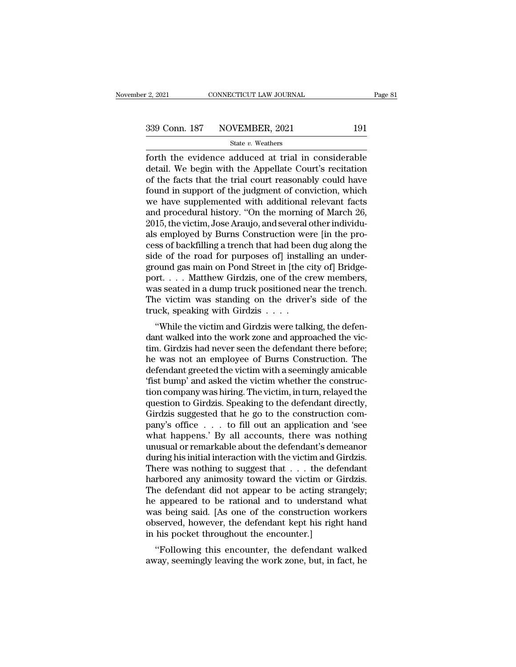Forth the evidence adduced at trial in considerable<br>
exists the evidence adduced at trial in considerable<br>
detail. We begin with the Appellate Court's recitation<br>
of the forts that the trial court researchly could have 339 Conn. 187 NOVEMBER, 2021 191<br>State v. Weathers<br>forth the evidence adduced at trial in considerable<br>detail. We begin with the Appellate Court's recitation<br>of the facts that the trial court reasonably could have<br>found in 339 Conn. 187 NOVEMBER, 2021 191<br>
State v. Weathers<br>
forth the evidence adduced at trial in considerable<br>
detail. We begin with the Appellate Court's recitation<br>
of the facts that the trial court reasonably could have<br>
fo 339 Conn. 187 NOVEMBER, 2021 191<br>
State v. Weathers<br>
forth the evidence adduced at trial in considerable<br>
detail. We begin with the Appellate Court's recitation<br>
of the facts that the trial court reasonably could have<br>
fo State v. Weathers<br>
State v. Weathers<br>
forth the evidence adduced at trial in considerable<br>
detail. We begin with the Appellate Court's recitation<br>
of the facts that the trial court reasonably could have<br>
found in support state v. Weathers<br>forth the evidence adduced at trial in considerable<br>detail. We begin with the Appellate Court's recitation<br>of the facts that the trial court reasonably could have<br>found in support of the judgment of conv forth the evidence adduced at trial in considerable<br>detail. We begin with the Appellate Court's recitation<br>of the facts that the trial court reasonably could have<br>found in support of the judgment of conviction, which<br>we ha detail. We begin with the Appellate Court's recitation<br>of the facts that the trial court reasonably could have<br>found in support of the judgment of conviction, which<br>we have supplemented with additional relevant facts<br>and p of the facts that the trial court reasonably could have<br>found in support of the judgment of conviction, which<br>we have supplemented with additional relevant facts<br>and procedural history. "On the morning of March 26,<br>2015, t found in support of the judgment of conviction, which<br>we have supplemented with additional relevant facts<br>and procedural history. "On the morning of March 26,<br>2015, the victim, Jose Araujo, and several other individu-<br>als we have supplemented with additional relevant facts<br>and procedural history. "On the morning of March 26,<br>2015, the victim, Jose Araujo, and several other individu-<br>als employed by Burns Construction were [in the pro-<br>cess and procedural history. "On the morning of March 26,<br>2015, the victim, Jose Araujo, and several other individuals<br>employed by Burns Construction were [in the pro-<br>cess of backfilling a trench that had been dug along the<br>si 2015, the victim, Jose Araujo, and several other individuals employed by Burns Construction were [in the process of backfilling a trench that had been dug along the side of the road for purposes of] installing an undergrou als employed by Burns Construction were [in the process of backfilling a trench that had been dug along the side of the road for purposes of] installing an underground gas main on Pond Street in [the city of] Bridgeport... cess of backfilling a trench that had been<br>side of the road for purposes of] install<br>ground gas main on Pond Street in [the c<br>port. . . . . Matthew Girdzis, one of the c<br>was seated in a dump truck positioned no<br>The victim the victim and Girdzis were talking, the defen-<br>the victim and Simple and Simple and Simple and Simple and Simple and Simple and and alump truck positioned near the trench.<br>The victim was standing on the driver's side of t ground gas main on 1 ond street in [the city of] Bridge-<br>port.... Matthew Girdzis, one of the crew members,<br>was seated in a dump truck positioned near the trench.<br>The victim was standing on the driver's side of the<br>truck,

tim. Girdzis had never seen the defendant there before; was seated in a dump truck positioned near the trench.<br>The victim was standing on the driver's side of the<br>truck, speaking with Girdzis  $\ldots$ .<br>"While the victim and Girdzis were talking, the defen-<br>dant walked into the wo The victim was standing on the driver's side of the<br>truck, speaking with Girdzis  $\ldots$ .<br>"While the victim and Girdzis were talking, the defen-<br>dant walked into the work zone and approached the vic-<br>tim. Girdzis had never "While the victim and Girdzis were talking, the defendant walked into the work zone and approached the victim. Girdzis had never seen the defendant there before; he was not an employee of Burns Construction. The defendant "While the victim and Girdzis were talking, the defendant walked into the work zone and approached the victim. Girdzis had never seen the defendant there before; he was not an employee of Burns Construction. The defendant dant walked into the work zone and approached the victim. Girdzis had never seen the defendant there before;<br>he was not an employee of Burns Construction. The<br>defendant greeted the victim with a seemingly amicable<br>"fist bu tim. Girdzis had never seen the defendant there before;<br>he was not an employee of Burns Construction. The<br>defendant greeted the victim with a seemingly amicable<br>"fist bump" and asked the victim whether the construc-<br>tion c he was not an employee of Burns Construction. The<br>defendant greeted the victim with a seemingly amicable<br>'fist bump' and asked the victim whether the construc-<br>tion company was hiring. The victim, in turn, relayed the<br>ques defendant greeted the victim with a seemingly amicable<br>
"fist bump" and asked the victim whether the construction company was hiring. The victim, in turn, relayed the<br>
question to Girdzis. Speaking to the defendant directl "fist bump" and asked the victim whether the construction company was hiring. The victim, in turn, relayed the question to Girdzis. Speaking to the defendant directly, Girdzis suggested that he go to the construction comp tion company was hiring. The victim, in turn, relayed the<br>question to Girdzis. Speaking to the defendant directly,<br>Girdzis suggested that he go to the construction com-<br>pany's office . . . to fill out an application and 's question to Girdzis. Speaking to the defendant directly,<br>Girdzis suggested that he go to the construction com-<br>pany's office . . . . to fill out an application and 'see<br>what happens.' By all accounts, there was nothing<br>unu Girdzis suggested that he go to the construction company's office  $\ldots$  to fill out an application and 'see<br>what happens.' By all accounts, there was nothing<br>unusual or remarkable about the defendant's demeanor<br>during his pany's office  $\ldots$  to fill out an application and 'see<br>what happens.' By all accounts, there was nothing<br>unusual or remarkable about the defendant's demeanor<br>during his initial interaction with the victim and Girdzis.<br>Th what happens.' By all accounts, there was nothing<br>unusual or remarkable about the defendant's demeanor<br>during his initial interaction with the victim and Girdzis.<br>There was nothing to suggest that  $\ldots$  the defendant<br>harb unusual or remarkable about the defendant's demeanor<br>during his initial interaction with the victim and Girdzis.<br>There was nothing to suggest that . . . the defendant<br>harbored any animosity toward the victim or Girdzis.<br>Th during his initial interaction with the victim and Girdzis.<br>There was nothing to suggest that . . . the defendant<br>harbored any animosity toward the victim or Girdzis.<br>The defendant did not appear to be acting strangely;<br>he There was nothing to suggest that  $\ldots$  the deferable harbored any animosity toward the victim or  $G$ . The defendant did not appear to be acting strate appeared to be rational and to understand was being said. [As one of The defendant did not appear to be acting strangely;<br>
e defendant did not appear to be acting strangely;<br>
appeared to be rational and to understand what<br>
as being said. [As one of the construction workers<br>
served, however, The defendant did not appear to be acting strangely,<br>he appeared to be rational and to understand what<br>was being said. [As one of the construction workers<br>observed, however, the defendant kept his right hand<br>in his pocket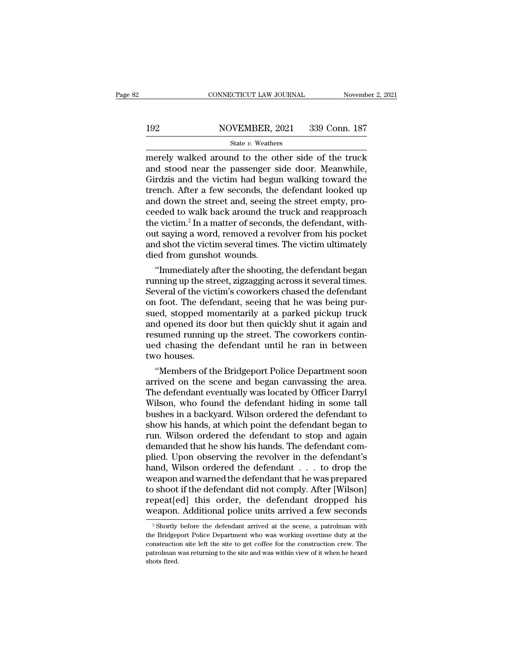# CONNECTICUT LAW JOURNAL November 2, 2021<br>192 NOVEMBER, 2021 339 Conn. 187<br>State v. Weathers

### State *v.* Weathers

 $\begin{tabular}{ll} \multicolumn{1}{l}{{\small \textbf{COMPECTICUT LAW JOURNAL}}} & \multicolumn{1}{l}{\small \textbf{November 2, 2021}}\\ \hline & \multicolumn{1}{l}{\small \textbf{NOVEMBER, 2021}} & \multicolumn{1}{l}{\small \textbf{339 Conn. 187}}\\ & \multicolumn{1}{l}{\small \textbf{State $v$}. Weathers} \\ \hline & \multicolumn{1}{l}{\small \textbf{mergely walked around to the other side of the truck}}\\ \hline \textbf{and stood near the passenger side door. Meanwhile, Girdzis and the victim had begun walking toward the} \end{tabular}$ 192 NOVEMBER, 2021 339 Conn. 187<br>
State v. Weathers<br>
merely walked around to the other side of the truck<br>
and stood near the passenger side door. Meanwhile,<br>
Girdzis and the victim had begun walking toward the<br>
trench Afte 192 NOVEMBER, 2021 339 Conn. 187<br>
State v. Weathers<br>
merely walked around to the other side of the truck<br>
and stood near the passenger side door. Meanwhile,<br>
Girdzis and the victim had begun walking toward the<br>
trench. Af 192 NOVEMBER, 2021 339 Conn. 187<br>
State v. Weathers<br>
merely walked around to the other side of the truck<br>
and stood near the passenger side door. Meanwhile,<br>
Girdzis and the victim had begun walking toward the<br>
trench. Af State v. Weathers<br>
State v. Weathers<br>
merely walked around to the other side of the truck<br>
and stood near the passenger side door. Meanwhile,<br>
Girdzis and the victim had begun walking toward the<br>
trench. After a few secon state v. Weathers<br>merely walked around to the other side of the truck<br>and stood near the passenger side door. Meanwhile,<br>Girdzis and the victim had begun walking toward the<br>trench. After a few seconds, the defendant looke merely walked around to the other side of the truck<br>and stood near the passenger side door. Meanwhile,<br>Girdzis and the victim had begun walking toward the<br>trench. After a few seconds, the defendant looked up<br>and down the s and stood near the passenger side door. Meanwhile,<br>Girdzis and the victim had begun walking toward the<br>trench. After a few seconds, the defendant looked up<br>and down the street and, seeing the street empty, pro-<br>ceeded to w Girdzis and the victim had begun walking toward the<br>trench. After a few seconds, the defendant looked up<br>and down the street and, seeing the street empty, pro-<br>ceeded to walk back around the truck and reapproach<br>the victim trench. After a few seconds, the<br>and down the street and, seeing<br>ceeded to walk back around the<br>the victim.<sup>2</sup> In a matter of seconds<br>out saying a word, removed a rev<br>and shot the victim several times.<br>died from gunshot wo d down the street and, seeing the street empty, pro-<br>eded to walk back around the truck and reapproach<br>e victim.<sup>2</sup> In a matter of seconds, the defendant, with-<br>it saying a word, removed a revolver from his pocket<br>d shot t ceeded to walk back around the truck and reapproach<br>the victim.<sup>2</sup> In a matter of seconds, the defendant, with-<br>out saying a word, removed a revolver from his pocket<br>and shot the victim several times. The victim ultimately

the victim." In a matter or seconds, the defendant, with-<br>out saying a word, removed a revolver from his pocket<br>and shot the victim several times. The victim ultimately<br>died from gunshot wounds.<br>"Immediately after the shoo out saying a word, removed a revolver from his pocket<br>and shot the victim several times. The victim ultimately<br>died from gunshot wounds.<br>"Immediately after the shooting, the defendant began<br>running up the street, zigzaggin and shot the victim several times. The victim ultimately<br>died from gunshot wounds.<br>"Immediately after the shooting, the defendant began<br>running up the street, zigzagging across it several times.<br>Several of the victim's cow died from gunshot wounds.<br>
"Immediately after the shooting, the defendant began<br>
running up the street, zigzagging across it several times.<br>
Several of the victim's coworkers chased the defendant<br>
on foot. The defendant, s "Immediately after the shooting, the defendant began<br>running up the street, zigzagging across it several times.<br>Several of the victim's coworkers chased the defendant<br>on foot. The defendant, seeing that he was being pur-<br>s running up the street, zigzagging across it several times.<br>Several of the victim's coworkers chased the defendant<br>on foot. The defendant, seeing that he was being pur-<br>sued, stopped momentarily at a parked pickup truck<br>and Several of the victor<br>on foot. The defeated, stopped mand opened its do<br>resumed running<br>ued chasing the<br>two houses.<br>"Members of th <sup>1</sup> foot. The detendant, seeing that he was being pur-<br>ed, stopped momentarily at a parked pickup truck<br>d opened its door but then quickly shut it again and<br>sumed running up the street. The coworkers contin-<br>d chasing the sued, stopped momentarily at a parked pickup truck<br>and opened its door but then quickly shut it again and<br>resumed running up the street. The coworkers contin-<br>ued chasing the defendant until he ran in between<br>two houses.<br>"

and opened its door but then quickly shut it again and<br>resumed running up the street. The coworkers contin-<br>ued chasing the defendant until he ran in between<br>two houses.<br>"Members of the Bridgeport Police Department soon<br>ar resumed running up the street. The coworkers continued chasing the defendant until he ran in between<br>two houses.<br>"Members of the Bridgeport Police Department soon<br>arrived on the scene and began canvassing the area.<br>The def ued chasing the defendant until he ran in between<br>two houses.<br>"Members of the Bridgeport Police Department soon<br>arrived on the scene and began canvassing the area.<br>The defendant eventually was located by Officer Darryl<br>Wil two houses.<br>
"Members of the Bridgeport Police Department soon<br>
arrived on the scene and began canvassing the area.<br>
The defendant eventually was located by Officer Darryl<br>
Wilson, who found the defendant hiding in some ta "Members of the Bridgeport Police Department soon<br>arrived on the scene and began canvassing the area.<br>The defendant eventually was located by Officer Darryl<br>Wilson, who found the defendant hiding in some tall<br>bushes in a b arrived on the scene and began canvassing the area.<br>The defendant eventually was located by Officer Darryl<br>Wilson, who found the defendant hiding in some tall<br>bushes in a backyard. Wilson ordered the defendant to<br>show his The defendant eventually was located by Officer Darryl<br>Wilson, who found the defendant hiding in some tall<br>bushes in a backyard. Wilson ordered the defendant to<br>show his hands, at which point the defendant began to<br>run. Wi Wilson, who found the defendant hiding in some tall<br>bushes in a backyard. Wilson ordered the defendant to<br>show his hands, at which point the defendant began to<br>run. Wilson ordered the defendant to stop and again<br>demanded t bushes in a backyard. Wilson ordered the defendant to<br>show his hands, at which point the defendant began to<br>run. Wilson ordered the defendant to stop and again<br>demanded that he show his hands. The defendant com-<br>plied. Upo show his hands, at which point the defendant began to<br>run. Wilson ordered the defendant to stop and again<br>demanded that he show his hands. The defendant com-<br>plied. Upon observing the revolver in the defendant's<br>hand, Wils run. Wilson ordered the defendant to stop and again<br>demanded that he show his hands. The defendant com-<br>plied. Upon observing the revolver in the defendant's<br>hand, Wilson ordered the defendant . . . to drop the<br>weapon and demanded that he show his hands. The defendant complied. Upon observing the revolver in the defendant's hand, Wilson ordered the defendant . . . to drop the weapon and warned the defendant that he was prepared to shoot if eapon and warned the defendant that he was prepared<br>
o shoot if the defendant did not comply. After [Wilson]<br>
peat[ed] this order, the defendant dropped his<br>
eapon. Additional police units arrived a few seconds<br>
<sup>2</sup> Shortl to shoot if the defendant did not comply. After [Wilson]<br>repeat[ed] this order, the defendant dropped his<br>weapon. Additional police units arrived a few seconds<br> $\frac{1}{2}$  Shortly before the defendant arrived at the scene,

repeat[ed] this order, the defendant dropped his<br>weapon. Additional police units arrived a few seconds<br><sup>2</sup> Shortly before the defendant arrived at the scene, a patrolman with<br>the Bridgeport Police Department who was workin patrolman was returning to the site and was working of it when he heard shortly before the defendant arrived at the scene, a patrolman with the Bridgeport Police Department who was working overtime duty at the construction WeapOII.<br>
<sup>2</sup> Shortly<br>
the Bridger<br>
constructio<br>
patrolman<br>
shots fired.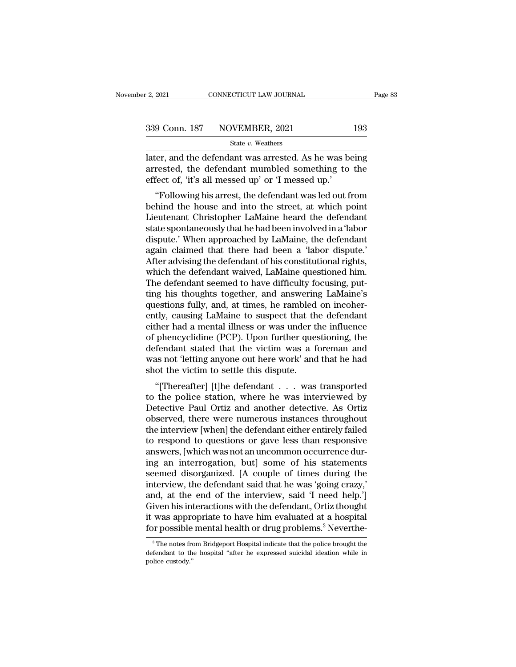$\begin{array}{r} \text{P3, 2021} & \text{COMNETICUT LAW JOURNAL} \ \end{array}$  Page 83<br>  $\begin{array}{r} \text{339 Conn. 187} & \text{NOVEMBER, 2021} \ \end{array}$  193<br>  $\begin{array}{r} \text{State } v. \text{ Weathers} \ \end{array}$ <br>  $\begin{array}{r} \text{later, and the defendant was arrested. As he was being}\ \end{array}$ <br>  $\begin{array}{r} \text{a} \text{rrested, the defendant mumbled something to the}\ \end{array}$ 339 Conn. 187 NOVEMBER, 2021 193<br>
State v. Weathers<br>
later, and the defendant was arrested. As he was being<br>
arrested, the defendant mumbled something to the<br>
effect of, 'it's all messed up' or 'I messed up.' 339 Conn. 187 NOVEMBER, 2021<br>
State v. Weathers<br>
later, and the defendant was arrested. As he was b<br>
arrested, the defendant mumbled something to<br>
effect of, 'it's all messed up' or 'I messed up.'<br>
"Following his arrest, 9 Conn. 187 NOVEMBER, 2021 193<br>
State v. Weathers<br>
Ter, and the defendant was arrested. As he was being<br>
rested, the defendant mumbled something to the<br>
fect of, 'it's all messed up' or 'I messed up.'<br>
"Following his arre

State v. Weathers<br>
later, and the defendant was arrested. As he was being<br>
arrested, the defendant mumbled something to the<br>
effect of, 'it's all messed up' or 'I messed up.'<br>
"Following his arrest, the defendant was led later, and the defendant was arrested. As he was being<br>arrested, the defendant mumbled something to the<br>effect of, 'it's all messed up' or 'I messed up.'<br>"Following his arrest, the defendant was led out from<br>behind the hou rater, and the defendant was arrested. As he was being<br>arrested, the defendant mumbled something to the<br>effect of, 'it's all messed up' or 'I messed up.'<br>"Following his arrest, the defendant was led out from<br>behind the hou arrested, the defendant indiffulned solitering to the<br>effect of, 'it's all messed up' or 'I messed up.'<br>"Following his arrest, the defendant was led out from<br>behind the house and into the street, at which point<br>Lieutenant enect or, it s an messed up or 1 messed up.<br>
"Following his arrest, the defendant was led out from<br>
behind the house and into the street, at which point<br>
Lieutenant Christopher LaMaine heard the defendant<br>
state spontaneou "Following his arrest, the defendant was led out from<br>behind the house and into the street, at which point<br>Lieutenant Christopher LaMaine heard the defendant<br>state spontaneously that he had been involved in a 'labor<br>disput behind the house and into the street, at which point<br>Lieutenant Christopher LaMaine heard the defendant<br>state spontaneously that he had been involved in a 'labor<br>dispute.' When approached by LaMaine, the defendant<br>again cl Lieutenant Christopher LaMaine heard the defendant<br>state spontaneously that he had been involved in a 'labor<br>dispute.' When approached by LaMaine, the defendant<br>again claimed that there had been a 'labor dispute.'<br>After ad state spontaneously that he had been involved in a 'labor<br>dispute.' When approached by LaMaine, the defendant<br>again-claimed that there had been a 'labor dispute.'<br>After advising the defendant of his constitutional rights,<br> dispute.' When approached by LaMaine, the defendant again claimed that there had been a 'labor dispute.'<br>After advising the defendant of his constitutional rights, which the defendant waived, LaMaine questioned him.<br>The de again claimed that there had been a 'labor dispute.'<br>After advising the defendant of his constitutional rights,<br>which the defendant waived, LaMaine questioned him.<br>The defendant seemed to have difficulty focusing, put-<br>tin After advising the defendant of his constitutional rights,<br>which the defendant waived, LaMaine questioned him.<br>The defendant seemed to have difficulty focusing, put-<br>ting his thoughts together, and answering LaMaine's<br>ques which the defendant waived, LaMaine questioned him.<br>The defendant seemed to have difficulty focusing, put-<br>ting his thoughts together, and answering LaMaine's<br>questions fully, and, at times, he rambled on incoher-<br>ently, c The defendant seemed to have difficulty focusing, put-<br>ting his thoughts together, and answering LaMaine's<br>questions fully, and, at times, he rambled on incoher-<br>ently, causing LaMaine to suspect that the defendant<br>either ting his thoughts together, and answering LaMaine's<br>questions fully, and, at times, he rambled on incoher-<br>ently, causing LaMaine to suspect that the defendant<br>either had a mental illness or was under the influence<br>of phen questions fully, and, at times, he rambled<br>ently, causing LaMaine to suspect that th<br>either had a mental illness or was under t<br>of phencyclidine (PCP). Upon further ques<br>defendant stated that the victim was a f<br>was not 'le ty, causing Lawrante to suspect that the defendant<br>
ther had a mental illness or was under the influence<br>
phencyclidine (PCP). Upon further questioning, the<br>
fendant stated that the victim was a foreman and<br>
as not 'letti ether had a mental imless of was under the influence<br>of phencyclidine (PCP). Upon further questioning, the<br>defendant stated that the victim was a foreman and<br>was not 'letting anyone out here work' and that he had<br>shot the

or phencychame (FCF). Opon further questioning, the<br>defendant stated that the victim was a foreman and<br>was not 'letting anyone out here work' and that he had<br>shot the victim to settle this dispute.<br>"[Thereafter] [t]he defe defendant stated that the victint was a forential and<br>was not 'letting anyone out here work' and that he had<br>shot the victim to settle this dispute.<br>"[Thereafter] [t]he defendant . . . was transported<br>to the police station was not letting anyone out here work and that he had<br>shot the victim to settle this dispute.<br>"[Thereafter] [t]he defendant . . . was transported<br>to the police station, where he was interviewed by<br>Detective Paul Ortiz and a shot the victim to settle this dispute.<br>
"[Thereafter] [t]he defendant  $\ldots$  was transported<br>
to the police station, where he was interviewed by<br>
Detective Paul Ortiz and another detective. As Ortiz<br>
observed, there were "[Thereafter] [t]he defendant  $\dots$  was transported<br>to the police station, where he was interviewed by<br>Detective Paul Ortiz and another detective. As Ortiz<br>observed, there were numerous instances throughout<br>the interview [ to the police station, where he was interviewed by<br>Detective Paul Ortiz and another detective. As Ortiz<br>observed, there were numerous instances throughout<br>the interview [when] the defendant either entirely failed<br>to respon Detective Paul Ortiz and another detective. As Ortiz<br>observed, there were numerous instances throughout<br>the interview [when] the defendant either entirely failed<br>to respond to questions or gave less than responsive<br>answers observed, there were numerous instances throughout<br>the interview [when] the defendant either entirely failed<br>to respond to questions or gave less than responsive<br>answers, [which was not an uncommon occurrence dur-<br>ing an i the interview [when] the defendant either entirely failed<br>to respond to questions or gave less than responsive<br>answers, [which was not an uncommon occurrence dur-<br>ing an interrogation, but] some of his statements<br>seemed di to respond to questions or gave less than responsive<br>answers, [which was not an uncommon occurrence dur-<br>ing an interrogation, but] some of his statements<br>seemed disorganized. [A couple of times during the<br>interview, the d answers, [which was not an uncommon occurrence during an interrogation, but] some of his statements seemed disorganized. [A couple of times during the interview, the defendant said that he was 'going crazy,' and, at the en ing an interrogation, but] some of his statements<br>seemed disorganized. [A couple of times during the<br>interview, the defendant said that he was 'going crazy,'<br>and, at the end of the interview, said 'I need help.']<br>Given his and, at the end of the interview, said 'I need help.']<br>iven his interactions with the defendant, Ortiz thought<br>was appropriate to have him evaluated at a hospital<br>pr possible mental health or drug problems.<sup>3</sup> Neverthe-<br><sup></sup> Given his interactions with the defendant, Ortiz thought<br>it was appropriate to have him evaluated at a hospital<br>for possible mental health or drug problems.<sup>3</sup> Neverthe-<br><sup>3</sup>The notes from Bridgeport Hospital indicate that it was approxible<br>for possible<br><sup>3</sup>The notes fro<br>defendant to th<br>police custody.''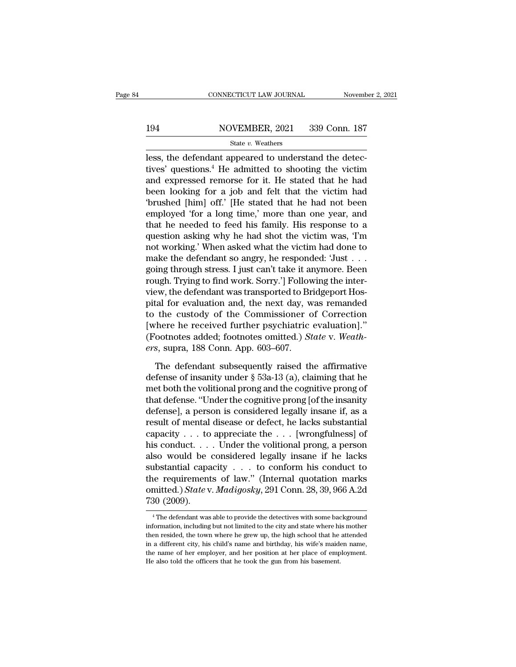# EXECUTE CONNECTICUT LAW JOURNAL Movember 2, 2021<br>194 NOVEMBER, 2021 339 Conn. 187<br>State v. Weathers

### State *v.* Weathers

CONNECTICUT LAW JOURNAL November<br>194 NOVEMBER, 2021 339 Conn. 187<br>195 State v. Weathers<br>2021 339 Conn. 187<br>195 State v. Weathers<br>2021 2021 329 Conn. 187<br>195 State v. Weathers<br>2021 2021 2022 Connectives' questions.<sup>4</sup> He ad 194 NOVEMBER, 2021 339 Conn. 187<br>
State v. Weathers<br>
less, the defendant appeared to understand the detec-<br>
tives' questions.<sup>4</sup> He admitted to shooting the victim<br>
and expressed remorse for it. He stated that he had<br>
hea 194 NOVEMBER, 2021 339 Conn. 187<br>
State v. Weathers<br>
less, the defendant appeared to understand the detec-<br>
tives' questions.<sup>4</sup> He admitted to shooting the victim<br>
and expressed remorse for it. He stated that he had<br>
bee 194 NOVEMBER, 2021 339 Conn. 187<br>  $\frac{\text{State } v. \text{ Weather}}{\text{less, the defendant appeared to understand the detec-}}$ <br>
less, the defendant appeared to understand the detec-<br>
tives' questions.<sup>4</sup> He admitted to shooting the victim<br>
and expressed remorse for it. He stated th State v. Weathers<br>
less, the defendant appeared to understand the detec-<br>
tives' questions.<sup>4</sup> He admitted to shooting the victim<br>
and expressed remorse for it. He stated that he had<br>
been looking for a job and felt that state *v*. weathers<br>less, the defendant appeared to understand the detec-<br>tives' questions.<sup>4</sup> He admitted to shooting the victim<br>and expressed remorse for it. He stated that he had<br>been looking for a job and felt that th less, the defendant appeared to understand the detectives' questions.<sup>4</sup> He admitted to shooting the victim and expressed remorse for it. He stated that he had been looking for a job and felt that the victim had 'brushed [ tives' questions.<sup>4</sup> He admitted to shooting the victim<br>and expressed remorse for it. He stated that he had<br>been looking for a job and felt that the victim had<br>'brushed [him] off.' [He stated that he had not been<br>employed and expressed remorse for it. He stated that he had<br>been looking for a job and felt that the victim had<br>'brushed [him] off.' [He stated that he had not been<br>employed 'for a long time,' more than one year, and<br>that he need been looking for a job and felt that the victim had<br>'brushed [him] off.' [He stated that he had not been<br>employed 'for a long time,' more than one year, and<br>that he needed to feed his family. His response to a<br>question ask 'brushed [him] off.' [He stated that he had not been<br>employed 'for a long time,' more than one year, and<br>that he needed to feed his family. His response to a<br>question asking why he had shot the victim was, 'I'm<br>not working employed 'for a long time,' more than one year, and<br>that he needed to feed his family. His response to a<br>question asking why he had shot the victim was, 'I'm<br>not working.' When asked what the victim had done to<br>make the de that he needed to feed his family. His response to a<br>question asking why he had shot the victim was, 'I'm<br>not working.' When asked what the victim had done to<br>make the defendant so angry, he responded: 'Just . . .<br>going th question asking why he had shot the victim was, 'I'm<br>not working.' When asked what the victim had done to<br>make the defendant so angry, he responded: 'Just . . .<br>going through stress. I just can't take it anymore. Been<br>roug not working.' When asked what the victim had done to<br>make the defendant so angry, he responded: 'Just . . .<br>going through stress. I just can't take it anymore. Been<br>rough. Trying to find work. Sorry.'] Following the intermake the defendant so angry, he responded: 'Just . . .<br>going through stress. I just can't take it anymore. Been<br>rough. Trying to find work. Sorry.'] Following the inter-<br>view, the defendant was transported to Bridgeport H going through stress. I just can't take it anymore. Been<br>rough. Trying to find work. Sorry.'] Following the inter-<br>view, the defendant was transported to Bridgeport Hos-<br>pital for evaluation and, the next day, was remanded rough. Trying to find work. Sorry.'] Follov<br>view, the defendant was transported to Br<br>pital for evaluation and, the next day, w<br>to the custody of the Commissioner c<br>[where he received further psychiatric<br>(Footnotes added; tal for evaluation and, the next day, was remanded<br>the custody of the Commissioner of Correction<br>there he received further psychiatric evaluation]."<br>ootnotes added; footnotes omitted.) *State* v. *Weath*-<br>s, supra, 188 Co to the custody of the Commissioner of Correction<br>[where he received further psychiatric evaluation]."<br>(Footnotes added; footnotes omitted.) *State* v. Weath-<br>ers, supra, 188 Conn. App. 603–607.<br>The defendant subsequently r

[where he received further psychiatric evaluation]."<br>(Footnotes added; footnotes omitted.) *State* v. Weath-<br>ers, supra, 188 Conn. App. 603–607.<br>The defendant subsequently raised the affirmative<br>defense of insanity under (Footnotes added; footnotes omitted.) *State* v. Weath-<br>ers, supra, 188 Conn. App. 603–607.<br>The defendant subsequently raised the affirmative<br>defense of insanity under  $\S$  53a-13 (a), claiming that he<br>met both the volitio ers, supra, 188 Conn. App. 603–607.<br>
The defendant subsequently raised the affirmative<br>
defense of insanity under  $\S$  53a-13 (a), claiming that he<br>
met both the volitional prong and the cognitive prong of<br>
that defense. " The defendant subsequently raised the affirmative<br>defense of insanity under § 53a-13 (a), claiming that he<br>met both the volitional prong and the cognitive prong of<br>that defense. "Under the cognitive prong [of the insanity The defendant subsequently raised the affirmative<br>defense of insanity under § 53a-13 (a), claiming that he<br>met both the volitional prong and the cognitive prong of<br>that defense. "Under the cognitive prong [of the insanity defense of insanity under § 53a-13 (a), claiming that he<br>met both the volitional prong and the cognitive prong of<br>that defense. "Under the cognitive prong [of the insanity<br>defense], a person is considered legally insane if met both the volitional prong and the cognitive prong of<br>that defense. "Under the cognitive prong [of the insanity<br>defense], a person is considered legally insane if, as a<br>result of mental disease or defect, he lacks subst that defense. "Under the cognitive prong [of the insanity<br>defense], a person is considered legally insane if, as a<br>result of mental disease or defect, he lacks substantial<br>capacity . . . to appreciate the . . . [wrongfuln defense], a person is considered legally insane if, as a<br>result of mental disease or defect, he lacks substantial<br>capacity . . . to appreciate the . . . [wrongfulness] of<br>his conduct. . . . Under the volitional prong, a p result of mental disease or defect, he lacks substantial<br>capacity . . . to appreciate the . . . [wrongfulness] of<br>his conduct. . . . Under the volitional prong, a person<br>also would be considered legally insane if he lacks<br> capacity  $\ldots$  to<br>his conduct.  $\ldots$ <br>also would be<br>substantial capa<br>the requirement<br>omitted.) *State* v<br>730 (2009). 10 IDSTANTIAI Capacity . . . to conform his conduct to<br>
i.e requirements of law." (Internal quotation marks<br>
mitted.) State v. Madigosky, 291 Conn. 28, 39, 966 A.2d<br>  $\frac{30 (2009)}{1000}$ . the requirements of law." (Internal quotation marks<br>
omitted.) *State* v. *Madigosky*, 291 Conn. 28, 39, 966 A.2d<br>
730 (2009).<br>  $\begin{array}{r} \hline \text{4} \text{ The defendant was able to provide the detectors with some background} \\ \text{information, including but not limited to the city and state where his mother} \\ \text{the needed, the town where he grew up, the high school that he attended} \\ \hline \end{array}$ 

omitted.) *State* v. *Madigosky*, 291 Conn. 28, 39, 966 A.2d<br>
730 (2009).<br>
<sup>4</sup> The defendant was able to provide the detectives with some background<br>
information, including but not limited to the city and state where his m  $730$  (2009).<br>  $^{4}$ The defendant was able to provide the detectives with some background<br>
information, including but not limited to the city and state where his mother<br>
then resided, the town where he grew up, the high s The name of the name of the name of the detectives with some background information, including but not limited to the city and state where his mother then resided, the town where he grew up, the high school that he attend <sup>4</sup> The defendant was able to provide the detectives with some batinformation, including but not limited to the city and state where his the then resided, the town where he grew up, the high school that he in a different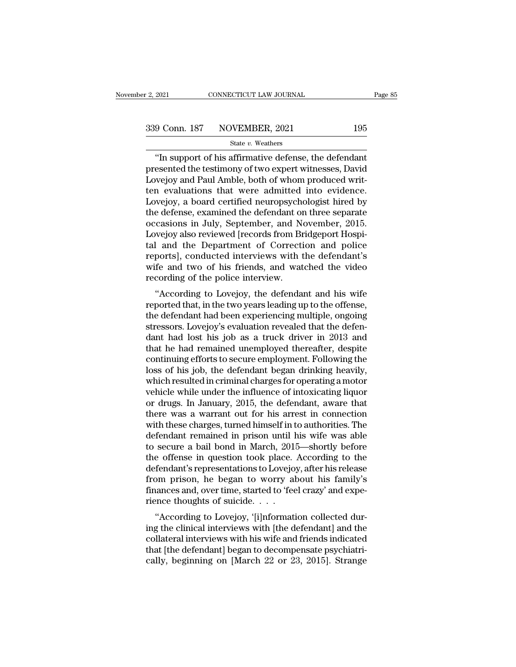<sup>2021</sup> CONNECTICUT LAW JOURNAL Page 8<br>
9 Conn. 187 NOVEMBER, 2021 195<br>
<sup>State v.</sup> Weathers<br>
"In support of his affirmative defense, the defendant<br>
esented the testimony of two expert witnesses, David<br>
Noisy and Paul Amble 339 Conn. 187 NOVEMBER, 2021 195<br>State v. Weathers<br>"In support of his affirmative defense, the defendant<br>presented the testimony of two expert witnesses, David<br>Lovejoy and Paul Amble, both of whom produced writ-<br>ton evalua  $\begin{array}{c|c} \text{339 Conn. 187} & \text{NOVEMBER, 2021} & \text{195} \ \hline \text{State } v. \text{ Weather} \ \hline \text{``In support of his affirmative defense, the defendant presented the testimony of two expert witnesses, David Lovejoy and Paul Amble, both of whom produced written evaluations that were admitted into evidence.} \end{array}$ 339 Conn. 187 NOVEMBER, 2021 195<br>
State v. Weathers<br>
"In support of his affirmative defense, the defendant<br>
presented the testimony of two expert witnesses, David<br>
Lovejoy and Paul Amble, both of whom produced writ-<br>
ten State v. Weathers<br>
The VEREERRY, 2022<br>
State v. Weathers<br>
"In support of his affirmative defense, the defendant<br>
presented the testimony of two expert witnesses, David<br>
Lovejoy and Paul Amble, both of whom produced writ-<br> state  $v$ . Weathers<br>
"In support of his affirmative defense, the defendant<br>
presented the testimony of two expert witnesses, David<br>
Lovejoy and Paul Amble, both of whom produced writ-<br>
ten evaluations that were admitted i "In support of his affirmative defense, the defendant<br>presented the testimony of two expert witnesses, David<br>Lovejoy and Paul Amble, both of whom produced writ-<br>ten evaluations that were admitted into evidence.<br>Lovejoy, a presented the testimony of two expert witnesses, David<br>Lovejoy and Paul Amble, both of whom produced written<br>evaluations that were admitted into evidence.<br>Lovejoy, a board certified neuropsychologist hired by<br>the defense, Lovejoy and Paul Amble, both of whom produced writ-<br>ten-evaluations that were admitted into evidence.<br>Lovejoy, a board certified neuropsychologist hired by<br>the defense, examined the defendant on three separate<br>occasions in ten evaluations that were admitted into evidence.<br>Lovejoy, a board certified neuropsychologist hired by<br>the defense, examined the defendant on three separate<br>occasions in July, September, and November, 2015.<br>Lovejoy also r Lovejoy, a board certified neuropsychologist hired by<br>the defense, examined the defendant on three separate<br>occasions in July, September, and November, 2015.<br>Lovejoy also reviewed [records from Bridgeport Hospi-<br>tal and th the defense, examined the defendant of<br>occasions in July, September, and N<br>Lovejoy also reviewed [records from Br<br>tal and the Department of Correcti<br>reports], conducted interviews with t<br>wife and two of his friends, and wa Easions in Jury, September, and November, 2015.<br>
Wejoy also reviewed [records from Bridgeport Hospi-<br>
L and the Department of Correction and police<br>
ports], conducted interviews with the defendant's<br>
fe and two of his frie reports also reviewed pecods nont bridgeport hospital and the Department of Correction and police reports], conducted interviews with the defendant's wife and two of his friends, and watched the video recording of the poli

tar and the Department of Correction and poice<br>reports], conducted interviews with the defendant's<br>wife and two of his friends, and watched the video<br>recording of the police interview.<br>"According to Lovejoy, the defendant reports<sub>J</sub>, conducted interviews with the defendant s<br>wife and two of his friends, and watched the video<br>recording of the police interview.<br>"According to Lovejoy, the defendant and his wife<br>reported that, in the two years whe and two of his friends, and watched the video<br>recording of the police interview.<br>"According to Lovejoy, the defendant and his wife<br>reported that, in the two years leading up to the offense,<br>the defendant had been exper recording of the poince interview.<br>
"According to Lovejoy, the defendant and his wife<br>
reported that, in the two years leading up to the offense,<br>
the defendant had been experiencing multiple, ongoing<br>
stressors. Lovejoy's "According to Lovejoy, the defendant and his wife<br>reported that, in the two years leading up to the offense,<br>the defendant had been experiencing multiple, ongoing<br>stressors. Lovejoy's evaluation revealed that the defen-<br>da reported that, in the two years leading up to the offense,<br>the defendant had been experiencing multiple, ongoing<br>stressors. Lovejoy's evaluation revealed that the defen-<br>dant had lost his job as a truck driver in 2013 and<br> the defendant had been experiencing multiple, ongoing<br>stressors. Lovejoy's evaluation revealed that the defen-<br>dant had lost his job as a truck driver in 2013 and<br>that he had remained unemployed thereafter, despite<br>continu stressors. Lovejoy's evaluation revealed that the defendant had lost his job as a truck driver in 2013 and that he had remained unemployed thereafter, despite continuing efforts to secure employment. Following the loss of dant had lost his job as a truck driver in 2013 and<br>that he had remained unemployed thereafter, despite<br>continuing efforts to secure employment. Following the<br>loss of his job, the defendant began drinking heavily,<br>which re that he had remained unemployed thereafter, despite<br>continuing efforts to secure employment. Following the<br>loss of his job, the defendant began drinking heavily,<br>which resulted in criminal charges for operating a motor<br>veh continuing efforts to secure employment. Following the<br>loss of his job, the defendant began drinking heavily,<br>which resulted in criminal charges for operating a motor<br>vehicle while under the influence of intoxicating liquo loss of his job, the defendant began drinking heavily,<br>which resulted in criminal charges for operating a motor<br>vehicle while under the influence of intoxicating liquor<br>or drugs. In January, 2015, the defendant, aware that which resulted in criminal charges for operating a motor<br>vehicle while under the influence of intoxicating liquor<br>or drugs. In January, 2015, the defendant, aware that<br>there was a warrant out for his arrest in connection<br>w vehicle while under the influence of intoxicating liquor<br>or drugs. In January, 2015, the defendant, aware that<br>there was a warrant out for his arrest in connection<br>with these charges, turned himself in to authorities. The<br> or drugs. In January, 2015, the defendant, aware that<br>there was a warrant out for his arrest in connection<br>with these charges, turned himself in to authorities. The<br>defendant remained in prison until his wife was able<br>to s there was a warrant out for his arrest in connection<br>with these charges, turned himself in to authorities. The<br>defendant remained in prison until his wife was able<br>to secure a bail bond in March, 2015—shortly before<br>the of with these charges, turned himself in to authorities. The defendant remained in prison until his wife was able to secure a bail bond in March, 2015—shortly before the offense in question took place. According to the defend defendant remained in prison until l<br>to secure a bail bond in March, 201!<br>the offense in question took place.<br>defendant's representations to Lovejo;<br>from prison, he began to worry al<br>finances and, over time, started to 'fe Secure a ban bond in March, 2013—shortly before<br>
e offense in question took place. According to the<br>
fendant's representations to Lovejoy, after his release<br>
om prison, he began to worry about his family's<br>
ances and, over the onense in question took place. According to the<br>defendant's representations to Lovejoy, after his release<br>from prison, he began to worry about his family's<br>finances and, over time, started to 'feel crazy' and expe-<br>rie

defendant s representations to Lovejoy, after its refease<br>from prison, he began to worry about his family's<br>finances and, over time, started to 'feel crazy' and expe-<br>rience thoughts of suicide.  $\cdots$ <br>"According to Lovejo finances and, over time, started to 'feel crazy' and experience thoughts of suicide.  $\dots$ <br>"According to Lovejoy, '[i]nformation collected during the clinical interviews with [the defendant] and the collateral interviews w mances and, over the, started to reer crazy and experience thoughts of suicide.<br>
"According to Lovejoy, '[i]nformation collected during the clinical interviews with [the defendant] and the collateral interviews with his w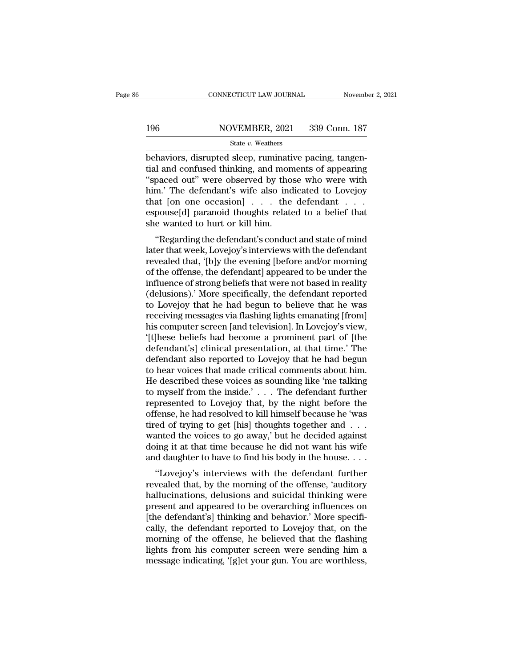# EXECUTE CONNECTICUT LAW JOURNAL Movember 2, 2021<br>196 NOVEMBER, 2021 339 Conn. 187<br>State v. Weathers

### State *v.* Weathers

CONNECTICUT LAW JOURNAL November<br>196 NOVEMBER, 2021 339 Conn. 187<br>196 State v. Weathers<br>behaviors, disrupted sleep, ruminative pacing, tangen-<br>tial and confused thinking, and moments of appearing<br>"spaced out" were observed 196 NOVEMBER, 2021 339 Conn. 187<br>
State v. Weathers<br>
behaviors, disrupted sleep, ruminative pacing, tangential and confused thinking, and moments of appearing<br>
"spaced out" were observed by those who were with<br>
him' The de  $\frac{\text{NOVEMBER, 2021}}{\text{State } v. \text{ Weather}}$ <br>
behaviors, disrupted sleep, ruminative pacing, tangential and confused thinking, and moments of appearing<br>
"spaced out" were observed by those who were with<br>
him.' The defendant's wife also  $\frac{\text{NOVEMBER, 2021}}{\text{State } v. \text{ Weather}}$ <br>
behaviors, disrupted sleep, ruminative pacing, tangential and confused thinking, and moments of appearing<br>
"spaced out" were observed by those who were with<br>
him.' The defendant's wife also State v. Weathers<br>
State v. Weathers<br>
behaviors, disrupted sleep, ruminative pacing, tangential and confused thinking, and moments of appearing<br>
"spaced out" were observed by those who were with<br>
him.' The defendant's wif State v. Weathers<br>behaviors, disrupted sleep, ruminative pacing, tangential and confused thinking, and moments of appearing<br>"spaced out" were observed by those who were with<br>him.' The defendant's wife also indicated to Lo behaviors, disrupted sleep, ruminati<br>tial and confused thinking, and mon<br>"spaced out" were observed by tho<br>him.' The defendant's wife also ind<br>that [on one occasion] . . . the<br>espouse[d] paranoid thoughts relate<br>she wanted It and contised thinking, and moments of appearing<br>paced out" were observed by those who were with<br>m.' The defendant's wife also indicated to Lovejoy<br>at [on one occasion] . . . the defendant . . .<br>pouse[d] paranoid thought spaced out were observed by those who were whither<br>him.' The defendant's wife also indicated to Lovejoy<br>that [on one occasion] . . . the defendant . . .<br>espouse[d] paranoid thoughts related to a belief that<br>she wanted to h

rimit. The defendant's wife also indicated to Lovejoy<br>that [on one occasion] . . . the defendant . . .<br>espouse[d] paranoid thoughts related to a belief that<br>she wanted to hurt or kill him.<br>"Regarding the defendant's conduc of the occasion of the defendant and the sepouse[d] paramoid thoughts related to a belief that<br>she wanted to hurt or kill him.<br>"Regarding the defendant's conduct and state of mind<br>later that week, Lovejoy's interviews with influence of strong beliefs that were not based in realistical state of mind<br>later that week, Lovejoy's interviews with the defendant<br>revealed that, '[b]y the evening [before and/or morning<br>of the offense, the defendant] a she wanted to hurt of kin him.<br>
"Regarding the defendant's conduct and state of mind<br>
later that week, Lovejoy's interviews with the defendant<br>
revealed that, '[b]y the evening [before and/or morning<br>
of the offense, the d "Regarding the defendant's conduct and state of mind<br>later that week, Lovejoy's interviews with the defendant<br>revealed that, '[b]y the evening [before and/or morning<br>of the offense, the defendant] appeared to be under the<br> later that week, Lovejoy's interviews with the defendant<br>revealed that, '[b]y the evening [before and/or morning<br>of the offense, the defendant] appeared to be under the<br>influence of strong beliefs that were not based in re revealed that, '[b]y the evening [before and/or morning<br>of the offense, the defendant] appeared to be under the<br>influence of strong beliefs that were not based in reality<br>(delusions).' More specifically, the defendant repo of the offense, the defendant] appeared to be under the<br>influence of strong beliefs that were not based in reality<br>(delusions).' More specifically, the defendant reported<br>to Lovejoy that he had begun to believe that he was influence of strong beliefs that were not based in reality<br>(delusions).' More specifically, the defendant reported<br>to Lovejoy that he had begun to believe that he was<br>receiving messages via flashing lights emanating [from] (delusions).' More specifically, the defendant reported<br>to Lovejoy that he had begun to believe that he was<br>receiving messages via flashing lights emanating [from]<br>his computer screen [and television]. In Lovejoy's view,<br>' to Lovejoy that he had begun to believe that he was<br>receiving messages via flashing lights emanating [from]<br>his computer screen [and television]. In Lovejoy's view,<br>'[t]hese beliefs had become a prominent part of [the<br>defe receiving messages via flashing lights emanating [from]<br>his computer screen [and television]. In Lovejoy's view,<br>'[t]hese beliefs had become a prominent part of [the<br>defendant's] clinical presentation, at that time.' The<br>d his computer screen [and television]. In Lovejoy's view,<br>'[t]hese beliefs had become a prominent part of [the<br>defendant's] clinical presentation, at that time.' The<br>defendant also reported to Lovejoy that he had begun<br>to h '[t]hese beliefs had become a prominent part of [the<br>defendant's] clinical presentation, at that time.' The<br>defendant also reported to Lovejoy that he had begun<br>to hear voices that made critical comments about him.<br>He desc defendant's] clinical presentation, at that time.' The<br>defendant also reported to Lovejoy that he had begun<br>to hear voices that made critical comments about him.<br>He described these voices as sounding like 'me talking<br>to my defendant also reported to Lovejoy that he had begun<br>to hear voices that made critical comments about him.<br>He described these voices as sounding like 'me talking<br>to myself from the inside.' . . . The defendant further<br>repr to hear voices that made critical comments about him.<br>He described these voices as sounding like 'me talking<br>to myself from the inside.' . . . The defendant further<br>represented to Lovejoy that, by the night before the<br>off He described these voices as sounding like 'me talking<br>to myself from the inside.' . . . The defendant further<br>represented to Lovejoy that, by the night before the<br>offense, he had resolved to kill himself because he 'was<br> to myself from the inside.' . . . The defendant further<br>represented to Lovejoy that, by the night before the<br>offense, he had resolved to kill himself because he 'was<br>tired of trying to get [his] thoughts together and . . presented to Lovejoy that, by the fight before the<br>
fense, he had resolved to kill himself because he 'was<br>
ed of trying to get [his] thoughts together and . . .<br>
anted the voices to go away,' but he decided against<br>
ing i onense, he had resolved to kin himsen because he was<br>tired of trying to get [his] thoughts together and . . .<br>wanted the voices to go away,' but he decided against<br>doing it at that time because he did not want his wife<br>and

the different and summarised the voices to go away,' but he decided against<br>doing it at that time because he did not want his wife<br>and daughter to have to find his body in the house....<br>"Lovejoy's interviews with the defe wanted the voices to go away, but he decided against<br>doing it at that time because he did not want his wife<br>and daughter to have to find his body in the house....<br>"Lovejoy's interviews with the defendant further<br>revealed Figure 2.1 The defendant of the defendant further revealed that, by the morning of the defendant further revealed that, by the morning of the offense, 'auditory hallucinations, delusions and suicidal thinking were present cally daughter to have to find its body in the house. . . .<br>
"Lovejoy's interviews with the defendant further<br>
revealed that, by the morning of the offense, 'auditory<br>
hallucinations, delusions and suicidal thinking were<br> "Lovejoy's interviews with the defendant further<br>revealed that, by the morning of the offense, 'auditory<br>hallucinations, delusions and suicidal thinking were<br>present and appeared to be overarching influences on<br>[the defend revealed that, by the morning of the offense, 'auditory<br>hallucinations, delusions and suicidal thinking were<br>present and appeared to be overarching influences on<br>[the defendant's] thinking and behavior.' More specifi-<br>call hallucinations, delusions and suicidal thinking were<br>present and appeared to be overarching influences on<br>[the defendant's] thinking and behavior.' More specifi-<br>cally, the defendant reported to Lovejoy that, on the<br>mornin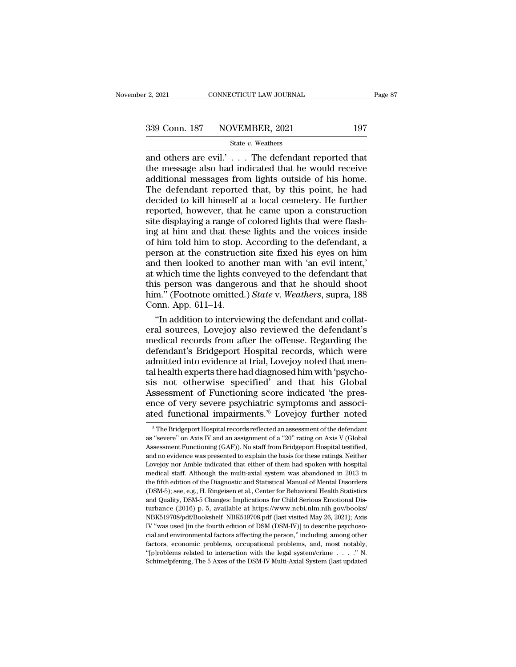2, 2021 CONNECTICUT LAW JOURNAL Page 8'<br>  $\frac{339 \text{ Conn. } 187}{\text{State } v. \text{ Weather}}$   $\frac{339 \text{ Conn. } 187}{\text{State } v. \text{ Weather}}$ <br>
and others are evil.' . . . The defendant reported that<br>
the message also had indicated that he would receive<br>
addi 339 Conn. 187 NOVEMBER, 2021 197<br>
State v. Weathers<br>
and others are evil.'... The defendant reported that<br>
the message also had indicated that he would receive<br>
additional messages from lights outside of his home.<br>
The de 339 Conn. 187 NOVEMBER, 2021 197<br>
State v. Weathers<br>
and others are evil.'... The defendant reported that<br>
the message also had indicated that he would receive<br>
additional messages from lights outside of his home.<br>
The de  $339$  Conn. 187 NOVEMBER, 2021 197<br>
State v. Weathers<br>
and others are evil.'... The defendant reported that<br>
the message also had indicated that he would receive<br>
additional messages from lights outside of his home.<br>
The State v. Weathers<br>
and others are evil.'... The defendant reported that<br>
the message also had indicated that he would receive<br>
additional messages from lights outside of his home.<br>
The defendant reported that, by this poi State v. Weathers<br>and others are evil.'... The defendant reported that<br>the message also had indicated that he would receive<br>additional messages from lights outside of his home.<br>The defendant reported that, by this point, and others are evil.'  $\ldots$  The defendant reported that the message also had indicated that he would receive additional messages from lights outside of his home. The defendant reported that, by this point, he had decided the message also had indicated that he would receive<br>additional messages from lights outside of his home.<br>The defendant reported that, by this point, he had<br>decided to kill himself at a local cemetery. He further<br>reported, additional messages from lights outside of his home.<br>The defendant reported that, by this point, he had<br>decided to kill himself at a local cemetery. He further<br>reported, however, that he came upon a construction<br>site displ The defendant reported that, by this point, he had<br>decided to kill himself at a local cemetery. He further<br>reported, however, that he came upon a construction<br>site displaying a range of colored lights that were flash-<br>ing decided to kill himself at a local cemetery. He further<br>reported, however, that he came upon a construction<br>site displaying a range of colored lights that were flash-<br>ing at him and that these lights and the voices inside<br> reported, however, that he came upon a construction<br>site displaying a range of colored lights that were flash-<br>ing at him and that these lights and the voices inside<br>of him told him to stop. According to the defendant, a<br>p site displaying a range of colored lights that were flashing at him and that these lights and the voices inside of him told him to stop. According to the defendant, a person at the construction site fixed his eyes on him a ing at him and that these lights and the voices inside<br>of him told him to stop. According to the defendant, a<br>person at the construction site fixed his eyes on him<br>and then looked to another man with 'an evil intent,'<br>at w of him told him to stop.<br>person at the constructi<br>and then looked to anot<br>at which time the lights c<br>this person was dangere<br>him." (Footnote omitted.<br>Conn. App. 611–14.<br>"In addition to intervie rson at the construction site fixed his eyes on him<br>
d then looked to another man with 'an evil intent,'<br>
which time the lights conveyed to the defendant that<br>
is person was dangerous and that he should shoot<br>
m." (Footnot and then looked to another man with 'an evil intent,'<br>at which time the lights conveyed to the defendant that<br>this person was dangerous and that he should shoot<br>him." (Footnote omitted.) *State* v. Weathers, supra, 188<br>Con

at which time the lights conveyed to the defendant that<br>this person was dangerous and that he should shoot<br>him." (Footnote omitted.) *State* v. Weathers, supra, 188<br>Conn. App. 611–14.<br>"In addition to interviewing the defen this person was dangerous and that he should shoot<br>him." (Footnote omitted.) *State* v. Weathers, supra, 188<br>Conn. App. 611–14.<br>"In addition to interviewing the defendant and collat-<br>eral sources, Lovejoy also reviewed the him." (Footnote omitted.) *State* v. Weathers, supra, 188<br>Conn. App. 611–14.<br>"In addition to interviewing the defendant and collat-<br>eral sources, Lovejoy also reviewed the defendant's<br>medical records from after the offense Conn. App. 611–14.<br>
"In addition to interviewing the defendant and collat-<br>
eral sources, Lovejoy also reviewed the defendant's<br>
medical records from after the offense. Regarding the<br>
defendant's Bridgeport Hospital record "In addition to interviewing the defendant and collateral sources, Lovejoy also reviewed the defendant's medical records from after the offense. Regarding the defendant's Bridgeport Hospital records, which were admitted in eral sources, Lovejoy also reviewed the defendant's<br>medical records from after the offense. Regarding the<br>defendant's Bridgeport Hospital records, which were<br>admitted into evidence at trial, Lovejoy noted that men-<br>tal hea medical records from after the offense. Regarding the<br>defendant's Bridgeport Hospital records, which were<br>admitted into evidence at trial, Lovejoy noted that men-<br>tal health experts there had diagnosed him with 'psycho-<br>si defendant's Bridgeport Hospital records, which were<br>admitted into evidence at trial, Lovejoy noted that men-<br>tal health experts there had diagnosed him with 'psycho-<br>sis not otherwise specified' and that his Global<br>Assessm s not otherwise specified' and that his Global<br>ssessment of Functioning score indicated 'the pres-<br>nce of very severe psychiatric symptoms and associ-<br>red functional impairments.<sup>5</sup> Lovejoy further noted<br><sup>5</sup> The Bridgepor Assessment of Functioning score indicated 'the presence of very severe psychiatric symptoms and associated functional impairments.<sup>75</sup> Lovejoy further noted  $\frac{1}{5}$  The Bridgeport Hospital records reflected an assessmen

Example of very severe psychiatric symptoms and associated functional impairments.<sup>5</sup> Lovejoy further noted<br><sup>5</sup> The Bridgeport Hospital records reflected an assessment of the defendant<br>as "severe" on Axis IV and an assignm ated functional impairments.<sup>75</sup> Lovejoy further noted<br>
<sup>5</sup> The Bridgeport Hospital records reflected an assessment of the defendant<br>
as "severe" on Axis IV and an assignment of a "20" rating on Axis V (Global<br>
Assessment ated Tunctional Impairments. Dovejoy Turtier noted<br>
<sup>5</sup> The Bridgeport Hospital records reflected an assessment of the defendant<br>
as "severe" on Axis IV and an assignment of a "20" rating on Axis V (Global<br>
Assessment Func  $^\circ$  The Bridgeport Hospital records reflected an assessment of the defendant as "severe" on Axis IV and an assignment of a "20" rating on Axis V (Global Assessment Functioning (GAF)). No staff from Bridgeport Hospital te as "severe" on Axis IV and an assignment of a "20" rating on Axis V (Global Assessment Functioning (GAF)). No staff from Bridgeport Hospital testified, and no evidence was presented to explain the basis for these ratings. Lassessment Functioning (GAF)). No staff from Bridgeport Hospital testified, and no evidence was presented to explain the basis for these ratings. Neither Lovejoy nor Amble indicated that either of them had spoken with hos and no evidence was presented to explain the basis for these ratings. Neither<br>Lovejoy nor Amble indicated that either of them had spoken with hospital<br>medical staff. Although the multi-axial system was abandoned in 2013 in Lovejoy nor Amble indicated that either of them had spoken with hospital medical staff. Although the multi-axial system was abandoned in 2013 in the fifth edition of the Diagnostic and Statistical Manual of Mental Disorder medical staff. Although the multi-axial system was abandoned in 2013 in<br>the fifth edition of the Diagnostic and Statistical Manual of Mental Disorders<br>(DSM-5); see, e.g., H. Ringeisen et al., Center for Behavioral Health S the fifth edition of the Diagnostic and Statistical Manual of Mental Disorders (DSM-5); see, e.g., H. Ringeisen et al., Center for Behavioral Health Statistics and Quality, DSM-5 Changes: Implications for Child Serious Emo (DSM-5); see, e.g., H. Ringeisen et al., Center for Behavioral Health Statistics and Quality, DSM-5 Changes: Implications for Child Serious Emotional Disturbance (2016) p. 5, available at https://www.ncbi.nlm.nih.gov/book and Quality, DSM-5 Changes: Implications for Child Serious Emotional Disturbance (2016) p. 5, available at https://www.ncbi.nlm.nih.gov/books/ NBK519708/pdf/Bookshelf\_NBK519708.pdf (last visited May 26, 2021); Axis IV "wa turbance (2016) p. 5, available at https://www.ncbi.nlm.nih.gov/books/ NBK519708/pdf/Bookshelf\_NBK519708.pdf (last visited May 26, 2021); Axis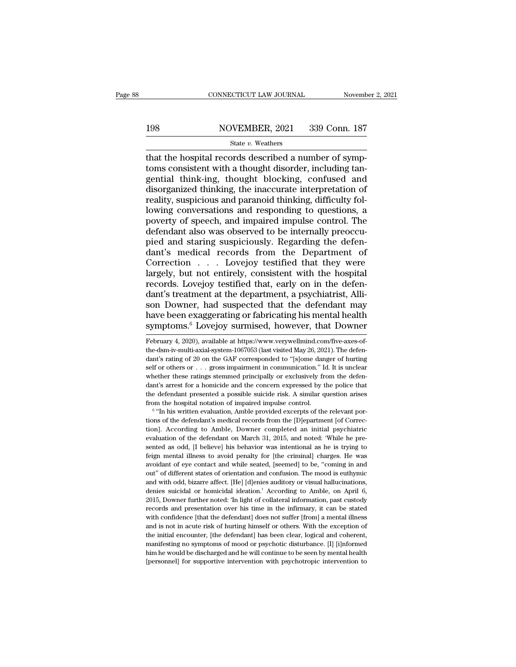# EXECUTE CONNECTICUT LAW JOURNAL Movember 2, 2021<br>198 NOVEMBER, 2021 339 Conn. 187<br>198 State v. Weathers

### State *v.* Weathers

CONNECTICUT LAW JOURNAL November<br>198 NOVEMBER, 2021 339 Conn. 187<br>198 State v. Weathers<br>198 State v. Weathers<br>199 State v. Weathers<br>199 And The hospital records described a number of symp-<br>199 State in the hought disorder, 198 NOVEMBER, 2021 339 Conn. 187<br>
State v. Weathers<br>
that the hospital records described a number of symptoms consistent with a thought disorder, including tan-<br>
gential think-ing, thought blocking, confused and<br>
disordani 198 NOVEMBER, 2021 339 Conn. 187<br>
State v. Weathers<br>
that the hospital records described a number of symptoms consistent with a thought disorder, including tangential think-ing, thought blocking, confused and<br>
disorganize 198 NOVEMBER, 2021 339 Conn. 187<br>
State v. Weathers<br>
that the hospital records described a number of symptoms consistent with a thought disorder, including tangential think-ing, thought blocking, confused and<br>
disorganize  $\begin{array}{c}\n\text{State } v. \text{ Weather} \\
\hline\n\text{State } v. \text{ Weather}\n\end{array}$ that the hospital records described a number of symptoms consistent with a thought disorder, including tangential think-ing, thought blocking, confused and disorganized thinki State v. Weathers<br>
that the hospital records described a number of symptoms consistent with a thought disorder, including tangential think-ing, thought blocking, confused and<br>
disorganized thinking, the inaccurate interpr that the hospital records described a number of symptoms consistent with a thought disorder, including tangential think-ing, thought blocking, confused and disorganized thinking, the inaccurate interpretation of reality, s toms consistent with a thought disorder, including tangential think-ing, thought blocking, confused and disorganized thinking, the inaccurate interpretation of reality, suspicious and paranoid thinking, difficulty followin gential think-ing, thought blocking, confused and<br>disorganized thinking, the inaccurate interpretation of<br>reality, suspicious and paranoid thinking, difficulty fol-<br>lowing conversations and responding to questions, a<br>pover disorganized thinking, the inaccurate interpretation of<br>reality, suspicious and paranoid thinking, difficulty fol-<br>lowing conversations and responding to questions, a<br>poverty of speech, and impaired impulse control. The<br>de reality, suspicious and paranoid thinking, difficulty fol-<br>lowing conversations and responding to questions, a<br>poverty of speech, and impaired impulse control. The<br>defendant also was observed to be internally preoccu-<br>pied lowing conversations and responding to questions, a<br>poverty of speech, and impaired impulse control. The<br>defendant also was observed to be internally preoccu-<br>pied and staring suspiciously. Regarding the defen-<br>dant's medi poverty of speech, and impaired impulse control. The<br>defendant also was observed to be internally preoccu-<br>pied and staring suspiciously. Regarding the defen-<br>dant's medical records from the Department of<br>Correction . . . defendant also was observed to be internally preoccupied and staring suspiciously. Regarding the defendant's medical records from the Department of Correction . . . Lovejoy testified that they were largely, but not entirel pied and staring suspiciously. Regarding the defendant's medical records from the Department of Correction . . . Lovejoy testified that they were largely, but not entirely, consistent with the hospital records. Lovejoy tes dant's medical records from the Department of<br>Correction . . . Lovejoy testified that they were<br>largely, but not entirely, consistent with the hospital<br>records. Lovejoy testified that, early on in the defen-<br>dant's treatme Correction . . . Lovejoy testified that they were<br>largely, but not entirely, consistent with the hospital<br>records. Lovejoy testified that, early on in the defen-<br>dant's treatment at the department, a psychiatrist, Alli-<br>so dant's treatment at the department, a psychiatrist, Allison Downer, had suspected that the defendant may<br>have been exaggerating or fabricating his mental health<br>symptoms.<sup>6</sup> Lovejoy surmised, however, that Downer<br>February son Downer, had suspected that the defendant may<br>have been exaggerating or fabricating his mental health<br>symptoms.<sup>6</sup> Lovejoy surmised, however, that Downer<br>February 4, 2020), available at https://www.verywellmind.com/five

have been exaggerating or fabricating his mental health<br>symptoms.<sup>6</sup> Lovejoy surmised, however, that Downer<br>February 4, 2020), available at https://www.verywellmind.com/five-axes-of-<br>the-dsm-iv-multi-axial-system-1067053 ( symptoms.<sup>6</sup> Lovejoy surmised, however, that Downer<br>February 4, 2020), available at https://www.verywellmind.com/five-axes-of-<br>the-dsm-iv-multi-axial-system-1067053 (last visited May 26, 2021). The defen-<br>dant's rating of Symptoms. Lovejoy surmised, nowever, mat Downer<br>February 4, 2020), available at https://www.verywellmind.com/five-axes-of-<br>the-dsm-iv-multi-axial-system-1067053 (last visited May 26, 2021). The defen-<br>dant's rating of 20 o February 4, 2020), available at https://www.verywellmind.com/five-axes-of-<br>the-dsm-iv-multi-axial-system-1067053 (last visited May 26, 2021). The defen-<br>dant's rating of 20 on the GAF corresponded to "[s]ome danger of hurt the dsm-iv-multi-axial-system-1067053 (last visited May 26, 2021). The defendant's rating of 20 on the GAF corresponded to "[s]ome danger of hurting self or others or  $\ldots$  gross impairment in communication." Id. It is un dant's rating of 20 on the GAF corresponded to "[s]ome dantal dant's rating of 20 on the GAF corresponded to "[s]ome dant self or others or . . . gross impairment in communication." It whether these ratings stemmed princip ''In his written evaluation, Amble provided excerpts of the relevant por-

whether these ratings stemmed principally or exclusively from the defendant's arrest for a homicide and the concern expressed by the police that the defendant presented a possible suicide risk. A similar question arises f mant's arrest for a homicide and the concern expressed by the noice that the defendant presented a possible suicide risk. A similar question arises from the hospital notation of impaired impulse control.<br><sup>6</sup> "In his writte the defendant presented a possible suicide risk. A similar question arises<br>from the hospital notation of impaired impulse control.<br><sup>6</sup> "In his written evaluation, Amble provided excerpts of the relevant por-<br>tions of the d from the hospital notation of impaired impulse control.<br>
<sup>6</sup> "In his written evaluation, Amble provided excerpts of the relevant por-<br>
tions of the defendant's medical records from the [D]epartment [of Correc-<br>
tion]. Acco feign mental illness to avoid penalties to avoid excerpts of the relevant portions of the defendant's medical records from the [D]epartment [of Correction]. According to Amble, Downer completed an initial psychiatric eval in the defendant's medical records from the [D]epartment [of Correction]. According to Amble, Downer completed an initial psychiatric evaluation of the defendant on March 31, 2015, and noted: 'While he presented as odd, [I tion]. According to Amble, Downer completed an initial psychiatric evaluation of the defendant on March 31, 2015, and noted: 'While he presented as odd, [I believe] his behavior was intentional as he is trying to feign men and with odd, if being the match of March 31, 2015, and noted: 'While he pre-<br>sented as odd, [I believe] his behavior was intentional as he is trying to<br>feign mental illness to avoid penalty for [the criminal] charges. He sented as odd, [I believe] his behavior was intentional as he is trying to feign mental illness to avoid penalty for [the criminal] charges. He was avoidant of eye contact and while seated, [seemed] to be, "coming in and o feign mental illness to avoid penalty for [the criminal] charges. He was avoidant of eye contact and while seated, [seemed] to be, "coming in and out" of different states of orientation and confusion. The mood is euthymic aryoidant of eye contact and while seated, [seemed] to be, "coming in and out" of different states of orientation and confusion. The mood is euthymic and with odd, bizarre affect. [He] [d]enies auditory or visual hallucina where the defendant confidence and confusion. The mood is euthymic and with odd, bizare affect. [He] [d]enies auditory or visual hallucinations, denies suicidal or homicidal ideation.' According to Amble, on April 6, 2015, and with odd, bizarre affect. [He] [d]enies auditory or visual hallucinations, denies suicidal or homicidal ideation.' According to Amble, on April 6, 2015, Downer further noted: 'In light of collateral information, past denies suicidal or homicidal ideation.' According to Amble, on April 6, 2015, Downer further noted: 'In light of collateral information, past custody records and presentation over his time in the infirmary, it can be state 2015, Downer further noted: 'In light of collateral information, past custody records and presentation over his time in the infirmary, it can be stated with confidence [that the defendant] does not suffer [from] a mental i records and presentation over his time in the infirmary, it can be stated with confidence [that the defendant] does not suffer [from] a mental illness and is not in acute risk of hurting himself or others. With the excepti with confidence [that the defendant] does not suffer [from] a mental illness<br>and is not in acute risk of hurting himself or others. With the exception of<br>the initial encounter, [the defendant] has been clear, logical and c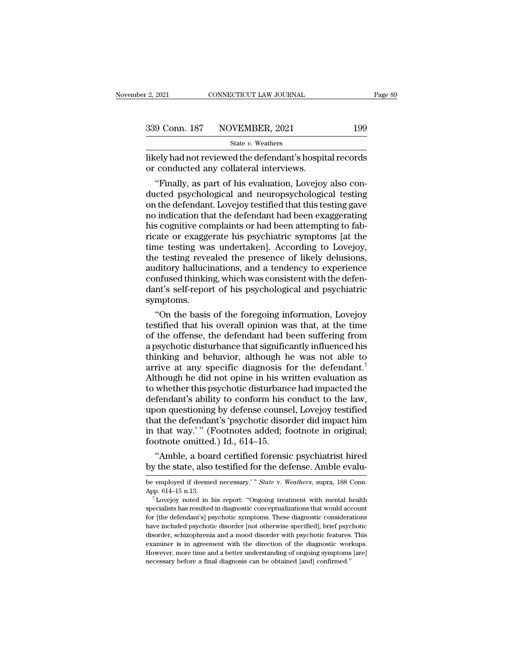likely had not reviewed the defendant's hospital records<br>or conducted any collateral interviews. 339 Conn. 187 NOVEMBER, 2021<br>State v. Weathers<br>likely had not reviewed the defendant's hospit<br>or conducted any collateral interviews.<br>"Finally, as part of his evaluation, Lovejoy

 $\frac{9 \text{ Conn. } 187 \quad \text{NOVEMBER, } 2021 \quad \text{199}}{\text{State } v. \text{ Weather}}$ <br>
The vertex weathers<br>
tely had not reviewed the defendant's hospital records<br>
conducted any collateral interviews.<br>
"Finally, as part of his evaluation, Lovejoy also c 339 Conn. 187 NOVEMBER, 2021 199<br>
state *v*. Weathers<br>
likely had not reviewed the defendant's hospital records<br>
or conducted any collateral interviews.<br>
"Finally, as part of his evaluation, Lovejoy also con-<br>
ducted psyc State  $v$ . Weathers<br>
likely had not reviewed the defendant's hospital records<br>
or conducted any collateral interviews.<br>
"Finally, as part of his evaluation, Lovejoy also con-<br>
ducted psychological and neuropsychological t ikely had not reviewed the defendant's hospital records<br>or conducted any collateral interviews.<br>"Finally, as part of his evaluation, Lovejoy also con-<br>ducted psychological and neuropsychological testing<br>on the defendant. L likely had not reviewed the defendant's hospital records<br>or conducted any collateral interviews.<br>"Finally, as part of his evaluation, Lovejoy also con-<br>ducted psychological and neuropsychological testing<br>on the defendant. or conducted any collateral interviews.<br>
"Finally, as part of his evaluation, Lovejoy also conducted psychological and neuropsychological testing<br>
on the defendant. Lovejoy testified that this testing gave<br>
no indication t "Finally, as part of his evaluation, Lovejoy also con-<br>ducted psychological and neuropsychological testing<br>on the defendant. Lovejoy testified that this testing gave<br>no indication that the defendant had been exaggerating<br>h ducted psychological and neuropsychological testing<br>on the defendant. Lovejoy testified that this testing gave<br>no indication that the defendant had been exaggerating<br>his cognitive complaints or had been attempting to fab-<br> on the defendant. Lovejoy testified that this testing gave<br>no indication that the defendant had been exaggerating<br>his cognitive complaints or had been attempting to fab-<br>ricate or exaggerate his psychiatric symptoms [at th no indication that the defendant had been exaggerating<br>his cognitive complaints or had been attempting to fab-<br>ricate or exaggerate his psychiatric symptoms [at the<br>time testing was undertaken]. According to Lovejoy,<br>the t his cognitive complaints or had been attempting to fab-<br>ricate or exaggerate his psychiatric symptoms [at the<br>time testing was undertaken]. According to Lovejoy,<br>the testing revealed the presence of likely delusions,<br>audit symptoms. me testing was undertaken]. According to Lovejoy,<br>
e testing revealed the presence of likely delusions,<br>
ditory hallucinations, and a tendency to experience<br>
infused thinking, which was consistent with the defen-<br>
int's se the testing revealed the presence of likely delusions,<br>auditory hallucinations, and a tendency to experience<br>confused thinking, which was consistent with the defen-<br>dant's self-report of his psychological and psychiatric<br>s

auditory hallucinations, and a tendency to experience<br>confused thinking, which was consistent with the defen-<br>dant's self-report of his psychological and psychiatric<br>symptoms.<br>"On the basis of the foregoing information, Lo confused thinking, which was consistent with the defen-<br>dant's self-report of his psychological and psychiatric<br>symptoms.<br>"On the basis of the foregoing information, Lovejoy<br>testified that his overall opinion was that, at dant's self-report of his psychological and psychiatric<br>symptoms.<br>"On the basis of the foregoing information, Lovejoy<br>testified that his overall opinion was that, at the time<br>of the offense, the defendant had been sufferin symptoms.<br>
"On the basis of the foregoing information, Lovejoy<br>
testified that his overall opinion was that, at the time<br>
of the offense, the defendant had been suffering from<br>
a psychotic disturbance that significantly in "On the basis of the foregoing information, Lovejoy<br>testified that his overall opinion was that, at the time<br>of the offense, the defendant had been suffering from<br>a psychotic disturbance that significantly influenced his<br> testified that his overall opinion was that, at the time<br>of the offense, the defendant had been suffering from<br>a psychotic disturbance that significantly influenced his<br>thinking and behavior, although he was not able to<br>ar of the offense, the defendant had been suffering from<br>a psychotic disturbance that significantly influenced his<br>thinking and behavior, although he was not able to<br>arrive at any specific diagnosis for the defendant.<sup>7</sup><br>Alth a psychotic disturbance that significantly influenced his<br>thinking and behavior, although he was not able to<br>arrive at any specific diagnosis for the defendant.<sup>7</sup><br>Although he did not opine in his written evaluation as<br>to thinking and behavior, although he was not able to<br>arrive at any specific diagnosis for the defendant.<sup>7</sup><br>Although he did not opine in his written evaluation as<br>to whether this psychotic disturbance had impacted the<br>defen arrive at any specific diagnosis for the defendant.<sup>7</sup><br>Although he did not opine in his written evaluation as<br>to whether this psychotic disturbance had impacted the<br>defendant's ability to conform his conduct to the law,<br>up Although he did not opine in his wite<br>to whether this psychotic disturband<br>defendant's ability to conform his c<br>upon questioning by defense counse<br>that the defendant's 'psychotic disor<br>in that way.' " (Footnotes added; fo<br> whether this psychotic disturbance had impacted the<br>fendant's ability to conform his conduct to the law,<br>oon questioning by defense counsel, Lovejoy testified<br>at the defendant's 'psychotic disorder did impact him<br>that way. defendant's ability to conform his conduct to the law,<br>upon questioning by defense counsel, Lovejoy testified<br>that the defendant's 'psychotic disorder did impact him<br>in that way.'" (Footnotes added; footnote in original;<br>f

be employed if deemed necessary.'" *State* v. *Weathers*, supra, 188 Conn.<br>App. 614–15.<br>App. 614–15 a.130 testified for the defense. Amble evalu-<br>be employed if deemed necessary.'" *State* v. *Weathers*, supra, 188 Conn.<br>A

Froothote omitted.) Id., 614–15.<br>
"Amble, a board certified forensic psychiatrist hired<br>
by the state, also testified for the defense. Amble evalu-<br>
be employed if deemed necessary." *State v. Weathers*, supra, 188 Conn.<br> by the state, also testified for the defense. Amble evalu-<br>be employed if deemed necessary.'" *State* v. *Weathers*, supra, 188 Conn.<br>App. 614–15 n.13.<br><sup>7</sup> Lovejoy noted in his report: "Ongoing treatment with mental health by the state, also testified for the defense. All the evalu-<br>be employed if deemed necessary.'" *State* v. Weathers, supra, 188 Conn.<br>App. 614–15 n.13.<br><sup>7</sup> Lovejoy noted in his report: "Ongoing treatment with mental health have employed if deemed necessary.'" *State* v. *Weathers*, supra, 188 Conn.<br>App. 614–15 n.13.<br><sup>7</sup> Lovejoy noted in his report: "Ongoing treatment with mental health<br>specialists has resulted in diagnostic conceptualization App. 614–15 n.13.<br><sup>7</sup> Lovejoy noted in his report: "Ongoing treatment with mental health<br>specialists has resulted in diagnostic conceptualizations that would account<br>for [the defendant's] psychotic symptoms. These diagnost For two model in his report: "Ongoing treatment with mental health specialists has resulted in diagnostic conceptualizations that would account for [the defendant's] psychotic symptoms. These diagnostic considerations hav specialists has resulted in diagnostic conceptualizations that would account<br>for [the defendant's] psychotic symptoms. These diagnostic considerations<br>have included psychotic disorder [not otherwise specified], brief psych for [the defendant's] psychotic symptoms. These diagnostic considerations have included psychotic disorder [not otherwise specified], brief psychotic disorder, schizophrenia and a mood disorder with psychotic features. Th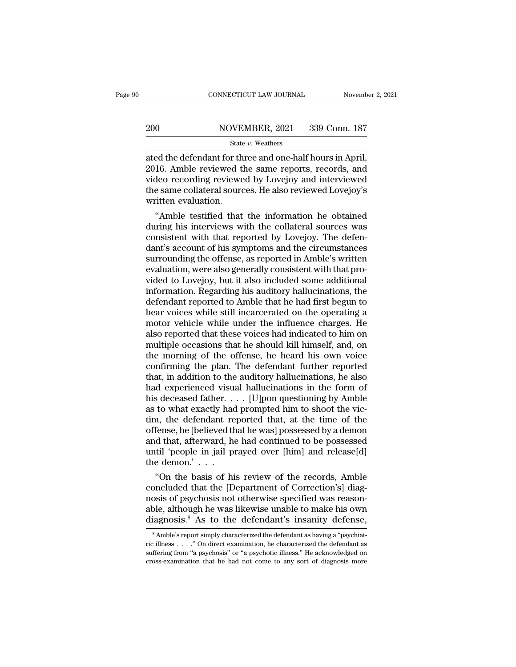# EXECUTE CONNECTICUT LAW JOURNAL Movember 2, 2021<br>200 NOVEMBER, 2021 339 Conn. 187<br>201 State v. Weathers

### State *v.* Weathers

CONNECTICUT LAW JOURNAL November 2, 2<br>
200 NOVEMBER, 2021 339 Conn. 187<br>
31 State v. Weathers<br>
31 State v. Weathers<br>
32016. Amble reviewed the same reports, records, and<br>
32016. Amble reviewed the same reports, records, an 200 NOVEMBER, 2021 339 Conn. 187<br>
State v. Weathers<br>
ated the defendant for three and one-half hours in April,<br>
2016. Amble reviewed the same reports, records, and<br>
video recording reviewed by Lovejoy and interviewed<br>
the 200 NOVEMBER, 2021 339 Conn. 187<br>
State v. Weathers<br>
ated the defendant for three and one-half hours in April,<br>
2016. Amble reviewed the same reports, records, and<br>
video recording reviewed by Lovejoy and interviewed<br>
the 200 NOVEMBER, 2021 339 Conn. 187<br>
State v. Weathers<br>
ated the defendant for three and one-half hours in April,<br>
2016. Amble reviewed the same reports, records, and<br>
video recording reviewed by Lovejoy and interviewed<br>
the Example 110 12<br>
State<br>
ated the defendant for th<br>
2016. Amble reviewed t<br>
video recording reviewe<br>
the same collateral sour<br>
written evaluation.<br>
"Amble testified that ed the defendant for three and one-half hours in April,<br>16. Amble reviewed the same reports, records, and<br>deo recording reviewed by Lovejoy and interviewed<br>e same collateral sources. He also reviewed Lovejoy's<br>itten evalua ated the defendant for three and one-half hours in April,<br>2016. Amble reviewed the same reports, records, and<br>video recording reviewed by Lovejoy and interviewed<br>the same collateral sources. He also reviewed Lovejoy's<br>writ

2016. Amble reviewed the same reports, records, and<br>video recording reviewed by Lovejoy and interviewed<br>the same collateral sources. He also reviewed Lovejoy's<br>written evaluation.<br>"Amble testified that the information he o video recording reviewed by Lovejoy and interviewed<br>the same collateral sources. He also reviewed Lovejoy's<br>written evaluation.<br>"Amble testified that the information he obtained<br>during his interviews with the collateral so the same collateral sources. He also reviewed Lovejoy's<br>written evaluation.<br>"Amble testified that the information he obtained<br>during his interviews with the collateral sources was<br>consistent with that reported by Lovejoy. written evaluation.<br>
"Amble testified that the information he obtained<br>
during his interviews with the collateral sources was<br>
consistent with that reported by Lovejoy. The defen-<br>
dant's account of his symptoms and the ci "Amble testified that the information he obtained<br>during his interviews with the collateral sources was<br>consistent with that reported by Lovejoy. The defen-<br>dant's account of his symptoms and the circumstances<br>surrounding during his interviews with the collateral sources was<br>consistent with that reported by Lovejoy. The defen-<br>dant's account of his symptoms and the circumstances<br>surrounding the offense, as reported in Amble's written<br>evalua consistent with that reported by Lovejoy. The defendant's account of his symptoms and the circumstances<br>surrounding the offense, as reported in Amble's written<br>evaluation, were also generally consistent with that pro-<br>vide dant's account of his symptoms and the circumstances<br>surrounding the offense, as reported in Amble's written<br>evaluation, were also generally consistent with that pro-<br>vided to Lovejoy, but it also included some additional<br> surrounding the offense, as reported in Amble's written<br>evaluation, were also generally consistent with that pro-<br>vided to Lovejoy, but it also included some additional<br>information. Regarding his auditory hallucinations, t evaluation, were also generally consistent with that provided to Lovejoy, but it also included some additional<br>information. Regarding his auditory hallucinations, the<br>defendant reported to Amble that he had first begun to<br> vided to Lovejoy, but it also included some additional<br>information. Regarding his auditory hallucinations, the<br>defendant reported to Amble that he had first begun to<br>hear voices while still incarcerated on the operating a<br> information. Regarding his auditory hallucinations, the<br>defendant reported to Amble that he had first begun to<br>hear voices while still incarcerated on the operating a<br>motor vehicle while under the influence charges. He<br>als defendant reported to Amble that he had first begun to<br>hear voices while still incarcerated on the operating a<br>motor vehicle while under the influence charges. He<br>also reported that these voices had indicated to him on<br>mul hear voices while still incarcerated on the operating a<br>motor vehicle while under the influence charges. He<br>also reported that these voices had indicated to him on<br>multiple occasions that he should kill himself, and, on<br>th motor vehicle while under the influence charges. He<br>also reported that these voices had indicated to him on<br>multiple occasions that he should kill himself, and, on<br>the morning of the offense, he heard his own voice<br>confir also reported that these voices had indicated to him on<br>multiple occasions that he should kill himself, and, on<br>the morning of the offense, he heard his own voice<br>confirming the plan. The defendant further reported<br>that, i multiple occasions that he should kill himself, and, on<br>the morning of the offense, he heard his own voice<br>confirming the plan. The defendant further reported<br>that, in addition to the auditory hallucinations, he also<br>had e the morning of the offense, he heard his own voice<br>confirming the plan. The defendant further reported<br>that, in addition to the auditory hallucinations, he also<br>had experienced visual hallucinations in the form of<br>his dece confirming the plan. The defendant further reported<br>that, in addition to the auditory hallucinations, he also<br>had experienced visual hallucinations in the form of<br>his deceased father. . . . [U]pon questioning by Amble<br>as that, in addition to the auditory hallucinations, he also<br>had experienced visual hallucinations in the form of<br>his deceased father. . . . [U]pon questioning by Amble<br>as to what exactly had prompted him to shoot the vic-<br>t had experienced visual hallucinations in the form of<br>his deceased father. . . . [U]pon questioning by Amble<br>as to what exactly had prompted him to shoot the vic-<br>tim, the defendant reported that, at the time of the<br>offens his deceased father. .<br>as to what exactly had<br>tim, the defendant re<br>offense, he [believed th<br>and that, afterward, h<br>until 'people in jail p<br>the demon.' . . .<br>"On the basis of hi to what exactly had prompted him to shoot the vic-<br>
n, the defendant reported that, at the time of the<br>
fense, he [believed that he was] possessed by a demon<br>
d that, afterward, he had continued to be possessed<br>
til 'peopl tim, the defendant reported that, at the time of the<br>offense, he [believed that he was] possessed by a demon<br>and that, afterward, he had continued to be possessed<br>until 'people in jail prayed over [him] and release[d]<br>the

offense, he [believed that he was] possessed by a demon<br>and that, afterward, he had continued to be possessed<br>until 'people in jail prayed over [him] and release[d]<br>the demon.'<br>...<br>"On the basis of his review of the record and that, atterward, he had continued to be possessed<br>until 'people in jail prayed over [him] and release[d]<br>the demon.' . . .<br>"On the basis of his review of the records, Amble<br>concluded that the [Department of Correction' until 'people in jail prayed over [him] and release[d]<br>the demon.'...<br>"On the basis of his review of the records, Amble<br>concluded that the [Department of Correction's] diag-<br>nosis of psychosis not otherwise specified was oncluded that the [Department of Correction's] diag-<br>osis of psychosis not otherwise specified was reason-<br>ble, although he was likewise unable to make his own<br>iagnosis.<sup>8</sup> As to the defendant's insanity defense,<br><sup>8</sup> Amble ricos of psychosis not otherwise specified was reasonable, although he was likewise unable to make his own diagnosis.<sup>8</sup> As to the defendant's insanity defense,<br><sup>8</sup> Amble's report simply characterized the defendant as havi diagnosis.<sup>8</sup> As to the defendant's insanity defense,

able, although he was likewise unable to make his own diagnosis.<sup>8</sup> As to the defendant's insanity defense,  $\frac{1}{100}$   $\frac{1}{100}$   $\frac{1}{100}$   $\frac{1}{100}$  characterized the defendant as having a "psychiatric illness...."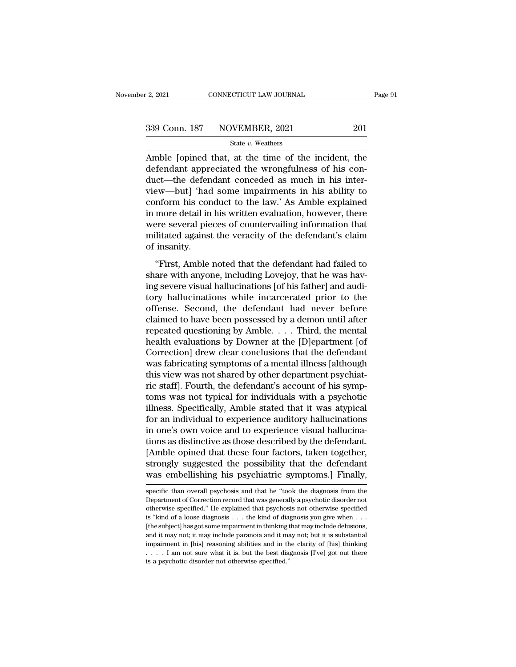$\frac{2,2021}{201}$  CONNECTICUT LAW JOURNAL Page 91<br>339 Conn. 187 NOVEMBER, 2021 201<br>5tate v. Weathers<br>Amble [opined that, at the time of the incident, the defendant appreciated the wrongfulness of his condefendant appreciated the wrongfulness of his con- $\begin{array}{c|c} \text{339 Conn. 187} & \text{NOVEMBER, 2021} & \text{201} \ \hline \text{State } v. \text{ Weather} & \text{339 Chamol} & \text{State } v. \text{Weather} \ \hline \text{Amble [opined that, at the time of the incident, the defendant appreciated the wrongfulness of his conduct—the defendant concealed as much in his interview—but] 'had some impairments in his ability to conform his conduct to the law.' As Amble explained.} \end{array}$ 339 Conn. 187 NOVEMBER, 2021 201<br>
State v. Weathers<br>
Amble [opined that, at the time of the incident, the<br>
defendant appreciated the wrongfulness of his con-<br>
duct—the defendant conceded as much in his inter-<br>
view—but] ' State v. Weathers<br>Amble [opined that, at the time of the incident, the<br>defendant appreciated the wrongfulness of his con-<br>duct—the defendant conceded as much in his inter-<br>view—but] 'had some impairments in his ability to state  $v$ , weathers<br>Amble [opined that, at the time of the incident, the<br>defendant appreciated the wrongfulness of his con-<br>duct—the defendant conceded as much in his inter-<br>view—but] 'had some impairments in his ability Amble [opined that, at the time of the incident, the<br>defendant appreciated the wrongfulness of his con-<br>duct—the defendant conceded as much in his inter-<br>view—but] 'had some impairments in his ability to<br>conform his conduc defendant appreciated the wrongfulness of his con-<br>duct—the defendant conceded as much in his inter-<br>view—but] 'had some impairments in his ability to<br>conform his conduct to the law.' As Amble explained<br>in more detail in h duct—the defen<br>view—but] 'had<br>conform his con<br>in more detail in<br>were several pie<br>militated against<br>of insanity.<br>"First, Amble The definition of the defendant had failed to<br>
the defendant of the defendant of the defendant of the defendant<br>
dilitated against the veracity of the defendant's claim<br>
insanity.<br>
"First, Amble noted that the defendant ha share with an interest the familiar complements in more detail in his written evaluation, however, there were several pieces of countervailing information that militated against the veracity of the defendant's claim of ins

In these deals in the written evaluation, he words, diete<br>were several pieces of countervailing information that<br>militated against the veracity of the defendant's claim<br>of insanity.<br>"First, Amble noted that the defendant h militated against the veracity of the defendant's claim<br>of insanity.<br>"First, Amble noted that the defendant had failed to<br>share with anyone, including Lovejoy, that he was hav-<br>ing severe visual hallucinations [of his fath of insanity.<br>
"First, Amble noted that the defendant had failed to<br>
share with anyone, including Lovejoy, that he was hav-<br>
ing severe visual hallucinations [of his father] and audi-<br>
tory hallucinations while incarcerated "First, Amble noted that the defendant had failed to<br>share with anyone, including Lovejoy, that he was hav-<br>ing severe visual hallucinations [of his father] and audi-<br>tory hallucinations while incarcerated prior to the<br>of "First, Amble noted that the defendant had failed to share with anyone, including Lovejoy, that he was having severe visual hallucinations [of his father] and auditory hallucinations while incarcerated prior to the offens share with anyone, including Lovejoy, that he was having severe visual hallucinations [of his father] and auditory hallucinations while incarcerated prior to the offense. Second, the defendant had never before claimed to h ing severe visual hallucinations [of his father] and auditory hallucinations while incarcerated prior to the offense. Second, the defendant had never before claimed to have been possessed by a demon until after repeated qu tory hallucinations while incarcerated prior to the<br>offense. Second, the defendant had never before<br>claimed to have been possessed by a demon until after<br>repeated questioning by Amble. . . . Third, the mental<br>health evalua offense. Second, the defendant had never before claimed to have been possessed by a demon until after repeated questioning by Amble. . . . Third, the mental health evaluations by Downer at the [D]epartment [of Correction] claimed to have been possessed by a demon until after<br>repeated questioning by Amble. . . . Third, the mental<br>health evaluations by Downer at the [D]epartment [of<br>Correction] drew clear conclusions that the defendant<br>was f repeated questioning by Amble. . . . Third, the mental<br>health evaluations by Downer at the [D]epartment [of<br>Correction] drew clear conclusions that the defendant<br>was fabricating symptoms of a mental illness [although<br>this health evaluations by Downer at the [D]epartment [of Correction] drew clear conclusions that the defendant was fabricating symptoms of a mental illness [although this view was not shared by other department psychiatric sta Correction] drew clear conclusions that the defendant<br>was fabricating symptoms of a mental illness [although<br>this view was not shared by other department psychiat-<br>ric staff]. Fourth, the defendant's account of his symp-<br>t was fabricating symptoms of a mental illness [although<br>this view was not shared by other department psychiat-<br>ric staff]. Fourth, the defendant's account of his symp-<br>toms was not typical for individuals with a psychotic<br>i this view was not shared by other department psychiatric staff]. Fourth, the defendant's account of his symptoms was not typical for individuals with a psychotic illness. Specifically, Amble stated that it was atypical for ric staff]. Fourth, the defendant's account of his symptoms was not typical for individuals with a psychotic illness. Specifically, Amble stated that it was atypical for an individual to experience auditory hallucinations toms was not typical for individuals with a psychotic<br>illness. Specifically, Amble stated that it was atypical<br>for an individual to experience auditory hallucinations<br>in one's own voice and to experience visual hallucina-<br> illness. Specifically, Amble stated that it was atypical<br>for an individual to experience auditory hallucinations<br>in one's own voice and to experience visual hallucina-<br>tions as distinctive as those described by the defenda tions as distinctive as those described by the defendant.<br>[Amble opined that these four factors, taken together,<br>strongly suggested the possibility that the defendant<br>was embellishing his psychiatric symptoms.] Finally,<br>sp [Amble opined that these four factors, taken together,<br>strongly suggested the possibility that the defendant<br>was embellishing his psychiatric symptoms.] Finally,<br>specific than overall psychosis and that he "took the diagno

strongly suggested the possibility that the defendant<br>was embellishing his psychiatric symptoms.] Finally,<br>specific than overall psychosis and that he "took the diagnosis from the<br>Department of Correction record that was g **was embellishing his psychiatric symptoms.] Finally,**<br>specific than overall psychosis and that he "took the diagnosis from the<br>Department of Correction record that was generally a psychotic disorder not<br>otherwise specifi WAS CHUCHISHING HIS DSYCHIALTIC SYMPROMIS.] PHIAITY,<br>specific than overall psychosis and that he "took the diagnosis from the<br>Department of Correction record that was generally a psychotic disorder not<br>otherwise specified. specific than overall psychosis and that he "took the diagnosis from the Department of Correction record that was generally a psychotic disorder not otherwise specified." He explained that psychosis not otherwise specified Department of Correction record that was generally a psychotic disorder not otherwise specified." He explained that psychosis not otherwise specified is "kind of a loose diagnosis . . . the kind of diagnosis you give when between specified." He explained that psychosis not otherwise specified of a loose diagnosis . . . the kind of diagnosis you give when . . . (the subject) has got some impairment in thinking that may include delusions, an is "kind of a loose diagnosis . . . the kind of diagnosis you give when . . . (the subject) has got some impairment in thinking that may include delusions, and it may not; it may include paranoia and it may not; but it is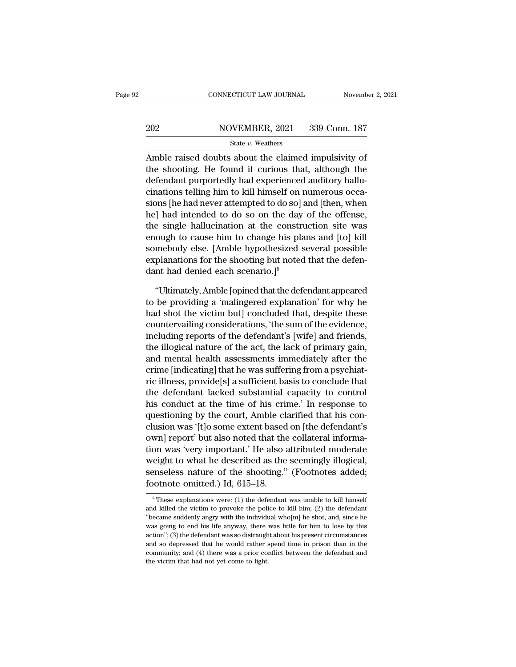# EXECUTE CONNECTICUT LAW JOURNAL Movember 2, 2021<br>202 NOVEMBER, 2021 339 Conn. 187<br>202 State v. Weathers

### State *v.* Weathers

 $\begin{array}{r|l} \hline \text{COMRECTICUT LAW JOURNAL} \qquad \text{November 2, 202} \ \hline \end{array}$ <br>  $\begin{array}{r|l} \hline \text{Sate } v. \text{ Weaters} \ \hline \end{array}$ <br>
Amble raised doubts about the claimed impulsivity of the shooting. He found it curious that, although the defendent numerically  $\begin{array}{r} \text{202} & \text{NOVEMBER, 2021} & \text{339 Conn.} \text{187} \\ \text{State } v. \text{ Weathers} \end{array}$ <br>Amble raised doubts about the claimed impulsivity of the shooting. He found it curious that, although the defendant purportedly had experienced auditory  $\frac{202}{\text{State } v. \text{ Weather}}$   $\frac{339}{\text{Conn.}}$  187<br>  $\frac{81}{\text{Table}}$  raised doubts about the claimed impulsivity of<br>
the shooting. He found it curious that, although the<br>
defendant purportedly had experienced auditory hallu-<br>
cinatio 202 NOVEMBER, 2021 339 Conn. 187<br>
State v. Weathers<br>
Amble raised doubts about the claimed impulsivity of<br>
the shooting. He found it curious that, although the<br>
defendant purportedly had experienced auditory hallu-<br>
cinat State v. Weathers<br>
State v. Weathers<br>
Amble raised doubts about the claimed impulsivity of<br>
the shooting. He found it curious that, although the<br>
defendant purportedly had experienced auditory hallu-<br>
cinations telling hi State of Mathematics<br>Amble raised doubts about the claimed impulsivity of<br>the shooting. He found it curious that, although the<br>defendant purportedly had experienced auditory hallu-<br>cinations telling him to kill himself on Amble raised doubts about the claimed impulsivity of<br>the shooting. He found it curious that, although the<br>defendant purportedly had experienced auditory hallu-<br>cinations telling him to kill himself on numerous occa-<br>sions the shooting. He found it curious that, although the<br>defendant purportedly had experienced auditory hallu-<br>cinations telling him to kill himself on numerous occa-<br>sions [he had never attempted to do so] and [then, when<br>he] defendant purportedly had experienced auditory hallu-<br>cinations telling him to kill himself on numerous occa-<br>sions [he had never attempted to do so] and [then, when<br>he] had intended to do so on the day of the offense,<br>the cinations telling him to kill himself on numerous occasions [he had never attempted to do so] and [then, when<br>he] had intended to do so on the day of the offense,<br>the single hallucination at the construction site was<br>enoug sions [he had never attempted to do so] :<br>he] had intended to do so on the day<br>the single hallucination at the constru<br>enough to cause him to change his pla<br>somebody else. [Amble hypothesized s<br>explanations for the shooti e single hallucination at the construction site was<br>
ough to cause him to change his plans and [to] kill<br>
mebody else. [Amble hypothesized several possible<br>
planations for the shooting but noted that the defen-<br>
nt had den enough to cause him to change his plans and [to] kill<br>somebody else. [Amble hypothesized several possible<br>explanations for the shooting but noted that the defen-<br>dant had denied each scenario.]<sup>9</sup><br>"Ultimately, Amble [opin

somebody else. [Amble hypothesized several possible<br>explanations for the shooting but noted that the defen-<br>dant had denied each scenario.]<sup>9</sup><br>"Ultimately, Amble [opined that the defendant appeared<br>to be providing a 'mali explanations for the shooting but noted that the defendant<br>dant had denied each scenario.]<sup>9</sup><br>"Ultimately, Amble [opined that the defendant appeared<br>to be providing a 'malingered explanation' for why he<br>had shot the victim dant had denied each scenario.]<sup>9</sup><br>
"Ultimately, Amble [opined that the defendant appeared<br>
to be providing a 'malingered explanation' for why he<br>
had shot the victim but] concluded that, despite these<br>
countervailing cons "Ultimately, Amble [opined that the defendant appeared<br>to be providing a 'malingered explanation' for why he<br>had shot the victim but] concluded that, despite these<br>countervailing considerations, 'the sum of the evidence,<br>i "Ultimately, Amble [opined that the defendant appeared<br>to be providing a 'malingered explanation' for why he<br>had shot the victim but] concluded that, despite these<br>countervailing considerations, 'the sum of the evidence,<br>i to be providing a 'malingered explanation' for why he<br>had shot the victim but] concluded that, despite these<br>countervailing considerations, 'the sum of the evidence,<br>including reports of the defendant's [wife] and friends, had shot the victim but] concluded that, despite these<br>countervailing considerations, 'the sum of the evidence,<br>including reports of the defendant's [wife] and friends,<br>the illogical nature of the act, the lack of primary countervailing considerations, 'the sum of the evidence,<br>including reports of the defendant's [wife] and friends,<br>the illogical nature of the act, the lack of primary gain,<br>and mental health assessments immediately after t including reports of the defendant's [wife] and friends,<br>the illogical nature of the act, the lack of primary gain,<br>and mental health assessments immediately after the<br>crime [indicating] that he was suffering from a psychi the illogical nature of the act, the lack of primary gain,<br>and mental health assessments immediately after the<br>crime [indicating] that he was suffering from a psychiat-<br>ric illness, provide[s] a sufficient basis to conclud and mental health assessments immediately after the<br>crime [indicating] that he was suffering from a psychiat-<br>ric illness, provide[s] a sufficient basis to conclude that<br>the defendant lacked substantial capacity to control crime [indicating] that he was suffering from a psychiat-<br>ric illness, provide[s] a sufficient basis to conclude that<br>the defendant lacked substantial capacity to control<br>his conduct at the time of his crime.' In response ric illness, provide[s] a sufficient basis to conclude that<br>the defendant lacked substantial capacity to control<br>his conduct at the time of his crime.' In response to<br>questioning by the court, Amble clarified that his conthe defendant lacked substantial capacity to control<br>his conduct at the time of his crime.' In response to<br>questioning by the court, Amble clarified that his con-<br>clusion was '[t]o some extent based on [the defendant's<br>own his conduct at the time of his crime.' In response to<br>questioning by the court, Amble clarified that his con-<br>clusion was '[t]o some extent based on [the defendant's<br>own] report' but also noted that the collateral informaquestioning by the court, Amble class<br>clusion was '[t]o some extent based<br>own] report' but also noted that the<br>tion was 'very important.' He also a<br>weight to what he described as the<br>senseless nature of the shooting.''<br>foo of was very important. He also attributed moderate<br>eight to what he described as the seemingly illogical,<br>mseless nature of the shooting." (Footnotes added;<br>ootnote omitted.) Id, 615–18.<br><sup>9</sup>These explanations were: (1) the weight to what he described as the seemingly illogical,<br>senseless nature of the shooting." (Footnotes added;<br>footnote omitted.) Id, 615–18.<br><br><sup>9</sup> These explanations were: (1) the defendant was unable to kill himself<br>and ki

senseless nature of the shooting." (Footnotes added;<br>footnote omitted.) Id, 615–18.<br><sup>9</sup>These explanations were: (1) the defendant was unable to kill himself<br>and killed the victim to provoke the police to kill him; (2) the footnote omitted.) Id, 615–18.<br>
These explanations were: (1) the defendant was unable to kill himself<br>
and killed the victim to provoke the police to kill him; (2) the defendant<br>
"became suddenly angry with the individual These explanations were: (1) the defendant was unable to kill himself and killed the victim to provoke the police to kill him; (2) the defendant "became suddenly angry with the individual who[m] he shot, and, since he was <sup>9</sup> These explanations were: (1) the defendant was unable to kill himself and killed the victim to provoke the police to kill him; (2) the defendant "became suddenly angry with the individual who[m] he shot, and, since he and killed the victim to provoke the police to kill him; (2) the defendant "became suddenly angry with the individual who[m] he shot, and, since he was going to end his life anyway, there was little for him to lose by thi and killed the victim to provoke the police to kill him; (2) the defendant "became suddenly angry with the individual who[m] he shot, and, since he was going to end his life anyway, there was little for him to lose by thi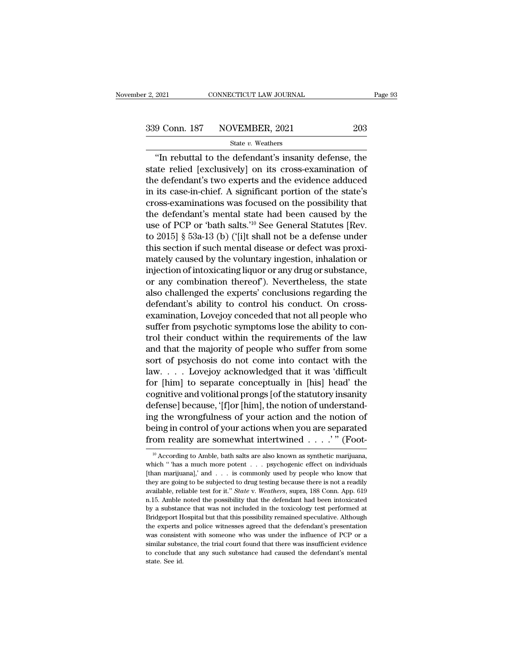<sup>2021</sup> CONNECTICUT LAW JOURNAL Page 93<br>
9 Conn. 187 NOVEMBER, 2021 203<br>
<sup>3</sup> State v. Weathers<br>
"In rebuttal to the defendant's insanity defense, the<br>
ate relied [exclusively] on its cross-examination of 339 Conn. 187 NOVEMBER, 2021 203<br>
State v. Weathers<br>
"In rebuttal to the defendant's insanity defense, the<br>
state relied [exclusively] on its cross-examination of<br>
the defendant's two experts and the evidence adduced<br>
in 339 Conn. 187 NOVEMBER, 2021 203<br>
State v. Weathers<br>
"In rebuttal to the defendant's insanity defense, the<br>
state relied [exclusively] on its cross-examination of<br>
the defendant's two experts and the evidence adduced<br>
in 339 Conn. 187 NOVEMBER, 2021 203<br>  $\frac{\text{State } v. \text{ Weather}}{\text{The 1}}$ <br>  $\frac{203}{\text{State } v. \text{ Weather}}$ <br>
"In rebuttal to the defendant's insanity defense, the<br>
state relied [exclusively] on its cross-examination of<br>
the defendant's two experts State v. Weathers<br>
"In rebuttal to the defendant's insanity defense, the<br>
state relied [exclusively] on its cross-examination of<br>
the defendant's two experts and the evidence adduced<br>
in its case-in-chief. A significant p State *v*. weatters<br>
"In rebuttal to the defendant's insanity defense, the<br>
state relied [exclusively] on its cross-examination of<br>
the defendant's two experts and the evidence adduced<br>
in its case-in-chief. A significant "In rebuttal to the defendant's insanity defense, the<br>state relied [exclusively] on its cross-examination of<br>the defendant's two experts and the evidence adduced<br>in its case-in-chief. A significant portion of the state's<br> state relied [exclusively] on its cross-examination of<br>the defendant's two experts and the evidence adduced<br>in its case-in-chief. A significant portion of the state's<br>cross-examinations was focused on the possibility that<br> the defendant's two experts and the evidence adduced<br>in its case-in-chief. A significant portion of the state's<br>cross-examinations was focused on the possibility that<br>the defendant's mental state had been caused by the<br>us in its case-in-chief. A significant portion of the state's<br>cross-examinations was focused on the possibility that<br>the defendant's mental state had been caused by the<br>use of PCP or 'bath salts.'<sup>10</sup> See General Statutes [Re cross-examinations was focused on the possibility that<br>the defendant's mental state had been caused by the<br>use of PCP or 'bath salts.'<sup>10</sup> See General Statutes [Rev.<br>to 2015] § 53a-13 (b) ('[i]t shall not be a defense unde the defendant's mental state had been caused by the<br>use of PCP or 'bath salts.'<sup>10</sup> See General Statutes [Rev.<br>to 2015] § 53a-13 (b) ('[i]t shall not be a defense under<br>this section if such mental disease or defect was pro use of PCP or 'bath salts.'<sup>10</sup> See General Statutes [Rev.<br>to 2015] § 53a-13 (b) ('[i]t shall not be a defense under<br>this section if such mental disease or defect was proxi-<br>mately caused by the voluntary ingestion, inhala to 2015] § 53a-13 (b) ('[i]t shall not be a defense under<br>this section if such mental disease or defect was proxi-<br>mately caused by the voluntary ingestion, inhalation or<br>injection of intoxicating liquor or any drug or sub this section if such mental disease or defect was proximately caused by the voluntary ingestion, inhalation or<br>injection of intoxicating liquor or any drug or substance,<br>or any combination thereof"). Nevertheless, the stat mately caused by the voluntary ingestion, inhalation or<br>injection of intoxicating liquor or any drug or substance,<br>or any combination thereof'). Nevertheless, the state<br>also challenged the experts' conclusions regarding th injection of intoxicating liquor or any drug or substance,<br>or any combination thereof'). Nevertheless, the state<br>also challenged the experts' conclusions regarding the<br>defendant's ability to control his conduct. On cross-<br> or any combination thereof"). Nevertheless, the state<br>also challenged the experts' conclusions regarding the<br>defendant's ability to control his conduct. On cross-<br>examination, Lovejoy conceded that not all people who<br>suffe also challenged the experts' conclusions regarding the<br>defendant's ability to control his conduct. On cross-<br>examination, Lovejoy conceded that not all people who<br>suffer from psychotic symptoms lose the ability to con-<br>tro defendant's ability to control his conduct. On cross-<br>examination, Lovejoy conceded that not all people who<br>suffer from psychotic symptoms lose the ability to con-<br>trol their conduct within the requirements of the law<br>and examination, Lovejoy conceded that not all people who<br>suffer from psychotic symptoms lose the ability to con-<br>trol their conduct within the requirements of the law<br>and that the majority of people who suffer from some<br>sort suffer from psychotic symptoms lose the ability to control their conduct within the requirements of the law<br>and that the majority of people who suffer from some<br>sort of psychosis do not come into contact with the<br>law.... L trol their conduct within the requirements of the law<br>and that the majority of people who suffer from some<br>sort of psychosis do not come into contact with the<br>law.... Lovejoy acknowledged that it was 'difficult<br>for [him] t and that the majority of people who suffer from some<br>sort of psychosis do not come into contact with the<br>law.... Lovejoy acknowledged that it was 'difficult<br>for [him] to separate conceptually in [his] head' the<br>cognitive sort of psychosis do not come into contact with the<br>law.... Lovejoy acknowledged that it was 'difficult<br>for [him] to separate conceptually in [his] head' the<br>cognitive and volitional prongs [of the statutory insanity<br>defe law. . . . . Lovejoy acknowledged that it was 'difficult<br>for [him] to separate conceptually in [his] head' the<br>cognitive and volitional prongs [of the statutory insanity<br>defense] because, '[f]or [him], the notion of under defense] because, '[f]or [him], the notion of understanding the wrongfulness of your action and the notion of being in control of your actions when you are separated from reality are somewhat intertwined . . . . " (Foot-<br> ing the wrongfulness of your action and the notion of<br>being in control of your actions when you are separated<br>from reality are somewhat intertwined . . . . " (Foot-<br> $\frac{10}{10}$  According to Amble, bath salts are also know

being in control of your actions when you are separated<br>from reality are somewhat intertwined . . . .'" (Foot-<br> $\frac{10}{10}$  According to Amble, bath salts are also known as synthetic marijuana,<br>which " has a much more pote from reality are somewhat intertwined . . . . " (Foot-<br><sup>10</sup> According to Amble, bath salts are also known as synthetic marijuana,<br>which " has a much more potent . . . psychogenic effect on individuals<br>[than marijuana],' a available, reliable test for it.'' *State* v. *Weathers*, suppose it.'' <sup>It</sup> of *Weathersa amuch more potent* . . . psychogenic effect on individuals [than marijuana],' and . . . is commonly used by people who know that th <sup>10</sup> According to Amble, bath salts are also known as synthetic marijuana, which " has a much more potent  $\ldots$  psychogenic effect on individuals [than marijuana],' and  $\ldots$  is commonly used by people who know that they [than marijuana],' and . . . is commonly used by people who know that they are going to be subjected to drug testing because there is not a readily available, reliable test for it." State v. Weathers, supra, 188 Conn. App Finan marijuanal,' and  $\ldots$  is commonly used by people who know that they are going to be subjected to drug testing because there is not a readily available, reliable test for it." *State* v. *Weathers*, supra, 188 Conn. they are going to be subjected to drug testing because there is not a readily available, reliable test for it." *State* v. *Weathers*, supra, 188 Conn. App. 619 n.15. Amble noted the possibility that the defendant had been are given be basisted to the consistent with some or weakens with some negative. Figure 15. Amble noted the possibility that the defendant had been intoxicated by a substance that was not included in the toxicology test pe similar substance that was not included in the toxicology test performed at Bridgeport Hospital but that this possibility remained speculative. Although the experts and police witnesses agreed that the defendant's presenta they a substance that was not included in the toxicology test performed at Bridgeport Hospital but that this possibility remained speculative. Although the experts and police witnesses agreed that the defendant's presentat  $s$ ,  $\alpha$  state.<br>Bridgeport H<br>the experts  $\epsilon$ <br>was consiste<br>similar subst.<br>to conclude<br>state. See id.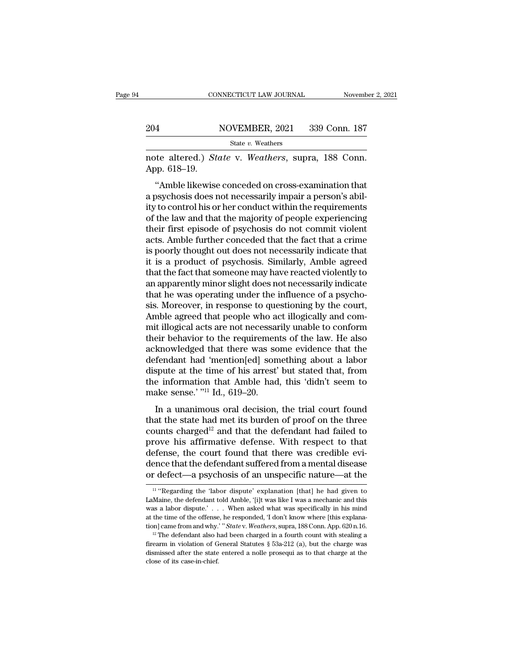# EXECUTE CONNECTICUT LAW JOURNAL Movember 2, 2021<br>204 NOVEMBER, 2021 339 Conn. 187<br>329 State v. Weathers

State *v.* Weathers

note altered.) *State* v. *Weathers*, supra, 188 Conn. 204<br>
note altered.) *St*<br>
App. 618–19.<br>
"Amble likewise

NOVEMBER, 2021 339 Conn. 187<br>
State v. Weathers<br>
te altered.) *State* v. *Weathers*, supra, 188 Conn.<br>
pp. 618–19.<br>
"Amble likewise conceded on cross-examination that<br>
psychosis does not necessarily impair a person's abil-204 NOVEMBER, 2021 339 Conn. 187<br>
state v. Weathers<br>
note altered.) State v. Weathers, supra, 188 Conn.<br>
App. 618–19.<br>
"Amble likewise conceded on cross-examination that<br>
a psychosis does not necessarily impair a person's State v. Weathers<br>
interval and the v. Weathers, supra, 188 Conn.<br>
App. 618–19.<br>
"Amble likewise conceded on cross-examination that<br>
a psychosis does not necessarily impair a person's abil-<br>
ity to control his or her cond note altered.) *State* v. *Weathers*, supra, 188 Conn.<br>App. 618–19.<br>"Amble likewise conceded on cross-examination that<br>a psychosis does not necessarily impair a person's abil-<br>ity to control his or her conduct within the r there are all the view of the view of the supplementation that<br>App. 618–19.<br>"Amble likewise conceded on cross-examination that<br>a psychosis does not necessarily impair a person's ability<br>to control his or her conduct within App. 010–15.<br>
"Amble likewise conceded on cross-examination that<br>
a psychosis does not necessarily impair a person's abil-<br>
ity to control his or her conduct within the requirements<br>
of the law and that the majority of pe "Amble likewise conceded on cross-examination that<br>a psychosis does not necessarily impair a person's abil-<br>ity to control his or her conduct within the requirements<br>of the law and that the majority of people experiencing<br> a psychosis does not necessarily impair a person's ability to control his or her conduct within the requirements<br>of the law and that the majority of people experiencing<br>their first episode of psychosis do not commit violen ity to control his or her conduct within the requirements<br>of the law and that the majority of people experiencing<br>their first episode of psychosis do not commit violent<br>acts. Amble further conceded that the fact that a cri of the law and that the majority of people experiencing<br>their first episode of psychosis do not commit violent<br>acts. Amble further conceded that the fact that a crime<br>is poorly thought out does not necessarily indicate tha their first episode of psychosis do not commit violent<br>acts. Amble further conceded that the fact that a crime<br>is poorly thought out does not necessarily indicate that<br>it is a product of psychosis. Similarly, Amble agreed<br> acts. Amble further conceded that the fact that a crime<br>is poorly thought out does not necessarily indicate that<br>it is a product of psychosis. Similarly, Amble agreed<br>that the fact that someone may have reacted violently t is poorly thought out does not necessarily indicate that<br>it is a product of psychosis. Similarly, Amble agreed<br>that the fact that someone may have reacted violently to<br>an apparently minor slight does not necessarily indica it is a product of psychosis. Similarly, Amble agreed<br>that the fact that someone may have reacted violently to<br>an apparently minor slight does not necessarily indicate<br>that he was operating under the influence of a psychothat the fact that someone may have reacted violently to<br>an apparently minor slight does not necessarily indicate<br>that he was operating under the influence of a psycho-<br>sis. Moreover, in response to questioning by the cour an apparently minor slight does not necessarily indicate<br>that he was operating under the influence of a psycho-<br>sis. Moreover, in response to questioning by the court,<br>Amble agreed that people who act illogically and com-<br> that he was operating under the influence of a psychosis. Moreover, in response to questioning by the court,<br>Amble agreed that people who act illogically and commit illogical acts are not necessarily unable to conform<br>thei sis. Moreover, in response to questioning by the court,<br>Amble agreed that people who act illogically and com-<br>mit illogical acts are not necessarily unable to conform<br>their behavior to the requirements of the law. He also<br> Amble agreed that people who act illogically and com-<br>mit illogical acts are not necessarily unable to conform<br>their behavior to the requirements of the law. He also<br>acknowledged that there was some evidence that the<br>defen mit illogical acts are not necessar<br>their behavior to the requiremen<br>acknowledged that there was so<br>defendant had 'mention[ed] som<br>dispute at the time of his arrest'<br>the information that Amble had<br>make sense.' "<sup>11</sup> Id., 6 En behavior to the requirements of the faw. The also<br>knowledged that there was some evidence that the<br>fendant had 'mention[ed] something about a labor<br>spute at the time of his arrest' but stated that, from<br>e information t defendant had 'mention[ed] something about a labor<br>dispute at the time of his arrest' but stated that, from<br>the information that Amble had, this 'didn't seem to<br>make sense.' "<sup>11</sup> Id., 619–20.<br>In a unanimous oral decision

dispute at the time of his arrest' but stated that, from<br>the information that Amble had, this 'didn't seem to<br>make sense.' "<sup>11</sup> Id., 619–20.<br>In a unanimous oral decision, the trial court found<br>that the state had met its make sense.' "<sup>11</sup> Id., 619–20.<br>In a unanimous oral decision, the trial court found<br>that the state had met its burden of proof on the three<br>counts charged<sup>12</sup> and that the defendant had failed to<br>prove his affirmative def make sense.' "<sup>11</sup> Id., 619–20.<br>In a unanimous oral decision, the trial court found<br>that the state had met its burden of proof on the three<br>counts charged<sup>12</sup> and that the defendant had failed to<br>prove his affirmative def In a unanimous oral decision, the trial court found<br>that the state had met its burden of proof on the three<br>counts charged<sup>12</sup> and that the defendant had failed to<br>prove his affirmative defense. With respect to that<br>defen In a unanimous oral decision, the trial court found<br>that the state had met its burden of proof on the three<br>counts charged<sup>12</sup> and that the defendant had failed to<br>prove his affirmative defense. With respect to that<br>defen rove his affirmative defense. With respect to that<br>efense, the court found that there was credible evi-<br>ence that the defendant suffered from a mental disease<br>r defect—a psychosis of an unspecific nature—at the<br><sup>11</sup> "Regar defense, the court found that there was credible evi-<br>dence that the defendant suffered from a mental disease<br>or defect—a psychosis of an unspecific nature—at the<br> $\frac{11 \text{``Regarding the 'labor dispute''}}{11 \text{``Regarding the 'labor dispute''}}$  explanation [that] he

dence that the defendant suffered from a mental disease<br>or defect—a psychosis of an unspecific nature—at the<br> $\frac{11}{11}$  "Regarding the 'labor dispute' explanation [that] he had given to<br>LaMaine, the defendant told Amble, at the time of the time of an unspecific nature—at the order of the response of an unspecific nature—at the  $\frac{11}{11}$  "Regarding the 'labor dispute' explanation [that] he had given to LaMaine, the defendant told Amble, If "Regarding the 'labor dispute' explanation [that] he had given to LaMaine, the defendant told Amble, '[i]t was like I was a mechanic and this was a labor dispute.' . . . When asked what was specifically in his mind at t LaMaine, the defendant told Amble, '[i]t was like I was a mechanic and this was a labor dispute.' . . . When asked what was specifically in his mind at the time of the offense, he responded, 'I don't know where [this expl at the time of the offense, he responded, 'I don't know where [this explana-

was a labor dispute.'... When asked what was specifically in his mind<br>at the time of the offense, he responded, 'I don't know where [this explana-<br>tion] came from and why.' "State v. Weathers, supra, 188 Conn. App. 620 n.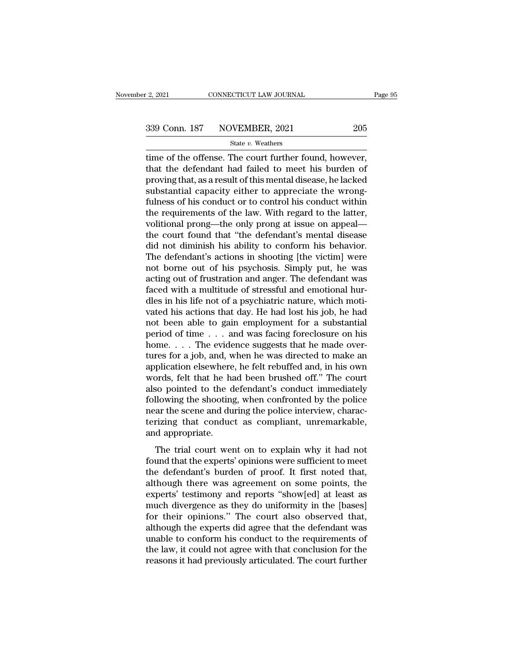$\frac{1}{2}$ , 2021 CONNECTICUT LAW JOURNAL Page<br>339 Conn. 187 NOVEMBER, 2021 205<br>5 State v. Weathers<br>time of the offense. The court further found, however,<br>that the defendant had failed to meet his burden of 339 Conn. 187 NOVEMBER, 2021 205<br>State v. Weathers<br>time of the offense. The court further found, however,<br>that the defendant had failed to meet his burden of<br>proving that, as a result of this mental disease, he lacked<br>subs 339 Conn. 187 NOVEMBER, 2021 205<br>
State v. Weathers<br>
time of the offense. The court further found, however,<br>
that the defendant had failed to meet his burden of<br>
proving that, as a result of this mental disease, he lacked 339 Conn. 187 NOVEMBER, 2021 205<br>
State v. Weathers<br>
time of the offense. The court further found, however,<br>
that the defendant had failed to meet his burden of<br>
proving that, as a result of this mental disease, he lacked State v. Weathers<br>
full the offense. The court further found, however,<br>
that the defendant had failed to meet his burden of<br>
proving that, as a result of this mental disease, he lacked<br>
substantial capacity either to appre state v. weathers<br>time of the offense. The court further found, however,<br>that the defendant had failed to meet his burden of<br>proving that, as a result of this mental disease, he lacked<br>substantial capacity either to appre time of the offense. The court further found, however,<br>that the defendant had failed to meet his burden of<br>proving that, as a result of this mental disease, he lacked<br>substantial capacity either to appreciate the wrong-<br>fu that the defendant had failed to meet his burden of<br>proving that, as a result of this mental disease, he lacked<br>substantial capacity either to appreciate the wrong-<br>fulness of his conduct or to control his conduct within<br>t proving that, as a result of this mental disease, he lacked<br>substantial capacity either to appreciate the wrong-<br>fulness of his conduct or to control his conduct within<br>the requirements of the law. With regard to the latte substantial capacity either to appreciate the wrong-<br>fulness of his conduct or to control his conduct within<br>the requirements of the law. With regard to the latter,<br>volitional prong—the only prong at issue on appeal—<br>the c fulness of his conduct or to control his conduct within<br>the requirements of the law. With regard to the latter,<br>volitional prong—the only prong at issue on appeal—<br>the court found that "the defendant's mental disease<br>did n the requirements of the law. With regard to the latter,<br>volitional prong—the only prong at issue on appeal—<br>the court found that "the defendant's mental disease<br>did not diminish his ability to conform his behavior.<br>The def volitional prong—the only prong at issue on appeal—<br>the court found that "the defendant's mental disease<br>did not diminish his ability to conform his behavior.<br>The defendant's actions in shooting [the victim] were<br>not borne the court found that "the defendant's mental disease<br>did not diminish his ability to conform his behavior.<br>The defendant's actions in shooting [the victim] were<br>not borne out of his psychosis. Simply put, he was<br>acting out did not diminish his ability to conform his behavior.<br>The defendant's actions in shooting [the victim] were<br>not borne out of his psychosis. Simply put, he was<br>acting out of frustration and anger. The defendant was<br>faced wi The defendant's actions in shooting [the victim] were<br>not borne out of his psychosis. Simply put, he was<br>acting out of frustration and anger. The defendant was<br>faced with a multitude of stressful and emotional hur-<br>dles i not borne out of his psychosis. Simply put, he was<br>acting out of frustration and anger. The defendant was<br>faced with a multitude of stressful and emotional hur-<br>dles in his life not of a psychiatric nature, which moti-<br>va acting out of frustration and anger. The defendant was<br>faced with a multitude of stressful and emotional hur-<br>dles in his life not of a psychiatric nature, which moti-<br>vated his actions that day. He had lost his job, he h faced with a multitude of stressful and emotional hurdles in his life not of a psychiatric nature, which motivated his actions that day. He had lost his job, he had not been able to gain employment for a substantial perio dles in his life not of a psychiatric nature, which motivated his actions that day. He had lost his job, he had<br>not been able to gain employment for a substantial<br>period of time . . . and was facing foreclosure on his<br>home vated his actions that day. He had lost his job, he had<br>not been able to gain employment for a substantial<br>period of time  $\ldots$  and was facing foreclosure on his<br>home.  $\ldots$  The evidence suggests that he made over-<br>tures not been able to gain employment for a substantial<br>period of time . . . and was facing foreclosure on his<br>home. . . . The evidence suggests that he made over-<br>tures for a job, and, when he was directed to make an<br>applicat period of time  $\ldots$  and was facing foreclosure on his<br>home.  $\ldots$  The evidence suggests that he made over-<br>tures for a job, and, when he was directed to make an<br>application elsewhere, he felt rebuffed and, in his own<br>wor home. . . . The evidence suggests that he made over-<br>tures for a job, and, when he was directed to make an<br>application elsewhere, he felt rebuffed and, in his own<br>words, felt that he had been brushed off." The court<br>also tures for a job, and, when he was directed to make an application elsewhere, he felt rebuffed and, in his own words, felt that he had been brushed off." The court also pointed to the defendant's conduct immediately followi application elsewhere<br>words, felt that he ha<br>also pointed to the d<br>following the shooting<br>near the scene and du<br>terizing that conduc<br>and appropriate.<br>The trial court wer Fras, the and he had seen stasked on. The coald<br>so pointed to the defendant's conduct immediately<br>llowing the shooting, when confronted by the police<br>ar the scene and during the police interview, charac-<br>rizing that conduc following the shooting, when confronted by the police<br>near the scene and during the police interview, charac-<br>terizing that conduct as compliant, unremarkable,<br>and appropriate.<br>The trial court went on to explain why it had

tendantly are shooting, when controlled by the police<br>near the scene and during the police interview, characterizing that conduct as compliant, unremarkable,<br>and appropriate.<br>The trial court went on to explain why it had n recal alternation and alternative system and appropriate.<br>
and appropriate.<br>
The trial court went on to explain why it had not<br>
found that the experts' opinions were sufficient to meet<br>
the defendant's burden of proof. It experience the trial court went on to explain why it had not<br>found that the experts' opinions were sufficient to meet<br>the defendant's burden of proof. It first noted that,<br>although there was agreement on some points, the<br>e The trial court went on to explain why it had not<br>found that the experts' opinions were sufficient to meet<br>the defendant's burden of proof. It first noted that,<br>although there was agreement on some points, the<br>experts' tes The trial court went on to explain why it had not<br>found that the experts' opinions were sufficient to meet<br>the defendant's burden of proof. It first noted that,<br>although there was agreement on some points, the<br>experts' tes found that the experts' opinions were sufficient to meet<br>the defendant's burden of proof. It first noted that,<br>although there was agreement on some points, the<br>experts' testimony and reports "show[ed] at least as<br>much dive the defendant's burden of proof. It first noted that,<br>although there was agreement on some points, the<br>experts' testimony and reports "show[ed] at least as<br>much divergence as they do uniformity in the [bases]<br>for their opi although there was agreement on some points, the<br>experts' testimony and reports "show[ed] at least as<br>much divergence as they do uniformity in the [bases]<br>for their opinions." The court also observed that,<br>although the exp experts' testimony and reports "show[ed] at least as<br>much divergence as they do uniformity in the [bases]<br>for their opinions." The court also observed that,<br>although the experts did agree that the defendant was<br>unable to c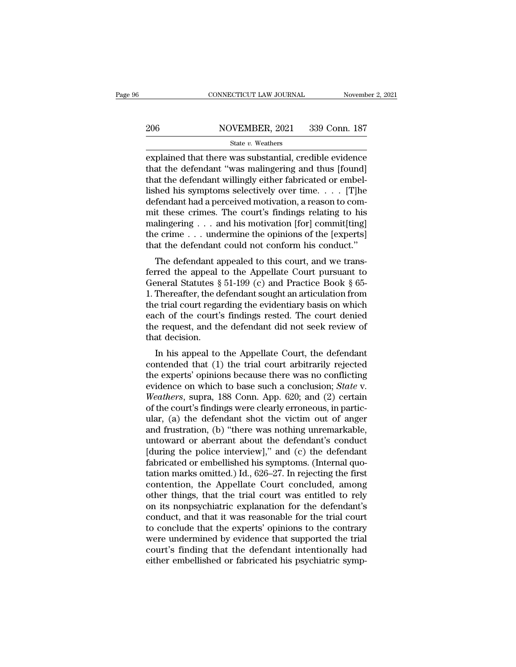EXERET CONNECTICUT LAW JOURNAL Movember 2, 2021<br>
206 NOVEMBER, 2021 339 Conn. 187<br>
State v. Weathers<br>
explained that there was substantial, credible evidence<br>
that the defendant "was malingering and thus [found]<br>
that the 206 NOVEMBER, 2021 339 Conn. 187<br>
State v. Weathers<br>
explained that there was substantial, credible evidence<br>
that the defendant "was malingering and thus [found]<br>
that the defendant willingly either fabricated or embel-<br> 206 NOVEMBER, 2021 339 Conn. 187<br>
State v. Weathers<br>
explained that there was substantial, credible evidence<br>
that the defendant "was malingering and thus [found]<br>
that the defendant willingly either fabricated or embel-<br> 206 NOVEMBER, 2021 339 Conn. 187<br>
State v. Weathers<br>
explained that there was substantial, credible evidence<br>
that the defendant "was malingering and thus [found]<br>
that the defendant willingly either fabricated or embel-<br> State v. Weathers<br>
State v. Weathers<br>
explained that there was substantial, credible evidence<br>
that the defendant "was malingering and thus [found]<br>
that the defendant willingly either fabricated or embel-<br>
lished his sym state v. Weathers<br>explained that there was substantial, credible evidence<br>that the defendant "was malingering and thus [found]<br>that the defendant willingly either fabricated or embel-<br>lished his symptoms selectively over explained that there was substantial, credible evidence<br>that the defendant "was malingering and thus [found]<br>that the defendant willingly either fabricated or embel-<br>lished his symptoms selectively over time. . . . [T]he<br>d that the defendant "was malingering and thus [found]<br>that the defendant willingly either fabricated or embel-<br>lished his symptoms selectively over time. . . . . [T]he<br>defendant had a perceived motivation, a reason to comthat the defendant willingly either fabricated or embel-<br>lished his symptoms selectively over time.... [T]he<br>defendant had a perceived motivation, a reason to com-<br>mit these crimes. The court's findings relating to his<br>ma The defendant appealed to this court, and we trans-<br>The defendant had a perceived motivation, a reason to com-<br>it these crimes. The court's findings relating to his<br>alingering . . . and his motivation [for] commit[ting]<br>e defendant had a perceived motivation, a reason to com-<br>mit these crimes. The court's findings relating to his<br>malingering . . . and his motivation [for] commit[ting]<br>the crime . . . undermine the opinions of the [experts]

Finit these crimes. The court's intuitigs relating to its<br>malingering . . . and his motivation [for] commit[ting]<br>the crime . . . undermine the opinions of the [experts]<br>that the defendant could not conform his conduct."<br> the crime . . . and its inotivation [for] Committed the crime the crime . . . undermine the opinions of the [experts] that the defendant could not conform his conduct."<br>The defendant appealed to this court, and we transfe that the defendant could not conform his conduct."<br>The defendant could not conform his conduct."<br>The defendant appealed to this court, and we trans-<br>ferred the appeal to the Appellate Court pursuant to<br>General Statutes  $\S$ The defendant could not comform its conduct.<br>The defendant appealed to this court, and we transferred the appeal to the Appellate Court pursuant to<br>General Statutes § 51-199 (c) and Practice Book § 65-<br>1. Thereafter, the The defendant appealed to this court, and we transferred the appeal to the Appellate Court pursuant to General Statutes  $\S 51-199$  (c) and Practice Book  $\S 65-1$ . Thereafter, the defendant sought an articulation from the % ferred the appeal to the Appellate Court pursuant to General Statutes  $\S$  51-199 (c) and Practice Book  $\S$  65-1. Thereafter, the defendant sought an articulation from the trial court regarding the evidentiary basis on w Fileral statutes  $\S 51-159$  (C) and Fractice Book  $\S 65$ -Thereafter, the defendant sought an articulation from<br>e trial court regarding the evidentiary basis on which<br>ch of the court's findings rested. The court denied<br>e r r. Thereatter, the defendant solight an articulation from<br>the trial court regarding the evidentiary basis on which<br>each of the court's findings rested. The court denied<br>the request, and the defendant did not seek review of

the that court regarding the evidentiary basis on which<br>each of the court's findings rested. The court denied<br>the request, and the defendant did not seek review of<br>that decision.<br>In his appeal to the Appellate Court, the each of the court's intuitings rested. The court defied<br>the request, and the defendant did not seek review of<br>that decision.<br>In his appeal to the Appellate Court, the defendant<br>contended that (1) the trial court arbitraril In this appeal to the Appellate Court, the defendant<br>
In his appeal to the Appellate Court, the defendant<br>
contended that (1) the trial court arbitrarily rejected<br>
the experts' opinions because there was no conflicting<br>
ev In his appeal to the Appellate Court, the defendant<br>contended that (1) the trial court arbitrarily rejected<br>the experts' opinions because there was no conflicting<br>evidence on which to base such a conclusion; *State v*.<br>We In his appeal to the Appellate Court, the defendant<br>contended that (1) the trial court arbitrarily rejected<br>the experts' opinions because there was no conflicting<br>evidence on which to base such a conclusion; *State* v.<br>*We* contended that (1) the trial court arbitrarily rejected<br>the experts' opinions because there was no conflicting<br>evidence on which to base such a conclusion; *State* v.<br>Weathers, supra, 188 Conn. App. 620; and (2) certain<br>of the experts' opinions because there was no conflicting<br>evidence on which to base such a conclusion; *State* v.<br>Weathers, supra, 188 Conn. App. 620; and (2) certain<br>of the court's findings were clearly erroneous, in particevidence on which to base such a conclusion; *State* v.<br>Weathers, supra, 188 Conn. App. 620; and (2) certain<br>of the court's findings were clearly erroneous, in partic-<br>ular, (a) the defendant shot the victim out of anger<br> Weathers, supra, 188 Conn. App. 620; and (2) certain<br>of the court's findings were clearly erroneous, in partic-<br>ular, (a) the defendant shot the victim out of anger<br>and frustration, (b) "there was nothing unremarkable,<br>unt of the court's findings were clearly erroneous, in particular, (a) the defendant shot the victim out of anger<br>and frustration, (b) "there was nothing unremarkable,<br>untoward or aberrant about the defendant's conduct<br>[during ular, (a) the defendant shot the victim out of anger<br>and frustration, (b) "there was nothing unremarkable,<br>untoward or aberrant about the defendant's conduct<br>[during the police interview]," and (c) the defendant<br>fabricated and frustration, (b) "there was nothing unremarkable,<br>untoward or aberrant about the defendant's conduct<br>[during the police interview]," and (c) the defendant<br>fabricated or embellished his symptoms. (Internal quo-<br>tation m untoward or aberrant about the defendant's conduct<br>[during the police interview]," and (c) the defendant<br>fabricated or embellished his symptoms. (Internal quo-<br>tation marks omitted.) Id., 626–27. In rejecting the first<br>con [during the police interview]," and (c) the defendant<br>fabricated or embellished his symptoms. (Internal quo-<br>tation marks omitted.) Id., 626–27. In rejecting the first<br>contention, the Appellate Court concluded, among<br>othe fabricated or embellished his symptoms. (Internal quotation marks omitted.) Id., 626–27. In rejecting the first contention, the Appellate Court concluded, among other things, that the trial court was entitled to rely on it tation marks omitted.) Id., 626–27. In rejecting the first<br>contention, the Appellate Court concluded, among<br>other things, that the trial court was entitled to rely<br>on its nonpsychiatric explanation for the defendant's<br>cond contention, the Appellate Court concluded, among<br>other things, that the trial court was entitled to rely<br>on its nonpsychiatric explanation for the defendant's<br>conduct, and that it was reasonable for the trial court<br>to conc other things, that the trial court was entitled to rely<br>on its nonpsychiatric explanation for the defendant's<br>conduct, and that it was reasonable for the trial court<br>to conclude that the experts' opinions to the contrary<br>w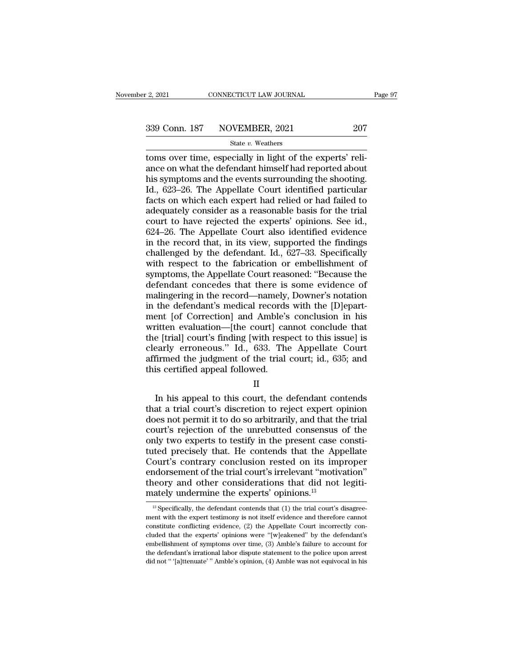# $\frac{2,2021}{2}$  CONNECTICUT LAW JOURNAL Page 97<br>339 Conn. 187 NOVEMBER, 2021 207<br>State v. Weathers

### State *v.* Weathers

The 2, 2021 CONNECTICUT LAW JOURNAL<br>
207 State v. Weathers<br>
207 State v. Weathers<br>
207 State v. Weathers<br>
207 State v. Weathers<br>
207 State v. Weathers<br>
207 State v. Weathers<br>
207 State v. Weathers<br>
207 State v. Weathers<br>
2  $\begin{array}{r} \text{339 Conn. 187} \quad \text{NOVEMBER, 2021} \quad \text{207} \\\text{State $v$. Weather} \end{array}$ <br>
toms over time, especially in light of the experts' reliance on what the defendant himself had reported about<br>
his symptoms and the events surrounding the 339 Conn. 187 NOVEMBER, 2021 207<br>
State v. Weathers<br>
toms over time, especially in light of the experts' reli-<br>
ance on what the defendant himself had reported about<br>
his symptoms and the events surrounding the shooting.<br> 339 Conn. 187 NOVEMBER, 2021 207<br>
State v. Weathers<br>
toms over time, especially in light of the experts' reli-<br>
ance on what the defendant himself had reported about<br>
his symptoms and the events surrounding the shooting.<br> Solution of the VERBER, 2021<br>
State v. Weathers<br>
toms over time, especially in light of the experts' reli-<br>
ance on what the defendant himself had reported about<br>
his symptoms and the events surrounding the shooting.<br>
Id. state v. Weathers<br>toms over time, especially in light of the experts' reli-<br>ance on what the defendant himself had reported about<br>his symptoms and the events surrounding the shooting.<br>Id., 623–26. The Appellate Court iden toms over time, especially in light of the experts' reliance on what the defendant himself had reported about<br>his symptoms and the events surrounding the shooting.<br>Id., 623–26. The Appellate Court identified particular<br>fac ance on what the defendant himself had reported about<br>his symptoms and the events surrounding the shooting.<br>Id., 623–26. The Appellate Court identified particular<br>facts on which each expert had relied or had failed to<br>ade his symptoms and the events surrounding the shooting.<br>Id., 623–26. The Appellate Court identified particular<br>facts on which each expert had relied or had failed to<br>adequately consider as a reasonable basis for the trial<br>co Id., 623–26. The Appellate Court identified particular<br>facts on which each expert had relied or had failed to<br>adequately consider as a reasonable basis for the trial<br>court to have rejected the experts' opinions. See id.,<br>6 facts on which each expert had relied or had failed to<br>adequately consider as a reasonable basis for the trial<br>court to have rejected the experts' opinions. See id.,<br>624–26. The Appellate Court also identified evidence<br>in adequately consider as a reasonable basis for the trial<br>court to have rejected the experts' opinions. See id.,<br>624–26. The Appellate Court also identified evidence<br>in the record that, in its view, supported the findings<br>ch court to have rejected the experts' opinions. See id.,<br>624–26. The Appellate Court also identified evidence<br>in the record that, in its view, supported the findings<br>challenged by the defendant. Id., 627–33. Specifically<br>wit 624–26. The Appellate Court also identified evidence<br>in the record that, in its view, supported the findings<br>challenged by the defendant. Id., 627–33. Specifically<br>with respect to the fabrication or embellishment of<br>sympt in the record that, in its view, supported the findings<br>challenged by the defendant. Id., 627–33. Specifically<br>with respect to the fabrication or embellishment of<br>symptoms, the Appellate Court reasoned: "Because the<br>defend challenged by the defendant. Id., 627–33. Specifically<br>with respect to the fabrication or embellishment of<br>symptoms, the Appellate Court reasoned: "Because the<br>defendant concedes that there is some evidence of<br>malingering with respect to the fabrication or embellishment of<br>symptoms, the Appellate Court reasoned: "Because the<br>defendant concedes that there is some evidence of<br>malingering in the record—namely, Downer's notation<br>in the defendan symptoms, the Appellate Court reasoned: "Because the<br>defendant concedes that there is some evidence of<br>malingering in the record—namely, Downer's notation<br>in the defendant's medical records with the [D]epart-<br>ment [of Corr defendant concedes that there is some evidence of<br>malingering in the record—namely, Downer's notation<br>in the defendant's medical records with the [D]epart-<br>ment [of Correction] and Amble's conclusion in his<br>written evaluat malingering in the record—namely, Downer's notation<br>in the defendant's medical records with the [D]epart-<br>ment [of Correction] and Amble's conclusion in his<br>written evaluation—[the court] cannot conclude that<br>the [trial] c in the defendant's medical records<br>ment [of Correction] and Amble's<br>written evaluation—[the court] ca<br>the [trial] court's finding [with resp<br>clearly erroneous.'' Id., 633. The<br>affirmed the judgment of the trial<br>this certif In the court of the trial court of the sissue is<br>early erroneous." Id., 633. The Appellate Court<br>firmed the judgment of the trial court; id., 635; and<br>is certified appeal followed.<br>II<br>In his appeal to this court, the defen

### II

the [that] courts finding [with respect to this issue] is<br>clearly erroneous." Id., 633. The Appellate Court<br>affirmed the judgment of the trial court; id., 635; and<br>this certified appeal followed.<br>II<br>In his appeal to this c does not permit it to do so arbitrarily, and this certified appeal followed.<br>
II<br>
In his appeal to this court, the defendant contends<br>
that a trial court's discretion to reject expert opinion<br>
does not permit it to do so a and this certified appeal followed.<br>
II<br>
In his appeal to this court, the defendant contends<br>
that a trial court's discretion to reject expert opinion<br>
does not permit it to do so arbitrarily, and that the trial<br>
court's r  $\rm H$ <br>In his appeal to this court, the defendant contends<br>that a trial court's discretion to reject expert opinion<br>does not permit it to do so arbitrarily, and that the trial<br>court's rejection of the unrebutted consensus II<br>In his appeal to this court, the defendant contends<br>that a trial court's discretion to reject expert opinion<br>does not permit it to do so arbitrarily, and that the trial<br>court's rejection of the unrebutted consensus of t In his appeal to this court, the defendant contends<br>that a trial court's discretion to reject expert opinion<br>does not permit it to do so arbitrarily, and that the trial<br>court's rejection of the unrebutted consensus of the<br> that a trial court's discretion to reject expert opinion<br>does not permit it to do so arbitrarily, and that the trial<br>court's rejection of the unrebutted consensus of the<br>only two experts to testify in the present case cons does not permit it to do so arbitrarily, and that the trial<br>court's rejection of the unrebutted consensus of the<br>only two experts to testify in the present case consti-<br>tuted precisely that. He contends that the Appellate<br> court's rejection of the unrebutted consensus<br>only two experts to testify in the present case of<br>tuted precisely that. He contends that the App<br>Court's contrary conclusion rested on its imp<br>endorsement of the trial court' ourt's contrary conclusion rested on its improper<br>ndorsement of the trial court's irrelevant "motivation"<br>neory and other considerations that did not legiti-<br>ately undermine the experts' opinions.<sup>13</sup><br><sup>13</sup> Specifically, th endorsement of the trial court's irrelevant "motivation"<br>theory and other considerations that did not legiti-<br>mately undermine the experts' opinions.<sup>13</sup><br> $\frac{13}{13}$  Specifically, the defendant contends that (1) the trial

theory and other considerations that did not legitimately undermine the experts' opinions.<sup>13</sup><br> $B_{\text{specifically, the defendant contents that (1) the trial court's disagree-  
ment with the expert testimony is not itself evidence and therefore cannot constitute conflicting evidence, (2) the Appellate Court incorrectly con-  
cluded that the experts' opinions were "[wleakened" by the defendant's$ mately undermine the experts' opinions.<sup>13</sup><br>
<sup>13</sup> Specifically, the defendant contends that (1) the trial court's disagreement with the expert testimony is not itself evidence and therefore cannot constitute conflicting e Electrically underfullie the experts opinions.<br>
<sup>13</sup> Specifically, the defendant contends that (1) the trial court's disagreement with the expert testimony is not itself evidence and therefore cannot constitute conflictin <sup>13</sup> Specifically, the defendant contends that (1) the trial court's disagreement with the expert testimony is not itself evidence and therefore cannot constitute conflicting evidence, (2) the Appellate Court incorrectly ment with the expert testimony is not itself evidence and therefore cannot constitute conflicting evidence,  $(2)$  the Appellate Court incorrectly concluded that the experts' opinions were "[w]eakened" by the defendant's e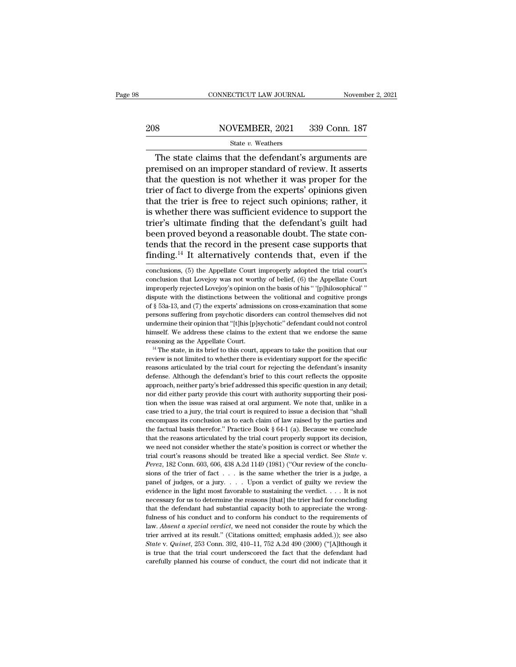# EXECUTE CONNECTICUT LAW JOURNAL Movember 2, 2021<br>208 NOVEMBER, 2021 339 Conn. 187<br>208 State v. Weathers

### State *v.* Weathers

 $\frac{\text{COMNETICUT LAW JOURNAL}}{\text{SUSUENBER}, 2021}$  and  $\frac{\text{SUSUENBER}}{\text{SUSU}}$  and  $\frac{\text{SUSU}}{\text{SUSU}}$ <br>
The state claims that the defendant's arguments are emised on an improper standard of review. It asserts at the question is not whether it Premised on an improper standard of review. It asserts<br>that the question is not whether it was proper for the trier of fact to diverge from the experts' opinions given 208 NOVEMBER, 2021 339 Conn. 187<br>
State v. Weathers<br>
The state claims that the defendant's arguments are<br>
premised on an improper standard of review. It asserts<br>
that the question is not whether it was proper for the<br>
tri 208 NOVEMBER, 2021 339 Conn. 187<br>
State v. Weathers<br>
The state claims that the defendant's arguments are<br>
premised on an improper standard of review. It asserts<br>
that the question is not whether it was proper for the<br>
tri The state claims that the defendant's arguments are<br>premised on an improper standard of review. It asserts<br>that the question is not whether it was proper for the<br>trier of fact to diverge from the experts' opinions given<br>t state  $v$ . Weathers<br>
The state claims that the defendant's arguments are<br>
premised on an improper standard of review. It asserts<br>
that the question is not whether it was proper for the<br>
trier of fact to diverge from the e The state claims that the defendant's arguments are<br>premised on an improper standard of review. It asserts<br>that the question is not whether it was proper for the<br>trier of fact to diverge from the experts' opinions given<br>th premised on an improper standard of review. It asserts<br>that the question is not whether it was proper for the<br>trier of fact to diverge from the experts' opinions given<br>that the trier is free to reject such opinions; rather that the question is not whether it was proper for the<br>trier of fact to diverge from the experts' opinions given<br>that the trier is free to reject such opinions; rather, it<br>is whether there was sufficient evidence to suppor trier of fact to diverge from the experts' opinions given<br>that the trier is free to reject such opinions; rather, it<br>is whether there was sufficient evidence to support the<br>trier's ultimate finding that the defendant's gui trier's ultimate finding that the defendant's guilt had<br>been proved beyond a reasonable doubt. The state con-<br>tends that the record in the present case supports that<br>finding.<sup>14</sup> It alternatively contends that, even if the been proved beyond a reasonable doubt. The state contends that the record in the present case supports that finding.<sup>14</sup> It alternatively contends that, even if the conclusions, (5) the Appellate Court improperly adopted t

tends that the record in the present case supports that finding.<sup>14</sup> It alternatively contends that, even if the conclusions, (5) the Appellate Court improperly adopted the trial court's conclusion that Lovejoy was not wo finding.<sup>14</sup> It alternatively contends that, even if the conclusions, (5) the Appellate Court improperly adopted the trial court's conclusion that Lovejoy was not worthy of belief, (6) the Appellate Court improperly rejec Interiors, (5) the Appellate Court improperly adopted the trial court's<br>conclusions, (5) the Appellate Court improperly adopted the trial court's<br>conclusion that Lovejoy was not worthy of belief, (6) the Appellate Court<br>im conclusions, (5) the Appellate Court improperly adopted the trial court's<br>conclusion that Lovejoy was not worthy of belief, (6) the Appellate Court<br>improperly rejected Lovejoy's opinion on the basis of his " '[p]hilosophic conclusion that Lovejoy was not worthy of belief, (6) the Appellate Court<br>improperly rejected Lovejoy's opinion on the basis of his " '[p]hilosophical' "<br>dispute with the distinctions between the volitional and cognitive p improperly rejected Lovejoy's opinion on the basis of his "'[p]hilosophical'"<br>dispute with the distinctions between the volitional and cognitive prongs<br>of § 53a-13, and (7) the experts' admissions on cross-examination tha reasoning as the Appellate Court.<br>
dispute with the distinctions between the volitional and cognitive prongs<br>
of § 53a-13, and (7) the experts' admissions on cross-examination that some<br>
persons suffering from psychotic d Fresons suffering from psychotic disorders can control themselves did not undermine their opinion that "[t]his [p]sychotic" defendant could not control himself. We address these claims to the extent that we endorse the sa

performation that "[t]his [p]sychotic" defendant could not control<br>undermine their opinion that "[t]his [p]sychotic" defendant could not control<br>himself. We address these claims to the extent that we endorse the same<br>reaso definition and performance the same the extent that we endorse the same reasoning as the Appellate Court. <sup>14</sup> The state, in its brief to this court, appears to take the position that our review is not limited to whether t reasoning as the Appellate Court.<br><sup>14</sup> The state, in its brief to this court, appears to take the position that our<br>review is not limited to whether there is evidentiary support for the specific<br>reasons articulated by the <sup>14</sup> The state, in its brief to this court, appears to take the position that our review is not limited to whether there is evidentiary support for the specific reasons articulated by the trial court for rejecting the def The intertwice was raised at oral argument. We note that, unlike in a case tried to whether there is evidentiary support for the specific reasons articulated by the trial court for rejecting the defendant's insanity defens reasons articulated by the trial court for rejecting the defendant's insanity defense. Although the defendant's brief to this court reflects the opposite approach, neither party's brief addressed this specific question in defense. Although the defendant's brief to this court reflects the opposite approach, neither party's brief addressed this specific question in any detail; nor did either party provide this court with authority supporting approach, neither party's brief addressed this specific question in any detail;<br>nor did either party provide this court with authority supporting their posi-<br>ion when the issue was raised at oral argument. We note that, un that the reasons articulated by the rial court properly supporting their position when the issue was raised at oral argument. We note that, unlike in a case tried to a jury, the trial court is required to issue a decision From when the issue was raised at oral argument. We note that, unlike in a case tried to a jury, the trial court is required to issue a decision that "shall encompass its conclusion as to each claim of law raised by the p case tried to a jury, the trial court is required to issue a decision that "shall encompass its conclusion as to each claim of law raised by the parties and the factual basis therefor." Practice Book § 64-1 (a). Because we the factual basis therefor." Practice Book § 64-1 (a). Because we conclude that the reasons articulated by the trial court properly support its decision, we need not consider whether the state's position is correct or whe that the reasons articulated by the trial court properly support its decision, we need not consider whether the state's position is correct or whether the trial court's reasons should be treated like a special verdict. Se we need not consider whether the state's position is correct or whether the trial court's reasons should be treated like a special verdict. See *State* v. *Perez*, 182 Conn. 603, 606, 438 A.2d 1149 (1981) ("Our review of trial court's reasons should be treated like a special verdict. See *State* v.<br>*Perez*, 182 Conn. 603, 606, 438 A.2d 1149 (1981) ("Our review of the conclusions of the trier of fact . . . is the same whether the trier is *Perez*, 182 Conn. 603, 606, 438 A.2d 1149 (1981) ("Our review of the conclusions of the trier of fact . . . is the same whether the trier is a judge, a panel of judges, or a jury. . . . Upon a verdict of guilty we review full solve that the same whether the trier is a judge, a panel of judges, or a jury. . . . Upon a verdict of guilty we review the evidence in the light most favorable to sustaining the verdict. . . . It is not necessary f panel of judges, or a jury.  $\ldots$  Upon a verdict of guilty we review the evidence in the light most favorable to sustaining the verdict.  $\ldots$  It is not necessary for us to determine the reasons [that] the trier had for c perfect of at its result.'' (Citations omitted; emphasis added.)); see also state v. Quinet, 253 Conn. 392, 410-11, 752 A.2d 490 (2000) ("[A]]though it set  $\alpha$  it are  $\alpha$  it at its result.'' (Citations omitted; emphasis evidence in the light most favorable to sustaining the verdict. . . . . It is not necessary for us to determine the reasons [that] the trier had for concluding that the defendant had substantial capacity both to appreciat is that the defendant had substantial capacity both to appreciate the wrong-<br>fulness of his conduct and to conform his conduct to the requirements of<br>law. Absent a special verdict, we need not consider the route by which fulness of his conduct and to conform his conduct to the requirements of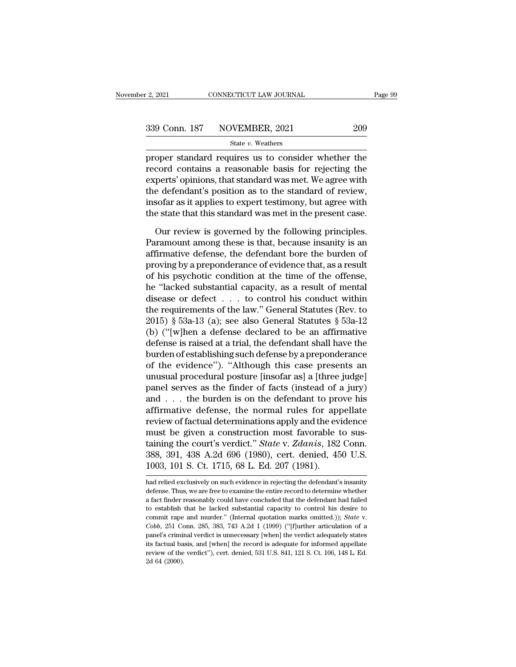Page 99<br>
2, 2021 CONNECTICUT LAW JOURNAL Page 99<br>
339 Conn. 187 NOVEMBER, 2021 209<br>
31 State v. Weathers<br>
proper standard requires us to consider whether the<br>
proper standard requires us to consider whether the<br>
properts' 339 Conn. 187 NOVEMBER, 2021 209<br>
State v. Weathers<br>
proper standard requires us to consider whether the<br>
record contains a reasonable basis for rejecting the<br>
experts' opinions, that standard was met. We agree with<br>
the 339 Conn. 187 NOVEMBER, 2021 209<br>
State v. Weathers<br>
proper standard requires us to consider whether the<br>
record contains a reasonable basis for rejecting the<br>
experts' opinions, that standard was met. We agree with<br>
the 339 Conn. 187 NOVEMBER, 2021 209<br>  $\frac{\text{State } v. \text{ Weather}}{\text{greater}}$ <br>
proper standard requires us to consider whether the<br>
record contains a reasonable basis for rejecting the<br>
experts' opinions, that standard was met. We agree with<br> State v. Weathers<br>proper standard requires us to consider whether the<br>record contains a reasonable basis for rejecting the<br>experts' opinions, that standard was met. We agree with<br>the defendant's position as to the standar state  $v$ . weathers<br>proper standard requires us to consider whether the<br>record contains a reasonable basis for rejecting the<br>experts' opinions, that standard was met. We agree with<br>the defendant's position as to the stand cord contains a reasonable basis for rejecting the<br>perts' opinions, that standard was met. We agree with<br>e defendant's position as to the standard of review,<br>sofar as it applies to expert testimony, but agree with<br>e state experts' opinions, that standard was met. We agree with<br>the defendant's position as to the standard of review,<br>insofar as it applies to expert testimony, but agree with<br>the state that this standard was met in the present c

the defendant's position as to the standard of review,<br>insofar as it applies to expert testimony, but agree with<br>the state that this standard was met in the present case.<br>Our review is governed by the following principles. insofar as it applies to expert testimony, but agree with<br>the state that this standard was met in the present case.<br>Our review is governed by the following principles.<br>Paramount among these is that, because insanity is an<br> the state that this standard was met in the present case.<br>
Our review is governed by the following principles.<br>
Paramount among these is that, because insanity is an<br>
affirmative defense, the defendant bore the burden of<br> Our review is governed by the following principles.<br>Paramount among these is that, because insanity is an affirmative defense, the defendant bore the burden of<br>proving by a preponderance of evidence that, as a result<br>of hi Our review is governed by the following principles.<br>Paramount among these is that, because insanity is an affirmative defense, the defendant bore the burden of<br>proving by a preponderance of evidence that, as a result<br>of h Paramount among these is that, because insanity is an affirmative defense, the defendant bore the burden of proving by a preponderance of evidence that, as a result of his psychotic condition at the time of the offense, h affirmative defense, the defendant bore the burden of<br>proving by a preponderance of evidence that, as a result<br>of his psychotic condition at the time of the offense,<br>he "lacked substantial capacity, as a result of mental<br> proving by a preponderance of evidence that, as a result<br>of his psychotic condition at the time of the offense,<br>he "lacked substantial capacity, as a result of mental<br>disease or defect . . . to control his conduct within<br> of his psychotic condition at the time of the offense,<br>he "lacked substantial capacity, as a result of mental<br>disease or defect . . . to control his conduct within<br>the requirements of the law." General Statutes (Rev. to<br>2 he "lacked substantial capacity, as a result of mental<br>disease or defect . . . to control his conduct within<br>the requirements of the law." General Statutes (Rev. to<br> $2015)$  § 53a-13 (a); see also General Statutes § 53a-12 disease or defect . . . to control his conduct within<br>the requirements of the law." General Statutes (Rev. to<br>2015) § 53a-13 (a); see also General Statutes § 53a-12<br>(b) ("[w]hen a defense declared to be an affirmative<br>defe the requirements of the law." General Statutes (Rev. to 2015) § 53a-13 (a); see also General Statutes § 53a-12 (b) ("[w]hen a defense declared to be an affirmative defense is raised at a trial, the defendant shall have th 2015) § 53a-13 (a); see also General Statutes § 53a-12<br>
(b) ("[w]hen a defense declared to be an affirmative<br>
defense is raised at a trial, the defendant shall have the<br>
burden of establishing such defense by a prepondera (b) ("[w]hen a defense declared to be an affirmative<br>defense is raised at a trial, the defendant shall have the<br>burden of establishing such defense by a preponderance<br>of the evidence"). "Although this case presents an<br>unu defense is raised at a trial, the defendant shall have the<br>burden of establishing such defense by a preponderance<br>of the evidence''). "Although this case presents an<br>unusual procedural posture [insofar as] a [three judge]<br> burden of establishing such defense by a preponderance<br>of the evidence"). "Although this case presents an<br>unusual procedural posture [insofar as] a [three judge]<br>panel serves as the finder of facts (instead of a jury)<br>and of the evidence"). "Although this case presents an unusual procedural posture [insofar as] a [three judge] panel serves as the finder of facts (instead of a jury) and . . . the burden is on the defendant to prove his affi unusual procedural posture [insofar as] a [three judge]<br>panel serves as the finder of facts (instead of a jury)<br>and . . . the burden is on the defendant to prove his<br>affirmative defense, the normal rules for appellate<br>revi panel serves as the finder of facts (instead of a jury) and . . . the burden is on the defendant to prove his affirmative defense, the normal rules for appellate review of factual determinations apply and the evidence mus and . . . the burden is on the defendant to proaffirmative defense, the normal rules for appreview of factual determinations apply and the ev must be given a construction most favorable t taining the court's verdict." *Sta* must be given a construction most favorable to sus-<br>taining the court's verdict." *State* v. *Zdanis*, 182 Conn.<br>388, 391, 438 A.2d 696 (1980), cert. denied, 450 U.S.<br>1003, 101 S. Ct. 1715, 68 L. Ed. 207 (1981).<br>had relied taining the court's verdict." State v. Zdanis, 182 Conn.<br>388, 391, 438 A.2d 696 (1980), cert. denied, 450 U.S.<br>1003, 101 S. Ct. 1715, 68 L. Ed. 207 (1981).<br>had relied exclusively on such evidence in rejecting the defendan

<sup>388, 391, 438</sup> A.2d 696 (1980), cert. denied, 450 U.S.<br>1003, 101 S. Ct. 1715, 68 L. Ed. 207 (1981).<br>had relied exclusively on such evidence in rejecting the defendant's insanity<br>defense. Thus, we are free to examine the ent 1003, 101 S. Ct. 1715, 68 L. Ed. 207 (1981).<br>
And relied exclusively on such evidence in rejecting the defendant's insanity<br>
defense. Thus, we are free to examine the entire record to determine whether<br>
a fact finder reas commit rape and murder.'' (Internal quotation marks omitted.)); *State* v. *Cobb*, 251 Conn. 285, 383, 743 A.2d 1 (1999) ("[f]urther articulation of a panel's criminal verdict is unnecessary [when] the verdict adequately s defense. Thus, we are free to examine the entire record to determine whether a fact finder reasonably could have concluded that the defendant had failed to establish that he lacked substantial capacity to control his desir a fact finder reasonably could have concluded that the defendant had failed to establish that he lacked substantial capacity to control his desire to commit rape and murder." (Internal quotation marks omitted.)); *State* review of the lacked substantial capacity to control his desire to commit rape and murder." (Internal quotation marks omitted.)); *State* v. *Cobb*, 251 Conn. 285, 383, 743 A.2d 1 (1999) ("[f]urther articulation of a panel commit rape and murder." (Internal quotation marks omitted.)); *State* v. *Cobb*, 251 Conn. 285, 383, 743 A.2d 1 (1999) ("[f]urther articulation of a panel's criminal verdict is unnecessary [when] the verdict adequately s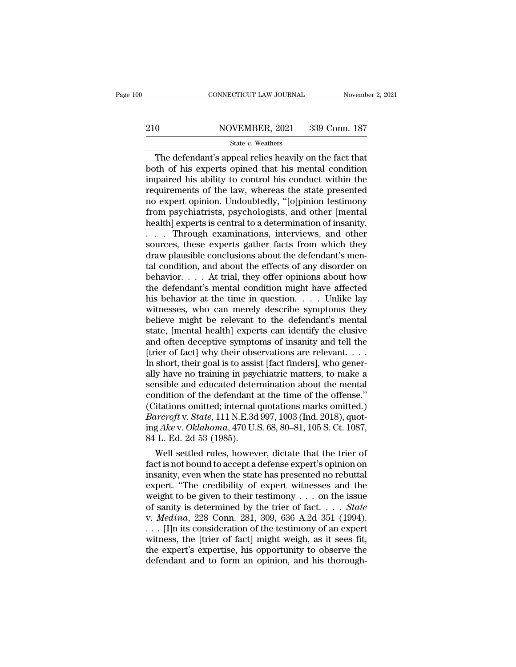# EXECUTE CONNECTICUT LAW JOURNAL Movember 2, 2021<br>210 NOVEMBER, 2021 339 Conn. 187<br>210 State v. Weathers

### State *v.* Weathers

CONNECTICUT LAW JOURNAL November 2, 202<br>
O NOVEMBER, 2021 339 Conn. 187<br>
State v. Weathers<br>
The defendant's appeal relies heavily on the fact that<br>
th of his experts opined that his mental condition<br>
noired his shilty to both of his experts opined that his mental condition<br>that of his experts opined that his mental condition<br>impaired his ability to control his conduct within the<br>requirements of the law whereas the state presented 210 NOVEMBER, 2021 339 Conn. 187<br>
State v. Weathers<br>
The defendant's appeal relies heavily on the fact that<br>
both of his experts opined that his mental condition<br>
impaired his ability to control his conduct within the<br>
re 210 NOVEMBER, 2021 339 Conn. 187<br>
State v. Weathers<br>
The defendant's appeal relies heavily on the fact that<br>
both of his experts opined that his mental condition<br>
impaired his ability to control his conduct within the<br>
re The defendant's appeal relies heavily on the fact that<br>both of his experts opined that his mental condition<br>impaired his ability to control his conduct within the<br>requirements of the law, whereas the state presented<br>no ex State v. Weathers<br>
The defendant's appeal relies heavily on the fact that<br>
both of his experts opined that his mental condition<br>
impaired his ability to control his conduct within the<br>
requirements of the law, whereas the The defendant's appeal relies heavily on the fact that<br>both of his experts opined that his mental condition<br>impaired his ability to control his conduct within the<br>requirements of the law, whereas the state presented<br>no exp both of his experts opined that his mental condition<br>impaired his ability to control his conduct within the<br>requirements of the law, whereas the state presented<br>no expert opinion. Undoubtedly, "[o]pinion testimony<br>from psy impaired his ability to control his conduct within the<br>requirements of the law, whereas the state presented<br>no expert opinion. Undoubtedly, "[o]pinion testimony<br>from psychiatrists, psychologists, and other [mental<br>health] requirements of the law, whereas the state presented<br>no expert opinion. Undoubtedly, "[o]pinion testimony<br>from psychiatrists, psychologists, and other [mental<br>health] experts is central to a determination of insanity.<br>. . no expert opinion. Undoubtedly, "[o]pinion testimony<br>from psychiatrists, psychologists, and other [mental<br>health] experts is central to a determination of insanity.<br>. . . . Through examinations, interviews, and other<br>sourc from psychiatrists, psychologists, and other [mental<br>health] experts is central to a determination of insanity.<br>. . . . Through examinations, interviews, and other<br>sources, these experts gather facts from which they<br>draw health] experts is central to a determination of insanity.<br>
. . . . Through examinations, interviews, and other<br>
sources, these experts gather facts from which they<br>
draw plausible conclusions about the defendant's men-<br>
t . . . Through examinations, interviews, and other<br>sources, these experts gather facts from which they<br>draw plausible conclusions about the defendant's men-<br>tal condition, and about the effects of any disorder on<br>behavior. sources, these experts gather facts from which they<br>draw plausible conclusions about the defendant's men-<br>tal condition, and about the effects of any disorder on<br>behavior.... At trial, they offer opinions about how<br>the de draw plausible conclusions about the defendant's mental condition, and about the effects of any disorder on behavior.... At trial, they offer opinions about how the defendant's mental condition might have affected his beh tal condition, and about the effects of any disorder on<br>behavior.... At trial, they offer opinions about how<br>the defendant's mental condition might have affected<br>his behavior at the time in question.... Unlike lay<br>witness behavior. . . . At trial, they offer opinions about how<br>the defendant's mental condition might have affected<br>his behavior at the time in question. . . . Unlike lay<br>witnesses, who can merely describe symptoms they<br>believe m the defendant's mental condition might have affected<br>his behavior at the time in question. . . . . Unlike lay<br>witnesses, who can merely describe symptoms they<br>believe might be relevant to the defendant's mental<br>state, [men his behavior at the time in question. . . . . Unlike lay witnesses, who can merely describe symptoms they believe might be relevant to the defendant's mental state, [mental health] experts can identify the elusive and ofte witnesses, who can merely describe symptoms they<br>believe might be relevant to the defendant's mental<br>state, [mental health] experts can identify the elusive<br>and often deceptive symptoms of insanity and tell the<br>[trier of f believe might be relevant to the defendant's mental<br>state, [mental health] experts can identify the elusive<br>and often deceptive symptoms of insanity and tell the<br>[trier of fact] why their observations are relevant. . . .<br>I state, [mental health] experts can identify the elusive<br>and often deceptive symptoms of insanity and tell the<br>[trier of fact] why their observations are relevant.  $\dots$ <br>In short, their goal is to assist [fact finders], who and often deceptive symptoms of insanity and tell the<br>[trier of fact] why their observations are relevant. . . .<br>In short, their goal is to assist [fact finders], who gener-<br>ally have no training in psychiatric matters, t [trier of fact] why their observations are relevant. . . . In short, their goal is to assist [fact finders], who generally have no training in psychiatric matters, to make a sensible and educated determination about the me In short, their goal is to assist [fact finders], who generally have no training in psychiatric matters, to make a sensible and educated determination about the mental condition of the defendant at the time of the offense. ally have no training in psycensible and educated deter<br>condition of the defendant at<br>(Citations omitted; internal of<br>*Barcroft* v. *State*, 111 N.E.3d<br>ing *Ake* v. *Oklahoma*, 470 U.S<br>84 L. Ed. 2d 53 (1985).<br>Well settled msible and equcated determination about the mental<br>mdition of the defendant at the time of the offense."<br>itations omitted; internal quotations marks omitted.)<br> $\text{urcrroft v. State}, 111 \text{ N.E.}3d 997, 1003 \text{ (Ind. 2018)}, \text{quot-}$ <br> $\text{g. A$ condition of the defendant at the time of the offense."<br>(Citations omitted; internal quotations marks omitted.)<br> $Barcroft v. State, 111 N.E.3d 997, 1003 (Ind. 2018), quot-  
ing Ake v. Oklahoma, 470 U.S. 68, 80–81, 105 S. Ct. 1087, 84 L. Ed. 2d 53 (1985).$ <br>Well sett

(Citations omitted; internal quotations marks omitted.)<br> *Barcroft* v. *State*, 111 N.E.3d 997, 1003 (Ind. 2018), quot-<br>
ing Ake v. *Oklahoma*, 470 U.S. 68, 80–81, 105 S. Ct. 1087,<br>
84 L. Ed. 2d 53 (1985).<br>
Well settled r *Barcroft v. State*, 111 N.E.3d 997, 1003 (Ind. 2018), quoting *Ake v. Oklahoma*, 470 U.S. 68, 80–81, 105 S. Ct. 1087, 84 L. Ed. 2d 53 (1985).<br>Well settled rules, however, dictate that the trier of fact is not bound to ac ing Ake v. Oktahoma, 470 U.S. 68, 80–81, 105 S. Ct. 1087,<br>
84 L. Ed. 2d 53 (1985).<br>
Well settled rules, however, dictate that the trier of<br>
fact is not bound to accept a defense expert's opinion on<br>
insanity, even when th 84 L. Ed. 2d 53 (1985).<br>
Well settled rules, however, dictate that the trier of<br>
fact is not bound to accept a defense expert's opinion on<br>
insanity, even when the state has presented no rebuttal<br>
expert. "The credibility Well settled rules, however, dictate that the trier of fact is not bound to accept a defense expert's opinion on insanity, even when the state has presented no rebuttal expert. "The credibility of expert witnesses and the fact is not bound to accept a defense expert's opinion on<br>insanity, even when the state has presented no rebuttal<br>expert. "The credibility of expert witnesses and the<br>weight to be given to their testimony . . . on the iss insanity, even when the state has presented no rebuttal<br>expert. "The credibility of expert witnesses and the<br>weight to be given to their testimony . . . on the issue<br>of sanity is determined by the trier of fact. . . . *St* expert. "The credibility of expert witnesses and the<br>weight to be given to their testimony . . . on the issue<br>of sanity is determined by the trier of fact. . . . State<br>v. Medina, 228 Conn. 281, 309, 636 A.2d 351 (1994).<br>. weight to be given to their testimony . . . on the issue<br>of sanity is determined by the trier of fact. . . . State<br>v. Medina, 228 Conn. 281, 309, 636 A.2d 351 (1994).<br>. . . [I]n its consideration of the testimony of an ex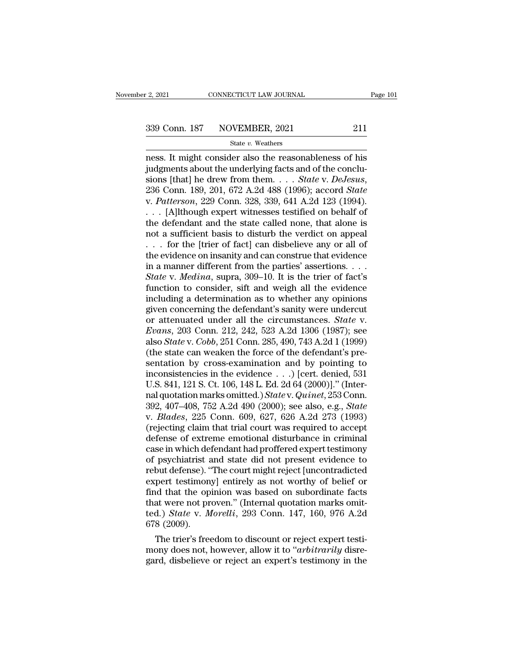# $\frac{2,2021}{2}$  CONNECTICUT LAW JOURNAL Page 101<br>339 Conn. 187 NOVEMBER, 2021 211<br>State v. Weathers

### State *v.* Weathers

 $\frac{12,2021}{2}$  connectricut LAW JOURNAL Page 101<br>339 Conn. 187 NOVEMBER, 2021 211<br>5tate v. Weathers<br>ness. It might consider also the reasonableness of his<br>judgments about the underlying facts and of the conclu-<br>sions [th 339 Conn. 187 NOVEMBER, 2021 211<br>
State v. Weathers<br>
ness. It might consider also the reasonableness of his<br>
judgments about the underlying facts and of the conclu-<br>
sions [that] he drew from them. . . . State v. DeJesus,<br> Simple 187 NOVEMBER, 2021 211<br>
State v. Weathers<br>
ness. It might consider also the reasonableness of his<br>
judgments about the underlying facts and of the conclu-<br>
sions [that] he drew from them. . . . *State* v. *DeJesus*, State v. Weathers<br>
Ress. It might consider also the reasonableness of his<br>
judgments about the underlying facts and of the conclu-<br>
sions [that] he drew from them. . . . *State v. DeJesus*,<br>
236 Conn. 189, 201, 672 A.2d 48 State v. Weathers<br>
mess. It might consider also the reasonableness of his<br>
judgments about the underlying facts and of the conclu-<br>
sions [that] he drew from them. . . . State v. DeJesus,<br>
236 Conn. 189, 201, 672 A.2d 488 ness. It might consider also the reasonableness of his<br>judgments about the underlying facts and of the conclu-<br>sions [that] he drew from them. . . . *State v. DeJesus*,<br>236 Conn. 189, 201, 672 A.2d 488 (1996); accord *Sta* judgments about the underlying facts and of the conclusions [that] he drew from them. . . . State v. DeJesus, 236 Conn. 189, 201, 672 A.2d 488 (1996); accord State v. Patterson, 229 Conn. 328, 339, 641 A.2d 123 (1994). . sions [that] he drew from them. . . . *State v. DeJesus,*<br>236 Conn. 189, 201, 672 A.2d 488 (1996); accord *State*<br>v. *Patterson*, 229 Conn. 328, 339, 641 A.2d 123 (1994).<br>. . . [A]lthough expert witnesses testified on beh 236 Conn. 189, 201, 672 A.2d 488 (1996); accord *State* v. *Patterson*, 229 Conn. 328, 339, 641 A.2d 123 (1994).<br>
... [A]lthough expert witnesses testified on behalf of the defendant and the state called none, that alone v. Patterson, 229 Conn. 328, 339, 641 A.2d 123 (1994).<br>
... [A]lthough expert witnesses testified on behalf of<br>
the defendant and the state called none, that alone is<br>
not a sufficient basis to disturb the verdict on appe *State* v. *Media*, *State witnesses testified on behalf of* the defendant and the state called none, that alone is not a sufficient basis to disturb the verdict on appeal  $\ldots$  for the [trier of fact] can disbelieve any o the defendant and the state called none, that alone is<br>not a sufficient basis to disturb the verdict on appeal<br>... for the [trier of fact] can disbelieve any or all of<br>the evidence on insanity and can construe that eviden not a sufficient basis to disturb the verdict on appeal<br>  $\ldots$  for the [trier of fact] can disbelieve any or all of<br>
the evidence on insanity and can construe that evidence<br>
in a manner different from the parties' asserti ... for the [trier of fact] can disbelieve any or all of<br>the evidence on insanity and can construe that evidence<br>in a manner different from the parties' assertions....<br>State v. Medina, supra, 309–10. It is the trier of fa the evidence on insanity and can construe that evidence<br>in a manner different from the parties' assertions. . . .<br>*State* v. *Medina*, supra, 309–10. It is the trier of fact's<br>function to consider, sift and weigh all the in a manner different from the parties' assertions. . . . . *State v. Medina*, supra, 309–10. It is the trier of fact's function to consider, sift and weigh all the evidence including a determination as to whether any opin State v. *Medina*, supra, 309–10. It is the trier of fact's function to consider, sift and weigh all the evidence including a determination as to whether any opinions given concerning the defendant's sanity were undercut o function to consider, sift and weigh all the evidence<br>including a determination as to whether any opinions<br>given concerning the defendant's sanity were undercut<br>or attenuated under all the circumstances. *State* v.<br>*Evans* including a determination as to whether any opinions<br>given concerning the defendant's sanity were undercut<br>or attenuated under all the circumstances. *State* v.<br>*Evans*, 203 Conn. 212, 242, 523 A.2d 1306 (1987); see<br>also given concerning the defendant's sanity were undercut<br>or attenuated under all the circumstances. *State* v.<br>*Evans*, 203 Conn. 212, 242, 523 A.2d 1306 (1987); see<br>also *State* v. *Cobb*, 251 Conn. 285, 490, 743 A.2d 1 (19 or attenuated under all the circumstances. *State* v. *Evans*, 203 Conn. 212, 242, 523 A.2d 1306 (1987); see also *State* v. *Cobb*, 251 Conn. 285, 490, 743 A.2d 1 (1999) (the state can weaken the force of the defendant's *Evans,* 203 Conn. 212, 242, 523 A.2d 1306 (1987); see<br>also *State* v. *Cobb*, 251 Conn. 285, 490, 743 A.2d 1 (1999)<br>(the state can weaken the force of the defendant's pre-<br>sentation by cross-examination and by pointing to also *State* v. *Cobb*, 251 Conn. 285, 490, 743 A.2d 1 (1999)<br>(the state can weaken the force of the defendant's presentation by cross-examination and by pointing to<br>inconsistencies in the evidence . . .) [cert. denied, 53 (the state can weaken the force of the defendant's presentation by cross-examination and by pointing to inconsistencies in the evidence  $\ldots$ .) [cert. denied, 531 U.S. 841, 121 S. Ct. 106, 148 L. Ed. 2d 64 (2000)]." (Inte sentation by cross-examination and by pointing to<br>inconsistencies in the evidence  $\ldots$ ) [cert. denied, 531<br>U.S. 841, 121 S. Ct. 106, 148 L. Ed. 2d 64 (2000)]." (Inter-<br>nal quotation marks omitted.) *State* v. *Quinet*, 2 inconsistencies in the evidence  $\ldots$ ) [cert. denied, 531<br>U.S. 841, 121 S. Ct. 106, 148 L. Ed. 2d 64 (2000)]." (Inter-<br>nal quotation marks omitted.) *State* v. Quinet, 253 Conn.<br>392, 407–408, 752 A.2d 490 (2000); see also U.S. 841, 121 S. Ct. 106, 148 L. Ed. 2d 64 (2000)]." (Inter-<br>nal quotation marks omitted.) *State* v. *Quinet*, 253 Conn.<br>392, 407–408, 752 A.2d 490 (2000); see also, e.g., *State*<br>v. *Blades*, 225 Conn. 609, 627, 626 A.2d nal quotation marks omitted.) *State* v. *Quinet*, 253 Conn.<br>392, 407–408, 752 A.2d 490 (2000); see also, e.g., *State*<br>v. *Blades*, 225 Conn. 609, 627, 626 A.2d 273 (1993)<br>(rejecting claim that trial court was required to 392, 407–408, 752 A.2d 490 (2000); see also, e.g., *State* v. *Blades*, 225 Conn. 609, 627, 626 A.2d 273 (1993) (rejecting claim that trial court was required to accept defense of extreme emotional disturbance in criminal v. *Blades*, 225 Conn. 609, 627, 626 A.2d 273 (1993)<br>(rejecting claim that trial court was required to accept<br>defense of extreme emotional disturbance in criminal<br>case in which defendant had proffered expert testimony<br>of p (rejecting claim that trial court was required to accept<br>defense of extreme emotional disturbance in criminal<br>case in which defendant had proffered expert testimony<br>of psychiatrist and state did not present evidence to<br>re defense of extreme emotional disturbance in criminal<br>case in which defendant had proffered expert testimony<br>of psychiatrist and state did not present evidence to<br>rebut defense). "The court might reject [uncontradicted<br>expe case in which defendant had proffered expert testimony<br>of psychiatrist and state did not present evidence to<br>rebut defense). "The court might reject [uncontradicted<br>expert testimony] entirely as not worthy of belief or<br>fin of psychiatrist a<br>rebut defense). "<br>expert testimon<br>find that the op<br>that were not pr<br>ted.) *State* v. *M*<br>678 (2009).<br>The trier's free bout defense). "The court might reject [uncontradicted pert testimony] entirely as not worthy of belief or and that the opinion was based on subordinate facts at were not proven." (Internal quotation marks omitd.) State v. expert testimony] entirely as not worthy of beiler or<br>find that the opinion was based on subordinate facts<br>that were not proven." (Internal quotation marks omit-<br>ted.) *State v. Morelli*, 293 Conn. 147, 160, 976 A.2d<br>678 ( find that the opmion was based on subordinate facts<br>that were not proven." (Internal quotation marks omit-<br>ted.) *State* v. *Morelli*, 293 Conn. 147, 160, 976 A.2d<br>678 (2009).<br>The trier's freedom to discount or reject expe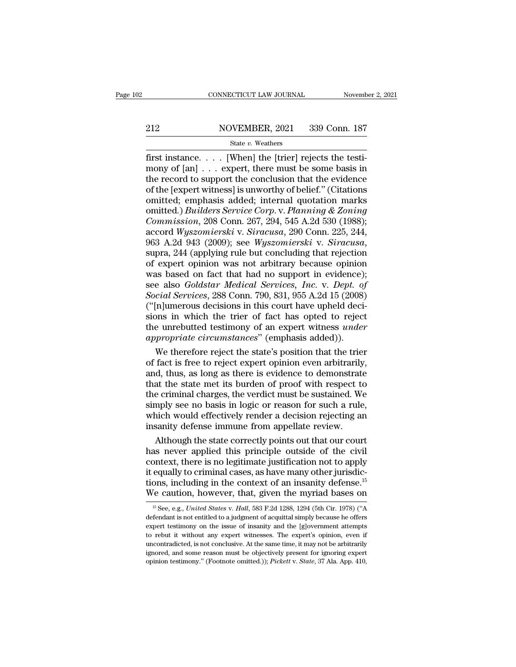# EXECUTE CONNECTICUT LAW JOURNAL Movember 2, 2021<br>212 NOVEMBER, 2021 339 Conn. 187<br>212 State v. Weathers

### State *v.* Weathers

FIRST CONNECTICUT LAW JOURNAL November<br>
212 NOVEMBER, 2021 339 Conn. 187<br>
5tate v. Weathers<br>
first instance. . . . [When] the [trier] rejects the testi-<br>
mony of [an] . . . expert, there must be some basis in<br>
the record t MOVEMBER, 2021 339 Conn. 187<br>
State v. Weathers<br>
first instance. . . . [When] the [trier] rejects the testi-<br>
mony of [an] . . . expert, there must be some basis in<br>
the record to support the conclusion that the evidence<br> 212 NOVEMBER, 2021 339 Conn. 187<br>
State v. Weathers<br>
first instance.... [When] the [trier] rejects the testi-<br>
mony of [an] ... expert, there must be some basis in<br>
the record to support the conclusion that the evidence<br> 212 NOVEMBER, 2021 339 Conn. 187<br>
State v. Weathers<br>
first instance.... [When] the [trier] rejects the testi-<br>
mony of [an] ... expert, there must be some basis in<br>
the record to support the conclusion that the evidence<br> State v. Weathers<br>
State v. Weathers<br>
First instance.... [When] the [trier] rejects the testi-<br>
mony of [an] ... expert, there must be some basis in<br>
the record to support the conclusion that the evidence<br>
of the [expert State *v*. Weathers<br>
first instance. . . . [When] the [trier] rejects the testi-<br>
mony of [an] . . . expert, there must be some basis in<br>
the record to support the conclusion that the evidence<br>
of the [expert witness] is u first instance. . . . [When] the [trier] rejects the testi-<br>mony of [an] . . . expert, there must be some basis in<br>the record to support the conclusion that the evidence<br>of the [expert witness] is unworthy of belief." (Cit mony of [an] . . . expert, there must be some basis in<br>the record to support the conclusion that the evidence<br>of the [expert witness] is unworthy of belief." (Citations<br>omitted, emphasis added; internal quotation marks<br>omi the record to support the conclusion that the evidence<br>of the [expert witness] is unworthy of belief." (Citations<br>omitted, emphasis added; internal quotation marks<br>omitted.) *Builders Service Corp. v. Planning & Zoning<br>Com* omitted; emphasis added; internal quotation marks<br>omitted.) *Builders Service Corp.* v. *Planning & Zoning<br>Commission*, 208 Conn. 267, 294, 545 A.2d 530 (1988);<br>accord Wyszomierski v. *Siracusa*, 290 Conn. 225, 244,<br>963 A. omitted.) *Builders Service Corp.* v. *Planning & Zoning*<br>Commission, 208 Conn. 267, 294, 545 A.2d 530 (1988);<br>accord Wyszomierski v. *Siracusa*, 290 Conn. 225, 244,<br>963 A.2d 943 (2009); see *Wyszomierski v. Siracusa*,<br>sup Commission, 208 Conn. 267, 294, 545 A.2d 530 (1988);<br>accord *Wyszomierski* v. *Siracusa*, 290 Conn. 225, 244,<br>963 A.2d 943 (2009); see *Wyszomierski* v. *Siracusa*,<br>supra, 244 (applying rule but concluding that rejection<br>o accord *Wyszomierski* v. *Siracusa*, 290 Conn. 225, 244, 963 A.2d 943 (2009); see *Wyszomierski* v. *Siracusa*, supra, 244 (applying rule but concluding that rejection of expert opinion was not arbitrary because opinion wa 963 A.2d 943 (2009); see *Wyszomierski* v. *Siracusa*, supra, 244 (applying rule but concluding that rejection of expert opinion was not arbitrary because opinion was based on fact that had no support in evidence); see al supra, 244 (applying rule but concluding that rejection<br>of expert opinion was not arbitrary because opinion<br>was based on fact that had no support in evidence);<br>see also *Goldstar Medical Services*, *Inc.* v. *Dept. of*<br>*So* of expert opinion was not arbitrary because opinion<br>was based on fact that had no support in evidence);<br>see also *Goldstar Medical Services*, *Inc.* v. *Dept. of*<br>Social Services, 288 Conn. 790, 831, 955 A.2d 15 (2008)<br>("[ was based on fact that had no support in evidence)<br>see also *Goldstar Medical Services, Inc.* v. *Dept. of*<br>*Social Services*, 288 Conn. 790, 831, 955 A.2d 15 (2008)<br>("[n]umerous decisions in this court have upheld decisio e also *Goldstar Medical Services, Inc.* v. *Dept. of*<br>cial Services, 288 Conn. 790, 831, 955 A.2d 15 (2008)<br>[n]umerous decisions in this court have upheld deci-<br>pns in which the trier of fact has opted to reject<br>e unrebut Social Services, 288 Conn. 790, 831, 955 A.2d 15 (2008)<br>("[n]umerous decisions in this court have upheld decisions in which the trier of fact has opted to reject<br>the unrebutted testimony of an expert witness *under*<br>appro

("[n]umerous decisions in this court have upheld decisions in which the trier of fact has opted to reject<br>the unrebutted testimony of an expert witness *under*<br>appropriate circumstances" (emphasis added)).<br>We therefore re sions in which the trier of fact has opted to reject<br>the unrebutted testimony of an expert witness *under*<br>appropriate circumstances" (emphasis added)).<br>We therefore reject the state's position that the trier<br>of fact is fr the unrebutted testimony of an expert witness *under*<br>appropriate circumstances" (emphasis added)).<br>We therefore reject the state's position that the trier<br>of fact is free to reject expert opinion even arbitrarily,<br>and, th appropriate circumstances" (emphasis added)).<br>We therefore reject the state's position that the trier<br>of fact is free to reject expert opinion even arbitrarily,<br>and, thus, as long as there is evidence to demonstrate<br>that t We therefore reject the state's position that the trier<br>of fact is free to reject expert opinion even arbitrarily,<br>and, thus, as long as there is evidence to demonstrate<br>that the state met its burden of proof with respect of fact is free to reject expert opinion even arbitrarily<br>and, thus, as long as there is evidence to demonstrate<br>that the state met its burden of proof with respect to<br>the criminal charges, the verdict must be sustained. W d, thus, as long as there is evidence to demonstrate<br>at the state met its burden of proof with respect to<br>e criminal charges, the verdict must be sustained. We<br>mply see no basis in logic or reason for such a rule,<br>nich wou that the state met its burden of proof with respect to<br>the criminal charges, the verdict must be sustained. We<br>simply see no basis in logic or reason for such a rule,<br>which would effectively render a decision rejecting an<br>

the criminal charges, the verdict must be sustained. We<br>simply see no basis in logic or reason for such a rule,<br>which would effectively render a decision rejecting an<br>insanity defense immune from appellate review.<br>Although simply see no basis in logic or reason for such a rule,<br>which would effectively render a decision rejecting an<br>insanity defense immune from appellate review.<br>Although the state correctly points out that our court<br>has neve which would effectively render a decision rejecting an<br>insanity defense immune from appellate review.<br>Although the state correctly points out that our court<br>has never applied this principle outside of the civil<br>context, th insanity defense immune from appellate review.<br>
Although the state correctly points out that our court<br>
has never applied this principle outside of the civil<br>
context, there is no legitimate justification not to apply<br>
it ontext, there is no legitimate justification not to apply<br>equally to criminal cases, as have many other jurisdic-<br>ons, including in the context of an insanity defense.<sup>15</sup><br><sup>15</sup> See, e.g., *United States* v. *Hall*, 583 F.2 it equally to criminal cases, as have many other jurisdictions, including in the context of an insanity defense.<sup>15</sup><br>We caution, however, that, given the myriad bases on<br> $\frac{15}{15}$  See, e.g., *United States* v. *Hall*, 5

From the instant of an insanity defense.<sup>15</sup><br>We caution, however, that, given the myriad bases on<br><sup>15</sup> See, e.g., *United States v. Hall*, 583 F.2d 1288, 1294 (5th Cir. 1978) ("A<br>defendant is not entitled to a judgment of We caution, however, that, given the myriad bases on<br>
<sup>15</sup> See, e.g., *United States v. Hall*, 583 F.2d 1288, 1294 (5th Cir. 1978) ("A<br>
defendant is not entitled to a judgment of acquittal simply because he offers<br>
expert We Caution, HOWEVET, triat, given the hiyitad Dases on<br>
<sup>15</sup> See, e.g., *United States v. Hall*, 583 F.2d 1288, 1294 (5th Cir. 1978) ("A<br>
defendant is not entitled to a judgment of acquittal simply because he offers<br>
expe <sup>15</sup> See, e.g., *United States* v. *Hall*, 583 F.2d 1288, 1294 (5th Cir. 1978) ("A defendant is not entitled to a judgment of acquittal simply because he offers expert testimony on the issue of insanity and the [g]overnme defendant is not entitled to a judgment of acquittal simply because he offers<br>expert testimony on the issue of insanity and the [g]overnment attempts<br>to rebut it without any expert witnesses. The expert's opinion, even if<br>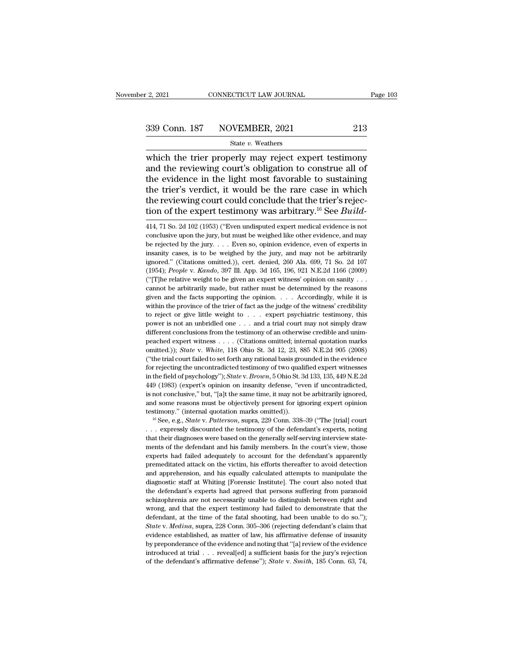# $\frac{2,2021}{2,2021}$  CONNECTICUT LAW JOURNAL Page 103<br>339 Conn. 187 NOVEMBER, 2021 213<br>State v. Weathers

### State *v.* Weathers

 $\frac{12,2021}{2}$  connectricut LAW JOURNAL Page 103<br>339 Conn. 187 NOVEMBER, 2021 213<br>5tate v. Weathers<br>which the trier properly may reject expert testimony<br>and the reviewing court's obligation to construe all of<br>the evidenc 339 Conn. 187 NOVEMBER, 2021 213<br>
State v. Weathers<br>
which the trier properly may reject expert testimony<br>
and the reviewing court's obligation to construe all of<br>
the evidence in the light most favorable to sustaining<br>
th 339 Conn. 187 NOVEMBER, 2021 213<br>
State v. Weathers<br>
which the trier properly may reject expert testimony<br>
and the reviewing court's obligation to construe all of<br>
the evidence in the light most favorable to sustaining<br>
t 339 Conn. 187 NOVEMBER, 2021 213<br>
State v. Weathers<br>
which the trier properly may reject expert testimony<br>
and the reviewing court's obligation to construe all of<br>
the evidence in the light most favorable to sustaining<br>
t State *v*. Weathers<br>
State *v*. Weathers<br>
which the trier properly may reject expert testimony<br>
and the reviewing court's obligation to construe all of<br>
the evidence in the light most favorable to sustaining<br>
the trier's State *v*. Weathers<br>which the trier properly may reject expert testimony<br>and the reviewing court's obligation to construe all of<br>the evidence in the light most favorable to sustaining<br>the trier's verdict, it would be the r the evidence in the light most favorable to sustaining<br>the trier's verdict, it would be the rare case in which<br>the reviewing court could conclude that the trier's rejec-<br>tion of the expert testimony was arbitrary.<sup>16</sup> See the trier's verdict, it would be the rare case in which<br>the reviewing court could conclude that the trier's rejec-<br>tion of the expert testimony was arbitrary.<sup>16</sup> See *Build*-<br>414, 71 So. 2d 102 (1953) ("Even undisputed e

the reviewing court could conclude that the trier's rejection of the expert testimony was arbitrary.<sup>16</sup> See *Build*—<br>414, 71 So. 2d 102 (1953) ("Even undisputed expert medical evidence is not conclusive upon the jury, bu inception of the expert testimony was arbitrary.<sup>16</sup> See *Build*—<br>414, 71 So. 2d 102 (1953) ("Even undisputed expert medical evidence is not<br>conclusive upon the jury, but must be weighed like other evidence, and may<br>be re 11011 Of the expert testifically was arbitrary.<sup>23</sup> See *Buttua*—<br>
414, 71 So. 2d 102 (1953) ("Even undisputed expert medical evidence is not conclusive upon the jury, but must be weighed like other evidence, and may<br>
be 414, 71 So. 2d 102 (1953) ("Even undisputed expert medical evidence is not conclusive upon the jury, but must be weighed like other evidence, and may be rejected by the jury. . . . Even so, opinion evidence, even of expert conclusive upon the jury, but must be weighed like other evidence, and may<br>be rejected by the jury. . . . Even so, opinion evidence, even of experts in<br>insanity cases, is to be weighed by the jury, and may not be arbitrar be rejected by the jury. . . . Even so, opinion evidence, even of experts in insanity cases, is to be weighed by the jury, and may not be arbitrarily ignored." (Citations omitted.)), cert. denied, 260 Ala. 699, 71 So. 2d insanity cases, is to be weighed by the jury, and may not be arbitrarily ignored." (Citations omitted.)), cert. denied, 260 Ala. 699, 71 So. 2d 107 (1954); *People* v. *Kando*, 397 Ill. App. 3d 165, 196, 921 N.E.2d 1166 ( ignored." (Citations omitted.)), cert. denied, 260 Ala. 699, 71 So. 2d 107 (1954); *People v. Kando*, 397 Ill. App. 3d 165, 196, 921 N.E.2d 1166 (2009) ("[T]he relative weight to be given an expert witness' opinion on san (1954); *People v. Kando*, 397 III. App. 3d 165, 196, 921 N.E.2d 1166 (2009) ("[T]he relative weight to be given an expert witness' opinion on sanity ... cannot be arbitrarily made, but rather must be determined by the re ("[T]he relative weight to be given an expert witness' opinion on sanity . . . cannot be arbitrarily made, but rather must be determined by the reasons given and the facts supporting the opinion. . . . Accordingly, while cannot be arbitrarily made, but rather must be determined by the reasons given and the facts supporting the opinion. . . . Accordingly, while it is within the province of the trier of fact as the judge of the witness' cre given and the facts supporting the opinion. . . . Accordingly, while it is<br>within the province of the trier of fact as the judge of the witness' credibility<br>to reject or give little weight to . . . expert psychiatric test with the province of the trier of fact as the judge of the witness' credibility<br>within the province of the trier of fact as the judge of the witness' credibility<br>to reject or give little weight to  $\ldots$  expert psychiatric ( $\alpha$  reject or give little weight to . . . expert psychiatric testimony, this power is not an unbridled one . . . and a trial court may not simply draw different conclusions from the testimony of an otherwise credible an for rejection and underlying the uncontradicted one  $\ldots$  and a trial court may not simply draw different conclusions from the testimony of an otherwise credible and unim-<br>peached expert witness . . . . (Citations omitted different conclusions from the testimony of an otherwise credible and unim-<br>peached expert witness . . . . (Citations omitted; internal quotation marks<br>omitted.)); *State* v. *White*, 118 Ohio St. 3d 12, 23, 885 N.E.2d 905 peached expert witness . . . (Citations omitted, internal quotation marks omitted.)); *State* v. *White*, 118 Ohio St. 3d 12, 23, 885 N.E.2d 905 (2008) ("the trial court failed to set forth any rational basis grounded in t positive, '' but, '' allow the same time, it may not controlled)); *State v. White*, 118 Ohio St. 3d 12, 23, 885 N.E.2d 905 (2008) ("the trial court failed to set forth any rational basis grounded in the evidence for rejec <sup>2</sup> ("the trial court failed to set forth any rational basis grounded in the evidence for rejecting the uncontradicted testimony of two qualified expert witnesses in the field of psychology"); *State v. Brown*, 5 Ohio St. for rejecting the uncontradicted testimony of two qualified expert witnesses<br>in the field of psychology"); *State* v. *Brown*, 5 Ohio St. 3d 133, 135, 449 N.E.2d<br>449 (1983) (expert's opinion on insanity defense, "even if u 449 (1983) (expert's opinon on insanity defense, "even if uncontradicted, is not conclusive," but, "[a]t the same time, it may not be arbitrarily ignored, and some reasons must be objectively present for ignoring expert o

The that their diagnoses were based on the generally self-serving expert opinion testimony." (internal quotation marks omitted)).<br>
<sup>16</sup> See, e.g., *State v. Patterson*, supra, 229 Conn. 338–39 ("The [trial] court<br>
<sup>16</sup> Se and some reasons must be objectively present for ignoring expert opinion testimony." (internal quotation marks omitted)).<br>
<sup>16</sup> See, e.g., *State v. Patterson*, supra, 229 Conn. 338–39 ("The [trial] court . . . expressly testimony." (internal quotation marks omitted)).<br>
<sup>16</sup> See, e.g., *State* v. *Patterson*, supra, 229 Conn. 338–39 ("The [trial] court . . . expressly discounted the testimony of the defendant's experts, noting that their <sup>16</sup> See, e.g., *State* v. *Patterson*, supra, 229 Conn. 338–39 ("The [trial] court . . . expressly discounted the testimony of the defendant's experts, noting that their diagnoses were based on the generally self-serving and appressive discounted the testimony of the defendant's experts, noting<br>that their diagnoses were based on the generally self-serving interview state-<br>ments of the defendant and his family members. In the court's view, The matter of the diagnoses were based on the generally self-serving interview statements of the defendant and his family members. In the court's view, those experts had failed adequately to account for the defendant's app ments of the defendant and his family members. In the court's view, those experts had failed adequately to account for the defendant's apparently premeditated attack on the victim, his efforts thereafter to avoid detection experts had failed adequately to account for the defendant's apparently premeditated attack on the victim, his efforts thereafter to avoid detection and apprehension, and his equally calculated attempts to manipulate the d premeditated attack on the victim, his efforts thereafter to avoid detection and apprehension, and his equally calculated attempts to manipulate the diagnostic staff at Whiting [Forensic Institute]. The court also noted th promotes and apprehension, and his equally calculated attempts to manipulate the diagnostic staff at Whiting [Forensic Institute]. The court also noted that the defendant's experts had agreed that persons suffering from pa diagnostic staff at Whiting [Forensic Institute]. The court also noted that<br>the defendant's experts had agreed that persons suffering from paranoid<br>schizophrenia are not necessarily unable to distinguish between right and<br> the defendant's experts had agreed that persons suffering from paranoid schizophrenia are not necessarily unable to distinguish between right and wrong, and that the expert testimony had failed to demonstrate that the defe schizophrenia are not necessarily unable to distinguish between right and wrong, and that the expert testimony had failed to demonstrate that the defendant, at the time of the fatal shooting, had been unable to do so."); wrong, and that the expert testimony had failed to demonstrate that the defendant, at the time of the fatal shooting, had been unable to do so."); State v. Medina, supra, 228 Conn. 305–306 (rejecting defendant's claim tha wrong, and that the expert testimony had failed to demonstrate that the defendant, at the time of the fatal shooting, had been unable to do so."); *State* v. *Medina*, supra, 228 Conn. 305–306 (rejecting defendant's claim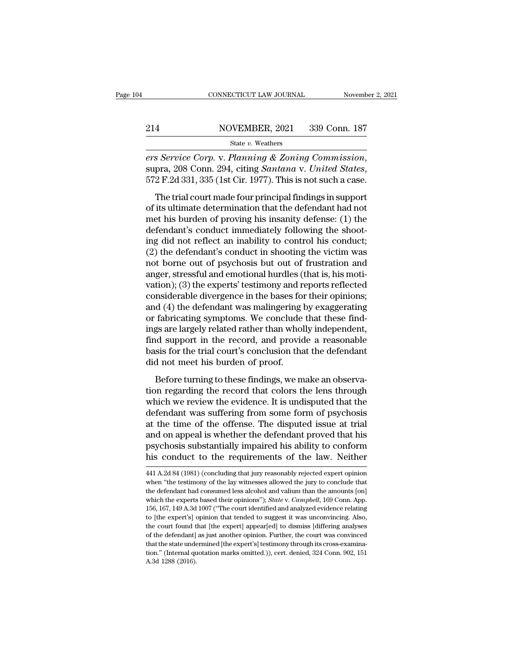*ers Service Corp.* v. *Planning & Zoning Commission*, supra, 208 Conn. 294, citing *Santana* v. *United States*, 572 F.2d 331, 335 (1st Cir. 1977). This is not such a case. The trial court made four principal findings in  $\frac{\text{SolveMBER, 2021}}{\text{State } v. \text{ Weather}}$ <br>  $\frac{\text{State } v. \text{ Weather}}{\text{State } v. \text{ Weather}}$ <br>  $\frac{\text{State } v. \text{ Weather}}{\text{State } S}$ <br>  $\frac{\text{S)}\text{Service } Corp. \text{ V. } Planning \& Zoning \text{ Commission}}{\text{C} \cdot \text{C} \cdot \text{C} \cdot \text{C} \cdot \text{C} \cdot \text{C} \cdot \text{C} \cdot \text{C} \cdot \text{C} \cdot \text{C} \cdot \text{C} \cdot \text{C} \cdot \text{C} \cdot \text{C} \cdot \text{$ 

State v. Weathers<br>
ers Service Corp. v. Planning & Zoning Commission,<br>
supra, 208 Conn. 294, citing Santana v. United States,<br>
572 F.2d 331, 335 (1st Cir. 1977). This is not such a case.<br>
The trial court made four princip ers Service Corp. v. Planning & Zoning Commission,<br>supra, 208 Conn. 294, citing Santana v. United States,<br>572 F.2d 331, 335 (1st Cir. 1977). This is not such a case.<br>The trial court made four principal findings in support<br> supra, 208 Conn. 294, citing *Santana v. United States*,<br>supra, 208 Conn. 294, citing *Santana v. United States*,<br>572 F.2d 331, 335 (1st Cir. 1977). This is not such a case.<br>The trial court made four principal findings in 572 F.2d 331, 335 (1st Cir. 1977). This is not such a case.<br>The trial court made four principal findings in support<br>of its ultimate determination that the defendant had not<br>met his burden of proving his insanity defense: The trial court made four principal findings in support<br>of its ultimate determination that the defendant had not<br>met his burden of proving his insanity defense: (1) the<br>defendant's conduct immediately following the shoot-The trial court made four principal findings in support<br>of its ultimate determination that the defendant had not<br>met his burden of proving his insanity defense: (1) the<br>defendant's conduct immediately following the shootof its ultimate determination that the defendant had not<br>met his burden of proving his insanity defense: (1) the<br>defendant's conduct immediately following the shoot-<br>ing did not reflect an inability to control his conduct; met his burden of proving his insanity defense: (1) the<br>defendant's conduct immediately following the shoot-<br>ing did not reflect an inability to control his conduct;<br>(2) the defendant's conduct in shooting the victim was<br>n defendant's conduct immediately following the shooting did not reflect an inability to control his conduct;<br>(2) the defendant's conduct in shooting the victim was<br>not borne out of psychosis but out of frustration and<br>anger ing did not reflect an inability to control his conduct;<br>(2) the defendant's conduct in shooting the victim was<br>not borne out of psychosis but out of frustration and<br>anger, stressful and emotional hurdles (that is, his mot (2) the defendant's conduct in shooting the victim was<br>not borne out of psychosis but out of frustration and<br>anger, stressful and emotional hurdles (that is, his moti-<br>vation); (3) the experts' testimony and reports refle not borne out of psychosis but out of frustration and<br>anger, stressful and emotional hurdles (that is, his moti-<br>vation); (3) the experts' testimony and reports reflected<br>considerable divergence in the bases for their opin anger, stressful and emotional hurdles (that is, his motivation); (3) the experts' testimony and reports reflected<br>considerable divergence in the bases for their opinions;<br>and (4) the defendant was malingering by exaggerat vation); (3) the experts' testimony and reports reflected<br>considerable divergence in the bases for their opinions;<br>and (4) the defendant was malingering by exaggerating<br>or fabricating symptoms. We conclude that these findconsiderable divergence in the bases for<br>and (4) the defendant was malingering l<br>or fabricating symptoms. We conclude<br>ings are largely related rather than whol<br>find support in the record, and provic<br>basis for the trial cou Fabricating symptoms. We conclude that these find-<br>gs are largely related rather than wholly independent,<br>id support in the record, and provide a reasonable<br>sis for the trial court's conclusion that the defendant<br>d not me or rashcating symptoms. We concrude that these that<br>ings are largely related rather than wholly independent,<br>find support in the record, and provide a reasonable<br>basis for the trial court's conclusion that the defendant<br>di

rige are angely related ration and molely independent,<br>find support in the record, and provide a reasonable<br>basis for the trial court's conclusion that the defendant<br>did not meet his burden of proof.<br>Before turning to thes ma suppose in the record, and provide a reasonable<br>basis for the trial court's conclusion that the defendant<br>did not meet his burden of proof.<br>Before turning to these findings, we make an observa-<br>tion regarding the record at the disputed is burden of proof.<br>Before turning to these findings, we make an observa-<br>tion regarding the record that colors the lens through<br>which we review the evidence. It is undisputed that the<br>defendant was sufferi Before turning to these findings, we make an observa-<br>tion regarding the record that colors the lens through<br>which we review the evidence. It is undisputed that the<br>defendant was suffering from some form of psychosis<br>at th Before turning to these findings, we make an observation regarding the record that colors the lens through which we review the evidence. It is undisputed that the defendant was suffering from some form of psychosis at the tion regarding the record that colors the lens through<br>which we review the evidence. It is undisputed that the<br>defendant was suffering from some form of psychosis<br>at the time of the offense. The disputed issue at trial<br>and at the time of the offense. The disputed issue at trial<br>and on appeal is whether the defendant proved that his<br>psychosis substantially impaired his ability to conform<br>his conduct to the requirements of the law. Neither<br> $\frac$ and on appeal is whether the defendant proved that his<br>psychosis substantially impaired his ability to conform<br>his conduct to the requirements of the law. Neither<br>441 A.2d 84 (1981) (concluding that jury reasonably rejecte

psychosis substantially impaired his ability to conform<br>his conduct to the requirements of the law. Neither<br>441 A.2d 84 (1981) (concluding that jury reasonably rejected expert opinion<br>when "the testimony of the lay witness his conduct to the requirements of the law. Neither<br>
441 A.2d 84 (1981) (concluding that jury reasonably rejected expert opinion<br>
when "the testimony of the lay witnesses allowed the jury to conclude that<br>
the defendant ha 1156, 167, 149 A.3d 1007 ("The court identified and analyzed evidence relating to the expert opinion when "the testimony of the lay witnesses allowed the jury to conclude that the defendant had consumed less alcohol and va 441 A.2d 84 (1981) (concluding that jury reasonably rejected expert opinion when "the testimony of the lay witnesses allowed the jury to conclude that the defendant had consumed less alcohol and valium than the amounts [o when "the testimony of the lay witnesses allowed the jury to conclude that the defendant had consumed less alcohol and valium than the amounts [on] which the experts based their opinions"); *State* v. *Campbell*, 169 Conn The defendant had consumed less alcohol and valum than the amounts [on] which the experts based their opinions"); *State* v. *Campbell*, 169 Conn. App. 156, 167, 149 A.3d 1007 ("The court identified and analyzed evidence which the experts based their opinions"); *State* v. *Campbell*, 169 Conn. App. 156, 167, 149 A.3d 1007 ("The court identified and analyzed evidence relating to [the expert's] opinion that tended to suggest it was unconvi 156, 167, 149 A.3d 1007 ("The court identified and analyzed evidence relating to [the expert's] opinion that tended to suggest it was unconvincing. Also, the court found that [the expert] appear[ed] to dismiss [differing to [the expert's] opinion that tended to suggest it was unconvincing. Also,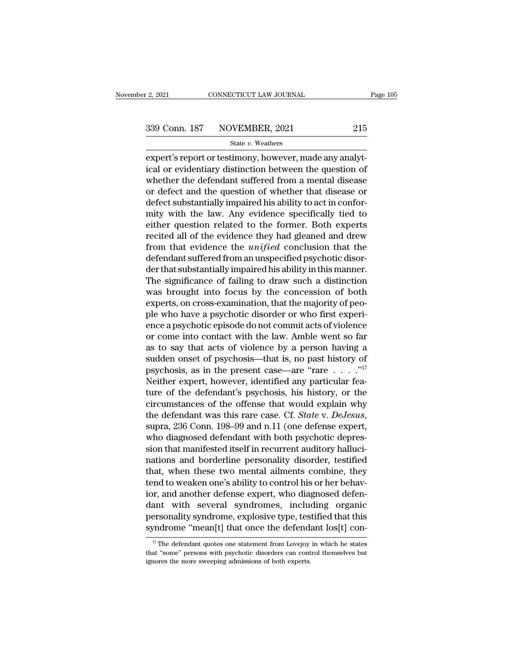expertise that the connective connective transition of the state value of the connection of the control of the defendant current or the question of the defendant current from a montal diagonal diagonal diagonal diagonal di 339 Conn. 187 NOVEMBER, 2021 215<br>
State v. Weathers<br>
expert's report or testimony, however, made any analytical or evidentiary distinction between the question of<br>
whether the defendant suffered from a mental disease<br>
or 339 Conn. 187 NOVEMBER, 2021 215<br>
State v. Weathers<br>
expert's report or testimony, however, made any analytical or evidentiary distinction between the question of<br>
whether the defendant suffered from a mental disease<br>
or 339 Conn. 187 NOVEMBER, 2021 215<br>
state v. Weathers<br>
expert's report or testimony, however, made any analytical or evidentiary distinction between the question of<br>
whether the defendant suffered from a mental disease<br>
or  $\begin{array}{l} \text{State }v\text{. Weaters} \\ \text{expert's report or testimony, however, made any analytical or evidently distinction between the question of whether the defendant suffered from a mental disease or defect and the question of whether that disease or defect substantially impaired his ability to act in conformity with the law. Any evidence specifically tied to either question related to the former. Both currents are not. \end{array}$ state v. weathers<br>expert's report or testimony, however, made any analytical or evidentiary distinction between the question of<br>whether the defendant suffered from a mental disease<br>or defect and the question of whether th expert's report or testimony, however, made any analytical or evidentiary distinction between the question of<br>whether the defendant suffered from a mental disease<br>or defect and the question of whether that disease or<br>defec ical or evidentiary distinction between the question of<br>whether the defendant suffered from a mental disease<br>or defect and the question of whether that disease or<br>defect substantially impaired his ability to act in conforwhether the defendant suffered from a mental disease<br>or defect and the question of whether that disease or<br>defect substantially impaired his ability to act in confor-<br>mity with the law. Any evidence specifically tied to<br>ei or defect and the question of whether that disease or<br>defect substantially impaired his ability to act in confor-<br>mity with the law. Any evidence specifically tied to<br>either question related to the former. Both experts<br>rec defect substantially impaired his ability to act in conformity with the law. Any evidence specifically tied to either question related to the former. Both experts recited all of the evidence they had gleaned and drew from mity with the law. Any evidence specifically tied to<br>either question related to the former. Both experts<br>recited all of the evidence they had gleaned and drew<br>from that evidence the *unified* conclusion that the<br>defendant either question related to the former. Both experts<br>recited all of the evidence they had gleaned and drew<br>from that evidence the *unified* conclusion that the<br>defendant suffered from an unspecified psychotic disor-<br>der tha recited all of the evidence they had gleaned and drew<br>from that evidence the *unified* conclusion that the<br>defendant suffered from an unspecified psychotic disor-<br>der that substantially impaired his ability in this manner. from that evidence the *unified* conclusion that the<br>defendant suffered from an unspecified psychotic disor-<br>der that substantially impaired his ability in this manner.<br>The significance of failing to draw such a distincti defendant suffered from an unspecified psychotic disor-<br>der that substantially impaired his ability in this manner.<br>The significance of failing to draw such a distinction<br>was brought into focus by the concession of both<br>ex der that substantially impaired his ability in this manner.<br>The significance of failing to draw such a distinction<br>was brought into focus by the concession of both<br>experts, on cross-examination, that the majority of peo-<br>p The significance of failing to draw such a distinction<br>was brought into focus by the concession of both<br>experts, on cross-examination, that the majority of peo-<br>ple who have a psychotic disorder or who first experi-<br>ence was brought into focus by the concession of both<br>experts, on cross-examination, that the majority of peo-<br>ple who have a psychotic disorder or who first experi-<br>ence a psychotic episode do not commit acts of violence<br>or c experts, on cross-examination, that the majority of peo-<br>ple who have a psychotic disorder or who first experi-<br>ence a psychotic episode do not commit acts of violence<br>or come into contact with the law. Amble went so far<br> ple who have a psychotic disorder or who first experience a psychotic episode do not commit acts of violence or come into contact with the law. Amble went so far as to say that acts of violence by a person having a sudden ence a psychotic episode do not commit acts of violence<br>or come into contact with the law. Amble went so far<br>as to say that acts of violence by a person having a<br>sudden onset of psychosis—that is, no past history of<br>psych or come into contact with the law. Amble went so far<br>as to say that acts of violence by a person having a<br>sudden onset of psychosis—that is, no past history of<br>psychosis, as in the present case—are "rare  $\dots$ ."<sup>17</sup><br>Neithe as to say that acts of violence by a person having a<br>sudden onset of psychosis—that is, no past history of<br>psychosis, as in the present case—are "rare . . . . .<sup>"17</sup><br>Neither expert, however, identified any particular fea-<br> psychosis, as in the present case—are "rare  $\dots$  ."<sup>14</sup><br>Neither expert, however, identified any particular fea-<br>ture of the defendant's psychosis, his history, or the<br>circumstances of the offense that would explain why<br>th Neither expert, however, identified any particular fea-<br>ture of the defendant's psychosis, his history, or the<br>circumstances of the offense that would explain why<br>the defendant was this rare case. Cf. *State* v. *DeJesus*, ture of the defendant's psychosis, his history, or the<br>circumstances of the offense that would explain why<br>the defendant was this rare case. Cf. *State* v. *DeJesus*,<br>supra, 236 Conn. 198–99 and n.11 (one defense expert,<br>w circumstances of the offense that would explain why<br>the defendant was this rare case. Cf. *State* v. *DeJesus*,<br>supra, 236 Conn. 198–99 and n.11 (one defense expert,<br>who diagnosed defendant with both psychotic depres-<br>sion the defendant was this rare case. Cf. *State* v. *DeJesus*, supra, 236 Conn. 198–99 and n.11 (one defense expert, who diagnosed defendant with both psychotic depression that manifested itself in recurrent auditory hallucin supra, 236 Conn. 198–99 and n.11 (one defense expert,<br>who diagnosed defendant with both psychotic depres-<br>sion that manifested itself in recurrent auditory halluci-<br>nations and borderline personality disorder, testified<br>th who diagnosed defendant with both psychotic depres-<br>sion that manifested itself in recurrent auditory halluci-<br>nations and borderline personality disorder, testified<br>that, when these two mental ailments combine, they<br>tend sion that manifested itself in recurrent auditory halluci-<br>nations and borderline personality disorder, testified<br>that, when these two mental ailments combine, they<br>tend to weaken one's ability to control his or her behavnations and borderline personality disorder, testified<br>that, when these two mental ailments combine, they<br>tend to weaken one's ability to control his or her behav-<br>ior, and another defense expert, who diagnosed defen-<br>dan If the defendant with several syndromes, including organic errors<br>ant with several syndromes, including organic errors onality syndrome, explosive type, testified that this<br>modrome "mean[t] that once the defendant  $\log[t]$  dant with several syndromes, including organic<br>personality syndrome, explosive type, testified that this<br>syndrome "mean[t] that once the defendant los[t] con-<br> $\frac{17}{17}$  The defendant quotes one statement from Lovejoy in

personality syndrome, explosive type, tes<br>syndrome "mean[t] that once the defend:<br><sup>IT</sup> The defendant quotes one statement from Lovejoy<br>that "some" persons with psychotic disorders can cont<br>ignores the more sweeping admissi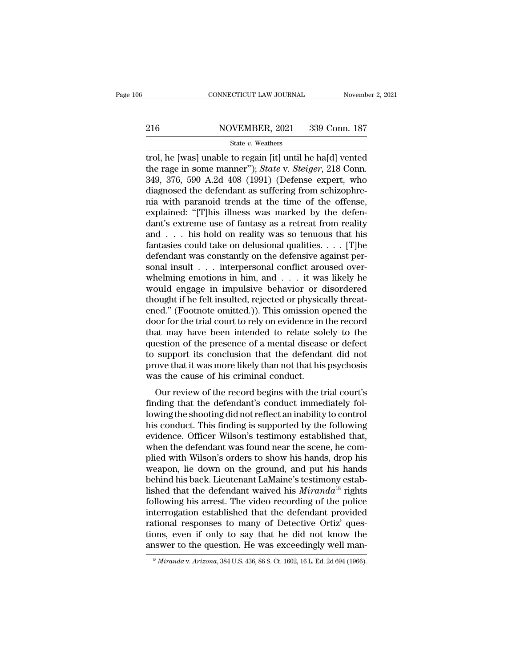# EXECUTE CONNECTICUT LAW JOURNAL Movember 2, 2021<br>216 NOVEMBER, 2021 339 Conn. 187<br>216 State v. Weathers

### State *v.* Weathers

CONNECTICUT LAW JOURNAL November 2, 2021<br>
216 NOVEMBER, 2021 339 Conn. 187<br>
5tate v. Weathers<br>
110, he [was] unable to regain [it] until he ha[d] vented<br>
the rage in some manner"); *State* v. *Steiger*, 218 Conn.<br>
240, 276 The rage in some manner''); *State* v. *State v. Weathers*<br>trol, he [was] unable to regain [it] until he ha[d] vented<br>the rage in some manner''); *State* v. *Steiger*, 218 Conn.<br>349, 376, 590 A.2d 408 (1991) (Defense exper 216 NOVEMBER, 2021 339 Conn. 187<br>
State v. Weathers<br>
trol, he [was] unable to regain [it] until he ha[d] vented<br>
the rage in some manner"); *State* v. *Steiger*, 218 Conn.<br>
349, 376, 590 A.2d 408 (1991) (Defense expert, w 216 NOVEMBER, 2021 339 Conn. 187<br>
State v. Weathers<br>
trol, he [was] unable to regain [it] until he ha[d] vented<br>
the rage in some manner"); *State* v. *Steiger*, 218 Conn.<br>
349, 376, 590 A.2d 408 (1991) (Defense expert, wh State v. Weathers<br>
The VEREEN, 2021 (2000 0011.1201)<br>
trol, he [was] unable to regain [it] until he ha[d] vented<br>
the rage in some manner"); *State v. Steiger*, 218 Conn.<br>
349, 376, 590 A.2d 408 (1991) (Defense expert, wh state v. Weathers<br>trol, he [was] unable to regain [it] until he ha[d] vented<br>the rage in some manner"); *State* v. *Steiger*, 218 Conn.<br>349, 376, 590 A.2d 408 (1991) (Defense expert, who<br>diagnosed the defendant as sufferi trol, he [was] unable to regain [it] until he ha[d] vented<br>the rage in some manner"); *State* v. *Steiger*, 218 Conn.<br>349, 376, 590 A.2d 408 (1991) (Defense expert, who<br>diagnosed the defendant as suffering from schizophrethe rage in some manner"); *State* v. *Steiger*, 218 Conn.<br>349, 376, 590 A.2d 408 (1991) (Defense expert, who<br>diagnosed the defendant as suffering from schizophre-<br>nia with paranoid trends at the time of the offense,<br>expl 349, 376, 590 A.2d 408 (1991) (Defense expert, who<br>diagnosed the defendant as suffering from schizophre-<br>nia with paranoid trends at the time of the offense,<br>explained: "[T]his illness was marked by the defen-<br>dant's extr diagnosed the defendant as suffering from schizophre-<br>nia with paranoid trends at the time of the offense,<br>explained: "[T]his illness was marked by the defen-<br>dant's extreme use of fantasy as a retreat from reality<br>and . mia with paranoid trends at the time of the offense,<br>explained: "[T]his illness was marked by the defen-<br>dant's extreme use of fantasy as a retreat from reality<br>and . . . his hold on reality was so tenuous that his<br>fantas explained: "[T]his illness was marked by the defendant's extreme use of fantasy as a retreat from reality<br>and . . . his hold on reality was so tenuous that his<br>fantasies could take on delusional qualities. . . . [T]he<br>def dant's extreme use of fantasy as a retreat from reality<br>and . . . his hold on reality was so tenuous that his<br>fantasies could take on delusional qualities. . . . [T]he<br>defendant was constantly on the defensive against per and . . . his hold on reality was so tenuous that his<br>fantasies could take on delusional qualities. . . . [T]he<br>defendant was constantly on the defensive against per-<br>sonal insult . . . interpersonal conflict aroused over fantasies could take on delusional qualities. . . . . [T]he<br>defendant was constantly on the defensive against per-<br>sonal insult . . . interpersonal conflict aroused over-<br>whelming emotions in him, and . . . it was likely defendant was constantly on the defensive against per-<br>sonal insult . . . interpersonal conflict aroused over-<br>whelming emotions in him, and . . . it was likely he<br>would engage in impulsive behavior or disordered<br>thought i sonal insult  $\ldots$  interpersonal conflict aroused over-<br>whelming emotions in him, and  $\ldots$  it was likely he<br>would engage in impulsive behavior or disordered<br>thought if he felt insulted, rejected or physically threat-<br>ene whelming emotions in him, and  $\ldots$  it was likely he<br>would engage in impulsive behavior or disordered<br>thought if he felt insulted, rejected or physically threat-<br>ened." (Footnote omitted.)). This omission opened the<br>door would engage in impulsive behavior or disordered<br>thought if he felt insulted, rejected or physically threat-<br>ened." (Footnote omitted.)). This omission opened the<br>door for the trial court to rely on evidence in the record<br> thought if he felt insulted, rejected or physically threatened." (Footnote omitted.)). This omission opened the door for the trial court to rely on evidence in the record that may have been intended to relate solely to the ened." (Footnote omitted.)). This omission coor for the trial court to rely on evidence in that may have been intended to relate sol question of the presence of a mental disease to support its conclusion that the defendare or for the that court to rely on evidence in the record<br>at may have been intended to relate solely to the<br>estion of the presence of a mental disease or defect<br>support its conclusion that the defendant did not<br>ove that it w finding that the presence of a mental disease or defect<br>to support its conclusion that the defendant did not<br>prove that it was more likely than not that his psychosis<br>was the cause of his criminal conduct.<br>Our review of th

question of the presence of a memal disease of defect<br>to support its conclusion that the defendant did not<br>prove that it was more likely than not that his psychosis<br>was the cause of his criminal conduct.<br>Our review of the to support its concrusion that the detendant due not<br>prove that it was more likely than not that his psychosis<br>was the cause of his criminal conduct.<br>Our review of the record begins with the trial court's<br>finding that the prove that it was inference intery than not that its psychosis<br>was the cause of his criminal conduct.<br>Our review of the record begins with the trial court's<br>finding that the defendant's conduct immediately fol-<br>lowing the Was the cause of his criminal conduct.<br>
Our review of the record begins with the trial court's<br>
finding that the defendant's conduct immediately fol-<br>
lowing the shooting did not reflect an inability to control<br>
his conduc Our review of the record begins with the trial court's<br>finding that the defendant's conduct immediately fol-<br>lowing the shooting did not reflect an inability to control<br>his conduct. This finding is supported by the followi finding that the defendant's conduct immediately fol-<br>lowing the shooting did not reflect an inability to control<br>his conduct. This finding is supported by the following<br>evidence. Officer Wilson's testimony established tha lowing the shooting did not reflect an inability to control<br>his conduct. This finding is supported by the following<br>evidence. Officer Wilson's testimony established that,<br>when the defendant was found near the scene, he com his conduct. This finding is supported by the following<br>evidence. Officer Wilson's testimony established that,<br>when the defendant was found near the scene, he com-<br>plied with Wilson's orders to show his hands, drop his<br>wea evidence. Officer Wilson's testimony established that,<br>when the defendant was found near the scene, he com-<br>plied with Wilson's orders to show his hands, drop his<br>weapon, lie down on the ground, and put his hands<br>behind hi when the defendant was found near the scene, he complied with Wilson's orders to show his hands, drop his<br>weapon, lie down on the ground, and put his hands<br>behind his back. Lieutenant LaMaine's testimony estab-<br>lished that plied with Wilson's orders to show his hands, drop his<br>weapon, lie down on the ground, and put his hands<br>behind his back. Lieutenant LaMaine's testimony estab-<br>lished that the defendant waived his *Miranda*<sup>18</sup> rights<br>foll weapon, lie down on the ground, and put his hands<br>behind his back. Lieutenant LaMaine's testimony estab-<br>lished that the defendant waived his *Miranda*<sup>18</sup> rights<br>following his arrest. The video recording of the police<br>int behind his back. Lieutenant LaMaine's testimony established that the defendant waived his *Miranda*<sup>18</sup> rights following his arrest. The video recording of the police interrogation established that the defendant provided interrogation established that the defendant provided<br>rational responses to many of Detective Ortiz' ques-<br>tions, even if only to say that he did not know the<br>answer to the question. He was exceedingly well man-<br> $\frac{18 \text{ Miranda$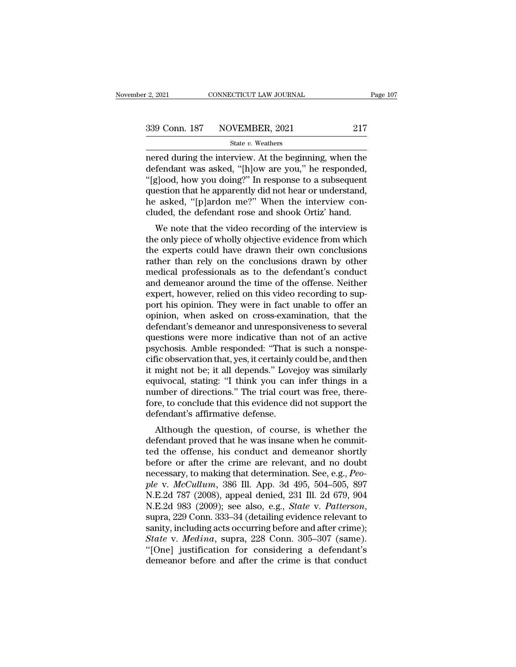$\frac{12,2021}{2}$  connectricut LAW JOURNAL Page 107<br>339 Conn. 187 NOVEMBER, 2021 217<br>5tate v. Weathers<br>nered during the interview. At the beginning, when the defendant was asked, "[h]ow are you," he responded, 339 Conn. 187 NOVEMBER, 2021 217<br>State v. Weathers<br>nered during the interview. At the beginning, when the<br>defendant was asked, "[h]ow are you," he responded,<br>"[g]ood, how you doing?" In response to a subsequent<br>question th 339 Conn. 187 NOVEMBER, 2021 217<br>
State v. Weathers<br>
nered during the interview. At the beginning, when the<br>
defendant was asked, "[h]ow are you," he responded,<br>"[g]ood, how you doing?" In response to a subsequent<br>
questi 339 Conn. 187 NOVEMBER, 2021 217<br>
State v. Weathers<br>
nered during the interview. At the beginning, when the<br>
defendant was asked, "[h]ow are you," he responded,<br>
"[g]ood, how you doing?" In response to a subsequent<br>
quest State v. Weathers<br>
The asked, "Next areas weathers" State v. Weathers<br>
defendant was asked, "[h]ow are you," he responded,<br>
"[g]ood, how you doing?" In response to a subsequent<br>
question that he apparently did not hear or state v. weathers<br>nered during the interview. At the beginning, when the<br>defendant was asked, "[h]ow are you," he responded,<br>"[g]ood, how you doing?" In response to a subsequent<br>question that he apparently did not hear or red during the interview. At the beginning, when the<br>fendant was asked, "[h]ow are you," he responded,<br>g]ood, how you doing?" In response to a subsequent<br>estion that he apparently did not hear or understand,<br>asked, "[p]ard defendant was asked, [H]ow are you, he responded,<br>"[g]ood, how you doing?" In response to a subsequent<br>question that he apparently did not hear or understand,<br>he asked, "[p]ardon me?" When the interview con-<br>cluded, the de

[g]ood, now you doing: "In response to a subsequent<br>question that he apparently did not hear or understand,<br>he asked, "[p]ardon me?" When the interview con-<br>cluded, the defendant rose and shook Ortiz' hand.<br>We note that t question that he apparently did not hear or diderstand,<br>he asked, "[p]ardon me?" When the interview con-<br>cluded, the defendant rose and shook Ortiz' hand.<br>We note that the video recording of the interview is<br>the only piece medical professionals as to the defendant is view to the interversional we note that the video recording of the interview is the only piece of wholly objective evidence from which the experts could have drawn their own con We note that the video recording of the interview is<br>the only piece of wholly objective evidence from which<br>the experts could have drawn their own conclusions<br>rather than rely on the conclusions drawn by other<br>medical prof We note that the video recording of the interview is<br>the only piece of wholly objective evidence from which<br>the experts could have drawn their own conclusions<br>rather than rely on the conclusions drawn by other<br>medical prof the only piece of wholly objective evidence from which<br>the experts could have drawn their own conclusions<br>rather than rely on the conclusions drawn by other<br>medical professionals as to the defendant's conduct<br>and demeanor the experts could have drawn their own conclusions<br>rather than rely on the conclusions drawn by other<br>medical professionals as to the defendant's conduct<br>and demeanor around the time of the offense. Neither<br>expert, however rather than rely on the conclusions drawn by other<br>medical professionals as to the defendant's conduct<br>and demeanor around the time of the offense. Neither<br>expert, however, relied on this video recording to sup-<br>port his o medical professionals as to the defendant's conduct<br>and demeanor around the time of the offense. Neither<br>expert, however, relied on this video recording to sup-<br>port his opinion. They were in fact unable to offer an<br>opinio and demeanor around the time of the offense. Neither<br>expert, however, relied on this video recording to sup-<br>port his opinion. They were in fact unable to offer an<br>opinion, when asked on cross-examination, that the<br>defenda expert, however, relied on this video recording to support his opinion. They were in fact unable to offer an opinion, when asked on cross-examination, that the defendant's demeanor and unresponsiveness to several questions port his opinion. They were in fact unable to offer an opinion, when asked on cross-examination, that the defendant's demeanor and unresponsiveness to several questions were more indicative than not of an active psychosis. opinion, when asked on cross-examination, that the<br>defendant's demeanor and unresponsiveness to several<br>questions were more indicative than not of an active<br>psychosis. Amble responded: "That is such a nonspe-<br>cific observa defendant's demeanor and unresponsiveness to several questions were more indicative than not of an active psychosis. Amble responded: "That is such a nonspecific observation that, yes, it certainly could be, and then it mi questions were more indicative than not of an active<br>psychosis. Amble responded: "That is such a nonspe-<br>cific observation that, yes, it certainly could be, and then<br>it might not be; it all depends." Lovejoy was similarly<br> psychosis. Amble responded: "That i<br>cific observation that, yes, it certainly of<br>it might not be; it all depends." Love<br>equivocal, stating: "I think you can<br>number of directions." The trial cour<br>fore, to conclude that this Although the question, of course, is whether the dependence of directions." Lovejoy was similarly uivocal, stating: "I think you can infer things in a umber of directions." The trial court was free, there-<br>re, to conclude definite that that the was included that this evidence did not support the number of directions." The trial court was free, therefore, to conclude that this evidence did not support the defendant's affirmative defense.<br>Alt

Equivocal, stating. The trial court was free, therefore, to conclude that this evidence did not support the defendant's affirmative defense.<br>Although the question, of course, is whether the defendant proved that he was ins before, to conclude that this evidence did not support the<br>defendant's affirmative defense.<br>Although the question, of course, is whether the<br>defendant proved that he was insane when he commit-<br>ted the offense, his conduct nore, to conclude that this evidence did not support the<br>defendant's affirmative defense.<br>Although the question, of course, is whether the<br>defendant proved that he was insane when he commit-<br>ted the offense, his conduct an *Although the question, of course, is whether the defendant proved that he was insane when he committed the offense, his conduct and demeanor shortly before or after the crime are relevant, and no doubt necessary, to makin* Although the question, of course, is whether the<br>defendant proved that he was insane when he commit-<br>ted the offense, his conduct and demeanor shortly<br>before or after the crime are relevant, and no doubt<br>necessary, to mak defendant proved that he was insane when he commit-<br>ted the offense, his conduct and demeanor shortly<br>before or after the crime are relevant, and no doubt<br>necessary, to making that determination. See, e.g., *Peo-*<br>ple v. before or after the crime are relevant, and no doubt<br>necessary, to making that determination. See, e.g., *Peo-*<br>ple v. *McCullum*, 386 Ill. App. 3d 495, 504–505, 897<br>N.E.2d 787 (2008), appeal denied, 231 Ill. 2d 679, 904<br>N recessary, to making that determination. See, e.g., *People v. McCullum*, 386 Ill. App. 3d 495, 504–505, 897<br>N.E.2d 787 (2008), appeal denied, 231 Ill. 2d 679, 904<br>N.E.2d 983 (2009); see also, e.g., *State v. Patterson*,<br>s ple v. McCullum, 386 Ill. App. 3d 495, 504–505, 897<br>N.E.2d 787 (2008), appeal denied, 231 Ill. 2d 679, 904<br>N.E.2d 983 (2009); see also, e.g., *State* v. *Patterson*,<br>supra, 229 Conn. 333–34 (detailing evidence relevant to<br> N.E.2d 787 (2008), appeal denied, 231 Ill. 2d 679, 904<br>N.E.2d 983 (2009); see also, e.g., *State* v. *Patterson*,<br>supra, 229 Conn. 333–34 (detailing evidence relevant to<br>sanity, including acts occurring before and after cr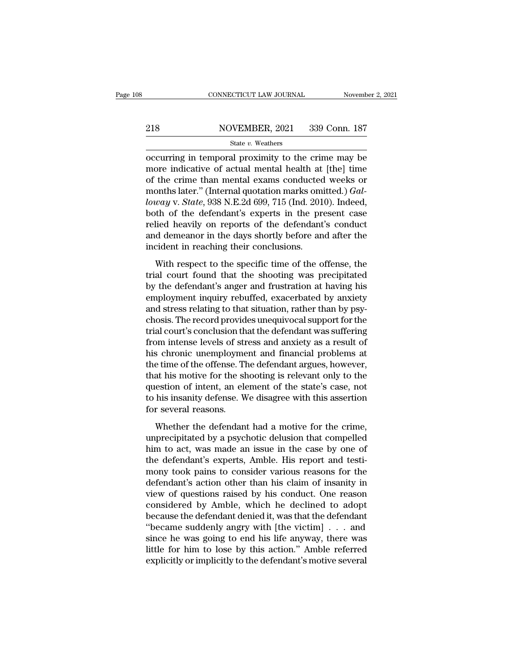# EXECUTE CONNECTICUT LAW JOURNAL Movember 2, 2021<br>218 NOVEMBER, 2021 339 Conn. 187<br>218 State v. Weathers

### State *v.* Weathers

CONNECTICUT LAW JOURNAL November 2, 2021<br>
218 NOVEMBER, 2021 339 Conn. 187<br>
State v. Weathers<br>
occurring in temporal proximity to the crime may be<br>
more indicative of actual mental health at [the] time<br>
of the grime than m 218 NOVEMBER, 2021 339 Conn. 187<br>
State v. Weathers<br>
occurring in temporal proximity to the crime may be<br>
more indicative of actual mental health at [the] time<br>
of the crime than mental exams conducted weeks or<br>
months la 218 NOVEMBER, 2021 339 Conn. 187<br>
State v. Weathers<br>
occurring in temporal proximity to the crime may be<br>
more indicative of actual mental health at [the] time<br>
of the crime than mental exams conducted weeks or<br>
months la MOVEMBER, 2021 339 Conn. 187<br>
State v. Weathers<br>
occurring in temporal proximity to the crime may be<br>
more indicative of actual mental health at [the] time<br>
of the crime than mental exams conducted weeks or<br>
months later." *loway* v. *State v. Weathers*<br> **locally interpoonlanging in temporal proximity to the crime may be**<br>
more indicative of actual mental health at [the] time<br>
of the crime than mental exams conducted weeks or<br>
months later." state v. weathers<br>occurring in temporal proximity to the crime may be<br>more indicative of actual mental health at [the] time<br>of the crime than mental exams conducted weeks or<br>months later." (Internal quotation marks omitte occurring in temporal proximity to the crime may be<br>more indicative of actual mental health at [the] time<br>of the crime than mental exams conducted weeks or<br>months later." (Internal quotation marks omitted.) *Gal-*<br>loway v. more indicative of actual mental health at [the] time<br>of the crime than mental exams conducted weeks or<br>months later." (Internal quotation marks omitted.)  $Gal-$ <br>loway v. State, 938 N.E.2d 699, 715 (Ind. 2010). Indeed,<br>both of the crime than mental exams conducted<br>months later." (Internal quotation marks om<br>*loway* v. *State*, 938 N.E.2d 699, 715 (Ind. 201<br>both of the defendant's experts in the pr<br>relied heavily on reports of the defendant<br>an  $way$  v. *State*, 938 N.E.2d 699, 715 (Ind. 2010). Indeed,  $way$  v. *State*, 938 N.E.2d 699, 715 (Ind. 2010). Indeed, the of the defendant's experts in the present case lied heavily on reports of the defendant's conduct d dem trial court for the defendant's experts in the present case<br>relied heavily on reports of the defendant's conduct<br>and demeanor in the days shortly before and after the<br>incident in reaching their conclusions.<br>With respect to

by the defendant's conduct<br>relied heavily on reports of the defendant's conduct<br>and demeanor in the days shortly before and after the<br>incident in reaching their conclusions.<br>With respect to the specific time of the offense employment in the days shortly before and after the<br>incident in reaching their conclusions.<br>With respect to the specific time of the offense, the<br>trial court found that the shooting was precipitated<br>by the defendant's ange incident in reaching their conclusions.<br>With respect to the specific time of the offense, the<br>trial court found that the shooting was precipitated<br>by the defendant's anger and frustration at having his<br>employment inquiry r With respect to the specific time of the offense, the<br>trial court found that the shooting was precipitated<br>by the defendant's anger and frustration at having his<br>employment inquiry rebuffed, exacerbated by anxiety<br>and stre With respect to the specific time of the offense, the<br>trial court found that the shooting was precipitated<br>by the defendant's anger and frustration at having his<br>employment inquiry rebuffed, exacerbated by anxiety<br>and stre trial court found that the shooting was precipitated<br>by the defendant's anger and frustration at having his<br>employment inquiry rebuffed, exacerbated by anxiety<br>and stress relating to that situation, rather than by psy-<br>cho by the defendant's anger and frustration at having his<br>employment inquiry rebuffed, exacerbated by anxiety<br>and stress relating to that situation, rather than by psy-<br>chosis. The record provides unequivocal support for the<br> employment inquiry rebuffed, exacerbated by anxiety<br>and stress relating to that situation, rather than by psy-<br>chosis. The record provides unequivocal support for the<br>trial court's conclusion that the defendant was sufferi and stress relating to that situation, rather than by psychosis. The record provides unequivocal support for the trial court's conclusion that the defendant was suffering from intense levels of stress and anxiety as a resu chosis. The record provides unequivocal support for the<br>trial court's conclusion that the defendant was suffering<br>from intense levels of stress and anxiety as a result of<br>his chronic unemployment and financial problems at<br> trial court's conclusion that the defendant was suffering<br>from intense levels of stress and anxiety as a result of<br>his chronic unemployment and financial problems at<br>the time of the offense. The defendant argues, however,<br> from intense levels of str<br>his chronic unemployme<br>the time of the offense. Tl<br>that his motive for the sl<br>question of intent, an ele<br>to his insanity defense. W<br>for several reasons.<br>Whether the defendan e time of the offense. The defendant argues, however,<br>at his motive for the shooting is relevant only to the<br>estion of intent, an element of the state's case, not<br>his insanity defense. We disagree with this assertion<br>r sev that his motive for the shooting is relevant only to the<br>question of intent, an element of the state's case, not<br>to his insanity defense. We disagree with this assertion<br>for several reasons.<br>Whether the defendant had a mot

question of intent, an element of the state's case, not<br>to his insanity defense. We disagree with this assertion<br>for several reasons.<br>Whether the defendant had a motive for the crime,<br>unprecipitated by a psychotic delusion to his insanity defense. We disagree with this assertion<br>for several reasons.<br>Whether the defendant had a motive for the crime,<br>unprecipitated by a psychotic delusion that compelled<br>him to act, was made an issue in the cas for several reasons.<br>
Whether the defendant had a motive for the crime,<br>
unprecipitated by a psychotic delusion that compelled<br>
him to act, was made an issue in the case by one of<br>
the defendant's experts, Amble. His repor Whether the defendant had a motive for the crime,<br>unprecipitated by a psychotic delusion that compelled<br>him to act, was made an issue in the case by one of<br>the defendant's experts, Amble. His report and testi-<br>mony took pa Whether the defendant had a motive for the crime,<br>unprecipitated by a psychotic delusion that compelled<br>him to act, was made an issue in the case by one of<br>the defendant's experts, Amble. His report and testi-<br>mony took pa unprecipitated by a psychotic delusion that compelled<br>him to act, was made an issue in the case by one of<br>the defendant's experts, Amble. His report and testi-<br>mony took pains to consider various reasons for the<br>defendant' him to act, was made an issue in the case by one of<br>the defendant's experts, Amble. His report and testi-<br>mony took pains to consider various reasons for the<br>defendant's action other than his claim of insanity in<br>view of q the defendant's experts, Amble. His report and testi-<br>mony took pains to consider various reasons for the<br>defendant's action other than his claim of insanity in<br>view of questions raised by his conduct. One reason<br>considere mony took pains to consider various reasons for the<br>defendant's action other than his claim of insanity in<br>view of questions raised by his conduct. One reason<br>considered by Amble, which he declined to adopt<br>because the de defendant's action other than his claim of insanity in<br>view of questions raised by his conduct. One reason<br>considered by Amble, which he declined to adopt<br>because the defendant denied it, was that the defendant<br>"became sud view of questions raised by his conduct. One reason considered by Amble, which he declined to adopt because the defendant denied it, was that the defendant "became suddenly angry with [the victim]  $\ldots$  and since he was g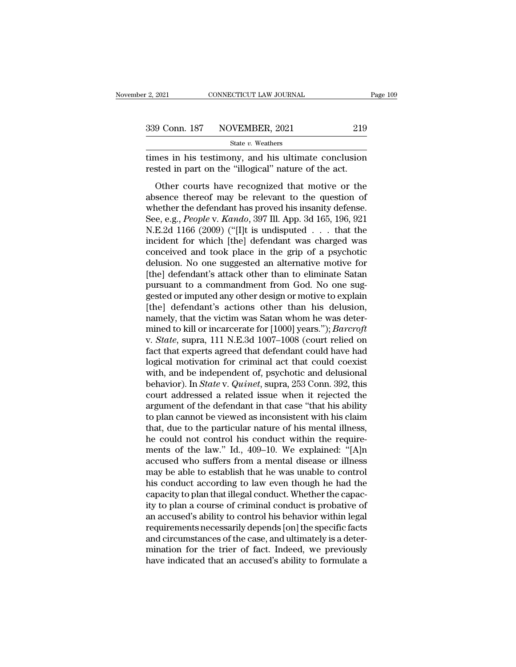| r 2, 2021 | CONNECTICUT LAW JOURNAL      | Page 109 |
|-----------|------------------------------|----------|
|           | 339 Conn. 187 NOVEMBER, 2021 | 219      |
|           | State v. Weathers            |          |

the set of the set of the set of the set of the set of the set of the set of the set of the set of the set of the set of the set of the set of the set of the set of the set of the set of the set of the set of the set of t Fig. 2021<br>
The State v. Weathers<br>
Transman in his testimony, and his ultimate conclusion<br>
Trested in part on the "illogical" nature of the act.<br>
Other courts have recognized that motive or the

9 Conn. 187 NOVEMBER, 2021 219<br>
State *v*. Weathers<br>
mes in his testimony, and his ultimate conclusion<br>
sted in part on the "illogical" nature of the act.<br>
Other courts have recognized that motive or the<br>
sence thereof ma 339 Conn. 187 NOVEMBER, 2021 219<br>
State v. Weathers<br>
times in his testimony, and his ultimate conclusion<br>
rested in part on the "illogical" nature of the act.<br>
Other courts have recognized that motive or the<br>
absence ther State v. Weathers<br>times in his testimony, and his ultimate conclusion<br>rested in part on the "illogical" nature of the act.<br>Other courts have recognized that motive or the<br>absence thereof may be relevant to the question of times in his testimony, and his ultimate conclusion<br>rested in part on the "illogical" nature of the act.<br>Other courts have recognized that motive or the<br>absence thereof may be relevant to the question of<br>whether the defend The means of the "illogical" nature of the act.<br>
Other courts have recognized that motive or the<br>
absence thereof may be relevant to the question of<br>
whether the defendant has proved his insanity defense.<br>
See, e.g., *Peo* Other courts have recognized that motive or the absence thereof may be relevant to the question of whether the defendant has proved his insanity defense.<br>See, e.g., *People* v. *Kando*, 397 Ill. App. 3d 165, 196, 921 N.E. Other courts have recognized that motive or the<br>absence thereof may be relevant to the question of<br>whether the defendant has proved his insanity defense.<br>See, e.g., *People* v. *Kando*, 397 Ill. App. 3d 165, 196, 921<br>N.E. absence thereof may be relevant to the question of<br>whether the defendant has proved his insanity defense.<br>See, e.g., *People* v. *Kando*, 397 Ill. App. 3d 165, 196, 921<br>N.E.2d 1166 (2009) ("[I]t is undisputed  $\ldots$  that t whether the defendant has proved his insanity defense.<br>
See, e.g., *People* v. *Kando*, 397 Ill. App. 3d 165, 196, 921<br>
N.E.2d 1166 (2009) ("[I]t is undisputed  $\ldots$  that the<br>
incident for which [the] defendant was charge See, e.g., *People* v. *Kando*, 397 Ill. App. 3d 165, 196, 921 N.E.2d 1166 (2009) ("[I]t is undisputed  $\ldots$  that the incident for which [the] defendant was charged was conceived and took place in the grip of a psychotic N.E.2d 1166 (2009) ("[I]t is undisputed . . . that the<br>incident for which [the] defendant was charged was<br>conceived and took place in the grip of a psychotic<br>delusion. No one suggested an alternative motive for<br>[the] defen incident for which [the] defendant was charged was<br>conceived and took place in the grip of a psychotic<br>delusion. No one suggested an alternative motive for<br>[the] defendant's attack other than to eliminate Satan<br>pursuant to conceived and took place in the grip of a psychotic<br>delusion. No one suggested an alternative motive for<br>[the] defendant's attack other than to eliminate Satan<br>pursuant to a commandment from God. No one sug-<br>gested or imp delusion. No one suggested an alternative motive for<br>[the] defendant's attack other than to eliminate Satan<br>pursuant to a commandment from God. No one sug-<br>gested or imputed any other design or motive to explain<br>[the] defe [the] defendant's attack other than to eliminate Satan<br>pursuant to a commandment from God. No one sug-<br>gested or imputed any other design or motive to explain<br>[the] defendant's actions other than his delusion,<br>namely, that pursuant to a commandment from God. No one sug-<br>gested or imputed any other design or motive to explain<br>[the] defendant's actions other than his delusion,<br>namely, that the victim was Satan whom he was deter-<br>mined to kill gested or imputed any other design or motive to explain<br>[the] defendant's actions other than his delusion,<br>namely, that the victim was Satan whom he was deter-<br>mined to kill or incarcerate for [1000] years."); *Barcroft*<br>v [the] defendant's actions other than his delusion,<br>namely, that the victim was Satan whom he was deter-<br>mined to kill or incarcerate for [1000] years."); *Barcroft*<br>v. *State*, supra, 111 N.E.3d 1007–1008 (court relied on namely, that the victim was Satan whom he was deter-<br>mined to kill or incarcerate for [1000] years."); *Barcroft*<br>v. *State*, supra, 111 N.E.3d 1007–1008 (court relied on<br>fact that experts agreed that defendant could have mined to kill or incarcerate for  $[1000]$  years."); *Barcroft*<br>v. *State*, supra, 111 N.E.3d 1007–1008 (court relied on<br>fact that experts agreed that defendant could have had<br>logical motivation for criminal act that could v. *State*, supra, 111 N.E.3d 1007–1008 (court relied on fact that experts agreed that defendant could have had logical motivation for criminal act that could coexist with, and be independent of, psychotic and delusional b fact that experts agreed that defendant could have had<br>logical motivation for criminal act that could coexist<br>with, and be independent of, psychotic and delusional<br>behavior). In *State* v. *Quinet*, supra, 253 Conn. 392, t logical motivation for criminal act that could coexist<br>with, and be independent of, psychotic and delusional<br>behavior). In *State* v. *Quinet*, supra, 253 Conn. 392, this<br>court addressed a related issue when it rejected t with, and be independent of, psychotic and delusional<br>behavior). In *State* v. *Quinet*, supra, 253 Conn. 392, this<br>court addressed a related issue when it rejected the<br>argument of the defendant in that case "that his abi behavior). In *State* v. *Quinet*, supra, 253 Conn. 392, this<br>court addressed a related issue when it rejected the<br>argument of the defendant in that case "that his ability<br>to plan cannot be viewed as inconsistent with his court addressed a related issue when it rejected the<br>argument of the defendant in that case "that his ability<br>to plan cannot be viewed as inconsistent with his claim<br>that, due to the particular nature of his mental illness argument of the defendant in that case "that his ability<br>to plan cannot be viewed as inconsistent with his claim<br>that, due to the particular nature of his mental illness,<br>he could not control his conduct within the require to plan cannot be viewed as inconsistent with his claim<br>that, due to the particular nature of his mental illness,<br>he could not control his conduct within the require-<br>ments of the law." Id., 409–10. We explained: "[A]n<br>acc that, due to the particular nature of his mental illness,<br>he could not control his conduct within the require-<br>ments of the law." Id., 409–10. We explained: "[A]n<br>accused who suffers from a mental disease or illness<br>may be he could not control his conduct within the requirements of the law." Id., 409–10. We explained: "[A]n accused who suffers from a mental disease or illness may be able to establish that he was unable to control his conduct ments of the law." Id., 409–10. We explained: "[A]n<br>accused who suffers from a mental disease or illness<br>may be able to establish that he was unable to control<br>his conduct according to law even though he had the<br>capacity t accused who suffers from a mental disease or illness<br>may be able to establish that he was unable to control<br>his conduct according to law even though he had the<br>capacity to plan that illegal conduct. Whether the capac-<br>ity may be able to establish that he was unable to control<br>his conduct according to law even though he had the<br>capacity to plan that illegal conduct. Whether the capac-<br>ity to plan a course of criminal conduct is probative of<br> his conduct according to law even though he had the capacity to plan that illegal conduct. Whether the capacity to plan a course of criminal conduct is probative of an accused's ability to control his behavior within legal capacity to plan that illegal conduct. Whether the capacity to plan a course of criminal conduct is probative of an accused's ability to control his behavior within legal requirements necessarily depends [on] the specific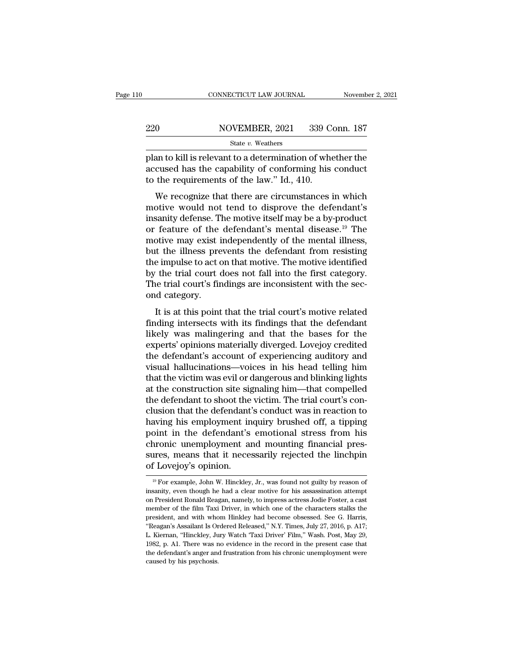|         | CONNECTICUT LAW JOURNAL | November 2, 2021 |
|---------|-------------------------|------------------|
|         |                         |                  |
| $220\,$ | NOVEMBER, 2021          | 339 Conn. 187    |
|         | State $v$ . Weathers    |                  |

FREE CONNECTICUT LAW JOURNAL Movember 2, 2021<br>
220 NOVEMBER, 2021 339 Conn. 187<br>
321 State v. Weathers<br>
220 NOVEMBER, 2021 339 Conn. 187<br>
321 State v. Weathers<br>
220 Plan to kill is relevant to a determination of whether th 220 NOVEMBER, 2021 339 Conn. 187<br>
State v. Weathers<br>
plan to kill is relevant to a determination of whether the<br>
accused has the capability of conforming his conduct<br>
to the requirements of the law." Id., 410.  $\begin{array}{r} \text{220} & \text{NOVEMBER, 2021} & \text{339 C} \\ \text{State } v. \text{ Weather} \end{array}$ <br>plan to kill is relevant to a determination of whe<br>accused has the capability of conforming his<br>to the requirements of the law.'' Id., 410.<br>We recognize that ther WEMBER, 2021 339 Conn. 187<br>
State v. Weathers<br>
an to kill is relevant to a determination of whether the<br>
cused has the capability of conforming his conduct<br>
the requirements of the law." Id., 410.<br>
We recognize that there

State v. Weathers<br>plan to kill is relevant to a determination of whether the<br>accused has the capability of conforming his conduct<br>to the requirements of the law." Id., 410.<br>We recognize that there are circumstances in whi plan to kill is relevant to a determination of whether the accused has the capability of conforming his conduct<br>to the requirements of the law." Id., 410.<br>We recognize that there are circumstances in which<br>motive would no plant to kin is retevant to a determination of whether the<br>accused has the capability of conforming his conduct<br>to the requirements of the law." Id., 410.<br>We recognize that there are circumstances in which<br>motive would no to the requirements of the law." Id., 410.<br>We recognize that there are circumstances in which<br>motive would not tend to disprove the defendant's<br>insanity defense. The motive itself may be a by-product<br>or feature of the defe We recognize that there are circumstances in which<br>motive would not tend to disprove the defendant's<br>insanity defense. The motive itself may be a by-product<br>or feature of the defendant's mental disease.<sup>19</sup> The<br>motive may We recognize that there are circumstances in which<br>motive would not tend to disprove the defendant's<br>insanity defense. The motive itself may be a by-product<br>or feature of the defendant's mental disease.<sup>19</sup> The<br>motive may motive would not tend to disprove the defendant's<br>insanity defense. The motive itself may be a by-product<br>or feature of the defendant's mental disease.<sup>19</sup> The<br>motive may exist independently of the mental illness,<br>but the insanity defense. The motive itself may be a by-product<br>or feature of the defendant's mental disease.<sup>19</sup> The<br>motive may exist independently of the mental illness,<br>but the illness prevents the defendant from resisting<br>the or feature of the<br>motive may exist i<br>but the illness pre<br>the impulse to act c<br>by the trial court of<br>The trial court's fir<br>ond category.<br>It is at this point It is at this point that the trial court's motive related<br>It is a trial court does not fall into the first category.<br>It is at this point that the trial court's motive related<br>ding intersects with its findings that the defe Find the impulse to act on that motive. The motive identified<br>by the trial court does not fall into the first category.<br>The trial court's findings are inconsistent with the sec-<br>ond category.<br>It is at this point that the t

likely the trial court does not fall into the first category.<br>The trial court's findings are inconsistent with the sec-<br>ond category.<br>It is at this point that the trial court's motive related<br>finding intersects with its fi by the trial court does not fail milo the first category.<br>The trial court's findings are inconsistent with the sec-<br>ond category.<br>It is at this point that the trial court's motive related<br>finding intersects with its findin The diar coart's intentitys are inconsistent with the second category.<br>
It is at this point that the trial court's motive related<br>
finding intersects with its findings that the defendant<br>
likely was malingering and that th It is at this point that the trial court's motive related<br>finding intersects with its findings that the defendant<br>likely was malingering and that the bases for the<br>experts' opinions materially diverged. Lovejoy credited<br>th It is at this point that the trial court's motive related<br>finding intersects with its findings that the defendant<br>likely was malingering and that the bases for the<br>experts' opinions materially diverged. Lovejoy credited<br>th finding intersects with its findings that the defendant<br>likely was malingering and that the bases for the<br>experts' opinions materially diverged. Lovejoy credited<br>the defendant's account of experiencing auditory and<br>visual likely was malingering and that the bases for the<br>experts' opinions materially diverged. Lovejoy credited<br>the defendant's account of experiencing auditory and<br>visual hallucinations—voices in his head telling him<br>that the v experts' opinions materially diverged. Lovejoy credited<br>the defendant's account of experiencing auditory and<br>visual hallucinations—voices in his head telling him<br>that the victim was evil or dangerous and blinking lights<br>at the defendant's account of experiencing auditory and<br>visual hallucinations—voices in his head telling him<br>that the victim was evil or dangerous and blinking lights<br>at the construction site signaling him—that compelled<br>the visual hallucinations—voices in his head telling him<br>that the victim was evil or dangerous and blinking lights<br>at the construction site signaling him—that compelled<br>the defendant to shoot the victim. The trial court's conthat the victim was evil or dangerous and blinking lights<br>at the construction site signaling him—that compelled<br>the defendant to shoot the victim. The trial court's con-<br>clusion that the defendant's conduct was in reaction at the construction site signaling him—that compelled<br>the defendant to shoot the victim. The trial court's con-<br>clusion that the defendant's conduct was in reaction to<br>having his employment inquiry brushed off, a tipping<br>p the defendant to shoot the<br>clusion that the defendant<br>having his employment in<br>point in the defendant's<br>chronic unemployment ar<br>sures, means that it neces<br>of Lovejoy's opinion. point in the defendant's emotional stress from his chronic unemployment and mounting financial pressures, means that it necessarily rejected the linchpin of Lovejov's opinion. chronic unemployment and mounting financial pressures, means that it necessarily rejected the linchpin<br>of Lovejoy's opinion.<br><sup>19</sup> For example, John W. Hinckley, Jr., was found not guilty by reason of<br>insanity, even though

sures, means that it necessarily rejected the linchpin<br>of Lovejoy's opinion.<br><sup>19</sup> For example, John W. Hinckley, Jr., was found not guilty by reason of<br>insanity, even though he had a clear motive for his assassination atte member of the film Taxi Driver, in which one of the characters stalks the president, and with whom Hinkley, Jr., was found not guilty by reason of insanity, even though he had a clear motive for his assassination attempt o  $\frac{19}{19}$  For example, John W. Hinckley, Jr., was found not guilty by reason of insanity, even though he had a clear motive for his assassination attempt on President Ronald Reagan, namely, to impress actress Jodie Fost <sup>19</sup> For example, John W. Hinckley, Jr., was found not guilty by reason of insanity, even though he had a clear motive for his assassination attempt on President Ronald Reagan, namely, to impress actress Jodie Foster, a c insanity, even though he had a clear motive for his assassination attempt<br>on President Ronald Reagan, namely, to impress actress Jodie Foster, a cast<br>member of the film Taxi Driver, in which one of the characters stalks th on President Ronald Reagan, namely, to impress actress Jodie Foster, a cast member of the film Taxi Driver, in which one of the characters stalks the president, and with whom Hinkley had become obsessed. See G. Harris, "Re of the film Taxi Driver, in which one of the characters stalks the president, and with whom Hinkley had become obsessed. See G. Harris, "Reagan's Assailant Is Ordered Released," N.Y. Times, July 27, 2016, p. A17; L. Kierna president, and with whom Hinkley had become obsessed. See G. Harris,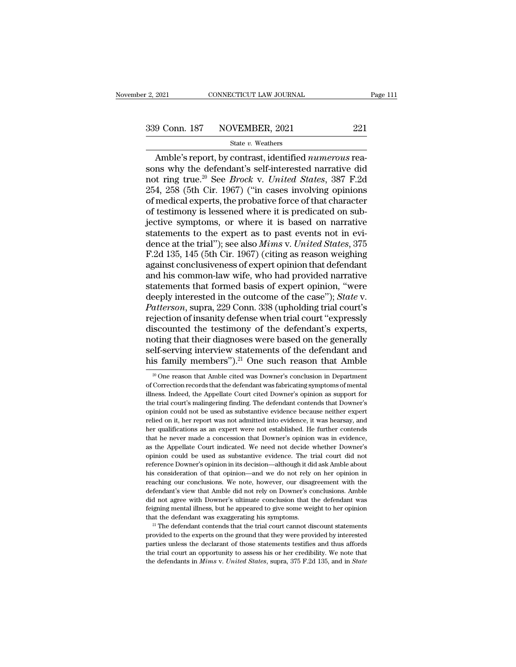# $\frac{2,2021}$  CONNECTICUT LAW JOURNAL Page 111<br>339 Conn. 187 NOVEMBER, 2021 221<br>State v. Weathers

### State *v.* Weathers

2021 CONNECTICUT LAW JOURNAL Page<br>
9 Conn. 187 NOVEMBER, 2021 221<br>
<sup>State v.</sup> Weathers<br>
Amble's report, by contrast, identified *numerous* rea-<br>
ns why the defendant's self-interested narrative did<br>
at ring true <sup>20</sup> See 339 Conn. 187 NOVEMBER, 2021<br>
State v. Weathers<br>
Amble's report, by contrast, identified *numerous* reasons why the defendant's self-interested narrative did<br>
not ring true.<sup>20</sup> See *Brock v. United States*, 387 F.2d<br>
254 339 Conn. 187 NOVEMBER, 2021 221<br>
<sup>State v. Weathers</sup><br>
Amble's report, by contrast, identified *numerous* reasons why the defendant's self-interested narrative did<br>
not ring true.<sup>20</sup> See *Brock* v. *United States*, 387 F. 339 Conn. 187 NOVEMBER, 2021 221<br>
State v. Weathers<br>
Amble's report, by contrast, identified *numerous* reasons why the defendant's self-interested narrative did<br>
not ring true.<sup>20</sup> See *Brock v. United States*, 387 F.2d<br> Solution 10. The vertice of that we state we weathers<br>
Amble's report, by contrast, identified numerous reasons why the defendant's self-interested narrative did<br>
not ring true.<sup>20</sup> See *Brock v. United States*, 387 F.2d<br> State v. Weathers<br>
Amble's report, by contrast, identified *numerous* reasons why the defendant's self-interested narrative did<br>
not ring true.<sup>20</sup> See *Brock v. United States*, 387 F.2d<br>
254, 258 (5th Cir. 1967) ("in cas Amble's report, by contrast, identified *numerous* reasons why the defendant's self-interested narrative did<br>not ring true.<sup>20</sup> See *Brock v. United States*, 387 F.2d<br>254, 258 (5th Cir. 1967) ("in cases involving opinions sons why the defendant's self-interested narrative did<br>not ring true.<sup>20</sup> See *Brock v. United States*, 387 F.2d<br>254, 258 (5th Cir. 1967) ("in cases involving opinions<br>of medical experts, the probative force of that chara not ring true.<sup>20</sup> See *Brock v. United States*, 387 F.2d<br>254, 258 (5th Cir. 1967) ("in cases involving opinions<br>of medical experts, the probative force of that character<br>of testimony is lessened where it is predicated on 254, 258 (5th Cir. 1967) ("in cases involving opinions<br>of medical experts, the probative force of that character<br>of testimony is lessened where it is predicated on sub-<br>jective symptoms, or where it is based on narrative<br>s of medical experts, the probative force of that character<br>of testimony is lessened where it is predicated on sub-<br>jective symptoms, or where it is based on narrative<br>statements to the expert as to past events not in evi-<br>d of testimony is lessened where it is predicated on sub-<br>jective symptoms, or where it is based on narrative<br>statements to the expert as to past events not in evi-<br>dence at the trial"); see also *Mims v. United States*, 37 jective symptoms, or where it is based on narrative<br>statements to the expert as to past events not in evi-<br>dence at the trial"); see also *Mims v. United States*, 375<br>F.2d 135, 145 (5th Cir. 1967) (citing as reason weighi statements to the expert as to past events not in evi-<br>dence at the trial"); see also *Mims v. United States*, 375<br>F.2d 135, 145 (5th Cir. 1967) (citing as reason weighing<br>against conclusiveness of expert opinion that defe dence at the trial"); see also *Mims* v. *United States*, 375<br>*F.2d* 135, 145 (5th Cir. 1967) (citing as reason weighing<br>against conclusiveness of expert opinion that defendant<br>and his common-law wife, who had provided nar F.2d 135, 145 (5th Cir. 1967) (citing as reason weighing<br>against conclusiveness of expert opinion that defendant<br>and his common-law wife, who had provided narrative<br>statements that formed basis of expert opinion, "were<br>dee against conclusiveness of expert opinion that defendant<br>and his common-law wife, who had provided narrative<br>statements that formed basis of expert opinion, "were<br>deeply interested in the outcome of the case"); *State* v.<br> and his common-law wife, who had provided narrative<br>statements that formed basis of expert opinion, "were<br>deeply interested in the outcome of the case"); *State* v.<br>*Patterson*, supra, 229 Conn. 338 (upholding trial court' statements that formed basis of expert opinion, "were<br>deeply interested in the outcome of the case"); *State* v.<br>*Patterson*, supra, 229 Conn. 338 (upholding trial court's<br>rejection of insanity defense when trial court "ex deeply interested in the outcome of the case"); *State* v.<br>*Patterson*, supra, 229 Conn. 338 (upholding trial court's<br>rejection of insanity defense when trial court "expressly<br>discounted the testimony of the defendant's e is<br>counted the testimony of the defendant's experts, oting that their diagnoses were based on the generally<br>elf-serving interview statements of the defendant and<br>is family members").<sup>21</sup> One such reason that Amble<br> $\frac{20}{$ noting that their diagnoses were based on the generally self-serving interview statements of the defendant and his family members").<sup>21</sup> One such reason that Amble  $\frac{1}{20}$  One reason that Amble cited was Downer's concl

self-serving interview statements of the defendant and<br>his family members").<sup>21</sup> One such reason that Amble<br><sup>30</sup> One reason that Amble cited was Downer's conclusion in Department<br>of Correction records that the defendant wa the trial court's malingering finding. The defendant court is that Amble  $\frac{20}{20}$  One reason that Amble cited was Downer's conclusion in Department of Correction records that the defendant was fabricating symptoms of m This Tartifuly Thermoers J. One Such Teason that Ambie<br>
<sup>20</sup> One reason that Amble cited was Downer's conclusion in Department<br>
of Correction records that the defendant was fabricating symptoms of mental<br>
illness. Indeed, <sup>20</sup> One reason that Amble cited was Downer's conclusion in Department of Correction records that the defendant was fabricating symptoms of mental illness. Indeed, the Appellate Court cited Downer's opinion as support for of Correction records that the defendant was fabricating symptoms of mental illness. Indeed, the Appellate Court cited Downer's opinion as support for the trial court's malingering finding. The defendant contends that Down illness. Indeed, the Appellate Court cited Downer's opinion as support for the trial court's malingering finding. The defendant contends that Downer's opinion could not be used as substantive evidence because neither exper the trial court's malingering finding. The defendant contends that Downer's opinion could not be used as substantive evidence because neither expert relied on it, her report was not admitted into evidence, it was hearsay, opinion could not be used as substantive evidence because neither expert<br>relied on it, her report was not admitted into evidence, it was hearsay, and<br>her qualifications as an expert were not established. He further contend reflied on it, her report was not admitted into evidence, it was hearsay, and<br>her qualifications as an expert were not established. He further contends<br>that he never made a concession that Downer's opinion was in evidence, Find on the qualifications as an expert were not established. He further contends that he never made a concession that Downer's opinion was in evidence, as the Appellate Court indicated. We need not decide whether Downer's reaching our conclusions. We note, however, our disagreement with the never made a concession that Downer's opinion was in evidence, as the Appellate Court indicated. We need not decide whether Downer's opinion could be us as the Appellate Court indicated. We need not decide whether Downer's opinion could be used as substantive evidence. The trial court did not reference Downer's opinion in its decision—although it did ask Amble about his co opinion could be used as substantive evidence. The trial court did not reference Downer's opinion in its decision—although it did ask Amble about his consideration of that opinion—and we do not rely on her opinion in reach ference Downer's opinion in its decision—although it did ask Amble about his consideration of that opinion—and we do not rely on her opinion in reaching our conclusions. We note, however, our disagreement with the defendan that the defendant was exaggerating his symptoms. We note that opinion—and we do not rely on her opinion in reaching our conclusions. We note, however, our disagreement with the defendant's view that Amble did not rely on defendant's view that Amble did not rely on Downer's conclusions. Amble did not agree with Downer's ultimate conclusion that the defendant was feigning mental illness, but he appeared to give some weight to her opinion tha feigning mental illness, but he appeared to give some weight to her opinion

defendant's view that Amble did not rely on Downer's conclusions. Amble did not agree with Downer's ultimate conclusion that the defendant was feigning mental illness, but he appeared to give some weight to her opinion th that the defendant was exaggerating his symptoms.<br><sup>21</sup> The defendant contends that the trial court cannot discount statements<br>provided to the experts on the ground that they were provided by interested<br>parties unless the d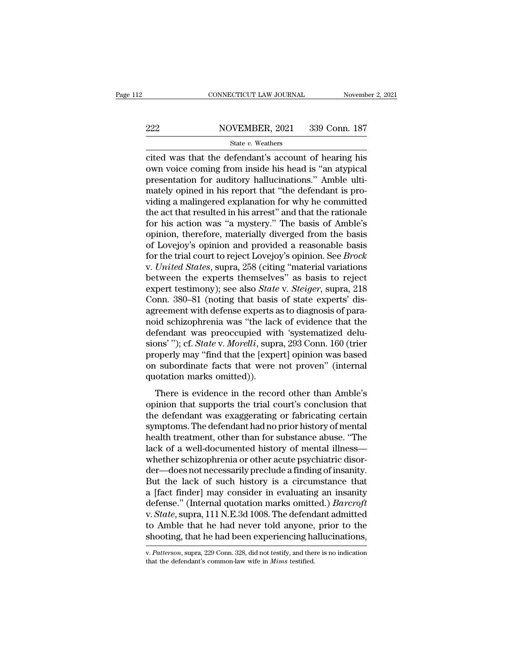# EXECUTE CONNECTICUT LAW JOURNAL Movember 2, 2021<br>222 NOVEMBER, 2021 339 Conn. 187<br>224 State v. Weathers

### State *v.* Weathers

CONNECTICUT LAW JOURNAL November 2, 2021<br>
222 NOVEMBER, 2021 339 Conn. 187<br>  $\frac{\text{State } v. \text{ Weathers}}{\text{State } v. \text{ Weathers}}$ <br>
Cited was that the defendant's account of hearing his<br>
own voice coming from inside his head is "an atypical  $\begin{array}{r} \text{222} & \text{NOVEMBER, 2021} & \text{339 Conn.} \text{187} \\ \text{State } v. \text{ Weather} \end{array}$ <br>cited was that the defendant's account of hearing his own voice coming from inside his head is "an atypical presentation for auditory hallucinations." Amb 222 NOVEMBER, 2021 339 Conn. 187 222 NOVEMBER, 2021 339 Conn. 187<br>
State v. Weathers<br>
cited was that the defendant's account of hearing his<br>
own voice coming from inside his head is "an atypical<br>
presentation for auditory hallucinations." Amble ulti-<br>
ma State v. Weathers<br>
State v. Weathers<br>
cited was that the defendant's account of hearing his<br>
own voice coming from inside his head is "an atypical<br>
presentation for auditory hallucinations." Amble ulti-<br>
mately opined in h state  $v$ . Weathers<br>
cited was that the defendant's account of hearing his<br>
own voice coming from inside his head is "an atypical<br>
presentation for auditory hallucinations." Amble ulti-<br>
mately opined in his report that " cited was that the defendant's account of hearing his<br>own voice coming from inside his head is "an atypical<br>presentation for auditory hallucinations." Amble ulti-<br>mately opined in his report that "the defendant is pro-<br>vid own voice coming from inside his head is "an atypical presentation for auditory hallucinations." Amble ultimately opined in his report that "the defendant is providing a malingered explanation for why he committed the act presentation for auditory hallucinations." Amble ulti-<br>mately opined in his report that "the defendant is pro-<br>viding a malingered explanation for why he committed<br>the act that resulted in his arrest" and that the rationa mately opined in his report that "the defendant is providing a malingered explanation for why he committed<br>the act that resulted in his arrest" and that the rationale<br>for his action was "a mystery." The basis of Amble's<br>op viding a malingered explanation for why he committed<br>the act that resulted in his arrest" and that the rationale<br>for his action was "a mystery." The basis of Amble's<br>opinion, therefore, materially diverged from the basis<br>o the act that resulted in his arrest" and that the rationale<br>for his action was "a mystery." The basis of Amble's<br>opinion, therefore, materially diverged from the basis<br>of Lovejoy's opinion and provided a reasonable basis<br>f for his action was "a mystery." The basis of Amble's<br>opinion, therefore, materially diverged from the basis<br>of Lovejoy's opinion and provided a reasonable basis<br>for the trial court to reject Lovejoy's opinion. See *Brock*<br> opinion, therefore, materially diverged from the basis<br>of Lovejoy's opinion and provided a reasonable basis<br>for the trial court to reject Lovejoy's opinion. See *Brock*<br>v. United States, supra, 258 (citing "material variat of Lovejoy's opinion and provided a reasonable basis<br>for the trial court to reject Lovejoy's opinion. See *Brock*<br>v. United States, supra, 258 (citing "material variations<br>between the experts themselves" as basis to reject for the trial court to reject Lovejoy's opinion. See *Brock*<br>v. United States, supra, 258 (citing "material variations<br>between the experts themselves" as basis to reject<br>expert testimony); see also *State* v. *Steiger*, su v. United States, supra, 258 (citing "material variations<br>between the experts themselves" as basis to reject<br>expert testimony); see also *State* v. *Steiger*, supra, 218<br>Conn. 380–81 (noting that basis of state experts' di between the experts themselves" as basis to reject<br>expert testimony); see also *State* v. *Steiger*, supra, 218<br>Conn. 380–81 (noting that basis of state experts' dis-<br>agreement with defense experts as to diagnosis of paraexpert testimony); see also *State* v. *Steiger*, supra, 218<br>Conn. 380–81 (noting that basis of state experts' dis-<br>agreement with defense experts as to diagnosis of para-<br>noid schizophrenia was "the lack of evidence that Conn. 380–81 (noting that basis of state experts' dis-<br>agreement with defense experts as to diagnosis of para-<br>noid schizophrenia was "the lack of evidence that the<br>defendant was preoccupied with 'systematized delu-<br>sions' agreement with defense experts and schizophrenia was "the laction defendant was preoccupied with sions'"); cf. *State v. Morelli*, supproperly may "find that the [expositon subordinate facts that were quotation marks omitt In the schake principle in the record of the record of the record of the report of the report of the record of the report of the record of the record of the record of the record of the record of the record of the record of decendant was preoccupied with systematized deta<br>sions'"); cf. *State* v. *Morelli*, supra, 293 Conn. 160 (trier<br>properly may "find that the [expert] opinion was based<br>on subordinate facts that were not proven" (internal<br>q

properly may "find that the [expert] opinion was based<br>on subordinate facts that were not proven" (internal<br>quotation marks omitted)).<br>There is evidence in the record other than Amble's<br>opinion that supports the trial cou properly may find that the [expert] opinion was staced<br>on subordinate facts that were not proven" (internal<br>quotation marks omitted)).<br>There is evidence in the record other than Amble's<br>opinion that supports the trial cour on substantiate races that were not proven (international)<br>quotation marks omitted)).<br>There is evidence in the record other than Amble's<br>opinion that supports the trial court's conclusion that<br>the defendant was exaggeratin There is evidence in the record other than Amble's<br>opinion that supports the trial court's conclusion that<br>the defendant was exaggerating or fabricating certain<br>symptoms. The defendant had no prior history of mental<br>health There is evidence in the record other than Amble's<br>opinion that supports the trial court's conclusion that<br>the defendant was exaggerating or fabricating certain<br>symptoms. The defendant had no prior history of mental<br>health opinion that supports the trial court's conclusion that<br>the defendant was exaggerating or fabricating certain<br>symptoms. The defendant had no prior history of mental<br>health treatment, other than for substance abuse. "The<br>la the defendant was exaggerating or fabricating certain<br>symptoms. The defendant had no prior history of mental<br>health treatment, other than for substance abuse. "The<br>lack of a well-documented history of mental illness—<br>wheth symptoms. The defendant had no prior history of mental<br>health treatment, other than for substance abuse. "The<br>lack of a well-documented history of mental illness—<br>whether schizophrenia or other acute psychiatric disor-<br>der health treatment, other than for substance abuse. "The<br>lack of a well-documented history of mental illness—<br>whether schizophrenia or other acute psychiatric disor-<br>der—does not necessarily preclude a finding of insanity.<br>B lack of a well-documented history of mental illness—<br>whether schizophrenia or other acute psychiatric disor-<br>der—does not necessarily preclude a finding of insanity.<br>But the lack of such history is a circumstance that<br>a [f whether schizophrenia or other acute psychiatric disor-<br>der—does not necessarily preclude a finding of insanity.<br>But the lack of such history is a circumstance that<br>a [fact finder] may consider in evaluating an insanity<br>de der—does not necessarily preclude a finding of insanity.<br>But the lack of such history is a circumstance that<br>a [fact finder] may consider in evaluating an insanity<br>defense." (Internal quotation marks omitted.) *Barcroft*<br>v v. *State*, supra, 111 N.E.3d 1008. The defendant admitted<br>to Amble that he had never told anyone, prior to the<br>shooting, that he had been experiencing hallucinations,<br>v. *Patterson*, supra, 229 Conn. 328, did not testify,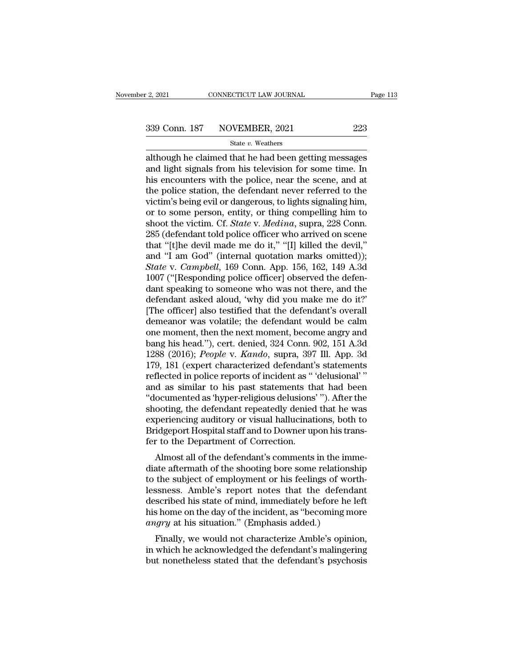# $\frac{2,2021}{2,2021}$  CONNECTICUT LAW JOURNAL Page 113<br>339 Conn. 187 NOVEMBER, 2021 223<br>State v. Weathers

### State *v.* Weathers

2, 2021 CONNECTICUT LAW JOURNAL Page 113<br>  $\begin{array}{r}\n 339 \text{ Conn. } 187 \quad \text{NOVEMBER, } 2021 \quad \text{223}\n \end{array}$ <br>  $\begin{array}{r}\n \text{State } v. \text{ Weathers}\n \end{array}$ <br>
although he claimed that he had been getting messages<br>
and light signals from his televis 339 Conn. 187 NOVEMBER, 2021 223<br>
State v. Weathers<br>
although he claimed that he had been getting messages<br>
and light signals from his television for some time. In<br>
his encounters with the police, near the scene, and at<br>
t  $\begin{array}{r} \text{339 Conn. 187} \quad \text{NOVEMBER, 2021} \quad \text{223} \ \text{State } v. \text{ Weat,} \end{array}$ <br>
although he claimed that he had been getting messages and light signals from his television for some time. In his encounters with the police, near the s 339 Conn. 187 NOVEMBER, 2021 223<br>
state v. Weathers<br>
although he claimed that he had been getting messages<br>
and light signals from his television for some time. In<br>
his encounters with the police, near the scene, and at<br> State v. Weathers<br>
State v. Weathers<br>
although he claimed that he had been getting messages<br>
and light signals from his television for some time. In<br>
his encounters with the police, near the scene, and at<br>
the police stat state v. Weathers<br>although he claimed that he had been getting messages<br>and light signals from his television for some time. In<br>his encounters with the police, near the scene, and at<br>the police station, the defendant neve although he claimed that he had been getting messages<br>and light signals from his television for some time. In<br>his encounters with the police, near the scene, and at<br>the police station, the defendant never referred to the<br>v and light signals from his television for some time. In<br>his encounters with the police, near the scene, and at<br>the police station, the defendant never referred to the<br>victim's being evil or dangerous, to lights signaling h his encounters with the police, near the scene, and at<br>
the police station, the defendant never referred to the<br>
victim's being evil or dangerous, to lights signaling him,<br>
or to some person, entity, or thing compelling h the police station, the defendant never referred to the victim's being evil or dangerous, to lights signaling him, or to some person, entity, or thing compelling him to shoot the victim. Cf. *State* v. *Medina*, supra, 228 victim's being evil or dangerous, to lights signaling him,<br>or to some person, entity, or thing compelling him to<br>shoot the victim. Cf. *State* v. *Medina*, supra, 228 Conn.<br>285 (defendant told police officer who arrived on or to some person, entity, or thing compelling him to<br>shoot the victim. Cf. *State* v. *Medina*, supra, 228 Conn.<br>285 (defendant told police officer who arrived on scene<br>that "[t]he devil made me do it," "[I] killed the de shoot the victim. Cf. *State* v. *Medina*, supra, 228 Conn.<br>285 (defendant told police officer who arrived on scene<br>that "[t]he devil made me do it," "[I] killed the devil,"<br>and "I am God" (internal quotation marks omitted 285 (defendant told police officer who arrived on scene<br>that "[t]he devil made me do it," "[I] killed the devil,"<br>and "I am God" (internal quotation marks omitted));<br>*State* v. *Campbell*, 169 Conn. App. 156, 162, 149 A.3d that "[t]he devil made me do it," "[I] killed the devil,"<br>and "I am God" (internal quotation marks omitted));<br>*State* v. *Campbell*, 169 Conn. App. 156, 162, 149 A.3d<br>1007 ("[Responding police officer] observed the defen-<br> and "I am God" (internal quotation marks omitted));<br> *State* v. *Campbell*, 169 Conn. App. 156, 162, 149 A.3d<br>
1007 ("[Responding police officer] observed the defen-<br>
dant speaking to someone who was not there, and the<br>
d State v. Campbell, 169 Conn. App. 156, 162, 149 A.3d<br>1007 ("[Responding police officer] observed the defendant speaking to someone who was not there, and the<br>defendant asked aloud, 'why did you make me do it?'<br>[The office 1007 ("[Responding police officer] observed the defendant speaking to someone who was not there, and the defendant asked aloud, 'why did you make me do it?'<br>[The officer] also testified that the defendant's overall demean dant speaking to someone who was not there, and the<br>defendant asked aloud, 'why did you make me do it?'<br>[The officer] also testified that the defendant's overall<br>demeanor was volatile; the defendant would be calm<br>one momen defendant asked aloud, 'why did you make me do it?'<br>[The officer] also testified that the defendant's overall<br>demeanor was volatile; the defendant would be calm<br>one moment, then the next moment, become angry and<br>bang his h [The officer] also testified that the defendant's overall<br>demeanor was volatile; the defendant would be calm<br>one moment, then the next moment, become angry and<br>bang his head."), cert. denied, 324 Conn. 902, 151 A.3d<br>1288 demeanor was volatile; the defendant would be calm<br>one moment, then the next moment, become angry and<br>bang his head."), cert. denied, 324 Conn. 902, 151 A.3d<br>1288 (2016); *People* v. *Kando*, supra, 397 Ill. App. 3d<br>179, 1 one moment, then the next moment, become angry and<br>bang his head."), cert. denied, 324 Conn. 902, 151 A.3d<br>1288 (2016); *People v. Kando*, supra, 397 Ill. App. 3d<br>179, 181 (expert characterized defendant's statements<br>refle bang his head."), cert. denied, 324 Conn. 902, 151 A.3d<br>1288 (2016); *People v. Kando*, supra, 397 Ill. App. 3d<br>179, 181 (expert characterized defendant's statements<br>reflected in police reports of incident as "delusional"<br> 1288 (2016); *People* v. *Kando*, supra, 397 Ill. App. 3d<br>179, 181 (expert characterized defendant's statements<br>reflected in police reports of incident as "delusional"<br>and as similar to his past statements that had been<br>"d 179, 181 (expert characterized defendant's statements<br>reflected in police reports of incident as "'delusional'"<br>and as similar to his past statements that had been<br>"documented as 'hyper-religious delusions'"). After the<br>sh reflected in police reports of incident as "<br>and as similar to his past statements th<br>"documented as 'hyper-religious delusions'<br>shooting, the defendant repeatedly denied<br>experiencing auditory or visual hallucinati<br>Bridgep Almost all of the shooting borses and that had been<br>ocumented as 'hyper-religious delusions' "). After the<br>ooting, the defendant repeatedly denied that he was<br>periencing auditory or visual hallucinations, both to<br>idgeport documented as hyper-rengious detusions by Arter the<br>shooting, the defendant repeatedly denied that he was<br>experiencing auditory or visual hallucinations, both to<br>Bridgeport Hospital staff and to Downer upon his trans-<br>fer

shooting, the defendant repeatedly defiled that he was<br>experiencing auditory or visual hallucinations, both to<br>Bridgeport Hospital staff and to Downer upon his trans-<br>fer to the Department of Correction.<br>Almost all of the Experiencing auditory or visual nanucinations, both to<br>Bridgeport Hospital staff and to Downer upon his trans-<br>fer to the Department of Correction.<br>Almost all of the defendant's comments in the imme-<br>diate aftermath of the Bridgeport Hospital start and to Downer upon his transfer<br>fer to the Department of Correction.<br>Almost all of the defendant's comments in the imme-<br>diate aftermath of the shooting bore some relationship<br>to the subject of em Her to the Department of Correction.<br>
Almost all of the defendant's comments in the imme-<br>
diate aftermath of the shooting bore some relationship<br>
to the subject of employment or his feelings of worth-<br>
lessness. Amble's r Almost all of the defendant's comments in the im<br>diate aftermath of the shooting bore some relations<br>to the subject of employment or his feelings of wo<br>lessness. Amble's report notes that the defend<br>described his state of are atterniath of the shooting bore some relationship<br>the subject of employment or his feelings of worth-<br>ssness. Amble's report notes that the defendant<br>scribed his state of mind, immediately before he left<br>shome on the d to the subject of employment of its reemigs of worth-<br>lessness. Amble's report notes that the defendant<br>described his state of mind, immediately before he left<br>his home on the day of the incident, as "becoming more<br>angry a but nonetheless state of mind, immediately before he left<br>his home on the day of the incident, as "becoming more<br>angry at his situation." (Emphasis added.)<br>Finally, we would not characterize Amble's opinion,<br>in which he ac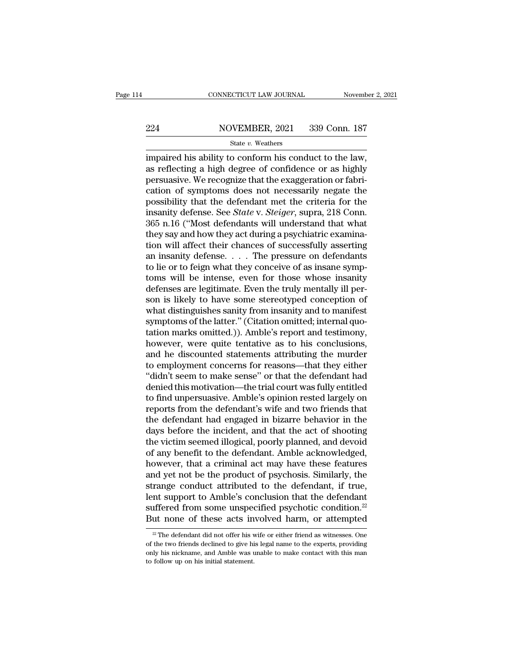# EXECUTE CONNECTICUT LAW JOURNAL Movember 2, 2021<br>224 NOVEMBER, 2021 339 Conn. 187<br>324 State v. Weathers

### State *v.* Weathers

CONNECTICUT LAW JOURNAL November 2, 2<br>
224 NOVEMBER, 2021 339 Conn. 187<br>
5tate v. Weathers<br>
impaired his ability to conform his conduct to the law,<br>
as reflecting a high degree of confidence or as highly<br>
porsueive We reco  $224$  NOVEMBER, 2021 339 Conn. 187<br>
state v. Weathers<br>
impaired his ability to conform his conduct to the law,<br>
as reflecting a high degree of confidence or as highly<br>
persuasive. We recognize that the exaggeration or fab  $\frac{224}{\text{State } v. \text{ Weather}}$  WOVEMBER, 2021 339 Conn. 187<br>
impaired his ability to conform his conduct to the law,<br>
as reflecting a high degree of confidence or as highly<br>
persuasive. We recognize that the exaggeration or fabri-224 NOVEMBER, 2021 339 Conn. 187<br>
state v. Weathers<br>
impaired his ability to conform his conduct to the law,<br>
as reflecting a high degree of confidence or as highly<br>
persuasive. We recognize that the exaggeration or fabri State v. Weathers<br>
impaired his ability to conform his conduct to the law,<br>
as reflecting a high degree of confidence or as highly<br>
persuasive. We recognize that the exaggeration or fabri-<br>
cation of symptoms does not nec State v. Weathers<br>impaired his ability to conform his conduct to the law,<br>as reflecting a high degree of confidence or as highly<br>persuasive. We recognize that the exaggeration or fabri-<br>cation of symptoms does not necessar impaired his ability to conform his conduct to the law,<br>as reflecting a high degree of confidence or as highly<br>persuasive. We recognize that the exaggeration or fabri-<br>cation of symptoms does not necessarily negate the<br>pos as reflecting a high degree of confidence or as highly<br>persuasive. We recognize that the exaggeration or fabri-<br>cation of symptoms does not necessarily negate the<br>possibility that the defendant met the criteria for the<br>ins persuasive. We recognize that the exaggeration or fabrication of symptoms does not necessarily negate the possibility that the defendant met the criteria for the insanity defense. See *State* v. *Steiger*, supra, 218 Conn. cation of symptoms does not necessarily negate the<br>possibility that the defendant met the criteria for the<br>insanity defense. See *State* v. *Steiger*, supra, 218 Conn.<br>365 n.16 ("Most defendants will understand that what<br> possibility that the defendant met the criteria for the<br>insanity defense. See *State* v. *Steiger*, supra, 218 Conn.<br>365 n.16 ("Most defendants will understand that what<br>they say and how they act during a psychiatric exami insanity defense. See *State* v. *Steiger*, supra, 218 Conn.<br>365 n.16 ("Most defendants will understand that what<br>they say and how they act during a psychiatric examina-<br>tion will affect their chances of successfully asse 365 n.16 ("Most defendants will understand that what<br>they say and how they act during a psychiatric examina-<br>tion will affect their chances of successfully asserting<br>an insanity defense. . . . The pressure on defendants<br>to they say and how they act during a psychiatric examination will affect their chances of successfully asserting<br>an insanity defense. . . . The pressure on defendants<br>to lie or to feign what they conceive of as insane symp-<br> tion will affect their chances of successfully asserting<br>an insanity defense. . . . The pressure on defendants<br>to lie or to feign what they conceive of as insane symp-<br>toms will be intense, even for those whose insanity<br>d an insanity defense. . . . The pressure on defendants<br>to lie or to feign what they conceive of as insane symp-<br>toms will be intense, even for those whose insanity<br>defenses are legitimate. Even the truly mentally ill per-<br>s to lie or to feign what they conceive of as insane symptoms will be intense, even for those whose insanity defenses are legitimate. Even the truly mentally ill person is likely to have some stereotyped conception of what d toms will be intense, even for those whose insanity<br>defenses are legitimate. Even the truly mentally ill per-<br>son is likely to have some stereotyped conception of<br>what distinguishes sanity from insanity and to manifest<br>sym defenses are legitimate. Even the truly mentally ill person is likely to have some stereotyped conception of<br>what distinguishes sanity from insanity and to manifest<br>symptoms of the latter." (Citation omitted; internal quoson is likely to have some stereotyped conception of<br>what distinguishes sanity from insanity and to manifest<br>symptoms of the latter." (Citation omitted; internal quo-<br>tation marks omitted.)). Amble's report and testimony,<br> what distinguishes sanity from insanity and to manifest<br>symptoms of the latter." (Citation omitted; internal quo-<br>tation marks omitted.)). Amble's report and testimony,<br>however, were quite tentative as to his conclusions,<br> symptoms of the latter." (Citation omitted; internal quotation marks omitted.)). Amble's report and testimony,<br>however, were quite tentative as to his conclusions,<br>and he discounted statements attributing the murder<br>to emp tation marks omitted.)). Amble's report and testimony,<br>however, were quite tentative as to his conclusions,<br>and he discounted statements attributing the murder<br>to employment concerns for reasons—that they either<br>"didn't se however, were quite tentative as to his conclusions,<br>and he discounted statements attributing the murder<br>to employment concerns for reasons—that they either<br>"didn't seem to make sense" or that the defendant had<br>denied this and he discounted statements attributing the murder<br>to employment concerns for reasons—that they either<br>"didn't seem to make sense" or that the defendant had<br>denied this motivation—the trial court was fully entitled<br>to fin to employment concerns for reasons—that they either<br>"didn't seem to make sense" or that the defendant had<br>denied this motivation—the trial court was fully entitled<br>to find unpersuasive. Amble's opinion rested largely on<br>re "didn't seem to make sense" or that the defendant had<br>denied this motivation—the trial court was fully entitled<br>to find unpersuasive. Amble's opinion rested largely on<br>reports from the defendant's wife and two friends that denied this motivation—the trial court was fully entitled<br>to find unpersuasive. Amble's opinion rested largely on<br>reports from the defendant's wife and two friends that<br>the defendant had engaged in bizarre behavior in the<br> to find unpersuasive. Amble's opinion rested largely on<br>reports from the defendant's wife and two friends that<br>the defendant had engaged in bizarre behavior in the<br>days before the incident, and that the act of shooting<br>the reports from the defendant's wife and two friends that<br>the defendant had engaged in bizarre behavior in the<br>days before the incident, and that the act of shooting<br>the victim seemed illogical, poorly planned, and devoid<br>of the defendant had engaged in bizarre behavior in the<br>days before the incident, and that the act of shooting<br>the victim seemed illogical, poorly planned, and devoid<br>of any benefit to the defendant. Amble acknowledged,<br>howev days before the incident, and that the act of shooting<br>the victim seemed illogical, poorly planned, and devoid<br>of any benefit to the defendant. Amble acknowledged,<br>however, that a criminal act may have these features<br>and y the victim seemed illogical, poorly planned, and devoid<br>of any benefit to the defendant. Amble acknowledged,<br>however, that a criminal act may have these features<br>and yet not be the product of psychosis. Similarly, the<br>stra of any benefit to the defendant. Amble acknowledged,<br>however, that a criminal act may have these features<br>and yet not be the product of psychosis. Similarly, the<br>strange conduct attributed to the defendant, if true,<br>lent range conduct attributed to the defendant, if true,<br>int support to Amble's conclusion that the defendant<br>iffered from some unspecified psychotic condition.<sup>22</sup><br>ut none of these acts involved harm, or attempted<br> $\frac{2}{\sqrt{2}}$ lent support to Amble's conclusion that the defendant<br>suffered from some unspecified psychotic condition.<sup>22</sup><br>But none of these acts involved harm, or attempted<br> $\frac{w}{2}$  The defendant did not offer his wife or either fri

suffered from some unspecified psychotic condition.<sup>22</sup><br>But none of these acts involved harm, or attempted<br> $\frac{1}{2}$  The defendant did not offer his wife or either friend as witnesses. One<br>of the two friends declined to g But none of these acts in<br> $\frac{1}{2}$  The defendant did not offer his v<br>of the two friends declined to give his<br>only his nickname, and Amble was to<br>to follow up on his initial statement.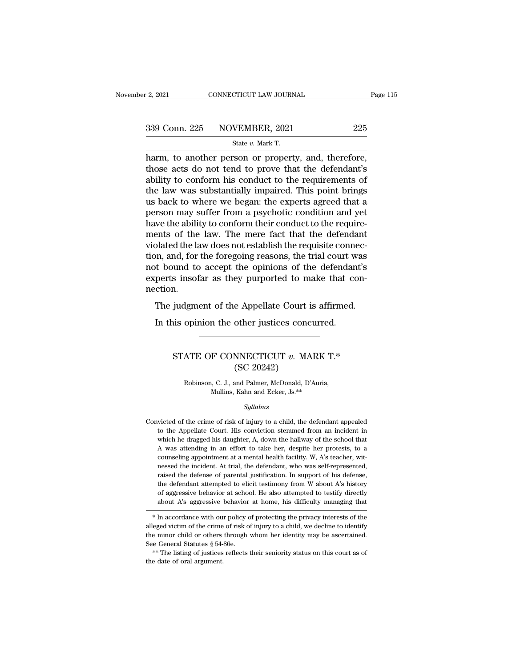| r 2, 2021 | CONNECTICUT LAW JOURNAL                          | Page 115 |
|-----------|--------------------------------------------------|----------|
|           | 339 Conn. 225 NOVEMBER, 2021                     | 225      |
|           | State v. Mark T.                                 |          |
|           | harm to another person or property and therefore |          |

 $\frac{1}{2}$ , 2021 CONNECTICUT LAW JOURNAL Page<br>339 Conn. 225 NOVEMBER, 2021 225<br>5 State v. Mark T.<br>harm, to another person or property, and, therefore,<br>those acts do not tend to prove that the defendant's<br>ability to conform 339 Conn. 225 NOVEMBER, 2021 225<br>
State v. Mark T.<br>
harm, to another person or property, and, therefore,<br>
those acts do not tend to prove that the defendant's<br>
ability to conform his conduct to the requirements of<br>
the la 339 Conn. 225 NOVEMBER, 2021 225<br>
State v. Mark T.<br>
harm, to another person or property, and, therefore,<br>
those acts do not tend to prove that the defendant's<br>
ability to conform his conduct to the requirements of<br>
the la 339 Conn. 225 NOVEMBER, 2021 225<br>
State v. Mark T.<br>
harm, to another person or property, and, therefore,<br>
those acts do not tend to prove that the defendant's<br>
ability to conform his conduct to the requirements of<br>
the la State v. Mark T.<br>
harm, to another person or property, and, therefore,<br>
those acts do not tend to prove that the defendant's<br>
ability to conform his conduct to the requirements of<br>
the law was substantially impaired. This state v. Mark T.<br>
harm, to another person or property, and, therefore,<br>
those acts do not tend to prove that the defendant's<br>
ability to conform his conduct to the requirements of<br>
the law was substantially impaired. This harm, to another person or property, and, therefore, those acts do not tend to prove that the defendant's ability to conform his conduct to the requirements of the law was substantially impaired. This point brings us back those acts do not tend to prove that the defendant's<br>ability to conform his conduct to the requirements of<br>the law was substantially impaired. This point brings<br>us back to where we began: the experts agreed that a<br>person m ability to conform his conduct to the requirements of<br>the law was substantially impaired. This point brings<br>us back to where we began: the experts agreed that a<br>person may suffer from a psychotic condition and yet<br>have the the law was substantially impaired. This point brings<br>us back to where we began: the experts agreed that a<br>person may suffer from a psychotic condition and yet<br>have the ability to conform their conduct to the require-<br>ment us back to where we began: the experts agreed that a<br>person may suffer from a psychotic condition and yet<br>have the ability to conform their conduct to the require-<br>ments of the law. The mere fact that the defendant<br>violate person may suffer from a psychotic condition and yet<br>have the ability to conform their conduct to the require-<br>ments of the law. The mere fact that the defendant<br>violated the law does not establish the requisite connec-<br>ti nection. blated the law. The fierd rate that the detendant<br>blated the law does not establish the requisite connec-<br>on, and, for the foregoing reasons, the trial court was<br>to bound to accept the opinions of the defendant's<br>perts ins In the foregoing reasons, the trial court was the bound to accept the opinions of the defendance perts insofar as they purported to make that concurred.<br>The judgment of the Appellate Court is affirmed.<br>In this opinion the

### n.<br>
is opinion the other justices concurred.<br>
STATE OF CONNECTICUT *v*. MARK T.\*<br>
(SC 20242) e Appellate Court i<br>
other justices conc<br>
MNECTICUT v. MA<br>
(SC 20242)<br>
and Palmer, McDonald, D' ATE OF CONNECTICUT  $v$ . MARK T.\*<br>
(SC 20242)<br>
Robinson, C. J., and Palmer, McDonald, D'Auria,<br>
Mullins, Kahn and Ecker, Js.\*\* F CONNECTICUT  $v$ . MARK  $'$ <br>
(SC 20242)<br>
(c. J., and Palmer, McDonald, D'Auria,<br>
Mullins, Kahn and Ecker, Js.\*\*

### *Syllabus*

Robinson, C. J., and Palmer, McDonald, D'Auria,<br>Mullins, Kahn and Ecker, Js.<sup>\*\*</sup><br>Syllabus<br>Convicted of the crime of risk of injury to a child, the defendant appealed<br>to the Appellate Court. His conviction stemmed from an i Robinson, C. J., and Palmer, McDonald, D'Auria,<br>Mullins, Kahn and Ecker, Js.<sup>\*\*</sup><br>Syllabus<br>victed of the crime of risk of injury to a child, the defendant appealed<br>to the Appellate Court. His conviction stemmed from an inci Mullins, Kahn and Ecker, Js.<sup>\*\*</sup><br>Syllabus<br>wicted of the crime of risk of injury to a child, the defendant appealed<br>to the Appellate Court. His conviction stemmed from an incident in<br>which he dragged his daughter, A, down t Syllabus<br>
Syllabus<br>
victed of the crime of risk of injury to a child, the defendant appealed<br>
to the Appellate Court. His conviction stemmed from an incident in<br>
which he dragged his daughter, A, down the hallway of the sc symaous<br>ticted of the crime of risk of injury to a child, the defendant appealed<br>to the Appellate Court. His conviction stemmed from an incident in<br>which he dragged his daughter, A, down the hallway of the school that<br>A wa victed of the crime of risk of injury to a child, the defendant appealed<br>to the Appellate Court. His conviction stemmed from an incident in<br>which he dragged his daughter, A, down the hallway of the school that<br>A was attend to the Appellate Court. His conviction stemmed from an incident in which he dragged his daughter, A, down the hallway of the school that A was attending in an effort to take her, despite her protests, to a counseling appoi which he dragged his daughter, A, down the hallway of the school that A was attending in an effort to take her, despite her protests, to a counseling appointment at a mental health facility. W, A's teacher, witnessed the i A was attending in an effort to take her, despite her protests, to a counseling appointment at a mental health facility. W, A's teacher, witnessed the incident. At trial, the defendant, who was self-represented, raised th counseling appointment at a mental health facility. W, A's teacher, with<br>nessed the incident. At trial, the defendant, who was self-represented,<br>raised the defense of parental justification. In support of his defense,<br>the raised the defense of parental justineation. In support of its defense,<br>the defendant attempted to elicit testimony from W about A's history<br>of aggressive behavior at school. He also attempted to testify directly<br>about A's

the minor child or others through whom her identity managing that<br>
<sup>\*</sup> In accordance with our policy of protecting the privacy interests of the<br>
<sup>\*</sup> In accordance with our policy of protecting the privacy interests of the<br> See General Statutes § 54-86e.<br>\*\* In accordance with our policy of protecting the privacy interests of the<br>alleged victim of the crime of risk of injury to a child, we decline to identify<br>the minor child or others through  $\begin{array}{c} \ast \text{ In accordance with our} \\ \text{in the minor child or others} \\ \text{See General Statistics } \S\,544 \\ \text{in the listing of justices} \\ \text{the date of oral argument.} \end{array}$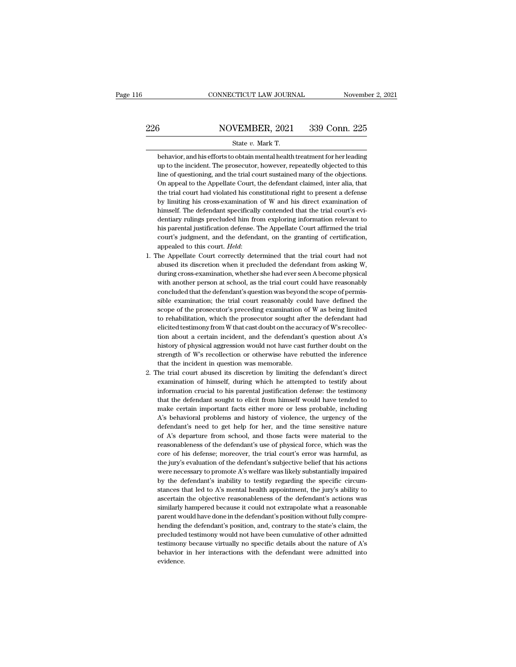### EXECUTE CONNECTICUT LAW JOURNAL Movember 2, 2021<br>226 NOVEMBER, 2021 339 Conn. 225<br>226 State v. Mark T. CONNECTICUT LAW JOURNAL Novemb<br>
State *v.* MOVEMBER, 2021 339 Conn. 225<br>
State *v.* Mark T.<br>
behavior, and his efforts to obtain mental health treatment for her leading

behavior, and his efforts to obtain mental health treatment for her leading<br>behavior, and his efforts to obtain mental health treatment for her leading<br>we to the incident. The prosecutor, however, repeatedly objected to th  $\frac{\text{NOVEMBER, 2021}}{\text{State } v. \text{ Mark T.}}$ <br>
behavior, and his efforts to obtain mental health treatment for her leading<br>
up to the incident. The prosecutor, however, repeatedly objected to this<br>
line of questioning, and the trial c  $\frac{\text{NOVEMBER, 2021}}{\text{State } v. \text{ Mark T.}}$ <br>
behavior, and his efforts to obtain mental health treatment for her leading<br>
up to the incident. The prosecutor, however, repeatedly objected to this<br>
line of questioning, and the trial c State v. Mark T.<br>
behavior, and his efforts to obtain mental health treatment for her leading<br>
up to the incident. The prosecutor, however, repeatedly objected to this<br>
line of questioning, and the trial court sustained ma State  $v$ . Mark T.<br>
behavior, and his efforts to obtain mental health treatment for her leading<br>
up to the incident. The prosecutor, however, repeatedly objected to this<br>
line of questioning, and the trial court sustained behavior, and his efforts to obtain mental health treatment for her leading<br>up to the incident. The prosecutor, however, repeatedly objected to this<br>line of questioning, and the trial court sustained many of the objections up to the incident. The prosecutor, however, repeatedly objected to this<br>line of questioning, and the trial court sustained many of the objections.<br>On appeal to the Appellate Court, the defendant claimed, inter alia, that<br> line of questioning, and the trial court sustained many of the objections.<br>On appeal to the Appellate Court, the defendant claimed, inter alia, that<br>the trial court had violated his constitutional right to present a defens On appeal to the Appellate Court, the defendant claimed, inter alia, that<br>the trial court had violated his constitutional right to present a defense<br>by limiting his cross-examination of W and his direct examination of<br>hims the trial court had violated his constitutional right to present a defense<br>by limiting his cross-examination of W and his direct examination of<br>himself. The defendant specifically contended that the trial court's evi-<br>dent by limiting his cross-examination of W and his direct examination of himself. The defendant specifically contended that the trial court's evidentiary rulings precluded him from exploring information relevant to his parent dentiary rulings precluded him from exploring information relevant to<br>his parental justification defense. The Appellate Court affirmed the trial<br>court's judgment, and the defendant, on the granting of certification,<br>appeal

- his parental justification defense. The Appellate Court affirmed the trial court's judgment, and the defendant, on the granting of certification, appealed to this court. *Held*:<br>The Appellate Court correctly determined tha court's judgment, and the defendant, on the granting of certification,<br>appealed to this court. *Held*:<br>the Appellate Court correctly determined that the trial court had not<br>abused its discretion when it precluded the defen appealed to this court. *Held*:<br>he Appellate Court correctly determined that the trial court had not<br>abused its discretion when it precluded the defendant from asking W,<br>during cross-examination, whether she had ever seen he Appellate Court correctly determined that the trial court had not abused its discretion when it precluded the defendant from asking W, during cross-examination, whether she had ever seen A become physical with another p abused its discretion when it precluded the defendant from asking W, during cross-examination, whether she had ever seen A become physical with another person at school, as the trial court could have reasonably concluded t during cross-examination, whether she had ever seen A become physical<br>with another person at school, as the trial court could have reasonably<br>concluded that the defendant's question was beyond the scope of permis-<br>sible ex with another person at school, as the trial court could have reasonably<br>concluded that the defendant's question was beyond the scope of permis-<br>sible examination; the trial court reasonably could have defined the<br>scope of concluded that the defendant's question was beyond the scope of permissible examination; the trial court reasonably could have defined the scope of the prosecutor's preceding examination of W as being limited to rehabilita sible examination; the trial court reasonably could have defined the scope of the prosecutor's preceding examination of W as being limited to rehabilitation, which the prosecutor sought after the defendant had elicited te scope of the prosecutor's preceding examination of W as being limited<br>to rehabilitation, which the prosecutor sought after the defendant had<br>elicited testimony from W that cast doubt on the accuracy of W's recollec-<br>tion a scope of the prosecutor's preceding examination of W as being limited<br>to rehabilitation, which the prosecutor sought after the defendant had<br>elicited testimony from W that cast doubt on the accuracy of W's recollec-<br>tion elicited testimony from W that cast doubt on the accuracy of W's recollection about a certain incident, and the defendant's question about A's history of physical aggression would not have cast further doubt on the strengt
- history of physical aggression would not have cast further doubt on the strength of W's recollection or otherwise have rebutted the inference that the incident in question was memorable.<br>The trial court abused its discret history of physical aggression would not have cast further doubt on the strength of W's recollection or otherwise have rebutted the inference that the incident in question was memorable.<br>he trial court abused its discretio strength of W's recollection or otherwise have rebutted the inference<br>that the incident in question was memorable.<br>he trial court abused its discretion by limiting the defendant's direct<br>examination of himself, during whic that the incident in question was memorable.<br>
the trial court abused its discretion by limiting the defendant's direct<br>
examination of himself, during which he attempted to testify about<br>
information crucial to his parenta he trial court abused its discretion by limiting the defendant's direct examination of himself, during which he attempted to testify about information crucial to his parental justification defense: the testimony that the d examination of himself, during which he attempted to testify about<br>information crucial to his parental justification defense: the testimony<br>that the defendant sought to elicit from himself would have tended to<br>make certain information crucial to his parental justification defense: the testimony<br>that the defendant sought to elicit from himself would have tended to<br>make certain important facts either more or less probable, including<br>A's behavi that the defendant sought to elicit from himself would have tended to make certain important facts either more or less probable, including A's behavioral problems and history of violence, the urgency of the defendant's nee make certain important facts either more or less probable, including A's behavioral problems and history of violence, the urgency of the defendant's need to get help for her, and the time sensitive nature of A's departure A's behavioral problems and history of violence, the urgency of the defendant's need to get help for her, and the time sensitive nature of A's departure from school, and those facts were material to the reasonableness of t defendant's need to get help for her, and the time sensitive nature<br>of A's departure from school, and those facts were material to the<br>reasonableness of the defendant's use of physical force, which was the<br>core of his defe of A's departure from school, and those facts were material to the reasonableness of the defendant's use of physical force, which was the core of his defense; moreover, the trial court's error was harmful, as the jury's ev reasonableness of the defendant's use of physical force, which was the core of his defense; moreover, the trial court's error was harmful, as the jury's evaluation of the defendant's subjective belief that his actions were core of his defense; moreover, the trial court's error was harmful, as<br>the jury's evaluation of the defendant's subjective belief that his actions<br>were necessary to promote A's welfare was likely substantially impaired<br>by the jury's evaluation of the defendant's subjective belief that his actions<br>were necessary to promote A's welfare was likely substantially impaired<br>by the defendant's inability to testify regarding the specific circum-<br>sta were necessary to promote A's welfare was likely substantially impaired<br>by the defendant's inability to testify regarding the specific circum-<br>stances that led to A's mental health appointment, the jury's ability to<br>ascert by the defendant's inability to testify regarding the specific circum-<br>stances that led to A's mental health appointment, the jury's ability to<br>ascertain the objective reasonableness of the defendant's actions was<br>similarl stances that led to A's mental health appointment, the jury's ability to ascertain the objective reasonableness of the defendant's actions was similarly hampered because it could not extrapolate what a reasonable parent wo ascertain the objective reasonableness of the defendant's actions was<br>similarly hampered because it could not extrapolate what a reasonable<br>parent would have done in the defendant's position without fully compre-<br>hending t similarly hampered because it could not extrapolate what a reasonable<br>parent would have done in the defendant's position without fully compre-<br>hending the defendant's position, and, contrary to the state's claim, the<br>precl evidence.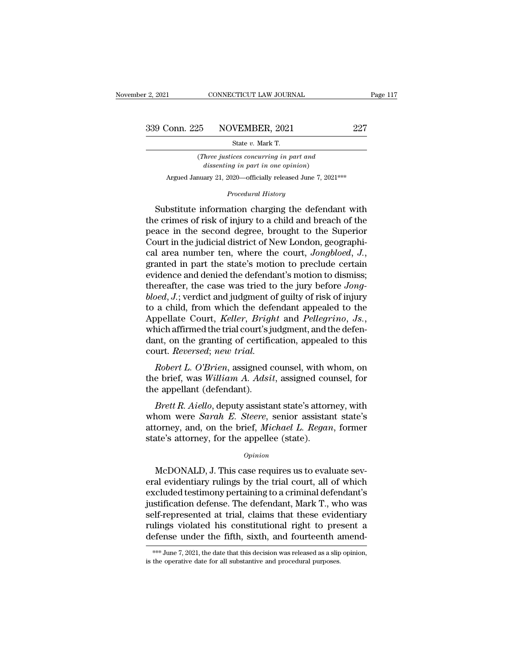(*Three justices concurring in part and* **discriberies NOVEMBER, 2021**<br> **State v. Mark T.**<br> *dissenting in part in one opinion*)<br> *dissenting in part in one opinion*)<br> *day* 21, 2020—officially released June 7, 202 Conn. 225 NOVEMBER, 2021 227<br>
State v. Mark T.<br>
(*Three justices concurring in part and dissenting in part in one opinion*)<br>
Argued January 21, 2020—officially released June 7, 2021\*\*\* From State v. Mark T.<br>*Procedurring in part and*<br>*Procedural History*<br>**Procedural History**<br>**Procedural History**<br>**Procedural History** 

State v. Mark T.<br>
(*Three justices concurring in part and*<br>
dissenting in part in one opinion)<br>
Argued January 21, 2020—officially released June 7, 2021<sup>\*\*\*</sup><br> *Procedural History*<br>
Substitute information charging the defen (*Three justices concurring in part and*<br>dissenting in part in one opinion)<br>Argued January 21, 2020—officially released June 7, 2021<sup>\*\*\*</sup><br>*Procedural History*<br>Substitute information charging the defendant with<br>the crimes o dissenting in part in one opinion)<br>Argued January 21, 2020—officially released June 7, 2021<sup>\*\*\*</sup><br>Procedural History<br>Substitute information charging the defendant with<br>the crimes of risk of injury to a child and breach of t Argued January 21, 2020—officially released June 7, 2021\*\*\*<br> *Procedural History*<br>
Substitute information charging the defendant with<br>
the crimes of risk of injury to a child and breach of the<br>
peace in the second degree, *Procedural History*<br>cal area number ten,  $\frac{1}{2}$  area in the crimes of risk of injury to a child and breach of the<br>peace in the second degree, brought to the Superior<br>Court in the judicial district of New London, geogra Substitute information charging the defendant with<br>the crimes of risk of injury to a child and breach of the<br>peace in the second degree, brought to the Superior<br>Court in the judicial district of New London, geographi-<br>cal the crimes of risk of injury to a child and breach of the<br>peace in the second degree, brought to the Superior<br>Court in the judicial district of New London, geographi-<br>cal area number ten, where the court, *Jongbloed*, *J.* peace in the second degree, brought to the Superior<br>Court in the judicial district of New London, geographi-<br>cal area number ten, where the court, *Jongbloed*, *J.*,<br>granted in part the state's motion to preclude certain<br>e Court in the judicial district of New London, geographical area number ten, where the court, *Jongbloed*, *J.*, granted in part the state's motion to preclude certain evidence and denied the defendant's motion to dismiss; cal area number ten, where the court, *Jongbloed*, *J.*, granted in part the state's motion to preclude certain evidence and denied the defendant's motion to dismiss; thereafter, the case was tried to the jury before *Jong* evidence and denied the defendant's motion to dismiss;<br>thereafter, the case was tried to the jury before *Jong-*<br>bloed, J.; verdict and judgment of guilty of risk of injury<br>to a child, from which the defendant appealed to thereafter, the case was tried to<br>bloed, J.; verdict and judgment of<br>to a child, from which the defer<br>Appellate Court, *Keller*, *Bright*<br>which affirmed the trial court's jud<br>dant, on the granting of certifica<br>court. *Reve Robert L. O'Brien, assigned counsel, with whom, one brief, was William A. Adsit, assigned counsel, for a smallert (discounsel)* and *Robert L. O'Brien, assigned counsel, with whom, one brief, was William A. Adsit, assigne* to a child, front which the detendant appealed to the<br>Appellate Court, *Keller*, *Bright* and *Pellegrino*, *Js.*,<br>which affirmed the trial court's judgment, and the defen-<br>dant, on the granting of certification, appealed Example Court, *Retter*, *Brigh*, which affirmed the trial court's judant, on the granting of certific court. *Reversed*; *new trial.*<br>*Robert L. O'Brien*, assigned cheering the brief, was *William A. Adsit* the appellant

*A* and the granting of certification, appealed to this<br> *Breat R. Aiello, new trial.*<br> *Bobert L. O'Brien*, assigned counsel, with whom, on<br>
e brief, was *William A. Adsit*, assigned counsel, for<br>
e appellant (defendant).

court. *Reversed*; *new trial.*<br> *Robert L. O'Brien*, assigned counsel, with whom, on<br>
the brief, was *William A. Adsit*, assigned counsel, for<br>
the appellant (defendant).<br> *Brett R. Aiello*, deputy assistant state's attor Robert L. O'Brien, assigned counsel, with whom, on<br>the brief, was William A. Adsit, assigned counsel, for<br>the appellant (defendant).<br>Brett R. Aiello, deputy assistant state's attorney, with<br>whom were *Sarah E. Steere*, sen novert E. O Brien, assigned counser, while<br>the brief, was William A. Adsit, assigned counser<br>the appellant (defendant).<br>Brett R. Aiello, deputy assistant state's attor<br>whom were Sarah E. Steere, senior assistant<br>attorney, *Brett R. Aiello*, deputy assistant state's attorney, with<br>nom were *Sarah E. Steere*, senior assistant state's<br>torney, and, on the brief, *Michael L. Regan*, former<br>ate's attorney, for the appellee (state).<br> $o$ <sub>*pinion*<br>M</sub>

### *Opinion*

whom were *Sarah E. Steere*, senior assistant state's<br>attorney, and, on the brief, *Michael L. Regan*, former<br>state's attorney, for the appellee (state).<br> $opinion$ <br>McDONALD, J. This case requires us to evaluate sev-<br>eral evide attorney, and, on the brief, *Michael L. Regan*, former<br>state's attorney, for the appellee (state).<br>*Opinion*<br>McDONALD, J. This case requires us to evaluate sev-<br>eral evidentiary rulings by the trial court, all of which<br>ex state's attorney, for the appellee (state).<br>
opinion<br>
McDONALD, J. This case requires us to evaluate sev-<br>
eral evidentiary rulings by the trial court, all of which<br>
excluded testimony pertaining to a criminal defendant's<br> opinion<br>
Self-represented at trial countains and the conduct several evidentiary rulings by the trial court, all of which<br>
excluded testimony pertaining to a criminal defendant's<br>
justification defense. The defendant, Mark manus operators as to evaluate several evidentiary rulings by the trial court, all of which excluded testimony pertaining to a criminal defendant's justification defense. The defendant, Mark T., who was self-represented at McDONALD, J. This case requires us to evaluate several evidentiary rulings by the trial court, all of which excluded testimony pertaining to a criminal defendant's justification defense. The defendant, Mark T., who was se self-represented at trial, claims that these evidentiary<br>rulings violated his constitutional right to present a<br>defense under the fifth, sixth, and fourteenth amend-<br>\*\*\* June 7, 2021, the date that this decision was releas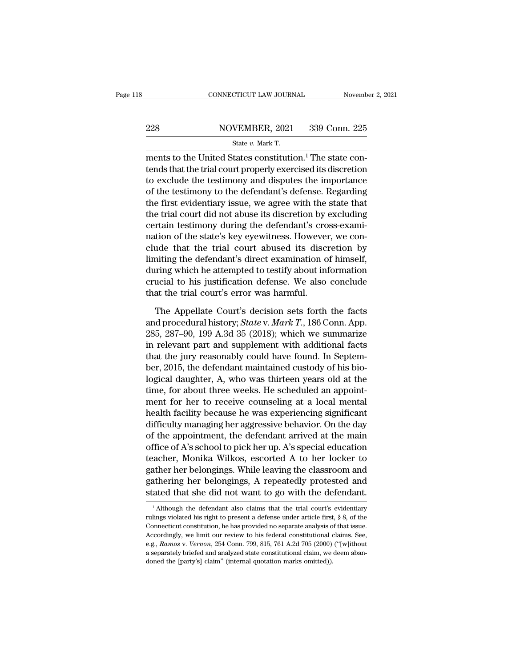## EXECUTE CONNECTICUT LAW JOURNAL Movember 2, 2021<br>228 NOVEMBER, 2021 339 Conn. 225<br>228 State v. Mark T. CONNECTICUT LAW JOURNAL Novemb<br>
228 NOVEMBER, 2021 339 Conn. 225<br>
State *v.* Mark T.<br>
ments to the United States constitution.<sup>1</sup> The state con-

 $\begin{array}{r} \text{COMPECTICUT LAW JOURNAL} \ \text{November} \ \text{November} \ \text{228} \ \text{N OVERBER, 2021} \ \text{339 Conn. 225} \ \text{State } v. \ \text{Mark T.} \ \text{ments to the United States constitution.} \ \text{The state contents that the trial court properly exercised its discretion} \ \text{the available that set in any end.} \end{array}$ 228 NOVEMBER, 2021 339 Conn. 225<br>
State v. Mark T.<br>
ments to the United States constitution.<sup>1</sup> The state con-<br>
tends that the trial court properly exercised its discretion<br>
to exclude the testimony and disputes the impor 228 NOVEMBER, 2021 339 Conn. 225<br>
State v. Mark T.<br>
ments to the United States constitution.<sup>1</sup> The state con-<br>
tends that the trial court properly exercised its discretion<br>
to exclude the testimony and disputes the impor 228 NOVEMBER, 2021 339 Conn. 225<br>
State v. Mark T.<br>
The state contends to the United States constitution.<sup>1</sup> The state con-<br>
tends that the trial court properly exercised its discretion<br>
to exclude the testimony and dispu State v. Mark T.<br>
ments to the United States constitution.<sup>1</sup> The state con-<br>
tends that the trial court properly exercised its discretion<br>
to exclude the testimony and disputes the importance<br>
of the testimony to the def slate *t*. Mark 1.<br>
ments to the United States constitution.<sup>1</sup> The state con-<br>
tends that the trial court properly exercised its discretion<br>
to exclude the testimony and disputes the importance<br>
of the testimony to the d ments to the United States constitution.<sup>1</sup> The state contends that the trial court properly exercised its discretion to exclude the testimony and disputes the importance of the testimony to the defendant's defense. Regard tends that the trial court properly exercised its discretion<br>to exclude the testimony and disputes the importance<br>of the testimony to the defendant's defense. Regarding<br>the first evidentiary issue, we agree with the state to exclude the testimony and disputes the importance<br>of the testimony to the defendant's defense. Regarding<br>the first evidentiary issue, we agree with the state that<br>the trial court did not abuse its discretion by excludin of the testimony to the defendant's defense. Regarding<br>the first evidentiary issue, we agree with the state that<br>the trial court did not abuse its discretion by excluding<br>certain testimony during the defendant's cross-exam the first evidentiary issue, we agree with the state that<br>the trial court did not abuse its discretion by excluding<br>certain testimony during the defendant's cross-exami-<br>nation of the state's key eyewitness. However, we co the trial court did not abuse its discretion by excluding<br>certain testimony during the defendant's cross-exami-<br>nation of the state's key eyewitness. However, we con-<br>clude that the trial court abused its discretion by<br>lim certain testimony during the defendant's cronation of the state's key eyewitness. However clude that the trial court abused its disclimiting the defendant's direct examination of during which he attempted to testify about ude that the trial court abused its discretion by<br>niting the defendant's direct examination of himself,<br>ring which he attempted to testify about information<br>ucial to his justification defense. We also conclude<br>at the tria limiting the defendant's direct examination of himself,<br>during which he attempted to testify about information<br>crucial to his justification defense. We also conclude<br>that the trial court's error was harmful.<br>The Appellate

during which he attempted to testify about information<br>crucial to his justification defense. We also conclude<br>that the trial court's error was harmful.<br>The Appellate Court's decision sets forth the facts<br>and procedural his crucial to his justification defense. We also conclude<br>that the trial court's error was harmful.<br>The Appellate Court's decision sets forth the facts<br>and procedural history; *State* v. *Mark T*., 186 Conn. App.<br>285, 287–90 that the trial court's error was harmful.<br>
The Appellate Court's decision sets forth the facts<br>
and procedural history; *State v. Mark T.*, 186 Conn. App.<br>
285, 287–90, 199 A.3d 35 (2018); which we summarize<br>
in relevant The Appellate Court's decision sets forth the facts<br>and procedural history; *State* v. *Mark T.*, 186 Conn. App.<br>285, 287–90, 199 A.3d 35 (2018); which we summarize<br>in relevant part and supplement with additional facts<br>tha The Appellate Court's decision sets forth the facts<br>and procedural history; *State* v. *Mark T*., 186 Conn. App.<br>285, 287–90, 199 A.3d 35 (2018); which we summarize<br>in relevant part and supplement with additional facts<br>tha and procedural history; *State v. Mark T.*, 186 Conn. App.<br>285, 287–90, 199 A.3d 35 (2018); which we summarize<br>in relevant part and supplement with additional facts<br>that the jury reasonably could have found. In Septem-<br>ber 285, 287–90, 199 A.3d 35 (2018); which we summarize<br>in relevant part and supplement with additional facts<br>that the jury reasonably could have found. In Septem-<br>ber, 2015, the defendant maintained custody of his bio-<br>logica in relevant part and supplement with additional facts<br>that the jury reasonably could have found. In Septem-<br>ber, 2015, the defendant maintained custody of his bio-<br>logical daughter, A, who was thirteen years old at the<br>tim that the jury reasonably could have found. In Septem-<br>ber, 2015, the defendant maintained custody of his bio-<br>logical daughter, A, who was thirteen years old at the<br>time, for about three weeks. He scheduled an appoint-<br>men ber, 2015, the defendant maintained custody of his bio-<br>logical daughter, A, who was thirteen years old at the<br>time, for about three weeks. He scheduled an appoint-<br>ment for her to receive counseling at a local mental<br>heal logical daughter, A, who was thirteen years old at the<br>time, for about three weeks. He scheduled an appoint-<br>ment for her to receive counseling at a local mental<br>health facility because he was experiencing significant<br>diff time, for about three weeks. He scheduled an appoint-<br>ment for her to receive counseling at a local mental<br>health facility because he was experiencing significant<br>difficulty managing her aggressive behavior. On the day<br>of ment for her to receive counseling at a local mental<br>health facility because he was experiencing significant<br>difficulty managing her aggressive behavior. On the day<br>of the appointment, the defendant arrived at the main<br>off health facility because he was experiencing significant<br>difficulty managing her aggressive behavior. On the day<br>of the appointment, the defendant arrived at the main<br>office of A's school to pick her up. A's special educati difficulty managing her aggressive behavior. On the day<br>of the appointment, the defendant arrived at the main<br>office of A's school to pick her up. A's special education<br>teacher, Monika Wilkos, escorted A to her locker to<br>g Facture the defendant also claims that the trial court's evidentiary<br>
1 Although the defendant also claims that the trial court's evidentiary<br>
<sup>1</sup> Although the defendant also claims that the trial court's evidentiary<br>
ling gather her belongings. While leaving the classroom and<br>gathering her belongings, A repeatedly protested and<br>stated that she did not want to go with the defendant.<br><sup>1</sup> Although the defendant also claims that the trial court

gathering her belongings, A repeatedly protested and stated that she did not want to go with the defendant.<br> $\frac{1}{1}$ Although the defendant also claims that the trial court's evidentiary rulings violated his right to pres stated that she did not want to go with the defendant.<br>
<sup>1</sup> Although the defendant also claims that the trial court's evidentiary<br>
rulings violated his right to present a defense under article first, §8, of the<br>
Connectic a. <sup>1</sup> Although the defendant also claims that the trial court's evidentiary<br><sup>1</sup> Although the defendant also claims that the trial court's evidentiary<br>rulings violated his right to present a defense under article first, § <sup>1</sup> Although the defendant also claims that the trial court's evidentiary rulings violated his right to present a defense under article first, § 8, of the Connecticut constitution, he has provided no separate analysis of rulings violated his right to present a defense under article first, § 8, of the Connecticut constitution, he has provided no separate analysis of that issue. Accordingly, we limit our review to his federal constitutional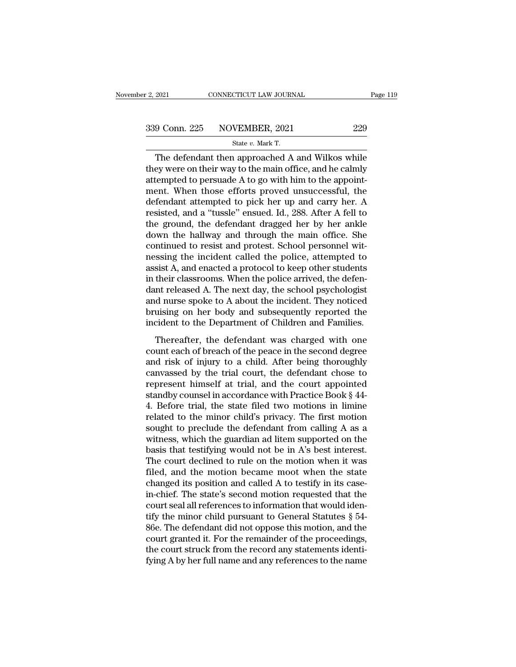| r 2, 2021 | CONNECTICUT LAW JOURNAL                          | Page 119 |
|-----------|--------------------------------------------------|----------|
|           | 339 Conn. 225 NOVEMBER, 2021                     | 229      |
|           | State v. Mark T.                                 |          |
|           | The defendant then approached A and Wilkos while |          |

 $\begin{array}{r|l} \text{2021} & \text{CONNETICUT LAW JOURNAL} & \text{Page 119} \ \hline \text{9 Conn. 225} & \text{NOVEMBER, 2021} & \text{229} \ \text{State } v. \text{ Mark T.} \ \hline \end{array}$ <br>
The defendant then approached A and Wilkos while ey were on their way to the main office, and he calmly termined t 339 Conn. 225 NOVEMBER, 2021 229<br>State v. Mark T.<br>The defendant then approached A and Wilkos while<br>they were on their way to the main office, and he calmly<br>attempted to persuade A to go with him to the appoint-<br>ment. When 339 Conn. 225 NOVEMBER, 2021 229<br>
State v. Mark T.<br>
The defendant then approached A and Wilkos while<br>
they were on their way to the main office, and he calmly<br>
attempted to persuade A to go with him to the appoint-<br>
ment. 339 Conn. 225 NOVEMBER, 2021 229<br>
State v. Mark T.<br>
The defendant then approached A and Wilkos while<br>
they were on their way to the main office, and he calmly<br>
attempted to persuade A to go with him to the appoint-<br>
ment. State v. Mark T.<br>
The defendant then approached A and Wilkos while<br>
they were on their way to the main office, and he calmly<br>
attempted to persuade A to go with him to the appoint-<br>
ment. When those efforts proved unsucce state v. Mark T.<br>The defendant then approached A and Wilkos while<br>they were on their way to the main office, and he calmly<br>attempted to persuade A to go with him to the appoint-<br>ment. When those efforts proved unsuccessfu The defendant then approached A and Wilkos while<br>they were on their way to the main office, and he calmly<br>attempted to persuade A to go with him to the appoint-<br>ment. When those efforts proved unsuccessful, the<br>defendant a they were on their way to the main office, and he calmly<br>attempted to persuade A to go with him to the appoint-<br>ment. When those efforts proved unsuccessful, the<br>defendant attempted to pick her up and carry her. A<br>resisted attempted to persuade A to go with him to the appoint-<br>ment. When those efforts proved unsuccessful, the<br>defendant attempted to pick her up and carry her. A<br>resisted, and a "tussle" ensued. Id., 288. After A fell to<br>the gr ment. When those efforts proved unsuccessful, the<br>defendant attempted to pick her up and carry her. A<br>resisted, and a "tussle" ensued. Id., 288. After A fell to<br>the ground, the defendant dragged her by her ankle<br>down the h defendant attempted to pick her up and carry her. A<br>resisted, and a "tussle" ensued. Id., 288. After A fell to<br>the ground, the defendant dragged her by her ankle<br>down the hallway and through the main office. She<br>continued resisted, and a "tussle" ensued. Id., 288. After A fell to<br>the ground, the defendant dragged her by her ankle<br>down the hallway and through the main office. She<br>continued to resist and protest. School personnel wit-<br>nessing the ground, the defendant dragged her by her ankle<br>down the hallway and through the main office. She<br>continued to resist and protest. School personnel wit-<br>nessing the incident called the police, attempted to<br>assist A, and down the hallway and through the main office. She<br>continued to resist and protest. School personnel wit-<br>nessing the incident called the police, attempted to<br>assist A, and enacted a protocol to keep other students<br>in their continued to resist and protest. School personnel wit-<br>nessing the incident called the police, attempted to<br>assist A, and enacted a protocol to keep other students<br>in their classrooms. When the police arrived, the defen-<br>d nessing the incident called the police, attempted to<br>assist A, and enacted a protocol to keep other students<br>in their classrooms. When the police arrived, the defen-<br>dant released A. The next day, the school psychologist<br>a their classrooms. When the police arrived, the defen-<br>their classrooms. When the police arrived, the defen-<br>at released A. The next day, the school psychologist<br>d nurse spoke to A about the incident. They noticed<br>uising on In their chastrooms. When the points affinited, the acter<br>dant released A. The next day, the school psychologist<br>and nurse spoke to A about the incident. They noticed<br>bruising on her body and subsequently reported the<br>inci

and nurse spoke to A about the incident. They noticed<br>bruising on her body and subsequently reported the<br>incident to the Department of Children and Families.<br>Thereafter, the defendant was charged with one<br>count each of bre bruising on her body and subsequently reported the<br>incident to the Department of Children and Families.<br>Thereafter, the defendant was charged with one<br>count each of breach of the peace in the second degree<br>and risk of inj incident to the Department of Children and Families.<br>Thereafter, the defendant was charged with one<br>count each of breach of the peace in the second degree<br>and risk of injury to a child. After being thoroughly<br>canvassed by Thereafter, the defendant was charged with one<br>count each of breach of the peace in the second degree<br>and risk of injury to a child. After being thoroughly<br>canvassed by the trial court, the defendant chose to<br>represent him Thereafter, the defendant was charged with one<br>count each of breach of the peace in the second degree<br>and risk of injury to a child. After being thoroughly<br>canvassed by the trial court, the defendant chose to<br>represent him count each of breach of the peace in the second degree<br>and risk of injury to a child. After being thoroughly<br>canvassed by the trial court, the defendant chose to<br>represent himself at trial, and the court appointed<br>standby and risk of injury to a child. After being thoroughly<br>canvassed by the trial court, the defendant chose to<br>represent himself at trial, and the court appointed<br>standby counsel in accordance with Practice Book § 44-<br>4. Befo canvassed by the trial court, the defendant chose to<br>represent himself at trial, and the court appointed<br>standby counsel in accordance with Practice Book § 44-<br>4. Before trial, the state filed two motions in limine<br>related represent himself at trial, and the court appointed<br>standby counsel in accordance with Practice Book § 44-<br>4. Before trial, the state filed two motions in limine<br>related to the minor child's privacy. The first motion<br>sough standby counsel in accordance with Practice Book § 44-<br>4. Before trial, the state filed two motions in limine<br>related to the minor child's privacy. The first motion<br>sought to preclude the defendant from calling A as a<br>wit 4. Before trial, the state filed two motions in limine<br>related to the minor child's privacy. The first motion<br>sought to preclude the defendant from calling A as a<br>witness, which the guardian ad litem supported on the<br>basis related to the minor child's privacy. The first motion<br>sought to preclude the defendant from calling A as a<br>witness, which the guardian ad litem supported on the<br>basis that testifying would not be in A's best interest.<br>The sought to preclude the defendant from calling A as a<br>witness, which the guardian ad litem supported on the<br>basis that testifying would not be in A's best interest.<br>The court declined to rule on the motion when it was<br>file witness, which the guardian ad litem supported on the basis that testifying would not be in A's best interest.<br>The court declined to rule on the motion when it was filed, and the motion became moot when the state changed basis that testifying would not be in A's best interest.<br>The court declined to rule on the motion when it was<br>filed, and the motion became moot when the state<br>changed its position and called A to testify in its case-<br>in-c The court declined to rule on the motion when it was<br>filed, and the motion became moot when the state<br>changed its position and called A to testify in its case-<br>in-chief. The state's second motion requested that the<br>court s filed, and the motion became moot when the state<br>changed its position and called A to testify in its case-<br>in-chief. The state's second motion requested that the<br>court seal all references to information that would iden-<br>ti changed its position and called A to testify in its case-<br>in-chief. The state's second motion requested that the<br>court seal all references to information that would iden-<br>tify the minor child pursuant to General Statutes § in-chief. The state's second motion requested that the court seal all references to information that would identify the minor child pursuant to General Statutes § 54-86e. The defendant did not oppose this motion, and the c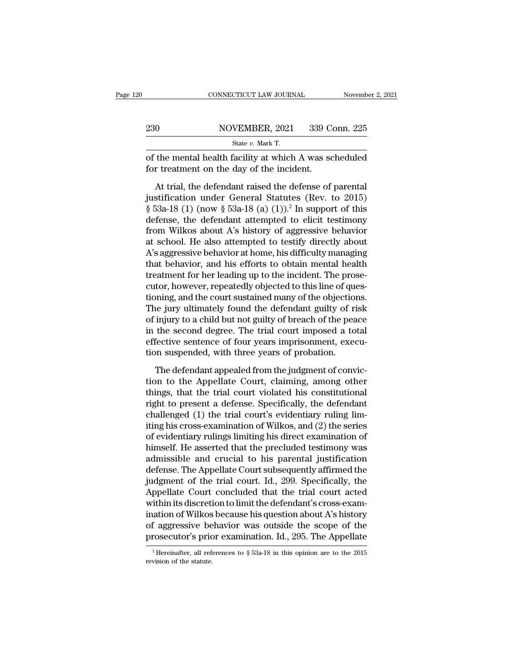|     | CONNECTICUT LAW JOURNAL                                                                             | November 2, 2021 |
|-----|-----------------------------------------------------------------------------------------------------|------------------|
| 230 | NOVEMBER, 2021                                                                                      | 339 Conn. 225    |
|     | State $v$ . Mark T.                                                                                 |                  |
|     | of the mental health facility at which A was scheduled<br>for treatment on the day of the incident. |                  |
|     | At trial, the defendant raised the defense of parental                                              |                  |

NOVEMBER, 2021 339 Conn. 225<br>
State v. Mark T.<br>
the mental health facility at which A was scheduled<br>
r treatment on the day of the incident.<br>
At trial, the defendant raised the defense of parental<br>
stification under Gener SEARCH STATE STATE STATE STATE STATE STATE STATE State v. Mark T.<br>
of the mental health facility at which A was scheduled<br>
for treatment on the day of the incident.<br>
At trial, the defendant raised the defense of parental<br> State v. Mark T.<br>
State v. Mark T.<br>
State v. Mark T.<br>
State v. Mark T.<br>
State of parental for treatment on the day of the incident.<br>
At trial, the defendant raised the defense of parental<br>
justification under General Stat of the mental health facility at which A was scheduled<br>for treatment on the day of the incident.<br>At trial, the defendant raised the defense of parental<br>justification under General Statutes (Rev. to 2015)<br>§ 53a-18 (1) (now for treatment on the day of the incident.<br>
At trial, the defendant raised the defense of parental<br>
justification under General Statutes (Rev. to 2015)<br>
§ 53a-18 (1) (now § 53a-18 (a) (1)).<sup>2</sup> In support of this<br>
defense, At trial, the defendant raised the defense of parental<br>justification under General Statutes (Rev. to 2015)<br>§ 53a-18 (1) (now § 53a-18 (a) (1)).<sup>2</sup> In support of this<br>defense, the defendant attempted to elicit testimony<br>fr At trial, the defendant raised the defense of parental<br>justification under General Statutes (Rev. to 2015)<br>§ 53a-18 (1) (now § 53a-18 (a) (1)).<sup>2</sup> In support of this<br>defense, the defendant attempted to elicit testimony<br>fro justification under General Statutes (Rev. to 2015)<br>
§ 53a-18 (1) (now § 53a-18 (a) (1)).<sup>2</sup> In support of this<br>
defense, the defendant attempted to elicit testimony<br>
from Wilkos about A's history of aggressive behavior<br> § 53a-18 (1) (now § 53a-18 (a) (1)).<sup>2</sup> In support of this defense, the defendant attempted to elicit testimony from Wilkos about A's history of aggressive behavior at school. He also attempted to testify directly about A defense, the defendant attempted to elicit testimony<br>from Wilkos about A's history of aggressive behavior<br>at school. He also attempted to testify directly about<br>A's aggressive behavior at home, his difficulty managing<br>that from Wilkos about A's history of aggressive behavior<br>at school. He also attempted to testify directly about<br>A's aggressive behavior at home, his difficulty managing<br>that behavior, and his efforts to obtain mental health<br>tr at school. He also attempted to testify directly about<br>A's aggressive behavior at home, his difficulty managing<br>that behavior, and his efforts to obtain mental health<br>treatment for her leading up to the incident. The prose A's aggressive behavior at home, his difficulty managing<br>that behavior, and his efforts to obtain mental health<br>treatment for her leading up to the incident. The prose-<br>cutor, however, repeatedly objected to this line of q that behavior, and his efforts to obtain mental health<br>treatment for her leading up to the incident. The prose-<br>cutor, however, repeatedly objected to this line of ques-<br>tioning, and the court sustained many of the objecti treatment for her leading up to the incident. The prose-<br>cutor, however, repeatedly objected to this line of ques-<br>tioning, and the court sustained many of the objections.<br>The jury ultimately found the defendant guilty of cutor, however, repeatedly objected to this line of que tioning, and the court sustained many of the objection.<br>The jury ultimately found the defendant guilty of rifer of injury to a child but not guilty of breach of the p The jury ultimately found the defendant guilty of risk<br>injury to a child but not guilty of breach of the peace<br>the second degree. The trial court imposed a total<br>fective sentence of four years imprisonment, execu-<br>on suspe The Appellate Court, claiming, among other<br>the Appellate Court imposed a total<br>effective sentence of four years imprisonment, execu-<br>tion suspended, with three years of probation.<br>The defendant appealed from the judgment o

The second degree. The trial court imposed a total<br>effective sentence of four years imprisonment, execu-<br>tion suspended, with three years of probation.<br>The defendant appealed from the judgment of convic-<br>tion to the Appell right to present a defendant appearment, execution suspended, with three years of probation.<br>The defendant appealed from the judgment of conviction to the Appellate Court, claiming, among other things, that the trial court challenged, with three years of probation.<br>The defendant appealed from the judgment of conviction to the Appellate Court, claiming, among other<br>things, that the trial court violated his constitutional<br>right to present a de The defendant appealed from the judgment of conviction to the Appellate Court, claiming, among other things, that the trial court violated his constitutional right to present a defense. Specifically, the defendant challeng The defendant appealed from the judgment of conviction to the Appellate Court, claiming, among other things, that the trial court violated his constitutional right to present a defense. Specifically, the defendant challeng tion to the Appellate Court, claiming, among other<br>things, that the trial court violated his constitutional<br>right to present a defense. Specifically, the defendant<br>challenged (1) the trial court's evidentiary ruling lim-<br>i things, that the trial court violated his constitutional<br>right to present a defense. Specifically, the defendant<br>challenged (1) the trial court's evidentiary ruling lim-<br>iting his cross-examination of Wilkos, and (2) the right to present a defense. Specifically, the defendant<br>challenged (1) the trial court's evidentiary ruling lim-<br>iting his cross-examination of Wilkos, and (2) the series<br>of evidentiary rulings limiting his direct examinat challenged (1) the trial court's evidentiary ruling limiting his cross-examination of Wilkos, and (2) the series<br>of evidentiary rulings limiting his direct examination of<br>himself. He asserted that the precluded testimony w iting his cross-examination of Wilkos, and (2) the series<br>of evidentiary rulings limiting his direct examination of<br>himself. He asserted that the precluded testimony was<br>admissible and crucial to his parental justification of evidentiary rulings limiting his direct examination of<br>himself. He asserted that the precluded testimony was<br>admissible and crucial to his parental justification<br>defense. The Appellate Court subsequently affirmed the<br>ju himself. He asserted that the precluded testimony was<br>admissible and crucial to his parental justification<br>defense. The Appellate Court subsequently affirmed the<br>judgment of the trial court. Id., 299. Specifically, the<br>App admissible and crucial to his parental justification<br>defense. The Appellate Court subsequently affirmed the<br>judgment of the trial court. Id., 299. Specifically, the<br>Appellate Court concluded that the trial court acted<br>with defense. The Appellate Court subsequently affirmed the<br>judgment of the trial court. Id., 299. Specifically, the<br>Appellate Court concluded that the trial court acted<br>within its discretion to limit the defendant's cross-exa within its discretion to limit the defendant's cross-examination of Wilkos because his question about A's history of aggressive behavior was outside the scope of the prosecutor's prior examination. Id., 295. The Appellate prosecutor's prior examination. Id., 295. The Appellate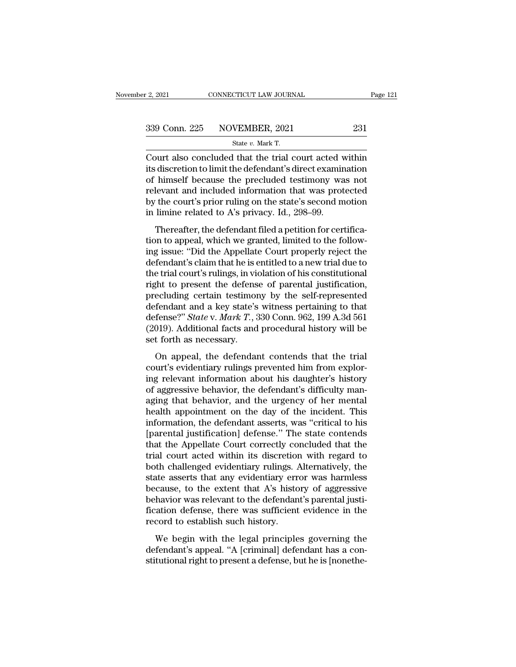F. 2, 2021 CONNECTICUT LAW JOURNAL<br>
State *v.* Mark T.<br>
Court also concluded that the trial court acted within Court also concluded that the trial court acted within<br>
the vector concluded that the trial court acted within<br>
its discretion to limit the defendant's direct examination<br>
of himself because the procluded testimony was no  $\frac{339 \text{ Conn. } 225 \qquad \text{NOVEMBER, } 2021 \qquad \qquad 231}{\text{State } v. \text{ Mark T.}}$ <br>Court also concluded that the trial court acted within<br>its discretion to limit the defendant's direct examination<br>of himself because the precluded testimony was 339 Conn. 225 NOVEMBER, 2021 231<br>
State v. Mark T.<br>
Court also concluded that the trial court acted within<br>
its discretion to limit the defendant's direct examination<br>
of himself because the precluded testimony was not<br>
r 339 Conn. 225 NOVEMBER, 2021 231<br>
State v. Mark T.<br>
Court also concluded that the trial court acted within<br>
its discretion to limit the defendant's direct examination<br>
of himself because the precluded testimony was not<br>
r State v. Mark T.<br>
Court also concluded that the trial court acted within<br>
its discretion to limit the defendant's direct examination<br>
of himself because the precluded testimony was not<br>
relevant and included information t state  $v$ . Mark T.<br>Court also concluded that the trial court acted v<br>its discretion to limit the defendant's direct examin<br>of himself because the precluded testimony wa<br>relevant and included information that was prot<br>by t out also concluded that the that coart acted while<br>discretion to limit the defendant's direct examination<br>himself because the precluded testimony was not<br>levant and included information that was protected<br>the court's prior the difference of the matter of the precluded testimony was not<br>relevant and included information that was protected<br>by the court's prior ruling on the state's second motion<br>in limine related to A's privacy. Id., 298–99.<br>T

or innser because are precided assiming was not<br>relevant and included information that was protected<br>by the court's prior ruling on the state's second motion<br>in limine related to A's privacy. Id., 298–99.<br>Thereafter, the d by the court's prior ruling on the state's second motion<br>in limine related to A's privacy. Id., 298–99.<br>Thereafter, the defendant filed a petition for certifica-<br>tion to appeal, which we granted, limited to the follow-<br>ing by the courts prior ruling on the state s second motion<br>in limine related to A's privacy. Id., 298–99.<br>Thereafter, the defendant filed a petition for certifica-<br>tion to appeal, which we granted, limited to the follow-<br>ing right in the related to the privacy, rat, 200 00.<br>Thereafter, the defendant filed a petition for certifica-<br>tion to appeal, which we granted, limited to the follow-<br>ing issue: "Did the Appellate Court properly reject the<br>d Thereafter, the defendant filed a petition for certification to appeal, which we granted, limited to the following issue: "Did the Appellate Court properly reject the defendant's claim that he is entitled to a new trial d tion to appeal, which we granted, limited to the following issue: "Did the Appellate Court properly reject the defendant's claim that he is entitled to a new trial due to the trial court's rulings, in violation of his con ing issue: "Did the Appellate Court properly reject the<br>defendant's claim that he is entitled to a new trial due to<br>the trial court's rulings, in violation of his constitutional<br>right to present the defense of parental jus defendant's claim that he is entitled to a new trial due to<br>the trial court's rulings, in violation of his constitutional<br>right to present the defense of parental justification,<br>precluding certain testimony by the self-rep the trial court's rulings, in vioright to present the defens<br>precluding certain testimor<br>defendant and a key state's<br>defense?" *State* v. *Mark T*., 3<br>(2019). Additional facts and<br>set forth as necessary.<br>On appeal, the def Fin to present the defende of parental justineation,<br>ecluding certain testimony by the self-represented<br>fendant and a key state's witness pertaining to that<br>fense?" *State* v. *Mark T*., 330 Conn. 962, 199 A.3d 561<br>019). A precident and a key state's witness pertaining to that<br>defendant and a key state's witness pertaining to that<br>defense?" *State* v. *Mark T*., 330 Conn. 962, 199 A.3d 561<br>(2019). Additional facts and procedural history will

defense?" *State v. Mark T.*, 330 Conn. 962, 199 A.3d 561<br>(2019). Additional facts and procedural history will be<br>set forth as necessary.<br>On appeal, the defendant contends that the trial<br>court's evidentiary rulings prevent (2019). Additional facts and procedural history will be<br>set forth as necessary.<br>On appeal, the defendant contends that the trial<br>court's evidentiary rulings prevented him from explor-<br>ing relevant information about his dau (2016). Indialonal races and procedural rastely will be<br>set forth as necessary.<br>On appeal, the defendant contends that the trial<br>court's evidentiary rulings prevented him from explor-<br>ing relevant information about his dau on appeal, the defendant contends that the trial<br>court's evidentiary rulings prevented him from explor-<br>ing relevant information about his daughter's history<br>of aggressive behavior, the defendant's difficulty man-<br>aging th On appeal, the defendant contends that the trial<br>court's evidentiary rulings prevented him from explor-<br>ing relevant information about his daughter's history<br>of aggressive behavior, the defendant's difficulty man-<br>aging th court's evidentiary rulings prevented him from exploring relevant information about his daughter's history<br>of aggressive behavior, the defendant's difficulty man-<br>aging that behavior, and the urgency of her mental<br>health a ing relevant information about his daughter's history<br>of aggressive behavior, the defendant's difficulty man-<br>aging that behavior, and the urgency of her mental<br>health appointment on the day of the incident. This<br>informati of aggressive behavior, the defendant's difficulty managing that behavior, and the urgency of her mental<br>health appointment on the day of the incident. This<br>information, the defendant asserts, was "critical to his<br>[parenta aging that behavior, and the urgency of her mental<br>health appointment on the day of the incident. This<br>information, the defendant asserts, was "critical to his<br>[parental justification] defense." The state contends<br>that the health appointment on the day of the incident. This<br>information, the defendant asserts, was "critical to his<br>[parental justification] defense." The state contends<br>that the Appellate Court correctly concluded that the<br>trial information, the defendant asserts, was "critical to his<br>[parental justification] defense." The state contends<br>that the Appellate Court correctly concluded that the<br>trial court acted within its discretion with regard to<br>bo [parental justification] defense." The state contends<br>that the Appellate Court correctly concluded that the<br>trial court acted within its discretion with regard to<br>both challenged evidentiary rulings. Alternatively, the<br>sta that the Appellate Court correctly concluded that the<br>trial court acted within its discretion with regard to<br>both challenged evidentiary rulings. Alternatively, the<br>state asserts that any evidentiary error was harmless<br>bec trial court acted within its discretion<br>both challenged evidentiary rulings. A<br>state asserts that any evidentiary err<br>because, to the extent that A's histo<br>behavior was relevant to the defendan<br>fication defense, there was Entertainary ranges. The riversity, are<br>the asserts that any evidentiary error was harmless<br>cause, to the extent that A's history of aggressive<br>havior was relevant to the defendant's parental justi-<br>ation defense, there wa because, to the extent that A's history of aggressive<br>behavior was relevant to the defendant's parental justi-<br>fication defense, there was sufficient evidence in the<br>record to establish such history.<br>We begin with the lega stitution was relevant to the defendant's parental justification defense, there was sufficient evidence in the record to establish such history.<br>We begin with the legal principles governing the defendant's appeal. "A [crim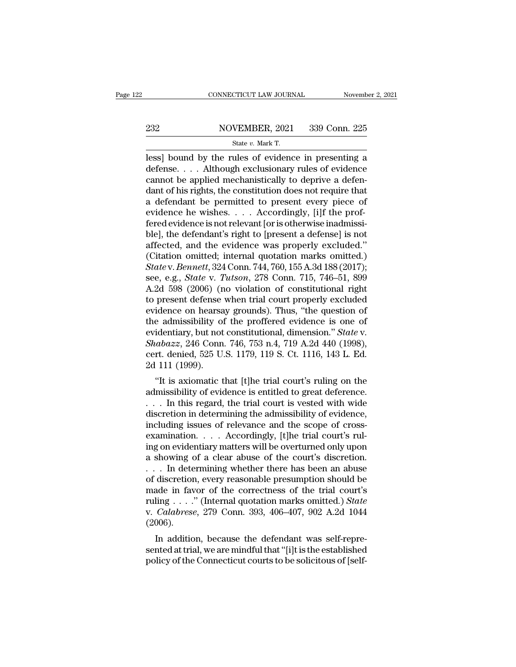# EXECUTE CONNECTICUT LAW JOURNAL Movember 2, 2021<br>232 NOVEMBER, 2021 339 Conn. 225<br>234 State v. Mark T.

CONNECTICUT LAW JOURNAL Novemb<br>
232 NOVEMBER, 2021 339 Conn. 225<br>
State *v.* Mark T.<br>
1ess] bound by the rules of evidence in presenting a  $\begin{tabular}{ll} \multicolumn{2}{l}{{\small \textbf{COMRECTICUT LAW JOURNAL}}} & \multicolumn{2}{l}{\small \textbf{November 2, 2021}}\\ \hline & \multicolumn{2}{l}{\small \textbf{S22}} & \multicolumn{2}{l}{\small \textbf{NOVEMBER, 2021}} & \multicolumn{2}{l}{\small \textbf{339 Conn. 225}}\\ & \multicolumn{2}{l}{\small \textbf{State $v$}. Mark T.}\\ \hline \\ & \textbf{less}]\textbf{ bound by the rules of evidence in presenting a} \\ \hline \textbf{defines}. & \multicolumn{2}{l}{\small \textbf{A}lthough$ 232 NOVEMBER, 2021 339 Conn. 225<br>
State v. Mark T.<br>
less] bound by the rules of evidence in presenting a<br>
defense.... Although exclusionary rules of evidence<br>
cannot be applied mechanistically to deprive a defen-<br>
dant of 232 NOVEMBER, 2021 339 Conn. 225<br>
State v. Mark T.<br>
less] bound by the rules of evidence in presenting a<br>
defense.... Although exclusionary rules of evidence<br>
cannot be applied mechanistically to deprive a defen-<br>
dant of 232 NOVEMBER, 2021 339 Conn. 225<br>  $\frac{\text{State } v. \text{ Mark T.}}{\text{less}}$ <br>
less] bound by the rules of evidence in presenting a<br>
defense.... Although exclusionary rules of evidence<br>
cannot be applied mechanistically to deprive a defen-<br> State v. Mark T.<br>
Iess] bound by the rules of evidence in presenting a<br>
defense.... Although exclusionary rules of evidence<br>
cannot be applied mechanistically to deprive a defen-<br>
dant of his rights, the constitution does State v. Mark T.<br>
less] bound by the rules of evidence in presenting a<br>
defense. . . . Although exclusionary rules of evidence<br>
cannot be applied mechanistically to deprive a defen-<br>
dant of his rights, the constitution d less] bound by the rules of evidence in presenting a<br>defense.... Although exclusionary rules of evidence<br>cannot be applied mechanistically to deprive a defen-<br>dant of his rights, the constitution does not require that<br>a de defense. . . . Although exclusionary rules of evidence<br>cannot be applied mechanistically to deprive a defen-<br>dant of his rights, the constitution does not require that<br>a defendant be permitted to present every piece of<br>evi cannot be applied mechanistically to deprive a defendant of his rights, the constitution does not require that<br>a defendant be permitted to present every piece of<br>evidence he wishes. . . . Accordingly, [i]f the prof-<br>fered dant of his rights, the constitution does not require that<br>a defendant be permitted to present every piece of<br>evidence he wishes. . . . Accordingly, [i]f the prof-<br>fered evidence is not relevant [or is otherwise inadmissi a defendant be permitted to present every piece of<br>evidence he wishes. . . . Accordingly, [i]f the prof-<br>fered evidence is not relevant [or is otherwise inadmissi-<br>ble], the defendant's right to [present a defense] is not<br> evidence he wishes. . . . Accordingly, [i]f the prof-<br>fered evidence is not relevant [or is otherwise inadmissi-<br>ble], the defendant's right to [present a defense] is not<br>affected, and the evidence was properly excluded."<br> fered evidence is not relevant [or is otherwise inadmissible], the defendant's right to [present a defense] is not affected, and the evidence was properly excluded."<br>(Citation omitted; internal quotation marks omitted.)<br> $State$ ble], the defendant's right to [present a defense] is not<br>affected, and the evidence was properly excluded."<br>(Citation omitted; internal quotation marks omitted.)<br>State v. Bennett, 324 Conn. 744, 760, 155 A.3d 188 (2017);<br> affected, and the evidence was properly excluded."<br>(Citation omitted; internal quotation marks omitted.)<br>State v. Bennett, 324 Conn. 744, 760, 155 A.3d 188 (2017);<br>see, e.g., *State v. Tutson*, 278 Conn. 715, 746–51, 899<br>A (Citation omitted; internal quotation marks omitted.)<br> *State* v. *Bennett*, 324 Conn. 744, 760, 155 A.3d 188 (2017);<br>
see, e.g., *State* v. *Tutson*, 278 Conn. 715, 746–51, 899<br>
A.2d 598 (2006) (no violation of constitut State v. Bennett, 324 Conn. 744, 760, 155 A.3d 188 (2017);<br>see, e.g., *State v. Tutson*, 278 Conn. 715, 746–51, 899<br>A.2d 598 (2006) (no violation of constitutional right<br>to present defense when trial court properly exclude see, e.g., *State v. Tutson*, 278 Conn. 715, 746–51, 899<br>A.2d 598 (2006) (no violation of constitutional right<br>to present defense when trial court properly excluded<br>evidence on hearsay grounds). Thus, "the question of<br>the A.2d 598 (2006) (no violation of constitutional right<br>to present defense when trial court properly excluded<br>evidence on hearsay grounds). Thus, "the question of<br>the admissibility of the proffered evidence is one of<br>evident to present defense<br>evidence on hearsa<br>the admissibility of<br>evidentiary, but not<br>*Shabazz*, 246 Conn<br>cert. denied, 525 U.<br>2d 111 (1999).<br>"It is axiomatic t the admissibility of the proffered evidence is one of<br>
identiary, but not constitutional, dimension." *State v.*<br> *abazz*, 246 Conn. 746, 753 n.4, 719 A.2d 440 (1998),<br>
rt. denied, 525 U.S. 1179, 119 S. Ct. 1116, 143 L. Ed and a missibility of the profilered evidence is one of<br>evidentiary, but not constitutional, dimension." *State* v.<br>*Shabazz*, 246 Conn. 746, 753 n.4, 719 A.2d 440 (1998),<br>cert. denied, 525 U.S. 1179, 119 S. Ct. 1116, 143 L

Evidentiary, but not constructional, dimension. *State v.*<br>
Shabazz, 246 Conn. 746, 753 n.4, 719 A.2d 440 (1998),<br>
cert. denied, 525 U.S. 1179, 119 S. Ct. 1116, 143 L. Ed.<br>
2d 111 (1999).<br>
"It is axiomatic that [t]he tria  $\alpha$  and  $\alpha$   $\geq$  240 Comment (40, 755 ft.4, 715 A.2d 440 (1550),<br>cert. denied, 525 U.S. 1179, 119 S. Ct. 1116, 143 L. Ed.<br>2d 111 (1999).<br>"It is axiomatic that [t]he trial court's ruling on the<br>admissibility of evidence cent. denied, 525 U.S. 1179, 119 S. Ut. 1110, 145 L. Ed.<br>2d 111 (1999).<br>"It is axiomatic that [t]he trial court's ruling on the<br>admissibility of evidence is entitled to great deference.<br> $\dots$  In this regard, the trial cour <sup>2</sup> TH (1999).<br>
"It is axiomatic that [t]he trial court's ruling on the admissibility of evidence is entitled to great deference.<br>  $\dots$  In this regard, the trial court is vested with wide<br>
discretion in determining the ad "It is axiomatic that [t]he trial court's ruling on the admissibility of evidence is entitled to great deference.<br>  $\dots$  In this regard, the trial court is vested with wide discretion in determining the admissibility of ev admissibility of evidence is entitled to great deference.<br>
. . . In this regard, the trial court is vested with wide<br>
discretion in determining the admissibility of evidence,<br>
including issues of relevance and the scope of . . . In this regard, the trial court is vested with wide<br>discretion in determining the admissibility of evidence,<br>including issues of relevance and the scope of cross-<br>examination. . . . Accordingly, [t]he trial court's discretion in determining the admissibility of evidence,<br>including issues of relevance and the scope of cross-<br>examination. . . . Accordingly, [t]he trial court's rul-<br>ing on evidentiary matters will be overturned only upo including issues of relevance and the scope of cross-<br>examination. . . . Accordingly, [t]he trial court's rul-<br>ing on evidentiary matters will be overturned only upon<br>a showing of a clear abuse of the court's discretion.<br> examination. . . . Accordingly, [t]he trial court's rul-<br>ing on evidentiary matters will be overturned only upon<br>a showing of a clear abuse of the court's discretion.<br>. . . In determining whether there has been an abuse<br>of ing on evidentiary matters will be overturned only upon<br>a showing of a clear abuse of the court's discretion.<br>... In determining whether there has been an abuse<br>of discretion, every reasonable presumption should be<br>made in (2006). In determining whether there has been an abuse<br>discretion, every reasonable presumption should be<br>ade in favor of the correctness of the trial court's<br>ling . . . ." (Internal quotation marks omitted.) *State*<br>*Calabrese*, or discretion, every reasonable presumption should be<br>made in favor of the correctness of the trial court's<br>ruling . . . ." (Internal quotation marks omitted.) *State*<br>v. *Calabrese*, 279 Conn. 393, 406–407, 902 A.2d 1044 made in favor of the correctness of the trial courts<br>ruling . . . ." (Internal quotation marks omitted.) State<br>v. *Calabrese*, 279 Conn. 393, 406–407, 902 A.2d 1044<br>(2006).<br>In addition, because the defendant was self-repr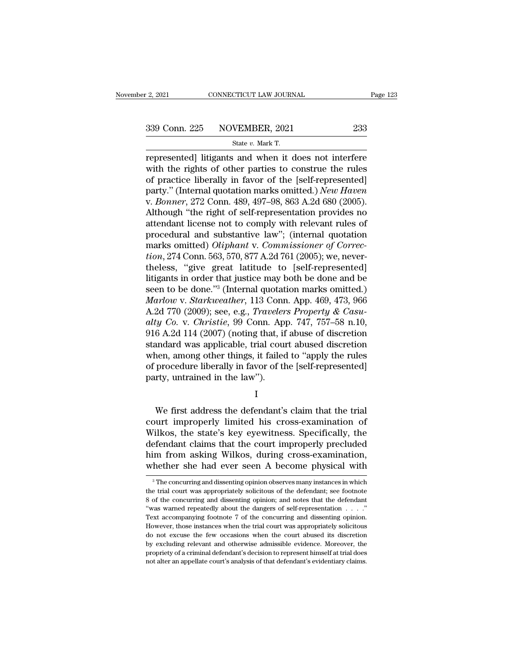# $\frac{2,2021}{2,2021}$  CONNECTICUT LAW JOURNAL Page 123<br>339 Conn. 225 NOVEMBER, 2021 233<br>5tate v. Mark T.

F. 2, 2021 CONNECTICUT LAW JOURNAL<br>
State *v.* Mark T.<br>
State *v. Mark T.*<br>
Tepresented litigants and when it does not interfere represented] litigants and when it does not interferential interferential litigants and when it does not interferential of practice liberally in four of the [self represented] 339 Conn. 225 NOVEMBER, 2021 233<br>
State v. Mark T.<br>
Tepresented] litigants and when it does not interfere<br>
with the rights of other parties to construe the rules<br>
of practice liberally in favor of the [self-represented]<br> 339 Conn. 225 NOVEMBER, 2021 233<br>
State v. Mark T.<br>
Tepresented] litigants and when it does not interfere<br>
with the rights of other parties to construe the rules<br>
of practice liberally in favor of the [self-represented]<br> 939 Conn. 225 NOVEMBER, 2021 233<br>
State v. Mark T.<br>
Trepresented] litigants and when it does not interfere<br>
with the rights of other parties to construe the rules<br>
of practice liberally in favor of the [self-represented]<br> State v. Mark T.<br>
Trepresented] litigants and when it does not interfere<br>
with the rights of other parties to construe the rules<br>
of practice liberally in favor of the [self-represented]<br>
party." (Internal quotation marks State v. Mark T.<br>
State v. Mark T.<br>
Tepresented] litigants and when it does not interfere<br>
with the rights of other parties to construe the rules<br>
of practice liberally in favor of the [self-represented]<br>
party." (Interna represented] litigants and when it does not interfere<br>with the rights of other parties to construe the rules<br>of practice liberally in favor of the [self-represented]<br>party." (Internal quotation marks omitted.) *New Haven*<br> with the rights of other parties to construe the rules<br>of practice liberally in favor of the [self-represented]<br>party." (Internal quotation marks omitted.) *New Haven*<br>v. *Bonner*, 272 Conn. 489, 497–98, 863 A.2d 680 (200 of practice liberally in favor of the [self-represented]<br>party." (Internal quotation marks omitted.) *New Haven*<br>v. *Bonner*, 272 Conn. 489, 497–98, 863 A.2d 680 (2005).<br>Although "the right of self-representation provides party." (Internal quotation marks omitted.) *New Haven* v. *Bonner*, 272 Conn. 489, 497–98, 863 A.2d 680 (2005). Although "the right of self-representation provides no attendant license not to comply with relevant rules of v. *Bonner*, 272 Conn. 489, 497–98, 863 A.2d 680 (2005).<br>Although "the right of self-representation provides no<br>attendant license not to comply with relevant rules of<br>procedural and substantive law"; (internal quotation<br>ma Although "the right of self-representation provides no<br>attendant license not to comply with relevant rules of<br>procedural and substantive law"; (internal quotation<br>marks omitted) *Oliphant* v. *Commissioner of Correc-<br>tion* attendant license not to comply with relevant rules of<br>procedural and substantive law"; (internal quotation<br>marks omitted) *Oliphant* v. *Commissioner of Correc-<br>tion*, 274 Conn. 563, 570, 877 A.2d 761 (2005); we, never-<br>t procedural and substantive law"; (internal quotation<br>marks omitted) *Oliphant* v. *Commissioner of Correc-<br>tion*, 274 Conn. 563, 570, 877 A.2d 761 (2005); we, never-<br>theless, "give great latitude to [self-represented]<br>liti marks omitted) *Oliphant* v. *Commissioner of Correction*, 274 Conn. 563, 570, 877 A.2d 761 (2005); we, nevertheless, "give great latitude to [self-represented] litigants in order that justice may both be done and be seen *tion*, 274 Conn. 563, 570, 877 A.2d 761 (2005); we, never-<br>theless, "give great latitude to [self-represented]<br>litigants in order that justice may both be done and be<br>seen to be done."<sup>3</sup> (Internal quotation marks omitted theless, "give great latitude to [self-represented]<br>litigants in order that justice may both be done and be<br>seen to be done."<sup>3</sup> (Internal quotation marks omitted.)<br>*Marlow v. Starkweather*, 113 Conn. App. 469, 473, 966<br>A litigants in order that justice may both be done and be<br>seen to be done."<sup>3</sup> (Internal quotation marks omitted.)<br>Marlow v. Starkweather, 113 Conn. App. 469, 473, 966<br>A.2d 770 (2009); see, e.g., *Travelers Property & Casu-<br>* seen to be done."<sup>3</sup> (Internal quotation marks omitted.)<br> *Marlow v. Starkweather*, 113 Conn. App. 469, 473, 966<br>
A.2d 770 (2009); see, e.g., *Travelers Property & Casu-*<br> *alty Co. v. Christie*, 99 Conn. App. 747, 757–58 Marlow v. Starkweather, 113 Conn. App. 469, 473, 966<br>A.2d 770 (2009); see, e.g., *Travelers Property & Casu-<br>alty Co. v. Christie*, 99 Conn. App. 747, 757–58 n.10,<br>916 A.2d 114 (2007) (noting that, if abuse of discretion<br>s A.2d 770 (2009); see, e.g., *Travelers Property & Casualty Co. v. Christie*, 99 Conn. App. 747, 757–58 n.10, 916 A.2d 114 (2007) (noting that, if abuse of discretion standard was applicable, trial court abused discretion andard was applicable, trial court abused discretion<br>
inen, among other things, it failed to "apply the rules<br>
procedure liberally in favor of the [self-represented]<br>
rty, untrained in the law").<br>
I<br>
We first address the d

I

when, among other things, it failed to "apply the rules<br>of procedure liberally in favor of the [self-represented]<br>party, untrained in the law").<br>I<br>We first address the defendant's claim that the trial<br>court improperly limi of procedure liberally in favor of the [self-represented]<br>party, untrained in the law").<br>I<br>We first address the defendant's claim that the trial<br>court improperly limited his cross-examination of<br>Wilkos, the state's key eye party, untrained in the law").<br>
I<br>
We first address the defendant's claim that the trial<br>
court improperly limited his cross-examination of<br>
Wilkos, the state's key eyewitness. Specifically, the<br>
defendant claims that the I<br>We first address the defendant's claim that the trial<br>court improperly limited his cross-examination of<br>Wilkos, the state's key eyewitness. Specifically, the<br>defendant claims that the court improperly precluded<br>him from We first address the defendant's claim that the trial<br>court improperly limited his cross-examination of<br>Wilkos, the state's key eyewitness. Specifically, the<br>defendant claims that the court improperly precluded<br>him from as The concurring and dissenting opinion observes many instances in which are the concurring and dissenting opinion observes many instances in which a trial court was appropriately solicitous of the defendant; see footnote defendant claims that the court improperly precluded<br>him from asking Wilkos, during cross-examination,<br>whether she had ever seen A become physical with<br><sup>3</sup>The concurring and dissenting opinion observes many instances in wh

him from asking Wilkos, during cross-examination,<br>whether she had ever seen A become physical with<br><sup>3</sup>The concurring and dissenting opinion observes many instances in which<br>the trial court was appropriately solicitous of t Whether she had ever seen A become physical with<br>
<sup>3</sup> The concurring and dissenting opinion observes many instances in which<br>
the trial court was appropriately solicitous of the defendant; see footnote<br>
8 of the concurring The concurring and dissenting opinion observes many instances in which<br>The concurring and dissenting opinion observes many instances in which<br>the trial court was appropriately solicitous of the defendant; see footnote<br>So f <sup>3</sup> The concurring and dissenting opinion observes many instances in which the trial court was appropriately solicitous of the defendant; see footnote 8 of the concurring and dissenting opinion; and notes that the defenda the trial court was appropriately solicitous of the defendant; see footnote 8 of the concurring and dissenting opinion; and notes that the defendant "was warned repeatedly about the dangers of self-representation . . . ."<br> so the concurring and dissenting opinion; and notes that the defendant "was warned repeatedly about the dangers of self-representation . . . ."<br>Text accompanying footnote 7 of the concurring and dissenting opinion.<br>However 8 of the concurring and dissenting opinion; and notes that the defendant "was warned repeatedly about the dangers of self-representation  $\ldots$ ." Text accompanying footnote 7 of the concurring and dissenting opinion. Howev Text accompanying footnote 7 of the concurring and dissenting opinion.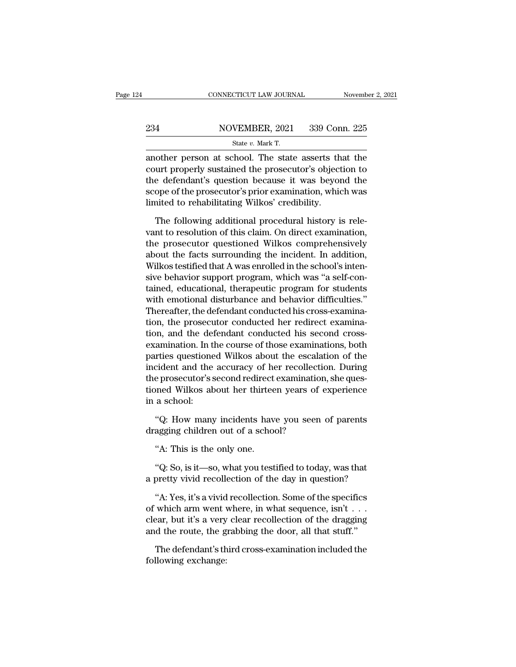## EXECUTE CONNECTICUT LAW JOURNAL Movember 2, 2021<br>234 NOVEMBER, 2021 339 Conn. 225<br>234 State v. Mark T. CONNECTICUT LAW JOURNAL Novemb<br>
234 NOVEMBER, 2021 339 Conn. 225<br>
State *v.* Mark T.<br>
another person at school. The state asserts that the

CONNECTICUT LAW JOURNAL November 2, 2021<br>
234 NOVEMBER, 2021 339 Conn. 225<br>  $\frac{\text{State } v. \text{ Mark T.}}{\text{another person at school. The state asserts that the court properly sustained the processor's objection to the deformation because it was beyond the$ 234 NOVEMBER, 2021 339 Conn. 225<br>
State v. Mark T.<br>
another person at school. The state asserts that the<br>
court properly sustained the prosecutor's objection to<br>
the defendant's question because it was beyond the<br>
seeme o 234 NOVEMBER, 2021 339 Conn. 225<br>
State v. Mark T.<br>
another person at school. The state asserts that the<br>
court properly sustained the prosecutor's objection to<br>
the defendant's question because it was beyond the<br>
scope o  $\begin{array}{lll} \textbf{234} & \textbf{NOVEMBER, 2021} & \textbf{339 Conn. 225} \\ \hline & \\ \textbf{State } v. \text{ Mark T.} \\ \textbf{another person at school.} & \textbf{The state asserts that the} \\ \textbf{court properly sustained the processor's objection to} \\ \textbf{the defendant's question because it was beyond the} \\ \textbf{scope of the processor's prior examination, which was limited to rehabilitation, with the system.} \end{array}$ State  $v$ . Mark T.<br>
another person at school. The state asserts the court properly sustained the prosecutor's object<br>
the defendant's question because it was beyor<br>
scope of the prosecutor's prior examination, which<br>
limi other person at school. The state asserts that the<br>urt properly sustained the prosecutor's objection to<br>e defendant's question because it was beyond the<br>ope of the prosecutor's prior examination, which was<br>nited to rehabil court properly sustained the prosecutor's objection to<br>the defendant's question because it was beyond the<br>scope of the prosecutor's prior examination, which was<br>limited to rehabilitating Wilkos' credibility.<br>The following

the defendant's question because it was beyond the<br>scope of the prosecutor's prior examination, which was<br>limited to rehabilitating Wilkos' credibility.<br>The following additional procedural history is rele-<br>vant to resoluti scope of the prosecutor's prior examination, which was<br>limited to rehabilitating Wilkos' credibility.<br>The following additional procedural history is rele-<br>vant to resolution of this claim. On direct examination,<br>the prosec limited to rehabilitating Wilkos' credibility.<br>The following additional procedural history is relevant to resolution of this claim. On direct examination,<br>the prosecutor questioned Wilkos comprehensively<br>about the facts su The following additional procedural history is relevant to resolution of this claim. On direct examination, the prosecutor questioned Wilkos comprehensively about the facts surrounding the incident. In addition, Wilkos tes The following additional procedural history is relevant to resolution of this claim. On direct examination,<br>the prosecutor questioned Wilkos comprehensively<br>about the facts surrounding the incident. In addition,<br>Wilkos tes vant to resolution of this claim. On direct examination,<br>the prosecutor questioned Wilkos comprehensively<br>about the facts surrounding the incident. In addition,<br>Wilkos testified that A was enrolled in the school's inten-<br>s the prosecutor questioned Wilkos comprehensively<br>about the facts surrounding the incident. In addition,<br>Wilkos testified that A was enrolled in the school's inten-<br>sive behavior support program, which was "a self-con-<br>tain about the facts surrounding the incident. In addition,<br>Wilkos testified that A was enrolled in the school's inten-<br>sive behavior support program, which was "a self-con-<br>tained, educational, therapeutic program for students Wilkos testified that A was enrolled in the school's intensive behavior support program, which was "a self-contained, educational, therapeutic program for students with emotional disturbance and behavior difficulties."<br>The sive behavior support program, which was "a self-con-<br>tained, educational, therapeutic program for students<br>with emotional disturbance and behavior difficulties."<br>Thereafter, the defendant conducted his cross-examina-<br>tion tained, educational, therapeutic program for students<br>with emotional disturbance and behavior difficulties."<br>Thereafter, the defendant conducted his cross-examina-<br>tion, the prosecutor conducted her redirect examina-<br>tion, with emotional disturbance and behavior difficulties."<br>Thereafter, the defendant conducted his cross-examina-<br>tion, the prosecutor conducted her redirect examina-<br>tion, and the defendant conducted his second cross-<br>examina Thereafter, the defendant conducted his cross-examination, the prosecutor conducted her redirect examination, and the defendant conducted his second cross-examination. In the course of those examinations, both parties ques tion, the prosecutor conducted her redirect examination, and the defendant conducted his second cross-<br>examination. In the course of those examinations, both<br>parties questioned Wilkos about the escalation of the<br>incident a tion, and the deinexamination. In the parties questione<br>incident and the the prosecutor's stioned Wilkos akin a school:<br>"Q: How many rties questioned Wilkos about the escalation of the cident and the accuracy of her recollection. During e prosecutor's second redirect examination, she quessioned Wilkos about her thirteen years of experience a school:<br>"Q: incident and the accuracy of her recollecti<br>the prosecutor's second redirect examination<br>tioned Wilkos about her thirteen years of<br>in a school:<br>"Q: How many incidents have you seen<br>dragging children out of a school?<br>"A: Th e prosecutor second redirect<br>
a school:<br>
"Q: How many incidents hav<br>
agging children out of a scho-<br>
"A: This is the only one.<br>
"Q: So, is it—so, what you test

a school:<br>"Q: How many incidents have you seen of parents<br>agging children out of a school?<br>"A: This is the only one.<br>"Q: So, is it—so, what you testified to today, was that<br>pretty vivid recollection of the day in question? "Q: How many incidents have you seen of parents<br>dragging children out of a school?<br>"A: This is the only one.<br>"Q: So, is it—so, what you testified to today, was that<br>a pretty vivid recollection of the day in question?<br>"A: Y

agging children out of a school?<br>"A: This is the only one.<br>"Q: So, is it—so, what you testified to today, was that<br>pretty vivid recollection of the day in question?<br>"A: Yes, it's a vivid recollection. Some of the specifics "A: This is the only one.<br>
"Q: So, is it—so, what you testified to today, was that<br>
a pretty vivid recollection of the day in question?<br>
"A: Yes, it's a vivid recollection. Some of the specifics<br>
of which arm went where, A. This is the only one.<br>
"Q: So, is it—so, what you testified to today, was that<br>
a pretty vivid recollection of the day in question?<br>
"A: Yes, it's a vivid recollection. Some of the specifics<br>
of which arm went where, i "Q: So, is it—so, what you testified to today, was that<br>a pretty vivid recollection of the day in question?<br>"A: Yes, it's a vivid recollection. Some of the specifics<br>of which arm went where, in what sequence, isn't . . .<br> "A: Yes, it's a vivid recollection. Some of the specifics<br>"A: Yes, it's a vivid recollection. Some of the specifics<br>which arm went where, in what sequence, isn't  $\ldots$ <br>ear, but it's a very clear recollection of the draggi "A: Yes, it's a vivid<br>of which arm went v<br>clear, but it's a very<br>and the route, the g<br>The defendant's th<br>following exchange: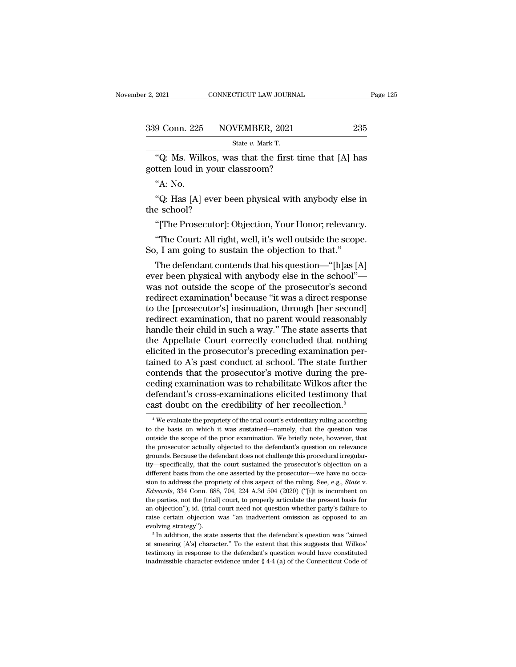| r 2, 2021     | CONNECTICUT LAW JOURNAL                              | Page 125 |
|---------------|------------------------------------------------------|----------|
| 339 Conn. 225 | NOVEMBER, 2021                                       | 235      |
|               | State v. Mark T.                                     |          |
|               | "O: Ms. Wilkos, was that the first time that [A] has |          |

2021 CONNECTICUT LAW JOURNAL Page 125<br>
9 Conn. 225 NOVEMBER, 2021 235<br>
State v. Mark T.<br>
"Q: Ms. Wilkos, was that the first time that [A] has<br>
tten loud in your classroom? 339 Conn. 225 NOVEMBER, 2021<br>State v. Mark T.<br>"Q: Ms. Wilkos, was that the first times gotten loud in your classroom?<br>"A: No. "Q: Ms. Wilkos, was that the first time that [A] has<br>gotten loud in your classroom?<br>"A: No.<br>"Q: Has [A] ever been physical with anybody else in<br>the school? Solution 225 State v. Mark T.<br>
"Q: Ms. Wilkos, was that the first time that [A] has<br>
tten loud in your classroom?<br>"A: No.<br>"Q: Has [A] ever been physical with anybody else in<br>
e school? "Q: Ms. Wilkos, w<br>gotten loud in your ("A: No.<br>"A: No.<br>"Q: Has [A] ever b<br>the school?<br>"[The Prosecutor]:

"Q: Ms. Wilkos, was that the first time that [A] has<br>tten loud in your classroom?<br>"A: No.<br>"Q: Has [A] ever been physical with anybody else in<br>e school?<br>"[The Prosecutor]: Objection, Your Honor; relevancy.<br>"The Court: All r "A: No.<br>"Q: Has [A] ever been physical with anybody else in<br>e school?<br>"[The Prosecutor]: Objection, Your Honor; relevancy.<br>"The Court: All right, well, it's well outside the scope.<br>"The Court: All right, well, it's well ou "A: No.<br>
"Q: Has [A] ever been physical with anybody else if<br>
the school?<br>
"[The Prosecutor]: Objection, Your Honor; relevanc<br>
"The Court: All right, well, it's well outside the scop<br>
So, I am going to sustain the objectio

"Q: Has [A] ever been physical with anybody else in<br>e school?<br>"[The Prosecutor]: Objection, Your Honor; relevancy.<br>"The Court: All right, well, it's well outside the scope.<br>, I am going to sustain the objection to that."<br>T the school?<br>
"[The Prosecutor]: Objection, Your Honor; relevancy.<br>
"The Court: All right, well, it's well outside the scope.<br>
So, I am going to sustain the objection to that."<br>
The defendant contends that his question—"[h] "[The Prosecutor]: Objection, Your Honor; relevancy.<br>"The Court: All right, well, it's well outside the scope.<br>So, I am going to sustain the objection to that."<br>The defendant contends that his question—"[h]as [A]<br>ever been "The Court: All right, well, it's well outside the scope.<br>
So, I am going to sustain the objection to that."<br>
The defendant contends that his question—"[h]as [A]<br>
ever been physical with anybody else in the school"—<br>
was The Court: All right, well, it's well outside the scope.<br>
So, I am going to sustain the objection to that."<br>
The defendant contends that his question—"[h]as [A]<br>
ever been physical with anybody else in the school"—<br>
was no So, 1 am going to sustain the objection to that.<br>
The defendant contends that his question—"[h]as [A]<br>
ever been physical with anybody else in the school"—<br>
was not outside the scope of the prosecutor's second<br>
redirect ex The defendant contends that his question—"[h]as [A]<br>ever been physical with anybody else in the school"—<br>was not outside the scope of the prosecutor's second<br>redirect examination<sup>4</sup> because "it was a direct response<br>to the ever been physical with anybody else in the school"—<br>was not outside the scope of the prosecutor's second<br>redirect examination<sup>4</sup> because "it was a direct response<br>to the [prosecutor's] insinuation, through [her second]<br>re was not outside the scope of the prosecutor's second<br>redirect examination<sup>4</sup> because "it was a direct response<br>to the [prosecutor's] insinuation, through [her second]<br>redirect examination, that no parent would reasonably<br>h redirect examination<sup>4</sup> because "it was a direct response<br>to the [prosecutor's] insinuation, through [her second]<br>redirect examination, that no parent would reasonably<br>handle their child in such a way." The state asserts t to the [prosecutor's] insinuation, through [her second]<br>redirect examination, that no parent would reasonably<br>handle their child in such a way." The state asserts that<br>the Appellate Court correctly concluded that nothing<br>e redirect examination, that no parent would reasonably<br>handle their child in such a way." The state asserts that<br>the Appellate Court correctly concluded that nothing<br>elicited in the prosecutor's preceding examination per-<br>t handle their child in such a way." The state asserts that<br>the Appellate Court correctly concluded that nothing<br>elicited in the prosecutor's preceding examination per-<br>tained to A's past conduct at school. The state further the Appellate Court correctly concluded that nothing<br>elicited in the prosecutor's preceding examination per-<br>tained to A's past conduct at school. The state further<br>contends that the prosecutor's motive during the pre-<br>ced ontends that the prosecutor's motive during the pre-<br>eding examination was to rehabilitate Wilkos after the<br>efendant's cross-examinations elicited testimony that<br>ast doubt on the credibility of her recollection.<sup>5</sup><br><sup>4</sup>We ceding examination was to rehabilitate Wilkos after the<br>defendant's cross-examinations elicited testimony that<br>cast doubt on the credibility of her recollection.<sup>5</sup><br><sup>4</sup> We evaluate the propriety of the trial court's eviden

defendant's cross-examinations elicited testimony that<br>cast doubt on the credibility of her recollection.<sup>5</sup><br><sup>4</sup> We evaluate the propriety of the trial court's evidentiary ruling according<br>to the basis on which it was sust cast doubt on the credibility of her recollection.<sup>5</sup><br>
<sup>4</sup> We evaluate the propriety of the trial court's evidentiary ruling according<br>
to the basis on which it was sustained—namely, that the question was<br>
outside the sco to the basis on which it was sustained—namely, that the question was outside the scope of the prior examination. We briefly note, however, that the prosecutor actually objected to the defendant's question on relevance grou <sup>4</sup> We evaluate the propriety of the trial court's evidentiary ruling according to the basis on which it was sustained—namely, that the question was outside the scope of the prior examination. We briefly note, however, th to the basis on which it was sustained—namely, that the question was outside the scope of the prior examination. We briefly note, however, that the prosecutor actually objected to the defendant's question on relevance gro outside the scope of the prior examination. We briefly note, however, that the prosecutor actually objected to the defendant's question on relevance grounds. Because the defendant does not challenge this procedural irregul grounds. Because the defendant does not challenge this procedural irregularity—specifically, that the court sustained the prosecutor's objection on a different basis from the one asserted by the prosecutor—we have no occas and the prosecutor's objection on a different basis from the one asserted by the prosecutor's objection on a different basis from the one asserted by the prosecutor—we have no occasion to address the propriety of this asp ray "epertured basis from the one asserted by the prosecutor—we have no oca-<br>different basis from the one asserted by the prosecutor—we have no oca-<br>Edwards, 334 Conn. 688, 704, 224 A.3d 504 (2020) ("[i]t is incumbent on<br>t sion to address the propriety of this aspect of the ruling. See, e.g., *State v. Edwards*, 334 Conn. 688, 704, 224 A.3d 504 (2020) ("[i]t is incumbent on the parties, not the [trial] court, to properly articulate the pr *Edwards*, 334 Conn. 688, 704, 224 A.3d 504 (2020) ("[i]t is incumbent on the parties, not the [trial] court, to properly articulate the present basis for an objection"); id. (trial court need not question whether party's raise certain objection was "an inadvertent omission as opposed to an

an objection"); id. (trial court need not question whether party's failure to raise certain objection was "an inadvertent omission as opposed to an evolving strategy").<br>
<sup>5</sup> In addition, the state asserts that the defenda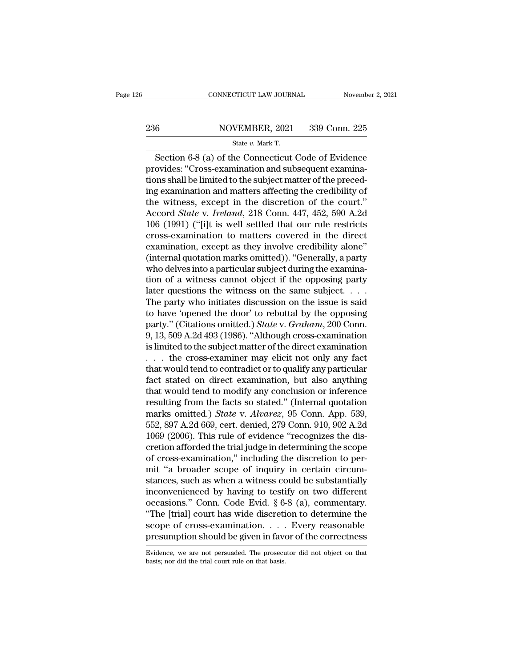## EXECUTE CONNECTICUT LAW JOURNAL Movember 2, 2021<br>236 NOVEMBER, 2021 339 Conn. 225<br>236 State v. Mark T. CONNECTICUT LAW JOURNAL Novemb<br>
State *v.* MOVEMBER, 2021 339 Conn. 225<br>
State *v.* Mark T.<br>
Section 6-8 (a) of the Connecticut Code of Evidence

CONNECTICUT LAW JOURNAL November 2, 2021<br>
State v. Mark T.<br>
Section 6-8 (a) of the Connecticut Code of Evidence<br>
ovides: "Cross-examination and subsequent examina-<br>
Section 6-8 (a) of the Connecticut Code of Evidence<br>
ovid 236 NOVEMBER, 2021 339 Conn. 225<br>
State v. Mark T.<br>
Section 6-8 (a) of the Connecticut Code of Evidence<br>
provides: "Cross-examination and subsequent examina-<br>
tions shall be limited to the subject matter of the preced-<br>
i 236 NOVEMBER, 2021 339 Conn. 225<br>
State v. Mark T.<br>
Section 6-8 (a) of the Connecticut Code of Evidence<br>
provides: "Cross-examination and subsequent examina-<br>
tions shall be limited to the subject matter of the preced-<br>
i 236 NOVEMBER, 2021 339 Conn. 225<br>
State v. Mark T.<br>
Section 6-8 (a) of the Connecticut Code of Evidence<br>
provides: "Cross-examination and subsequent examina-<br>
tions shall be limited to the subject matter of the preced-<br>
i State v. Mark T.<br>
Section 6-8 (a) of the Connecticut Code of Evidence<br>
provides: "Cross-examination and subsequent examina-<br>
tions shall be limited to the subject matter of the preced-<br>
ing examination and matters affecti State *v.* Mark 1.<br>
Section 6-8 (a) of the Connecticut Code of Evidence<br>
provides: "Cross-examination and subsequent examina-<br>
tions shall be limited to the subject matter of the preced-<br>
ing examination and matters affect Section 6-8 (a) of the Connecticut Code of Evidence<br>provides: "Cross-examination and subsequent examina-<br>tions shall be limited to the subject matter of the preced-<br>ing examination and matters affecting the credibility of provides: "Cross-examination and subsequent examina-<br>tions shall be limited to the subject matter of the preced-<br>ing examination and matters affecting the credibility of<br>the witness, except in the discretion of the court." tions shall be limited to the subject matter of the preced-<br>ing examination and matters affecting the credibility of<br>the witness, except in the discretion of the court."<br>Accord *State* v. *Ireland*, 218 Conn. 447, 452, 590 ing examination and matters affecting the credibility of<br>the witness, except in the discretion of the court."<br>Accord *State* v. *Ireland*, 218 Conn. 447, 452, 590 A.2d<br>106 (1991) ("[i]t is well settled that our rule restri the witness, except in the discretion of the court."<br>Accord *State v. Ireland*, 218 Conn. 447, 452, 590 A.2d<br>106 (1991) ("[i]t is well settled that our rule restricts<br>cross-examination to matters covered in the direct<br>exam Accord *State* v. *Ireland*, 218 Conn. 447, 452, 590 A.2d<br>106 (1991) ("[i]t is well settled that our rule restricts<br>cross-examination to matters covered in the direct<br>examination, except as they involve credibility alone" 106 (1991) ("[i]t is well settled that our rule restricts cross-examination to matters covered in the direct examination, except as they involve credibility alone" (internal quotation marks omitted)). "Generally, a party cross-examination to matters covered in the direct<br>examination, except as they involve credibility alone"<br>(internal quotation marks omitted)). "Generally, a party<br>who delves into a particular subject during the examina-<br>t examination, except as they involve credibility alone"<br>(internal quotation marks omitted)). "Generally, a party<br>who delves into a particular subject during the examina-<br>tion of a witness cannot object if the opposing part (internal quotation marks omitted)). "Generally, a party<br>who delves into a particular subject during the examina-<br>tion of a witness cannot object if the opposing party<br>later questions the witness on the same subject. . . . who delves into a particular subject during the examination of a witness cannot object if the opposing party<br>later questions the witness on the same subject. . . . .<br>The party who initiates discussion on the issue is said tion of a witness cannot object if the opposing party<br>later questions the witness on the same subject. . . .<br>The party who initiates discussion on the issue is said<br>to have 'opened the door' to rebuttal by the opposing<br>pa later questions the witness on the same subject. . . . . The party who initiates discussion on the issue is said<br>to have 'opened the door' to rebuttal by the opposing<br>party." (Citations omitted.) *State* v. *Graham*, 200 The party who initiates discussion on the issue is said<br>to have 'opened the door' to rebuttal by the opposing<br>party." (Citations omitted.) *State* v. *Graham*, 200 Conn.<br>9, 13, 509 A.2d 493 (1986). "Although cross-examina to have 'opened the door' to rebuttal by the opposing<br>party." (Citations omitted.) *State* v. *Graham*, 200 Conn.<br>9, 13, 509 A.2d 493 (1986). "Although cross-examination<br>is limited to the subject matter of the direct exam party." (Citations omitted.) *State* v. *Graham*, 200 Conn.<br>9, 13, 509 A.2d 493 (1986). "Although cross-examination<br>is limited to the subject matter of the direct examination<br>... the cross-examiner may elicit not only any 9, 13, 509 A.2d 493 (1986). "Although cross-examination<br>is limited to the subject matter of the direct examination<br>... the cross-examiner may elicit not only any fact<br>that would tend to contradict or to qualify any partic is limited to the subject matter of the direct examination<br>
. . . the cross-examiner may elicit not only any fact<br>
that would tend to contradict or to qualify any particular<br>
fact stated on direct examination, but also any Fig. 7. The cross-examiner may elicit not only any fact that would tend to contradict or to qualify any particular fact stated on direct examination, but also anything that would tend to modify any conclusion or inference that would tend to contradict or to qualify any particular<br>fact stated on direct examination, but also anything<br>that would tend to modify any conclusion or inference<br>resulting from the facts so stated." (Internal quotation fact stated on direct examination, but also anything<br>that would tend to modify any conclusion or inference<br>resulting from the facts so stated." (Internal quotation<br>marks omitted.) *State* v. *Alvarez*, 95 Conn. App. 539,<br>5 that would tend to modify any conclusion or inference<br>resulting from the facts so stated." (Internal quotation<br>marks omitted.) *State* v. *Alvarez*, 95 Conn. App. 539,<br>552, 897 A.2d 669, cert. denied, 279 Conn. 910, 902 A. resulting from the facts so stated." (Internal quotation<br>marks omitted.) *State* v. *Alvarez*, 95 Conn. App. 539,<br>552, 897 A.2d 669, cert. denied, 279 Conn. 910, 902 A.2d<br>1069 (2006). This rule of evidence "recognizes the marks omitted.) *State* v. *Alvarez*, 95 Conn. App. 539, 552, 897 A.2d 669, cert. denied, 279 Conn. 910, 902 A.2d 1069 (2006). This rule of evidence "recognizes the discretion afforded the trial judge in determining the s 552, 897 A.2d 669, cert. denied, 279 Conn. 910, 902 A.2d<br>1069 (2006). This rule of evidence "recognizes the discretion afforded the trial judge in determining the scope<br>of cross-examination," including the discretion to p 1069 (2006). This rule of evidence "recognizes the discretion afforded the trial judge in determining the scope<br>of cross-examination," including the discretion to per-<br>mit "a broader scope of inquiry in certain circum-<br>st cretion afforded the trial judge in determining the scope<br>of cross-examination," including the discretion to per-<br>mit "a broader scope of inquiry in certain circum-<br>stances, such as when a witness could be substantially<br>in of cross-examination," including the discretion to permit "a broader scope of inquiry in certain circumstances, such as when a witness could be substantially inconvenienced by having to testify on two different occasions." mit "a broader scope of inquiry in certain circum-<br>stances, such as when a witness could be substantially<br>inconvenienced by having to testify on two different<br>occasions." Conn. Code Evid.  $\S 6-8$  (a), commentary.<br>"The [tr occasions." Conn. Code Evid.  $\S 6-8$  (a), commentary.<br>"The [trial] court has wide discretion to determine the<br>scope of cross-examination.... Every reasonable<br>presumption should be given in favor of the correctness<br>Evidenc presumption should be given in favor of the correctness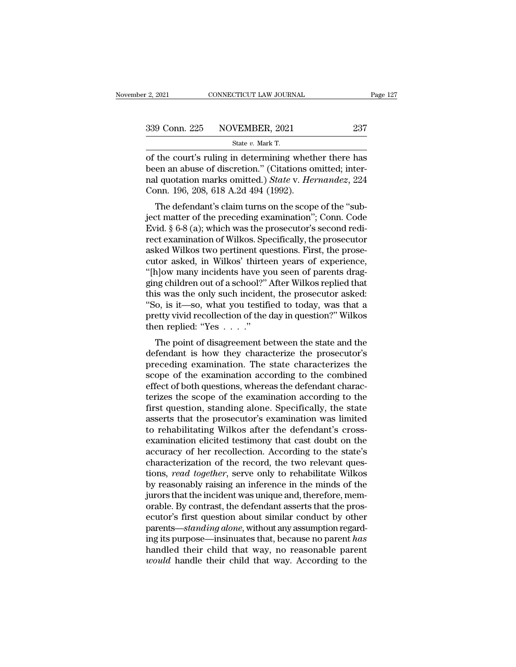| 2, 2021 | CONNECTICUT LAW JOURNAL                                | Page 127 |
|---------|--------------------------------------------------------|----------|
|         | 339 Conn. 225 NOVEMBER, 2021                           | 237      |
|         | State $v$ . Mark T.                                    |          |
|         | of the court's ruling in determining whether there has |          |

of the court's ruling in determining whether there has<br>
been an abuse of discretion." (Citations omitted; inter-<br>
and guatation marks emitted) State v. Hamandez 224 339 Conn. 225 NOVEMBER, 2021 237<br>
State v. Mark T.<br>
of the court's ruling in determining whether there has<br>
been an abuse of discretion.'' (Citations omitted; inter-<br>
nal quotation marks omitted.) State v. Hernandez, 224<br> 339 Conn. 225 NOVEMBER, 2021 237<br>
State v. Mark T.<br>
of the court's ruling in determining whether there has<br>
been an abuse of discretion." (Citations omitted; inter-<br>
nal quotation marks omitted.) *State* v. *Hernandez*, 22 339 Conn. 225 NOVEMBER, 2021<br>
State v. Mark T.<br>
of the court's ruling in determining wheth<br>
been an abuse of discretion." (Citations of<br>
nal quotation marks omitted.) State v. Her<br>
Conn. 196, 208, 618 A.2d 494 (1992).<br>
Th State v. Mark T.<br>
the court's ruling in determining whether there has<br>
en an abuse of discretion." (Citations omitted; inter-<br>
1 quotation marks omitted.) State v. Hernandez, 224<br>
pnn. 196, 208, 618 A.2d 494 (1992).<br>
The of the court's ruling in determining whether there has<br>been an abuse of discretion." (Citations omitted; inter-<br>nal quotation marks omitted.) *State* v. *Hernandez*, 224<br>Conn. 196, 208, 618 A.2d 494 (1992).<br>The defendant's

or the court's runng in determining whether there has<br>been an abuse of discretion." (Citations omitted; inter-<br>nal quotation marks omitted.) State v. Hernandez, 224<br>Conn. 196, 208, 618 A.2d 494 (1992).<br>The defendant's clai been an abuse of uiscretion. (Chations of Michel, Inter-<br>nal quotation marks omitted.) *State* v. *Hernandez*, 224<br>Conn. 196, 208, 618 A.2d 494 (1992).<br>The defendant's claim turns on the scope of the "sub-<br>ject matter of t ran quotation marks onlitted.) *State v. Hernandez*, 224<br>Conn. 196, 208, 618 A.2d 494 (1992).<br>The defendant's claim turns on the scope of the "sub-<br>ject matter of the preceding examination"; Conn. Code<br>Evid. § 6-8 (a); whi Coluit. 150, 208, 018 A.2d 454 (1552).<br>The defendant's claim turns on the scope of the "sub-<br>ject matter of the preceding examination"; Conn. Code<br>Evid. § 6-8 (a); which was the prosecutor's second redi-<br>rect examination o The defendant's claim turns on the scope of the "sub-<br>ject matter of the preceding examination"; Conn. Code<br>Evid. § 6-8 (a); which was the prosecutor's second redi-<br>rect examination of Wilkos. Specifically, the prosecutor<br> ject matter of the preceding examination"; Conn. Code<br>Evid. § 6-8 (a); which was the prosecutor's second redi-<br>rect examination of Wilkos. Specifically, the prosecutor<br>asked Wilkos two pertinent questions. First, the prose Evid. § 6-8 (a); which was the prosecutor's second redi-<br>rect examination of Wilkos. Specifically, the prosecutor<br>asked Wilkos two pertinent questions. First, the prose-<br>cutor asked, in Wilkos' thirteen years of experience rect examination of Wilkos. Specifically, the prosecutor<br>asked Wilkos two pertinent questions. First, the prose-<br>cutor asked, in Wilkos' thirteen years of experience,<br>"[h]ow many incidents have you seen of parents drag-<br>gi asked Wilkos two pertinent questions. First, the prosecutor asked, in Wilkos' thirteen years of experience, "[h]ow many incidents have you seen of parents dragging children out of a school?" After Wilkos replied that this cutor asked, in Wilkos' thirte<br>
"[h]ow many incidents have yourned:"<br>
ging children out of a school?"<br>
this was the only such inciden<br>
"So, is it—so, what you testif<br>
pretty vivid recollection of the<br>
then replied: "Yes . The point of disagreement between the state and the secondary or the procedure and the prosecutor asked:<br>  $\alpha$ , is it—so, what you testified to today, was that a<br>
etty vivid recollection of the day in question?" Wilkos<br> ging children out of a schoof! After which rephed that<br>this was the only such incident, the prosecutor asked:<br>"So, is it—so, what you testified to today, was that a<br>pretty vivid recollection of the day in question?" Wilkos

Fig. is it—so, what you testified to today, was that a<br>
"So, is it—so, what you testified to today, was that a<br>
pretty vivid recollection of the day in question?" Wilkos<br>
then replied: "Yes  $\ldots$ ."<br>
The point of disagreem so, is it—so, what you destined to today, was that a<br>pretty vivid recollection of the day in question?" Wilkos<br>then replied: "Yes  $\dots$ ."<br>The point of disagreement between the state and the<br>defendant is how they characteri Freuy vivia reconcetion of the day in question: which<br>then replied: "Yes  $\dots$ ."<br>The point of disagreement between the state and the<br>defendant is how they characterize the prosecutor's<br>preceding examination. The state char The point of disagreement between the state and the defendant is how they characterize the prosecutor's preceding examination. The state characterizes the scope of the examination according to the combined effect of both The point of disagreement between the state and the<br>defendant is how they characterize the prosecutor's<br>preceding examination. The state characterizes the<br>scope of the examination according to the combined<br>effect of both q defendant is how they characterize the prosecutor's<br>preceding examination. The state characterizes the<br>scope of the examination according to the combined<br>effect of both questions, whereas the defendant charac-<br>terizes the preceding examination. The state characterizes the<br>scope of the examination according to the combined<br>effect of both questions, whereas the defendant charac-<br>terizes the scope of the examination according to the<br>first ques scope of the examination according to the combined<br>effect of both questions, whereas the defendant charac-<br>terizes the scope of the examination according to the<br>first question, standing alone. Specifically, the state<br>asser effect of both questions, whereas the defendant characterizes the scope of the examination according to the first question, standing alone. Specifically, the state asserts that the prosecutor's examination was limited to r terizes the scope of the examination according to the<br>first question, standing alone. Specifically, the state<br>asserts that the prosecutor's examination was limited<br>to rehabilitating Wilkos after the defendant's cross-<br>exam first question, standing alone. Specifically, the state asserts that the prosecutor's examination was limited to rehabilitating Wilkos after the defendant's cross-<br>examination elicited testimony that cast doubt on the accu asserts that the prosecutor's examination was limited<br>to rehabilitating Wilkos after the defendant's cross-<br>examination elicited testimony that cast doubt on the<br>accuracy of her recollection. According to the state's<br>chara to rehabilitating Wilkos after the defendant's cross-<br>examination elicited testimony that cast doubt on the<br>accuracy of her recollection. According to the state's<br>characterization of the record, the two relevant ques-<br>tion examination elicited testimony that cast doubt on the accuracy of her recollection. According to the state's characterization of the record, the two relevant questions, *read together*, serve only to rehabilitate Wilkos by accuracy of her recollection. According to the state's<br>characterization of the record, the two relevant ques-<br>tions, *read together*, serve only to rehabilitate Wilkos<br>by reasonably raising an inference in the minds of the characterization of the record, the two relevant questions, *read together*, serve only to rehabilitate Wilkos by reasonably raising an inference in the minds of the jurors that the incident was unique and, therefore, memo tions, *read together*, serve only to rehabilitate Wilkos<br>by reasonably raising an inference in the minds of the<br>jurors that the incident was unique and, therefore, mem-<br>orable. By contrast, the defendant asserts that the by reasonably raising an inference in the minds of the<br>jurors that the incident was unique and, therefore, mem-<br>orable. By contrast, the defendant asserts that the pros-<br>ecutor's first question about similar conduct by oth jurors that the incident was unique and, therefore, memorable. By contrast, the defendant asserts that the prosecutor's first question about similar conduct by other parents—standing alone, without any assumption regarding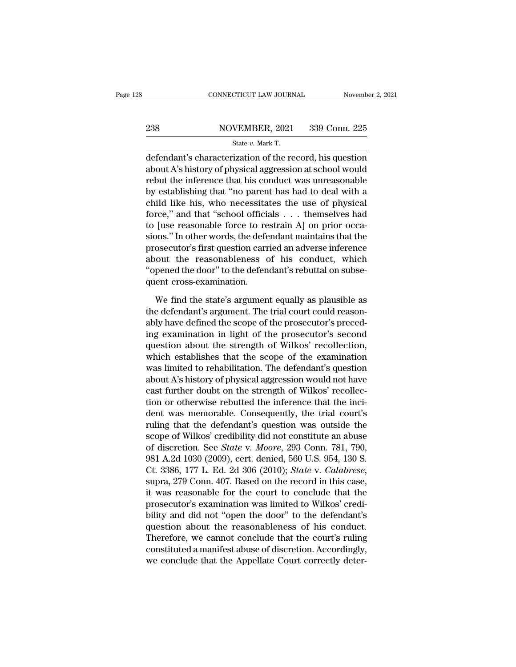## EXECUTE CONNECTICUT LAW JOURNAL Movember 2, 2021<br>238 NOVEMBER, 2021 339 Conn. 225<br>238 State v. Mark T. CONNECTICUT LAW JOURNAL Novemb<br>
238 NOVEMBER, 2021 339 Conn. 225<br>
State *v. Mark T.*<br>
defendant's characterization of the record, his question

CONNECTICUT LAW JOURNAL November 2, 2021<br>
238 NOVEMBER, 2021 339 Conn. 225<br>
339 Conn. 225<br>
34 November 2, 2021<br>
339 Conn. 225<br>
35 November 2, 2021<br>
35 November 2, 2021<br>
35 November 2, 2021<br>
35 November 2, 2021<br>
35 November 238 NOVEMBER, 2021 339 Conn. 225<br>  $\frac{\text{State } v. \text{ Mark T.}}{\text{defendant's characterization of the record, his question}}$ <br>
about A's history of physical aggression at school would<br>
rebut the inference that his conduct was unreasonable<br>
by ortablishing that "no parent has had 238 NOVEMBER, 2021 339 Conn. 225<br>
State v. Mark T.<br>
defendant's characterization of the record, his question<br>
about A's history of physical aggression at school would<br>
rebut the inference that his conduct was unreasonable  $\begin{array}{r} \text{238} & \text{NOVEMBER, 2021} & \text{339 Conn. 225} \\ \hline \text{5} & \text{State } v. \text{ Mark T.} \\ \end{array}$ <br>defendant's characterization of the record, his question about A's history of physical aggression at school would rebut the inference that his co State v. Mark T.<br>
defendant's characterization of the record, his question<br>
about A's history of physical aggression at school would<br>
rebut the inference that his conduct was unreasonable<br>
by establishing that "no parent state  $v$ . Matk 1.<br>
defendant's characterization of the record, his question<br>
about A's history of physical aggression at school would<br>
rebut the inference that his conduct was unreasonable<br>
by establishing that "no paren defendant's characterization of the record, his question<br>about A's history of physical aggression at school would<br>rebut the inference that his conduct was unreasonable<br>by establishing that "no parent has had to deal with a about A's history of physical aggression at school would<br>rebut the inference that his conduct was unreasonable<br>by establishing that "no parent has had to deal with a<br>child like his, who necessitates the use of physical<br>for rebut the inference that his conduct was unreasonable<br>by establishing that "no parent has had to deal with a<br>child like his, who necessitates the use of physical<br>force," and that "school officials . . . themselves had<br>to [ by establishing that "no parent has had to deal with a<br>child like his, who necessitates the use of physical<br>force," and that "school officials . . . themselves had<br>to [use reasonable force to restrain A] on prior occa-<br>sio child like his, who necessitates the use of physical force," and that "school officials . . . themselves had to [use reasonable force to restrain A] on prior occasions." In other words, the defendant maintains that the pro force," and that "school officiato<br>to [use reasonable force to re<br>sions." In other words, the defe<br>prosecutor's first question carr<br>about the reasonableness c<br>"opened the door" to the defen<br>quent cross-examination.<br>We find ons." In other words, the defendant maintains that the osecutor's first question carried an adverse inference<br>out the reasonableness of his conduct, which<br>pened the door" to the defendant's rebuttal on subse-<br>ent cross-exa prosecutor's first question carried an adverse inference<br>about the reasonableness of his conduct, which<br>"opened the door" to the defendant's rebuttal on subsequent cross-examination.<br>We find the state's argument equally as

about the reasonableness of his conduct, which<br>
"opened the door" to the defendant's rebuttal on subsequent cross-examination.<br>
We find the state's argument equally as plausible as<br>
the defendant's argument. The trial cour "opened the door" to the defendant's rebuttal on subsequent cross-examination.<br>We find the state's argument equally as plausible as<br>the defendant's argument. The trial court could reason-<br>ably have defined the scope of the quent cross-examination.<br>We find the state's argument equally as plausible as<br>the defendant's argument. The trial court could reason-<br>ably have defined the scope of the prosecutor's preced-<br>ing examination in light of the We find the state's argument equally as plausible as<br>the defendant's argument. The trial court could reason-<br>ably have defined the scope of the prosecutor's preced-<br>ing examination in light of the prosecutor's second<br>quest We find the state's argument equally as plausible as<br>the defendant's argument. The trial court could reason-<br>ably have defined the scope of the prosecutor's preced-<br>ing examination in light of the prosecutor's second<br>quest the defendant's argument. The trial court could reasonably have defined the scope of the prosecutor's preceding examination in light of the prosecutor's second question about the strength of Wilkos' recollection, which est ably have defined the scope of the prosecutor's preced-<br>ing examination in light of the prosecutor's second<br>question about the strength of Wilkos' recollection,<br>which establishes that the scope of the examination<br>was limit ing examination in light of the prosecutor's second<br>question about the strength of Wilkos' recollection,<br>which establishes that the scope of the examination<br>was limited to rehabilitation. The defendant's question<br>about A's question about the strength of Wilkos' recollection,<br>which establishes that the scope of the examination<br>was limited to rehabilitation. The defendant's question<br>about A's history of physical aggression would not have<br>cast which establishes that the scope of the examination<br>was limited to rehabilitation. The defendant's question<br>about A's history of physical aggression would not have<br>cast further doubt on the strength of Wilkos' recollec-<br>t was limited to rehabilitation. The defendant's question<br>about A's history of physical aggression would not have<br>cast further doubt on the strength of Wilkos' recollec-<br>tion or otherwise rebutted the inference that the inc about A's history of physical aggression would not have<br>cast further doubt on the strength of Wilkos' recollec-<br>tion or otherwise rebutted the inference that the inci-<br>dent was memorable. Consequently, the trial court's<br>ru cast further doubt on the strength of Wilkos' recollection or otherwise rebutted the inference that the incident was memorable. Consequently, the trial court's ruling that the defendant's question was outside the scope of tion or otherwise rebutted the inference that the incident was memorable. Consequently, the trial court's ruling that the defendant's question was outside the scope of Wilkos' credibility did not constitute an abuse of dis ruling that the defendant's question was outside the<br>scope of Wilkos' credibility did not constitute an abuse<br>of discretion. See *State* v. Moore, 293 Conn. 781, 790,<br>981 A.2d 1030 (2009), cert. denied, 560 U.S. 954, 130 S scope of Wilkos' credibility did not constitute an abuse<br>of discretion. See *State* v. Moore, 293 Conn. 781, 790,<br>981 A.2d 1030 (2009), cert. denied, 560 U.S. 954, 130 S.<br>Ct. 3386, 177 L. Ed. 2d 306 (2010); *State* v. *Cal* of discretion. See *State v. Moore*, 293 Conn. 781, 790,<br>981 A.2d 1030 (2009), cert. denied, 560 U.S. 954, 130 S.<br>Ct. 3386, 177 L. Ed. 2d 306 (2010); *State v. Calabrese*,<br>supra, 279 Conn. 407. Based on the record in this 981 A.2d 1030 (2009), cert. denied, 560 U.S. 954, 130 S.<br>Ct. 3386, 177 L. Ed. 2d 306 (2010); *State v. Calabrese*,<br>supra, 279 Conn. 407. Based on the record in this case,<br>it was reasonable for the court to conclude that t Ct. 3386, I77 L. Ed. 2d 306 (2010); *State v. Calabrese*,<br>supra, 279 Conn. 407. Based on the record in this case,<br>it was reasonable for the court to conclude that the<br>prosecutor's examination was limited to Wilkos' credi-<br> supra, 279 Conn. 407. Based on the record in this case,<br>it was reasonable for the court to conclude that the<br>prosecutor's examination was limited to Wilkos' credi-<br>bility and did not "open the door" to the defendant's<br>ques it was reasonable for the court to conclude that the<br>prosecutor's examination was limited to Wilkos' credi-<br>bility and did not "open the door" to the defendant's<br>question about the reasonableness of his conduct.<br>Therefore,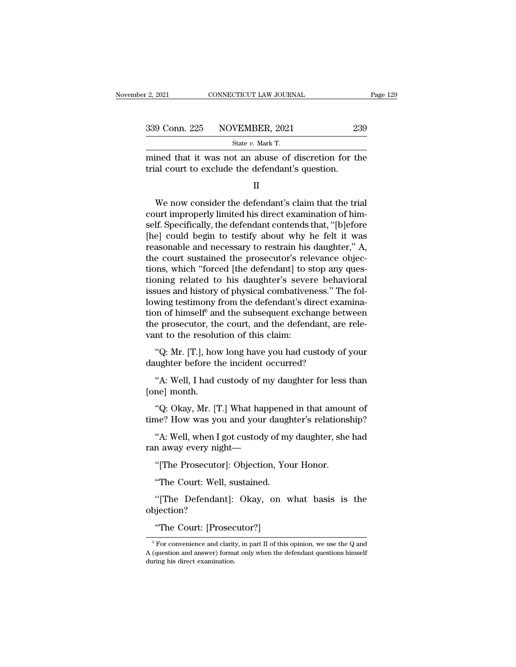| 2, 2021       | CONNECTICUT LAW JOURNAL                              | Page 129 |
|---------------|------------------------------------------------------|----------|
|               |                                                      |          |
| 339 Conn. 225 | NOVEMBER, 2021                                       | 239      |
|               | State $v$ . Mark T.                                  |          |
|               | mined that it was not an abuse of discretion for the |          |

 $\frac{12,2021}{2}$  CONNECTICUT LAW JOURNAL Page 129<br>339 Conn. 225 NOVEMBER, 2021 239<br>5tate v. Mark T.<br>mined that it was not an abuse of discretion for the<br>trial court to exclude the defendant's question. 339 Conn. 225 NOVEMBER, 2021 23<br>
State v. Mark T.<br>
mined that it was not an abuse of discretion for the defendant's question.<br>
II

II

State  $v$ . Mark T.<br>
State  $v$ . Mark T.<br>
ined that it was not an abuse of discretion for the<br>
al court to exclude the defendant's question.<br>
II<br>
We now consider the defendant's claim that the trial<br>
urt improperly limited state *v*. wark 1.<br>
mined that it was not an abuse of discretion for the<br>
trial court to exclude the defendant's question.<br>  $\Pi$ <br>
We now consider the defendant's claim that the trial<br>
court improperly limited his direct e mined that it was not an abuse of discretion for the<br>trial court to exclude the defendant's question.<br>II<br>We now consider the defendant's claim that the trial<br>court improperly limited his direct examination of him-<br>self. Sp I<br>II<br>We now consider the defendant's claim that the trial<br>court improperly limited his direct examination of him-<br>self. Specifically, the defendant contends that, "[b]efore<br>[he] could begin to testify about why he felt it II<br>We now consider the defendant's claim that the trial<br>court improperly limited his direct examination of him-<br>self. Specifically, the defendant contends that, "[b]efore<br>[he] could begin to testify about why he felt it wa We now consider the defendant's claim that the trial<br>court improperly limited his direct examination of him-<br>self. Specifically, the defendant contends that, "[b]efore<br>[he] could begin to testify about why he felt it was<br>r We now consider the defendant's claim that the trial<br>court improperly limited his direct examination of him-<br>self. Specifically, the defendant contends that, "[b]efore<br>[he] could begin to testify about why he felt it was<br>r court improperly limited his direct examination of himself. Specifically, the defendant contends that, "[b]efore [he] could begin to testify about why he felt it was reasonable and necessary to restrain his daughter," A, t self. Specifically, the defendant contends that, "[b]efore [he] could begin to testify about why he felt it was reasonable and necessary to restrain his daughter," A, the court sustained the prosecutor's relevance objectio [he] could begin to testify about why he felt it was<br>reasonable and necessary to restrain his daughter," A,<br>the court sustained the prosecutor's relevance objec-<br>tions, which "forced [the defendant] to stop any ques-<br>tion reasonable and necessary to restrain his daughter," A,<br>the court sustained the prosecutor's relevance objec-<br>tions, which "forced [the defendant] to stop any ques-<br>tioning related to his daughter's severe behavioral<br>issues the court sustained the prosecutor's relevance objections, which "forced [the defendant] to stop any questioning related to his daughter's severe behavioral issues and history of physical combativeness." The following test tions, which "forced [the defendant] to s<br>tioning related to his daughter's seven<br>issues and history of physical combativer<br>lowing testimony from the defendant's di<br>tion of himself<sup>6</sup> and the subsequent exchi<br>the prosecuto Thing Tenated to This dialytier 3 Severe Bermariorial<br>tiues and history of physical combativeness." The fol-<br>wing testimony from the defendant's direct examina-<br>on of himself<sup>6</sup> and the subsequent exchange between<br>e prosec dowing testimony from the defendant's direct exation of himself<sup>6</sup> and the subsequent exchange bethe prosecutor, the court, and the defendant, are vant to the resolution of this claim:<br>"Q: Mr. [T.], how long have you had on of himself<sup>o</sup> and the subsequent exchange between<br>
e prosecutor, the court, and the defendant, are rele-<br>
nt to the resolution of this claim:<br>
"Q: Mr. [T.], how long have you had custody of your<br>
ughter before the incid

the prosecutor, th<br>vant to the resolu<br>"Q: Mr. [T.], hov<br>daughter before tl<br>"A: Well, I had d<br>[one] month.<br>"Q: Okay, Mr. [7] "Q: Mr. [T.], how long have you had custody of your<br>ughter before the incident occurred?<br>"A: Well, I had custody of my daughter for less than<br>ne] month.<br>"Q: Okay, Mr. [T.] What happened in that amount of<br>ne? How was you an

"Q: Mr. [T.], how long have you had custody of your<br>daughter before the incident occurred?<br>"A: Well, I had custody of my daughter for less than<br>[one] month.<br>"Q: Okay, Mr. [T.] What happened in that amount of<br>time? How was "A: Well, I had custody of my daughter for less than<br>ne] month.<br>"Q: Okay, Mr. [T.] What happened in that amount of<br>ne? How was you and your daughter's relationship?<br>"A: Well, when I got custody of my daughter, she had<br>n aw "A: Well, I had custody of my daughter fo<br>[one] month.<br>"Q: Okay, Mr. [T.] What happened in that<br>time? How was you and your daughter's rel<br>"A: Well, when I got custody of my daught<br>ran away every night—<br>"[The Prosecutor]: O "Q: Okay, Mr. [T.] What happened in that amoune? How was you and your daughter's relations<br>"A: Well, when I got custody of my daughter, she<br>n away every night—<br>"[The Prosecutor]: Objection, Your Honor.<br>"The Court: Well, su

me? How was you and your daugh<br>"A: Well, when I got custody of my<br>n away every night—<br>"[The Prosecutor]: Objection, You<br>"The Court: Well, sustained.<br>"[The Defendant]: Okay, on w "A: Well, when I got custody of my daughter, she had<br>n away every night—<br>"[The Prosecutor]: Objection, Your Honor.<br>"The Court: Well, sustained.<br>"[The Defendant]: Okay, on what basis is the<br>yjection?

objection? "[The Prosecutor]: Objection, Yo"<br>The Court: Well, sustained.<br>"[The Defendant]: Okay, on<br>"The Court: [Prosecutor?]<br>For convenience and clarity, in part II of this

"The Court: [Prosecutor?]

<sup>&</sup>quot;[The Defendant]: Okay, on what basis is the objection?<br>
"The Court: [Prosecutor?]<br>
"For convenience and clarity, in part II of this opinion, we use the Q and A (question and answer) format only when the defendant questio dependence and clarity,  $\sigma$  and  $\sigma$  and  $\sigma$  and  $\sigma$  for convenience and clarity, in part II of this opinion, we use the Q and A (question and answer) format only when the defendant questions himself during his direct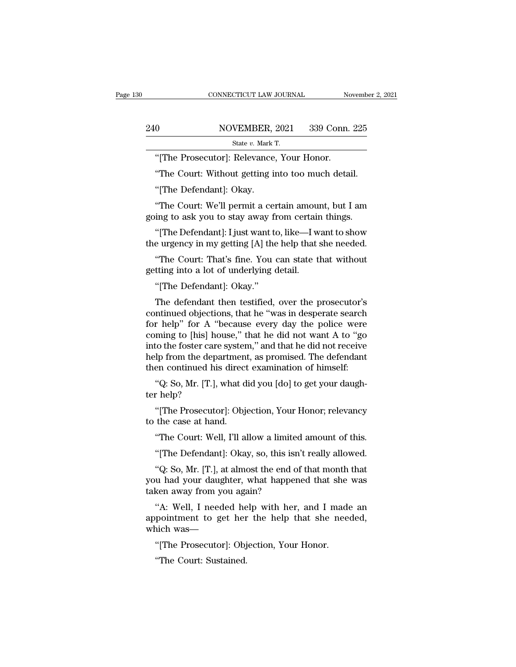|                         | CONNECTICUT LAW JOURNAL                             | November 2, 2021 |
|-------------------------|-----------------------------------------------------|------------------|
|                         |                                                     |                  |
|                         |                                                     |                  |
| 240                     | NOVEMBER, 2021                                      | 339 Conn. 225    |
|                         | State $v$ . Mark T.                                 |                  |
|                         | "The Prosecutor: Relevance, Your Honor.             |                  |
|                         | "The Court: Without getting into too much detail.   |                  |
| "[The Defendant]: Okay. |                                                     |                  |
|                         | "The Court: We'll permit a certain amount, but I am |                  |

 $\begin{tabular}{l} \bf State \it v. \; \tt Mark \, T. \\ \bf ``[The \; \tt Prosecutor]: \; \tt Relevant, \; Your \; \tt Honor. \\ \bf ``The \; \tt Court: \; Without \; getting \; into \; too \; much \; detail. \\ \bf ``The \; \tt Defendant]: \; \tt Okay. \\ \bf ``The \; \tt Court: \; We'll \; permit \; a \; certain \; amount, \; but \; I \; am \;ing \; to \; ask \; you \; to \; stay \; away \; from \; certain \; things. \end{tabular}$ "[The Prosecutor]: Relevance, Your Honor.<br>"The Court: Without getting into too much detail.<br>"[The Defendant]: Okay.<br>"The Court: We'll permit a certain amount, but I am<br>going to ask you to stay away from certain things.<br>"[T

"The Court: Without getting into too much detail.<br>"[The Defendant]: Okay.<br>"The Court: We'll permit a certain amount, but I am<br>ing to ask you to stay away from certain things.<br>"[The Defendant]: I just want to, like—I want t The Court: Without getting into too much detail.<br>
"[The Defendant]: Okay.<br>
"The Court: We'll permit a certain amount, but I am<br>
going to ask you to stay away from certain things.<br>
"[The Defendant]: I just want to, like—I w

"The Court: We'll permit a certain amount, but I am<br>ing to ask you to stay away from certain things.<br>"[The Defendant]: I just want to, like—I want to show<br>e urgency in my getting [A] the help that she needed.<br>"The Court: T "The Court: We'll permit a certain amous going to ask you to stay away from certain"<br>"[The Defendant]: I just want to, like—I w<br>the urgency in my getting [A] the help that :<br>"The Court: That's fine. You can state t<br>getting going to ask you to stay away from certain things.<br>
"[The Defendant]: I just want to, like—I want to show<br>
the urgency in my getting [A] the help that she needed.<br>
"The Court: That's fine. You can state that without<br>
getti

The Defendant then testified, over the prosecutor's<br>
"The Court: That's fine. You can state that without<br>
tting into a lot of underlying detail.<br>
"[The Defendant]: Okay."<br>
The defendant then testified, over the prosecutor the urgency in my getting [A] the neip that she needed.<br>
"The Court: That's fine. You can state that without<br>
getting into a lot of underlying detail.<br>
"[The Defendant]: Okay."<br>
The defendant then testified, over the prose "The Court: That's fine. You can state that without<br>getting into a lot of underlying detail.<br>"[The Defendant]: Okay."<br>The defendant then testified, over the prosecutor's<br>continued objections, that he "was in desperate sear getting into a lot of underlying detail.<br>
"[The Defendant]: Okay."<br>
The defendant then testified, over the prosecutor's<br>
continued objections, that he "was in desperate search<br>
for help" for A "because every day the police "[The Defendant]: Okay."<br>The defendant then testified, over the prosecutor's<br>continued objections, that he "was in desperate search<br>for help" for A "because every day the police were<br>coming to [his] house," that he did not The Detendant, Okay.<br>The defendant then testified, over the prosecutor's<br>continued objections, that he "was in desperate search<br>for help" for A "because every day the police were<br>coming to [his] house," that he did not wan The defendant then testified, over the prosecutor's<br>continued objections, that he "was in desperate search<br>for help" for A "because every day the police were<br>coming to [his] house," that he did not want A to "go<br>into the f In the model of the was in desperate search<br>
r help" for A "because every day the police were<br>
ming to [his] house," that he did not want A to "go<br>
to the foster care system," and that he did not receive<br>
lp from the depar for Help Tof A<br>coming to [his] ha<br>into the foster care<br>help from the dep<br>then continued his<br>"Q: So, Mr. [T.],<br>ter help?"<br>"[The Prosecuto to the foster care system," and that he did not receive<br>lp from the department, as promised. The defendant<br>en continued his direct examination of himself:<br>"Q: So, Mr. [T.], what did you [do] to get your daugh-<br>r help?<br>"[Th help from the department<br>then continued his direct<br>"Q: So, Mr. [T.], what d<br>ter help?<br>"[The Prosecutor]: Objet<br>to the case at hand.<br>"The Court: Well, I'll al

en continued his direct examination of himsen:<br>"Q: So, Mr. [T.], what did you [do] to get your daugh-<br>r help?<br>"[The Prosecutor]: Objection, Your Honor; relevancy<br>the case at hand.<br>"The Court: Well, I'll allow a limited amo ''"[The Prosecutor]: Objection, Your Honor; relevancy<br>
"[The Prosecutor]: Objection, Your Honor; relevancy<br>
the case at hand.<br>
"The Court: Well, I'll allow a limited amount of this.<br>
"[The Defendant]: Okay, so, this isn't

"[The Prosecutor]: Objection, Your Honor; relevancy<br>the case at hand.<br>"The Court: Well, I'll allow a limited amount of this.<br>"[The Defendant]: Okay, so, this isn't really allowed.<br>"Q: So, Mr. [T.], at almost the end of tha The Prosecutor]: Objection, Tour Honor; relevancy<br>to the case at hand.<br>"The Court: Well, I'll allow a limited amount of this.<br>"[The Defendant]: Okay, so, this isn't really allowed.<br>"Q: So, Mr. [T.], at almost the end of th to the case at nand.<br>
"The Court: Well, I'll allow a limited"<br>
"[The Defendant]: Okay, so, this isn<br>
"Q: So, Mr. [T.], at almost the end o<br>
you had your daughter, what happer<br>
taken away from you again?<br>"A: Well, I needed The Court: wen, I'll allow a limited amount of this.<br>
"[The Defendant]: Okay, so, this isn't really allowed.<br>
"Q: So, Mr. [T.], at almost the end of that month that<br>
u had your daughter, what happened that she was<br>
ken awa "[The Defendant]: Okay, so, this isn't really allowed.<br>"Q: So, Mr. [T.], at almost the end of that month that<br>you had your daughter, what happened that she was<br>taken away from you again?<br>"A: Well, I needed help with her, a "Q: So, Mr. [T.], at almost the er<br>you had your daughter, what hap<br>taken away from you again?<br>"A: Well, I needed help with<br>appointment to get her the he<br>which was—<br>"[The Prosecutor]: Objection, I

u had your daughter, what happened that she<br>ken away from you again?<br>"A: Well, I needed help with her, and I made<br>pointment to get her the help that she nee<br>nich was—<br>"[The Prosecutor]: Objection, Your Honor.<br>"The Court: S ken away from you aga<br>"A: Well, I needed he<br>pointment to get her<br>nich was—<br>"[The Prosecutor]: Obj<br>"The Court: Sustained.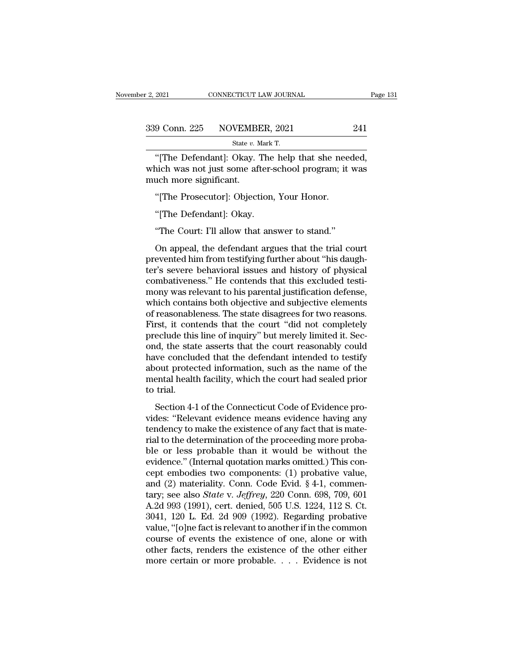| r 2, 2021     | CONNECTICUT LAW JOURNAL                        | Page 131 |
|---------------|------------------------------------------------|----------|
| 339 Conn. 225 | NOVEMBER, 2021                                 | 241      |
|               | State $v$ . Mark T.                            |          |
|               | "The Defendant): Okay The help that she needed |          |

The Defendant of the Defendant of the help that she needed,<br>
The Defendant of the Mark T.<br>
The Defendant of the sheep that she needed,<br>
The Defendant of the sheep that she needed,<br>
The News shot just some after-school prog 339 Conn. 225 NOVEMBER, 2021 241<br>
State v. Mark T.<br>
"[The Defendant]: Okay. The help that she needed,<br>
which was not just some after-school program; it was<br>
much more significant.  $\begin{tabular}{c} 339 \textbf{Conn. 225} \textbf{NOVEMBH} \\ \hline \textbf{State } v. \textbf{N} \\ \hline \textbf{``[The Defendant]: Okay. } ' \textbf{What is the end of the image.} \\ \hline \textbf{much more significant.} \\ \hline \textbf{``[The Prosecutor]: Object} \end{tabular}$  $\frac{9 \text{ Conn. } 225 \qquad \text{NOVEMBER, } 2021}$ <br>
State v. Mark T.<br>
"[The Defendant]: Okay. The help that she nee<br>
nich was not just some after-school program; it<br>
uch more significant.<br>"[The Prosecutor]: Objection, Your Honor.<br>"[The D State *b. Mark*<br>
"[The Defendant]: Okay. The<br>
nich was not just some after-s<br>
uch more significant.<br>
"[The Prosecutor]: Objection,<br>
"[The Defendant]: Okay.<br>
"The Court: I'll allow that ans The Court: I'll allow that answer to stand.''<br>
"The Prosecutor]: Objection, Your Honor.<br>
"The Defendant]: Okay.<br>
"The Court: I'll allow that answer to stand."<br>
On appeal, the defendant argues that the trial co

uch more significant.<br>"[The Prosecutor]: Objection, Your Honor.<br>"[The Defendant]: Okay.<br>"The Court: I'll allow that answer to stand."<br>On appeal, the defendant argues that the trial court<br>evented him from testifying further "[The Prosecutor]: Objection, Your Honor.<br>"[The Defendant]: Okay.<br>"The Court: I'll allow that answer to stand."<br>On appeal, the defendant argues that the trial court<br>prevented him from testifying further about "his daugh-<br>t "The Defendant]: Okay.<br>"The Court: I'll allow that answer to stand."<br>On appeal, the defendant argues that the trial court<br>prevented him from testifying further about "his daugh-<br>ter's severe behavioral issues and history o "The Defendant]: Okay.<br>"The Court: I'll allow that answer to stand."<br>On appeal, the defendant argues that the trial court<br>prevented him from testifying further about "his daugh-<br>ter's severe behavioral issues and history o "The Court: I'll allow that answer to stand."<br>On appeal, the defendant argues that the trial court<br>prevented him from testifying further about "his daugh-<br>ter's severe behavioral issues and history of physical<br>combativenes Ince Court. The district and answer to state.<br>
On appeal, the defendant argues that the trial court<br>
prevented him from testifying further about "his daugh-<br>
ter's severe behavioral issues and history of physical<br>
combativ On appeal, the defendant argues that the trial court<br>prevented him from testifying further about "his daugh-<br>ter's severe behavioral issues and history of physical<br>combativeness." He contends that this excluded testi-<br>mony prevented him from testifying further about "his daughter's severe behavioral issues and history of physical combativeness." He contends that this excluded testimony was relevant to his parental justification defense, whic ter's severe behavioral issues and history of physical combativeness." He contends that this excluded testimony was relevant to his parental justification defense, which contains both objective and subjective elements of r combativeness." He contends that this excluded testi-<br>mony was relevant to his parental justification defense,<br>which contains both objective and subjective elements<br>of reasonableness. The state disagrees for two reasons.<br>F mony was relevant to his parental justification defense,<br>which contains both objective and subjective elements<br>of reasonableness. The state disagrees for two reasons.<br>First, it contends that the court "did not completely<br>p which contains both objective and subjective elements<br>of reasonableness. The state disagrees for two reasons.<br>First, it contends that the court "did not completely<br>preclude this line of inquiry" but merely limited it. Secof reasonableness. The state disagrees for two reasons.<br>First, it contends that the court "did not completely<br>preclude this line of inquiry" but merely limited it. Sec-<br>ond, the state asserts that the court reasonably coul First, it compreclude this<br>ond, the stat<br>have conclue<br>about protec<br>mental healt<br>to trial.<br>Section 4-1 d, the state asserts that the court reasonably could<br>we concluded that the defendant intended to testify<br>out protected information, such as the name of the<br>ental health facility, which the court had sealed prior<br>trial.<br>Sec ond, the state asserts that the court reasonably count<br>have concluded that the defendant intended to testify<br>about protected information, such as the name of the<br>mental health facility, which the court had sealed prior<br>to

the concluded that the determinant interact to testify<br>about protected information, such as the name of the<br>mental health facility, which the court had sealed prior<br>to trial.<br>Section 4-1 of the Connecticut Code of Evidence rial to the determination, such as the handed prior<br>to trial.<br>Section 4-1 of the Connecticut Code of Evidence pro-<br>vides: "Relevant evidence means evidence having any<br>tendency to make the existence of any fact that is mate ble or less probable than it would be without the evidence provides: "Relevant evidence means evidence having any<br>tendency to make the existence of any fact that is mate-<br>rial to the determination of the proceeding more pr Section 4-1 of the Connecticut Code of Evidence provides: "Relevant evidence means evidence having any tendency to make the existence of any fact that is material to the determination of the proceeding more probable or le Section 4-1 of the Connecticut Code of Evidence provides: "Relevant evidence means evidence having any tendency to make the existence of any fact that is material to the determination of the proceeding more probable or le vides: "Relevant evidence means evidence having any<br>tendency to make the existence of any fact that is mate-<br>rial to the determination of the proceeding more proba-<br>ble or less probable than it would be without the<br>eviden tendency to make the existence of any fact that is mate-<br>rial to the determination of the proceeding more proba-<br>ble or less probable than it would be without the<br>evidence." (Internal quotation marks omitted.) This con-<br>ce rial to the determination of the proceeding more probable or less probable than it would be without the evidence." (Internal quotation marks omitted.) This concept embodies two components: (1) probative value, and (2) mate ble or less probable than it would be without the<br>evidence." (Internal quotation marks omitted.) This con-<br>cept embodies two components: (1) probative value,<br>and (2) materiality. Conn. Code Evid. § 4-1, commen-<br>tary; see a evidence." (Internal quotation marks omitted.) This concept embodies two components: (1) probative value,<br>and (2) materiality. Conn. Code Evid. § 4-1, commen-<br>tary; see also *State* v. *Jeffrey*, 220 Conn. 698, 709, 601<br>A. cept embodies two components: (1) probative value,<br>and (2) materiality. Conn. Code Evid. § 4-1, commen-<br>tary; see also *State* v. *Jeffrey*, 220 Conn. 698, 709, 601<br>A.2d 993 (1991), cert. denied, 505 U.S. 1224, 112 S. Ct.<br> and (2) materiality. Conn. Code Evid. § 4-1, commentary; see also *State v. Jeffrey*, 220 Conn. 698, 709, 601 A.2d 993 (1991), cert. denied, 505 U.S. 1224, 112 S. Ct. 3041, 120 L. Ed. 2d 909 (1992). Regarding probative va tary; see also *State* v. *Jeffrey*, 220 Conn. 698, 709, 601<br>A.2d 993 (1991), cert. denied, 505 U.S. 1224, 112 S. Ct.<br>3041, 120 L. Ed. 2d 909 (1992). Regarding probative<br>value, "[o]ne fact is relevant to another if in the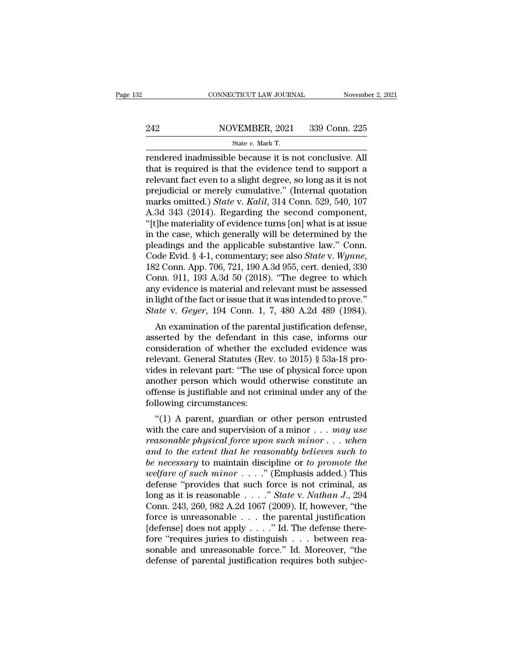# EXECUTE CONNECTICUT LAW JOURNAL Movember 2, 2021<br>242 NOVEMBER, 2021 339 Conn. 225<br>2142 State v. Mark T.

CONNECTICUT LAW JOURNAL Novemb<br>
242 NOVEMBER, 2021 339 Conn. 225<br>
State *v. Mark T.*<br>
Fendered inadmissible because it is not conclusive. All  $\begin{array}{lll}\n & \text{COMRECTICUT LAW JOURNAL} & \text{November 2, 20} \\
 & \text{NOVEMBER, 2021} & \text{339 Conn. 225} \\
 & & \\ \hline\n & \text{State } v. \text{ Mark T.} \\
 & \text{rendered inadmissible because it is not conclusive. All that is required is that the evidence tend to support a relevant fact, even to a slight degree, so long, as it is not.} \n\end{array}$ 242 NOVEMBER, 2021 339 Conn. 225<br>  $\frac{\text{State } v. \text{ Mark T.}}{\text{rendered inadmissible because it is not conclusive. All that is required is that the evidence tend to support a relevant fact even to a slight degree, so long as it is not$ 242 NOVEMBER, 2021 339 Conn. 225<br>
State v. Mark T.<br>
Fendered inadmissible because it is not conclusive. All<br>
that is required is that the evidence tend to support a<br>
relevant fact even to a slight degree, so long as it is 242 NOVEMBER, 2021 339 Conn. 225<br>
State v. Mark T.<br>
Fendered inadmissible because it is not conclusive. All<br>
that is required is that the evidence tend to support a<br>
relevant fact even to a slight degree, so long as it is State v. Mark T.<br>
Free Contact Times of State v. Mark T.<br> **That is required is that the evidence tend to support a**<br> **relevant fact even to a slight degree, so long as it is not**<br> **prejudicial or merely cumulative.**" (Inte State v. Mark T.<br>
Fendered inadmissible because it is not conclusive. All<br>
that is required is that the evidence tend to support a<br>
relevant fact even to a slight degree, so long as it is not<br>
prejudicial or merely cumula rendered inadmissible because it is not conclusive. All<br>that is required is that the evidence tend to support a<br>relevant fact even to a slight degree, so long as it is not<br>prejudicial or merely cumulative." (Internal quota that is required is that the evidence tend to support a<br>relevant fact even to a slight degree, so long as it is not<br>prejudicial or merely cumulative." (Internal quotation<br>marks omitted.) *State* v. *Kalil*, 314 Conn. 529, relevant fact even to a slight degree, so long as it is not<br>prejudicial or merely cumulative." (Internal quotation<br>marks omitted.) *State* v. *Kalil*, 314 Conn. 529, 540, 107<br>A.3d 343 (2014). Regarding the second componen prejudicial or merely cumulative." (Internal quotation<br>marks omitted.) *State* v. *Kalil*, 314 Conn. 529, 540, 107<br>A.3d 343 (2014). Regarding the second component,<br>"[t]he materiality of evidence turns [on] what is at issue A.3d 343 (2014). Regarding the second component,<br>"[t]he materiality of evidence turns [on] what is at issue<br>in the case, which generally will be determined by the<br>pleadings and the applicable substantive law." Conn.<br>Code "[t]he materiality of evidence turns [on] what is at issue<br>in the case, which generally will be determined by the<br>pleadings and the applicable substantive law." Conn.<br>Code Evid. § 4-1, commentary; see also *State* v. *Wyn* in the case, which generally will be determined by the pleadings and the applicable substantive law." Conn. Code Evid.  $§$  4-1, commentary; see also *State* v. *Wynne*, 182 Conn. App. 706, 721, 190 A.3d 955, cert. denied, pleadings and the applicable substantive law." Conn.<br>Code Evid. § 4-1, commentary; see also *State* v. *Wynne*,<br>182 Conn. App. 706, 721, 190 A.3d 955, cert. denied, 330<br>Conn. 911, 193 A.3d 50 (2018). "The degree to which<br>a de Evid. § 4-1, commentary, see also *State v. wynne*,<br>2 Conn. App. 706, 721, 190 A.3d 955, cert. denied, 330<br>pnn. 911, 193 A.3d 50 (2018). "The degree to which<br>y evidence is material and relevant must be assessed<br>light of Foz Collit. App. 700, 721, 130 A.3d 355, Cert. defiled, 350<br>Conn. 911, 193 A.3d 50 (2018). "The degree to which<br>any evidence is material and relevant must be assessed<br>in light of the fact or issue that it was intended to

conn. 911, 193 A.5d 50 (2018). The degree to which<br>any evidence is material and relevant must be assessed<br>in light of the fact or issue that it was intended to prove."<br>*State* v. *Geyer*, 194 Conn. 1, 7, 480 A.2d 489 (198 any evidence is materiar and relevant must be assessed<br>in light of the fact or issue that it was intended to prove."<br>State v. Geyer, 194 Conn. 1, 7, 480 A.2d 489 (1984).<br>An examination of the parental justification defens Figure of the fact of issue that it was intended to prove.<br>
State v. Geyer, 194 Conn. 1, 7, 480 A.2d 489 (1984).<br>
An examination of the parental justification defense,<br>
asserted by the defendant in this case, informs our<br> State v. Geyer, 194 Collit. 1, 7, 480 A.2d 469 (1964).<br>
An examination of the parental justification defense,<br>
asserted by the defendant in this case, informs our<br>
consideration of whether the excluded evidence was<br>
relev An examination of the parental justification defense,<br>asserted by the defendant in this case, informs our<br>consideration of whether the excluded evidence was<br>relevant. General Statutes (Rev. to 2015)  $\S$  53a-18 pro-<br>vides asserted by the defendant in<br>consideration of whether the<br>relevant. General Statutes (Re<br>vides in relevant part: "The us<br>another person which would<br>offense is justifiable and not c<br>following circumstances:<br>"(1) A parent, g The interaction of whether the excluded evidence was<br>
levant. General Statutes (Rev. to 2015) § 53a-18 pro-<br>
des in relevant part: "The use of physical force upon<br>
other person which would otherwise constitute an<br>
fense i relevant. General statutes (Kev. to 2015) § 53a-18 provides in relevant part: "The use of physical force upon<br>another person which would otherwise constitute an<br>offense is justifiable and not criminal under any of the<br>foll

*reasonable physical force upon*<br> *reading in televant* part. The use of physical force upon<br>
another person which would otherwise constitute an<br>
following circumstances:<br>
"(1) A parent, guardian or other person entrusted<br> another person which would otherwise constitute an<br>offense is justifiable and not criminal under any of the<br>following circumstances:<br>"(1) A parent, guardian or other person entrusted<br>with the care and supervision of a mino **be determined in the necessary** of the following circumstances:<br>
"(1) A parent, guardian or other person entrusted<br>
with the care and supervision of a minor . . . *may use*<br> *reasonable physical force upon such minor* . . *welfare of such minor* . . . .'' (Emphasis added.) This "(1) A parent, guardian or other person entrusted<br>with the care and supervision of a minor . . . *may use*<br>reasonable physical force upon such minor . . . when<br>and to the extent that he reasonably believes such to<br>be nece with the care and supervision of a minor . . . *may use*<br>reasonable physical force upon such minor . . . when<br>and to the extent that he reasonably believes such to<br>be necessary to maintain discipline or to promote the<br>wel reasonable physical force upon such minor . . . when<br>and to the extent that he reasonably believes such to<br>be necessary to maintain discipline or to promote the<br>welfare of such minor . . . ." (Emphasis added.) This<br>defens and to the extent that he reasonably believes such to<br>be necessary to maintain discipline or to promote the<br>welfare of such minor . . . . " (Emphasis added.) This<br>defense "provides that such force is not criminal, as<br>long be necessary to maintain discipline or to promote the welfare of such minor . . . ." (Emphasis added.) This defense "provides that such force is not criminal, as long as it is reasonable . . . ." State v. Nathan J., 294 C *welfare of such minor* . . . ." (Emphasis added.) This<br>defense "provides that such force is not criminal, as<br>long as it is reasonable . . . ." *State* v. *Nathan J.*, 294<br>Conn. 243, 260, 982 A.2d 1067 (2009). If, however defense "provides that such force is not criminal, as<br>long as it is reasonable . . . ." *State* v. *Nathan J.*, 294<br>Conn. 243, 260, 982 A.2d 1067 (2009). If, however, "the<br>force is unreasonable . . . the parental justific long as it is reasonable . . . ." State v. Nathan J., 294 Conn. 243, 260, 982 A.2d 1067 (2009). If, however, "the force is unreasonable . . . the parental justification [defense] does not apply . . . ." Id. The defense th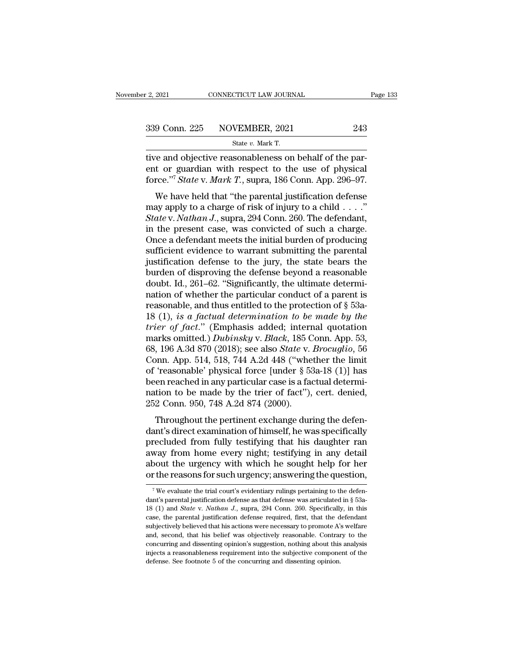F. 2, 2021 CONNECTICUT LAW JOURNAL<br>
State *v.* Mark T.<br>
State *v.* Mark T.<br>
Tive and objective reasonableness on behalf of the par-Ferry 2021 CONNECTICUT LAW JOURNAL<br>
State v. Mark T.<br>
State v. Mark T.<br>
The and objective reasonableness on behalf of the par-<br>
ent or guardian with respect to the use of physical<br>
force <sup>77</sup> State v. Mark T. supper 186 C ent or guardian with respect to the use of physical force."<sup>7</sup> *State v. Mark T.* supra, 186 Conn. App. 296–97. For S39 Conn. 225 NOVEMBER, 2021 243<br>
State v. Mark T.<br>
tive and objective reasonableness on behalf of the par-<br>
ent or guardian with respect to the use of physical<br>
force."<sup>7</sup> *State* v. *Mark T*., supra, 186 Conn. App. 2 9 Conn. 225 NOVEMBER, 2021 243<br>
State v. Mark T.<br>
The and objective reasonableness on behalf of the part or guardian with respect to the use of physical<br>
rce."<sup>7</sup> State v. Mark T., supra, 186 Conn. App. 296–97.<br>
We have h

State v. Mark T.<br>
tive and objective reasonableness on behalf of the par-<br>
ent or guardian with respect to the use of physical<br>
force."<sup>7</sup> *State v. Mark T.*, supra, 186 Conn. App. 296–97.<br>
We have held that "the parental *State with respect to the use of physical*<br>
force."<sup>7</sup> *State v. Mark T.*, supra, 186 Conn. App. 296–97.<br>
We have held that "the parental justification defense<br>
may apply to a charge of risk of injury to a child . . . ."<br> the and objective reasonable ites of physical<br>ent or guardian with respect to the use of physical<br>force."<sup>7</sup> *State v. Mark T.*, supra, 186 Conn. App. 296–97.<br>We have held that "the parental justification defense<br>may appl force."<sup>7</sup> *State v. Mark T.*, supra, 186 Conn. App. 296–97.<br>We have held that "the parental justification defense<br>may apply to a charge of risk of injury to a child . . . ."<br>*State v. Nathan J.*, supra, 294 Conn. 260. Th sufficient evidence to the jury, the state bears the parental submitting the parent may apply to a charge of risk of injury to a child  $\dots$ ."<br>State v. Nathan J., supra, 294 Conn. 260. The defendant, in the present case, w We have held that "the parental justification defense<br>may apply to a charge of risk of injury to a child . . . ."<br>State v. Nathan J., supra, 294 Conn. 260. The defendant,<br>in the present case, was convicted of such a charg may apply to a charge of risk of injury to a child  $\dots$ ."<br> *State* v. *Nathan J*., supra, 294 Conn. 260. The defendant,<br>
in the present case, was convicted of such a charge.<br>
Once a defendant meets the initial burden of p State v. Nathan J., supra, 294 Conn. 260. The defendant,<br>in the present case, was convicted of such a charge.<br>Once a defendant meets the initial burden of producing<br>sufficient evidence to warrant submitting the parental<br>j in the present case, was convicted of such a charge.<br>Once a defendant meets the initial burden of producing<br>sufficient evidence to warrant submitting the parental<br>justification defense to the jury, the state bears the<br>bur Once a defendant meets the initial burden of producing<br>sufficient evidence to warrant submitting the parental<br>justification defense to the jury, the state bears the<br>burden of disproving the defense beyond a reasonable<br>dou sufficient evidence to warrant submitting the parental<br>justification defense to the jury, the state bears the<br>burden of disproving the defense beyond a reasonable<br>doubt. Id., 261–62. "Significantly, the ultimate determi-<br>n justification defense to the jury, the state bears the<br>burden of disproving the defense beyond a reasonable<br>doubt. Id., 261–62. "Significantly, the ultimate determi-<br>nation of whether the particular conduct of a parent is burden of disproving the defense beyond a reasonable<br>doubt. Id., 261–62. "Significantly, the ultimate determi-<br>nation of whether the particular conduct of a parent is<br>reasonable, and thus entitled to the protection of § 53 doubt. Id., 261–62. "Significantly, the ultimate determination of whether the particular conduct of a parent is<br>reasonable, and thus entitled to the protection of § 53a-<br>18 (1), *is a factual determination to be made by th* nation of whether the particular conduct of a parent is<br>reasonable, and thus entitled to the protection of § 53a-<br>18 (1), *is a factual determination to be made by the*<br>*trier of fact.*" (Emphasis added; internal quotatio reasonable, and thus entitled to the protection of  $\S$  53a-18 (1), *is a factual determination to be made by the*<br>*trier of fact.*" (Emphasis added; internal quotation<br>marks omitted.) *Dubinsky* v. *Black*, 185 Conn. App. 18 (1), *is a factual determination to be made by the*<br>*trier of fact.*" (Emphasis added; internal quotation<br>marks omitted.) *Dubinsky* v. *Black*, 185 Conn. App. 53,<br>68, 196 A.3d 870 (2018); see also *State* v. *Brocugli trier of fact.*" (Emphasis added; internal quotation marks omitted.) *Dubinsky* v. *Black*, 185 Conn. App. 53, 68, 196 A.3d 870 (2018); see also *State* v. *Brocuglio*, 56 Conn. App. 514, 518, 744 A.2d 448 ("whether the marks omitted.) *Dubinsky* v. *Black*, 185 C<br>68, 196 A.3d 870 (2018); see also *State* v.<br>Conn. App. 514, 518, 744 A.2d 448 ("whe<br>of 'reasonable' physical force [under § 55<br>been reached in any particular case is a fa<br>natio Throughout the pertinent exchange during the defen-<br>throughout the pertinent ("reasonable" physical force [under  $\S$  53a-18 (1)] has<br>en reached in any particular case is a factual determi-<br>tion to be made by the trier of colul. App.  $\sigma_1$ ,  $\sigma_1$ ,  $\sigma_2$ ,  $\sigma_3$ ,  $\sigma_4$ ,  $\sigma_3$ ,  $\sigma_4$ ,  $\sigma_5$  (whether the finit of 'reasonable' physical force [under  $\S$  53a-18 (1)] has been reached in any particular case is a factual determination to be

been reached in any particular case is a factual determination to be made by the trier of fact"), cert. denied,  $252 \text{ Com. } 950, 748 \text{ A.}2d 874 (2000)$ .<br>Throughout the pertinent exchange during the defendant's direct exami been reached in any particular case is a factual determination to be made by the trier of fact"), cert. denied,<br>252 Conn. 950, 748 A.2d 874 (2000).<br>Throughout the pertinent exchange during the defen-<br>dant's direct examinat radion to be made by the ther of fact *f*, een. defined,<br>252 Conn. 950, 748 A.2d 874 (2000).<br>Throughout the pertinent exchange during the defen-<br>dant's direct examination of himself, he was specifically<br>precluded from full Throughout the pertinent exchange during the defendant's direct examination of himself, he was specifically precluded from fully testifying that his daughter ran away from home every night; testifying in any detail about precluded from fully testifying that his daughter ran away from home every night; testifying in any detail about the urgency with which he sought help for her or the reasons for such urgency; answering the question,<br> $\frac{1$ away from home every night; testifying in any detail<br>about the urgency with which he sought help for her<br>or the reasons for such urgency; answering the question,<br> $\frac{1}{10}$ <br> $\frac{1}{10}$  we evaluate the trial court's evident

about the urgency with which he sought help for her or the reasons for such urgency; answering the question,<br><sup>7</sup>We evaluate the trial court's evidentiary rulings pertaining to the defendant's parental justification defense or the reasons for such urgency; answering the question,<br>
<sup>7</sup> We evaluate the trial court's evidentiary rulings pertaining to the defendant's parental justification defense as that defense was articulated in § 53a-18 (1) The evaluate the trial court's evidentiary rulings pertaining to the defendant's parental justification defense as that defense was articulated in § 53a-18 (1) and *State v. Nathan J.*, supra, 294 Conn. 260. Specifically, <sup>7</sup> We evaluate the trial court's evidentiary rulings pertaining to the defendant's parental justification defense as that defense was articulated in § 53a-18 (1) and *State* v. *Nathan J.*, supra, 294 Conn. 260. Specific dant's parental justification defense as that defense was articulated in § 53a-18 (1) and *State* v. *Nathan J.*, supra, 294 Conn. 260. Specifically, in this case, the parental justification defense required, first, that and State v. Nathan J., supra, 294 Conn. 260. Specifically, in this case, the parental justification defense required, first, that the defendant subjectively believed that his actions were necessary to promote A's welfare case, the parental justification defense required, first, that the defendant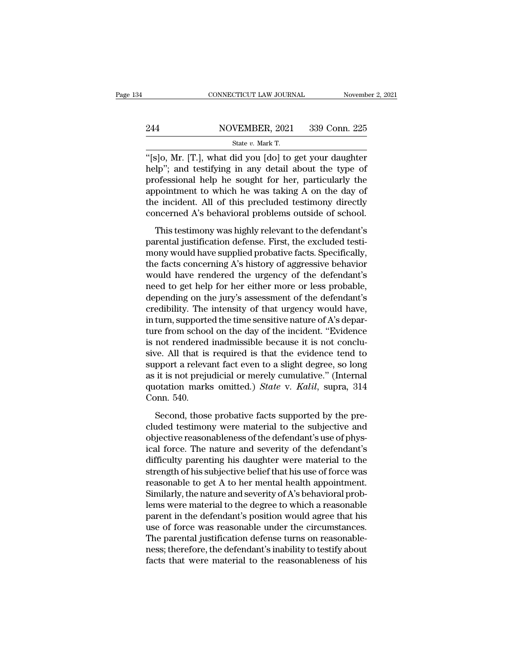## EXECUTE CONNECTICUT LAW JOURNAL Movember 2, 2021<br>244 NOVEMBER, 2021 339 Conn. 225<br>214 State v. Mark T. CONNECTICUT LAW JOURNAL Novemb<br>
244 NOVEMBER, 2021 339 Conn. 225<br>
<sup>State v. Mark T.</sup><br>
<sup>"[S]O, Mr. [T.], what did you [do] to get your daughter</sup>

CONNECTICUT LAW JOURNAL November 2, 2021<br>
244 NOVEMBER, 2021 339 Conn. 225<br>
<sup>339</sup> Conn. 225<br>
<sup>4</sup>[s]o, Mr. [T.], what did you [do] to get your daughter<br>
help''; and testifying in any detail about the type of 244 NOVEMBER, 2021 339 Conn. 225<br>
State v. Mark T.<br>
"[s]o, Mr. [T.], what did you [do] to get your daughter<br>
help"; and testifying in any detail about the type of<br>
professional help he sought for her, particularly the<br>
ap 244 NOVEMBER, 2021 339 Conn. 225<br>
State v. Mark T.<br>
"[S]0, Mr. [T.], what did you [do] to get your daughter<br>
help"; and testifying in any detail about the type of<br>
professional help he sought for her, particularly the<br>
ap 244 NOVEMBER, 2021 339 Conn. 225<br>  $\frac{\text{State } v. \text{ Mark T.}}{\text{[S]0, Mr. [T.], what did you [do] to get your daughter help"; and testing in any detail about the type of professional help he sought for her, particularly the appointment to which he was taking A on the day of the incident. All of this precluded testimony directly concerned A's behavioral problems outside of school.$ State v. Mark T.<br>
"[s]o, Mr. [T.], what did you [do] to get your daughter<br>
help"; and testifying in any detail about the type of<br>
professional help he sought for her, particularly the<br>
appointment to which he was taking A state v. mark 1.<br>
"[s]o, Mr. [T.], what did you [do] to get your daughter<br>
help"; and testifying in any detail about the type of<br>
professional help he sought for her, particularly the<br>
appointment to which he was taking A They star (14), which and you [do] to give your analysies<br>lp"; and testifying in any detail about the type of<br>ofessional help he sought for her, particularly the<br>pointment to which he was taking A on the day of<br>e incident. professional help he sought for her, particularly the<br>appointment to which he was taking A on the day of<br>the incident. All of this precluded testimony directly<br>concerned A's behavioral problems outside of school.<br>This test

mony would have rendered the urgonsy of the defendant's<br>the incident. All of this precluded testimony directly<br>concerned A's behavioral problems outside of school.<br>This testimony was highly relevant to the defendant's<br>pare the incident. All of this precluded testimony directly<br>concerned A's behavioral problems outside of school.<br>This testimony was highly relevant to the defendant's<br>parental justification defense. First, the excluded testi-<br>m encerned A's behavioral problems outside of school.<br>This testimony was highly relevant to the defendant's<br>parental justification defense. First, the excluded testi-<br>mony would have supplied probative facts. Specifically,<br>t This testimony was highly relevant to the defendant's<br>parental justification defense. First, the excluded testi-<br>mony would have supplied probative facts. Specifically,<br>the facts concerning A's history of aggressive behavi This testimony was highly relevant to the defendant's<br>parental justification defense. First, the excluded testi-<br>mony would have supplied probative facts. Specifically,<br>the facts concerning A's history of aggressive behavi parental justification defense. First, the excluded testi-<br>mony would have supplied probative facts. Specifically,<br>the facts concerning A's history of aggressive behavior<br>would have rendered the urgency of the defendant's<br> mony would have supplied probative facts. Specifically,<br>the facts concerning A's history of aggressive behavior<br>would have rendered the urgency of the defendant's<br>need to get help for her either more or less probable,<br>depe the facts concerning A's history of aggressive behavior<br>would have rendered the urgency of the defendant's<br>need to get help for her either more or less probable,<br>depending on the jury's assessment of the defendant's<br>credib would have rendered the urgency of the defendant's<br>need to get help for her either more or less probable,<br>depending on the jury's assessment of the defendant's<br>credibility. The intensity of that urgency would have,<br>in turn need to get help for her either more or less probable,<br>depending on the jury's assessment of the defendant's<br>credibility. The intensity of that urgency would have,<br>in turn, supported the time sensitive nature of A's depardepending on the jury's assessment of the defendant's<br>credibility. The intensity of that urgency would have,<br>in turn, supported the time sensitive nature of A's depar-<br>ture from school on the day of the incident. "Evidenc credibility. The intensity of that urgency would have,<br>in turn, supported the time sensitive nature of A's depar-<br>ture from school on the day of the incident. "Evidence<br>is not rendered inadmissible because it is not conclu in turn, supported the time sensitive nature of A's departure from school on the day of the incident. "Evidence is not rendered inadmissible because it is not conclusive. All that is required is that the evidence tend to s ture from schoc<br>is not rendered<br>sive. All that is<br>support a releva<br>as it is not preju<br>quotation mark<br>Conn. 540.<br>Second, those ve. All that is required is that the evidence tend to<br>pport a relevant fact even to a slight degree, so long<br>it is not prejudicial or merely cumulative." (Internal<br>otation marks omitted.) *State* v. *Kalil*, supra, 314<br>pnn support a relevant fact even to a slight degree, so long<br>as it is not prejudicial or merely cumulative." (Internal<br>quotation marks omitted.) *State* v. *Kalil*, supra, 314<br>Conn. 540.<br>Second, those probative facts supported

as it is not prejudicial or merely cumulative." (Internal<br>quotation marks omitted.) *State* v. *Kalil*, supra, 314<br>Conn. 540.<br>Second, those probative facts supported by the pre-<br>cluded testimony were material to the subjec quotation marks omitted.) *State* v. *Kalil*, supra, 314<br>Conn. 540.<br>Second, those probative facts supported by the pre-<br>cluded testimony were material to the subjective and<br>objective reasonableness of the defendant's use o Conn. 540.<br>
Second, those probative facts supported by the pre-<br>
cluded testimony were material to the subjective and<br>
objective reasonableness of the defendant's use of phys-<br>
ical force. The nature and severity of the d Second, those probative facts supported by the pre-<br>cluded testimony were material to the subjective and<br>objective reasonableness of the defendant's use of phys-<br>ical force. The nature and severity of the defendant's<br>diff Second, those probative facts supported by the pre-<br>cluded testimony were material to the subjective and<br>objective reasonableness of the defendant's use of phys-<br>ical force. The nature and severity of the defendant's<br>diffi cluded testimony were material to the subjective and<br>objective reasonableness of the defendant's use of phys-<br>ical force. The nature and severity of the defendant's<br>difficulty parenting his daughter were material to the<br>st objective reasonableness of the defendant's use of physical force. The nature and severity of the defendant's<br>difficulty parenting his daughter were material to the<br>strength of his subjective belief that his use of force w ical force. The nature and severity of the defendant's<br>difficulty parenting his daughter were material to the<br>strength of his subjective belief that his use of force was<br>reasonable to get A to her mental health appointment difficulty parenting his daughter were material to the<br>strength of his subjective belief that his use of force was<br>reasonable to get A to her mental health appointment.<br>Similarly, the nature and severity of A's behavioral strength of his subjective belief that his use of force was<br>reasonable to get A to her mental health appointment.<br>Similarly, the nature and severity of A's behavioral prob-<br>lems were material to the degree to which a reaso reasonable to get A to her mental health appointment.<br>Similarly, the nature and severity of A's behavioral prob-<br>lems were material to the degree to which a reasonable<br>parent in the defendant's position would agree that hi Similarly, the nature and severity of A's behavioral problems were material to the degree to which a reasonable parent in the defendant's position would agree that his use of force was reasonable under the circumstances. T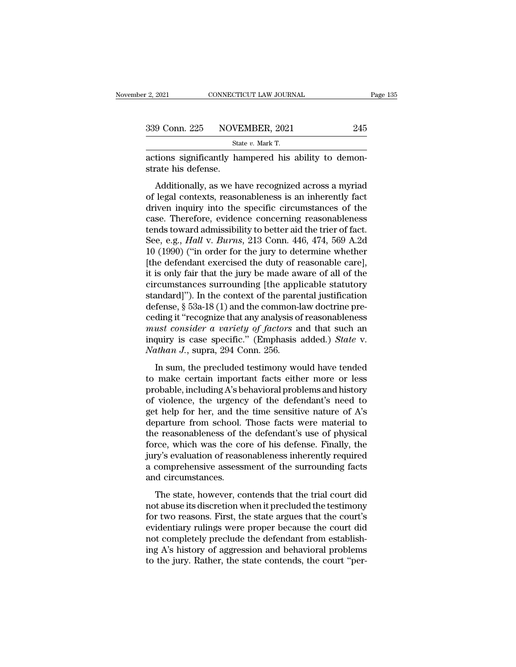| 2, 2021 | CONNECTICUT LAW JOURNAL                              | Page 135 |
|---------|------------------------------------------------------|----------|
|         | 339 Conn. 225 NOVEMBER, 2021                         | 245      |
|         | State v. Mark T.                                     |          |
|         | actions significantly hampered his ability to demon- |          |

actions significantly hampered his ability to demonstrate his defense. 339 Conn. 225 NOVE<br>
strate his defense.<br>
Additionally, as we hadditionally.

9 Conn. 225 NOVEMBER, 2021 245<br>
State v. Mark T.<br>
tions significantly hampered his ability to demon-<br>
ate his defense.<br>
Additionally, as we have recognized across a myriad<br>
legal contexts, reasonableness is an inherently 339 Conn. 225 NOVEMBER, 2021 245<br>
State v. Mark T.<br>
actions significantly hampered his ability to demonstrate his defense.<br>
Additionally, as we have recognized across a myriad<br>
of legal contexts, reasonableness is an inhe State v. Mark T.<br>
actions significantly hampered his ability to demonstrate his defense.<br>
Additionally, as we have recognized across a myriad<br>
of legal contexts, reasonableness is an inherently fact<br>
driven inquiry into t actions significantly hampered his ability to demonstrate his defense.<br>Additionally, as we have recognized across a myriad<br>of legal contexts, reasonableness is an inherently fact<br>driven inquiry into the specific circumstan strate his defense.<br>
Additionally, as we have recognized across a myriad<br>
of legal contexts, reasonableness is an inherently fact<br>
driven inquiry into the specific circumstances of the<br>
case. Therefore, evidence concerning Additionally, as we have recognized across a myriad<br>of legal contexts, reasonableness is an inherently fact<br>driven inquiry into the specific circumstances of the<br>case. Therefore, evidence concerning reasonableness<br>tends to Additionally, as we have recognized across a myriad<br>of legal contexts, reasonableness is an inherently fact<br>driven inquiry into the specific circumstances of the<br>case. Therefore, evidence concerning reasonableness<br>tends to of legal contexts, reasonableness is an inherently fact<br>driven inquiry into the specific circumstances of the<br>case. Therefore, evidence concerning reasonableness<br>tends toward admissibility to better aid the trier of fact.<br> driven inquiry into the specific circumstances of the<br>case. Therefore, evidence concerning reasonableness<br>tends toward admissibility to better aid the trier of fact.<br>See, e.g., *Hall* v. *Burns*, 213 Conn. 446, 474, 569 A. case. Therefore, evidence concerning reasonableness<br>tends toward admissibility to better aid the trier of fact.<br>See, e.g., *Hall* v. *Burns*, 213 Conn. 446, 474, 569 A.2d<br>10 (1990) ("in order for the jury to determine whe tends toward admissibility to better aid the trier of fact.<br>See, e.g., *Hall* v. *Burns*, 213 Conn. 446, 474, 569 A.2d<br>10 (1990) ("in order for the jury to determine whether<br>[the defendant exercised the duty of reasonable See, e.g., *Hall v. Burns*, 213 Conn. 446, 474, 569 A.2d<br>10 (1990) ("in order for the jury to determine whether<br>[the defendant exercised the duty of reasonable care],<br>it is only fair that the jury be made aware of all of 10 (1990) ("in order for the jury to determine whether<br>[the defendant exercised the duty of reasonable care],<br>it is only fair that the jury be made aware of all of the<br>circumstances surrounding [the applicable statutory<br>s [the defendant exercised the duty of reasonable care],<br>it is only fair that the jury be made aware of all of the<br>circumstances surrounding [the applicable statutory<br>standard]"). In the context of the parental justification it is only fair that the jury be made aware of all of the<br>circumstances surrounding [the applicable statutory<br>standard]"). In the context of the parental justification<br>defense, § 53a-18 (1) and the common-law doctrine precircumstances surrounding [the appl<br>standard]"). In the context of the pare<br>defense, § 53a-18 (1) and the common-l<br>ceding it "recognize that any analysis of<br>must consider a variety of factors a<br>inquiry is case specific." ( In sum, i.e. in the context of the parental jubility denotes fense, § 53a-18 (1) and the common-law doctrine preding it "recognize that any analysis of reasonableness *ust consider a variety of factors* and that such an q defection,  $\frac{1}{3}$  ocal 10 (1) and the common factor accounting preceding it "recognize that any analysis of reasonableness must consider a variety of factors and that such an inquiry is case specific." (Emphasis added.

probable, including A's behavioral problems and historical problems in<br>must consider a variety of factors and that such an<br>inquiry is case specific." (Emphasis added.) State v.<br>Nathan J., supra, 294 Conn. 256.<br>In sum, the inquiry is case specific." (Emphasis added.) *State* v.<br> *Nathan J.*, supra, 294 Conn. 256.<br>
In sum, the precluded testimony would have tended<br>
to make certain important facts either more or less<br>
probable, including A's Mathan J., supra, 294 Conn. 256.<br>In sum, the precluded testimony would have tended<br>to make certain important facts either more or less<br>probable, including A's behavioral problems and history<br>of violence, the urgency of th In sum, the precluded testimony would have tended<br>to make certain important facts either more or less<br>probable, including A's behavioral problems and history<br>of violence, the urgency of the defendant's need to<br>get help fo In sum, the precluded testimony would have tended<br>to make certain important facts either more or less<br>probable, including A's behavioral problems and history<br>of violence, the urgency of the defendant's need to<br>get help for to make certain important facts either more or less<br>probable, including A's behavioral problems and history<br>of violence, the urgency of the defendant's need to<br>get help for her, and the time sensitive nature of A's<br>departu probable, including A's behavioral problems and history<br>of violence, the urgency of the defendant's need to<br>get help for her, and the time sensitive nature of A's<br>departure from school. Those facts were material to<br>the rea of violence, the urgency of the defendant's need to<br>get help for her, and the time sensitive nature of A's<br>departure from school. Those facts were material to<br>the reasonableness of the defendant's use of physical<br>force, wh get help for her, and the<br>departure from school.<br>the reasonableness of th<br>force, which was the co<br>jury's evaluation of reaso<br>a comprehensive assessi<br>and circumstances.<br>The state, however, co parameter from school. Those facts were material to<br>e reasonableness of the defendant's use of physical<br>rce, which was the core of his defense. Finally, the<br>ry's evaluation of reasonableness inherently required<br>comprehensi From a the consolutions of the determinity state of physical<br>force, which was the core of his defense. Finally, the<br>jury's evaluation of reasonableness inherently required<br>a comprehensive assessment of the surrounding fact

force, which was are core of his accense. I hang, are<br>jury's evaluation of reasonableness inherently required<br>a comprehensive assessment of the surrounding facts<br>and circumstances.<br>The state, however, contends that the tri a comprehensive assessment of the surrounding facts<br>and circumstances.<br>The state, however, contends that the trial court did<br>not abuse its discretion when it precluded the testimony<br>for two reasons. First, the state argue and circumstances.<br>
The state, however, contends that the trial court did<br>
not abuse its discretion when it precluded the testimony<br>
for two reasons. First, the state argues that the court's<br>
evidentiary rulings were prope The state, however, contends that the trial court did<br>not abuse its discretion when it precluded the testimony<br>for two reasons. First, the state argues that the court's<br>evidentiary rulings were proper because the court did The state, however, contends that the trial court did<br>not abuse its discretion when it precluded the testimony<br>for two reasons. First, the state argues that the court's<br>evidentiary rulings were proper because the court did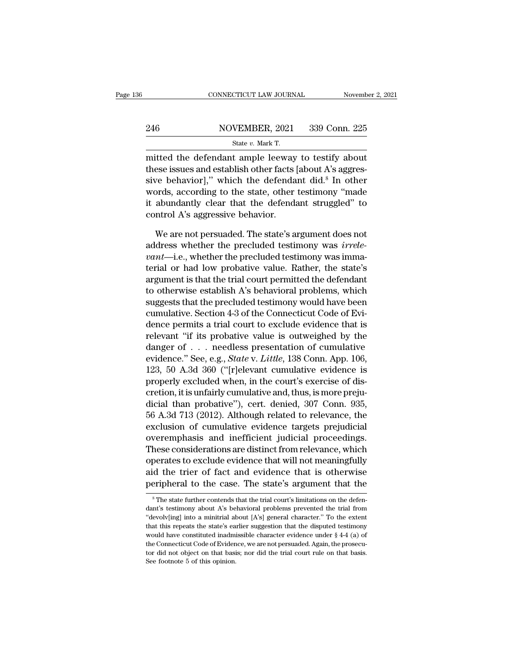## EXECUTE CONNECTICUT LAW JOURNAL Movember 2, 2021<br>246 NOVEMBER, 2021 339 Conn. 225<br>246 State v. Mark T. CONNECTICUT LAW JOURNAL Novemb<br>
246 NOVEMBER, 2021 339 Conn. 225<br>
State *v.* Mark T.<br>
mitted the defendant ample leeway to testify about

 $\frac{\text{COMRECTICUT LAW JOURNAL}}{\text{NOVEMBER, 2021}}$  339 Conn. 225<br>  $\frac{\text{State } v. \text{ Mark T.}}{\text{Mittel the defendant ample leeway to testify about}}$ <br>
these issues and establish other facts [about A's aggres-246 NOVEMBER, 2021 339 Conn. 225<br>
State v. Mark T.<br>
mitted the defendant ample leeway to testify about<br>
these issues and establish other facts [about A's aggres-<br>
sive behavior]," which the defendant did.<sup>8</sup> In other<br>
wor 246 NOVEMBER, 2021 339 Conn. 225<br>
State v. Mark T.<br>
mitted the defendant ample leeway to testify about<br>
these issues and establish other facts [about A's aggressive behavior]," which the defendant did.<sup>8</sup> In other<br>
words, 246 NOVEMBER, 2021 339 Conn. 225<br>
State v. Mark T.<br>
mitted the defendant ample leeway to testify about<br>
these issues and establish other facts [about A's aggressive behavior]," which the defendant did.<sup>8</sup> In other<br>
words, State v. Mark T.<br>
mitted the defendant ample leeway to testify about<br>
these issues and establish other facts [about A's aggressive behavior]," which the defendant did.<sup>8</sup> In other<br>
words, according to the state, other tes mitted the defendant ample leeway<br>these issues and establish other facts<br>sive behavior]," which the defenda<br>words, according to the state, other<br>it abundantly clear that the defenda<br>control A's aggressive behavior.<br>We are ese issues and establish other facts [about A's aggres-<br>ve behavior]," which the defendant did.<sup>8</sup> In other<br>ords, according to the state, other testimony "made<br>abundantly clear that the defendant struggled" to<br>ntrol A's ag sive behavior]," which the defendant did.<sup>8</sup> In other words, according to the state, other testimony "made it abundantly clear that the defendant struggled" to control A's aggressive behavior.<br>We are not persuaded. The sta

*words, according to the state, other testimony "made*<br>*it abundantly clear that the defendant struggled" to*<br>*control A's aggressive behavior.*<br>*We are not persuaded. The state's argument does not*<br>*address whether the pr* it abundantly clear that the defendant struggled" to<br>control A's aggressive behavior.<br>We are not persuaded. The state's argument does not<br>address whether the precluded testimony was *irrele-<br>vant*—i.e., whether the preclud control A's aggressive behavior.<br>We are not persuaded. The state's argument does not<br>address whether the precluded testimony was *irrele-<br>vant*—i.e., whether the precluded testimony was imma-<br>terial or had low probative va We are not persuaded. The state's argument does not<br>address whether the precluded testimony was *irrele-<br>vant*—i.e., whether the precluded testimony was imma-<br>terial or had low probative value. Rather, the state's<br>argumen We are not persuaded. The state's argument does not<br>address whether the precluded testimony was *irrele-<br>vant*—i.e., whether the precluded testimony was imma-<br>terial or had low probative value. Rather, the state's<br>argumen address whether the precluded testimony was *irrele-*<br> *vant*—i.e., whether the precluded testimony was imma-<br>
terial or had low probative value. Rather, the state's<br>
argument is that the trial court permitted the defendan vant—i.e., whether the precluded testimony was imma-<br>terial or had low probative value. Rather, the state's<br>argument is that the trial court permitted the defendant<br>to otherwise establish A's behavioral problems, which<br>sug terial or had low probative value. Rather, the state's<br>argument is that the trial court permitted the defendant<br>to otherwise establish A's behavioral problems, which<br>suggests that the precluded testimony would have been<br>c argument is that the trial court permitted the defendant<br>to otherwise establish A's behavioral problems, which<br>suggests that the precluded testimony would have been<br>cumulative. Section 4-3 of the Connecticut Code of Evi-<br>d to otherwise establish A's behavioral problems, which<br>suggests that the precluded testimony would have been<br>cumulative. Section 4-3 of the Connecticut Code of Evi-<br>dence permits a trial court to exclude evidence that is<br>re suggests that the precluded testimony would have been<br>cumulative. Section 4-3 of the Connecticut Code of Evi-<br>dence permits a trial court to exclude evidence that is<br>relevant "if its probative value is outweighed by the<br>da cumulative. Section 4-3 of the Connecticut Code of Evidence permits a trial court to exclude evidence that is<br>relevant "if its probative value is outweighed by the<br>danger of . . . needless presentation of cumulative<br>evide dence permits a trial court to exclude evidence that is<br>relevant "if its probative value is outweighed by the<br>danger of . . . needless presentation of cumulative<br>evidence." See, e.g., *State* v. *Little*, 138 Conn. App. 1 relevant "if its probative value is outweighed by the<br>danger of . . . needless presentation of cumulative<br>evidence." See, e.g., *State* v. *Little*, 138 Conn. App. 106,<br>123, 50 A.3d 360 ("[r]elevant cumulative evidence is danger of  $\ldots$  needless presentation of cumulative<br>evidence." See, e.g., *State* v. *Little*, 138 Conn. App. 106,<br>123, 50 A.3d 360 ("[r]elevant cumulative evidence is<br>properly excluded when, in the court's exercise of di evidence." See, e.g., *State* v. *Little*, 138 Conn. App. 106,<br>123, 50 A.3d 360 ("[r]elevant cumulative evidence is<br>properly excluded when, in the court's exercise of dis-<br>cretion, it is unfairly cumulative and, thus, is m 123, 50 A.3d 360 ("[r]elevant cumulative evidence is<br>properly excluded when, in the court's exercise of dis-<br>cretion, it is unfairly cumulative and, thus, is more preju-<br>dicial than probative"), cert. denied, 307 Conn. 935 properly excluded when, in the court's exercise of discretion, it is unfairly cumulative and, thus, is more prejudicial than probative"), cert. denied, 307 Conn. 935, 56 A.3d 713 (2012). Although related to relevance, the cretion, it is unfairly cumulative and, thus, is more prejudicial than probative"), cert. denied, 307 Conn. 935, 56 A.3d 713 (2012). Although related to relevance, the exclusion of cumulative evidence targets prejudicial o dicial than probative"), cert. denied, 307 Conn. 935,<br>56 A.3d 713 (2012). Although related to relevance, the<br>exclusion of cumulative evidence targets prejudicial<br>overemphasis and inefficient judicial proceedings.<br>These con b6 A.3d 713 (2012). Although related to relevance, the exclusion of cumulative evidence targets prejudicial overemphasis and inefficient judicial proceedings.<br>These considerations are distinct from relevance, which operate between that will not meaningfully<br>oerates to exclude evidence that will not meaningfully<br>d the trier of fact and evidence that is otherwise<br>eripheral to the case. The state's argument that the<br> $^8$ The state further conten operates to exclude evidence that will not meaningfully<br>aid the trier of fact and evidence that is otherwise<br>peripheral to the case. The state's argument that the<br> $^8$ The state further contends that the trial court's limi

aid the trier of fact and evidence that is otherwise<br>peripheral to the case. The state's argument that the<br> $*$ The state further contends that the trial court's limitations on the defen-<br>dant's testimony about A's behavior **The state's argument that the**<br>
<sup>8</sup> The state further contends that the trial court's limitations on the defendant's testimony about A's behavioral problems prevented the trial from "devolv[ing] into a minitrial about [A peripheral to the case. The state's argument that the<br>
<sup>8</sup>The state further contends that the trial court's limitations on the defendant's testimony about A's behavioral problems prevented the trial from<br>
"devolv[ing] int <sup>8</sup> The state further contends that the trial court's limitations on the defendant's testimony about A's behavioral problems prevented the trial from "devolv[ing] into a minitrial about [A's] general character." To the ex dant's testimony about A's behavioral problems prevented the trial from "devolv[ing] into a minitrial about [A's] general character." To the extent that this repeats the state's earlier suggestion that the disputed testim "devolv[ing] into a minitrial about [A's] general character." To the extent that this repeats the state's earlier suggestion that the disputed testimony would have constituted inadmissible character evidence under  $\S$  4-4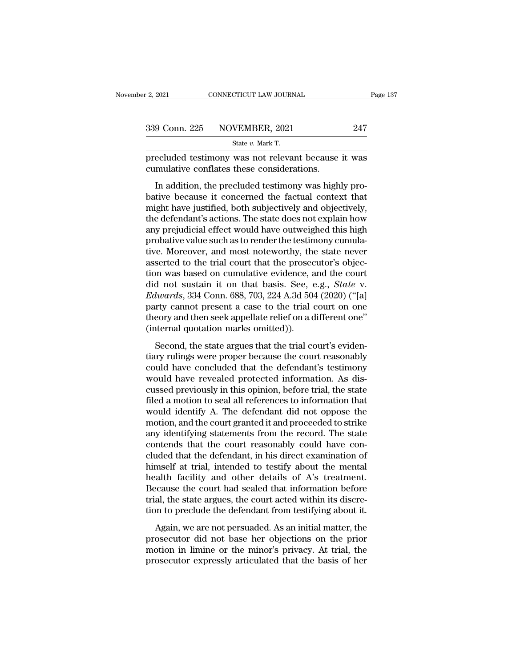| CONNECTICUT LAW JOURNAL | Page 137                     |
|-------------------------|------------------------------|
|                         | 247                          |
| State $v$ . Mark T.     |                              |
|                         | 339 Conn. 225 NOVEMBER, 2021 |

Page 137<br>
2. 2021 CONNECTICUT LAW JOURNAL Page 137<br>
247<br>
217 State v. Mark T.<br>
217 State v. Mark T.<br>
217 State v. Mark T.<br>
217 State v. Mark T.<br>
217 Conflates these considerations.  $\frac{339 \text{ Conn. } 225 \qquad \text{NOVEMBER, } 2021}$ <br>State v. Mark T.<br>precluded testimony was not relevant because<br>cumulative conflates these considerations.<br>In addition, the precluded testimony was high

9 Conn. 225 NOVEMBER, 2021 247<br>
State v. Mark T.<br>
ecluded testimony was not relevant because it was<br>
mulative conflates these considerations.<br>
In addition, the precluded testimony was highly pro-<br>
tive because it concerne  $\begin{array}{r} \text{339 Conn. 225} \text{  NOVERIBER, 2021} \text{   247} \end{array}$ <br>  $\begin{array}{r} \text{State } v. \text{ Mark T.} \end{array}$ <br>
precluded testimony was not relevant because it was<br>
cumulative conflates these considerations.<br>
In addition, the precluded testimony wa State v. Mark T.<br>
State v. Mark T.<br>
The precluded testimony was it was<br>
in addition, the precluded testimony was highly pro-<br>
bative because it concerned the factual context that<br>
might have justified, both subjectively a precluded testimony was not relevant because it was<br>cumulative conflates these considerations.<br>In addition, the precluded testimony was highly pro-<br>bative because it concerned the factual context that<br>might have justified, precided destinony was not refevant because it was<br>cumulative conflates these considerations.<br>In addition, the precluded testimony was highly pro-<br>bative because it concerned the factual context that<br>might have justified, In addition, the precluded testimony was highly probative because it concerned the factual context that might have justified, both subjectively and objectively, the defendant's actions. The state does not explain how any p In addition, the precluded testimony was highly probative because it concerned the factual context that<br>might have justified, both subjectively and objectively,<br>the defendant's actions. The state does not explain how<br>any p bative because it concerned the factual context that<br>might have justified, both subjectively and objectively,<br>the defendant's actions. The state does not explain how<br>any prejudicial effect would have outweighed this high<br>p might have justified, both subjectively and objectively,<br>the defendant's actions. The state does not explain how<br>any prejudicial effect would have outweighed this high<br>probative value such as to render the testimony cumula the defendant's actions. The state does not explain how<br>any prejudicial effect would have outweighed this high<br>probative value such as to render the testimony cumula-<br>tive. Moreover, and most noteworthy, the state never<br>as any prejudicial effect would have outweighed this high<br>probative value such as to render the testimony cumula-<br>tive. Moreover, and most noteworthy, the state never<br>asserted to the trial court that the prosecutor's objec-<br>t probative value such as to render the testimony cumulative. Moreover, and most noteworthy, the state never asserted to the trial court that the prosecutor's objection was based on cumulative evidence, and the court did not tive. Moreover, and most noteworthy, the state never<br>asserted to the trial court that the prosecutor's objec-<br>tion was based on cumulative evidence, and the court<br>did not sustain it on that basis. See, e.g., *State* v.<br>*Ed* asserted to the trial court that the prosection was based on cumulative evidence, a<br>did not sustain it on that basis. See,  $\epsilon$ <br>*Edwards*, 334 Conn. 688, 703, 224 A.3d 504<br>party cannot present a case to the trial of<br>theor d not sustain it on that basis. See, e.g., *State v.*<br>d not sustain it on that basis. See, e.g., *State v.*<br>lwards, 334 Conn. 688, 703, 224 A.3d 504 (2020) ("[a]<br>rty cannot present a case to the trial court on one<br>eory and Edwards, 334 Conn. 688, 703, 224 A.3d 504 (2020) ("[a]<br>party cannot present a case to the trial court on one<br>theory and then seek appellate relief on a different one"<br>(internal quotation marks omitted)).<br>Second, the state

Eaction (1992) (1993) (1993) (1994)<br>party cannot present a case to the trial court on one<br>theory and then seek appellate relief on a different one"<br>(internal quotation marks omitted)).<br>Second, the state argues that the tr party claimst present a case to the that court on one<br>theory and then seek appellate relief on a different one"<br>(internal quotation marks omitted)).<br>Second, the state argues that the trial court's eviden-<br>tiary rulings wer (internal quotation marks omitted)).<br>
Second, the state argues that the trial court's evidentiary rulings were proper because the court reasonably<br>
could have concluded that the defendant's testimony<br>
would have revealed p Second, the state argues that the trial court's evidentiary rulings were proper because the court reasonably could have concluded that the defendant's testimony would have revealed protected information. As discussed previ Second, the state argues that the trial court's evidentiary rulings were proper because the court reasonably<br>could have concluded that the defendant's testimony<br>would have revealed protected information. As dis-<br>cussed pre tiary rulings were proper because the court reasonably<br>could have concluded that the defendant's testimony<br>would have revealed protected information. As dis-<br>cussed previously in this opinion, before trial, the state<br>filed could have concluded that the defendant's testimony<br>would have revealed protected information. As dis-<br>cussed previously in this opinion, before trial, the state<br>filed a motion to seal all references to information that<br>wo would have revealed protected information. As discussed previously in this opinion, before trial, the state filed a motion to seal all references to information that would identify A. The defendant did not oppose the motio cussed previously in this opinion, before trial, the state<br>filed a motion to seal all references to information that<br>would identify A. The defendant did not oppose the<br>motion, and the court granted it and proceeded to stri filed a motion to seal all references to information that<br>would identify A. The defendant did not oppose the<br>motion, and the court granted it and proceeded to strike<br>any identifying statements from the record. The state<br>co would identify A. The defendant did not oppose the<br>motion, and the court granted it and proceeded to strike<br>any identifying statements from the record. The state<br>contends that the court reasonably could have con-<br>cluded th motion, and the court granted it and proceeded to strike<br>any identifying statements from the record. The state<br>contends that the court reasonably could have con-<br>cluded that the defendant, in his direct examination of<br>hims any identifying statements from the record. The state contends that the court reasonably could have concluded that the defendant, in his direct examination of himself at trial, intended to testify about the mental health f contends that the court reasonably could have concluded that the defendant, in his direct examination of himself at trial, intended to testify about the mental health facility and other details of A's treatment. Because th Most and the determining, in this direct chammatori of<br>mself at trial, intended to testify about the mental<br>alth facility and other details of A's treatment.<br>cause the court had sealed that information before<br>al, the state missen as dial, intended to testary associate increasing<br>health facility and other details of A's treatment.<br>Because the court had sealed that information before<br>trial, the state argues, the court acted within its discre-<br>

motion is the court at the minority and better details of TFS dictational.<br>Because the court had sealed that information before<br>trial, the state argues, the court acted within its discre-<br>tion to preclude the defendant fro provided that the state argues, the court acted within its discretion to preclude the defendant from testifying about it.<br>Again, we are not persuaded. As an initial matter, the prosecutor did not base her objections on the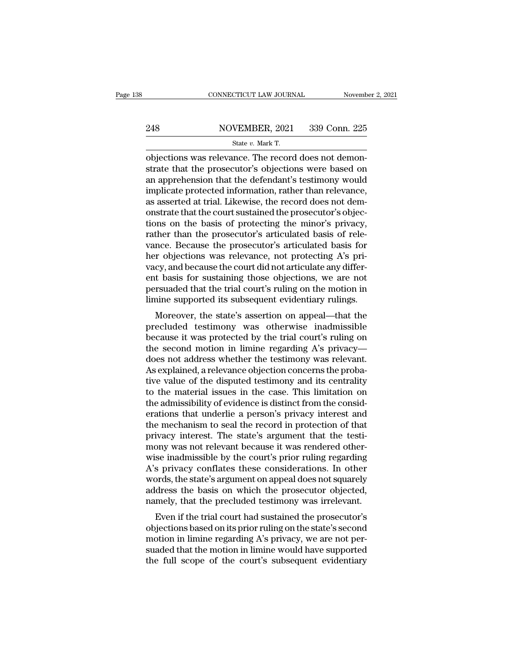## EXECUTE CONNECTICUT LAW JOURNAL Movember 2, 2021<br>248 NOVEMBER, 2021 339 Conn. 225<br>248 State v. Mark T. CONNECTICUT LAW JOURNAL Novemb<br>
248 NOVEMBER, 2021 339 Conn. 225<br>
State *v.* Mark T.<br>
Objections was relevance. The record does not demon-

CONNECTICUT LAW JOURNAL November<br>248 NOVEMBER, 2021 339 Conn. 225<br>359 State v. Mark T.<br>225<br>248 State v. Mark T.<br>25<br>25 State v. Mark T.<br>26<br>26 Objections was relevance. The record does not demon-<br>35 State that the prosecutor  $\begin{tabular}{ll} \bf 248 & NOVEMBER, 2021 & 339 Conn. 225 \\ & \text{State $v$. Mark T.} \end{tabular} \end{tabular} \vspace{5pt} \begin{tabular}{ll} \bf 248 & NOWEMBER, 2021 & 339 Conn. 225 \\ \hline \end{tabular} \vspace{5pt} \begin{tabular}{ll} \hline \text{state $v$. Mark T.} \end{tabular} \end{tabular} \vspace{5pt} \begin{tabular}{ll} \hline \text{noise} & \text{state $v$. Mark T.} \end{tabular} \end{tabular} \vspace{5pt} \begin{tabular}{ll}$ 248 NOVEMBER, 2021 339 Conn. 225<br>
State v. Mark T.<br>
objections was relevance. The record does not demonstrate that the prosecutor's objections were based on<br>
an apprehension that the defendant's testimony would<br>
implicate 248 NOVEMBER, 2021 339 Conn. 225<br>
State v. Mark T.<br>
objections was relevance. The record does not demonstrate that the prosecutor's objections were based on<br>
an apprehension that the defendant's testimony would<br>
implicate State v. Mark T.<br>
State v. Mark T.<br>
objections was relevance. The record does not demonstrate that the prosecutor's objections were based on<br>
an apprehension that the defendant's testimony would<br>
implicate protected infor State v. Mark T.<br>
State v. Mark T.<br>
objections was relevance. The record does not demonstrate that the prosecutor's objections were based on<br>
an apprehension that the defendant's testimony would<br>
implicate protected infor objections was relevance. The record does not demonstrate that the prosecutor's objections were based on<br>an apprehension that the defendant's testimony would<br>implicate protected information, rather than relevance,<br>as asser strate that the prosecutor's objections were based on<br>an apprehension that the defendant's testimony would<br>implicate protected information, rather than relevance,<br>as asserted at trial. Likewise, the record does not dem-<br>on an apprehension that the defendant's testimony would<br>implicate protected information, rather than relevance,<br>as asserted at trial. Likewise, the record does not dem-<br>onstrate that the court sustained the prosecutor's objec implicate protected information, rather than relevance, as asserted at trial. Likewise, the record does not demonstrate that the court sustained the prosecutor's objections on the basis of protecting the minor's privacy, r as asserted at trial. Likewise, the record does not demonstrate that the court sustained the prosecutor's objections on the basis of protecting the minor's privacy, rather than the prosecutor's articulated basis of relevan onstrate that the court sustained the prosecutor's objections on the basis of protecting the minor's privacy,<br>rather than the prosecutor's articulated basis of rele-<br>vance. Because the prosecutor's articulated basis for<br>he tions on the basis of protecting the minor's privacy,<br>rather than the prosecutor's articulated basis of rele-<br>vance. Because the prosecutor's articulated basis for<br>her objections was relevance, not protecting A's pri-<br>vacy rather than the prosecutor's articulated basis of relevance. Because the prosecutor's articulated basis for her objections was relevance, not protecting A's privacy, and because the court did not articulate any different b refluence. Because the prosectuor's articulated basis for<br>
r objections was relevance, not protecting A's pri-<br>
cy, and because the court did not articulate any differ-<br>
t basis for sustaining those objections, we are not<br> ner objections was relevance, not protecting A s pri-<br>vacy, and because the court did not articulate any differ-<br>ent basis for sustaining those objections, we are not<br>persuaded that the trial court's ruling on the motion i

vacy, and because the court durible articulate any different basis for sustaining those objections, we are not<br>persuaded that the trial court's ruling on the motion in<br>limine supported its subsequent evidentiary rulings.<br>M ent basis for sustaining those objections, we are not<br>persuaded that the trial court's ruling on the motion in<br>limine supported its subsequent evidentiary rulings.<br>Moreover, the state's assertion on appeal—that the<br>preclud persuaded that the that court's runng on the motion in<br>limine supported its subsequent evidentiary rulings.<br>Moreover, the state's assertion on appeal—that the<br>precluded testimony was otherwise inadmissible<br>because it was p Moreover, the state's assertion on appeal—that the<br>precluded testimony was otherwise inadmissible<br>because it was protected by the trial court's ruling on<br>the second motion in limine regarding A's privacy—<br>does not address Moreover, the state's assertion on appeal—that the<br>precluded testimony was otherwise inadmissible<br>because it was protected by the trial court's ruling on<br>the second motion in limine regarding A's privacy—<br>does not address precluded testimony was otherwise inadmissible<br>because it was protected by the trial court's ruling on<br>the second motion in limine regarding A's privacy—<br>does not address whether the testimony was relevant.<br>As explained, a because it was protected by the trial court's ruling on<br>the second motion in limine regarding A's privacy—<br>does not address whether the testimony was relevant.<br>As explained, a relevance objection concerns the proba-<br>tive v the second motion in limine regarding A's privacy—<br>does not address whether the testimony was relevant.<br>As explained, a relevance objection concerns the proba-<br>tive value of the disputed testimony and its centrality<br>to the does not address whether the testimony was relevant.<br>As explained, a relevance objection concerns the probative value of the disputed testimony and its centrality<br>to the material issues in the case. This limitation on<br>the As explained, a relevance objection concerns the probative value of the disputed testimony and its centrality to the material issues in the case. This limitation on the admissibility of evidence is distinct from the consid tive value of the disputed testimony and its centrality<br>to the material issues in the case. This limitation on<br>the admissibility of evidence is distinct from the consid-<br>erations that underlie a person's privacy interest a to the material issues in the case. This limitation on<br>the admissibility of evidence is distinct from the consid-<br>erations that underlie a person's privacy interest and<br>the mechanism to seal the record in protection of tha the admissibility of evidence is distinct from the considerations that underlie a person's privacy interest and<br>the mechanism to seal the record in protection of that<br>privacy interest. The state's argument that the testi-<br> erations that underlie a person's privacy interest and<br>the mechanism to seal the record in protection of that<br>privacy interest. The state's argument that the testi-<br>mony was not relevant because it was rendered other-<br>wise the mechanism to seal the record in protection of that<br>privacy interest. The state's argument that the testi-<br>mony was not relevant because it was rendered other-<br>wise inadmissible by the court's prior ruling regarding<br>A's privacy interest. The state's argument that the testi-<br>mony was not relevant because it was rendered other-<br>wise inadmissible by the court's prior ruling regarding<br>A's privacy conflates these considerations. In other<br>words Buy was not rerevant because it was rendered other-<br>se inadmissible by the court's prior ruling regarding<br>s privacy conflates these considerations. In other<br>ords, the state's argument on appeal does not squarely<br>dress the wise madities boy the court's prior ruling regarding<br>A's privacy conflates these considerations. In other<br>words, the state's argument on appeal does not squarely<br>address the basis on which the prosecutor objected,<br>namely,

A's privacy confliates these considerations. In other<br>words, the state's argument on appeal does not squarely<br>address the basis on which the prosecutor objected,<br>namely, that the precluded testimony was irrelevant.<br>Even if words, the state's argument on appear does not squarery<br>address the basis on which the prosecutor objected,<br>namely, that the precluded testimony was irrelevant.<br>Even if the trial court had sustained the prosecutor's<br>object address the basis of which the prosection objected,<br>namely, that the precluded testimony was irrelevant.<br>Even if the trial court had sustained the prosecutor's<br>objections based on its prior ruling on the state's second<br>mot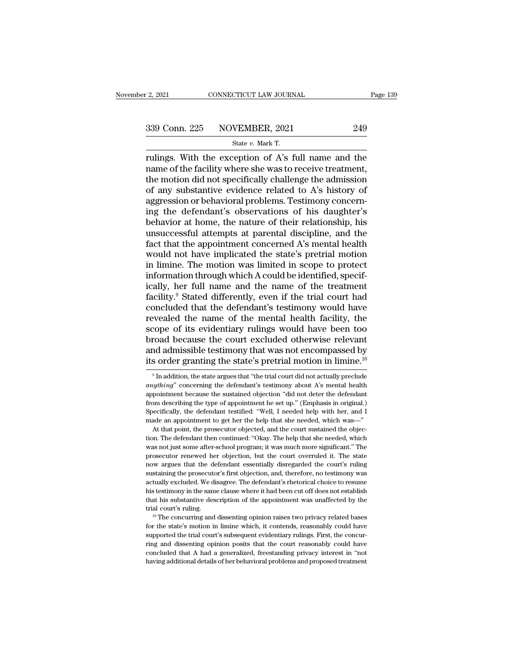r 2, 2021 CONNECTICUT LAW JOURNAL<br>
State *v.* Mark T.<br>
State *v.* Mark T.<br>
Tulings. With the exception of A's full name and the register and the exception of A's full name and the<br>
rulings. With the exception of A's full name and the<br>
rulings. With the exception of A's full name and the<br>
rame of the facility where she was to receive treatment,<br>
th 339 Conn. 225 NOVEMBER, 2021 249<br>
State v. Mark T.<br>
Tulings. With the exception of A's full name and the<br>
name of the facility where she was to receive treatment,<br>
the motion did not specifically challenge the admission<br> 339 Conn. 225 NOVEMBER, 2021 249<br>
State v. Mark T.<br>
Tulings. With the exception of A's full name and the<br>
name of the facility where she was to receive treatment,<br>
the motion did not specifically challenge the admission<br> 339 Conn. 225 NOVEMBER, 2021 249<br>
State v. Mark T.<br>
Tulings. With the exception of A's full name and the<br>
name of the facility where she was to receive treatment,<br>
the motion did not specifically challenge the admission<br> State v. Mark T.<br>
The exception of A's full name and the<br>
name of the facility where she was to receive treatment,<br>
the motion did not specifically challenge the admission<br>
of any substantive evidence related to A's histo state  $v$ . Mark T.<br>
rulings. With the exception of A's full name and the<br>
name of the facility where she was to receive treatment,<br>
the motion did not specifically challenge the admission<br>
of any substantive evidence rela rulings. With the exception of A's full name and the<br>name of the facility where she was to receive treatment,<br>the motion did not specifically challenge the admission<br>of any substantive evidence related to A's history of<br>ag name of the facility where she was to receive treatment,<br>the motion did not specifically challenge the admission<br>of any substantive evidence related to A's history of<br>aggression or behavioral problems. Testimony concern-<br>i the motion did not specifically challenge the admission<br>of any substantive evidence related to A's history of<br>aggression or behavioral problems. Testimony concern-<br>ing the defendant's observations of his daughter's<br>behavio of any substantive evidence related to A's history of<br>aggression or behavioral problems. Testimony concern-<br>ing the defendant's observations of his daughter's<br>behavior at home, the nature of their relationship, his<br>unsucce aggression or behavioral problems. Testimony concerning the defendant's observations of his daughter's behavior at home, the nature of their relationship, his unsuccessful attempts at parental discipline, and the fact that ing the defendant's observations of his daughter's<br>behavior at home, the nature of their relationship, his<br>unsuccessful attempts at parental discipline, and the<br>fact that the appointment concerned A's mental health<br>would behavior at home, the nature of their relationship, his<br>unsuccessful attempts at parental discipline, and the<br>fact that the appointment concerned A's mental health<br>would not have implicated the state's pretrial motion<br>in l unsuccessful attempts at parental discipline, and the<br>fact that the appointment concerned A's mental health<br>would not have implicated the state's pretrial motion<br>in limine. The motion was limited in scope to protect<br>inform fact that the appointment concerned A's mental health<br>would not have implicated the state's pretrial motion<br>in limine. The motion was limited in scope to protect<br>information through which A could be identified, specif-<br>ica would not have implicated the state's pretrial motion<br>in limine. The motion was limited in scope to protect<br>information through which A could be identified, specif-<br>ically, her full name and the name of the treatment<br>facil in limine. The motion was limited in scope to protect<br>information through which A could be identified, specif-<br>ically, her full name and the name of the treatment<br>facility.<sup>9</sup> Stated differently, even if the trial court ha information through which A could be identified, specifically, her full name and the name of the treatment facility.<sup>9</sup> Stated differently, even if the trial court had concluded that the defendant's testimony would have re ically, her full name and the name of the treatment<br>facility.<sup>9</sup> Stated differently, even if the trial court had<br>concluded that the defendant's testimony would have<br>revealed the name of the mental health facility, the<br>scop facility.<sup>9</sup> Stated differently, even if the trial court had concluded that the defendant's testimony would have revealed the name of the mental health facility, the scope of its evidentiary rulings would have been too br cope of its evidentiary rulings would have been too road because the court excluded otherwise relevant and admissible testimony that was not encompassed by sorder granting the state's pretrial motion in limine.<sup>10</sup>  $\frac{9}{$ broad because the court excluded otherwise relevant<br>and admissible testimony that was not encompassed by<br>its order granting the state's pretrial motion in limine.<sup>10</sup><br><sup>9</sup> In addition, the state argues that "the trial court

and admissible testimony that was not encompassed by<br>its order granting the state's pretrial motion in limine.<sup>10</sup><br> $\degree$ <sup>1</sup>n addition, the state argues that "the trial court did not actually preclude<br>*anything*" concerning The state of appointment was not checking<br>absolved by the state of approximation of a limit of a match in the<br> $\frac{10}{3}$  and addition, the state argues that "the trial court did not actually preclude<br>anything" concerning Its order granting the state s pretrial motion in infinite.<br>  $\bullet$  In addition, the state argues that "the trial court did not actually preclude<br> *anything*" concerning the defendant's testimony about A's mental health<br>
ap <sup>9</sup> In addition, the state argues that "the trial court did not actually preclude *anything*" concerning the defendant's testimony about A's mental health appointment because the sustained objection "did not deter the def *At that pointment* because the defendant's testimony about A's mental health pointment because the sustained objection "did not deter the defendant mescribing the type of appointment he set up." (Emphasis in original.) b anyoniment because the sustained objection "did not deter the defendant from describing the type of appointment he set up." (Emphasis in original.) Specifically, the defendant testified: "Well, I needed help with her, and

From describing the type of appointment he set up." (Emphasis in original.)<br>Specifically, the defendant testified: "Well, I needed help with her, and I<br>made an appointment to get her the help that she needed, which was—"<br>A Specifically, the defendant testified: "Well, I needed help with her, and I made an appointment to get her the help that she needed, which was—" At that point, the prosecutor objected, and the court sustained the objectio pool and a mapointment to get her the help that she needed, which was—"<br>At that point, the prosecutor objected, and the court sustained the objec-<br>tion. The defendant then continued: "Okay. The help that she needed, which<br> made an appointment to get her the help that she needed, which was—"<br>At that point, the prosecutor objected, and the court sustained the objec-<br>tion. The defendant then continued: "Okay. The help that she needed, which<br>was tion. The defendant then continued: "Okay. The help that she needed, which was not just some after-school program; it was much more significant." The prosecutor renewed her objection, but the court overruled it. The state was not just some after-school program; it was much more significant." The prosecutor renewed her objection, but the court overruled it. The state now argues that the defendant essentially disregarded the court's ruling su prosecutor renewed her objection, but the court overruled it. The state now argues that the defendant essentially disregarded the court's ruling sustaining the prosecutor's first objection, and, therefore, no testimony was now argues that the defendant essentially disregarded the court's ruling<br>sustaining the prosecutor's first objection, and, therefore, no testimony was<br>actually excluded. We disagree. The defendant's rhetorical choice to re actually excluded. We disagree. The defendant's rhetorical choice to resume his testimony in the same clause where it had been cut off does not establish that his substantive description of the appointment was unaffected b

his testimony in the same clause where it had been cut off does not establish that his substantive description of the appointment was unaffected by the trial court's ruling.  $10$  The concurring and dissenting opinion rais That his substantive description of the appointment was unaffected by the trial court's ruling.<br>
<sup>10</sup> The concurring and dissenting opinion raises two privacy related bases<br>
for the state's motion in limine which, it cont The concurring and dissenting opinion raises two privacy related bases<br>to the state's motion in limine which, it contends, reasonably could have<br>supported the trial court's subsequent evidentiary rulings. First, the concur <sup>10</sup> The concurring and dissenting opinion raises two privacy related bases for the state's motion in limine which, it contends, reasonably could have supported the trial court's subsequent evidentiary rulings. First, the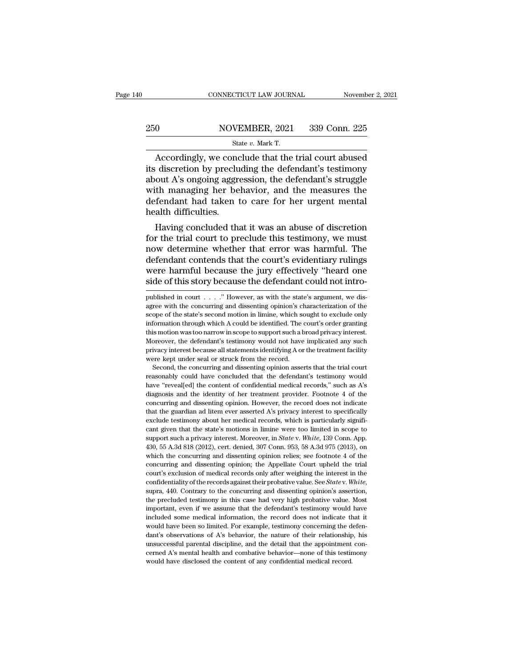## EXECUTE CONNECTICUT LAW JOURNAL Movember 2, 2021<br>250 NOVEMBER, 2021 339 Conn. 225<br>250 State v. Mark T. CONNECTICUT LAW JOURNAL Novemb<br>
State *v.* Mark T.<br>
Accordingly, we conclude that the trial court abused

CONNECTICUT LAW JOURNAL November 2, 2021<br>
O NOVEMBER, 2021 339 Conn. 225<br>
State v. Mark T.<br>
Accordingly, we conclude that the trial court abused<br>
discretion by precluding the defendant's testimony<br>
Out A's ongoing aggressi 250 NOVEMBER, 2021 339 Conn. 225<br>
State v. Mark T.<br>
Accordingly, we conclude that the trial court abused<br>
its discretion by precluding the defendant's testimony<br>
about A's ongoing aggression, the defendant's struggle<br>
with 250 NOVEMBER, 2021 339 Conn. 225<br>
State v. Mark T.<br>
Accordingly, we conclude that the trial court abused<br>
its discretion by precluding the defendant's testimony<br>
about A's ongoing aggression, the defendant's struggle<br>
wit 250 NOVEMBER, 2021 339 Conn. 225<br>
State v. Mark T.<br>
Accordingly, we conclude that the trial court abused<br>
its discretion by precluding the defendant's testimony<br>
about A's ongoing aggression, the defendant's struggle<br>
wit  $\begin{array}{c}\n\hline\n\text{State } v. \text{ Mark T.} \\
\hline\n\text{Accordingly, we conclude that the trial court abused} \\
\text{its discretion by precluding the defendant's testimony} \\
\text{about A's ongoing aggregation, the defendant's struggle} \\
\text{with managing her behavior, and the measures the defendant had taken to care for her urgent mental} \\
\text{health difficulties.}\n\end{array}$ <sup>5ta</sup><br>Accordingly, we condits discretion by preclu<br>about A's ongoing aggre<br>with managing her be<br>defendant had taken t<br>health difficulties.<br>Having concluded th: Accordingly, we conclude that the trial court abused<br>
discretion by precluding the defendant's testimony<br>
out A's ongoing aggression, the defendant's struggle<br>
th managing her behavior, and the measures the<br>
fendant had ta for the discretion by precluding the defendant's testimony<br>about A's ongoing aggression, the defendant's struggle<br>with managing her behavior, and the measures the<br>defendant had taken to care for her urgent mental<br>health di

about A s ongoing aggression, the detendant s struggle<br>with managing her behavior, and the measures the<br>defendant had taken to care for her urgent mental<br>health difficulties.<br>Having concluded that it was an abuse of discre with managing her benavior, and the measures the<br>defendant had taken to care for her urgent mental<br>health difficulties.<br>Having concluded that it was an abuse of discretion<br>for the trial court to preclude this testimony, we defendant nad taken to care for her urgent mental<br>health difficulties.<br>Having concluded that it was an abuse of discretion<br>for the trial court to preclude this testimony, we must<br>now determine whether that error was harmfu Having concluded that it was an abuse of discretion<br>for the trial court to preclude this testimony, we must<br>now determine whether that error was harmful. The<br>defendant contends that the court's evidentiary rulings<br>were har now determine whether that error was harmful. The<br>defendant contends that the court's evidentiary rulings<br>were harmful because the jury effectively "heard one<br>side of this story because the defendant could not intro-<br>publi defendant contends that the court's evidentiary rulings<br>were harmful because the jury effectively "heard one<br>side of this story because the defendant could not intro-<br>published in court . . . . . " However, as with the sta

Moreover, the defendant's testimony would not have implicated any such privacy interest because all statements identifying A or the treatment facility were kept under seal or struck from the record.<br>Second, the concurring privacy interest because all statements identifying A or the treatment facility were kept under seal or struck from the record.<br>Second, the concurring and dissenting opinion asserts that the trial court reasonably could ha Free kept under seal or struck from the record.<br>Second, the concurring and dissenting opinion asserts that the trial court<br>reasonably could have concluded that the defendant's testimony would<br>have "reveal[ed] the content o Second, the concurring and dissenting opinion asserts that the trial court reasonably could have concluded that the defendant's testimony would have "reveal[ed] the content of confidential medical records," such as A's di reasonably could have concluded that the defendant's testimony would have "reveal[ed] the content of confidential medical records," such as A's diagnosis and the identity of her treatment provider. Footnote 4 of the concu have "reveal[ed] the content of confidential medical records," such as A's diagnosis and the identity of her treatment provider. Footnote 4 of the concurring and dissenting opinion. However, the record does not indicate th concurring and dissenting opinion. However, the record does not indicate that the guardian ad litem ever asserted A's privacy interest to specifically exclude testimony about her medical records, which is particularly sign econcurring and dissenting opinion. However, the record does not indicate that the guardian ad litem ever asserted A's privacy interest to specifically exclude testimony about her medical records, which is particularly sig what the guardian ad litem ever asserted A's privacy interest to specifically exclude testimony about her medical records, which is particularly significant given that the state's motions in limine were too limited in sco exclude testimony about her medical records, which is particularly significant given that the state's motions in limine were too limited in scope to support such a privacy interest. Moreover, in *State v. White*, 139 Conn. cant given that the state's motions in limine were too limited in scope to support such a privacy interest. Moreover, in *State* v. *White*, 139 Conn. App. 430, 55 A.3d 818 (2012), cert. denied, 307 Conn. 953, 58 A.3d 975 example of such a privacy interest. Moreover, in *State* v. *White*, 139 Conn. App. 430, 55 A.3d 818 (2012), cert. denied, 307 Conn. 953, 58 A.3d 975 (2013), on which the concurring and dissenting opinion relies; see footn which the concurring and dissenting opinion relies; see footnote 4 of the concurring and dissenting opinion; the Appellate Court upheld the trial court's exclusion of medical records only after weighing the interest in th concurring and dissenting opinion; the Appellate Court upheld the trial court's exclusion of medical records only after weighing the interest in the confidentiality of the records against their probative value. See *State* court's exclusion of medical records only after weighing the interest in the confidentiality of the records against their probative value. See *State* v. White, supra, 440. Contrary to the concurring and dissenting opinio confidentiality of the records against their probative value. See *Statev*. White, supra, 440. Contrary to the concurring and dissenting opinion's assertion, the precluded testimony in this case had very high probative va supra, 440. Contrary to the concurring and dissenting opinion's assertion, the precluded testimony in this case had very high probative value. Most important, even if we assume that the defendant's testimony would have inc the precluded testimony in this case had very high probative value. Most important, even if we assume that the defendant's testimony would have included some medical information, the record does not indicate that it would important, even if we assume that the defendant's testimony would have included some medical information, the record does not indicate that it would have been so limited. For example, testimony concerning the defendant's o would have been so limited. For example, testimony concerning the defen-

were harmful because the jury effectively "heard one side of this story because the defendant could not intro-<br>published in court . . . . " However, as with the state's argument, we disagree with the concurring and dissent information through which a could be identified. The court's order through which a court . . . . . " However, as with the state's argument, we disagree with the concurring and dissenting opinion's characterization of the s Side Of this story because the deferidant could not intro-<br>published in court . . . . " However, as with the state's argument, we dis-<br>agree with the concurring and dissenting opinion's characterization of the<br>scope of the published in court . . . ." However, as with the state's argument, we disagree with the concurring and dissenting opinion's characterization of the scope of the state's second motion in limine, which sought to exclude only pare with the concurring and dissenting opinion's characterization of the scope of the state's second motion in limine, which sought to exclude only information through which A could be identified. The court's order granti scope of the state's second motion in limine, which so<br>scope of the state's second motion in limine, which so<br>information through which A could be identified. The c<br>this motion was too narrow in scope to support such a b<br>M For the concurring which a could be identified. The court's order granting is motion was too narrow in scope to support such a broad privacy interest.<br>Decover, the defendant's testimony would not have implicated any such<br>i reasonably could have the concluded that the defendant's testimon was too narrow in scope to support such a broad privacy interest.<br>Moreover, the defendant's testimony would not have implicated any such privacy interest be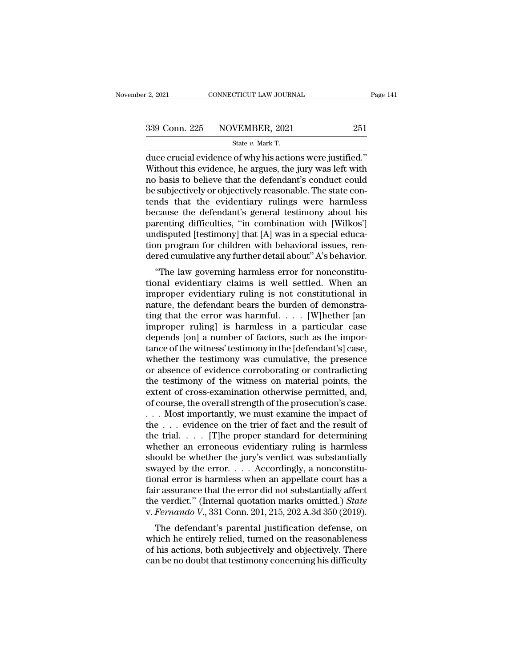$\begin{array}{|l|l|} \hline \text{2, 2021}} & \text{CONRECTICUT LAW JOURNAL} & \text{Page} \ \hline \text{339 Conn. 225} & \text{NOVEMBER, 2021} & \text{251} \ \hline \text{State } v. \text{ Mark T.} \ \hline \text{duce crucial evidence of why his actions were justified.'} \ \hline \text{Without this evidence, he argues, the jury was left with no basis to believe that the deformation model.} \hline \end{array}$ 339 Conn. 225 NOVEMBER, 2021 251<br>
State v. Mark T.<br>
duce crucial evidence of why his actions were justified."<br>
Without this evidence, he argues, the jury was left with<br>
no basis to believe that the defendant's conduct cou 339 Conn. 225 NOVEMBER, 2021 251<br>
State v. Mark T.<br>
duce crucial evidence of why his actions were justified."<br>
Without this evidence, he argues, the jury was left with<br>
no basis to believe that the defendant's conduct cou 339 Conn. 225 NOVEMBER, 2021 251<br>
State v. Mark T.<br>
duce crucial evidence of why his actions were justified."<br>
Without this evidence, he argues, the jury was left with<br>
no basis to believe that the defendant's conduct cou Solution 2012 110 (211.1211), 2011<br>State v. Mark T.<br>duce crucial evidence of why his actions were justified."<br>Without this evidence, he argues, the jury was left with<br>no basis to believe that the defendant's conduct could state v. Mark T.<br>
duce crucial evidence of why his actions were justified."<br>
Without this evidence, he argues, the jury was left with<br>
no basis to believe that the defendant's conduct could<br>
be subjectively or objectively duce crucial evidence of why his actions were justified."<br>Without this evidence, he argues, the jury was left with<br>no basis to believe that the defendant's conduct could<br>be subjectively or objectively reasonable. The state Without this evidence, he argues, the jury was left with<br>no basis to believe that the defendant's conduct could<br>be subjectively or objectively reasonable. The state con-<br>tends that the evidentiary rulings were harmless<br>bec no basis to believe that the defendant's conduct could<br>be subjectively or objectively reasonable. The state con-<br>tends that the evidentiary rulings were harmless<br>because the defendant's general testimony about his<br>parentin be subjectively or objectively reasonable. The state contends that the evidentiary rulings were harmless because the defendant's general testimony about his parenting difficulties, "in combination with [Wilkos'] undisputed The law governing is more than the exploration of the defendant's general testimony about his renting difficulties, "in combination with [Wilkos'] disputed [testimony] that [A] was in a special educa-<br>on program for childr because the defendant s general testmony about his<br>parenting difficulties, "in combination with [Wilkos']<br>undisputed [testimony] that [A] was in a special educa-<br>tion program for children with behavioral issues, ren-<br>dered

parenting uniculities, and combination with [Wikos]<br>undisputed [testimony] that [A] was in a special educa-<br>tion program for children with behavioral issues, ren-<br>dered cumulative any further detail about" A's behavior.<br>"T matured (resultionly) that  $[A]$  was in a spectal education program for children with behavioral issues, rendered cumulative any further detail about" A's behavior.<br>
"The law governing harmless error for nonconstitutional tion program for children with behavioral issues, rendered cumulative any further detail about" A's behavior.<br>
"The law governing harmless error for nonconstitu-<br>
tional evidentiary claims is well settled. When an<br>
imprope dered culturalive any further detail about A s behavior.<br>
"The law governing harmless error for nonconstitu-<br>
tional evidentiary claims is well settled. When an<br>
improper evidentiary ruling is not constitutional in<br>
nature "The law governing harmless error for nonconstitutional evidentiary claims is well settled. When an improper evidentiary ruling is not constitutional in nature, the defendant bears the burden of demonstrating that the err tional evidentiary claims is well settled. When an improper evidentiary ruling is not constitutional in nature, the defendant bears the burden of demonstrating that the error was harmful.  $\ldots$  [W]hether [an improper ruli improper evidentiary ruling is not constitutional in<br>nature, the defendant bears the burden of demonstra-<br>ting that the error was harmful.  $\dots$  [W]hether [an<br>improper ruling] is harmless in a particular case<br>depends [on] nature, the defendant bears the burden of demonstra-<br>ting that the error was harmful. . . . [W]hether [an<br>improper ruling] is harmless in a particular case<br>depends [on] a number of factors, such as the impor-<br>tance of the ting that the error was harmful.  $\ldots$  [W]hether [an improper ruling] is harmless in a particular case depends [on] a number of factors, such as the importance of the witness' testimony in the [defendant's] case, whether improper ruling] is harmless in a particular case<br>depends [on] a number of factors, such as the impor-<br>tance of the witness' testimony in the [defendant's] case,<br>whether the testimony was cumulative, the presence<br>or absenc depends [on] a number of factors, such as the importance of the witness' testimony in the [defendant's] case, whether the testimony was cumulative, the presence or absence of evidence corroborating or contradicting the tes tance of the witness' testimony in the [defendant's] case,<br>whether the testimony was cumulative, the presence<br>or absence of evidence corroborating or contradicting<br>the testimony of the witness on material points, the<br>exte whether the testimony was cumulative, the presence<br>or absence of evidence corroborating or contradicting<br>the testimony of the witness on material points, the<br>extent of cross-examination otherwise permitted, and,<br>of course or absence of evidence corroborating or contradicting<br>the testimony of the witness on material points, the<br>extent of cross-examination otherwise permitted, and,<br>of course, the overall strength of the prosecution's case.<br>. the testimony of the witness on material points, the extent of cross-examination otherwise permitted, and, of course, the overall strength of the prosecution's case.<br>  $\dots$  Most importantly, we must examine the impact of t extent of cross-examination otherwise permitted, and,<br>of course, the overall strength of the prosecution's case.<br>... Most importantly, we must examine the impact of<br>the ... evidence on the trier of fact and the result of<br>t of course, the overall strength of the prosecution's case.<br>
. . . Nost importantly, we must examine the impact of<br>
the . . . evidence on the trier of fact and the result of<br>
the trial. . . . . [T]he proper standard for de ... Most importantly, we must examine the impact of<br>the ... evidence on the trier of fact and the result of<br>the trial.... [T]he proper standard for determining<br>whether an erroneous evidentiary ruling is harmless<br>should be the . . . evidence on the trier of fact and the result of<br>the trial. . . . [T]he proper standard for determining<br>whether an erroneous evidentiary ruling is harmless<br>should be whether the jury's verdict was substantially<br>s the trial. . . . . [T]he proper standard for determining<br>whether an erroneous evidentiary ruling is harmless<br>should be whether the jury's verdict was substantially<br>swayed by the error. . . . Accordingly, a nonconstitu-<br>ti whether an erroneous evidentiary ruling is harmless<br>should be whether the jury's verdict was substantially<br>swayed by the error. . . . Accordingly, a nonconstitu-<br>tional error is harmless when an appellate court has a<br>fair bound be whether the jury's vertict was substantially<br>vayed by the error.... Accordingly, a nonconstitu-<br>nnal error is harmless when an appellate court has a<br>ir assurance that the error did not substantially affect<br>e verd swayed by the error.  $\ldots$  Accordingly, a honconstructional error is harmless when an appellate court has a fair assurance that the error did not substantially affect the verdict." (Internal quotation marks omitted.) *Sta* 

dial error is harmless when an appenate court has a<br>fair assurance that the error did not substantially affect<br>the verdict." (Internal quotation marks omitted.) *State*<br>v. Fernando V., 331 Conn. 201, 215, 202 A.3d 350 (201 fair assurance that the error did not substantially affect<br>the verdict." (Internal quotation marks omitted.) State<br>v. Fernando V., 331 Conn. 201, 215, 202 A.3d 350 (2019).<br>The defendant's parental justification defense, o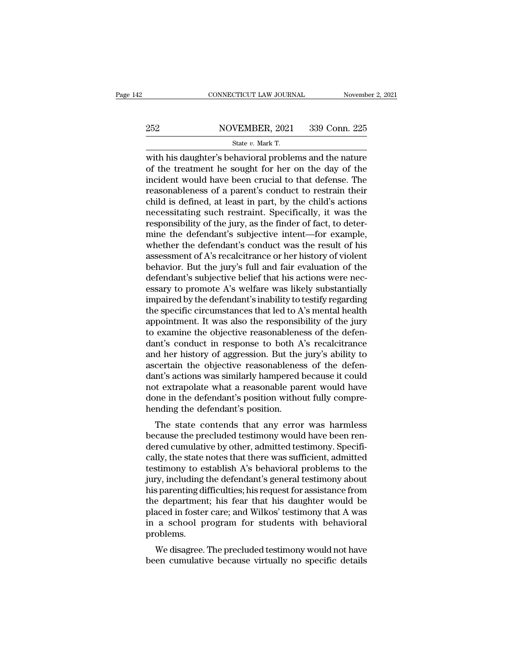## EXECUTE CONNECTICUT LAW JOURNAL Movember 2, 2021<br>252 NOVEMBER, 2021 339 Conn. 225<br>254 State v. Mark T. CONNECTICUT LAW JOURNAL Novemb<br>
252 NOVEMBER, 2021 339 Conn. 225<br>
State *v. Mark T.*<br>
With his daughter's behavioral problems and the nature

CONNECTICUT LAW JOURNAL November 2, 2021<br>
252 NOVEMBER, 2021 339 Conn. 225<br>  $\frac{\text{State } v. \text{ Mark T.}}{\text{with his daughter's behavioral problems and the nature of the treatment he sought for her on the day of the incident would have been crucial to that defines. The$ 252 NOVEMBER, 2021 339 Conn. 225<br>
State v. Mark T.<br>
With his daughter's behavioral problems and the nature<br>
of the treatment he sought for her on the day of the<br>
incident would have been crucial to that defense. The<br>
reaso 252 NOVEMBER, 2021 339 Conn. 225<br>
State v. Mark T.<br>
with his daughter's behavioral problems and the nature<br>
of the treatment he sought for her on the day of the<br>
incident would have been crucial to that defense. The<br>
reas 252 NOVEMBER, 2021 339 Conn. 225<br>
State v. Mark T.<br>
with his daughter's behavioral problems and the nature<br>
of the treatment he sought for her on the day of the<br>
incident would have been crucial to that defense. The<br>
reas State v. Mark T.<br>
State v. Mark T.<br>
with his daughter's behavioral problems and the nature<br>
of the treatment he sought for her on the day of the<br>
incident would have been crucial to that defense. The<br>
reasonableness of a State v. Mark T.<br>
with his daughter's behavioral problems and the nature<br>
of the treatment he sought for her on the day of the<br>
incident would have been crucial to that defense. The<br>
reasonableness of a parent's conduct t with his daughter's behavioral problems and the nature<br>of the treatment he sought for her on the day of the<br>incident would have been crucial to that defense. The<br>reasonableness of a parent's conduct to restrain their<br>child of the treatment he sought for her on the day of the<br>incident would have been crucial to that defense. The<br>reasonableness of a parent's conduct to restrain their<br>child is defined, at least in part, by the child's actions<br> incident would have been crucial to that defense. The<br>reasonableness of a parent's conduct to restrain their<br>child is defined, at least in part, by the child's actions<br>necessitating such restraint. Specifically, it was the reasonableness of a parent's conduct to restrain their<br>child is defined, at least in part, by the child's actions<br>necessitating such restraint. Specifically, it was the<br>responsibility of the jury, as the finder of fact, to child is defined, at least in part, by the child's actions<br>necessitating such restraint. Specifically, it was the<br>responsibility of the jury, as the finder of fact, to deter-<br>mine the defendant's subjective intent—for exam necessitating such restraint. Specifically, it was the responsibility of the jury, as the finder of fact, to determine the defendant's subjective intent—for example, whether the defendant's conduct was the result of his as responsibility of the jury, as the finder of fact, to determine the defendant's subjective intent—for example, whether the defendant's conduct was the result of his assessment of A's recalcitrance or her history of violen mine the defendant's subjective intent—for example,<br>whether the defendant's conduct was the result of his<br>assessment of A's recalcitrance or her history of violent<br>behavior. But the jury's full and fair evaluation of the<br>d whether the defendant's conduct was the result of his<br>assessment of A's recalcitrance or her history of violent<br>behavior. But the jury's full and fair evaluation of the<br>defendant's subjective belief that his actions were n assessment of A's recalcitrance or her history of violent<br>behavior. But the jury's full and fair evaluation of the<br>defendant's subjective belief that his actions were nec-<br>essary to promote A's welfare was likely substanti behavior. But the jury's full and fair evaluation of the defendant's subjective belief that his actions were necessary to promote A's welfare was likely substantially impaired by the defendant's inability to testify regard defendant's subjective belief that his actions were nec-<br>essary to promote A's welfare was likely substantially<br>impaired by the defendant's inability to testify regarding<br>the specific circumstances that led to A's mental h essary to promote A's welfare was likely substantially<br>impaired by the defendant's inability to testify regarding<br>the specific circumstances that led to A's mental health<br>appointment. It was also the responsibility of the impaired by the defendant's inability to testify regarding<br>the specific circumstances that led to A's mental health<br>appointment. It was also the responsibility of the jury<br>to examine the objective reasonableness of the def the specific circumstances that led to A's mental health<br>appointment. It was also the responsibility of the jury<br>to examine the objective reasonableness of the defen-<br>dant's conduct in response to both A's recalcitrance<br>an appointment. It was also the responsibility of the jury<br>to examine the objective reasonableness of the defen-<br>dant's conduct in response to both A's recalcitrance<br>and her history of aggression. But the jury's ability to<br>as to examine the objective reasonableness of the defendant's conduct in response to both A's recalcitrance and her history of aggression. But the jury's ability to ascertain the objective reasonableness of the defendant's ac dant's conduct in response to both A<br>and her history of aggression. But the<br>ascertain the objective reasonablenes<br>dant's actions was similarly hampered l<br>not extrapolate what a reasonable par<br>done in the defendant's positi In the mastory of aggression. But the jury's ability to<br>certain the objective reasonableness of the defen-<br>nt's actions was similarly hampered because it could<br>t extrapolate what a reasonable parent would have<br>me in the de ascertain the objective reasonableness of the defendant's actions was similarly hampered because it could not extrapolate what a reasonable parent would have done in the defendant's position without fully comprehending the

dant s actions was similarly nampered because it could<br>not extrapolate what a reasonable parent would have<br>done in the defendant's position without fully compre-<br>hending the defendant's position.<br>The state contends that an From the defendant's position without fully comprehending the defendant's position.<br>The state contends that any error was harmless<br>because the precluded testimony would have been ren-<br>dered cumulative by other, admitted te Figure 11 the defendant is position.<br>The state contends that any error was harmless<br>because the precluded testimony would have been ren-<br>dered cumulative by other, admitted testimony. Specifi-<br>cally, the state notes that t The state contends that any error was harmless<br>because the precluded testimony would have been ren-<br>dered cumulative by other, admitted testimony. Specifi-<br>cally, the state notes that there was sufficient, admitted<br>testimo The state contends that any error was harmless<br>because the precluded testimony would have been ren-<br>dered cumulative by other, admitted testimony. Specifi-<br>cally, the state notes that there was sufficient, admitted<br>testimo because the precluded testimony would have been ren-<br>dered cumulative by other, admitted testimony. Specifi-<br>cally, the state notes that there was sufficient, admitted<br>testimony to establish A's behavioral problems to the<br> dered cumulative by other, admitted testimony. Specifically, the state notes that there was sufficient, admitted testimony to establish A's behavioral problems to the jury, including the defendant's general testimony about cally, the state notes that there was sufficient, admitted<br>testimony to establish A's behavioral problems to the<br>jury, including the defendant's general testimony about<br>his parenting difficulties; his request for assistanc problems. by, including the detendant s general testimony about<br>s parenting difficulties; his request for assistance from<br>e department; his fear that his daughter would be<br>aced in foster care; and Wilkos' testimony that A was<br>a scho he department; his fear that his daughter would be<br>placed in foster care; and Wilkos' testimony that A was<br>in a school program for students with behavioral<br>problems.<br>We disagree. The precluded testimony would not have<br>been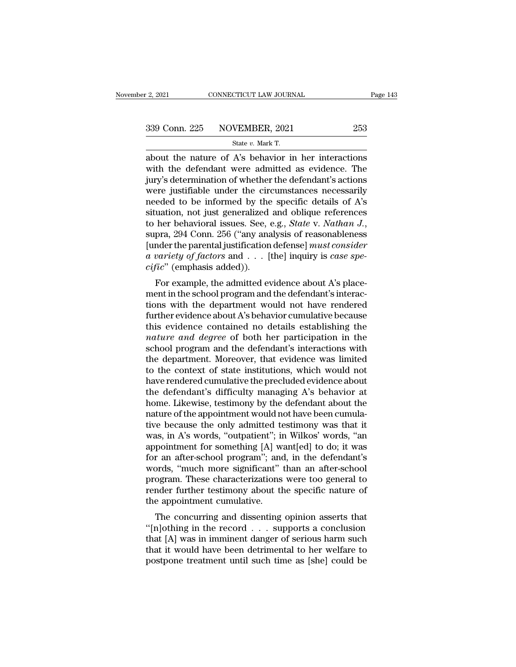F. 2, 2021 CONNECTICUT LAW JOURNAL<br>
State *v.* Mark T.<br>
State *v.* Mark T.<br>
about the nature of A's behavior in her interactions 2, 2021 CONNECTICUT LAW JOURNAL Page 143<br>  $\begin{array}{r}\n 339 \text{ Conn. } 225 \quad \text{NOVEMBER, } 2021 \quad \text{253} \\
 \hline\n \text{State } v. \text{ Mark T.} \\
 \text{about the nature of A's behavior in her interactions} \\
 \text{with the defendant were admitted as evidence. The} \\
 \text{intra's determination of whether the defendant's actions.} \n\end{array}$  $339$  Conn. 225 NOVEMBER, 2021 253<br>  $\frac{339}{100}$   $\frac{339}{100}$   $\frac{339}{100}$   $\frac{339}{100}$   $\frac{339}{100}$   $\frac{339}{100}$   $\frac{339}{100}$   $\frac{339}{100}$   $\frac{339}{100}$   $\frac{339}{100}$   $\frac{339}{100}$   $\frac{339}{100}$   $\frac{339}{100}$   $\frac$ 339 Conn. 225 NOVEMBER, 2021 253<br>
State v. Mark T.<br>
about the nature of A's behavior in her interactions<br>
with the defendant were admitted as evidence. The<br>
jury's determination of whether the defendant's actions<br>
were ju 339 Conn. 225 NOVEMBER, 2021 253<br>
State v. Mark T.<br>
about the nature of A's behavior in her interactions<br>
with the defendant were admitted as evidence. The<br>
jury's determination of whether the defendant's actions<br>
were ju SECULAR 220 110 CERTENTS, 2022<br>
State v. Mark T.<br>
about the nature of A's behavior in her interactions<br>
with the defendant were admitted as evidence. The<br>
jury's determination of whether the defendant's actions<br>
were just state v. Mark T.<br>
state v. Mark T.<br>
shown the nature of A's behavior in her interactions<br>
with the defendant were admitted as evidence. The<br>
jury's determination of whether the defendant's actions<br>
were justifiable under about the nature of A's behavior in her interactions<br>with the defendant were admitted as evidence. The<br>jury's determination of whether the defendant's actions<br>were justifiable under the circumstances necessarily<br>needed to jury's determination of whether the defendant's actions<br>were justifiable under the circumstances necessarily<br>needed to be informed by the specific details of A's<br>situation, not just generalized and oblique references<br>to he were justifiable under the circumstances necessarily<br>needed to be informed by the specific details of A's<br>situation, not just generalized and oblique references<br>to her behavioral issues. See, e.g., *State* v. *Nathan J.*,<br> reeded to be informed by the<br>situation, not just generalized<br>to her behavioral issues. See,<br>supra, 294 Conn. 256 ("any ana<br>[under the parental justification<br>*a variety of factors* and . . . [<br>*cific*" (emphasis added)).<br>Fo diation, not just generalized and oblique references<br>her behavioral issues. See, e.g., *State v. Nathan J.*,<br>pra, 294 Conn. 256 ("any analysis of reasonableness<br>mder the parental justification defense] *must consider*<br>var to her behavioral issues. See, e.g., *State V. Nathah 3.*,<br>supra, 294 Conn. 256 ("any analysis of reasonableness<br>[under the parental justification defense] *must consider*<br>a variety of factors and . . . [the] inquiry is

supra, 294 Colui. 250 ( any analysis of reasonable<br>hest [under the parental justification defense] *must consider*<br>a variety of factors and . . . [the] inquiry is *case spe-<br>cific*" (emphasis added)).<br>For example, the adm funder the patental justincation defense  $\lceil$  must consider<br>a variety of factors and . . . [the] inquiry is case spe-<br>cific" (emphasis added)).<br>For example, the admitted evidence about A's place-<br>ment in the school progr *theory of Jactors* and  $\ldots$  [the] inquiry is *case specific*" (emphasis added)).<br>For example, the admitted evidence about A's placement in the school program and the defendant's interactions with the department would no *nature* (emphasis added)).<br>
For example, the admitted evidence about A's place-<br>
ment in the school program and the defendant's interac-<br>
tions with the department would not have rendered<br>
further evidence about A's behav For example, the admitted evidence about A's place-<br>ment in the school program and the defendant's interac-<br>tions with the department would not have rendered<br>further evidence about A's behavior cumulative because<br>this evid ment in the school program and the defendant's interactions with the department would not have rendered<br>further evidence about A's behavior cumulative because<br>this evidence contained no details establishing the<br>*nature and* tions with the department would not have rendered<br>further evidence about A's behavior cumulative because<br>this evidence contained no details establishing the<br>*nature and degree* of both her participation in the<br>school progr further evidence about A's behavior cumulative because<br>this evidence contained no details establishing the<br>*nature and degree* of both her participation in the<br>school program and the defendant's interactions with<br>the depar this evidence contained no details establishing the<br>
nature and degree of both her participation in the<br>
school program and the defendant's interactions with<br>
the department. Moreover, that evidence was limited<br>
to the con nature and degree of both her participation in the<br>school program and the defendant's interactions with<br>the department. Moreover, that evidence was limited<br>to the context of state institutions, which would not<br>have rendere school program and the defendant's interactions with<br>the department. Moreover, that evidence was limited<br>to the context of state institutions, which would not<br>have rendered cumulative the precluded evidence about<br>the defen the department. Moreover, that evidence was limited<br>to the context of state institutions, which would not<br>have rendered cumulative the precluded evidence about<br>the defendant's difficulty managing A's behavior at<br>home. Like to the context of state institutions, which would not<br>have rendered cumulative the precluded evidence about<br>the defendant's difficulty managing A's behavior at<br>home. Likewise, testimony by the defendant about the<br>nature of have rendered cumulative the precluded evidence about<br>the defendant's difficulty managing A's behavior at<br>home. Likewise, testimony by the defendant about the<br>nature of the appointment would not have been cumula-<br>tive beca the defendant's difficulty managing A's behavior at<br>home. Likewise, testimony by the defendant about the<br>nature of the appointment would not have been cumula-<br>tive because the only admitted testimony was that it<br>was, in A' home. Likewise, testimony by the defendant about the<br>nature of the appointment would not have been cumula-<br>tive because the only admitted testimony was that it<br>was, in A's words, "outpatient"; in Wilkos' words, "an<br>appoint nature of the appointment would not have been cumulative because the only admitted testimony was that it was, in A's words, "outpatient"; in Wilkos' words, "an appointment for something [A] want[ed] to do; it was for an af tive because the only admitted testimony was that it<br>was, in A's words, "outpatient"; in Wilkos' words, "an<br>appointment for something [A] want[ed] to do; it was<br>for an after-school program"; and, in the defendant's<br>words, was, in A's words, "outpatient"; in Wilkos' words, "an appointment for something [A] want[ed] to do; it was for an after-school program"; and, in the defendant's words, "much more significant" than an after-school program. pointment for something [A] want[ed] to do, it was<br>r an after-school program"; and, in the defendant's<br>ords, "much more significant" than an after-school<br>ogram. These characterizations were too general to<br>nder further tes For an alter-school program, and, in the defendant s<br>words, "much more significant" than an after-school<br>program. These characterizations were too general to<br>render further testimony about the specific nature of<br>the appoin

words, inder note significant that an area-school<br>program. These characterizations were too general to<br>render further testimony about the specific nature of<br>the appointment cumulative.<br>The concurring and dissenting opinion program. These characterizations were too general to<br>render further testimony about the specific nature of<br>the appointment cumulative.<br>The concurring and dissenting opinion asserts that<br>"[n]othing in the record . . . suppo "[n]othing in the record  $\ldots$  supports a conclusion that [A] was in imminent danger of serious harm such that it would have been detrimental to her welfare to postpone treatment until such time as [she] could be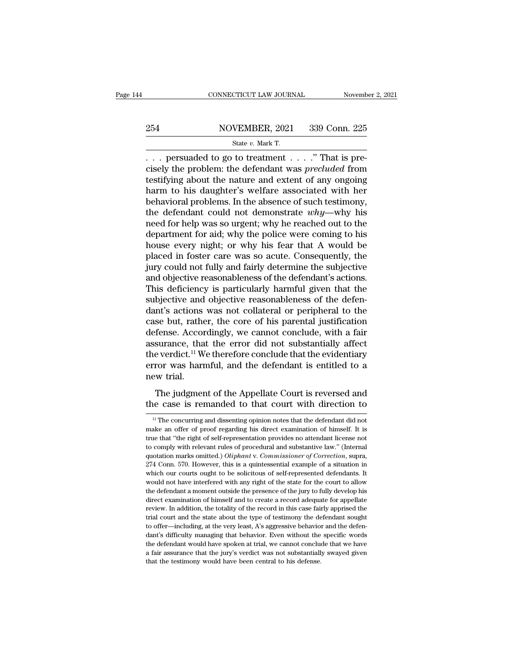## EXECUTE CONNECTICUT LAW JOURNAL Movember 2, 2021<br>254 NOVEMBER, 2021 339 Conn. 225<br>254 State v. Mark T. CONNECTICUT LAW JOURNAL Novemb<br>
254 NOVEMBER, 2021 339 Conn. 225<br>
State *v. Mark T.*<br>
... persuaded to go to treatment ....." That is pre-

CONNECTICUT LAW JOURNAL November .<br>
254 NOVEMBER, 2021 339 Conn. 225<br>
34 State v. Mark T.<br>
359 Conn. 225<br>
359 Conn. 225<br>
359 Conn. 225<br>
359 Conn. 225<br>
359 Conn. 225<br>
359 Conn. 225<br>
359 Conn. 225<br>
359 Conn. 225<br>
359 Conn. 2 254 NOVEMBER, 2021 339 Conn. 225<br>
<sup>State v. Mark T.</sup><br>
... persuaded to go to treatment ....." That is precisely the problem: the defendant was *precluded* from<br>
testifying about the nature and extent of any ongoing<br>
harm t 254 NOVEMBER, 2021 339 Conn. 225<br>
State v. Mark T.<br>
... persuaded to go to treatment ....." That is precisely the problem: the defendant was *precluded* from<br>
testifying about the nature and extent of any ongoing<br>
harm to 254 NOVEMBER, 2021 339 Conn. 225<br>
State v. Mark T.<br>
... persuaded to go to treatment ....." That is precisely the problem: the defendant was *precluded* from<br>
testifying about the nature and extent of any ongoing<br>
harm to Behavioral problems. The absence of such the problems.<br>
State v. Mark T.<br>
That is precisely the problem: the defendant was *precluded* from<br>
testifying about the nature and extent of any ongoing<br>
harm to his daughter's we state *v. Mark T.*<br>
... persuaded to go to treatment ....." That is precisely the problem: the defendant was *precluded* from<br>
testifying about the nature and extent of any ongoing<br>
harm to his daughter's welfare associate ... persuaded to go to treatment ....." That is precisely the problem: the defendant was *precluded* from testifying about the nature and extent of any ongoing harm to his daughter's welfare associated with her behavioral cisely the problem: the defendant was *precluded* from<br>testifying about the nature and extent of any ongoing<br>harm to his daughter's welfare associated with her<br>behavioral problems. In the absence of such testimony,<br>the de testifying about the nature and extent of any ongoing<br>harm to his daughter's welfare associated with her<br>behavioral problems. In the absence of such testimony,<br>the defendant could not demonstrate  $why$ —why his<br>need for hel harm to his daughter's welfare associated with her<br>behavioral problems. In the absence of such testimony,<br>the defendant could not demonstrate  $why$ —why his<br>need for help was so urgent; why he reached out to the<br>department f behavioral problems. In the absence of such testimony,<br>the defendant could not demonstrate  $why$ —why his<br>need for help was so urgent; why he reached out to the<br>department for aid; why the police were coming to his<br>house ev the defendant could not demonstrate *why*—why his<br>need for help was so urgent; why he reached out to the<br>department for aid; why the police were coming to his<br>house every night; or why his fear that A would be<br>placed in fo need for help was so urgent; why he reached out to the department for aid; why the police were coming to his house every night; or why his fear that A would be placed in foster care was so acute. Consequently, the jury cou department for aid; why the police were coming to his<br>house every night; or why his fear that A would be<br>placed in foster care was so acute. Consequently, the<br>jury could not fully and fairly determine the subjective<br>and ob house every night; or why his fear that A would be<br>placed in foster care was so acute. Consequently, the<br>jury could not fully and fairly determine the subjective<br>and objective reasonableness of the defendant's actions.<br>Thi placed in foster care was so acute. Consequently, the<br>jury could not fully and fairly determine the subjective<br>and objective reasonableness of the defendant's actions.<br>This deficiency is particularly harmful given that the jury could not fully and fairly determine the subjective<br>and objective reasonableness of the defendant's actions.<br>This deficiency is particularly harmful given that the<br>subjective and objective reasonableness of the defenand objective reasonableness of the defendant's actions.<br>This deficiency is particularly harmful given that the<br>subjective and objective reasonableness of the defen-<br>dant's actions was not collateral or peripheral to the<br>c This deficiency is particularly harmful given that the<br>subjective and objective reasonableness of the defen-<br>dant's actions was not collateral or peripheral to the<br>case but, rather, the core of his parental justification<br>d subjective and objective reasonableness of the defendant's actions was not collateral or peripheral to the case but, rather, the core of his parental justification defense. Accordingly, we cannot conclude, with a fair assu dant's actions<br>case but, rathe<br>defense. Accor<br>assurance, tha<br>the verdict.<sup>11</sup> W<br>error was harr<br>new trial.<br>The judgmer Se but, rather, the core of his parental justinearion<br>fense. Accordingly, we cannot conclude, with a fair<br>surance, that the error did not substantially affect<br>everdict.<sup>11</sup> We therefore conclude that the evidentiary<br>ror wa assurance, that the error did not substantially affect<br>the verdict.<sup>11</sup> We therefore conclude that the evidentiary<br>error was harmful, and the defendant is entitled to a<br>new trial.<br>The judgment of the Appellate Court is re

The judgment of the Appellate Court is reversed and<br>the case is remanded to that court with direction to<br><sup>11</sup> The concurring and dissenting opinion notes that the defendant did not<br>ake an offer of proof regarding his direc

The judgment of the Appellate Court is reversed and<br>the case is remanded to that court with direction to<br> $\frac{1}{1}$  The concurring and dissenting opinion notes that the defendant did not<br>make an offer of proof regarding hi The judgment of the Appellate Court is reversed and<br>the case is remanded to that court with direction to<br> $\frac{1}{1}$  The concurring and dissenting opinion notes that the defendant did not<br>make an offer of proof regarding hi The case is remanded to that court with direction to<br>
<sup>11</sup> The concurring and dissenting opinion notes that the defendant did not<br>
make an offer of proof regarding his direct examination of himself. It is<br>
true that "the r If The concurring and dissenting opinion notes that the defendant did not make an offer of proof regarding his direct examination of himself. It is true that "the right of self-representation provides no attendant license <sup>11</sup> The concurring and dissenting opinion notes that the defendant did not make an offer of proof regarding his direct examination of himself. It is true that "the right of self-representation provides no attendant licen make an offer of proof regarding bis direct examination of himself. It is<br>true that "the right of self-representation provides no attendant license not<br>to comply with relevant rules of procedural and substantive law." (Int true that "the right of self-representation provides no attendant license not<br>to comply with relevant rules of procedural and substantive law." (Internal<br>quotation marks omitted.) *Oliphant* v. *Commissioner of Correction* to comply with relevant rules of procedural and substantive law." (Internal quotation marks omitted.) *Oliphant v. Commissioner of Correction*, supra, 274 Conn. 570. However, this is a quintessential example of a situation quotation marks omitted.) *Oliphant* v. *Commissioner of Correction*, supra, 274 Conn. 570. However, this is a quintessential example of a situation in which our courts ought to be solicitous of self-represented defendants 274 Conn. 570. However, this is a quintessential example of a situation in which our courts ought to be solicitous of self-represented defendants. It would not have interfered with any right of the state for the court to a which our courts ought to be solicitous of self-represented defendants. It would not have interfered with any right of the state for the court to allow the defendant a moment outside the presence of the jury to fully deve would not have interfered with any right of the state for the court to allow<br>the defendant a moment outside the presence of the jury to fully develop his<br>direct examination of himself and to create a record adequate for a the defendant a moment outside the presence of the jury to fully develop his direct examination of himself and to create a record adequate for appellate review. In addition, the totality of the record in this case fairly a direct examination of himself and to create a record adequate for appellate review. In addition, the totality of the record in this case fairly apprised the trial court and the state about the type of testimony the defenda review. In addition, the totality of the record in this case fairly apprised the trial court and the state about the type of testimony the defendant sought to offer—including, at the very least, A's aggressive behavior and trial court and the state about the type of testimony the defendant sought to offer—including, at the very least, A's aggressive behavior and the defendant's difficulty managing that behavior. Even without the specific wo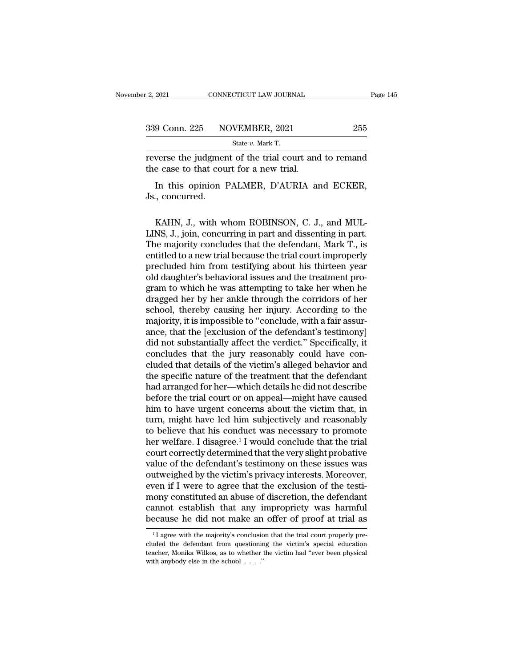| r 2, 2021     | CONNECTICUT LAW JOURNAL                               | Page 145 |
|---------------|-------------------------------------------------------|----------|
| 339 Conn. 225 | NOVEMBER, 2021                                        | 255      |
|               | State $v$ . Mark T.                                   |          |
|               | reverse the judgment of the trial court and to remand |          |

reverse the judgment of the trial court and to remand<br>the case to that court for a new trial.  $\begin{array}{ll} \n 339 \text{ Conn. } 225 \quad \text{NOVEMBER, } 2021 \quad \text{State } v. \text{ Mark T.} \n \end{array}$ Treverse the judgment of the trial court and<br>
the case to that court for a new trial.<br>
In this opinion PALMER, D'AURIA and

9 Conn. 225 NOVEMBER, 2021 255<br>
State v. Mark T.<br>
Verse the judgment of the trial court and to remand<br>
e case to that court for a new trial.<br>
In this opinion PALMER, D'AURIA and ECKER,<br>
., concurred.  $\frac{339 \text{ Conn. } 225 \text{ N}^6}{\text{reverse the judgment}}$ <br>the case to that counting the case to that counting Js., concurred.

verse the judgment of the trial court and to remand<br>e case to that court for a new trial.<br>In this opinion PALMER, D'AURIA and ECKER,<br>., concurred.<br>KAHN, J., with whom ROBINSON, C. J., and MUL-<br>NS, J., join, concurring in p the case to that court for a new trial.<br>
In this opinion PALMER, D'AURIA and ECKER,<br>
Js., concurred.<br>
KAHN, J., with whom ROBINSON, C. J., and MUL-<br>
LINS, J., join, concurring in part and dissenting in part.<br>
The majority In this opinion PALMER, D'AURIA and ECKER,<br>Js., concurred.<br>KAHN, J., with whom ROBINSON, C. J., and MUL-<br>LINS, J., join, concurring in part and dissenting in part.<br>The majority concludes that the defendant, Mark T., is<br>ent In this opinion PALMER, DAURIA and EURER,<br>Js., concurred.<br>KAHN, J., with whom ROBINSON, C. J., and MUL-<br>LINS, J., join, concurring in part and dissenting in part.<br>The majority concludes that the defendant, Mark T., is<br>enti J.S., concurred.<br>KAHN, J., with whom ROBINSON, C. J., and MUL-<br>LINS, J., join, concurring in part and dissenting in part.<br>The majority concludes that the defendant, Mark T., is<br>entitled to a new trial because the trial cou KAHN, J., with whom ROBINSON, C. J., and MULLINS, J., join, concurring in part and dissenting in part.<br>The majority concludes that the defendant, Mark T., is<br>entitled to a new trial because the trial court improperly<br>precl KAHN, J., with whom ROBINSON, C. J., and MUL-<br>LINS, J., join, concurring in part and dissenting in part.<br>The majority concludes that the defendant, Mark T., is<br>entitled to a new trial because the trial court improperly<br>pre LINS, J., join, concurring in part and dissenting in part.<br>The majority concludes that the defendant, Mark T., is<br>entitled to a new trial because the trial court improperly<br>precluded him from testifying about his thirteen The majority concludes that the defendant, Mark T., is<br>entitled to a new trial because the trial court improperly<br>precluded him from testifying about his thirteen year<br>old daughter's behavioral issues and the treatment pro entitled to a new trial because the trial court improperly<br>precluded him from testifying about his thirteen year<br>old daughter's behavioral issues and the treatment pro-<br>gram to which he was attempting to take her when he<br>d precluded him from testifying about his thirteen year<br>old daughter's behavioral issues and the treatment pro-<br>gram to which he was attempting to take her when he<br>dragged her by her ankle through the corridors of her<br>school old daughter's behavioral issues and the treatment program to which he was attempting to take her when he dragged her by her ankle through the corridors of her school, thereby causing her injury. According to the majority, gram to which he was attempting to take her when he<br>dragged her by her ankle through the corridors of her<br>school, thereby causing her injury. According to the<br>majority, it is impossible to "conclude, with a fair assur-<br>anc dragged her by her ankle through the corridors of her school, thereby causing her injury. According to the majority, it is impossible to "conclude, with a fair assurance, that the [exclusion of the defendant's testimony] d school, thereby causing her injury. According to the majority, it is impossible to "conclude, with a fair assurance, that the [exclusion of the defendant's testimony] did not substantially affect the verdict." Specifically majority, it is impossible to "conclude, with a fair assurance, that the [exclusion of the defendant's testimony]<br>did not substantially affect the verdict." Specifically, it<br>concludes that the jury reasonably could have co ance, that the [exclusion of the defendant's testimony]<br>did not substantially affect the verdict." Specifically, it<br>concludes that the jury reasonably could have con-<br>cluded that details of the victim's alleged behavior an did not substantially affect the verdict." Specifically, it concludes that the jury reasonably could have concluded that details of the victim's alleged behavior and the specific nature of the treatment that the defendant concludes that the jury reasonably could have con-<br>cluded that details of the victim's alleged behavior and<br>the specific nature of the treatment that the defendant<br>had arranged for her—which details he did not describe<br>bef cluded that details of the victim's alleged behavior and<br>the specific nature of the treatment that the defendant<br>had arranged for her—which details he did not describe<br>before the trial court or on appeal—might have caused<br> the specific nature of the treatment that the defendant<br>had arranged for her—which details he did not describe<br>before the trial court or on appeal—might have caused<br>him to have urgent concerns about the victim that, in<br>tur had arranged for her—which details he did not describe<br>before the trial court or on appeal—might have caused<br>him to have urgent concerns about the victim that, in<br>turn, might have led him subjectively and reasonably<br>to bel before the trial court or on appeal—might have caused<br>him to have urgent concerns about the victim that, in<br>turn, might have led him subjectively and reasonably<br>to believe that his conduct was necessary to promote<br>her welf him to have urgent concerns about the victim that, in<br>turn, might have led him subjectively and reasonably<br>to believe that his conduct was necessary to promote<br>her welfare. I disagree.<sup>1</sup> I would conclude that the trial<br>co turn, might have led him subjectively and reasonably<br>to believe that his conduct was necessary to promote<br>her welfare. I disagree.<sup>1</sup> I would conclude that the trial<br>court correctly determined that the very slight probativ to believe that his conduct was necessary to promote<br>her welfare. I disagree.<sup>1</sup> I would conclude that the trial<br>court correctly determined that the very slight probative<br>value of the defendant's testimony on these issues her welfare. I disagree.<sup>1</sup> I would conclude that the trial<br>court correctly determined that the very slight probative<br>value of the defendant's testimony on these issues was<br>outweighed by the victim's privacy interests. Mor court correctly determined that the very slight probative<br>value of the defendant's testimony on these issues was<br>outweighed by the victim's privacy interests. Moreover,<br>even if I were to agree that the exclusion of the te From 1 I were to agree that the exclusion of the testi-<br>lony constituted an abuse of discretion, the defendant<br>annot establish that any impropriety was harmful<br>ecause he did not make an offer of proof at trial as<br> $\frac{1}{1}$ mony constituted an abuse of discretion, the defendant cannot establish that any impropriety was harmful because he did not make an offer of proof at trial as  $\frac{1}{1}$  agree with the majority's conclusion that the trial

cannot establish that any impropriety was harmful<br>because he did not make an offer of proof at trial as<br> $\frac{1}{1}$  agree with the majority's conclusion that the trial court properly pre-<br>cluded the defendant from questioni because he did not make an  $\frac{1}{1}$  agree with the majority's conclusion duded the defendant from questioning teacher, Monika Wilkos, as to whether with anybody else in the school . . . ."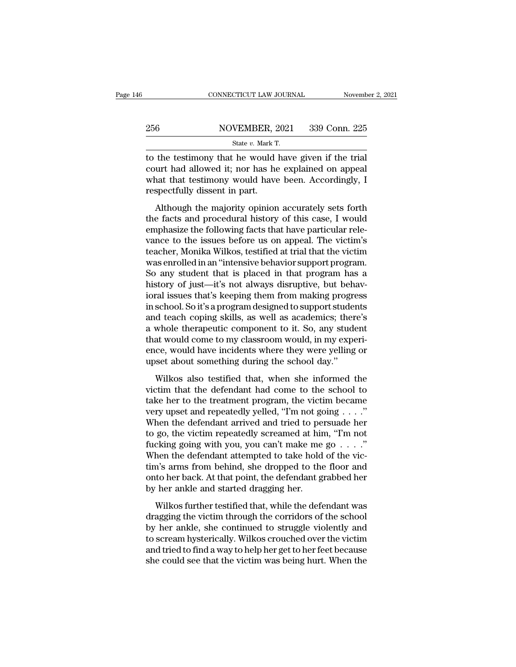### EXECUTE CONNECTICUT LAW JOURNAL Movember 2, 2021<br>256 NOVEMBER, 2021 339 Conn. 225<br>256 State v. Mark T. CONNECTICUT LAW JOURNAL Novemb<br>
256 NOVEMBER, 2021 339 Conn. 225<br>
State *v.* Mark T.<br>
to the testimony that he would have given if the trial

CONNECTICUT LAW JOURNAL November 2, 20<br>
256 NOVEMBER, 2021 339 Conn. 225<br>  $\frac{\text{State } v. \text{ Mark T.}}{\text{State } v. \text{ Mark T.}}$ <br>
to the testimony that he would have given if the trial<br>
court had allowed it; nor has he explained on appeal 256 NOVEMBER, 2021 339 Conn. 225<br>
State v. Mark T.<br>
to the testimony that he would have given if the trial<br>
court had allowed it; nor has he explained on appeal<br>
what that testimony would have been. Accordingly, I 256 NOVEMBER, 2021 339 Conn. 225<br>
State v. Mark T.<br>
to the testimony that he would have given if the trial<br>
court had allowed it; nor has he explained on appeal<br>
what that testimony would have been. Accordingly, I<br>
respec  $\frac{\text{256}}{\text{State }v. \text{ Mark T}}$ <br>
to the testimony that he would<br>
court had allowed it; nor has he<br>
what that testimony would have<br>
respectfully dissent in part.<br>
Although the majority opinion State  $v$ . Mark T.<br>
the testimony that he would have given if the trial<br>
urt had allowed it; nor has he explained on appeal<br>
nat that testimony would have been. Accordingly, I<br>
spectfully dissent in part.<br>
Although the ma to the testimony that he would have given if the trial<br>court had allowed it; nor has he explained on appeal<br>what that testimony would have been. Accordingly, I<br>respectfully dissent in part.<br>Although the majority opinion ac

to the testimoly that he would have given if the that<br>court had allowed it; nor has he explained on appeal<br>what that testimony would have been. Accordingly, I<br>respectfully dissent in part.<br>Although the majority opinion acc vant had anowed h, hot has he explained on appear<br>what that testimony would have been. Accordingly, I<br>respectfully dissent in part.<br>Although the majority opinion accurately sets forth<br>the facts and procedural history of th what that essimony would have been. Accordingly, I<br>respectfully dissent in part.<br>Although the majority opinion accurately sets forth<br>the facts and procedural history of this case, I would<br>emphasize the following facts that Although the majority opinion accurately sets forth<br>the facts and procedural history of this case, I would<br>emphasize the following facts that have particular rele-<br>vance to the issues before us on appeal. The victim's<br>teac Although the majority opinion accurately sets forth<br>the facts and procedural history of this case, I would<br>emphasize the following facts that have particular rele-<br>vance to the issues before us on appeal. The victim's<br>teac the facts and procedural history of this case, I would<br>emphasize the following facts that have particular rele-<br>vance to the issues before us on appeal. The victim's<br>teacher, Monika Wilkos, testified at trial that the vict emphasize the following facts that have particular relevance to the issues before us on appeal. The victim's<br>teacher, Monika Wilkos, testified at trial that the victim<br>was enrolled in an "intensive behavior support program vance to the issues before us on appeal. The victim's<br>teacher, Monika Wilkos, testified at trial that the victim<br>was enrolled in an "intensive behavior support program.<br>So any student that is placed in that program has a<br>h teacher, Monika Wilkos, testified at trial that the victim<br>was enrolled in an "intensive behavior support program.<br>So any student that is placed in that program has a<br>history of just—it's not always disruptive, but behav-<br> was enrolled in an "intensive behavior support program.<br>So any student that is placed in that program has a<br>history of just—it's not always disruptive, but behav-<br>ioral issues that's keeping them from making progress<br>in sc So any student that is placed in that program has a<br>history of just—it's not always disruptive, but behav-<br>ioral issues that's keeping them from making progress<br>in school. So it's a program designed to support students<br>and history of just—it's not always disruptive, but behavioral issues that's keeping them from making progress<br>in school. So it's a program designed to support students<br>and teach coping skills, as well as academics; there's<br>a ioral issues that's keeping them from making progres in school. So it's a program designed to support studer and teach coping skills, as well as academics; ther a whole therapeutic component to it. So, any studer that woul d teach coping skills, as well as academics; there's<br>d teach coping skills, as well as academics; there's<br>whole therapeutic component to it. So, any student<br>at would come to my classroom would, in my experi-<br>ce, would have a whole therapeutic component to it. So, any student<br>that would come to my classroom would, in my experi-<br>ence, would have incidents where they were yelling or<br>upset about something during the school day."<br>Wilkos also test

that would come to my classroom would, in my experience, would have incidents where they were yelling or upset about something during the school day."<br>Wilkos also testified that, when she informed the victim that the defe Figure and repeated we incidents where they were yelling or upset about something during the school day."<br>Wilkos also testified that, when she informed the victim that the defendant had come to the school to take her to t Finally with the defendant arrived and the school day."<br>Wilkos also testified that, when she informed the victim that the defendant had come to the school to take her to the treatment program, the victim became very upset Wilkos also testified that, when she informed the victim that the defendant had come to the school to take her to the treatment program, the victim became very upset and repeatedly yelled, "I'm not going  $\dots$ ."<br>When the d Wilkos also testified that, when she informed the victim that the defendant had come to the school to take her to the treatment program, the victim became very upset and repeatedly yelled, "I'm not going  $\ldots$ ." When the victim that the defendant had come to the school to<br>take her to the treatment program, the victim became<br>very upset and repeatedly yelled, "I'm not going  $\dots$ ."<br>When the defendant arrived and tried to persuade her<br>to go, take her to the treatment program, the victim became<br>very upset and repeatedly yelled, "I'm not going  $\dots$ ."<br>When the defendant arrived and tried to persuade her<br>to go, the victim repeatedly screamed at him, "I'm not<br>fuck very upset and repeatedly yelled, "I'm not going  $\ldots$ ."<br>When the defendant arrived and tried to persuade her<br>to go, the victim repeatedly screamed at him, "I'm not<br>fucking going with you, you can't make me go  $\ldots$ ."<br>Whe When the defendant arrived and tried to pe<br>to go, the victim repeatedly screamed at hir<br>fucking going with you, you can't make me<br>When the defendant attempted to take hold<br>tim's arms from behind, she dropped to the<br>onto he go, are vield repeatedly selecting at ring, The Rocking going with you, you can't make me go  $\ldots$ ."<br>hen the defendant attempted to take hold of the vic-<br>n's arms from behind, she dropped to the floor and<br>to her back. At When the defendant attempted to take hold of the victim's arms from behind, she dropped to the floor and onto her back. At that point, the defendant grabbed her by her ankle and started dragging her.<br>Wilkos further testif

when are detendant discripted to take hold of the Vie<br>tim's arms from behind, she dropped to the floor and<br>onto her back. At that point, the defendant grabbed her<br>by her ankle and started dragging her.<br>Wilkos further testi and from bendie, she dropped to the host and<br>onto her back. At that point, the defendant grabbed her<br>by her ankle and started dragging her.<br>Wilkos further testified that, while the defendant was<br>dragging the victim through by her ankle and started dragging her.<br>Wilkos further testified that, while the defendant was<br>dragging the victim through the corridors of the school<br>by her ankle, she continued to struggle violently and<br>to scream hysteric she could see that the victim was being hurt.<br>Wilkos further testified that, while the defendant was<br>dragging the victim through the corridors of the school<br>by her ankle, she continued to struggle violently and<br>to scream h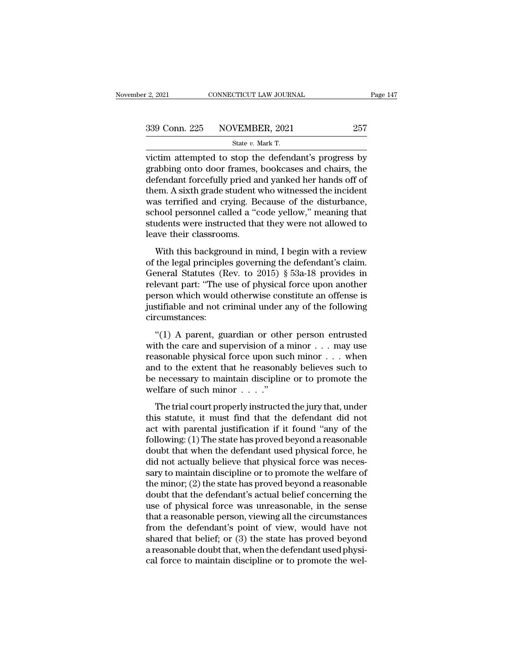F. 2, 2021 CONNECTICUT LAW JOURNAL<br>
State *v.* Mark T.<br>
State *v.* Mark T.<br>
Victim attempted to stop the defendant's progress by vector 2.2021 CONNECTICUT LAW JOURNAL Page 147<br>
339 Conn. 225 NOVEMBER, 2021 257<br>
34 State v. Mark T.<br>
257<br>
victim attempted to stop the defendant's progress by<br>
grabbing onto door frames, bookcases and chairs, the<br>
defen 339 Conn. 225 NOVEMBER, 2021 257<br>State v. Mark T.<br>victim attempted to stop the defendant's progress by<br>grabbing onto door frames, bookcases and chairs, the<br>defendant forcefully pried and yanked her hands off of<br>them. A six  $\begin{array}{c|c} \text{339 Conn. 225} & \text{NOVEMBER, 2021} & \text{257} \ \hline \end{array}$ <br>
victim attempted to stop the defendant's progress by grabbing onto door frames, bookcases and chairs, the defendant forcefully pried and yanked her hands off of th 339 Conn. 225 NOVEMBER, 2021 257<br>
state  $v$ . Mark T.<br>
victim attempted to stop the defendant's progress by<br>
grabbing onto door frames, bookcases and chairs, the<br>
defendant forcefully pried and yanked her hands off of<br>
the State v. Mark T.<br>
Wictim attempted to stop the defendant's progress by<br>
grabbing onto door frames, bookcases and chairs, the<br>
defendant forcefully pried and yanked her hands off of<br>
them. A sixth grade student who witness state v. Mark T.<br>
victim attempted to stop the defendant's progress by<br>
grabbing onto door frames, bookcases and chairs, the<br>
defendant forcefully pried and yanked her hands off of<br>
them. A sixth grade student who witnesse victim attempted to stop the defendant's progress by<br>grabbing onto door frames, bookcases and chairs, the<br>defendant forcefully pried and yanked her hands off of<br>them. A sixth grade student who witnessed the incident<br>was te grabbing onto door frames,<br>defendant forcefully pried ar<br>them. A sixth grade student v<br>was terrified and crying. Be<br>school personnel called a "c<br>students were instructed tha<br>leave their classrooms.<br>With this background in Francian forcerally price and yanked fiel rands on of<br>em. A sixth grade student who witnessed the incident<br>as terrified and crying. Because of the disturbance,<br>hool personnel called a "code yellow," meaning that<br>adents we Franchistant grade station who whilessed the increasing<br>was terrified and crying. Because of the disturbance,<br>school personnel called a "code yellow," meaning that<br>students were instructed that they were not allowed to<br>lea

was termed and erying. Because of the ustantiality,<br>school personnel called a "code yellow," meaning that<br>students were instructed that they were not allowed to<br>leave their classrooms.<br>With this background in mind, I begin relevants were instructed that they were not allowed to<br>leave their classrooms.<br>With this background in mind, I begin with a review<br>of the legal principles governing the defendant's claim.<br>General Statutes (Rev. to 2015) § beave their classrooms.<br>
With this background in mind, I begin with a review<br>
of the legal principles governing the defendant's claim.<br>
General Statutes (Rev. to 2015) § 53a-18 provides in<br>
relevant part: "The use of physi With this background in mind, I begin with a review<br>of the legal principles governing the defendant's claim.<br>General Statutes (Rev. to 2015) § 53a-18 provides in<br>relevant part: "The use of physical force upon another<br>pers circumstances: the regal principles governing are determined stand.<br>
eneral Statutes (Rev. to 2015) § 53a-18 provides in<br>
levant part: "The use of physical force upon another<br>
rson which would otherwise constitute an offense is<br>
stifiabl relevant part: "The use of physical force upon another<br>person which would otherwise constitute an offense is<br>justifiable and not criminal under any of the following<br>circumstances:<br>"(1) A parent, guardian or other person en

recount part. The use of physical force upon another<br>person which would otherwise constitute an offense is<br>justifiable and not criminal under any of the following<br>circumstances:<br>"(1) A parent, guardian or other person entr justifiable and not criminal under any of the following<br>circumstances:<br>"(1) A parent, guardian or other person entrusted<br>with the care and supervision of a minor  $\dots$  may use<br>reasonable physical force upon such minor  $\dots$ circumstances:<br>
"(1) A parent, guardian or other person entrusted<br>
with the care and supervision of a minor . . . may use<br>
reasonable physical force upon such minor . . . when<br>
and to the extent that he reasonably believe "(1) A parent, guardian or other<br>with the care and supervision of a reasonable physical force upon sue<br>and to the extent that he reasonal<br>be necessary to maintain discipline<br>welfare of such minor  $\ldots$ ."<br>The trial court p (1) It parent, gata data of solid person entranced<br>th the care and supervision of a minor . . . may use<br>assonable physical force upon such minor . . . when<br>d to the extent that he reasonably believes such to<br>recessary to The statute of the extent that he reasonably believes such to<br>the necessary to maintain discipline or to promote the<br>welfare of such minor  $\dots$ ."<br>The trial court properly instructed the jury that, under<br>this statute, it m

Following: physical force upon start nintof  $\cdots$  which<br>and to the extent that he reasonably believes such to<br>be necessary to maintain discipline or to promote the<br>welfare of such minor  $\cdots$ ."<br>The trial court properly in following: (1) The state has proved beyond a reasonable welfare of such minor  $\ldots$ ."<br>The trial court properly instructed the jury that, under this statute, it must find that the defendant did not act with parental justif doubt that welfare of such minor  $\dots$ ."<br>The trial court properly instructed the jury that, under<br>this statute, it must find that the defendant did not<br>act with parental justification if it found "any of the<br>following: (1) The trial court properly instructed the jury that, under<br>this statute, it must find that the defendant did not<br>act with parental justification if it found "any of the<br>following: (1) The state has proved beyond a reasonabl The trial court properly instructed the jury that, under<br>this statute, it must find that the defendant did not<br>act with parental justification if it found "any of the<br>following: (1) The state has proved beyond a reasonable this statute, it must find that the defendant did not<br>act with parental justification if it found "any of the<br>following: (1) The state has proved beyond a reasonable<br>doubt that when the defendant used physical force, he<br>di act with parental justification if it found "any of the<br>following: (1) The state has proved beyond a reasonable<br>doubt that when the defendant used physical force, he<br>did not actually believe that physical force was neces-<br> following: (1) The state has proved beyond a reasonable<br>doubt that when the defendant used physical force, he<br>did not actually believe that physical force was neces-<br>sary to maintain discipline or to promote the welfare of doubt that when the defendant used physical force, he<br>did not actually believe that physical force was neces-<br>sary to maintain discipline or to promote the welfare of<br>the minor; (2) the state has proved beyond a reasonable did not actually believe that physical force was necessary to maintain discipline or to promote the welfare of<br>the minor; (2) the state has proved beyond a reasonable<br>doubt that the defendant's actual belief concerning the sary to maintain discipline or to promote the welfare of<br>the minor; (2) the state has proved beyond a reasonable<br>doubt that the defendant's actual belief concerning the<br>use of physical force was unreasonable, in the sense<br> the minor; (2) the state has proved beyond a reasonable<br>doubt that the defendant's actual belief concerning the<br>use of physical force was unreasonable, in the sense<br>that a reasonable person, viewing all the circumstances<br>f doubt that the defendant's actual belief concerning the<br>use of physical force was unreasonable, in the sense<br>that a reasonable person, viewing all the circumstances<br>from the defendant's point of view, would have not<br>shared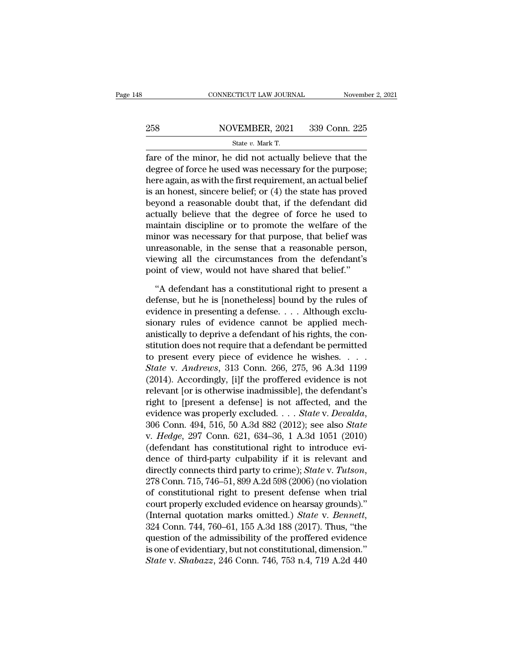### EXECUTE CONNECTICUT LAW JOURNAL Movember 2, 2021<br>258 NOVEMBER, 2021 339 Conn. 225<br>258 State v. Mark T. CONNECTICUT LAW JOURNAL Novemb<br>
258 NOVEMBER, 2021 339 Conn. 225<br>
<sup>State v. Mark T.</sup><br> **State v. Mark T.**<br> **State of the minor, he did not actually believe that the**

Fare of the minor, he did not actually believe that the<br>degree of force he used was necessary for the purpose;<br>there exists a carrith the first requirement on actual helicfunction 258 NOVEMBER, 2021 339 Conn. 225<br>
State v. Mark T.<br>
fare of the minor, he did not actually believe that the<br>
degree of force he used was necessary for the purpose;<br>
here again, as with the first requirement, an actual bel 258 NOVEMBER, 2021 339 Conn. 225<br>
State v. Mark T.<br>
fare of the minor, he did not actually believe that the<br>
degree of force he used was necessary for the purpose;<br>
here again, as with the first requirement, an actual bel 258 NOVEMBER, 2021 339 Conn. 225<br>  $\frac{\text{State } v. \text{ Mark T.}}{\text{face of the minor, he did not actually believe that the degree of force he used was necessary for the purpose; here again, as with the first requirement, an actual belief is an honest, since the belief; or (4) the state has proved beyond a reasonable doubt that, if the defendant did actually believe that the degree of force he used to$ State v. Mark T.<br>
fare of the minor, he did not actually believe that the<br>
degree of force he used was necessary for the purpose;<br>
here again, as with the first requirement, an actual belief<br>
is an honest, sincere belief; state  $v$ . Make 1.<br>
fare of the minor, he did not actually believe that the<br>
degree of force he used was necessary for the purpose;<br>
here again, as with the first requirement, an actual belief<br>
is an honest, sincere belie fare of the minor, he did not actually believe that the<br>degree of force he used was necessary for the purpose;<br>here again, as with the first requirement, an actual belief<br>is an honest, sincere belief; or (4) the state has degree of force he used was necessary for the purpose;<br>here again, as with the first requirement, an actual belief<br>is an honest, sincere belief; or (4) the state has proved<br>beyond a reasonable doubt that, if the defendant here again, as with the first requirement, an actual belief<br>is an honest, sincere belief; or (4) the state has proved<br>beyond a reasonable doubt that, if the defendant did<br>actually believe that the degree of force he used t is an honest, sincere belief; or (4) the state has proved<br>beyond a reasonable doubt that, if the defendant did<br>actually believe that the degree of force he used to<br>maintain discipline or to promote the welfare of the<br>minor beyond a reasonable doubt that, if the defendant did<br>actually believe that the degree of force he used to<br>maintain discipline or to promote the welfare of the<br>minor was necessary for that purpose, that belief was<br>unreasona in a discipline or to promote the welfare of the<br>
inor was necessary for that purpose, that belief was<br>
reasonable, in the sense that a reasonable person,<br>
ewing all the circumstances from the defendant's<br>
int of view, wou minor was necessary for that purpose, that belief was<br>unreasonable, in the sense that a reasonable person,<br>viewing all the circumstances from the defendant's<br>point of view, would not have shared that belief."<br>"A defendant

unreasonable, in the sense that a reasonable person, viewing all the circumstances from the defendant's point of view, would not have shared that belief."<br>"A defendant has a constitutional right to present a defense, but h viewing all the circumstances from the defendant's<br>point of view, would not have shared that belief."<br>"A defendant has a constitutional right to present a<br>defense, but he is [nonetheless] bound by the rules of<br>evidence in point of view, would not have shared that belief."<br>
"A defendant has a constitutional right to present a<br>
defense, but he is [nonetheless] bound by the rules of<br>
evidence in presenting a defense.... Although exclu-<br>
sionar "A defendant has a constitutional right to present a<br>defense, but he is [nonetheless] bound by the rules of<br>evidence in presenting a defense.... Although exclu-<br>sionary rules of evidence cannot be applied mech-<br>anisticall "A defendant has a constitutional right to present a<br>defense, but he is [nonetheless] bound by the rules of<br>evidence in presenting a defense.... Although exclu-<br>sionary rules of evidence cannot be applied mech-<br>anisticall defense, but he is [nonetheless] bound by the rules of<br>evidence in presenting a defense. . . . Although exclu-<br>sionary rules of evidence cannot be applied mech-<br>anistically to deprive a defendant of his rights, the con-<br>st evidence in presenting a defense.... Although exclusionary rules of evidence cannot be applied mechanistically to deprive a defendant of his rights, the constitution does not require that a defendant be permitted to prese sionary rules of evidence cannot be applied mech-<br>anistically to deprive a defendant of his rights, the con-<br>stitution does not require that a defendant be permitted<br>to present every piece of evidence he wishes....<br>State anistically to deprive a defendant of his rights, the constitution does not require that a defendant be permitted<br>to present every piece of evidence he wishes.....<br>State v. Andrews, 313 Conn. 266, 275, 96 A.3d 1199<br>(2014) stitution does not require that a defendant be permitted<br>to present every piece of evidence he wishes. . . .<br>*State* v. *Andrews*, 313 Conn. 266, 275, 96 A.3d 1199<br>(2014). Accordingly, [i]f the proffered evidence is not<br>re State v. *Andrews*, 313 Conn. 266, 275, 96 A.3d 1199<br>(2014). Accordingly, [i]f the proffered evidence is not<br>relevant [or is otherwise inadmissible], the defendant's<br>right to [present a defense] is not affected, and the<br>ev (2014). Accordingly, [i]f the proffered evidence is not relevant [or is otherwise inadmissible], the defendant's right to [present a defense] is not affected, and the evidence was properly excluded.  $\ldots$  *State v. Devald* relevant [or is otherwise inadmissible], the defendant's<br>right to [present a defense] is not affected, and the<br>evidence was properly excluded. . . . *State* v. *Devalda*,<br>306 Conn. 494, 516, 50 A.3d 882 (2012); see also right to [present a defense] is not affected, and the<br>evidence was properly excluded. . . . *State* v. *Devalda*,<br>306 Conn. 494, 516, 50 A.3d 882 (2012); see also *State*<br>v. *Hedge*, 297 Conn. 621, 634–36, 1 A.3d 1051 (201 306 Conn. 494, 516, 50 A.3d 882 (2012); see also *State*<br>v. *Hedge*, 297 Conn. 621, 634–36, 1 A.3d 1051 (2010)<br>(defendant has constitutional right to introduce evi-<br>dence of third-party culpability if it is relevant and<br>d v. *Hedge*, 297 Conn. 621, 634–36, 1 A.3d 1051 (2010)<br>(defendant has constitutional right to introduce evidence of third-party culpability if it is relevant and<br>directly connects third party to crime); *State* v. *Tutson* (defendant has constitutional right to introduce evi-<br>dence of third-party culpability if it is relevant and<br>directly connects third party to crime); *State* v. *Tutson*,<br>278 Conn. 715, 746–51, 899 A.2d 598 (2006) (no viol directly connects third party to crime); *State* v. *Tutson*,<br>278 Conn. 715, 746–51, 899 A.2d 598 (2006) (no violation<br>of constitutional right to present defense when trial<br>court properly excluded evidence on hearsay groun  $278$  Conn.  $715$ ,  $746-51$ ,  $899$  A.2d  $598$  ( $2006$ ) (no violation<br>of constitutional right to present defense when trial<br>court properly excluded evidence on hearsay grounds)."<br>(Internal quotation marks omitted.) *State* of constitutional right to present defense when trial<br>court properly excluded evidence on hearsay grounds)."<br>(Internal quotation marks omitted.) *State* v. *Bennett*,<br>324 Conn. 744, 760–61, 155 A.3d 188 (2017). Thus, "the<br>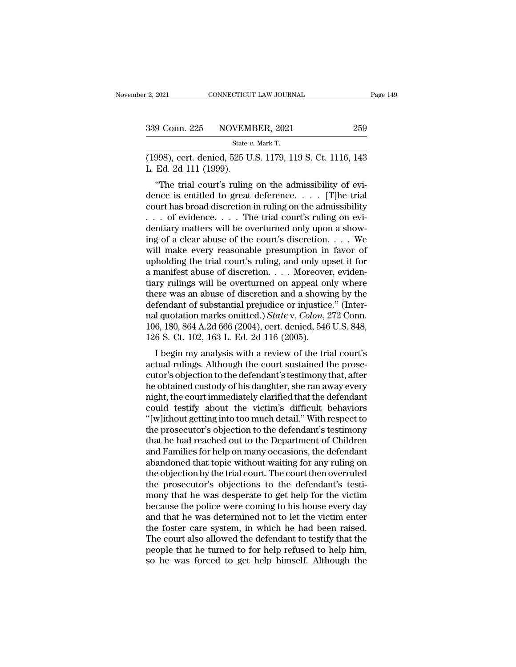| : 2, 2021     | CONNECTICUT LAW JOURNAL                                | Page 149 |
|---------------|--------------------------------------------------------|----------|
| 339 Conn. 225 | NOVEMBER, 2021                                         | 259      |
|               | State v. Mark T.                                       |          |
|               | $(1998)$ cert denied 525 U.S. 1179 119 S. Ct. 1116 143 |          |

(2, 2021 CONNECTICUT LAW JOURNAL Page 149<br>
339 Conn. 225 NOVEMBER, 2021 259<br>
5tate v. Mark T.<br>
(1998), cert. denied, 525 U.S. 1179, 119 S. Ct. 1116, 143<br>
L. Ed. 2d 111 (1999). 339 Conn. 225 NOVEM<br>
<sup>State 1</sup><br>
<sup>Cla</sup> 1998), cert. denied, 525 U<br>
L. Ed. 2d 111 (1999).<br>
"The trial court's ruling"

<sup>9</sup> Conn. 225 NOVEMBER, 2021 259<br>
<sup>State v. Mark T.<br>
998), cert. denied, 525 U.S. 1179, 119 S. Ct. 1116, 143<br>
Ed. 2d 111 (1999).<br>
"The trial court's ruling on the admissibility of evi-<br>
nce is entitled to great deference.</sup> 339 Conn. 225 NOVEMBER, 2021 259<br>
State v. Mark T.<br>
(1998), cert. denied, 525 U.S. 1179, 119 S. Ct. 1116, 143<br>
L. Ed. 2d 111 (1999).<br>
"The trial court's ruling on the admissibility of evidence is entitled to great deferen State v. Mark T.<br>
(1998), cert. denied, 525 U.S. 1179, 119 S. Ct. 1116, 143<br>
L. Ed. 2d 111 (1999).<br>
"The trial court's ruling on the admissibility of evidence is entitled to great deference.... [T]he trial court has broad (1998), cert. denied, 525 U.S. 1179, 119 S. Ct. 1116, 143<br>L. Ed. 2d 111 (1999).<br>
"The trial court's ruling on the admissibility of evi-<br>
dence is entitled to great deference.... [T]he trial<br>
court has broad discretion in L. Ed. 2d 111 (1999).<br>
"The trial court's ruling on the admissibility of evidence is entitled to great deference.... [T]he trial court has broad discretion in ruling on the admissibility ... of evidence.... The trial cour in the trial court's ruling on the admissibility of evidence is entitled to great deference. . . . . [T]he trial court has broad discretion in ruling on the admissibility . . . of evidence. . . . The trial court's ruling "The trial court's ruling on the admissibility of evidence is entitled to great deference. . . . . [T]he trial court has broad discretion in ruling on the admissibility . . . of evidence. . . . The trial court's ruling on dence is entitled to great deference. . . . . [T]he trial court has broad discretion in ruling on the admissibility . . . . of evidence. . . . . The trial court's ruling on evidentiary matters will be overturned only upon court has broad discretion in ruling on the admissibility . . . . of evidence. . . . . The trial court's ruling on evidentiary matters will be overturned only upon a showing of a clear abuse of the court's discretion. . . ... of evidence.... The trial court's ruling on evidentiary matters will be overturned only upon a showing of a clear abuse of the court's discretion.... We will make every reasonable presumption in favor of upholding the dentiary matters will be overturned only upon a showing of a clear abuse of the court's discretion.  $\dots$  We will make every reasonable presumption in favor of upholding the trial court's ruling, and only upset it for a ma ing of a clear abuse of the court's discretion. . . . . We<br>will make every reasonable presumption in favor of<br>upholding the trial court's ruling, and only upset it for<br>a manifest abuse of discretion. . . . Moreover, evide will make every reasonable presumption in favor of<br>upholding the trial court's ruling, and only upset it for<br>a manifest abuse of discretion. . . . Moreover, eviden-<br>tiary rulings will be overturned on appeal only where<br>the upholding the trial court's ruling, and only upset it for<br>a manifest abuse of discretion. . . . Moreover, eviden-<br>tiary rulings will be overturned on appeal only where<br>there was an abuse of discretion and a showing by the a manifest abuse of discretion. . . . . Moreove<br>tiary rulings will be overturned on appeal or<br>there was an abuse of discretion and a showi<br>defendant of substantial prejudice or injustice<br>nal quotation marks omitted.) *Sta* If I be solution and a showing by the fendant of substantial prejudice or injustice." (Inter-<br>I quotation marks omitted.) *State v. Colon*, 272 Conn.<br>6, 180, 864 A.2d 666 (2004), cert. denied, 546 U.S. 848,<br>6 S. Ct. 102, 1 there was an abuse of uscretion and a showing by the<br>defendant of substantial prejudice or injustice." (Inter-<br>nal quotation marks omitted.) *State* v. *Colon*, 272 Conn.<br>106, 180, 864 A.2d 666 (2004), cert. denied, 546 U.

defendant of substantial prejudice of figustice. (Inter-<br>nal quotation marks omitted.) *State* v. *Colon*, 272 Conn.<br>106, 180, 864 A.2d 666 (2004), cert. denied, 546 U.S. 848,<br>126 S. Ct. 102, 163 L. Ed. 2d 116 (2005).<br>I be hard quotation marks ontitied.) *State v. Colon, 212* Cont.<br>106, 180, 864 A.2d 666 (2004), cert. denied, 546 U.S. 848,<br>126 S. Ct. 102, 163 L. Ed. 2d 116 (2005).<br>I begin my analysis with a review of the trial court's<br>actua noo, 180, 804 A.2d 000 (2004), cert. defined, 940 U.S. 848,<br>126 S. Ct. 102, 163 L. Ed. 2d 116 (2005).<br>I begin my analysis with a review of the trial court's<br>actual rulings. Although the court sustained the prose-<br>cutor's o 120 5. Ct. 102, 105 L. Ed. 2d 110 (2005).<br>
I begin my analysis with a review of the trial court's<br>
actual rulings. Although the court sustained the prose-<br>
cutor's objection to the defendant's testimony that, after<br>
he obt I begin my analysis with a review of the trial court's<br>actual rulings. Although the court sustained the prose-<br>cutor's objection to the defendant's testimony that, after<br>he obtained custody of his daughter, she ran away ev actual rulings. Although the court sustained the prose-<br>cutor's objection to the defendant's testimony that, after<br>he obtained custody of his daughter, she ran away every<br>night, the court immediately clarified that the def cutor's objection to the defendant's testimony that, after<br>he obtained custody of his daughter, she ran away every<br>night, the court immediately clarified that the defendant<br>could testify about the victim's difficult behavi he obtained custody of his daughter, she ran away every<br>night, the court immediately clarified that the defendant<br>could testify about the victim's difficult behaviors<br>"(w)ithout getting into too much detail." With respect might, the court immediately clarified that the defendant<br>could testify about the victim's difficult behaviors<br>"[w]ithout getting into too much detail." With respect to<br>the prosecutor's objection to the defendant's testimo could testify about the victim's difficult behaviors<br>"[w]ithout getting into too much detail." With respect to<br>the prosecutor's objection to the defendant's testimony<br>that he had reached out to the Department of Children<br>a "[w]ithout getting into too much detail." With respect to the prosecutor's objection to the defendant's testimony that he had reached out to the Department of Children and Families for help on many occasions, the defendan the prosecutor's objection to the defendant's testimony<br>that he had reached out to the Department of Children<br>and Families for help on many occasions, the defendant<br>abandoned that topic without waiting for any ruling on<br>th that he had reached out to the Department of Children<br>and Families for help on many occasions, the defendant<br>abandoned that topic without waiting for any ruling on<br>the objection by the trial court. The court then overruled and Families for help on many occasions, the defendant<br>abandoned that topic without waiting for any ruling on<br>the objection by the trial court. The court then overruled<br>the prosecutor's objections to the defendant's testiabandoned that topic without waiting for any ruling on<br>the objection by the trial court. The court then overruled<br>the prosecutor's objections to the defendant's testi-<br>mony that he was desperate to get help for the victim<br> the objection by the trial court. The court then overruled<br>the prosecutor's objections to the defendant's testi-<br>mony that he was desperate to get help for the victim<br>because the police were coming to his house every day<br>a the prosecutor's objections to the defendant's testi-<br>mony that he was desperate to get help for the victim<br>because the police were coming to his house every day<br>and that he was determined not to let the victim enter<br>the f mony that he was desperate to get help for the victim<br>because the police were coming to his house every day<br>and that he was determined not to let the victim enter<br>the foster care system, in which he had been raised.<br>The co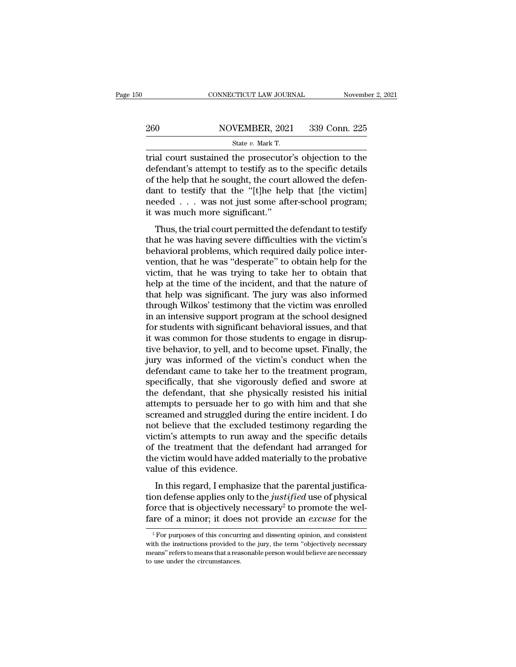### EXECUTE CONNECTICUT LAW JOURNAL Movember 2, 2021<br>260 NOVEMBER, 2021 339 Conn. 225<br>260 State v. Mark T. CONNECTICUT LAW JOURNAL Novemb<br>
260 NOVEMBER, 2021 339 Conn. 225<br>
<sup>State v. Mark T.</sup><br>
Trial court sustained the prosecutor's objection to the

CONNECTICUT LAW JOURNAL November 2, 2021<br>
260 NOVEMBER, 2021 339 Conn. 225<br>  $\frac{\text{State } v. \text{ Mark T.}}{\text{trial court sustained the processor's objection to the}\n\text{defendant's attempt to testify as to the specific details}\n\text{of the help that he could need the deform-$ 260 NOVEMBER, 2021 339 Conn. 225<br>  $\frac{\text{State } v. \text{ Mark T.}}{\text{trial court sustained the processor's objection to the}$ <br>
defendant's attempt to testify as to the specific details<br>
of the help that he sought, the court allowed the defendant to testify that the "It like help t 260 NOVEMBER, 2021 339 Conn. 225<br>
State v. Mark T.<br>
Trial court sustained the prosecutor's objection to the<br>
defendant's attempt to testify as to the specific details<br>
of the help that he sought, the court allowed the def 260 NOVEMBER, 2021 339 Conn. 225<br>  $\frac{\text{State } v. \text{ Mark T.}}{\text{trial court sustained the processor's objection to the}$ <br>
defendant's attempt to testify as to the specific details<br>
of the help that he sought, the court allowed the defendant to testify that the "[t]he help tha State v. Mark T.<br>
The v. Mark T.<br>
The v. Mark T.<br>
The defendant's attempt to testify as to the specific details<br>
of the help that he sought, the court allowed the defen-<br>
dant to testify that the "[t]he help that [the vic state  $v$ . Mark T.<br>
trial court sustained the prosecutor<br>
defendant's attempt to testify as to<br>
of the help that he sought, the court<br>
dant to testify that the "[t]he help<br>
needed  $\dots$  was not just some aft<br>
it was much m at court sustained the prosecutor's objection to the<br>fendant's attempt to testify as to the specific details<br>the help that he sought, the court allowed the defen-<br>nt to testify that the "[t]he help that [the victim]<br>eded . the help that he sought, the court allowed the defendant to testify that the "[t]he help that [the victim] needed . . . was not just some after-school program; it was much more significant."<br>Thus, the trial court permitted

behavioral problems, the court and wed the determinant to testify that the "[t]he help that [the victim] needed . . . was not just some after-school program; it was much more significant."<br>Thus, the trial court permitted t vention, was not just some after-school program;<br>it was much more significant."<br>Thus, the trial court permitted the defendant to testify<br>that he was having severe difficulties with the victim's<br>behavioral problems, which r Thus, the trial court permitted the defendant to testify<br>that he was having severe difficulties with the victim's<br>behavioral problems, which required daily police inter-<br>vention, that he was "desperate" to obtain help for It was internation the significant.<br>Thus, the trial court permitted the defendant to testify<br>that he was having severe difficulties with the victim's<br>behavioral problems, which required daily police inter-<br>vention, that he Thus, the trial court permitted the defendant to testify<br>that he was having severe difficulties with the victim's<br>behavioral problems, which required daily police inter-<br>vention, that he was "desperate" to obtain help for that he was having severe difficulties with the victim's<br>behavioral problems, which required daily police inter-<br>vention, that he was "desperate" to obtain help for the<br>victim, that he was trying to take her to obtain that behavioral problems, which required daily police inter-<br>vention, that he was "desperate" to obtain help for the<br>victim, that he was trying to take her to obtain that<br>help at the time of the incident, and that the nature of vention, that he was "desperate" to obtain help for the victim, that he was trying to take her to obtain that<br>help at the time of the incident, and that the nature of<br>that help was significant. The jury was also informed<br>t victim, that he was trying to take her to obtain that<br>help at the time of the incident, and that the nature of<br>that help was significant. The jury was also informed<br>through Wilkos' testimony that the victim was enrolled<br>in help at the time of the incident, and that the nature of<br>that help was significant. The jury was also informed<br>through Wilkos' testimony that the victim was enrolled<br>in an intensive support program at the school designed<br>f that help was significant. The jury was also informed<br>through Wilkos' testimony that the victim was enrolled<br>in an intensive support program at the school designed<br>for students with significant behavioral issues, and that<br> through Wilkos' testimony that the victim was enrolled<br>in an intensive support program at the school designed<br>for students with significant behavioral issues, and that<br>it was common for those students to engage in disrup-<br> in an intensive support program at the school designed<br>for students with significant behavioral issues, and that<br>it was common for those students to engage in disrup-<br>tive behavior, to yell, and to become upset. Finally, t for students with significant behavioral issues, and that<br>it was common for those students to engage in disrup-<br>tive behavior, to yell, and to become upset. Finally, the<br>jury was informed of the victim's conduct when the<br>d it was common for those students to engage in disruptive behavior, to yell, and to become upset. Finally, the<br>jury was informed of the victim's conduct when the<br>defendant came to take her to the treatment program,<br>specific tive behavior, to yell, and to become upset. Finally, the<br>jury was informed of the victim's conduct when the<br>defendant came to take her to the treatment program,<br>specifically, that she vigorously defied and swore at<br>the de jury was informed of the victim's conduct when the<br>defendant came to take her to the treatment program,<br>specifically, that she vigorously defied and swore at<br>the defendant, that she physically resisted his initial<br>attempts defendant came to take her to the treatment program,<br>specifically, that she vigorously defied and swore at<br>the defendant, that she physically resisted his initial<br>attempts to persuade her to go with him and that she<br>scream specifically, that she vigorously defied and swore at<br>the defendant, that she physically resisted his initial<br>attempts to persuade her to go with him and that she<br>screamed and struggled during the entire incident. I do<br>not the defendant, that she physically resisted his initial<br>attempts to persuade her to go with him and that she<br>screamed and struggled during the entire incident. I do<br>not believe that the excluded testimony regarding the<br>vic attempts to persuade her to<br>screamed and struggled durn<br>ot believe that the exclude<br>victim's attempts to run aw<br>of the treatment that the d<br>the victim would have added<br>value of this evidence.<br>In this regard, I emphasize It is also also that the excluded testimony regarding the trim's attempts to run away and the specific details the treatment that the defendant had arranged for evictim would have added materially to the probative lue of From deferred and the exertated destinonly regarding the victim's attempts to run away and the specific details of the treatment that the defendant had arranged for the victim would have added materially to the probative v

For the treatment that the defendant had arranged for<br>the victim would have added materially to the probative<br>value of this evidence.<br>In this regard, I emphasize that the parental justifica-<br>tion defense applies only to t of the victim would have added materially to the probative<br>value of this evidence.<br>In this regard, I emphasize that the parental justifica-<br>tion defense applies only to the *justified* use of physical<br>force that is objecti In this regard, I emphasize that the parental justification defense applies only to the *justified* use of physical orce that is objectively necessary<sup>2</sup> to promote the wel-<br>re of a minor; it does not provide an *excuse* tion defense applies only to the *justified* use of physical<br>force that is objectively necessary<sup>2</sup> to promote the wel-<br>fare of a minor; it does not provide an *excuse* for the<br> $\frac{1}{2}$  For purposes of this concurring an

force that is objectively necessary<sup>2</sup> to promote the welfare of a minor; it does not provide an *excuse* for the  $\frac{1}{\sqrt[2]{\frac{1}{n}}}$  for purposes of this concurring and dissenting opinion, and consistent with the instruc From the circumstances of this concurred the instructions provided to the instructions provided to the circumstances.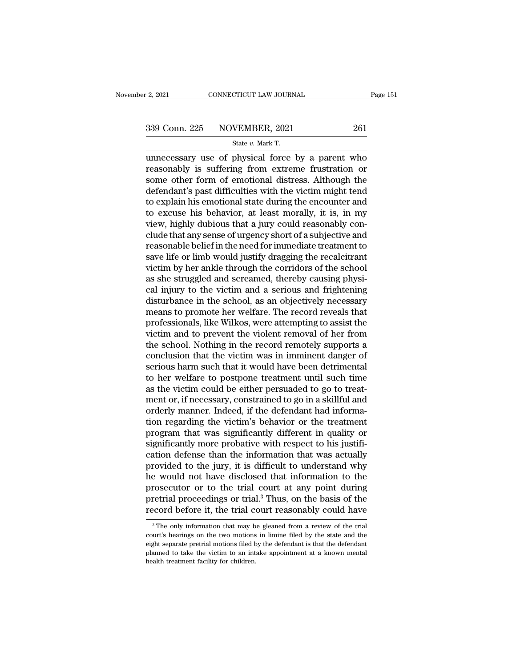# 2, 2021 CONNECTICUT LAW JOURNAL Page 151<br>339 Conn. 225 NOVEMBER, 2021 261<br>State v. Mark T.

F. 2, 2021 CONNECTICUT LAW JOURNAL<br>
State *v.* Mark T.<br>
State *v.* Mark T.<br>
UNITED: We say that a parent who were said to the physical force by a parent who  $\frac{12,2021}{26}$  CONNECTICUT LAW JOURNAL Page 151<br>339 Conn. 225 NOVEMBER, 2021 261<br>5tate v. Mark T.<br>unnecessary use of physical force by a parent who<br>reasonably is suffering from extreme frustration or<br>some other form of 339 Conn. 225 NOVEMBER, 2021 261<br>
State v. Mark T.<br>
unnecessary use of physical force by a parent who<br>
reasonably is suffering from extreme frustration or<br>
some other form of emotional distress. Although the<br>
defendant's p 339 Conn. 225 NOVEMBER, 2021 261<br>
State v. Mark T.<br>
unnecessary use of physical force by a parent who<br>
reasonably is suffering from extreme frustration or<br>
some other form of emotional distress. Although the<br>
defendant's 339 Conn. 225 NOVEMBER, 2021 261<br>
State v. Mark T.<br>
unnecessary use of physical force by a parent who<br>
reasonably is suffering from extreme frustration or<br>
some other form of emotional distress. Although the<br>
defendant's State v. Mark T.<br>
unnecessary use of physical force by a parent who<br>
reasonably is suffering from extreme frustration or<br>
some other form of emotional distress. Although the<br>
defendant's past difficulties with the victim State v. Mark T.<br>
unnecessary use of physical force by a parent who<br>
reasonably is suffering from extreme frustration or<br>
some other form of emotional distress. Although the<br>
defendant's past difficulties with the victim unnecessary use of physical force by a parent who<br>reasonably is suffering from extreme frustration or<br>some other form of emotional distress. Although the<br>defendant's past difficulties with the victim might tend<br>to explain reasonably is suffering from extreme frustration or<br>some other form of emotional distress. Although the<br>defendant's past difficulties with the victim might tend<br>to explain his emotional state during the encounter and<br>to ex some other form of emotional distress. Although the<br>defendant's past difficulties with the victim might tend<br>to explain his emotional state during the encounter and<br>to excuse his behavior, at least morally, it is, in my<br>vi defendant's past difficulties with the victim might tend<br>to explain his emotional state during the encounter and<br>to excuse his behavior, at least morally, it is, in my<br>view, highly dubious that a jury could reasonably conto explain his emotional state during the encounter and<br>to excuse his behavior, at least morally, it is, in my<br>view, highly dubious that a jury could reasonably con-<br>clude that any sense of urgency short of a subjective an to excuse his behavior, at least morally, it is, in my<br>view, highly dubious that a jury could reasonably con-<br>clude that any sense of urgency short of a subjective and<br>reasonable belief in the need for immediate treatment view, highly dubious that a jury could reasonably conclude that any sense of urgency short of a subjective and<br>reasonable belief in the need for immediate treatment to<br>save life or limb would justify dragging the recalcitr clude that any sense of urgency short of a subjective and<br>reasonable belief in the need for immediate treatment to<br>save life or limb would justify dragging the recalcitrant<br>victim by her ankle through the corridors of the reasonable belief in the need for immediate treatment to<br>save life or limb would justify dragging the recalcitrant<br>victim by her ankle through the corridors of the school<br>as she struggled and screamed, thereby causing phys save life or limb would justify dragging the recalcitrant<br>victim by her ankle through the corridors of the school<br>as she struggled and screamed, thereby causing physi-<br>cal injury to the victim and a serious and frightening victim by her ankle through the corridors of the school<br>as she struggled and screamed, thereby causing physi-<br>cal injury to the victim and a serious and frightening<br>disturbance in the school, as an objectively necessary<br>me as she struggled and screamed, thereby causing physical injury to the victim and a serious and frightening<br>disturbance in the school, as an objectively necessary<br>means to promote her welfare. The record reveals that<br>profes cal injury to the victim and a serious and frightening<br>disturbance in the school, as an objectively necessary<br>means to promote her welfare. The record reveals that<br>professionals, like Wilkos, were attempting to assist the<br> disturbance in the school, as an objectively necessary<br>means to promote her welfare. The record reveals that<br>professionals, like Wilkos, were attempting to assist the<br>victim and to prevent the violent removal of her from<br>t means to promote her welfare. The record reveals that<br>professionals, like Wilkos, were attempting to assist the<br>victim and to prevent the violent removal of her from<br>the school. Nothing in the record remotely supports a<br>co professionals, like Wilkos, were attempting to assist the victim and to prevent the violent removal of her from the school. Nothing in the record remotely supports a conclusion that the victim was in imminent danger of ser victim and to prevent the violent removal of her from<br>the school. Nothing in the record remotely supports a<br>conclusion that the victim was in imminent danger of<br>serious harm such that it would have been detrimental<br>to her the school. Nothing in the record remotely supports a conclusion that the victim was in imminent danger of serious harm such that it would have been detrimental to her welfare to postpone treatment until such time as the v conclusion that the victim was in imminent danger of<br>serious harm such that it would have been detrimental<br>to her welfare to postpone treatment until such time<br>as the victim could be either persuaded to go to treat-<br>ment o serious harm such that it would have been detrimental<br>to her welfare to postpone treatment until such time<br>as the victim could be either persuaded to go to treat-<br>ment or, if necessary, constrained to go in a skillful and<br> to her welfare to postpone treatment until such time<br>as the victim could be either persuaded to go to treat-<br>ment or, if necessary, constrained to go in a skillful and<br>orderly manner. Indeed, if the defendant had informa-<br> as the victim could be either persuaded to go to treat-<br>ment or, if necessary, constrained to go in a skillful and<br>orderly manner. Indeed, if the defendant had informa-<br>tion regarding the victim's behavior or the treatment ment or, if necessary, constrained to go in a skillful and<br>orderly manner. Indeed, if the defendant had informa-<br>tion regarding the victim's behavior or the treatment<br>program that was significantly different in quality or<br> orderly manner. Indeed, if the defendant had information regarding the victim's behavior or the treatment<br>program that was significantly different in quality or<br>significantly more probative with respect to his justifi-<br>cat tion regarding the victim's behavior or the treatment<br>program that was significantly different in quality or<br>significantly more probative with respect to his justifi-<br>cation defense than the information that was actually<br>p program that was significantly different in quality or<br>significantly more probative with respect to his justifi-<br>cation defense than the information that was actually<br>provided to the jury, it is difficult to understand why significantly more probative with respect to his justification defense than the information that was actually provided to the jury, it is difficult to understand why he would not have disclosed that information to the pro e would not have disclosed that information to the rosecutor or to the trial court at any point during retrial proceedings or trial.<sup>3</sup> Thus, on the basis of the coord before it, the trial court reasonably could have  $\frac{3$ prosecutor or to the trial court at any point during<br>pretrial proceedings or trial.<sup>3</sup> Thus, on the basis of the<br>record before it, the trial court reasonably could have<br><sup>3</sup> The only information that may be gleaned from a r

pretrial proceedings or trial.<sup>3</sup> Thus, on the basis of the record before it, the trial court reasonably could have  $\frac{3}{\pi}$  The only information that may be gleaned from a review of the trial court's hearings on the two **Planned to take the victim of the victim of the victim of the victim of the victim of**  $\frac{1}{2}$  **The only information that may be gleaned from a review of the trial court's hearings on the two motions in limine filed by t** <sup>3</sup> The only information that may be gleaned from a review of the trial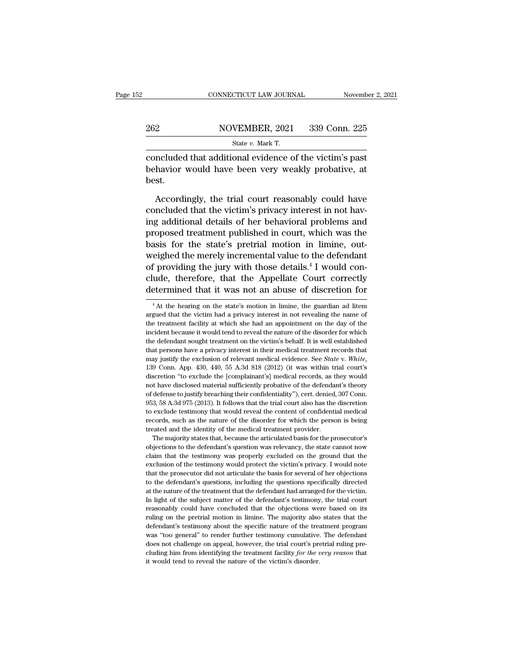|     | CONNECTICUT LAW JOURNAL                                 | November 2, 2021 |
|-----|---------------------------------------------------------|------------------|
|     |                                                         |                  |
| 262 | NOVEMBER, 2021                                          | 339 Conn. 225    |
|     | State $v$ . Mark T.                                     |                  |
|     | concluded that additional evidence of the victim's nast |                  |

connecticut LAW JOURNAL November 2, 202<br>
262 NOVEMBER, 2021 339 Conn. 225<br>
339 Conn. 225<br>
262 State v. Mark T.<br>
2011 Concluded that additional evidence of the victim's past<br>
behavior would have been very weakly probative,  $\begin{array}{r} \text{262} \text{NOVEMBER, 2021} \text{339 Conn. } \text{225} \ \text{State } v. \text{ Mark T.} \ \text{concluded that additional evidence of the victim's past behavior would have been very weakly probabilistic, at best.} \end{array}$ best. State v. Mark T.<br>
State v. Mark T.<br>
Included that additional evidence of the victim's past<br>
havior would have been very weakly probative, at<br>
st.<br>
Accordingly, the trial court reasonably could have<br>
ncluded that the victi

State v. Mark T.<br>
concluded that additional evidence of the victim's past<br>
behavior would have been very weakly probative, at<br>
best.<br>
Accordingly, the trial court reasonably could have<br>
concluded that the victim's privacy concluded that additional evidence of the victim's past<br>behavior would have been very weakly probative, at<br>best.<br>Accordingly, the trial court reasonably could have<br>concluded that the victim's privacy interest in not hav-<br>i behavior would have been very weakly probative, at<br>best.<br>Accordingly, the trial court reasonably could have<br>concluded that the victim's privacy interest in not hav-<br>ing additional details of her behavioral problems and<br>pro best.<br>
Accordingly, the trial court reasonably could have<br>
concluded that the victim's privacy interest in not hav-<br>
ing additional details of her behavioral problems and<br>
proposed treatment published in court, which was t Accordingly, the trial court reasonably could have<br>concluded that the victim's privacy interest in not hav-<br>ing additional details of her behavioral problems and<br>proposed treatment published in court, which was the<br>basis f Accordingly, the trial court reasonably could have<br>concluded that the victim's privacy interest in not hav-<br>ing additional details of her behavioral problems and<br>proposed treatment published in court, which was the<br>basis f concluded that the victim's privacy interest in not having additional details of her behavioral problems and<br>proposed treatment published in court, which was the<br>basis for the state's pretrial motion in limine, out-<br>weighe ing additional details of her behavioral problems and<br>proposed treatment published in court, which was the<br>basis for the state's pretrial motion in limine, out-<br>weighed the merely incremental value to the defendant<br>of prov f providing the jury with those details.<sup>4</sup> I would con-<br>ude, therefore, that the Appellate Court correctly<br>etermined that it was not an abuse of discretion for<br> $^{4}$ At the hearing on the state's motion in limine, the gua of providing the jury with those details.<sup>4</sup> I would conclude, therefore, that the Appellate Court correctly determined that it was not an abuse of discretion for  $\frac{4 \text{ At the hearing on the state's motion in limine, the guardian ad litem argued that the victim had a privacy interest in not revealing the name of the treatment facility at which she had an appointment on the day of the$ 

clude, therefore, that the Appellate Court correctly<br>determined that it was not an abuse of discretion for<br><sup>4</sup>At the hearing on the state's motion in limine, the guardian ad litem<br>argued that the victim had a privacy inter determined that it was not an abuse of discretion for<br>
<sup>4</sup> At the hearing on the state's motion in limine, the guardian ad litem<br>
argued that the victim had a privacy interest in not revealing the name of<br>
the treatment fa The defermined that it was not all abuse of discretion for  $\frac{1}{4}$  at the hearing on the state's motion in limine, the guardian ad litem argued that the victim had a privacy interest in not revealing the name of the tre <sup>4</sup> At the hearing on the state's motion in limine, the guardian ad litem argued that the victim had a privacy interest in not revealing the name of the treatment facility at which she had an appointment on the day of the argued that the victim had a privacy interest in not revealing the name of the treatment facility at which she had an appointment on the day of the incident because it would tend to reveal the nature of the disorder for wh incident because it would tend to reveal the nature of the disorder for which<br>the defendant sought treatment on the victim's behalf. It is well established<br>that persons have a privacy interest in their medical treatment re the defendant sought treatment on the victim's behalf. It is well established that persons have a privacy interest in their medical treatment records that may justify the exclusion of relevant medical evidence. See *State* that persons have a privacy interest in their medical treatment records that may justify the exclusion of relevant medical evidence. See *State* v. White, 139 Conn. App. 430, 440, 55 A.3d 818 (2012) (it was within trial co may justify the exclusion of relevant medical evidence. See *State* v. White, 139 Conn. App. 430, 440, 55 A.3d 818 (2012) (it was within trial court's discretion "to exclude the [complainant's] medical records, as they wo 139 Conn. App. 430, 440, 55 A.3d 818 (2012) (it was within trial court's discretion "to exclude the [complainant's] medical records, as they would not have disclosed material sufficiently probative of the defendant's theo discretion "to exclude the [complainant's] medical records, as they would not have disclosed material sufficiently probative of the defendant's theory of defense to justify breaching their confidentiality"), cert. denied, discretion "to exclude the [complainant's] medical records, as they would<br>not have disclosed material sufficiently probative of the defendant's theory<br>of defense to justify breaching their confidentiality"), cert. denied, defense to justify breaching their confidentiality"), cert. denied, 307 Conn.<br>3, 58 A.3d 975 (2013). It follows that the trial court also has the discretion<br>exclude testimony that would reveal the content of confidential m 953, 58 A.3d 975 (2013). It follows that the trial court also has the discretion to exclude testimony that would reveal the content of confidential medical records, such as the nature of the disorder for which the person

co, or solute testimony that would reveal the content of confidential medical records, such as the nature of the disorder for which the person is being treated and the identity of the medical treatment provider.<br>The majori records, such as the nature of the disorder for which the person is being<br>treated and the identity of the medical treatment provider.<br>The majority states that, because the articulated basis for the prosecutor's<br>objections treated and the identity of the medical treatment provider.<br>The majority states that, because the articulated basis for the prosecutor's<br>objections to the defendant's question was relevancy, the state cannot now<br>claim that The majority states that, because the articulated basis for the prosecutor's objections to the defendant's question was relevancy, the state cannot now claim that the testimony was properly excluded on the ground that the between the defendant's question was relevancy, the state cannot now claim that the defendant's question was relevancy, the state cannot now claim that the exclusion of the testimony would protect the victim's privacy. I w In light of the testimony was properly excluded on the ground that the exclusion of the testimony would protect the victim's privacy. I would note that the prosecutor did not articulate the basis for several of her objecti exclusion of the testimony would protect the victim's privacy. I would note that the prosecutor did not articulate the basis for several of her objections to the defendant's questions, including the questions specifically ruling that the prosecutor did not articulate the basis for several of her objections to the defendant's questions, including the questions specifically directed at the nature of the treatment that the defendant had arrang at the defendant's questions, including the questions specifically directed at the nature of the treatment that the defendant had arranged for the victim. In light of the subject matter of the defendant's testimony, the tr at the nature of the treatment that the defendant had arranged for the victim.<br>In light of the subject matter of the defendant's testimony, the trial court<br>reasonably could have concluded that the objections were based on In light of the subject matter of the defendant's testimony, the trial court reasonably could have concluded that the objections were based on its ruling on the pretrial motion in limine. The majority also states that the reasonably could have concluded that the objections were based on its ruling on the pretrial motion in limine. The majority also states that the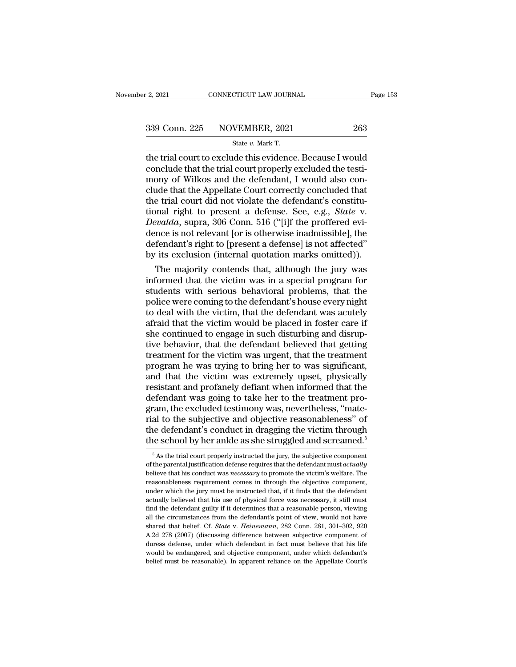CONNECTICUT LAW JOURNAL<br>
State *v.* Mark T.<br>
The trial court to exclude this evidence. Because I would Fig. 2. 2021 CONNECTICUT LAW JOURNAL Page 153<br>
339 Conn. 225 NOVEMBER, 2021 263<br>
5tate v. Mark T.<br>
the trial court to exclude this evidence. Because I would<br>
conclude that the trial court properly excluded the testi-<br>
mon 339 Conn. 225 NOVEMBER, 2021 263<br>
State v. Mark T.<br>
the trial court to exclude this evidence. Because I would<br>
conclude that the trial court properly excluded the testi-<br>
mony of Wilkos and the defendant, I would also con 339 Conn. 225 NOVEMBER, 2021 263<br>
State v. Mark T.<br>
the trial court to exclude this evidence. Because I would<br>
conclude that the trial court properly excluded the testi-<br>
mony of Wilkos and the defendant, I would also con 339 Conn. 225 NOVEMBER, 2021 263<br>
state v. Mark T.<br>
the trial court to exclude this evidence. Because I would<br>
conclude that the trial court properly excluded the testi-<br>
mony of Wilkos and the defendant, I would also con Solution 225 State v. Mark T.<br>
State v. Mark T.<br>
the trial court to exclude this evidence. Because I would<br>
conclude that the trial court properly excluded the testi-<br>
mony of Wilkos and the defendant, I would also con-<br> State v. Mark T.<br>
the trial court to exclude this evidence. Because I would<br>
conclude that the trial court properly excluded the testi-<br>
mony of Wilkos and the defendant, I would also con-<br>
clude that the Appellate Court c the trial court to exclude this evidence. Because I would<br>conclude that the trial court properly excluded the testi-<br>mony of Wilkos and the defendant, I would also con-<br>clude that the Appellate Court correctly concluded th conclude that the trial court properly excluded the testi-<br>mony of Wilkos and the defendant, I would also con-<br>clude that the Appellate Court correctly concluded that<br>the trial court did not violate the defendant's constit mony of Wilkos and the defendant, I would also conclude that the Appellate Court correctly concluded that<br>the trial court did not violate the defendant's constitu-<br>tional right to present a defense. See, e.g., *State* v.<br> clude that the Appellate Court correctly concluded that<br>the trial court did not violate the defendant's constitu-<br>tional right to present a defense. See, e.g., *State* v.<br>Devalda, supra, 306 Conn. 516 ("[i]f the proffered e trial court did not violate the defendant's constitu-<br>mal right to present a defense. See, e.g., *State v.*<br>*evalda*, supra, 306 Conn. 516 ("[i]f the proffered evi-<br>nce is not relevant [or is otherwise inadmissible], the tional right to present a defense. See, e.g., *State v.*<br>Devalda, supra, 306 Conn. 516 ("[i]f the proffered evi-<br>dence is not relevant [or is otherwise inadmissible], the<br>defendant's right to [present a defense] is not aff

Devataa, supra, 306 Conn. 516 ("[1]] the proffered evidence is not relevant [or is otherwise inadmissible], the defendant's right to [present a defense] is not affected"<br>by its exclusion (internal quotation marks omitted)) dence is not relevant [or is otherwise madmissible], the<br>defendant's right to [present a defense] is not affected"<br>by its exclusion (internal quotation marks omitted)).<br>The majority contends that, although the jury was<br>inf defendant's right to [present a defense] is not affected"<br>by its exclusion (internal quotation marks omitted)).<br>The majority contends that, although the jury was<br>informed that the victim was in a special program for<br>studen by its exclusion (internal quotation marks omitted)).<br>The majority contends that, although the jury was<br>informed that the victim was in a special program for<br>students with serious behavioral problems, that the<br>police were The majority contends that, although the jury was<br>informed that the victim was in a special program for<br>students with serious behavioral problems, that the<br>police were coming to the defendant's house every night<br>to deal wi informed that the victim was in a special program for<br>students with serious behavioral problems, that the<br>police were coming to the defendant's house every night<br>to deal with the victim, that the defendant was acutely<br>afra students with serious behavioral problems, that the police were coming to the defendant's house every night to deal with the victim, that the defendant was acutely afraid that the victim would be placed in foster care if s police were coming to the defendant's house every night<br>to deal with the victim, that the defendant was acutely<br>afraid that the victim would be placed in foster care if<br>she continued to engage in such disturbing and disrup to deal with the victim, that the defendant was acutely<br>afraid that the victim would be placed in foster care if<br>she continued to engage in such disturbing and disrup-<br>tive behavior, that the defendant believed that gettin afraid that the victim would be placed in foster care if<br>she continued to engage in such disturbing and disrup-<br>tive behavior, that the defendant believed that getting<br>treatment for the victim was urgent, that the treatmen she continued to engage in such disturbing and disruptive behavior, that the defendant believed that getting treatment for the victim was urgent, that the treatment program he was trying to bring her to was significant, an tive behavior, that the defendant believed that getting<br>treatment for the victim was urgent, that the treatment<br>program he was trying to bring her to was significant,<br>and that the victim was extremely upset, physically<br>res treatment for the victim was urgent, that the treatment<br>program he was trying to bring her to was significant,<br>and that the victim was extremely upset, physically<br>resistant and profanely defiant when informed that the<br>defe program he was trying to bring her to was significant,<br>and that the victim was extremely upset, physically<br>resistant and profanely defiant when informed that the<br>defendant was going to take her to the treatment pro-<br>gram, and that the victim was extremely upset, physically<br>resistant and profanely defiant when informed that the<br>defendant was going to take her to the treatment pro-<br>gram, the excluded testimony was, nevertheless, "mate-<br>rial ram, the excluded testimony was, nevertheless, "mate-<br>al to the subjective and objective reasonableness" of<br>the defendant's conduct in dragging the victim through<br>the school by her ankle as she struggled and screamed.<sup>5</sup><br> rial to the subjective and objective reasonableness" of<br>the defendant's conduct in dragging the victim through<br>the school by her ankle as she struggled and screamed.<sup>5</sup><br><sup>5</sup> As the trial court properly instructed the jury,

the defendant's conduct in dragging the victim through<br>the school by her ankle as she struggled and screamed.<sup>5</sup><br><sup>5</sup> As the trial court properly instructed the jury, the subjective component<br>of the parental justification d the school by her ankle as she struggled and screamed.<sup>5</sup><br>
<sup>5</sup> As the trial court properly instructed the jury, the subjective component of the parental justification defense requires that the defendant must *actually* be The scribol by the anticle as site struggled and screamed.<br>  $\frac{1}{100}$  is a find to find the jury must be interested that the defendant must *actually*<br>
believe that his conduct was *necessary* to promote the victim's we  $^\circ$  As the trial court properly instructed the jury, the subjective component of the parental justification defense requires that the defendant must *actually* believe that his conduct was *necessary* to promote the vict of the parental justification defense requires that the defendant must *actually* believe that his conduct was *necessary* to promote the victim's welfare. The reasonableness requirement comes in through the objective com believe that his conduct was *necessary* to promote the victim's welfare. The reasonableness requirement comes in through the objective component, under which the jury must be instructed that, if it finds that the defendan reasonableness requirement comes in through the objective component, under which the jury must be instructed that, if it finds that the defendant actually believed that his use of physical force was necessary, it still mus under which the jury must be instructed that, if it finds that the defendant actually believed that his use of physical force was necessary, it still must find the defendant guilty if it determines that a reasonable person actually believed that his use of physical force was necessary, it still must<br>find the defendant guilty if it determines that a reasonable person, viewing<br>all the circumstances from the defendant's point of view, would not find the defendant guilty if it determines that a reasonable person, viewing all the circumstances from the defendant's point of view, would not have shared that belief. Cf. *State* v. *Heinemann*, 282 Conn. 281, 301–302, all the circumstances from the defendant's point of view, would not have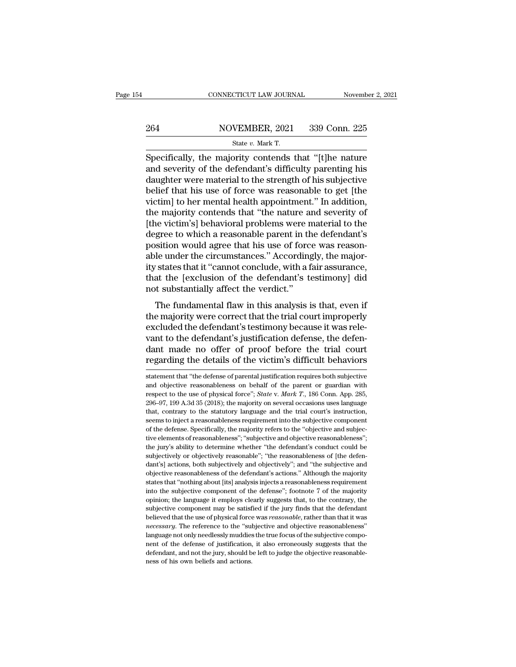# EXECUTE CONNECTICUT LAW JOURNAL Movember 2, 2021<br>264 NOVEMBER, 2021 339 Conn. 225<br>264 State v. Mark T.

CONNECTICUT LAW JOURNAL Novemb<br>
264 NOVEMBER, 2021 339 Conn. 225<br>
<sup>State v. Mark T.</sup><br>
Specifically, the majority contends that "[t]he nature CONNECTICUT LAW JOURNAL November 2, 2021<br>  $\frac{264}{\text{State } v \cdot \text{Mark } T.}$ <br>
Specifically, the majority contends that "[t]he nature<br>
and severity of the defendant's difficulty parenting his<br>
daughter were material to the strength 264 NOVEMBER, 2021 339 Conn. 225<br>  $\frac{\text{State } v. \text{ Mark T.}}{\text{Specifically, the majority contents that "[t]he nature}}$ <br>
and severity of the defendant's difficulty parenting his<br>
daughter were material to the strength of his subjective<br>
holief that his use of force was r 264 NOVEMBER, 2021 339 Conn. 225<br>
State v. Mark T.<br>
Specifically, the majority contends that "[t]he nature<br>
and severity of the defendant's difficulty parenting his<br>
daughter were material to the strength of his subjectiv  $\frac{\text{264}}{\text{State } v. \text{ Mark T.}}$ <br>Specifically, the majority contends that "[t]he nature<br>and severity of the defendant's difficulty parenting his<br>daughter were material to the strength of his subjective<br>belief that his use of for Specifically, the majority contends that "[t]he nature<br>and severity of the defendant's difficulty parenting his<br>daughter were material to the strength of his subjective<br>belief that his use of force was reasonable to get [ Specifically, the majority contends that "[t]he nature<br>and severity of the defendant's difficulty parenting his<br>daughter were material to the strength of his subjective<br>belief that his use of force was reasonable to get [ Specifically, the majority contends that "[t]he nature<br>and severity of the defendant's difficulty parenting his<br>daughter were material to the strength of his subjective<br>belief that his use of force was reasonable to get [t and severity of the defendant's difficulty parenting his<br>daughter were material to the strength of his subjective<br>belief that his use of force was reasonable to get [the<br>victim] to her mental health appointment.'' In addit daughter were material to the strength of his subjective<br>belief that his use of force was reasonable to get [the<br>victim] to her mental health appointment." In addition,<br>the majority contends that "the nature and severity o belief that his use of force was reasonable to get [the victim] to her mental health appointment." In addition, the majority contends that "the nature and severity of [the victim's] behavioral problems were material to the victim] to her mental health appointment." In addition,<br>the majority contends that "the nature and severity of<br>[the victim's] behavioral problems were material to the<br>degree to which a reasonable parent in the defendant's<br> the majority contends that "the nature and severity of<br>[the victim's] behavioral problems were material to the<br>degree to which a reasonable parent in the defendant's<br>position would agree that his use of force was reason-<br>a [the victim's] behavioral problems were r<br>degree to which a reasonable parent in th<br>position would agree that his use of forc<br>able under the circumstances.'' According<br>ity states that it "cannot conclude, with a f<br>that the givet to which a reasonable parent in the detendant's<br>sition would agree that his use of force was reason-<br>le under the circumstances." Accordingly, the major-<br>states that it "cannot conclude, with a fair assurance,<br>at the position would agree that his use of force was reasonable under the circumstances." Accordingly, the majority states that it "cannot conclude, with a fair assurance, that the [exclusion of the defendant's testimony] did no

able under the chemistances. Accordingly, the major-<br>ity states that it "cannot conclude, with a fair assurance,<br>that the [exclusion of the defendant's testimony] did<br>not substantially affect the verdict."<br>The fundamental ity states that it cannot conclude, while a fail assurance,<br>that the [exclusion of the defendant's testimony] did<br>not substantially affect the verdict."<br>The fundamental flaw in this analysis is that, even if<br>the majority w and the [exclusion of the detendant's testhholy] did-<br>not substantially affect the verdict."<br>The fundamental flaw in this analysis is that, even if<br>the majority were correct that the trial court improperly<br>excluded the def The fundamental flaw in this analysis is that, even if<br>the majority were correct that the trial court improperly<br>excluded the defendant's testimony because it was rele-<br>vant to the defendant's justification defense, the de excluded the defendant's testimony because it was relevant to the defendant's justification defense, the defendant made no offer of proof before the trial court regarding the details of the victim's difficult behaviors st vant to the defendant's justification defense, the defendant made no offer of proof before the trial court regarding the details of the victim's difficult behaviors statement that "the defense of parental justification re

dant made no offer of proof before the trial court<br>regarding the details of the victim's difficult behaviors<br>statement that "the defense of parental justification requires both subjective<br>and objective reasonableness on be regarding the details of the victim's difficult behaviors<br>
statement that "the defense of parental justification requires both subjective<br>
and objective reasonableness on behalf of the parent or guardian with<br>
respect to t that, contrary to the status of the victorial summer statement that "the defense of parental justification requires both subjective and objective reasonableness on behalf of the parent or guardian with respect to the use o statement that "the defense of parental justification requires both subjective<br>and objective reasonableness on behalf of the parent or guardian with<br>respect to the use of physical force"; *State* v. *Mark T*., 186 Conn. A and objective reasonableness on behalf of the parent or guardian with<br>respect to the use of physical force"; *State* v. *Mark T*., 186 Conn. App. 285,<br>296–97, 199 A.3d 35 (2018); the majority on several occasions uses lan respect to the use of physical force"; *State v. Mark T.*, 186 Conn. App. 285, 296–97, 199 A.3d 35 (2018); the majority on several occasions uses language that, contrary to the statutory language and the trial court's ins 296–97, 199 A.3d 35 (2018); the majority on several occasions uses language<br>296–97, 199 A.3d 35 (2018); the majority on several occasions uses language<br>that, contrary to the statutory language and the trial court's instruc that, contrary to the statutory language and the trial court's instruction, seems to inject a reasonableness requirement into the subjective component of the defense. Specifically, the majority refers to the "objective and dantly actions, both subjectively and objective component of the defense. Specifically, the majority refers to the "objective and subjective elements of reasonableness"; "subjective and objective reasonableness"; the jury' of the defense. Specifically, the majority refers to the "objective and subjective elements of reasonableness"; "subjective and objective reasonableness"; the jury's ability to determine whether "the defendant's conduct co states that ''nothing about [its] analysis injective and objective reasonableness"; the jury's ability to determine whether "the defendant's conduct could be subjectively or objectively reasonable"; "the reasonableness of the jury's ability to determine whether "the defendant's conduct could be subjectively or objectively reasonable"; "the reasonableness of [the defendant's] actions, both subjectively and objectively''; and "the subjective subjectively or objectively reasonable", "the reasonableness of [the defendant's] actions, both subjectively and objectively"; and "the subjective and objective reasonableness of the defendant's actions." Although the majo dant's] actions, both subjectively and objectively"; and "the subjective and objective reasonableness of the defendant's actions." Although the majority states that "nothing about [its] analysis injects a reasonableness re abijective reasonableness of the defendant's actions." Although the majority states that "nothing about [its] analysis injects a reasonableness requirement into the subjective component of the defense"; footnote 7 of the m *necessary*. The reference to the ''subjective and objective component into the subjective component of the defense"; footnote 7 of the majority opinion; the language it employs clearly suggests that, to the contrary, the language not only needlessly muddies the true focus of the majority opinion; the language it employs clearly suggests that, to the contrary, the subjective component may be satisfied if the jury finds that the defendant b nent of the language it employs clearly suggests that, to the contrary, the subjective component may be satisfied if the jury finds that the defendant believed that the use of physical force was *reasonable*, rather than t opinion; the language it employs clearly suggests that, to the contrary, the subjective component may be satisfied if the jury finds that the defendant believed that the use of physical force was *reasonable*, rather than believed that the use of physical force was reasonable, rather than that it was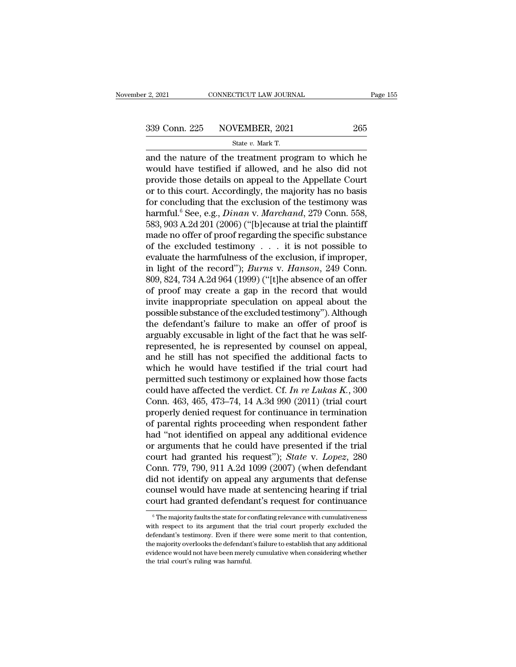# $\frac{2,2021}{2,2021}$  CONNECTICUT LAW JOURNAL Page 155<br>339 Conn. 225 NOVEMBER, 2021 265<br>State v. Mark T.

F. 2, 2021 CONNECTICUT LAW JOURNAL<br>
State *v.* Mark T.<br>
State *v.* Mark T.<br>
and the nature of the treatment program to which he  $\frac{2,2021}{2,2021}$  CONNECTICUT LAW JOURNAL Page 155<br>339 Conn. 225 NOVEMBER, 2021 265<br>5 State v. Mark T.<br>and the nature of the treatment program to which he<br>would have testified if allowed, and he also did not<br>provide the 339 Conn. 225 NOVEMBER, 2021 265<br>
state v. Mark T.<br>
and the nature of the treatment program to which he<br>
would have testified if allowed, and he also did not<br>
provide those details on appeal to the Appellate Court<br>
or to 339 Conn. 225 NOVEMBER, 2021 265<br>
State v. Mark T.<br>
and the nature of the treatment program to which he<br>
would have testified if allowed, and he also did not<br>
provide those details on appeal to the Appellate Court<br>
or to 339 Conn. 225 NOVEMBER, 2021 265<br>
State v. Mark T.<br>
and the nature of the treatment program to which he<br>
would have testified if allowed, and he also did not<br>
provide those details on appeal to the Appellate Court<br>
or to State v. Mark T.<br>
and the nature of the treatment program to which he<br>
would have testified if allowed, and he also did not<br>
provide those details on appeal to the Appellate Court<br>
or to this court. Accordingly, the major state *v.* Mark 1.<br>
and the nature of the treatment program to which he<br>
would have testified if allowed, and he also did not<br>
provide those details on appeal to the Appellate Court<br>
or to this court. Accordingly, the majo and the nature of the treatment program to which he<br>would have testified if allowed, and he also did not<br>provide those details on appeal to the Appellate Court<br>or to this court. Accordingly, the majority has no basis<br>for c would have testified if allowed, and he also did not<br>provide those details on appeal to the Appellate Court<br>or to this court. Accordingly, the majority has no basis<br>for concluding that the exclusion of the testimony was<br>h provide those details on appeal to the Appellate Court<br>or to this court. Accordingly, the majority has no basis<br>for concluding that the exclusion of the testimony was<br>harmful.<sup>6</sup> See, e.g., *Dinan v. Marchand*, 279 Conn. or to this court. Accordingly, the majority has no basis<br>for concluding that the exclusion of the testimony was<br>harmful.<sup>6</sup> See, e.g., *Dinan v. Marchand*, 279 Conn. 558,<br>583, 903 A.2d 201 (2006) ("[b]ecause at trial the for concluding that the exclusion of the testimony was<br>harmful.<sup>6</sup> See, e.g., *Dinan v. Marchand*, 279 Conn. 558,<br>583, 903 A.2d 201 (2006) ("[b]ecause at trial the plaintiff<br>made no offer of proof regarding the specific su harmful.<sup>6</sup> See, e.g., *Dinan v. Marchand*, 279 Conn. 558, 583, 903 A.2d 201 (2006) ("[b]ecause at trial the plaintiff made no offer of proof regarding the specific substance of the excluded testimony  $\dots$  it is not possi 583, 903 A.2d 201 (2006) ("[b]ecause at trial the plaintiff<br>made no offer of proof regarding the specific substance<br>of the excluded testimony  $\ldots$  it is not possible to<br>evaluate the harmfulness of the exclusion, if impro made no offer of proof regarding the specific substance<br>of the excluded testimony . . . it is not possible to<br>evaluate the harmfulness of the exclusion, if improper,<br>in light of the record"); *Burns* v. *Hanson*, 249 Conn of the excluded testimony . . . . it is not possible to<br>evaluate the harmfulness of the exclusion, if improper,<br>in light of the record"); *Burns* v. *Hanson*, 249 Conn.<br>809, 824, 734 A.2d 964 (1999) ("[t]he absence of an o evaluate the harmfulness of the exclusion, if improper,<br>in light of the record"); *Burns* v. *Hanson*, 249 Conn.<br>809, 824, 734 A.2d 964 (1999) ("[t]he absence of an offer<br>of proof may create a gap in the record that would<br> in light of the record"); *Burns* v. *Hanson*, 249 Conn.<br>809, 824, 734 A.2d 964 (1999) ("[t]he absence of an offer<br>of proof may create a gap in the record that would<br>invite inappropriate speculation on appeal about the<br>pos 809, 824, 734 A.2d 964 (1999) ("[t]he absence of an offer<br>of proof may create a gap in the record that would<br>invite inappropriate speculation on appeal about the<br>possible substance of the excluded testimony"). Although<br>the of proof may create a gap in the record that would<br>invite inappropriate speculation on appeal about the<br>possible substance of the excluded testimony"). Although<br>the defendant's failure to make an offer of proof is<br>arguably invite inappropriate speculation on appeal about the<br>possible substance of the excluded testimony"). Although<br>the defendant's failure to make an offer of proof is<br>arguably excusable in light of the fact that he was self-<br> possible substance of the excluded testimony"). Although<br>the defendant's failure to make an offer of proof is<br>arguably excusable in light of the fact that he was self-<br>represented, he is represented by counsel on appeal,<br> the defendant's failure to make an offer of proof is<br>arguably excusable in light of the fact that he was self-<br>represented, he is represented by counsel on appeal,<br>and he still has not specified the additional facts to<br>whi arguably excusable in light of the fact that he was self-<br>represented, he is represented by counsel on appeal,<br>and he still has not specified the additional facts to<br>which he would have testified if the trial court had<br>pe represented, he is represented by counsel on appeal,<br>and he still has not specified the additional facts to<br>which he would have testified if the trial court had<br>permitted such testimony or explained how those facts<br>could and he still has not specified the additional facts to<br>which he would have testified if the trial court had<br>permitted such testimony or explained how those facts<br>could have affected the verdict. Cf. In re Lukas K., 300<br>Co which he would have testified if the trial court had<br>permitted such testimony or explained how those facts<br>could have affected the verdict. Cf. In re Lukas K., 300<br>Conn. 463, 465, 473–74, 14 A.3d 990 (2011) (trial court<br>p permitted such testimony or explained how those facts<br>could have affected the verdict. Cf. In re Lukas K., 300<br>Conn. 463, 465, 473–74, 14 A.3d 990 (2011) (trial court<br>properly denied request for continuance in termination could have affected the verdict. Cf. *In re Lukas K.*, 300<br>Conn. 463, 465, 473–74, 14 A.3d 990 (2011) (trial court<br>properly denied request for continuance in termination<br>of parental rights proceeding when respondent father Conn. 463, 465, 473–74, 14 A.3d 990 (2011) (trial court<br>properly denied request for continuance in termination<br>of parental rights proceeding when respondent father<br>had "not identified on appeal any additional evidence<br>or a properly denied request for continuance in termination<br>of parental rights proceeding when respondent father<br>had "not identified on appeal any additional evidence<br>or arguments that he could have presented if the trial<br>court of parental rights proceeding when respondent father<br>had "not identified on appeal any additional evidence<br>or arguments that he could have presented if the trial<br>court had granted his request"); *State* v. *Lopez*, 280<br>Con had "not identified on appeal any additional evidence<br>or arguments that he could have presented if the trial<br>court had granted his request"); *State* v. *Lopez*, 280<br>Conn. 779, 790, 911 A.2d 1099 (2007) (when defendant<br>di Conn. 779, 790, 911 A.2d 1099 (2007) (when defendant did not identify on appeal any arguments that defense counsel would have made at sentencing hearing if trial court had granted defendant's request for continuance  $\frac{1$ did not identify on appeal any arguments that defense<br>counsel would have made at sentencing hearing if trial<br>court had granted defendant's request for continuance<br><sup>6</sup>The majority faults the state for conflating relevance w

counsel would have made at sentencing hearing if trial<br>court had granted defendant's request for continuance<br><sup>®</sup>The majority faults the state for conflating relevance with cumulativeness<br>with respect to its argument that t Followith and granted defendant's request for continuance<br>
<sup>6</sup> The majority faults the state for conflating relevance with cumulativeness<br>
with respect to its argument that the trial court properly excluded the<br>
defendant' The majority faults the state for conflating relevance with cumulativeness<br>with respect to its argument that the trial court properly excluded the<br>defendant's testimony. Even if there were some merit to that contention,<br>th  $^\circ$  The majority faults the state for courth respect to its argument that defendant's testimony. Even if there the majority overlooks the defendant evidence would not have been merel; the trial court's ruling was harmful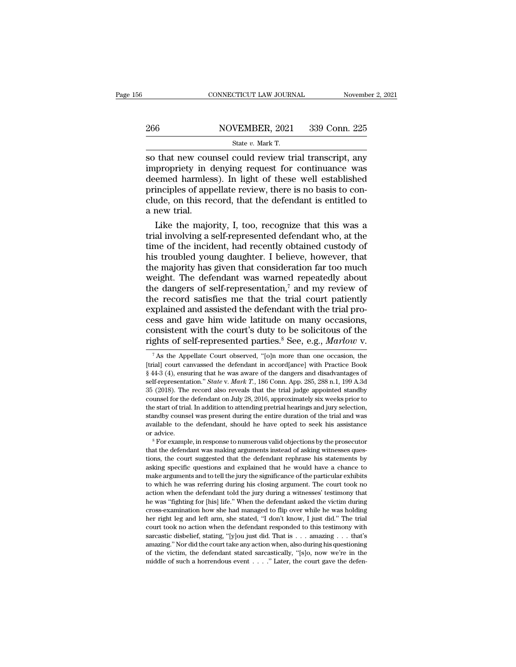CONNECTICUT LAW JOURNAL Novemb<br>
266 NOVEMBER, 2021 339 Conn. 225<br>
State *v.* Mark T.<br>
So that new counsel could review trial transcript, any  $\begin{tabular}{l l l l} \multicolumn{2}{l}{{\small \textbf{COMRECTICUT LAW JOURNAL}}} & \multicolumn{2}{l}{\small \textbf{November 2, 2021}}\\ \hline & \multicolumn{2}{l}{\small \textbf{S06}} & \multicolumn{2}{l}{\small \textbf{NOVEMBER, 2021}} & \multicolumn{2}{l}{\small \textbf{339 Conn. 225}}\\ & \multicolumn{2}{l}{\small \textbf{State $v$}. Mark T.} & \\ \hline & \multicolumn{2}{l}{\small \textbf{so that new course! could review trial transcript, any} } \\ \hline & \multicolumn{2}{l}{\small \textbf$ 266 NOVEMBER, 2021 339 Conn. 225<br>
State v. Mark T.<br>
So that new counsel could review trial transcript, any<br>
impropriety in denying request for continuance was<br>
deemed harmless). In light of these well established<br>
princip 266 NOVEMBER, 2021 339 Conn. 225<br>
State v. Mark T.<br>
So that new counsel could review trial transcript, any<br>
impropriety in denying request for continuance was<br>
deemed harmless). In light of these well established<br>
princip 266 NOVEMBER, 2021 339 Conn. 225<br>
State *v*. Mark T.<br>
So that new counsel could review trial transcript, any<br>
impropriety in denying request for continuance was<br>
deemed harmless). In light of these well established<br>
princ Solution State v. Mark T.<br>
So that new counsel could review trial transcript, any<br>
impropriety in denying request for continuance was<br>
deemed harmless). In light of these well established<br>
principles of appellate review, so that new court<br>impropriety in contemporations<br>principles of app<br>clude, on this re<br>a new trial.<br>Like the majo that new counsel could review trial transcript, any<br>propriety in denying request for continuance was<br>emed harmless). In light of these well established<br>inciples of appellate review, there is no basis to con-<br>ide, on this r impropriety in denying request for continuance was<br>deemed harmless). In light of these well established<br>principles of appellate review, there is no basis to con-<br>clude, on this record, that the defendant is entitled to<br>a n

deemed harmless). In light of these well established<br>principles of appellate review, there is no basis to con-<br>clude, on this record, that the defendant is entitled to<br>a new trial.<br>Like the majority, I, too, recognize that principles of appellate review, there is no basis to conclude, on this record, that the defendant is entitled to<br>a new trial.<br>Like the majority, I, too, recognize that this was a<br>trial involving a self-represented defendan clude, on this record, that the defendant is entitled to<br>a new trial.<br>Like the majority, I, too, recognize that this was a<br>trial involving a self-represented defendant who, at the<br>time of the incident, had recently obtaine a new trial.<br>Like the majority, I, too, recognize that this was a<br>trial involving a self-represented defendant who, at the<br>time of the incident, had recently obtained custody of<br>his troubled young daughter. I believe, howe Like the majority, I, too, recognize that this was a<br>trial involving a self-represented defendant who, at the<br>time of the incident, had recently obtained custody of<br>his troubled young daughter. I believe, however, that<br>th trial involving a self-represented defendant who, at the<br>time of the incident, had recently obtained custody of<br>his troubled young daughter. I believe, however, that<br>the majority has given that consideration far too much<br> time of the incident, had recently obtained custody of<br>his troubled young daughter. I believe, however, that<br>the majority has given that consideration far too much<br>weight. The defendant was warned repeatedly about<br>the dan his troubled young daughter. I believe, however, that<br>the majority has given that consideration far too much<br>weight. The defendant was warned repeatedly about<br>the dangers of self-representation,<sup>7</sup> and my review of<br>the re the majority has given that consideration far too much weight. The defendant was warned repeatedly about the dangers of self-representation,<sup>7</sup> and my review of the record satisfies me that the trial court patiently expla weight. The defendant was warned repeatedly about<br>the dangers of self-representation,<sup>7</sup> and my review of<br>the record satisfies me that the trial court patiently<br>explained and assisted the defendant with the trial pro-<br>cess xplained and assisted the defendant with the trial pro-<br>
ess and gave him wide latitude on many occasions,<br>
onsistent with the court's duty to be solicitous of the<br>
ghts of self-represented parties.<sup>8</sup> See, e.g., *Marlow* consistent with the court's duty to be solicitous of the rights of self-represented parties.<sup>8</sup> See, e.g., *Marlow* v.<br><sup>7</sup> As the Appellate Court observed, "[o]n more than one occasion, the [trial] court canvassed the def

the start of that. In addition to attending prethal heatings and jury selection, standby counsel was present during the entire duration of the trial and was available to the defendant, should he have opted to seek his assi standay could we was present during the entire duration of the trial and was<br>available to the defendant, should he have opted to seek his assistance<br>or advice.<br><sup>8</sup> For example, in response to numerous valid objections by t avanable to the defendant, should he have opted to seek his assistance<br>or advice.<br><sup>8</sup> For example, in response to numerous valid objections by the prosecutor<br>that the defendant was making arguments instead of asking witnes <sup>8</sup> For example, in response to numerous valid objections by the prosecutor that the defendant was making arguments instead of asking witnesses questions, the court suggested that the defendant rephrase his statements by a For example, in response to numerous vand objections by the prosecutor<br>that the defendant was making arguments instead of asking witnesses ques-<br>tions, the court suggested that the defendant rephrase his statements by<br>aski he was the was making arguments instead of asking winesses ques-<br>tions, the court suggested that the defendant rephrase his statements by<br>asking specific questions and explained that he would have a chance to<br>make argument tions, the court suggested that the defendant repinase ins statements by asking specific questions and explained that he would have a chance to make arguments and to tell the jury the significance of the particular exhibit asking specinc questions and explained that he would have a chance to make arguments and to tell the jury the significance of the particular exhibits to which he was referring during his closing argument. The court took no frake arguments and to ten the jury the significance of the particular exhibits to which he was referring during his closing argument. The court took no action when the defendant told the jury during a with esses' testimo so which he was referring during his closing argument. The court took hot action when the defendant told the jury during a witnesses' testimony that he was "fighting for [his] life." When the defendant asked the victim dur action with the detendant tool the jury during a whitesses testinony that<br>he was "fighting for [his] life." When the defendant asked the victim during<br>cross-examination how she had managed to flip over while he was holding The was "ngining for  $[\text{ms}]$  ine." When the defendant asked the victim during cross-examination how she had managed to flip over while he was holding her right leg and left arm, she stated, "I don't know, I just did." The Eross-examination now site had managed to mp over while he was holding<br>her right leg and left arm, she stated, "I don't know, I just did." The trial<br>court took no action when the defendant responded to this testimony with

consistent with the court's duty to be solicitous of the rights of self-represented parties.<sup>8</sup> See, e.g., *Marlow* v.<br>
<sup>7</sup> As the Appellate Court observed, "[o]n more than one occasion, the [trial] court canvassed the de consistent with the court's duty to be solicitious of the<br>
rights of self-represented parties.<sup>8</sup> See, e.g., *Marlow* v.<br>
<sup>7</sup> As the Appellate Court observed, "[o]n more than one occasion, the<br>
[trial] court canvassed the **EXECUTE:** THE REFERT ALSO REFERENCE CHERA THE TAS THE REFERENCE TAS the Appellate Court observed, "[o]n more than one occasion, the [trial] court canvassed the defendant in accord[ance] with Practice Book § 44-3 (4), ens <sup>7</sup> As the Appellate Court observed, "[o]n more than one occasion, the [trial] court canvassed the defendant in accord[ance] with Practice Book § 44-3 (4), ensuring that he was aware of the dangers and disadvantages of se The start of trial. In addition to attending pretrial hearings and jury selection, the [trial] court canvassed the defendant in accord[ance] with Practice Book § 44-3 (4), ensuring that he was aware of the dangers and dis [that] court canvassed the detendant in accordiance] with Fractice Book § 44-3 (4), ensuring that he was aware of the dangers and disadvantages of self-representation." *State* v. *Mark T*., 186 Conn. App. 285, 288 n.1, 1 and the was aware of the dangers and disadvantages of self-representation." *State v. Mark T.*, 186 Conn. App. 285, 288 n.1, 199 A.3d 35 (2018). The record also reveals that the trial judge appointed standby counsel for t Sen-representation. *State v. Murk 1*, foo Colit. App. 260, 260 ft.1, 189 A.5d<br>35 (2018). The record also reveals that the trial judge appointed standby<br>counsel for the defendant on July 28, 2016, approximately six weeks p to the start of trial. In addition to attending pretrial hearings and jury selection, standby counsel was present during the entire duration of the trial and was available to the defendant, should he have opted to seek his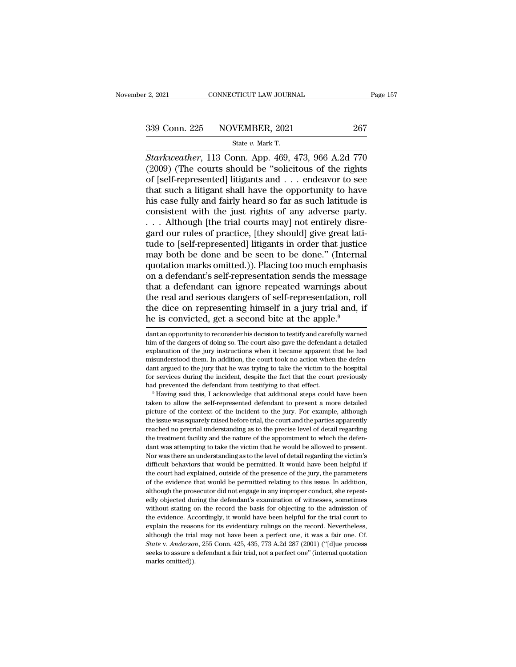# 2, 2021 CONNECTICUT LAW JOURNAL Page 157<br>339 Conn. 225 NOVEMBER, 2021 267<br>State v. Mark T.

12, 2021 CONNECTICUT LAW JOURNAL<br>
State *v.* Movember, 2021 267<br>
Starkweather, 113 Conn. App. 469, 473, 966 A.2d 770 *Starkweather*, 113 Conn. App. 469, 473, 966 A.2d 770<br> *Starkweather*, 113 Conn. App. 469, 473, 966 A.2d 770<br> *Starkweather*, 113 Conn. App. 469, 473, 966 A.2d 770<br>
(2009) (The courts should be "solicitous of the rights<br>
o (2009) (The courts should be ''solicitous of the rights should be ''solicitous of the rights<br>
(2009) (The courts should be ''solicitous of the rights<br>
(2009) (The courts should be ''solicitous of the rights<br>
of [self-repr 339 Conn. 225 NOVEMBER, 2021 267<br>
Starkweather, 113 Conn. App. 469, 473, 966 A.2d 770<br>
(2009) (The courts should be "solicitous of the rights<br>
of [self-represented] litigants and . . . endeavor to see<br>
that such a litigan 339 Conn. 225 NOVEMBER, 2021 267<br>
Starkweather, 113 Conn. App. 469, 473, 966 A.2d 770<br>
(2009) (The courts should be "solicitous of the rights<br>
of [self-represented] litigants and . . . endeavor to see<br>
that such a litigan Solution 220 110 ventile in the value of the control 2011<br>Starkweather, 113 Conn. App. 469, 473, 966 A.2d 770<br>(2009) (The courts should be "solicitous of the rights<br>of [self-represented] litigants and . . . endeavor to se Starkweather, 113 Conn. App. 469, 473, 966 A.2d 770 (2009) (The courts should be "solicitous of the rights of [self-represented] litigants and . . . endeavor to see that such a litigant shall have the opportunity to have Starkweather, 113 Conn. App. 469, 473, 966 A.2d 770 (2009) (The courts should be "solicitous of the rights of [self-represented] litigants and . . . endeavor to see that such a litigant shall have the opportunity to have (2009) (The courts should be "solicitous of the rights of [self-represented] litigants and . . . endeavor to see that such a litigant shall have the opportunity to have his case fully and fairly heard so far as such latit of [self-represented] litigants and . . . endeavor to see<br>that such a litigant shall have the opportunity to have<br>his case fully and fairly heard so far as such latitude is<br>consistent with the just rights of any adverse pa that such a litigant shall have the opportunity to have<br>his case fully and fairly heard so far as such latitude is<br>consistent with the just rights of any adverse party.<br>... Although [the trial courts may] not entirely disr his case fully and fairly heard so far as such latitude is<br>consistent with the just rights of any adverse party.<br>... Although [the trial courts may] not entirely disre-<br>gard our rules of practice, [they should] give great consistent with the just rights of any adverse party.<br>  $\dots$  Although [the trial courts may] not entirely disregard our rules of practice, [they should] give great latitude to [self-represented] litigants in order that jus ... Although [the trial courts may] not entirely disregard our rules of practice, [they should] give great latitude to [self-represented] litigants in order that justice may both be done and be seen to be done." (Internal gard our rules of practice, [they should] give great latitude to [self-represented] litigants in order that justice<br>may both be done and be seen to be done." (Internal<br>quotation marks omitted.)). Placing too much emphasis<br> tude to [self-represented] litigants in order that justice<br>may both be done and be seen to be done." (Internal<br>quotation marks omitted.)). Placing too much emphasis<br>on a defendant's self-representation sends the message<br>th may both be done and be seen to be done." (Internal quotation marks omitted.)). Placing too much emphasis on a defendant's self-representation sends the message that a defendant can ignore repeated warnings about the real that a defendant can ignore repeated warnings about<br>the real and serious dangers of self-representation, roll<br>the dice on representing himself in a jury trial and, if<br>he is convicted, get a second bite at the apple.<sup>9</sup><br>dan the real and serious dangers of self-representation, roll<br>the dice on representing himself in a jury trial and, if<br>he is convicted, get a second bite at the apple.<sup>9</sup><br>dant an opportunity to reconsider his decision to testi

misulateristic difficult in a didnotical definition in the control of the incident argued to the jury that he was trying to take the victim to the hospital for services during the incident, despite the fact that the court and a giord of services during the incident, despite the fact that the court previously had prevented the defendant from testifying to that effect.<br>
<sup>9</sup> Having said this, I acknowledge that additional steps could have been Free dumper and prevented the defendant from testifying to that effect.<br>
<sup>9</sup> Having said this, I acknowledge that additional steps could have been<br>
taken to allow the self-represented defendant to present a more detailed<br> <sup>9</sup> Having said this, I acknowledge that additional steps could have been taken to allow the self-represented defendant to present a more detailed picture of the context of the incident to the jury. For example, although taken to allow the self-represented defendant to present a more detailed picture of the context of the incident to the jury. For example, although the issue was squarely raised before trial, the court and the parties appar picture of the context of the incident to the jury. For example, although the issue was squarely raised before trial, the court and the parties apparently reached no pretrial understanding as to the precise level of detail Free issue was squarely raised before trial, the court and the parties apparently reached no pretrial understanding as to the precise level of detail regarding the treatment facility and the nature of the appointment to wh reached no pretrial understanding as to the precise level of detail regarding<br>the treatment facility and the nature of the appointment to which the defen-<br>dant was attempting to take the victim that he would be allowed to be the treatment facility and the nature of the appointment to which the defendant was attempting to take the victim that he would be allowed to present. Nor was there an understanding as to the level of detail regarding t duant was attempting to take the victim that he would be allowed to present.<br>Nor was there an understanding as to the level of detail regarding the victim's<br>difficult behaviors that would be permitted. It would have been h Nor was there an understanding as to the level of detail regarding the victim's difficult behaviors that would be permitted. It would have been helpful if the court had explained, outside of the presence of the jury, the p difficult behaviors that would be permitted. It would have been helpful if the court had explained, outside of the presence of the jury, the parameters of the evidence that would be permitted relating to this issue. In add the court had explained, outside of the presence of the jury, the parameters of the evidence that would be permitted relating to this issue. In addition, although the prosecutor did not engage in any improper conduct, she for the evidence that would be permitted relating to this issue. In addition, although the prosecutor did not engage in any improper conduct, she repeatedly objected during the defendant's examination of witnesses, sometim although the prosecutor did not engage in any improper conduct, she repeatedly objected during the defendant's examination of witnesses, sometimes without stating on the record the basis for objecting to the admission of *State* v. *Anderson*, 255 Conn. 425, 435, 773 A.2d 287 (2001) ("[d]ue processes, sometimes without stating on the record the basis for objecting to the admission of the evidence. Accordingly, it would have been helpful fo seeks to assure a defendant a fair trial, not a perfect one'' (internal quotation of the evidence. Accordingly, it would have been helpful for the trial court to explain the reasons for its evidentiary rulings on the recor without stating on the record the basis for objecting to the admission of the evidence. Accordingly, it would have been helpful for the trial court to explain the reasons for its evidentiary rulings on the record. Neverth

The dice on representing himself in a jury trial and, if<br>the dice on representing himself in a jury trial and, if<br>the is convicted, get a second bite at the apple.<sup>9</sup><br>dant an opportunity to reconsider his decision to testi the tire of the presenting infinition in a jury that and, if<br>the is convicted, get a second bite at the apple.<sup>9</sup><br>dant an opportunity to reconsider his decision to testify and carefully warned<br>him of the dangers of doing s misunderstood them. In addition, the court took no action when the defendant argued to the jury that he was trying to take the victim to the hospital for services during the incident, despite the fact that the court previo dant an opportunity to reconsider his decision to testify and carefully warned<br>him of the dangers of doing so. The court also gave the defendant a detailed<br>explanation of the jury instructions when it became apparent that dant an opportunity to reconsider instects on to testify and carefully warfed<br>him of the dangers of doing so. The court also gave the defendant a detailed<br>explanation of the jury instructions when it became apparent that h Explanation of the July instructions when it became apparent that it had<br>misunderstood them. In addition, the court took no action when the defen-<br>dant argued to the jury that he was trying to take the victim to the hospit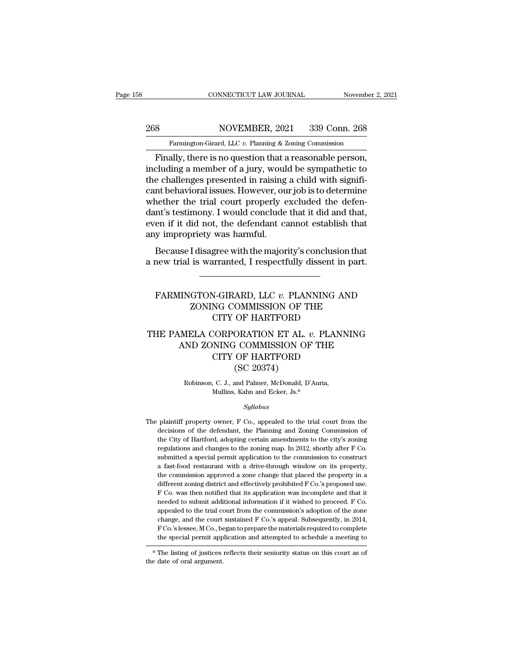# EXECUTE CONNECTICUT LAW JOURNAL Movember 2, 2021<br>268 NOVEMBER, 2021 339 Conn. 268<br>Farmington-Girard, LLC v. Planning & Zoning Commission

CONNECTICUT LAW JOURNAL November 2, 2021<br>
Sand Move Move Movember 2, 2021<br>
Farmington-Girard, LLC *v.* Planning & Zoning Commission<br>
Finally, there is no question that a reasonable person, FIND CONNECTICUT LAW JOURNAL November 2, 2<br>
S<br>
S<br>
Farmington-Girard, LLC v. Planning & Zoning Commission<br>
Finally, there is no question that a reasonable person,<br>
cluding a member of a jury, would be sympathetic to<br>
a chal 268 NOVEMBER, 2021 339 Conn. 268<br>
Farmington-Girard, LLC v. Planning & Zoning Commission<br>
Finally, there is no question that a reasonable person,<br>
including a member of a jury, would be sympathetic to<br>
the challenges prese 268 NOVEMBER, 2021 339 Conn. 268<br>
Farmington-Girard, LLC v. Planning & Zoning Commission<br>
Finally, there is no question that a reasonable person,<br>
including a member of a jury, would be sympathetic to<br>
the challenges pres 268 NOVEMBER, 2021 339 Conn. 268<br>
Farmington-Girard, LLC  $v$ . Planning & Zoning Commission<br>
Finally, there is no question that a reasonable person,<br>
including a member of a jury, would be sympathetic to<br>
the challenges pr Farmington-Girard, LLC v. Planning & Zoning Commission<br>Finally, there is no question that a reasonable person,<br>including a member of a jury, would be sympathetic to<br>the challenges presented in raising a child with signifi-Farmington-Grard, LLC  $v$ . Planning & Zoning Commission<br>
Finally, there is no question that a reasonable person,<br>
including a member of a jury, would be sympathetic to<br>
the challenges presented in raising a child with sig Finally, there is no question that a reasonable person,<br>including a member of a jury, would be sympathetic to<br>the challenges presented in raising a child with signifi-<br>cant behavioral issues. However, our job is to determi including a member of a jury, woul-<br>the challenges presented in raising<br>cant behavioral issues. However, ou<br>whether the trial court properly e<br>dant's testimony. I would conclude<br>even if it did not, the defendant ca<br>any imp re chancinges presented in raising a child with signin-<br>ant behavioral issues. However, our job is to determine<br>nether the trial court properly excluded the defen-<br>nt's testimony. I would conclude that it did and that,<br>en Each behavioral issues. However, our job is to determine<br>whether the trial court properly excluded the defen-<br>dant's testimony. I would conclude that it did and that,<br>even if it did not, the defendant cannot establish that

### FARMINGTON-GIRARD, LLC *v*. PLANNING AND<br>
ZONING COMMISSION OF THE<br>
CITY OF HAPTEOPD I disagree with the majority's conclusion that<br>is warranted, I respectfully dissent in part.<br>GTON-GIRARD, LLC v. PLANNING AND<br>ZONING COMMISSION OF THE<br>CITY OF HARTFORD gree with the majority's conclusion than than the materially dissent in party and the material of the CITY OF HARTFORD CORPORATION ET AL.  $v$ . PLANNING FARMINGTON-GIRARD, LLC *v.* PLANNING AND<br>
ZONING COMMISSION OF THE<br>
CITY OF HARTFORD<br>
THE PAMELA CORPORATION ET AL. *v.* PLANNING<br>
AND ZONING COMMISSION OF THE<br>
CITY OF HARTFORD

### $\begin{array}{lll} \hline \text{IINGTON-GIRARD, LLC $\mathit{v}$}. \text{ PLANNING AND} \\ \text{ZONING COMMISSION OF THE} \\ \text{CITY OF HARTFORD} \\ \text{MELA CORPORTION ET AL. $\mathit{v}$}. \text{ PLANNING} \\ \text{AND ZONING COMMISSION OF THE} \\ \text{CITY OF HARTFORD} \\ \text{GCP 20374)} \\ \hline \end{array}$ N-GIRARD, LLC  $v$ . PLANNING AND NG COMMISSION OF THE CITY OF HARTFORD<br>CORPORATION ET AL.  $v$ . PLANNING COMMISSION OF THE CITY OF HARTFORD (SC 20374) COMMISSION OF THE COMMISSION OF THE COMMISSION OF THE COMMISSION OF THE COMMISSION OF THE COMMISSION OF THE COMMISSION OF THE CONTRACT CONTRACT CONTRACT CONTRACT CONTRACT CONTRACT CONTRACT CONTRACT CONTRACT CONTRACT CONTRA THE CORPORATION ET AL. *v.* PLANI<br>
ND ZONING COMMISSION OF THE<br>
CITY OF HARTFORD<br>
(SC 20374)<br>
Robinson, C. J., and Palmer, McDonald, D'Auria,<br>
Mullins, Kahn and Ecker, Js.\* NING COMMISSION OF TH<br>CITY OF HARTFORD<br>(SC 20374)<br>, C. J., and Palmer, McDonald, D'Auria<br>Mullins, Kahn and Ecker, Js.\*<br>Sullabus

### *Syllabus*

Robinson, C. J., and Palmer, McDonald, D'Auria,<br>Mullins, Kahn and Ecker, Js.\*<br>Syllabus<br>The plaintiff property owner, F Co., appealed to the trial court from the<br>decisions of the defendant, the Planning and Zoning Commissio Robinson, C. J., and Palmer, McDonald, D'Auria,<br>Mullins, Kahn and Ecker, Js.\*<br>Syllabus<br>plaintiff property owner, F Co., appealed to the trial court from the<br>decisions of the defendant, the Planning and Zoning Commission of Mullins, Kahn and Ecker, Js.\*<br>Syllabus<br>plaintiff property owner, F Co., appealed to the trial court from the<br>decisions of the defendant, the Planning and Zoning Commission of<br>the City of Hartford, adopting certain amendmen *Syllabus*<br>plaintiff property owner, F Co., appealed to the trial court from the<br>decisions of the defendant, the Planning and Zoning Commission of<br>the City of Hartford, adopting certain amendments to the city's zoning<br>regu syttabus<br>plaintiff property owner, F Co., appealed to the trial court from the<br>decisions of the defendant, the Planning and Zoning Commission of<br>the City of Hartford, adopting certain amendments to the city's zoning<br>regula plaintiff property owner, F Co., appealed to the trial court from the decisions of the defendant, the Planning and Zoning Commission of the City of Hartford, adopting certain amendments to the city's zoning regulations and decisions of the defendant, the Planning and Zoning Commission of<br>the City of Hartford, adopting certain amendments to the city's zoning<br>regulations and changes to the zoning map. In 2012, shortly after F Co.<br>submitted a s the City of Hartford, adopting certain amendments to the city's zoning<br>regulations and changes to the zoning map. In 2012, shortly after F Co.<br>submitted a special permit application to the commission to construct<br>a fast-fo regulations and changes to the zoning map. In 2012, shortly after F Co.<br>submitted a special permit application to the commission to construct<br>a fast-food restaurant with a drive-through window on its property,<br>the commissi submitted a special permit application to the commission to construct a fast-food restaurant with a drive-through window on its property, the commission approved a zone change that placed the property in a different zonin a fast-food restaurant with a drive-through window on its property, the commission approved a zone change that placed the property in a different zoning district and effectively prohibited  $F$  Co.'s proposed use.  $F$  Co. the commission approved a zone change that placed the property in a different zoning district and effectively prohibited F Co.'s proposed use. F Co. was then notified that its application was incomplete and that it needed different zoning district and effectively prohibited F Co.'s proposed use.<br>F Co. was then notified that its application was incomplete and that it<br>needed to submit additional information if it wished to proceed. F Co.<br>appe F Co. was then notified that its application was incomplete and that it<br>needed to submit additional information if it wished to proceed. F Co.<br>appealed to the trial court from the commission's adoption of the zone<br>change, reeded to submit additional information if it wished to proceed. F Co.<br>appealed to the trial court from the commission's adoption of the zone<br>change, and the court sustained F Co.'s appeal. Subsequently, in 2014,<br>F Co.'s l appeared to the trial contract change, and the court F Co.'s lessee, M Co., be the special permit app  $*$  The listing of justices the date of oral argument.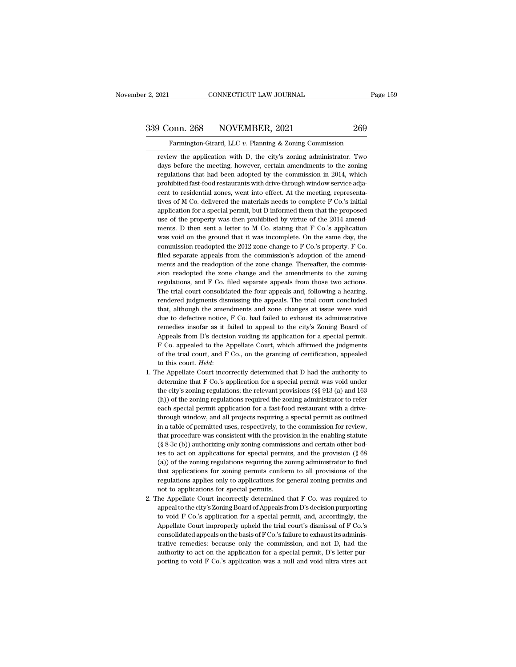# 2, 2021 CONNECTICUT LAW JOURNAL Page 159<br>339 Conn. 268 NOVEMBER, 2021 269<br>Farmington-Girard, LLC v. Planning & Zoning Commission

Famington-Girard, LLC *v.* Planning & Zoning Commission<br>Examington-Girard, LLC *v.* Planning & Zoning Commission<br>Examing the application with D, the city's zoning administrator. Two Farmington-Girard, LLC v. Planning & Zoning Commission<br>Farmington-Girard, LLC v. Planning & Zoning Commission<br>review the application with D, the city's zoning administrator. Two<br>days before the meeting, however, certain am day Conn. 268 NOVEMBER, 2021 269<br>
Farmington-Girard, LLC v. Planning & Zoning Commission<br>
review the application with D, the city's zoning administrator. Two<br>
days before the meeting, however, certain amendments to the zon Farmington-Girard, LLC v. Planning & Zoning Commission<br>
review the application with D, the city's zoning administrator. Two<br>
days before the meeting, however, certain amendments to the zoning<br>
regulations that had been ado Farmington-Girard, LLC v. Planning & Zoning Commission<br>review the application with D, the city's zoning administrator. Two<br>days before the meeting, however, certain amendments to the zoning<br>regulations that had been adopte Farmington-Girard, LLC  $v$ . Planning & Zoning Commission<br>review the application with D, the city's zoning administrator. Two<br>days before the meeting, however, certain amendments to the zoning<br>regulations that had been ado review the application with D, the city's zoning administrator. Two<br>days before the meeting, however, certain amendments to the zoning<br>regulations that had been adopted by the commission in 2014, which<br>prohibited fast-food days before the meeting, however, certain amendments to the zoning<br>regulations that had been adopted by the commission in 2014, which<br>prohibited fast-food restaurants with drive-through window service adja-<br>cent to residen days before the meeting, however, certain amendments to the zoning regulations that had been adopted by the commission in 2014, which prohibited fast-food restaurants with drive-through window service adjacent to resident prohibited fast-food restaurants with drive-through window service adjacent to residential zones, went into effect. At the meeting, representatives of M Co. delivered the materials needs to complete F Co.'s initial applica cent to residential zones, went into effect. At the meeting, representatives of M Co. delivered the materials needs to complete F Co.'s initial application for a special permit, but D informed them that the proposed use o tives of M Co. delivered the materials needs to complete F Co.'s initial application for a special permit, but D informed them that the proposed use of the property was then prohibited by virtue of the 2014 amendments. D t application for a special permit, but D informed them that the proposed<br>use of the property was then prohibited by virtue of the 2014 amend-<br>ments. D then sent a letter to M Co. stating that F Co.'s application<br>was void on The reador of the property was then prohibited by virtue of the  $2014$  amendments. D then sent a letter to M Co. stating that F Co.'s application was void on the ground that it was incomplete. On the same day, the commiss ments. D then sent a letter to M Co. stating that F Co.'s application was void on the ground that it was incomplete. On the same day, the commission readopted the 2012 zone change to F Co.'s property. F Co. filed separate was void on the ground that it was incomplete. On the same day, the commission readopted the 2012 zone change to F Co.'s property. F Co. filed separate appeals from the commission's adoption of the amendments and the reado commission readopted the 2012 zone change to F Co.'s property. F Co.<br>filed separate appeals from the commission's adoption of the amend-<br>ments and the readoption of the zone change. Thereafter, the commis-<br>sion readopted t filed separate appeals from the commission's adoption of the amendments and the readoption of the zone change. Thereafter, the commission readopted the zone change and the amendments to the zoning regulations, and F Co. fi ments and the readoption of the zone change. Thereafter, the commission readopted the zone change and the amendments to the zoning regulations, and F Co. filed separate appeals from those two actions. The trial court conso sion readopted the zone change and the amendments to the zoning<br>regulations, and F Co. filed separate appeals from those two actions.<br>The trial court consolidated the four appeals and, following a hearing,<br>rendered judgmen regulations, and F Co. filed separate appeals from those two actions.<br>The trial court consolidated the four appeals and, following a hearing,<br>rendered judgments dismissing the appeals. The trial court concluded<br>that, altho The trial court consolidated the four appeals and, following a hearing, rendered judgments dismissing the appeals. The trial court concluded that, although the amendments and zone changes at issue were void due to defectiv rendered judgments dismissing the appeals. The trial court concluded<br>that, although the amendments and zone changes at issue were void<br>due to defective notice, F Co. had failed to exhaust its administrative<br>remedies insofa that, although the amendments and zone changes at issue were void<br>due to defective notice, F Co. had failed to exhaust its administrative<br>remedies insofar as it failed to appeal to the city's Zoning Board of<br>Appeals from D due to defective notice, *F* Co. had failed to exhaust its administrative<br>remedies insofar as it failed to appeal to the city's Zoning Board of<br>Appeals from D's decision voiding its application for a special permit.<br>*F* Co Appeals from D's decision voiding its application for a special permit. F Co. appealed to the Appellate Court, which affirmed the judgments of the trial court, and F Co., on the granting of certification, appealed to this

- F Co. appealed to the Appellate Court, which affirmed the judgments of the trial court, and F Co., on the granting of certification, appealed to this court. *Held*:<br>he Appellate Court incorrectly determined that D had the of the trial court, and F Co., on the granting of certification, appealed<br>to this court. *Held*:<br>he Appellate Court incorrectly determined that D had the authority to<br>determine that F Co.'s application for a special permit to this court. Held:<br>
1. The Appellate Court incorrectly determined that D had the authority to<br>
determine that F Co.'s application for a special permit was void under<br>
the city's zoning regulations; the relevant provisio he Appellate Court incorrectly determined that D had the authority to determine that F Co.'s application for a special permit was void under the city's zoning regulations; the relevant provisions (§§ 913 (a) and 163 (h)) o determine that F Co.'s application for a special permit was void under<br>the city's zoning regulations; the relevant provisions (§§ 913 (a) and 163<br>(h)) of the zoning regulations required the zoning administrator to refer<br>ea the city's zoning regulations; the relevant provisions (§§ 913 (a) and 163 (h)) of the zoning regulations required the zoning administrator to refer each special permit application for a fast-food restaurant with a drive-(h)) of the zoning regulations required the zoning administrator to refereach special permit application for a fast-food restaurant with a drive-<br>through window, and all projects requiring a special permit as outlined<br>in each special permit application for a fast-food restaurant with a drive-<br>through window, and all projects requiring a special permit as outlined<br>in a table of permitted uses, respectively, to the commission for review,<br>th through window, and all projects requiring a special permit as outlined<br>in a table of permitted uses, respectively, to the commission for review,<br>that procedure was consistent with the provision in the enabling statute<br> $(\$ in a table of permitted uses, respectively, to the commission for review, that procedure was consistent with the provision in the enabling statute  $(\S 8-3c(b))$  authorizing only zoning commissions and certain other bodies t that procedure was consistent with the provision in the enabling statute  $(\S$  8-3c (b)) authorizing only zoning commissions and certain other bodies to act on applications for special permits, and the provision  $(\S$  68 (a that procedure was consistent with the provision in the enabling statute ( $\S$  8-3c (b)) authorizing only zoning commissions and certain other bodies to act on applications for special permits, and the provision ( $\S$  68 (a ies to act on applications for special permits, and the provision (§ 68 (a)) of the zoning regulations requiring the zoning administrator to find that applications for zoning permits conform to all provisions of the regul (a)) of the zoning regulations requiring the zoning administrator to find that applications for zoning permits conform to all provisions of the regulations applies only to applications for general zoning permits and not to
- that applications for zoning permits conform to all provisions of the regulations applies only to applications for general zoning permits and not to applications for special permits.<br>he Appellate Court incorrectly determin regulations applies only to applications for general zoning permits and<br>not to applications for special permits.<br>he Appellate Court incorrectly determined that F Co. was required to<br>appeal to the city's Zoning Board of App 2. The Appellate Court incorrectly determined that F Co. was required to appeal to the city's Zoning Board of Appeals from D's decision purporting to void F Co.'s application for a special permit, and, accordingly, the Ap he Appellate Court incorrectly determined that F Co. was required to appeal to the city's Zoning Board of Appeals from D's decision purporting to void F Co.'s application for a special permit, and, accordingly, the Appella appeal to the city's Zoning Board of Appeals from D's decision purporting<br>to void F Co.'s application for a special permit, and, accordingly, the<br>Appellate Court improperly upheld the trial court's dismissal of F Co.'s<br>con to void F Co.'s application for a special permit, and, accordingly, the Appellate Court improperly upheld the trial court's dismissal of F Co.'s consolidated appeals on the basis of F Co.'s failure to exhaust its administ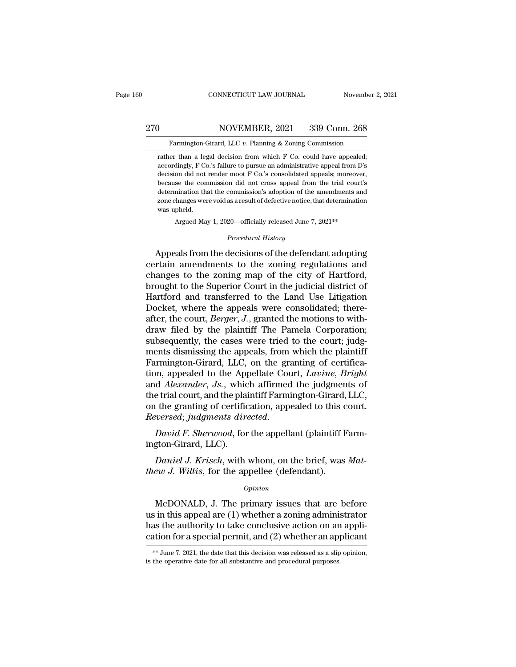### EXECUTE CONNECTICUT LAW JOURNAL Movember 2, 2021<br>270 NOVEMBER, 2021 339 Conn. 268<br>Farmington-Girard, LLC v. Planning & Zoning Commission Farmington-Girard, LLC *v.* Planning & Zoning Commission<br>Farmington-Girard, LLC *v.* Planning & Zoning Commission<br>Farmington-Girard, LLC *v.* Planning & Zoning Commission<br>Farmington-Girard, LLC *v.* Planning & Zoning Commi

NOVEMBER, 2021 339 Conn. 268<br>Farmington-Girard, LLC v. Planning & Zoning Commission<br>Trather than a legal decision from which F Co. could have appealed;<br>accordingly, F Co.'s failure to pursue an administrative appeal from D MOVEMBER, 2021 339 Conn. 268<br>Farmington-Girard, LLC v. Planning & Zoning Commission<br>rather than a legal decision from which F Co. could have appealed;<br>accordingly, F Co.'s failure to pursue an administrative appeal from D' MOVEMBER, 2021 339 Conn. 268<br>Farmington-Girard, LLC v. Planning & Zoning Commission<br>rather than a legal decision from which F Co. could have appealed;<br>accordingly, F Co.'s failure to pursue an administrative appeal from D' Farmington-Girard, LLC  $v$ . Planning & Zoning Commission<br>rather than a legal decision from which  $F$  Co. could have appealed;<br>accordingly,  $F$  Co.'s failure to pursue an administrative appeal from  $D$ 's<br>decision did not r Farmington-Girard, LLC  $v$ . Planning & Zoning Commission<br>rather than a legal decision from which F Co. could have appealed;<br>accordingly, F Co.'s failure to pursue an administrative appeal from D's<br>decision did not render rather than a legal decision from which F Co. could have appealed;<br>accordingly, F Co.'s failure to pursue an administrative appeal from D's<br>decision did not render moot F Co.'s consolidated appeals; moreover,<br>because the c Exactoringly, F Contactor accordingly, F Contact<br>decision did not<br>because the comtactor different<br>zone changes wer was upheld.<br>Argued Max because the commission did not cross appeal from the trial court's determination that the commission's adoption of the amendments and zone changes were void as a result of defective notice, that determination was upheld.<br> because the commission during closs appear from the trial courts<br>determination that the commission's adoption of the amendments and<br>zone changes were void as a result of defective notice, that determination<br>was upheld.<br>Arg

Argued May 1, 2020—officially released June 7, 2021\*\*<br>*Procedural History*<br>Appeals from the decisions of the defendant adopting zone changes were void as a result of defective notice, that determination<br>was upheld.<br>Argued May 1, 2020—officially released June 7, 2021<sup>\*\*</sup><br>*Procedural History*<br>Appeals from the decisions of the defendant adopting<br>certa was upheld.<br>
Argued May 1, 2020—officially released June 7, 2021\*\*<br>
Procedural History<br>
Appeals from the decisions of the defendant adopting<br>
certain amendments to the zoning regulations and<br>
changes to the zoning map of t Argued May 1, 2020—officially released June 7, 2021\*\*<br> *Procedural History*<br> **Appeals from the decisions of the defendant adopting**<br>
certain amendments to the zoning regulations and<br>
changes to the zoning map of the city o *Procedural History*<br>
Appeals from the decisions of the defendant adopting<br>
certain amendments to the zoning regulations and<br>
changes to the zoning map of the city of Hartford,<br>
brought to the Superior Court in the judicia *Froceaural History*<br>Appeals from the decisions of the defendant adopting<br>certain amendments to the zoning regulations and<br>changes to the zoning map of the city of Hartford,<br>brought to the Superior Court in the judicial di Appeals from the decisions of the defendant adopting<br>certain amendments to the zoning regulations and<br>changes to the zoning map of the city of Hartford,<br>brought to the Superior Court in the judicial district of<br>Hartford an certain amendments to the zoning regulations and<br>changes to the zoning map of the city of Hartford,<br>brought to the Superior Court in the judicial district of<br>Hartford and transferred to the Land Use Litigation<br>Docket, wher changes to the zoning map of the city of Hartford,<br>brought to the Superior Court in the judicial district of<br>Hartford and transferred to the Land Use Litigation<br>Docket, where the appeals were consolidated; there-<br>after, th brought to the Superior Court in the judicial district of Hartford and transferred to the Land Use Litigation Docket, where the appeals were consolidated; thereafter, the court, *Berger*, *J*., granted the motions to with-Hartford and transferred to the Land Use Litigation<br>Docket, where the appeals were consolidated; there-<br>after, the court, *Berger*, J., granted the motions to with-<br>draw filed by the plaintiff The Pamela Corporation;<br>subse Docket, where the appeals were consolidated; thereafter, the court, *Berger*, *J*., granted the motions to with-<br>draw filed by the plaintiff The Pamela Corporation;<br>subsequently, the cases were tried to the court; judg-<br>me after, the court, *Berger*, *J*., granted the motions to with-<br>draw filed by the plaintiff The Pamela Corporation;<br>subsequently, the cases were tried to the court; judg-<br>ments dismissing the appeals, from which the plainti draw filed by the plaintiff The Pamela Corporation;<br>subsequently, the cases were tried to the court; judg-<br>ments dismissing the appeals, from which the plaintiff<br>Farmington-Girard, LLC, on the granting of certifica-<br>tion, subsequently, the cases were tried to the court; judg-<br>ments dismissing the appeals, from which the plaintiff<br>Farmington-Girard, LLC, on the granting of certifica-<br>tion, appealed to the Appellate Court, *Lavine*, *Bright*<br> ments dismissing the appeals, from Farmington-Girard, LLC, on the gration, appealed to the Appellate Cou and *Alexander*, *Js.*, which affirmed the trial court, and the plaintiff Farmion the granting of certification, appe *David F. Sherwood, for the appellate Court, Lavine, Bright* d *Alexander, Js.,* which affirmed the judgments of e trial court, and the plaintiff Farmington-Girard, LLC, the granting of certification, appealed to this cour Figure 10 the Appendical Collember<br>and *Alexander*, Js., which<br>the trial court, and the plai<br>on the granting of certific<br>*Reversed; judgments dire*<br>David F. Sherwood, for<br>ington-Girard, LLC).<br>Daniel J. Krisch, with re trial court, and the plaintiff Farmington-Girard, LLC,<br> *Let*, the granting of certification, appealed to this court.<br> *David F. Sherwood*, for the appellant (plaintiff Farm-<br>
gton-Girard, LLC).<br> *Daniel J. Krisch*, wit on the granting of certification, appealed to this contract the appear of the appellant (plaintiff Fington-Girard, LLC).<br> *David F. Sherwood*, for the appellant (plaintiff Fington-Girard, LLC).<br> *Daniel J. Krisch*, with wh

### *Opinion*

 $\emph{Data}$  F. Sherwood, for the appenant (plantin Farm-<br>gton-Girard, LLC).<br> $\emph{Daniel J. Kristo},$  with whom, on the brief, was  $\emph{Mat-}$ ew J. Willis, for the appellee (defendant).<br> $\emph{opinion}$ <br>McDONALD, J. The primary issues that are be mgton-emaru, ELO).<br>
Daniel J. Krisch, with whom, on the brief, was Mat-<br>
thew J. Willis, for the appellee (defendant).<br>  $\frac{opinion}{D}$ <br>
McDONALD, J. The primary issues that are before<br>
us in this appeal are (1) whether a zoni Daniel J. Krisch, with whom, on the brief, was Mat-<br>thew J. Willis, for the appellee (defendant).<br> $\frac{Opinion}{V}$ <br>McDONALD, J. The primary issues that are before<br>us in this appeal are (1) whether a zoning administrator<br>has th *Copinion*<br>*Copinion*<br>*Copinion*<br>*Copinion*<br>**CACCONALD, J. The primary issues that are before**<br>us in this appeal are (1) whether a zoning administrator<br>has the authority to take conclusive action on an appli-<br>cation for a McDONALD, J. The primary issues that are before us in this appeal are (1) whether a zoning administrator has the authority to take conclusive action on an application for a special permit, and (2) whether an applicant  $*$ cation for a special permit, and  $(2)$  whether an applicant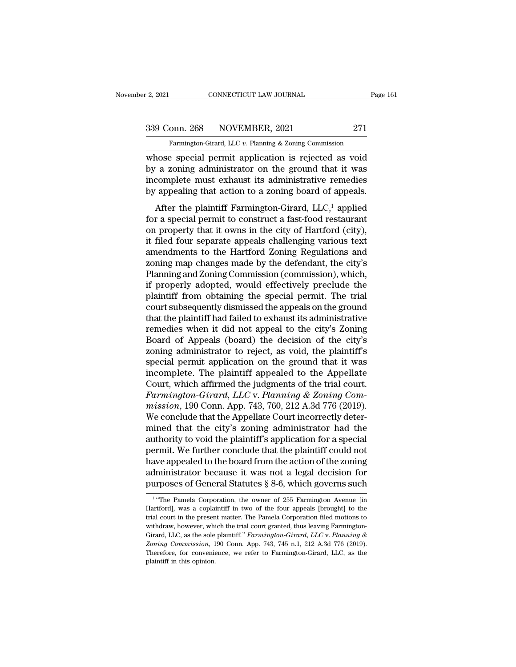# 2, 2021 CONNECTICUT LAW JOURNAL Page 161<br>339 Conn. 268 NOVEMBER, 2021 271<br>Farmington-Girard, LLC v. Planning & Zoning Commission

Fage 161<br>
Farmington-Girard, LLC *v.* Planning & Zoning Commission<br>
Whose special permit application is rejected as void 2, 2021 CONNECTICUT LAW JOURNAL Page 161<br>
339 Conn. 268 NOVEMBER, 2021 271<br>
Farmington-Girard, LLC v. Planning & Zoning Commission<br>
whose special permit application is rejected as void<br>
by a zoning administrator on the gro 339 Conn. 268 NOVEMBER, 2021 271<br>
Farmington-Girard, LLC v. Planning & Zoning Commission<br>
whose special permit application is rejected as void<br>
by a zoning administrator on the ground that it was<br>
incomplete must exhaust i 339 Conn. 268 NOVEMBER, 2021 271<br>
Farmington-Girard, LLC v. Planning & Zoning Commission<br>
whose special permit application is rejected as void<br>
by a zoning administrator on the ground that it was<br>
incomplete must exhaust 339 Conn. 268 NOVEMBER, 2021 271<br>
Farmington-Girard, LLC v. Planning & Zoning Commission<br>
whose special permit application is rejected as void<br>
by a zoning administrator on the ground that it was<br>
incomplete must exhaust Farmington-Girard, LLC v. Planning & Zoning Commission<br>
nose special permit application is rejected as void<br>
a zoning administrator on the ground that it was<br>
complete must exhaust its administrative remedies<br>
appealing t whose special permit application is rejected as void<br>by a zoning administrator on the ground that it was<br>incomplete must exhaust its administrative remedies<br>by appealing that action to a zoning board of appeals.<br>After the

on property that it owns in the ground that it was<br>incomplete must exhaust its administrative remedies<br>by appealing that action to a zoning board of appeals.<br>After the plaintiff Farmington-Girard,  $LLC$ ,<sup>1</sup> applied<br>for a s incomplete must exhaust its administrative remedies<br>by appealing that action to a zoning board of appeals.<br>After the plaintiff Farmington-Girard,  $LLC<sup>1</sup>$  applied<br>for a special permit to construct a fast-food restauran by appealing that action to a zoning board of appeals.<br>After the plaintiff Farmington-Girard,  $LLC$ ,<sup>1</sup> applied<br>for a special permit to construct a fast-food restaurant<br>on property that it owns in the city of Hartford (cit  $\mu$  appearing man action to a zoning solard or appears.<br>
After the plaintiff Farmington-Girard, LLC,<sup>1</sup> applied<br>
for a special permit to construct a fast-food restaurant<br>
on property that it owns in the city of Hartford After the plaintiff Farmington-Girard, LLC,<sup>1</sup> applied<br>for a special permit to construct a fast-food restaurant<br>on property that it owns in the city of Hartford (city),<br>it filed four separate appeals challenging various t for a special permit to construct a fast-food restaurant<br>on property that it owns in the city of Hartford (city),<br>it filed four separate appeals challenging various text<br>amendments to the Hartford Zoning Regulations and<br>zo on property that it owns in the city of Hartford (city),<br>it filed four separate appeals challenging various text<br>amendments to the Hartford Zoning Regulations and<br>zoning map changes made by the defendant, the city's<br>Planni it filed four separate appeals challenging various text<br>amendments to the Hartford Zoning Regulations and<br>zoning map changes made by the defendant, the city's<br>Planning and Zoning Commission (commission), which,<br>if properly amendments to the Hartford Zoning Regulations and<br>zoning map changes made by the defendant, the city's<br>Planning and Zoning Commission (commission), which,<br>if properly adopted, would effectively preclude the<br>plaintiff from zoning map changes made by the defendant, the city's<br>Planning and Zoning Commission (commission), which,<br>if properly adopted, would effectively preclude the<br>plaintiff from obtaining the special permit. The trial<br>court subs Planning and Zoning Commission (commission), which,<br>if properly adopted, would effectively preclude the<br>plaintiff from obtaining the special permit. The trial<br>court subsequently dismissed the appeals on the ground<br>that the if properly adopted, would effectively preclude the<br>plaintiff from obtaining the special permit. The trial<br>court subsequently dismissed the appeals on the ground<br>that the plaintiff had failed to exhaust its administrative<br> plaintiff from obtaining the special permit. The trial<br>court subsequently dismissed the appeals on the ground<br>that the plaintiff had failed to exhaust its administrative<br>remedies when it did not appeal to the city's Zoning court subsequently dismissed the appeals on the ground<br>that the plaintiff had failed to exhaust its administrative<br>remedies when it did not appeal to the city's Zoning<br>Board of Appeals (board) the decision of the city's<br>zo that the plaintiff had failed to exhaust its administrative<br>remedies when it did not appeal to the city's Zoning<br>Board of Appeals (board) the decision of the city's<br>zoning administrator to reject, as void, the plaintiff's<br> remedies when it did not appeal to the city's Zoning<br>Board of Appeals (board) the decision of the city's<br>zoning administrator to reject, as void, the plaintiff's<br>special permit application on the ground that it was<br>incompl Board of Appeals (board) the decision of the city's zoning administrator to reject, as void, the plaintiff's special permit application on the ground that it was incomplete. The plaintiff appealed to the Appellate Court, w zoning administrator to reject, as void, the plaintiff's<br>special permit application on the ground that it was<br>incomplete. The plaintiff appealed to the Appellate<br>Court, which affirmed the judgments of the trial court.<br>Farm special permit application on the ground that it was<br>incomplete. The plaintiff appealed to the Appellate<br>Court, which affirmed the judgments of the trial court.<br>*Farmington-Girard*, *LLC* v. *Planning & Zoning Com-<br>mission* incomplete. The plaintiff appealed to the Appellate<br>Court, which affirmed the judgments of the trial court.<br>Farmington-Girard, LLC v. Planning & Zoning Com-<br>mission, 190 Conn. App. 743, 760, 212 A.3d 776 (2019).<br>We conclud Court, which affirmed the judgments of the trial court.<br>Farmington-Girard, LLC v. Planning & Zoning Commission, 190 Conn. App. 743, 760, 212 A.3d 776 (2019).<br>We conclude that the Appellate Court incorrectly deter-<br>mined th Farmington-Girard, LLC v. Planning & Zoning Commission, 190 Conn. App. 743, 760, 212 A.3d 776 (2019).<br>We conclude that the Appellate Court incorrectly determined that the city's zoning administrator had the authority to vo mission, 190 Conn. App. 743, 760, 212 A.3d 776 (2019).<br>We conclude that the Appellate Court incorrectly deter-<br>mined that the city's zoning administrator had the<br>authority to void the plaintiff's application for a special We conclude that the Appellate Court incorrectly deter-<br>mined that the city's zoning administrator had the<br>authority to void the plaintiff's application for a special<br>permit. We further conclude that the plaintiff could n permit. We further conclude that the plaintiff could not have appealed to the board from the action of the zoning administrator because it was not a legal decision for purposes of General Statutes  $\S 8{\text -}6$ , which govern have appealed to the board from the action of the zoning<br>administrator because it was not a legal decision for<br>purposes of General Statutes § 8-6, which governs such<br> $\frac{1}{1}$  "The Pamela Corporation, the owner of 255 Far

<sup>&</sup>lt;sup>1</sup> "The Pamela Corporation, the owner of 255 Farmington Avenue [in Hartford], was a coplaintiff in two of the four appeals [brought] to the trial court in the present matter. The Pamela Corporation filed motions to withdr administrator because it was not a legal decision for<br>purposes of General Statutes § 8-6, which governs such<br> $1$  "The Pamela Corporation, the owner of 255 Farmington Avenue [in<br>Hartford], was a coplaintiff in two of the f purposes of General Statutes § 8-6, which governs such<br>
<sup>1</sup> "The Pamela Corporation, the owner of 255 Farmington Avenue [in<br>
Hartford], was a coplaintiff in two of the four appeals [brought] to the<br>
trial court in the pre purposes of General statutes  $\gamma$  6-0, which governs such<br><sup>1</sup> "The Pamela Corporation, the owner of 255 Farmington Avenue [in<br>Hartford], was a coplaintiff in two of the four appeals [brought] to the<br>trial court in the pres Hartford], was a coplaintiff in two of the four appeals [brought] to the trial court in the present matter. The Pamela Corporation filed motions to withdraw, however, which the trial court granted, thus leaving Farmingtontrial court in the present matter. The Pamela Corporation filed motions to withdraw, however, which the trial court granted, thus leaving Farmington-Girard, LLC, as the sole plaintiff." *Farmington-Girard, LLC* v. *Planni*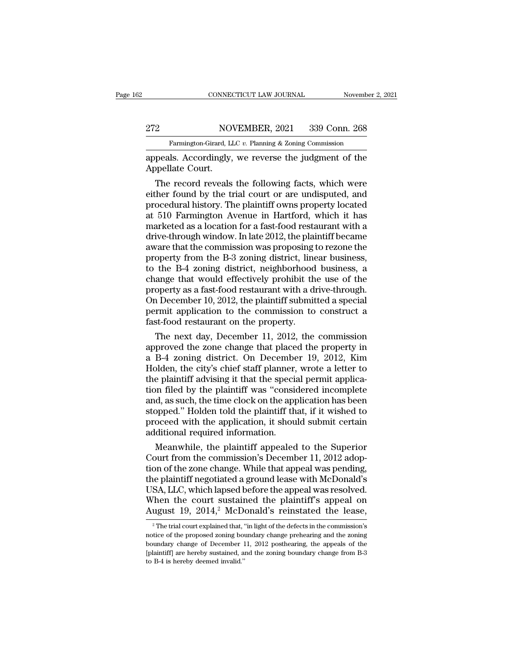### EXECUTE CONNECTICUT LAW JOURNAL Movember 2, 2021<br>272 NOVEMBER, 2021 339 Conn. 268<br>Farmington-Girard, LLC v. Planning & Zoning Commission Farmington-Girard, LLC *v.* Planning & Zoning Commission<br>Is Accordingly we reverse the judgment of the

CONNECTICUT LAW JOURNAL Movember 2, 2021<br>272 NOVEMBER, 2021 339 Conn. 268<br>Farmington-Girard, LLC v. Planning & Zoning Commission<br>appeals. Accordingly, we reverse the judgment of the<br>Appellate Court. MOTER MOTER SERVICE SERVICE SUPERVIEW Appellate Court.<br>The record reveals

 $\begin{array}{ll} \text{2} & \text{NOVEMBER, 2021} & \text{339 Conn. 268} \\ \text{Farmington-Girard, LLC } v. \text{ Planning & Zoning Commission} \\ \text{peals. Accordingly, we reverse the judgment of the \\ \text{ppellate Court.} \end{array}$ 272 NOVEMBER, 2021 339 Conn. 268<br>
Farmington-Girard, LLC v. Planning & Zoning Commission<br>
appeals. Accordingly, we reverse the judgment of the<br>
Appellate Court.<br>
The record reveals the following facts, which were<br>
either f Farmington-Girard, LLC  $v$ . Planning & Zoning Commission<br>appeals. Accordingly, we reverse the judgment of the<br>Appellate Court.<br>The record reveals the following facts, which were<br>either found by the trial court or are undi and the same of the appeals. Accordingly, we reverse the judgment of the Appellate Court.<br>The record reveals the following facts, which were either found by the trial court or are undisputed, and procedural history. The pl appeals. Accordingly, we reverse the judgment of the<br>Appellate Court.<br>The record reveals the following facts, which were<br>either found by the trial court or are undisputed, and<br>procedural history. The plaintiff owns propert Appellate Court.<br>
The record reveals the following facts, which were<br>
either found by the trial court or are undisputed, and<br>
procedural history. The plaintiff owns property located<br>
at 510 Farmington Avenue in Hartford, w The record reveals the following facts, which were<br>either found by the trial court or are undisputed, and<br>procedural history. The plaintiff owns property located<br>at 510 Farmington Avenue in Hartford, which it has<br>marketed either found by the trial court or are undisputed, and<br>procedural history. The plaintiff owns property located<br>at 510 Farmington Avenue in Hartford, which it has<br>marketed as a location for a fast-food restaurant with a<br>dri procedural history. The plaintiff owns property located<br>at 510 Farmington Avenue in Hartford, which it has<br>marketed as a location for a fast-food restaurant with a<br>drive-through window. In late 2012, the plaintiff became<br>a at 510 Farmington Avenue in Hartford, which it has<br>marketed as a location for a fast-food restaurant with a<br>drive-through window. In late 2012, the plaintiff became<br>aware that the commission was proposing to rezone the<br>pro marketed as a location for a fast-food restaurant with a<br>drive-through window. In late 2012, the plaintiff became<br>aware that the commission was proposing to rezone the<br>property from the B-3 zoning district, linear business drive-through window. In late 2012, the plaintiff became<br>aware that the commission was proposing to rezone the<br>property from the B-3 zoning district, linear business,<br>to the B-4 zoning district, neighborhood business, a<br>ch aware that the commission was proposing to rezone the<br>property from the B-3 zoning district, linear business,<br>to the B-4 zoning district, neighborhood business, a<br>change that would effectively prohibit the use of the<br>prope property from the B-3 zoning district, line<br>to the B-4 zoning district, neighborhood<br>change that would effectively prohibit th<br>property as a fast-food restaurant with a di<br>On December 10, 2012, the plaintiff submit<br>permit the B-4 zoning district, neighborhood business, a<br>ange that would effectively prohibit the use of the<br>operty as a fast-food restaurant with a drive-through.<br>1 December 10, 2012, the plaintiff submitted a special<br>rmit appl change that would effectively prohibit the use of the<br>property as a fast-food restaurant with a drive-through.<br>On December 10, 2012, the plaintiff submitted a special<br>permit application to the commission to construct a<br>fas

property as a fast-food restaurant with a drive-through.<br>On December 10, 2012, the plaintiff submitted a special<br>permit application to the commission to construct a<br>fast-food restaurant on the property.<br>The next day, Decem On December 10, 2012, the plaintiff submitted a special<br>permit application to the commission to construct a<br>fast-food restaurant on the property.<br>The next day, December 11, 2012, the commission<br>approved the zone change tha permit application to the commission to construct a<br>fast-food restaurant on the property.<br>The next day, December 11, 2012, the commission<br>approved the zone change that placed the property in<br>a B-4 zoning district. On Decem fast-food restaurant on the property.<br>
The next day, December 11, 2012, the commission<br>
approved the zone change that placed the property in<br>
a B-4 zoning district. On December 19, 2012, Kim<br>
Holden, the city's chief staff The next day, December 11, 2012, the commission<br>approved the zone change that placed the property in<br>a B-4 zoning district. On December 19, 2012, Kim<br>Holden, the city's chief staff planner, wrote a letter to<br>the plaintiff approved the zone change that placed the property in<br>a B-4 zoning district. On December 19, 2012, Kim<br>Holden, the city's chief staff planner, wrote a letter to<br>the plaintiff advising it that the special permit applica-<br>tio a B-4 zoning district. On December 19, 2012, Kim<br>Holden, the city's chief staff planner, wrote a letter to<br>the plaintiff advising it that the special permit applica-<br>tion filed by the plaintiff was "considered incomplete<br>a Holden, the city's chief staff planner,<br>the plaintiff advising it that the speciation filed by the plaintiff was "considend, as such, the time clock on the app<br>stopped." Holden told the plaintiff the<br>proceed with the appli e plaintiff advising it that the special permit application<br>on filed by the plaintiff was "considered incomplete<br>d, as such, the time clock on the application has been<br>opped." Holden told the plaintiff that, if it wished t tion filed by the plaintiff was "considered incomplete<br>and, as such, the time clock on the application has been<br>stopped." Holden told the plaintiff that, if it wished to<br>proceed with the application, it should submit certa

and, as such, the time clock on the application has been<br>stopped." Holden told the plaintiff that, if it wished to<br>proceed with the application, it should submit certain<br>additional required information.<br>Meanwhile, the plai stopped." Holden told the plaintiff that, if it wished to<br>proceed with the application, it should submit certain<br>additional required information.<br>Meanwhile, the plaintiff appealed to the Superior<br>Court from the commission' proceed with the application, it should submit certain<br>additional required information.<br>Meanwhile, the plaintiff appealed to the Superior<br>Court from the commission's December 11, 2012 adop-<br>tion of the zone change. While t additional required information.<br>
Meanwhile, the plaintiff appealed to the Superior<br>
Court from the commission's December 11, 2012 adop-<br>
tion of the zone change. While that appeal was pending,<br>
the plaintiff negotiated a Meanwhile, the plaintiff appealed to the Superior<br>Court from the commission's December 11, 2012 adop-<br>tion of the zone change. While that appeal was pending,<br>the plaintiff negotiated a ground lease with McDonald's<br>USA, LL ie plaintiff negotiated a ground lease with McDonald's<br>SA, LLC, which lapsed before the appeal was resolved.<br>Then the court sustained the plaintiff's appeal on<br>ugust 19, 2014,<sup>2</sup> McDonald's reinstated the lease,<br><sup>2</sup>The tri USA, LLC, which lapsed before the appeal was resolved.<br>When the court sustained the plaintiff's appeal on<br>August 19, 2014,<sup>2</sup> McDonald's reinstated the lease,<br><sup>2</sup>The trial court explained that, "in light of the defects in

When the court sustained the plaintiff's appeal on<br>August 19, 2014,<sup>2</sup> McDonald's reinstated the lease,<br><sup>2</sup> The trial court explained that, "in light of the defects in the commission's<br>notice of the proposed zoning bounda August 19, 2014,<sup>2</sup> McDonald's reinstated the lease,<br><sup>2</sup> The trial court explained that, "in light of the defects in the commission's<br>notice of the proposed zoning boundary change prehearing and the zoning<br>boundary change August 19, 2014, MCD<br>
<sup>2</sup> The trial court explained that, if<br>
notice of the proposed zoning boot<br>
boundary change of December 1<br>
[plaintiff] are hereby sustained, a<br>
to B-4 is hereby deemed invalid."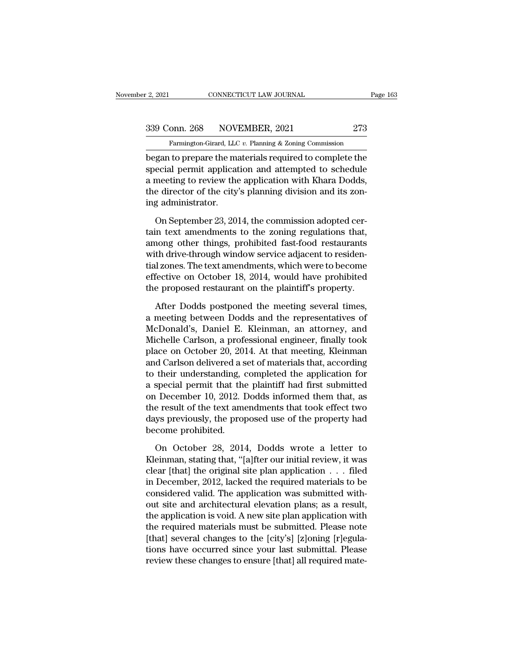# 2, 2021 CONNECTICUT LAW JOURNAL Page 163<br>339 Conn. 268 NOVEMBER, 2021 273<br>Farmington-Girard, LLC v. Planning & Zoning Commission

Farmington-Girard, LLC *v.* Planning & Zoning Commission<br>Degan to prepare the materials required to complete the began to prepare the materials required to complete the<br>special permit application. The materials required to complete the<br>special permit application and attempted to schedule<br>a meeting to review the emplication with Khare 339 Conn. 268 NOVEMBER, 2021 273<br>
Farmington-Girard, LLC v. Planning & Zoning Commission<br>
began to prepare the materials required to complete the<br>
special permit application and attempted to schedule<br>
a meeting to review 339 Conn. 268 NOVEMBER, 2021 273<br>
Farmington-Girard, LLC v. Planning & Zoning Commission<br>
began to prepare the materials required to complete the<br>
special permit application and attempted to schedule<br>
a meeting to review 339 Conn. 268 NOVEMBER, 2021 273<br>
Farmington-Girard, LLC v. Planning & Zoning Commission<br>
began to prepare the materials required to complete the<br>
special permit application and attempted to schedule<br>
a meeting to review Farmington-Girard, LLC<br>began to prepare the ma<br>special permit applicat<br>a meeting to review the<br>the director of the city<br>ing administrator.<br>On September 23, 201 gan to prepare the materials required to complete the<br>ecial permit application and attempted to schedule<br>meeting to review the application with Khara Dodds,<br>e director of the city's planning division and its zon-<br>g adminis special permit application and attempted to schedule<br>a meeting to review the application with Khara Dodds,<br>the director of the city's planning division and its zon-<br>ing administrator.<br>On September 23, 2014, the commission

a meeting to review the application with Khara Dodds,<br>the director of the city's planning division and its zon-<br>ing administrator.<br>On September 23, 2014, the commission adopted cer-<br>tain text amendments to the zoning regul the director of the city's planning division and its zoning administrator.<br>
On September 23, 2014, the commission adopted certain text amendments to the zoning regulations that,<br>
among other things, prohibited fast-food re ing administrator.<br>
On September 23, 2014, the commission adopted certain text amendments to the zoning regulations that,<br>
among other things, prohibited fast-food restaurants<br>
with drive-through window service adjacent to On September 23, 2014, the commission adopted certain text amendments to the zoning regulations that, among other things, prohibited fast-food restaurants with drive-through window service adjacent to residential zones. Th On September 23, 2014, the commission adopted certain text amendments to the zoning regulations that, among other things, prohibited fast-food restaurants with drive-through window service adjacent to residential zones. Th hold the meeting of the meeting several that the diversion of the diversion of the diversion of the meeting cones. The text amendments, which were to become fective on October 18, 2014, would have prohibited the proposed r with drive-through window service adjacent to residential zones. The text amendments, which were to become effective on October 18, 2014, would have prohibited the proposed restaurant on the plaintiff's property.<br>After Dod

tial zones. The text amendments, which were to become<br>effective on October 18, 2014, would have prohibited<br>the proposed restaurant on the plaintiff's property.<br>After Dodds postponed the meeting several times,<br>a meeting bet effective on October 18, 2014, would have prohibited<br>the proposed restaurant on the plaintiff's property.<br>After Dodds postponed the meeting several times,<br>a meeting between Dodds and the representatives of<br>McDonald's, Dani the proposed restaurant on the plaintiff's property.<br>
After Dodds postponed the meeting several times,<br>
a meeting between Dodds and the representatives of<br>
McDonald's, Daniel E. Kleinman, an attorney, and<br>
Michelle Carlson After Dodds postponed the meeting several times,<br>a meeting between Dodds and the representatives of<br>McDonald's, Daniel E. Kleinman, an attorney, and<br>Michelle Carlson, a professional engineer, finally took<br>place on October After Dodds postponed the meeting several times,<br>a meeting between Dodds and the representatives of<br>McDonald's, Daniel E. Kleinman, an attorney, and<br>Michelle Carlson, a professional engineer, finally took<br>place on October a meeting between Dodds and the representatives of<br>McDonald's, Daniel E. Kleinman, an attorney, and<br>Michelle Carlson, a professional engineer, finally took<br>place on October 20, 2014. At that meeting, Kleinman<br>and Carlson d McDonald's, Daniel E. Kleinman, an attorney, and<br>Michelle Carlson, a professional engineer, finally took<br>place on October 20, 2014. At that meeting, Kleinman<br>and Carlson delivered a set of materials that, according<br>to thei Michelle Carlson, a professional engineer, finally took<br>place on October 20, 2014. At that meeting, Kleinman<br>and Carlson delivered a set of materials that, according<br>to their understanding, completed the application for<br>a place on October 20, 2014. At that meeting, Kleinman<br>and Carlson delivered a set of materials that, according<br>to their understanding, completed the application for<br>a special permit that the plaintiff had first submitted<br>on and Carlson delivered a s<br>to their understanding, a<br>a special permit that the<br>on December 10, 2012. I<br>the result of the text ama<br>days previously, the prop<br>become prohibited.<br>On October 28, 2014 special permit that the plaintiff had first submitted<br>
December 10, 2012. Dodds informed them that, as<br>
e result of the text amendments that took effect two<br>
ys previously, the proposed use of the property had<br>
come prohib on December 10, 2012. Dodds informed them that, as<br>the result of the text amendments that took effect two<br>days previously, the proposed use of the property had<br>become prohibited.<br>On October 28, 2014, Dodds wrote a letter

the result of the text amendments that took effect two<br>days previously, the proposed use of the property had<br>become prohibited.<br>On October 28, 2014, Dodds wrote a letter to<br>Kleinman, stating that, "[a]fter our initial rev days previously, the proposed use of the property had<br>become prohibited.<br>On October 28, 2014, Dodds wrote a letter to<br>Kleinman, stating that, "[a]fter our initial review, it was<br>clear [that] the original site plan applicat become prohibited.<br>
On October 28, 2014, Dodds wrote a letter to<br>
Kleinman, stating that, "[a]fter our initial review, it was<br>
clear [that] the original site plan application  $\ldots$  filed<br>
in December, 2012, lacked the req On October 28, 2014, Dodds wrote a letter to<br>Kleinman, stating that, "[a]fter our initial review, it was<br>clear [that] the original site plan application  $\ldots$  filed<br>in December, 2012, lacked the required materials to be<br>c On October 28, 2014, Dodds wrote a letter to<br>Kleinman, stating that, "[a]fter our initial review, it was<br>clear [that] the original site plan application  $\ldots$  filed<br>in December, 2012, lacked the required materials to be<br>c Kleinman, stating that, "[a]fter our initial review, it was<br>clear [that] the original site plan application . . . filed<br>in December, 2012, lacked the required materials to be<br>considered valid. The application was submitted clear [that] the original site plan application . . . filed<br>in December, 2012, lacked the required materials to be<br>considered valid. The application was submitted with-<br>out site and architectural elevation plans; as a resu in December, 2012, lacked the required materials to be considered valid. The application was submitted without site and architectural elevation plans; as a result, the application is void. A new site plan application with considered valid. The application was submitted with-<br>out site and architectural elevation plans; as a result,<br>the application is void. A new site plan application with<br>the required materials must be submitted. Please note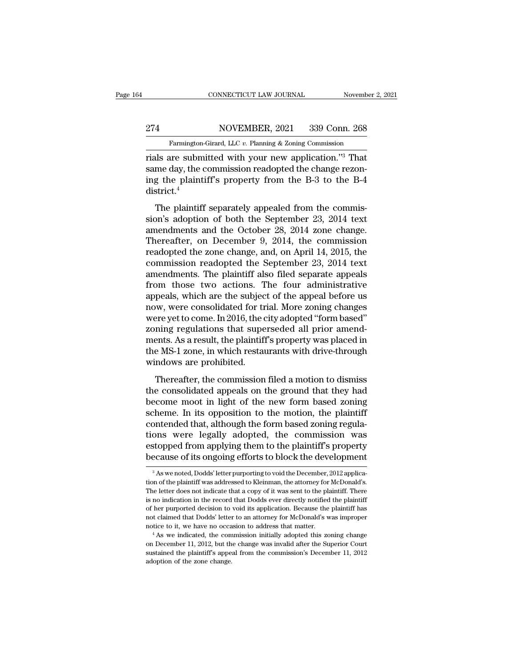### EXECUTE CONNECTICUT LAW JOURNAL Movember 2, 2021<br>274 NOVEMBER, 2021 339 Conn. 268<br>Farmington-Girard, LLC v. Planning & Zoning Commission Farmington-Girard, LLC *v.* Planning & Zoning Commission<br>Tials are submitted with your new application.<sup>73</sup> That

CONNECTICUT LAW JOURNAL November 2, 202<br>
274 NOVEMBER, 2021 339 Conn. 268<br>
Farmington-Girard, LLC v. Planning & Zoning Commission<br>
rials are submitted with your new application.''<sup>3</sup> That<br>
same day, the commission readopte 274 NOVEMBER, 2021 339 Conn. 268<br>Farmington-Girard, LLC v. Planning & Zoning Commission<br>rials are submitted with your new application."<sup>3</sup> That<br>same day, the commission readopted the change rezon-<br>ing the plaintiff's prope 274 NOVEMBER, 2021 339 Conn. 268<br>
Farmington-Girard, LLC v. Planning & Zoning Commission<br>
rials are submitted with your new application."<sup>3</sup> That<br>
same day, the commission readopted the change rezon-<br>
ing the plaintiff's district.<sup>4</sup> Farmington-Girard, LLC v. Planning & Zoning Commission<br>
als are submitted with your new application."<sup>3</sup> That<br>
me day, the commission readopted the change rezon-<br>
g the plaintiff's property from the B-3 to the B-4<br>
strict rials are submitted with your new application."<sup>3</sup> That<br>same day, the commission readopted the change rezon-<br>ing the plaintiff's property from the B-3 to the B-4<br>district.<sup>4</sup><br>The plaintiff separately appealed from the com

Final divergence with your first approach. Thus<br>same day, the commission readopted the change rezon-<br>ing the plaintiff's property from the B-3 to the B-4<br>district.<sup>4</sup><br>The plaintiff separately appealed from the commis-<br>sio ing the plaintiff's property from the B-3 to the B-4<br>district.<sup>4</sup><br>The plaintiff separately appealed from the commis-<br>sion's adoption of both the September 23, 2014 text<br>amendments and the October 28, 2014 zone change.<br>The readorted.<sup>4</sup><br>The plaintiff separately appealed from the commission's adoption of both the September 23, 2014 text<br>amendments and the October 28, 2014 zone change.<br>Thereafter, on December 9, 2014, the commission<br>readopted The plaintiff separately appealed from the commission's adoption of both the September 23, 2014 text<br>amendments and the October 28, 2014 zone change.<br>Thereafter, on December 9, 2014, the commission<br>readopted the zone chang The plaintiff separately appealed from the commis-<br>sion's adoption of both the September 23, 2014 text<br>amendments and the October 28, 2014 zone change.<br>Thereafter, on December 9, 2014, the commission<br>readopted the zone cha sion's adoption of both the September 23, 2014 text<br>amendments and the October 28, 2014 zone change.<br>Thereafter, on December 9, 2014, the commission<br>readopted the zone change, and, on April 14, 2015, the<br>commission readopt amendments and the October 28, 2014 zone change.<br>Thereafter, on December 9, 2014, the commission<br>readopted the zone change, and, on April 14, 2015, the<br>commission readopted the September 23, 2014 text<br>amendments. The plain Thereafter, on December 9, 2014, the commission<br>readopted the zone change, and, on April 14, 2015, the<br>commission readopted the September 23, 2014 text<br>amendments. The plaintiff also filed separate appeals<br>from those two a readopted the zone change, and, on April 14, 2015, the commission readopted the September 23, 2014 text amendments. The plaintiff also filed separate appeals from those two actions. The four administrative appeals, which a commission readopted the September 23, 2014 text<br>amendments. The plaintiff also filed separate appeals<br>from those two actions. The four administrative<br>appeals, which are the subject of the appeal before us<br>now, were consol amendments. The plaintiff also filed separate appeals<br>from those two actions. The four administrative<br>appeals, which are the subject of the appeal before us<br>now, were consolidated for trial. More zoning changes<br>were yet to from those two actions. The four administrative<br>appeals, which are the subject of the appeal before us<br>now, were consolidated for trial. More zoning changes<br>were yet to come. In 2016, the city adopted "form based"<br>zoning r appeals, which are the subjec<br>now, were consolidated for tr<br>were yet to come. In 2016, the c<br>zoning regulations that supe<br>ments. As a result, the plaintiff<br>the MS-1 zone, in which restau<br>windows are prohibited.<br>Thereafter, my, were consolidated for than those loning enallyces<br>repyet to come. In 2016, the city adopted "form based"<br>ning regulations that superseded all prior amend-<br>ents. As a result, the plaintiff's property was placed in<br>e MSthe consolidated appeals on the ground that superseded all prior amendments. As a result, the plaintiff's property was placed in the MS-1 zone, in which restaurants with drive-through windows are prohibited.<br>Thereafter, th

become most. As a result, the plaintiff's property was placed in<br>the MS-1 zone, in which restaurants with drive-through<br>windows are prohibited.<br>Thereafter, the commission filed a motion to dismiss<br>the consolidated appeals scheme. It is oppositive plainting property was placed in<br>the MS-1 zone, in which restaurants with drive-through<br>windows are prohibited.<br>Thereafter, the commission filed a motion to dismiss<br>the consolidated appeals on the contended that, although the form based zoning<br>the consolidated appeals on the ground that they had<br>become moot in light of the new form based zoning<br>scheme. In its opposition to the motion, the plaintiff<br>contended that, a Thereafter, the commission filed a motion to dismiss<br>the consolidated appeals on the ground that they had<br>become moot in light of the new form based zoning<br>scheme. In its opposition to the motion, the plaintiff<br>contended t Thereafter, the commission filed a motion to dismiss<br>the consolidated appeals on the ground that they had<br>become moot in light of the new form based zoning<br>scheme. In its opposition to the motion, the plaintiff<br>contended t the consolidated appeals on the ground that they had<br>become moot in light of the new form based zoning<br>scheme. In its opposition to the motion, the plaintiff<br>contended that, although the form based zoning regula-<br>tions wer contended that, although the form based zoning regulations were legally adopted, the commission was estopped from applying them to the plaintiff's property because of its ongoing efforts to block the development  $\frac{3}{\text{As$ tions were legally adopted, the commission was<br>estopped from applying them to the plaintiff's property<br>because of its ongoing efforts to block the development<br> $3$  As we noted, Dodds' letter purporting to void the December

estopped from applying them to the plaintiff's property<br>because of its ongoing efforts to block the development<br><sup>3</sup>As we noted, Dodds' letter purporting to void the December, 2012 applica-<br>tion of the plaintiff was address is no indication in the record that Dodds ever directly notified the record of the plaintiff was addressed to Kleinman, the attorney for McDonald's.<br>The letter does not indicate that a copy of it was sent to the plaintiff. of her purported acision to void the December, 2012 application of the plaintiff was addressed to Kleinman, the attorney for McDonald's.<br>The letter does not indicate that a copy of it was sent to the plaintiff. There is no <sup>3</sup> As we noted, Dodds' letter purporting to void the December, 2012 application of the plaintiff was addressed to Kleinman, the attorney for McDonald's. The letter does not indicate that a copy of it was sent to the plai notice to it, we have no occasion to address that matter. The letter does not indicate that a copy of it was sent to the plaintiff. There is no indication in the record that Dodds ever directly notified the plaintiff of he is no indication in the record that Dodds ever directly notified the plaintiff of her purported decision to void its application. Because the plaintiff has not claimed that Dodds' letter to an attorney for McDonald's was not claimed that Dodds' letter to an attorney for McDonald's was improper

sustained that Dodds' letter to an attorney for McDonald's was improper notice to it, we have no occasion to address that matter.<br>
<sup>4</sup> As we indicated, the commission initially adopted this zoning change on December 11, 20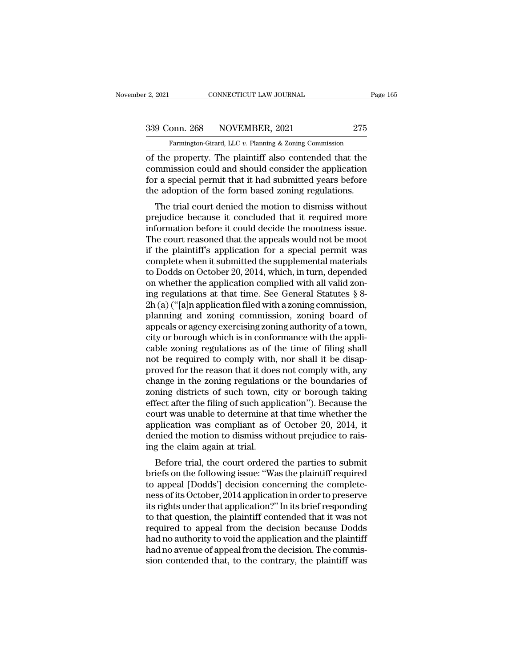2, 2021 CONNECTICUT LAW JOURNAL Page 165<br>339 Conn. 268 NOVEMBER, 2021 275<br>Farmington-Girard, LLC v. Planning & Zoning Commission

CONNECTICUT LAW JOURNAL Pa<br>
onn. 268 NOVEMBER, 2021 275<br>
Farmington-Girard, LLC *v.* Planning & Zoning Commission<br>
Property The plaintiff also contended that the of the property. The plaintiff also contended that the commission could and should consider the application<br>of the property. The plaintiff also contended that the commission could and should consider the application<br>for a 339 Conn. 268 NOVEMBER, 2021 275<br>
Farmington-Girard, LLC v. Planning & Zoning Commission<br>
of the property. The plaintiff also contended that the<br>
commission could and should consider the application<br>
for a special permit t 339 Conn. 268 NOVEMBER, 2021 275<br>
Farmington-Girard, LLC v. Planning & Zoning Commission<br>
of the property. The plaintiff also contended that the<br>
commission could and should consider the application<br>
for a special permit 339 Conn. 268 NOVEMBER, 2021 275<br>
Farmington-Girard, LLC v. Planning & Zoning Commission<br>
of the property. The plaintiff also contended that the<br>
commission could and should consider the application<br>
for a special permit Farmington-Girard, LLC  $v$ . Planning & Zoning Commission<br>the property. The plaintiff also contended that the<br>mmission could and should consider the application<br>r a special permit that it had submitted years before<br>e adopt of the property. The plaintiff also contended that the commission could and should consider the application<br>for a special permit that it had submitted years before<br>the adoption of the form based zoning regulations.<br>The tri

of the property. The plaintin also contended that the<br>commission could and should consider the application<br>for a special permit that it had submitted years before<br>the adoption of the form based zoning regulations.<br>The tria For a special permit that it had submitted years before<br>the adoption of the form based zoning regulations.<br>The trial court denied the motion to dismiss without<br>prejudice because it concluded that it required more<br>informati for a special permit that it had subhitted years before<br>the adoption of the form based zoning regulations.<br>The trial court denied the motion to dismiss without<br>prejudice because it concluded that it required more<br>informati The trial court denied the motion to dismiss without<br>prejudice because it concluded that it required more<br>information before it could decide the mootness issue.<br>The court reasoned that the appeals would not be moot<br>if the The trial court denied the motion to dismiss without<br>prejudice because it concluded that it required more<br>information before it could decide the mootness issue.<br>The court reasoned that the appeals would not be moot<br>if the prejudice because it concluded that it required more<br>information before it could decide the mootness issue.<br>The court reasoned that the appeals would not be moot<br>if the plaintiff's application for a special permit was<br>comp information before it could decide the mootness issue.<br>The court reasoned that the appeals would not be moot<br>if the plaintiff's application for a special permit was<br>complete when it submitted the supplemental materials<br>to The court reasoned that the appeals would not be moot<br>if the plaintiff's application for a special permit was<br>complete when it submitted the supplemental materials<br>to Dodds on October 20, 2014, which, in turn, depended<br>on if the plaintiff's application for a special permit was<br>complete when it submitted the supplemental materials<br>to Dodds on October 20, 2014, which, in turn, depended<br>on whether the application complied with all valid zon-<br> complete when it submitted the supplemental materials<br>to Dodds on October 20, 2014, which, in turn, depended<br>on whether the application complied with all valid zon-<br>ing regulations at that time. See General Statutes § 8-<br>2 to Dodds on October 20, 2014, which, in turn, depended<br>on whether the application complied with all valid zon-<br>ing regulations at that time. See General Statutes § 8-<br>2h (a) ("[a]n application filed with a zoning commissi on whether the application complied with all valid zoning regulations at that time. See General Statutes § 8-<br>2h (a) ("[a]n application filed with a zoning commission, planning and zoning commission, zoning board of<br>appeal ing regulations at that time. See General Statutes  $\S$  8-2h (a) ("[a]n application filed with a zoning commission, planning and zoning commission, zoning board of appeals or agency exercising zoning authority of a town, c 2h (a) ("[a]n application filed with a zoning commission,<br>planning and zoning commission, zoning board of<br>appeals or agency exercising zoning authority of a town,<br>city or borough which is in conformance with the appli-<br>cab planning and zoning commission, zoning board of<br>appeals or agency exercising zoning authority of a town,<br>city or borough which is in conformance with the appli-<br>cable zoning regulations as of the time of filing shall<br>not b appeals or agency exercising zoning authority of a town,<br>city or borough which is in conformance with the appli-<br>cable zoning regulations as of the time of filing shall<br>not be required to comply with, nor shall it be disap city or borough which is in conformance with the applicable zoning regulations as of the time of filing shall<br>not be required to comply with, nor shall it be disap-<br>proved for the reason that it does not comply with, any<br>c cable zoning regulations as of the time of filing shall<br>not be required to comply with, nor shall it be disap-<br>proved for the reason that it does not comply with, any<br>change in the zoning regulations or the boundaries of<br>z not be required to comply with, nor shall it be disapproved for the reason that it does not comply with, any change in the zoning regulations or the boundaries of zoning districts of such town, city or borough taking effec proved for the reason that it does not comply with, any change in the zoning regulations or the boundaries of zoning districts of such town, city or borough taking effect after the filing of such application"). Because the change in the zoning regulations<br>zoning districts of such town, c<br>effect after the filing of such appl<br>court was unable to determine at<br>application was compliant as o<br>denied the motion to dismiss wit<br>ing the claim again at Fractrude trial, the court of the parties to such the filing of such application"). Because the urt was unable to determine at that time whether the plication was compliant as of October 20, 2014, it mied the motion to dis enect after the filling of such application *f*. Because the<br>court was unable to determine at that time whether the<br>application was compliant as of October 20, 2014, it<br>denied the motion to dismiss without prejudice to rai

court was unable to determine at that time whether the<br>application was compliant as of October 20, 2014, it<br>denied the motion to dismiss without prejudice to rais-<br>ing the claim again at trial.<br>Before trial, the court orde application was compliant as of October 20, 2014, it<br>denied the motion to dismiss without prejudice to rais-<br>ing the claim again at trial.<br>Before trial, the court ordered the parties to submit<br>briefs on the following issue defined the motion to disities without prejudice to rais-<br>ing the claim again at trial.<br>Before trial, the court ordered the parties to submit<br>briefs on the following issue: "Was the plaintiff required<br>to appeal [Dodds'] de Ing the claim again at that.<br>Before trial, the court ordered the parties to submit<br>briefs on the following issue: "Was the plaintiff required<br>to appeal [Dodds'] decision concerning the complete-<br>ness of its October, 2014 a Before trial, the court ordered the parties to submit<br>briefs on the following issue: "Was the plaintiff required<br>to appeal [Dodds'] decision concerning the complete-<br>ness of its October, 2014 application in order to preser briefs on the following issue: "Was the plaintiff required<br>to appeal [Dodds'] decision concerning the complete-<br>ness of its October, 2014 application in order to preserve<br>its rights under that application?" In its brief re to appeal [Dodds'] decision concerning the completeness of its October, 2014 application in order to preserve<br>its rights under that application?" In its brief responding<br>to that question, the plaintiff contended that it wa ness of its October, 2014 application in order to preserve<br>its rights under that application?" In its brief responding<br>to that question, the plaintiff contended that it was not<br>required to appeal from the decision because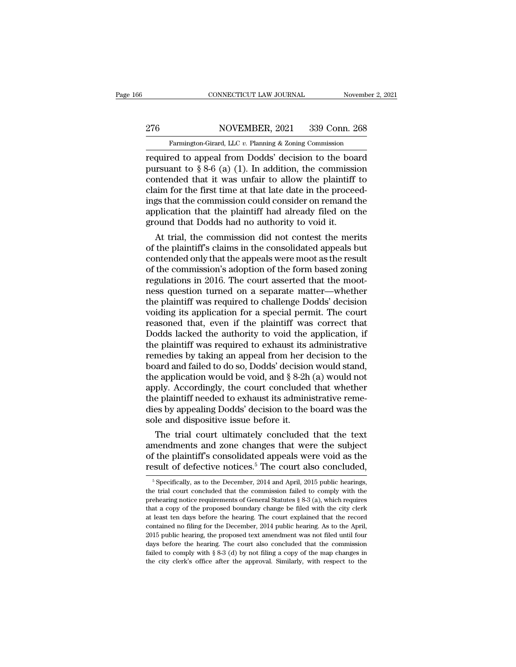# EXECUTE CONNECTICUT LAW JOURNAL Movember 2, 2021<br>276 NOVEMBER, 2021 339 Conn. 268<br>Farmington-Girard, LLC v. Planning & Zoning Commission

Farmington-Girard, LLC *v.* Planning & Zoning Commission<br>Farmington-Girard, LLC *v.* Planning & Zoning Commission<br>Fequired to appeal from Dodds' decision to the board CONNECTICUT LAW JOURNAL November 2, 2021<br>
276 NOVEMBER, 2021 339 Conn. 268<br>
Farmington-Girard, LLC v. Planning & Zoning Commission<br>
required to appeal from Dodds' decision to the board<br>
pursuant to § 8-6 (a) (1). In additi Pursuant to § 8-6 (a) (1). In addition, the commission<br>
pursuant to § 8-6 (a) (1). In addition, the commission<br>
pursuant to § 8-6 (a) (1). In addition, the commission<br>
contended that it was unfair to allow the plaintiff to 276 NOVEMBER, 2021 339 Conn. 268<br>
Farmington-Girard, LLC v. Planning & Zoning Commission<br>
required to appeal from Dodds' decision to the board<br>
pursuant to § 8-6 (a) (1). In addition, the commission<br>
contended that it was 276 NOVEMBER, 2021 339 Conn. 268<br>
Farmington-Girard, LLC v. Planning & Zoning Commission<br>
required to appeal from Dodds' decision to the board<br>
pursuant to  $\S 8-6$  (a) (1). In addition, the commission<br>
contended that it w Farmington-Girard, LLC v. Planning & Zoning Commission<br>required to appeal from Dodds' decision to the board<br>pursuant to § 8-6 (a) (1). In addition, the commission<br>contended that it was unfair to allow the plaintiff to<br>cla Farmington-Girard, LLC  $v$ . Planning & Zoning Commission<br>required to appeal from Dodds' decision to the board<br>pursuant to § 8-6 (a) (1). In addition, the commission<br>contended that it was unfair to allow the plaintiff to<br>c required to appeal from Dodds' decision to the boa pursuant to  $\S 8-6$  (a) (1). In addition, the commission contended that it was unfair to allow the plaintiff claim for the first time at that late date in the proceedings Itsuant to  $\S 8$ -6 (a) (1). In addition, the commission<br>intended that it was unfair to allow the plaintiff to<br>aim for the first time at that late date in the proceed-<br>gs that the commission could consider on remand the<br>pl contended that it was untair to allow the plaintiff to<br>claim for the first time at that late date in the proceed-<br>ings that the commission could consider on remand the<br>application that the plaintiff had already filed on th

claim for the first time at that late date in the proceed-<br>ings that the commission could consider on remand the<br>application that the plaintiff had already filed on the<br>ground that Dodds had no authority to void it.<br>At tri imgs that the commission could consider on remand the<br>application that the plaintiff had already filed on the<br>ground that Dodds had no authority to void it.<br>At trial, the commission did not contest the merits<br>of the plaint application that the plaintiff had already filed on the<br>ground that Dodds had no authority to void it.<br>At trial, the commission did not contest the merits<br>of the plaintiff's claims in the consolidated appeals but<br>contended ground that Dodds had no authority to void it.<br>At trial, the commission did not contest the merits<br>of the plaintiff's claims in the consolidated appeals but<br>contended only that the appeals were moot as the result<br>of the co At trial, the commission did not contest the merits<br>of the plaintiff's claims in the consolidated appeals but<br>contended only that the appeals were moot as the result<br>of the commission's adoption of the form based zoning<br>re of the plaintiff's claims in the consolidated appeals but<br>contended only that the appeals were moot as the result<br>of the commission's adoption of the form based zoning<br>regulations in 2016. The court asserted that the mootcontended only that the appeals were moot as the result<br>of the commission's adoption of the form based zoning<br>regulations in 2016. The court asserted that the moot-<br>ness question turned on a separate matter—whether<br>the pla of the commission's adoption of the form based zoning<br>regulations in 2016. The court asserted that the moot-<br>ness question turned on a separate matter—whether<br>the plaintiff was required to challenge Dodds' decision<br>voiding regulations in 2016. The court asserted that the mootness question turned on a separate matter—whether<br>the plaintiff was required to challenge Dodds' decision<br>voiding its application for a special permit. The court<br>reasone remediate matter—whether<br>the plaintiff was required to challenge Dodds' decision<br>voiding its application for a special permit. The court<br>reasoned that, even if the plaintiff was correct that<br>Dodds lacked the authority to v the plaintiff was required to challenge Dodds' decision<br>voiding its application for a special permit. The court<br>reasoned that, even if the plaintiff was correct that<br>Dodds lacked the authority to void the application, if<br>t voiding its application for a special permit. The court<br>reasoned that, even if the plaintiff was correct that<br>Dodds lacked the authority to void the application, if<br>the plaintiff was required to exhaust its administrative<br> reasoned that, even if the plaintiff was correct that<br>Dodds lacked the authority to void the application, if<br>the plaintiff was required to exhaust its administrative<br>remedies by taking an appeal from her decision to the<br>bo Dodds lacked the authority to void the application, if<br>the plaintiff was required to exhaust its administrative<br>remedies by taking an appeal from her decision to the<br>board and failed to do so, Dodds' decision would stand,<br> the plaintiff was required to exhaust its administrative<br>remedies by taking an appeal from her decision to the<br>board and failed to do so, Dodds' decision would stand,<br>the application would be void, and § 8-2h (a) would not remedies by taking an appeal from her d<br>board and failed to do so, Dodds' decisior<br>the application would be void, and § 8-2h<br>apply. Accordingly, the court concluded<br>the plaintiff needed to exhaust its admini<br>dies by appeal ard and failed to do so, Dodds' decision would stand,<br>e application would be void, and § 8-2h (a) would not<br>ply. Accordingly, the court concluded that whether<br>e plaintiff needed to exhaust its administrative reme-<br>es by a the application would be void, and  $\S$  8-2n (a) would not<br>apply. Accordingly, the court concluded that whether<br>the plaintiff needed to exhaust its administrative reme-<br>dies by appealing Dodds' decision to the board was th

apply. Accordingly, the court concluded that whether<br>the plaintiff needed to exhaust its administrative reme-<br>dies by appealing Dodds' decision to the board was the<br>sole and dispositive issue before it.<br>The trial court ult the plaintiff needed to exhaust its administrative reme-<br>dies by appealing Dodds' decision to the board was the<br>sole and dispositive issue before it.<br>The trial court ultimately concluded that the text<br>amendments and zone c The trial court ultimately concluded that the text<br>mendments and zone changes that were the subject<br>f the plaintiff's consolidated appeals were void as the<br>sult of defective notices.<sup>5</sup> The court also concluded,<br> $\frac{5 \text{ Specifically$ amendments and zone changes that were the subject<br>of the plaintiff's consolidated appeals were void as the<br>result of defective notices.<sup>5</sup> The court also concluded,<br><sup>5</sup> Specifically, as to the December, 2014 and April, 20

of the plaintiff's consolidated appeals were void as the result of defective notices.<sup>5</sup> The court also concluded,<br><sup>5</sup> Specifically, as to the December, 2014 and April, 2015 public hearings, the trial court concluded that The proposed boundary of the proposed boundary change be filed with the prehearing notice requirements of General Statutes § 8-3 (a), which requires that a copy of the proposed boundary change be filed with the city clerk result OI defective holices. The court also concluded,<br>
<sup>5</sup> Specifically, as to the December, 2014 and April, 2015 public hearings,<br>
the trial court concluded that the commission failed to comply with the<br>
prehearing noti  $^\circ$ Specifically, as to the December, 2014 and April, 2015 public hearings, the trial court concluded that the commission failed to comply with the prehearing notice requirements of General Statutes § 8-3 (a), which requi the trial court concluded that the commission failed to comply with the trial court concluded that the commission failed to comply with the prehearing notice requirements of General Statutes § 8-3 (a), which requires that are the hearing notice requirements of General Statutes § 8-3 (a), which requires that a copy of the proposed boundary change be filed with the city clerk at least ten days before the hearing. The court explained that the fractually note be proposed boundary change be filed with the city clerk at least ten days before the hearing. The court explained that the record contained no filing for the December, 2014 public hearing. As to the April that a copy of the proposed boundary change be filed with the city clerk at least ten days before the hearing. The court explained that the record contained no filing for the December, 2014 public hearing. As to the April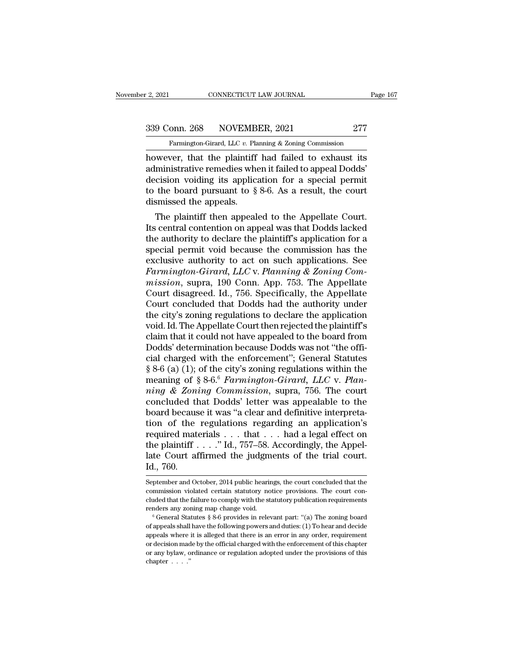2, 2021 CONNECTICUT LAW JOURNAL Page 167<br>339 Conn. 268 NOVEMBER, 2021 277<br>Farmington-Girard, LLC v. Planning & Zoning Commission

Farmington-Girard, LLC *v.* Planning & Zoning Commission<br>
Ramington-Girard, LLC *v.* Planning & Zoning Commission<br>
Rowever, that the plaintiff had failed to exhaust its Page 167<br>
2, 2021 CONNECTICUT LAW JOURNAL Page 167<br>
277 Farmington-Girard, LLC v. Planning & Zoning Commission<br>
Rowever, that the plaintiff had failed to exhaust its<br>
administrative remedies when it failed to appeal Dodds' 339 Conn. 268 NOVEMBER, 2021 277<br>
Farmington-Girard, LLC v. Planning & Zoning Commission<br>
however, that the plaintiff had failed to exhaust its<br>
administrative remedies when it failed to appeal Dodds'<br>
decision voiding it 339 Conn. 268 NOVEMBER, 2021 277<br>
Farmington-Girard, LLC v. Planning & Zoning Commission<br>
however, that the plaintiff had failed to exhaust its<br>
administrative remedies when it failed to appeal Dodds'<br>
decision voiding it 339 Conn. 268 NOVEMBER, 2021 277<br>
Farmington-Girard, LLC v. Planning & Zoning Commission<br>
however, that the plaintiff had failed to exhaust its<br>
administrative remedies when it failed to appeal Dodds'<br>
decision voiding it Farmington-Girard, LLC  $v$ . Plance<br>
however, that the plaintiff<br>
administrative remedies where<br>
decision voiding its applic:<br>
to the board pursuant to  $\S$ <br>
dismissed the appeals.<br>
The plaintiff then appeal wever, that the plaintiff had failed to exhaust its<br>ministrative remedies when it failed to appeal Dodds'<br>cision voiding its application for a special permit<br>the board pursuant to  $\S 8{\text -}6$ . As a result, the court<br>smisse However, that the plaintiff had failed to exhaust its<br>administrative remedies when it failed to appeal Dodds'<br>decision voiding its application for a special permit<br>to the board pursuant to  $\S 8{\text -}6$ . As a result, the cou

authoritative reflecties when it failed to appear Dodds<br>decision voiding its application for a special permit<br>to the board pursuant to  $\S 8{\text -}6$ . As a result, the court<br>dismissed the appeals.<br>The plaintiff then appealed decision voiding its application for a special permit<br>to the board pursuant to § 8-6. As a result, the court<br>dismissed the appeals.<br>The plaintiff then appealed to the Appellate Court.<br>Its central contention on appeal was to the board pursuant to  $\S$  8-0. As a result, the court<br>dismissed the appeals.<br>The plaintiff then appealed to the Appellate Court.<br>Its central contention on appeal was that Dodds lacked<br>the authority to declare the plain The plaintiff then appealed to the Appellate Court.<br>*Its central contention on appeal was that Dodds lacked*<br>the authority to declare the plaintiff's application for a<br>special permit void because the commission has the<br>exc The plaintiff then appealed to the Appellate Court.<br>
Its central contention on appeal was that Dodds lacked<br>
the authority to declare the plaintiff's application for a<br>
special permit void because the commission has the<br>
e Its central contention on appeal was that Dodds lacked<br>the authority to declare the plaintiff's application for a<br>special permit void because the commission has the<br>exclusive authority to act on such applications. See<br>Farm the authority to declare the plaintiff's application for a<br>special permit void because the commission has the<br>exclusive authority to act on such applications. See<br>Farmington-Girard, LLC v. Planning & Zoning Com-<br>mission, s special permit void because the commission has the exclusive authority to act on such applications. See Farmington-Girard, LLC v. Planning & Zoning Commission, supra, 190 Conn. App. 753. The Appellate Court disagreed. Id., exclusive authority to act on such applications. See<br>Farmington-Girard, LLC v. Planning & Zoning Com-<br>mission, supra, 190 Conn. App. 753. The Appellate<br>Court disagreed. Id., 756. Specifically, the Appellate<br>Court concluded Farmington-Girard, LLC v. Planning & Zoning Commission, supra, 190 Conn. App. 753. The Appellate<br>Court disagreed. Id., 756. Specifically, the Appellate<br>Court concluded that Dodds had the authority under<br>the city's zoning r mission, supra, 190 Conn. App. 753. The Appellate<br>Court disagreed. Id., 756. Specifically, the Appellate<br>Court concluded that Dodds had the authority under<br>the city's zoning regulations to declare the application<br>void. Id Court disagreed. Id., 756. Specifically, the Appellate<br>Court concluded that Dodds had the authority under<br>the city's zoning regulations to declare the application<br>void. Id. The Appellate Court then rejected the plaintiff' Court concluded that Dodds had the authority under<br>the city's zoning regulations to declare the application<br>void. Id. The Appellate Court then rejected the plaintiff's<br>claim that it could not have appealed to the board fr the city's zoning regulations to declare the application<br>void. Id. The Appellate Court then rejected the plaintiff's<br>claim that it could not have appealed to the board from<br>Dodds' determination because Dodds was not "the o *notion in that it could not have appealed to the plaintiff's*<br>
claim that it could not have appealed to the board from<br>
Dodds' determination because Dodds was not "the offi-<br>
cial charged with the enforcement"; General St claim that it could not have appealed to the board from<br>Dodds' determination because Dodds was not "the offi-<br>cial charged with the enforcement"; General Statutes<br>§ 8-6 (a) (1); of the city's zoning regulations within the<br> Dodds' determination because Dodds was not "the official charged with the enforcement"; General Statutes  $§ 8-6$  (a) (1); of the city's zoning regulations within the meaning of  $§ 8-6.6$  *Farmington-Girard*, *LLC* v. *Pla* cial charged with the enforcement"; General Statutes  $\S 8-6$  (a) (1); of the city's zoning regulations within the<br>meaning of  $\S 8-6$  *f armington-Girard*, *LLC* v. *Plan-*<br>*ning & Zoning Commission*, supra, 756. The court § 8-6 (a) (1); of the city's zoning regulations within the<br>meaning of § 8-6.<sup>6</sup> Farmington-Girard, LLC v. Plan-<br>ning & Zoning Commission, supra, 756. The court<br>concluded that Dodds' letter was appealable to the<br>board beca meaning of § 8-6.<sup>6</sup> Farmington-Girard, LLC v. Plan-<br>ming & Zoning Commission, supra, 756. The court<br>concluded that Dodds' letter was appealable to the<br>board because it was "a clear and definitive interpreta-<br>tion of the ming & Zoning Commission, supra, 756. The court<br>concluded that Dodds' letter was appealable to the<br>board because it was "a clear and definitive interpreta-<br>tion of the regulations regarding an application's<br>required mater concluded the<br>board becaus<br>tion of the<br>required mat<br>the plaintiff .<br>late Court af<br>Id., 760.<br>September and Oc required materials . . . that . . . had a legal effect on<br>the plaintiff . . . ." Id., 757–58. Accordingly, the Appel-<br>late Court affirmed the judgments of the trial court.<br>Id., 760.<br>September and October, 2014 public heari the plaintiff  $\ldots$ ." Id., 757–58. Accordingly, the Appellate Court affirmed the judgments of the trial court.<br>Id., 760.<br>September and October, 2014 public hearings, the court concluded that the<br>commission violated certai

late Court affirmed the judgments of the trial court.<br>
Id., 760.<br>
September and October, 2014 public hearings, the court concluded that the<br>
commission violated certain statutory notice provisions. The court con-<br>
cluded t renders and October, 2014 public hearings, the court concluded that the commission violated certain statutory notice provisions. The court concluded that the failure to comply with the statutory publication requirements re September and October, 2014 public hearings, the court concluded that the commission violated certain statutory notice provisions. The court concluded that the failure to comply with the statutory publication requirements

commission violated certain statutory notice provisions. The court concluded that the failure to comply with the statutory publication requirements renders any zoning map change void.<br>  $\degree$  General Statutes § 8-6 provides cluded that the failure to comply with the statutory publication requirements<br>renders any zoning map change void.<br><sup>6</sup> General Statutes § 8-6 provides in relevant part: "(a) The zoning board<br>of appeals shall have the follo renders any zoning map change void.<br>
<sup>6</sup> General Statutes § 8-6 provides in relevant part: "(a) The zoning board<br>
of appeals shall have the following powers and duties: (1) To hear and decide<br>
appeals where it is alleged <sup>6</sup> General Sta<br>
of appeals shall<br>
appeals where<br>
or decision mad<br>
or any bylaw, o<br>
chapter<br>
....."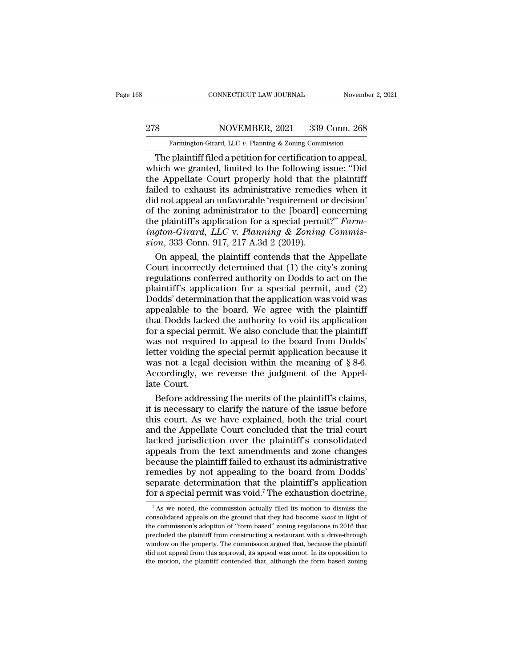# EXECUTE CONNECTICUT LAW JOURNAL Movember 2, 2021<br>278 NOVEMBER, 2021 339 Conn. 268<br>Farmington-Girard, LLC v. Planning & Zoning Commission

Farmington-Girard, LLC *v.* Planning & Zoning Commission<br>The plaintiff filed a petition for certification to appeal, CONNECTICUT LAW JOURNAL November 2, 2<br>
S<br>
S<br>
Tarmington-Girard, LLC v. Planning & Zoning Commission<br>
The plaintiff filed a petition for certification to appeal,<br>
nich we granted, limited to the following issue: "Did<br>
Annel NOVEMBER, 2021 339 Conn. 268<br>
Farmington-Girard, LLC v. Planning & Zoning Commission<br>
The plaintiff filed a petition for certification to appeal,<br>
which we granted, limited to the following issue: "Did<br>
the Appellate Court 278 NOVEMBER, 2021 339 Conn. 268<br>
Farmington-Girard, LLC v. Planning & Zoning Commission<br>
The plaintiff filed a petition for certification to appeal,<br>
which we granted, limited to the following issue: "Did<br>
the Appellate 278 NOVEMBER, 2021 339 Conn. 268<br>
Farmington-Girard, LLC  $v$ . Planning & Zoning Commission<br>
The plaintiff filed a petition for certification to appeal,<br>
which we granted, limited to the following issue: "Did<br>
the Appellat Farmington-Girard, LLC v. Planning & Zoning Commission<br>The plaintiff filed a petition for certification to appeal,<br>which we granted, limited to the following issue: "Did<br>the Appellate Court properly hold that the plaintif Farmington-Girard, LLC v. Planning & Zoning Commission<br>
The plaintiff filed a petition for certification to appeal,<br>
which we granted, limited to the following issue: "Did<br>
the Appellate Court properly hold that the plain The plaintiff filed a petition for certification to appeal,<br>which we granted, limited to the following issue: "Did<br>the Appellate Court properly hold that the plaintiff<br>failed to exhaust its administrative remedies when it<br> which we granted, limited to the following issue: "Did<br>the Appellate Court properly hold that the plaintiff<br>failed to exhaust its administrative remedies when it<br>did not appeal an unfavorable 'requirement or decision'<br>of t the Appellate Court properly hold that the failed to exhaust its administrative remedie did not appeal an unfavorable 'requirement on of the zoning administrator to the [board] c the plaintiff's application for a special p iled to exhaust its administrative remedies when it<br>d not appeal an unfavorable 'requirement or decision'<br>the zoning administrator to the [board] concerning<br>e plaintiff's application for a special permit?" Farm-<br>gton-Gira did not appeal an unfavorable 'requirement or decision'<br>of the zoning administrator to the [board] concerning<br>the plaintiff's application for a special permit?" Farm-<br>ington-Girard, LLC v. Planning & Zoning Commis-<br>sion,

of the zoning administrator to the [board] concerning<br>the plaintiff's application for a special permit?" Farm-<br>ington-Girard, LLC v. Planning & Zoning Commis-<br>sion, 333 Conn. 917, 217 A.3d 2 (2019).<br>On appeal, the plainti the plaintiff's application for a special permit?" Farm-<br> *ington-Girard, LLC* v. Planning & Zoning Commis-<br>
sion, 333 Conn. 917, 217 A.3d 2 (2019).<br>
On appeal, the plaintiff contends that the Appellate<br>
Court incorrectly ington-Girard, LLC v. Planning & Zoning Commis-<br>sion, 333 Conn. 917, 217 A.3d 2 (2019).<br>On appeal, the plaintiff contends that the Appellate<br>Court incorrectly determined that (1) the city's zoning<br>regulations conferred aut sion, 333 Conn. 917, 217 A.3d 2 (2019).<br>
On appeal, the plaintiff contends that the Appellate<br>
Court incorrectly determined that (1) the city's zoning<br>
regulations conferred authority on Dodds to act on the<br>
plaintiff's ap On appeal, the plaintiff contends that the Appellate<br>Court incorrectly determined that (1) the city's zoning<br>regulations conferred authority on Dodds to act on the<br>plaintiff's application for a special permit, and (2)<br>Dodd Court incorrectly determined that  $(1)$  the city's zoning<br>regulations conferred authority on Dodds to act on the<br>plaintiff's application for a special permit, and  $(2)$ <br>Dodds' determination that the application was void w regulations conferred authority on Dodds to act on the plaintiff's application for a special permit, and (2) Dodds' determination that the application was void was appealable to the board. We agree with the plaintiff that plaintiff's application for a special permit, and (2)<br>Dodds' determination that the application was void was<br>appealable to the board. We agree with the plaintiff<br>that Dodds lacked the authority to void its application<br>for Dodds' determination that the application was void was appealable to the board. We agree with the plaintiff that Dodds lacked the authority to void its application for a special permit. We also conclude that the plaintiff appealable to the board. We agree with the plaintiff<br>that Dodds lacked the authority to void its application<br>for a special permit. We also conclude that the plaintiff<br>was not required to appeal to the board from Dodds'<br>le that Dodds lack<br>for a special per<br>was not require<br>letter voiding th<br>was not a legal<br>Accordingly, we<br>late Court.<br>Before addres r a special permit. We also conclude that the plaintiff<br>as not required to appeal to the board from Dodds'<br>ter voiding the special permit application because it<br>as not a legal decision within the meaning of § 8-6.<br>ccording was not required to appeal to the board from Dodds'<br>letter voiding the special permit application because it<br>was not a legal decision within the meaning of  $\S 8-6$ .<br>Accordingly, we reverse the judgment of the Appel-<br>late

letter voiding the special permit application because it<br>was not a legal decision within the meaning of § 8-6.<br>Accordingly, we reverse the judgment of the Appel-<br>late Court.<br>Before addressing the merits of the plaintiff's was not a legal decision within the meaning of  $\S 8-6$ .<br>Accordingly, we reverse the judgment of the Appellate Court.<br>Before addressing the merits of the plaintiff's claims,<br>it is necessary to clarify the nature of the iss Accordingly, we reverse the judgment of the Appellate Court.<br>Before addressing the merits of the plaintiff's claims,<br>it is necessary to clarify the nature of the issue before<br>this court. As we have explained, both the tria late Court.<br>Before addressing the merits of the plaintiff's claims,<br>it is necessary to clarify the nature of the issue before<br>this court. As we have explained, both the trial court<br>and the Appellate Court concluded that th Before addressing the merits of the plaintiff's claims,<br>it is necessary to clarify the nature of the issue before<br>this court. As we have explained, both the trial court<br>and the Appellate Court concluded that the trial cour it is necessary to clarify the nature of the issue before<br>this court. As we have explained, both the trial court<br>and the Appellate Court concluded that the trial court<br>lacked jurisdiction over the plaintiff's consolidated<br> this court. As we have explained, both the trial court<br>and the Appellate Court concluded that the trial court<br>lacked jurisdiction over the plaintiff's consolidated<br>appeals from the text amendments and zone changes<br>because and the Appellate Court concluded that the trial court<br>lacked jurisdiction over the plaintiff's consolidated<br>appeals from the text amendments and zone changes<br>because the plaintiff failed to exhaust its administrative<br>rem ecause the plaintiff failed to exhaust its administrative<br>emedies by not appealing to the board from Dodds'<br>eparate determination that the plaintiff's application<br>or a special permit was void.<sup>7</sup> The exhaustion doctrine,<br> remedies by not appealing to the board from Dodds'<br>separate determination that the plaintiff's application<br>for a special permit was void.<sup>7</sup> The exhaustion doctrine,<br> $\frac{7}{4}$  As we noted, the commission actually filed it

**Example 2.1** determination that the plaintiff's application for a special permit was void.<sup>7</sup> The exhaustion doctrine,<br>The schaustion doctrine,<br>The version of the commission actually filed its motion to dismiss the conso for a special permit was void.<sup>7</sup> The exhaustion doctrine,<br> $\frac{1}{100}$  as we noted, the commission actually filed its motion to dismiss the<br>consolidated appeals on the ground that they had become *moot* in light of<br>the co For a special pertitit was vold. The exhaustion doctrine,<br>
<sup>7</sup> As we noted, the commission actually filed its motion to dismiss the<br>
consolidated appeals on the ground that they had become *moot* in light of<br>
the commissi <sup>7</sup> As we noted, the commission actually filed its motion to dismiss the consolidated appeals on the ground that they had become *moot* in light of the commission's adoption of "form based" zoning regulations in 2016 that consolidated appeals on the ground that they had become *moot* in light of the commission's adoption of "form based" zoning regulations in 2016 that precluded the plaintiff from constructing a restaurant with a drive-thro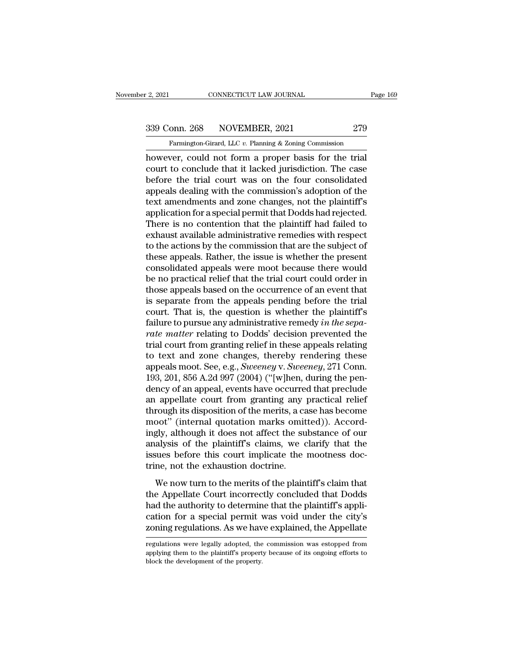Famington-Girard, LLC *v.* Planning & Zoning Commission<br>Farmington-Girard, LLC *v.* Planning & Zoning Commission<br>Ver could not form a proper basis for the trial

Page 1<br>
2, 2021 CONNECTICUT LAW JOURNAL Page 1<br>
279<br>
Farmington-Girard, LLC v. Planning & Zoning Commission<br>
however, could not form a proper basis for the trial<br>
court to conclude that it lacked jurisdiction. The case<br>
ho 339 Conn. 268 NOVEMBER, 2021 279<br>
Farmington-Girard, LLC v. Planning & Zoning Commission<br>
however, could not form a proper basis for the trial<br>
court to conclude that it lacked jurisdiction. The case<br>
before the trial cour  $\frac{339 \text{ Conn. } 268 \text{ NOVEMBER, } 2021 \qquad \qquad 279 \text{ Farmington-Girard, LLC } v. \text{ Planning } \& \text{Zoning Commission}$ <br>however, could not form a proper basis for the trial court to conclude that it lacked jurisdiction. The case before the trial court was on the four 339 Conn. 268 NOVEMBER, 2021 279<br>
Farmington-Girard, LLC  $v$ . Planning & Zoning Commission<br>
however, could not form a proper basis for the trial<br>
court to conclude that it lacked jurisdiction. The case<br>
before the trial c Farmington-Girard, LLC v. Planning & Zoning Commission<br>however, could not form a proper basis for the trial<br>court to conclude that it lacked jurisdiction. The case<br>before the trial court was on the four consolidated<br>appeal Famington-Girard, LLC v. Planning & Zoning Commission<br>however, could not form a proper basis for the trial<br>court to conclude that it lacked jurisdiction. The case<br>before the trial court was on the four consolidated<br>appeals however, could not form a proper basis for the trial<br>court to conclude that it lacked jurisdiction. The case<br>before the trial court was on the four consolidated<br>appeals dealing with the commission's adoption of the<br>text am court to conclude that it lacked jurisdiction. The case<br>before the trial court was on the four consolidated<br>appeals dealing with the commission's adoption of the<br>text amendments and zone changes, not the plaintiff's<br>applic before the trial court was on the four consolidated<br>appeals dealing with the commission's adoption of the<br>text amendments and zone changes, not the plaintiff's<br>application for a special permit that Dodds had rejected.<br>Ther appeals dealing with the commission's adoption of the<br>text amendments and zone changes, not the plaintiff's<br>application for a special permit that Dodds had rejected.<br>There is no contention that the plaintiff had failed to<br> text amendments and zone changes, not the plaintiff's<br>application for a special permit that Dodds had rejected.<br>There is no contention that the plaintiff had failed to<br>exhaust available administrative remedies with respect application for a special permit that Dodds had rejected.<br>There is no contention that the plaintiff had failed to<br>exhaust available administrative remedies with respect<br>to the actions by the commission that are the subject There is no contention that the plaintiff had failed to<br>exhaust available administrative remedies with respect<br>to the actions by the commission that are the subject of<br>these appeals. Rather, the issue is whether the presen exhaust available administrative remedies with respect<br>to the actions by the commission that are the subject of<br>these appeals. Rather, the issue is whether the present<br>consolidated appeals were moot because there would<br>be to the actions by the commission that are the subject of<br>these appeals. Rather, the issue is whether the present<br>consolidated appeals were moot because there would<br>be no practical relief that the trial court could order in these appeals. Rather, the issue is whether the present consolidated appeals were moot because there would be no practical relief that the trial court could order in those appeals based on the occurrence of an event that i consolidated appeals were moot because there would<br>be no practical relief that the trial court could order in<br>those appeals based on the occurrence of an event that<br>is separate from the appeals pending before the trial<br>cou be no practical relief that the trial court could order in<br>those appeals based on the occurrence of an event that<br>is separate from the appeals pending before the trial<br>court. That is, the question is whether the plaintiff' those appeals based on the occurrence of an event that<br>is separate from the appeals pending before the trial<br>court. That is, the question is whether the plaintiff's<br>failure to pursue any administrative remedy in the sepais separate from the appeals pending before the trial<br>court. That is, the question is whether the plaintiff's<br>failure to pursue any administrative remedy in the sepa-<br>rate matter relating to Dodds' decision prevented the<br>t court. That is, the question is whether the plaintiff's<br>failure to pursue any administrative remedy in the sepa-<br>rate matter relating to Dodds' decision prevented the<br>trial court from granting relief in these appeals relat failure to pursue any administrative remedy *in the separate matter* relating to Dodds' decision prevented the trial court from granting relief in these appeals relating to text and zone changes, thereby rendering these ap rate matter relating to Dodds' decision prevented the<br>trial court from granting relief in these appeals relating<br>to text and zone changes, thereby rendering these<br>appeals moot. See, e.g., *Sweeney* v. *Sweeney*, 271 Conn.<br> trial court from granting relief in these appeals relating<br>to text and zone changes, thereby rendering these<br>appeals moot. See, e.g., *Sweeney* v. *Sweeney*, 271 Conn.<br>193, 201, 856 A.2d 997 (2004) ("[w]hen, during the pen to text and zone changes, thereby rendering these<br>appeals moot. See, e.g., *Sweeney* v. *Sweeney*, 271 Conn.<br>193, 201, 856 A.2d 997 (2004) ("[w]hen, during the pen-<br>dency of an appeal, events have occurred that preclude<br>an appeals moot. See, e.g., *Sweeney* v. *Sweeney*, 271 Conn.<br>193, 201, 856 A.2d 997 (2004) ("[w]hen, during the pen-<br>dency of an appeal, events have occurred that preclude<br>an appellate court from granting any practical relie 193, 201, 856 A.2d 997 (2004) ("[w]hen, during the pendency of an appeal, events have occurred that preclude<br>an appellate court from granting any practical relief<br>through its disposition of the merits, a case has become<br>mo dency of an appeal, events have occurred that preclude<br>an appellate court from granting any practical relief<br>through its disposition of the merits, a case has become<br>moot" (internal quotation marks omitted)). Accord-<br>ingly an appellate court from granting any<br>through its disposition of the merits, a ca<br>moot" (internal quotation marks omit<br>ingly, although it does not affect the su<br>analysis of the plaintiff's claims, we c<br>issues before this co Folght as disposition of the merits, a case has secondered by the merit of the merits of the plaintiff's claims, we clarify that the sues before this court implicate the mootness doc-<br>me, not the exhaustion doctrine.<br>We no the Appellate Court incorrectly, the Court and Substance of our analysis of the plaintiff's claims, we clarify that the issues before this court implicate the mootness doctrine, not the exhaustion doctrine.<br>We now turn to

had the plaintiff's claims, we clarify that the<br>issues before this court implicate the mootness doc-<br>trine, not the exhaustion doctrine.<br>We now turn to the merits of the plaintiff's claim that<br>the Appellate Court incorrect catalysis of the plantaristic stands, we stardly that the issues before this court implicate the mootness doctrine, not the exhaustion doctrine.<br>We now turn to the merits of the plaintiff's claim that the Appellate Court i zonics served and solar improduce are incorrected to the server string, we tring, the convention of the plaintiff's claim that the Appellate Court incorrectly concluded that Dodds had the authority to determine that the pl the Appellate Court incorrectly concluded that Dodds<br>had the authority to determine that the plaintiff's appli-<br>cation for a special permit was void under the city's<br>zoning regulations. As we have explained, the Appellate<br> had the authority to determine that the plaintiff's application for a special permit was void under the city's zoning regulations. As we have explained, the Appellate regulations were legally adopted, the commission was es

cation for a special permit v<br>zoning regulations. As we have<br>regulations were legally adopted, the<br>applying them to the plaintiff's property.<br>block the development of the property.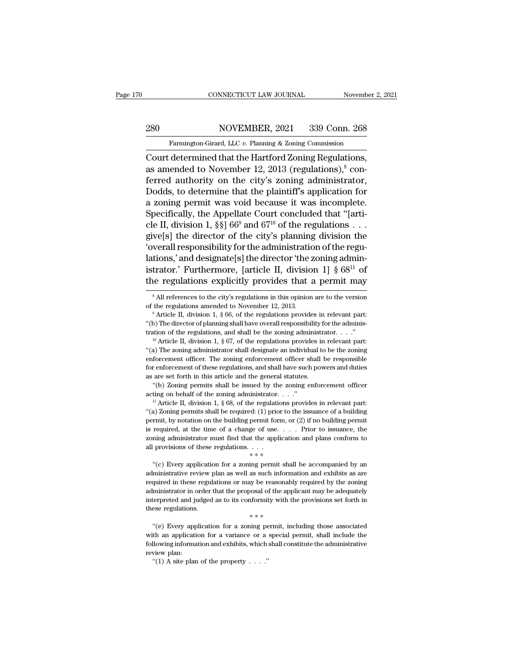EXECUTE CONNECTICUT LAW JOURNAL Movember 2, 2021<br>280 NOVEMBER, 2021 339 Conn. 268<br>Farmington-Girard, LLC v. Planning & Zoning Commission

Farmington-Girard, LLC *v.* Planning & Zoning Commission<br>
Farmington-Girard, LLC *v.* Planning & Zoning Commission<br>
Court determined that the Hartford Zoning Regulations, CONNECTICUT LAW JOURNAL November 2, 2<br>
280 NOVEMBER, 2021 339 Conn. 268<br>
Farmington-Girard, LLC v. Planning & Zoning Commission<br>
Court determined that the Hartford Zoning Regulations,<br>
as amended to November 12, 2013 (regu 280 NOVEMBER, 2021 339 Conn. 268<br>
Farmington-Girard, LLC v. Planning & Zoning Commission<br>
Court determined that the Hartford Zoning Regulations,<br>
as amended to November 12, 2013 (regulations),<sup>8</sup> con-<br>
ferred authority on 280 NOVEMBER, 2021 339 Conn. 268<br>
Farmington-Girard, LLC v. Planning & Zoning Commission<br>
Court determined that the Hartford Zoning Regulations,<br>
as amended to November 12, 2013 (regulations),<sup>8</sup> conferred authority on th 280 NOVEMBER, 2021 339 Conn. 268<br>
Farmington-Girard, LLC v. Planning & Zoning Commission<br>
Court determined that the Hartford Zoning Regulations,<br>
as amended to November 12, 2013 (regulations),  $\circ$  conferred authority on Farmington-Girard, LLC v. Planning & Zoning Commission<br>Court determined that the Hartford Zoning Regulations,<br>as amended to November 12, 2013 (regulations),<sup>8</sup> con-<br>ferred authority on the city's zoning administrator,<br>Dod Famingion-Grata, LEC v. Fiaming & Zoning Commission<br>Court determined that the Hartford Zoning Regulations,<br>as amended to November 12, 2013 (regulations),<sup>8</sup> con-<br>ferred authority on the city's zoning administrator,<br>Dodds, Court determined that the Hartford Zoning Regulations,<br>as amended to November 12, 2013 (regulations),<sup>8</sup> con-<br>ferred authority on the city's zoning administrator,<br>Dodds, to determine that the plaintiff's application for<br>a as amended to November 12, 2013 (regulations),<sup>8</sup> conferred authority on the city's zoning administrator,<br>Dodds, to determine that the plaintiff's application for<br>a zoning permit was void because it was incomplete.<br>Specif ferred authority on the city's zoning administrator,<br>Dodds, to determine that the plaintiff's application for<br>a zoning permit was void because it was incomplete.<br>Specifically, the Appellate Court concluded that "[arti-<br>cl Dodds, to determine that the plaintiff's application for<br>a zoning permit was void because it was incomplete.<br>Specifically, the Appellate Court concluded that "[arti-<br>cle II, division 1, §§] 66<sup>9</sup> and 67<sup>10</sup> of the regulat a zoning permit was void because it was incomplete.<br>
Specifically, the Appellate Court concluded that "[arti-<br>
cle II, division 1, §§] 66<sup>9</sup> and 67<sup>10</sup> of the regulations . . .<br>
give[s] the director of the city's planning Specifically, the Appellate Court concluded that "[arti-<br>cle II, division 1, §§] 66<sup>9</sup> and 67<sup>10</sup> of the regulations . . .<br>give[s] the director of the city's planning division the<br>'overall responsibility for the administr lations,' and designate[s] the director 'the zoning administrator.' Furthermore, [article II, division 1]  $\S$  68<sup>11</sup> of the regulations explicitly provides that a permit may  $\frac{1}{\text{s All references to the city's regulations in this opinion are to the version of the regulations amended to November 12, 2013.}$   $\frac{9$ 

for enforcement of these regulations, and shall have such powers and duties as are set forth in this article and the general statutes. "(b) Zoning permits shall be issued by the zoning enforcement officer acting on behalf <sup>11</sup> Article II, division 1, § 68, of the regulations provides in relevant part: "(a) Zoning permits shall be required: (1) prior to the issuance of a building permit, by notation on the building permit form, or (2) if no "(b) Zoning permits shall be issued by the zoning enforcement officer acting on behalf of the zoning administrator. . . ."<br>"Article II, division 1, § 68, of the regulations provides in relevant part: "(a) Zoning permits s acting on behalf of the zoning administrator.  $\dots$ ."<br>
<sup>11</sup> Article II, division 1, § 68, of the regulations provides in relevant part:<br>
"(a) Zoning permits shall be required: (1) prior to the issuance of a building<br>permit all provision 1, § 68, of the regulations  $\cdot$  if Article II, division 1, § 68, of the regulations (a) Zoning permits shall be required: (1) prior to permit, by notation on the building permit form, or is required, at the ") solving permit by notation on the building permit form, or (2) if no building permit required, at the time of a change of use. . . . Prior to issuance, the ning administrator must find that the application and plans co

is required, at the time of a change of use.  $\ldots$  Prior to issuance, the zoning administrator must find that the application and plans conform to all provisions of these regulations.  $\dots$   $\dots$   $\dots$   $\dots$   $\dots$   $\dots$   $\dots$   $\d$ required in these regulations of the application and plans conform to<br>all provisions of these regulations.  $\dots$ <br> $\ast \ast$ <br>"(c) Every application for a zoning permit shall be accompanied by an<br>administrative review plan as we administrator in order that the proposal of the application of  $**$ <br>
"(c) Every application for a zoning permit shall be accompanied by an<br>
administrative review plan as well as such information and exhibits as are<br>
requir <sup>12</sup> interpreted and judged as to its conformity with the provisions set forth in these regulations or may be reasonably required by the zoning administrator in order that the proposal of the applicant may be adequately in "(c) Every application for a zoning permit shadministrative review plan as well as such information in these regulations or may be reasonal administrator in order that the proposal of the applitude interpreted and judged quired in these regulations or may be reasonably required by the zoning<br>
ministrator in order that the proposal of the applicant may be adequately<br>
derpreted and judged as to its conformity with the provisions set forth in Experiment in the set of a variance of the applicant may be adequately<br>interpreted and judged as to its conformity with the provisions set forth in<br>these regulations.<br> $**$ <br>"(e) Every application for a zoning permit, includ

interpreted and judged as to its conformity with the provisions set forth in<br>these regulations.<br>
\*\*\*<br>
"(e) Every application for a zoning permit, including those associated<br>
with an application for a variance or a special interpreted and judged as to its conformity with the provisions set forth in<br>these regulations.<br> $***$ <br>"(e) Every application for a zoning permit, including those associated<br>with an application for a variance or a special pe \*\*\*<br>
"(e) Every application for a zoning permit, including those associated

istrator.' Furthermore, [article II, division 1] § 68<sup>11</sup> of<br>the regulations explicitly provides that a permit may<br><sup>8</sup> All references to the city's regulations in this opinion are to the version<br>of the regulations amended the regulations explicitly provides that a permit may  $\frac{1}{8}$  All references to the city's regulations in this opinion are to the version of the regulations amended to November 12, 2013.<br><sup>9</sup> Article II, division 1, § 66 The regulations explicitly provides that a perfilit filay<br>
<sup>8</sup> All references to the city's regulations in this opinion are to the version<br>
of the regulations amended to November 12, 2013.<br>
<sup>9</sup> Article II, division 1, § 6

of the regulations amended to November 12, 2013.<br>
<sup>9</sup> Article II, division 1, § 66, of the regulations provides in relevant part:<br>
"(b) The director of planning shall have overall responsibility for the administration of <sup>9</sup> Article II, division 1, § 66, of the regulations provides in relevant part:<br>
"(b) The director of planning shall have overall responsibility for the administrator of the regulations, and shall be the zoning administra "(b) The director of planning shall have overall responsibility for the administration of the regulations, and shall be the zoning administrator. . . ."<br>
" Article II, division 1, § 67, of the regulations provides in rele Figure 1.1 The regulations, and shall be the zoning administration of the regulations, and shall be the zoning administrator in  $\alpha$  and  $\alpha$  are set for the regulations in this enforcement officer. The zoning enforcement <sup>10</sup> Article II, division 1, § 67, of the regulations provides in relevant part: "(a) The zoning administrator shall designate an individual to be the zoning enforcement officer. The zoning enforcement officer shall be re action behalf of the zoning enforcement of the zoning enforcement of these regulations, and shall have such powers and duties of enforcement of these regulations, and shall have such powers and duties as are set forth in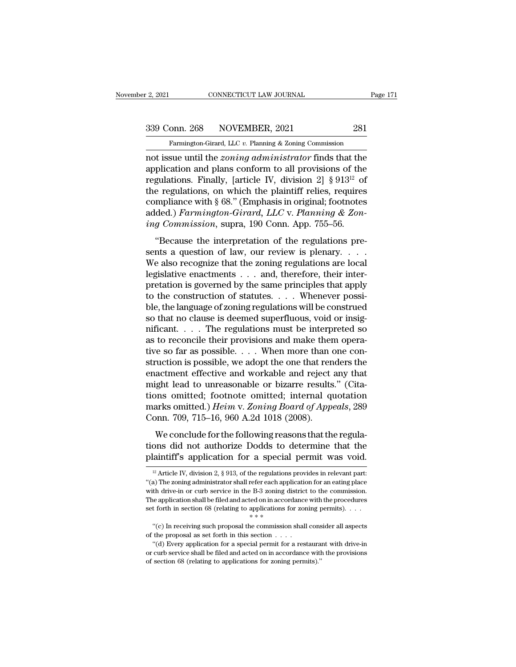2, 2021 CONNECTICUT LAW JOURNAL Page 171<br>339 Conn. 268 NOVEMBER, 2021 281<br>Farmington-Girard, LLC v. Planning & Zoning Commission

Fage 171 CONNECTICUT LAW JOURNAL Page 171<br>
Fage 171 CONNECTICUT LAW JOURNAL Page 171<br>
Fage 171 CONNECTICUT LAW JOURNAL Page 171<br>
Taming Conn. 268 NOVEMBER, 2021 281<br>
Famington-Girard, LLC *v.* Planning & Zoning Commission<br> not issue until the *zoning administrator* finds that the<br>
application and plans conform to all provisions of the<br>
requisions of the *zoning administrator* finds that the<br>
requisions of the<br>
requisions  $\frac{1}{2}$  finally fa 339 Conn. 268 NOVEMBER, 2021 281<br>
Farmington-Girard, LLC v. Planning & Zoning Commission<br>
not issue until the *zoning administrator* finds that the<br>
application and plans conform to all provisions of the<br>
regulations. Fin 339 Conn. 268 NOVEMBER, 2021 281<br>
Farmington-Girard, LLC v. Planning & Zoning Commission<br>
not issue until the *zoning administrator* finds that the<br>
application and plans conform to all provisions of the<br>
regulations. Fin 339 Conn. 268 NOVEMBER, 2021 281<br>
Farmington-Girard, LLC v. Planning & Zoning Commission<br>
not issue until the *zoning administrator* finds that the<br>
application and plans conform to all provisions of the<br>
regulations. Fin Farmington-Girard, LLC v. Planning & Zoning Commission<br>not issue until the *zoning administrator* finds that the<br>application and plans conform to all provisions of the<br>regulations. Finally, [article IV, division 2] § 913<sup></sup> Farmington-Girard, LLC v. Planning & Zoning Commission<br>not issue until the *zoning administrator* finds that the<br>application and plans conform to all provisions of the<br>regulations. Finally, [article IV, division 2] § 913<sup>1</sup> not issue until the *zoning administrator* finds that the<br>application and plans conform to all provisions of the<br>regulations. Finally, [article IV, division 2] § 913<sup>12</sup> of<br>the regulations, on which the plaintiff relies, r gulations. Finally, [article IV, division 2] § 913<sup>12</sup> of<br>e regulations, on which the plaintiff relies, requires<br>mpliance with § 68." (Emphasis in original; footnotes<br>ded.) *Farmington-Girard*, *LLC* v. *Planning & Zon-*<br> sentations. That, and it, and it is plentifically the regulations, on which the plaintiff relies, requires compliance with § 68." (Emphasis in original; footnotes added.) Farmington-Girard, LLC v. Planning & Zoning Commis

compliance with § 68." (Emphasis in original; footnotes added.) Farmington-Girard, LLC v. Planning & Zoning Commission, supra, 190 Conn. App. 755–56.<br>
"Because the interpretation of the regulations presents a question of and internal states and the main states and the main states added.) Farmington-Girard, LLC v. Planning & Zoning Commission, supra, 190 Conn. App. 755–56.<br>
"Because the interpretation of the regulations presents a question *ing Commission*, supra, 190 Conn. App. 755–56.<br>
"Because the interpretation of the regulations presents a question of law, our review is plenary....<br>
We also recognize that the zoning regulations are local<br>
legislative e "Because the interpretation of the regulations presents a question of law, our review is plenary....<br>We also recognize that the zoning regulations are local<br>legislative enactments ... and, therefore, their inter-<br>pretatio "Because the interpretation of the regulations presents a question of law, our review is plenary. . . . We also recognize that the zoning regulations are local legislative enactments . . . and, therefore, their interpreta sents a question of law, our review is plenary. . . . We also recognize that the zoning regulations are local legislative enactments . . . and, therefore, their interpretation is governed by the same principles that apply We also recognize that the zoning regulations are local<br>legislative enactments  $\dots$  and, therefore, their inter-<br>pretation is governed by the same principles that apply<br>to the construction of statutes.  $\dots$  Whenever possi legislative enactments  $\dots$  and, therefore, their interpretation is governed by the same principles that apply<br>to the construction of statutes.  $\dots$  Whenever possi-<br>ble, the language of zoning regulations will be construe pretation is governed by the same principles that apply<br>to the construction of statutes. . . . Whenever possi-<br>ble, the language of zoning regulations will be construed<br>so that no clause is deemed superfluous, void or ins to the construction of statutes. . . . Whenever possible, the language of zoning regulations will be construed<br>so that no clause is deemed superfluous, void or insignificant. . . . The regulations must be interpreted so<br>a ble, the language of zoning regulations will be construed<br>so that no clause is deemed superfluous, void or insig-<br>nificant. . . . The regulations must be interpreted so<br>as to reconcile their provisions and make them operaso that no clause is deemed superfluous, void or insignificant.... The regulations must be interpreted so<br>as to reconcile their provisions and make them opera-<br>tive so far as possible.... When more than one con-<br>struction mificant. . . . . The regulations must be interpreted so<br>as to reconcile their provisions and make them opera-<br>tive so far as possible. . . . When more than one con-<br>struction is possible, we adopt the one that renders th as to reconcile their provisions and make them operative so far as possible. . . . When more than one construction is possible, we adopt the one that renders the enactment effective and workable and reject any that might l tive so far as possible. . . . When more than of struction is possible, we adopt the one that ren enactment effective and workable and reject might lead to unreasonable or bizarre results tions omitted; footnote omitted; Example for the following reasons that the following action is determined that lead to unreasonable or bizarre results." (Cita-<br>ons omitted; footnote omitted; internal quotation<br>arks omitted.) *Heim* v. Zoning Board of App might lead to unreasonable or bizarre results." (Citations omitted; footnote omitted; internal quotation marks omitted.) *Heim v. Zoning Board of Appeals*, 289 Conn. 709, 715–16, 960 A.2d 1018 (2008). We conclude for the f magne read to directly state of smaller results. (The discussion of the discussion marks omitted.) *Heim v. Zoning Board of Appeals*, 289 Conn. 709, 715–16, 960 A.2d 1018 (2008).<br>We conclude for the following reasons that

We conclude for the following reasons that the regula-<br>ons did not authorize Dodds to determine that the<br>laintiff's application for a special permit was void.<br><sup>12</sup> Article IV, division 2, § 913, of the regulations provide We conclude for the following reasons that the regulations did not authorize Dodds to determine that the plaintiff's application for a special permit was void.<br><sup>12</sup> Article IV, division 2, § 913, of the regulations provid

tions did not authorize Dodds to determine that the plaintiff's application for a special permit was void.<br>
<sup>12</sup> Article IV, division 2, § 913, of the regulations provides in relevant part:<br>
"(a) The zoning administrator **Plaintiff's application for a special permit was void.**<br><sup>12</sup> Article IV, division 2, § 913, of the regulations provides in relevant part:<br>"(a) The zoning administrator shall refer each application for an eating place<br>wit <sup>12</sup> Article IV, division 2, § 913, of the regulations provides in relevant part: "(a) The zoning administrator shall refer each application for an eating place with drive-in or curb service in the B-3 zoning district to "(a) The zoning administrator shall refer each application for an eating place with drive-in or curb service in the B-3 zoning district to the commission. The application shall be filed and acted on in accordance with the % with drive-in or curb service in the B-3 zoning district to the commission. The application shall be filed and acted on in accordance with the procedures set forth in section 68 (relating to applications for zoning perm The application shall be filed and acted on in accordance with the procedures<br>
t forth in section 68 (relating to applications for zoning permits).  $\cdot \cdot \cdot$ <br>
"(c) In receiving such proposal the commission shall consider a

or curb service shall be filed and acted on in accordance with the problem  $**$ <br>
"(c) In receiving such proposal the commission shall consider all aspects<br>
of the proposal as set forth in this section  $\dots$ <br>
"(d) Every appl "(c) In receiving such proposal the commission shall consider all aspects of the proposal as set forth in this section  $\dots$ .<br>
"(d) Every application for a special permit for a restaurant with drive-in or curb service shal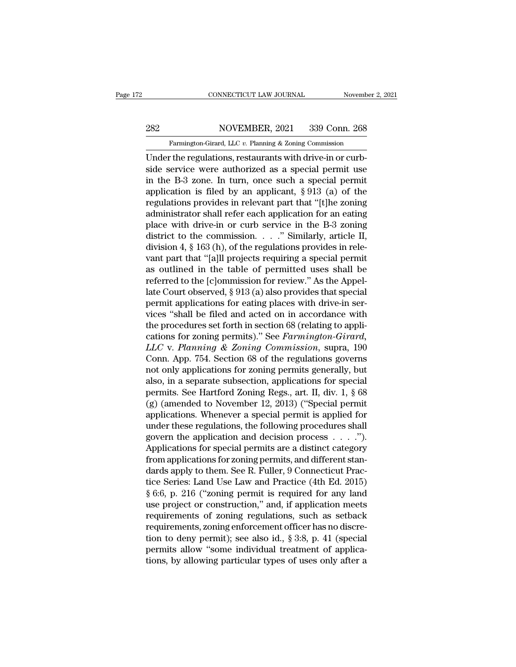# EXECUTE CONNECTICUT LAW JOURNAL Movember 2, 2021<br>282 NOVEMBER, 2021 339 Conn. 268<br>Farmington-Girard, LLC v. Planning & Zoning Commission

Farmington-Girard, LLC *v.* Planning & Zoning Commission<br>
Under the regulations, restaurants with drive-in or curb-CONNECTICUT LAW JOURNAL November<br>
282 NOVEMBER, 2021 339 Conn. 268<br>
Farmington-Girard, LLC v. Planning & Zoning Commission<br>
Under the regulations, restaurants with drive-in or curb-<br>
side service were authorized as a speci  $\begin{tabular}{ c c c c} \multicolumn{1}{c}{\textbf{282}} & \multicolumn{1}{c}{\textbf{NOVEMBER, 2021}} & \multicolumn{1}{c}{\textbf{339 Conn. 268}}\\ \hline \textbf{Farmington-Girard, LLC }v. \textbf{ Planning & Zoning Commission} \\ \hline \textbf{Under the regulations, restaurants with drive-in or curb-side service were authorized as a special permit use in the B-3 zone. In turn, once such a special permit application is filed by an anplicant. & 012 (a) of the model. \\ \end{tabular}$ 282 NOVEMBER, 2021 339 Conn. 268<br>
Farmington-Girard, LLC v. Planning & Zoning Commission<br>
Under the regulations, restaurants with drive-in or curb-<br>
side service were authorized as a special permit use<br>
in the B-3 zone. I 282 NOVEMBER, 2021 339 Conn. 268<br>
Farmington-Girard, LLC v. Planning & Zoning Commission<br>
Under the regulations, restaurants with drive-in or curb-<br>
side service were authorized as a special permit use<br>
in the B-3 zone. I Farmington-Girard, LLC v. Planning & Zoning Commission<br>
Under the regulations, restaurants with drive-in or curb-<br>
side service were authorized as a special permit use<br>
in the B-3 zone. In turn, once such a special permit Famingion-Grata, EEC v. Fiaming & Zoning Commission<br>Under the regulations, restaurants with drive-in or curb-<br>side service were authorized as a special permit use<br>in the B-3 zone. In turn, once such a special permit<br>appli Under the regulations, restaurants with drive-in or curb-<br>side service were authorized as a special permit use<br>in the B-3 zone. In turn, once such a special permit<br>application is filed by an applicant, § 913 (a) of the<br>re side service were authorized as a special permit use<br>in the B-3 zone. In turn, once such a special permit<br>application is filed by an applicant, § 913 (a) of the<br>regulations provides in relevant part that "[t]he zoning<br>adm in the B-3 zone. In turn, once such a special permit application is filed by an applicant,  $\S 913$  (a) of the regulations provides in relevant part that "[t]he zoning administrator shall refer each application for an eati application is filed by an applicant, § 913 (a) of the regulations provides in relevant part that "[t]he zoning administrator shall refer each application for an eating place with drive-in or curb service in the B-3 zonin regulations provides in relevant part that "[t]he zoning<br>administrator shall refer each application for an eating<br>place with drive-in or curb service in the B-3 zoning<br>district to the commission. . . . . " Similarly, arti administrator shall refer each application for an eating<br>place with drive-in or curb service in the B-3 zoning<br>district to the commission. . . . " Similarly, article II,<br>division 4, § 163 (h), of the regulations provides i place with drive-in or curb service in the B-3 zoning<br>district to the commission. . . . ." Similarly, article II,<br>division 4, § 163 (h), of the regulations provides in rele-<br>vant part that "[a]ll projects requiring a spec district to the commission.  $\ldots$  " Similarly, article II,<br>division 4, § 163 (h), of the regulations provides in rele-<br>vant part that "[a]ll projects requiring a special permit<br>as outlined in the table of permitted uses s division 4, § 163 (h), of the regulations provides in relevant part that "[a]ll projects requiring a special permit<br>as outlined in the table of permitted uses shall be<br>referred to the [c]ommission for review." As the Appel vant part that "[a]ll projects requiring a special permit<br>as outlined in the table of permitted uses shall be<br>referred to the [c]ommission for review." As the Appel-<br>late Court observed, § 913 (a) also provides that speci as outlined in the table of permitted uses shall be<br>referred to the [c]ommission for review." As the Appel-<br>late Court observed, § 913 (a) also provides that special<br>permit applications for eating places with drive-in serreferred to the [c]ommission for review." As the Appellate Court observed, § 913 (a) also provides that special<br>permit applications for eating places with drive-in services "shall be filed and acted on in accordance with<br>t late Court observed, § 913 (a) also provides that special<br>permit applications for eating places with drive-in ser-<br>vices "shall be filed and acted on in accordance with<br>the procedures set forth in section 68 (relating to a permit applications for eating places with drive-in services "shall be filed and acted on in accordance with<br>the procedures set forth in section 68 (relating to appli-<br>cations for zoning permits)." See *Farmington-Girard*, vices "shall be filed and acted on in accordance with<br>the procedures set forth in section 68 (relating to appli-<br>cations for zoning permits)." See *Farmington-Girard*,<br>LLC v. Planning & Zoning Commission, supra, 190<br>Conn. the procedures set forth in section 68 (relating to applications for zoning permits)." See *Farmington-Girard*, *LLC* v. *Planning & Zoning Commission*, supra, 190 Conn. App. 754. Section 68 of the regulations governs not cations for zoning permits)." See *Farmington-Girard*,<br> *LLC* v. *Planning* & *Zoning Commission*, supra, 190<br>
Conn. App. 754. Section 68 of the regulations governs<br>
not only applications for zoning permits generally, but LLC v. Planning & Zoning Commission, supra, 190<br>Conn. App. 754. Section 68 of the regulations governs<br>not only applications for zoning permits generally, but<br>also, in a separate subsection, applications for special<br>permit Conn. App. 754. Section 68 of the regulations governs<br>not only applications for zoning permits generally, but<br>also, in a separate subsection, applications for special<br>permits. See Hartford Zoning Regs., art. II, div. 1, § not only applications for zoning permits generally, but<br>also, in a separate subsection, applications for special<br>permits. See Hartford Zoning Regs., art. II, div. 1, § 68<br>(g) (amended to November 12, 2013) ("Special permit also, in a separate subsection, applications for special<br>permits. See Hartford Zoning Regs., art. II, div. 1, § 68<br>(g) (amended to November 12, 2013) ("Special permit<br>applications. Whenever a special permit is applied for permits. See Hartford Zoning Regs., art. II, div. 1, § 68<br>(g) (amended to November 12, 2013) ("Special permit<br>applications. Whenever a special permit is applied for<br>under these regulations, the following procedures shall<br>g (g) (amended to November 12, 2013) ("Special permit<br>applications. Whenever a special permit is applied for<br>under these regulations, the following procedures shall<br>govern the application and decision process  $\dots$ .").<br>Appli applications. Whenever a special permit is applied for<br>under these regulations, the following procedures shall<br>govern the application and decision process . . . .").<br>Applications for special permits are a distinct category under these regulations, the following procedures shall<br>govern the application and decision process  $\ldots$ .").<br>Applications for special permits are a distinct category<br>from applications for zoning permits, and different st govern the application and decision process  $\ldots$ .").<br>Applications for special permits are a distinct category<br>from applications for zoning permits, and different stan-<br>dards apply to them. See R. Fuller, 9 Connecticut Pr Applications for special permits are a distinct category<br>from applications for zoning permits, and different stan-<br>dards apply to them. See R. Fuller, 9 Connecticut Prac-<br>tice Series: Land Use Law and Practice (4th Ed. 20 from applications for zoning permits, and different stan-<br>dards apply to them. See R. Fuller, 9 Connecticut Prac-<br>tice Series: Land Use Law and Practice (4th Ed. 2015)<br>§ 6:6, p. 216 ("zoning permit is required for any land dards apply to them. See R. Fuller, 9 Connecticut Practice Series: Land Use Law and Practice (4th Ed. 2015)<br>§ 6:6, p. 216 ("zoning permit is required for any land<br>use project or construction," and, if application meets<br>req tice Series: Land Use Law and Practice (4th Ed. 2015)<br>§ 6:6, p. 216 ("zoning permit is required for any land<br>use project or construction," and, if application meets<br>requirements of zoning regulations, such as setback<br>requi  $\S 6:6$ , p. 216 ("zoning permit is required for any land<br>use project or construction," and, if application meets<br>requirements of zoning regulations, such as setback<br>requirements, zoning enforcement officer has no discre-<br>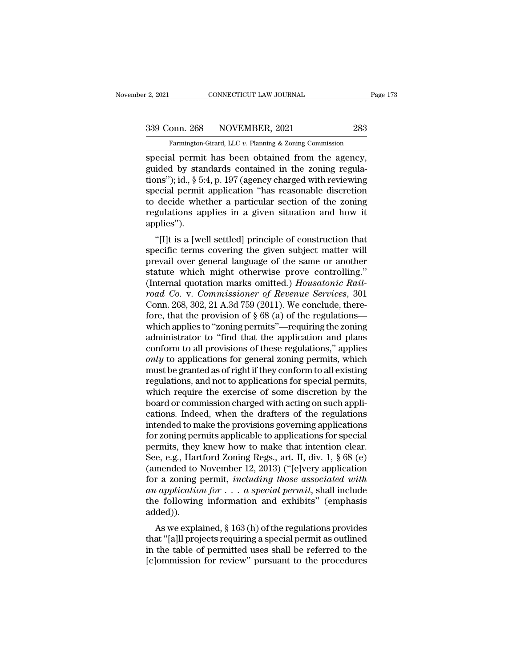Farmington-Girard, LLC *v.* Planning & Zoning Commission<br>
Special permit has been obtained from the agency, special permit has been obtained from the agency,<br>guided by standards contained in the zoning regulations.<br>Factor of the agency,<br>guided by standards contained in the zoning regulations.<br>The agency, and a special permit has 339 Conn. 268 NOVEMBER, 2021 283<br>
Farmington-Girard, LLC v. Planning & Zoning Commission<br>
special permit has been obtained from the agency,<br>
guided by standards contained in the zoning regula-<br>
tions"); id., § 5:4, p. 197 339 Conn. 268 NOVEMBER, 2021 283<br>
Farmington-Girard, LLC v. Planning & Zoning Commission<br>
special permit has been obtained from the agency,<br>
guided by standards contained in the zoning regula-<br>
tions''); id., § 5:4, p. 19 339 Conn. 268 NOVEMBER, 2021 283<br>
Farmington-Girard, LLC  $v$ . Planning & Zoning Commission<br>
special permit has been obtained from the agency,<br>
guided by standards contained in the zoning regula-<br>
tions"); id., § 5:4, p. 1 Farmington-Girard, LLC v. Planning & Zoning Commission<br>special permit has been obtained from the agency,<br>guided by standards contained in the zoning regula-<br>tions"); id., § 5:4, p. 197 (agency charged with reviewing<br>speci Framington-Grard, LLC v. Planning & Zoning Commission<br>special permit has been obtained from the agency,<br>guided by standards contained in the zoning regula-<br>tions"); id., § 5:4, p. 197 (agency charged with reviewing<br>specia applies''). The solution of the solution of the solutions"); id., § 5:4, p. 197 (agency charged with reviewing<br>ecial permit application "has reasonable discretion<br>decide whether a particular section of the zoning<br>gulations applies in special permit application "has reasonable discretion<br>to decide whether a particular section of the zoning<br>regulations applies in a given situation and how it<br>applies").<br>"[I]t is a [well settled] principle of construction

special perint apprication has reasonable uscretion<br>to decide whether a particular section of the zoning<br>regulations applies in a given situation and how it<br>applies").<br>"[I]t is a [well settled] principle of construction th to decide whether a particular section of the zoning<br>regulations applies in a given situation and how it<br>applies").<br>"[I]t is a [well settled] principle of construction that<br>specific terms covering the given subject matter regulations applies in a given situation and now it<br>applies").<br>"[I]t is a [well settled] principle of construction that<br>specific terms covering the given subject matter will<br>prevail over general language of the same or ano <sup>*r*</sup>[I]t is a [well settled] principle of construction that specific terms covering the given subject matter will prevail over general language of the same or another statute which might otherwise prove controlling." (Int "[I]t is a [well settled] principle of construction that specific terms covering the given subject matter will prevail over general language of the same or another statute which might otherwise prove controlling." (Intern specific terms covering the given subject matter will<br>prevail over general language of the same or another<br>statute which might otherwise prove controlling."<br>(Internal quotation marks omitted.) *Housatonic Rail-<br>road Co.* v prevail over general language of the same or another<br>statute which might otherwise prove controlling."<br>(Internal quotation marks omitted.) *Housatonic Rail-<br>road Co.* v. *Commissioner of Revenue Services*, 301<br>Conn. 268, 3 statute which might otherwise prove controlling."<br>(Internal quotation marks omitted.) *Housatonic Rail-<br>road Co. v. Commissioner of Revenue Services*, 301<br>Conn. 268, 302, 21 A.3d 759 (2011). We conclude, there-<br>fore, that (Internal quotation marks omitted.) *Housatonic Rail-<br>road Co.* v. *Commissioner of Revenue Services*, 301<br>Conn. 268, 302, 21 A.3d 759 (2011). We conclude, there-<br>fore, that the provision of § 68 (a) of the regulations—<br>w *road Co. v. Commissioner of Revenue Services*, 301<br>Conn. 268, 302, 21 A.3d 759 (2011). We conclude, there-<br>fore, that the provision of § 68 (a) of the regulations—<br>which applies to "zoning permits"—requiring the zoning<br>ad Conn. 268, 302, 21 A.3d 759 (2011). We conclude, therefore, that the provision of § 68 (a) of the regulations—<br>which applies to "zoning permits"—requiring the zoning<br>administrator to "find that the application and plans<br>c fore, that the provision of  $\S 68$  (a) of the regulations—<br>which applies to "zoning permits"—requiring the zoning<br>administrator to "find that the application and plans<br>conform to all provisions of these regulations," appl which applies to "zoning permits"—requiring the zoning<br>administrator to "find that the application and plans<br>conform to all provisions of these regulations," applies<br>*only* to applications for general zoning permits, which administrator to "find that the application and plans<br>conform to all provisions of these regulations," applies<br>*only* to applications for general zoning permits, which<br>must be granted as of right if they conform to all exi conform to all provisions of these regulations," applies<br>
only to applications for general zoning permits, which<br>
must be granted as of right if they conform to all existing<br>
regulations, and not to applications for specia only to applications for general zoning permits, which<br>must be granted as of right if they conform to all existing<br>regulations, and not to applications for special permits,<br>which require the exercise of some discretion by must be granted as of right if they conform to all existing<br>regulations, and not to applications for special permits,<br>which require the exercise of some discretion by the<br>board or commission charged with acting on such ap regulations, and not to applications for special permits,<br>which require the exercise of some discretion by the<br>board or commission charged with acting on such appli-<br>cations. Indeed, when the drafters of the regulations<br>in which require the exercise of some discretion by the<br>board or commission charged with acting on such appli-<br>cations. Indeed, when the drafters of the regulations<br>intended to make the provisions governing applications<br>for board or commission charged with acting on such applications. Indeed, when the drafters of the regulations<br>intended to make the provisions governing applications<br>for zoning permits applicable to applications for special<br>p cations. Indeed, when the drafters of the regulations<br>intended to make the provisions governing applications<br>for zoning permits applicable to applications for special<br>permits, they knew how to make that intention clear.<br>Se intended to make the provisions governing applications<br>for zoning permits applicable to applications for special<br>permits, they knew how to make that intention clear.<br>See, e.g., Hartford Zoning Regs., art. II, div. 1, § 68 for zoning permits applicable to applications for special<br>permits, they knew how to make that intention clear.<br>See, e.g., Hartford Zoning Regs., art. II, div. 1, § 68 (e)<br>(amended to November 12, 2013) ("[e]very applicati added)). Eq. e.g., Hartrota Zoning Regs., art. H, div. 1, 8 06 (e)<br>mended to November 12, 2013) ("[e]very application<br>r a zoning permit, *including those associated with*<br> $\iota$  *application for*  $\ldots$  *a special permit*, shall inc (alterneed to November 12, 2013) ( $[$  [e]very application<br>for a zoning permit, *including those associated with*<br>an application for . . . a special permit, shall include<br>the following information and exhibits" (emphasis<br>a

for a zoning permit, *including mose associated with* an application for  $\ldots$  a special permit, shall include the following information and exhibits" (emphasis added)).<br>As we explained, § 163 (h) of the regulations provi an application for  $\ldots$  a special permit, shall include the following information and exhibits" (emphasis added)).<br>As we explained, § 163 (h) of the regulations provides that "[a]ll projects requiring a special permit as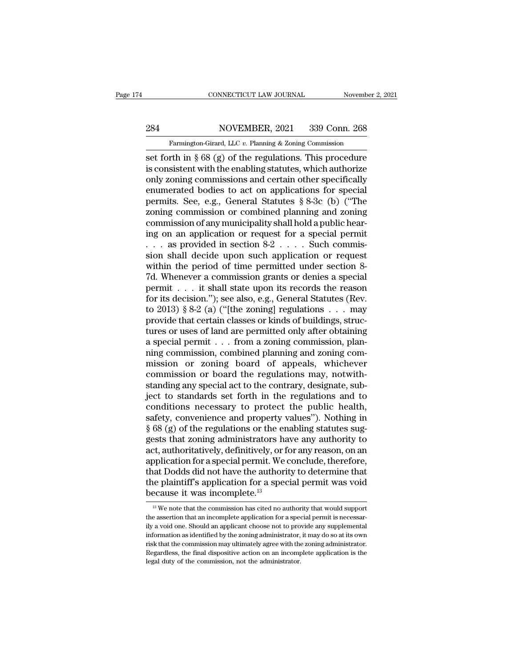# EXECUTE CONNECTICUT LAW JOURNAL Movember 2, 2021<br>284 NOVEMBER, 2021 339 Conn. 268<br>Farmington-Girard, LLC v. Planning & Zoning Commission

Farmington-Girard, LLC *v.* Planning & Zoning Commission<br>
Set forth in § 68 (g) of the regulations. This procedure CONNECTICUT LAW JOURNAL November 2, 2021<br>
284 NOVEMBER, 2021 339 Conn. 268<br>
Farmington-Girard, LLC v. Planning & Zoning Commission<br>
set forth in § 68 (g) of the regulations. This procedure<br>
is consistent with the enabling 284 NOVEMBER, 2021 339 Conn. 268<br>
Farmington-Girard, LLC v. Planning & Zoning Commission<br>
set forth in § 68 (g) of the regulations. This procedure<br>
is consistent with the enabling statutes, which authorize<br>
only zoning com 284 NOVEMBER, 2021 339 Conn. 268<br>
Farmington-Girard, LLC v. Planning & Zoning Commission<br>
set forth in § 68 (g) of the regulations. This procedure<br>
is consistent with the enabling statutes, which authorize<br>
only zoning co 284 NOVEMBER, 2021 339 Conn. 268<br>
Farmington-Girard, LLC v. Planning & Zoning Commission<br>
set forth in § 68 (g) of the regulations. This procedure<br>
is consistent with the enabling statutes, which authorize<br>
only zoning co Farmington-Girard, LLC v. Planning & Zoning Commission<br>set forth in § 68 (g) of the regulations. This procedure<br>is consistent with the enabling statutes, which authorize<br>only zoning commissions and certain other specifical Farmington-Girard, LLC v. Planning & Zoning Commission<br>set forth in  $\S 68 (g)$  of the regulations. This procedure<br>is consistent with the enabling statutes, which authorize<br>only zoning commissions and certain other specific set forth in  $\S 68 (g)$  of the regulations. This procedure<br>is consistent with the enabling statutes, which authorize<br>only zoning commissions and certain other specifically<br>enumerated bodies to act on applications for speci is consistent with the enabling statutes, which authorize<br>only zoning commissions and certain other specifically<br>enumerated bodies to act on applications for special<br>permits. See, e.g., General Statutes  $\S 8-3c$  (b) ("The only zoning commissions and certain other specifically<br>enumerated bodies to act on applications for special<br>permits. See, e.g., General Statutes § 8-3c (b) ("The<br>zoning commission or combined planning and zoning<br>commissio enumerated bodies to act on applications for special<br>permits. See, e.g., General Statutes § 8-3c (b) ("The<br>zoning commission or combined planning and zoning<br>commission of any municipality shall hold a public hear-<br>ing on permits. See, e.g., General Statutes  $\S 8\text{-}3c$  (b) ("The zoning commission or combined planning and zoning<br>commission of any municipality shall hold a public hear-<br>ing on an application or request for a special permit<br>zoning commission or combined planning and zoning<br>commission of any municipality shall hold a public hear-<br>ing on an application or request for a special permit<br> $\ldots$  as provided in section 8-2  $\ldots$ . Such commis-<br>sion sh commission of any municipality shall hold a public hear-<br>ing on an application or request for a special permit<br>. . . . as provided in section 8-2 . . . . Such commis-<br>sion shall decide upon such application or request<br>wit ing on an application or request for a special permit<br>  $\ldots$  as provided in section 8-2  $\ldots$ . Such commis-<br>
sion shall decide upon such application or request<br>
within the period of time permitted under section 8-<br>
7d. Wh . . . as provided in section 8-2 . . . . Such commission shall decide upon such application or request within the period of time permitted under section 8-7d. Whenever a commission grants or denies a special permit . . . sion shall decide upon such application or request<br>within the period of time permitted under section 8-<br>7d. Whenever a commission grants or denies a special<br>permit . . . it shall state upon its records the reason<br>for its within the period of time permitted under section 8-<br>7d. Whenever a commission grants or denies a special<br>permit . . . it shall state upon its records the reason<br>for its decision."); see also, e.g., General Statutes (Rev. 7d. Whenever a commission grants or denies a special permit . . . it shall state upon its records the reason for its decision."); see also, e.g., General Statutes (Rev. to 2013) § 8-2 (a) ("[the zoning] regulations . . . permit . . . it shall state upon its records the reason<br>for its decision."); see also, e.g., General Statutes (Rev.<br>to 2013) § 8-2 (a) ("[the zoning] regulations . . . may<br>provide that certain classes or kinds of buildings for its decision."); see also, e.g., General Statutes (Rev.<br>to 2013) § 8-2 (a) ("[the zoning] regulations . . . may<br>provide that certain classes or kinds of buildings, struc-<br>tures or uses of land are permitted only after to 2013) § 8-2 (a) ("[the zoning] regulations  $\dots$  may, provide that certain classes or kinds of buildings, structures or uses of land are permitted only after obtaining a special permit  $\dots$  from a zoning commission, pla provide that certain classes or kinds of buildings, structures or uses of land are permitted only after obtaining<br>a special permit . . . from a zoning commission, plan-<br>ning commission, combined planning and zoning com-<br>mi tures or uses of land are permitted only after obtaining<br>a special permit  $\ldots$  from a zoning commission, plan-<br>ning commission, combined planning and zoning com-<br>mission or zoning board of appeals, whichever<br>commission o a special permit . . . from a zoning commission, planning commission, combined planning and zoning commission or zoning board of appeals, whichever commission or board the regulations may, notwithstanding any special act ming commission, combined planning and zoning commission or zoning board of appeals, whichever<br>commission or board the regulations may, notwith-<br>standing any special act to the contrary, designate, sub-<br>ject to standards s mission or zoning board of appeals, whichever<br>commission or board the regulations may, notwith-<br>standing any special act to the contrary, designate, sub-<br>ject to standards set forth in the regulations and to<br>conditions nec commission or board the regulations may, notwith-<br>standing any special act to the contrary, designate, sub-<br>ject to standards set forth in the regulations and to<br>conditions necessary to protect the public health,<br>safety, c standing any special act to the contrary, designate, sub-<br>ject to standards set forth in the regulations and to<br>conditions necessary to protect the public health,<br>safety, convenience and property values"). Nothing in<br>§ 68 ject to standards set forth in the regulations and to<br>conditions necessary to protect the public health,<br>safety, convenience and property values"). Nothing in<br>§ 68 (g) of the regulations or the enabling statutes sug-<br>gests conditions necessary to protect the public health,<br>safety, convenience and property values"). Nothing in<br>§ 68 (g) of the regulations or the enabling statutes sug-<br>gests that zoning administrators have any authority to<br>act, safety, convenience and property values"). Nothing in  $\S$  68 (g) of the regulations or the enabling statutes suggests that zoning administrators have any authority to act, authoritatively, definitively, or for any reason, § 68 (g) of the regulations or the ergests that zoning administrators ha<br>act, authoritatively, definitively, or f<br>application for a special permit. We<br>that Dodds did not have the authori<br>the plaintiff's application for a pplication for a special permit. We conclude, therefore,<br>tat Dodds did not have the authority to determine that<br>the plaintiff's application for a special permit was void<br>ecause it was incomplete.<sup>13</sup><br><sup>13</sup> We note that the that Dodds did not have the authority to determine that<br>the plaintiff's application for a special permit was void<br>because it was incomplete.<sup>13</sup><br><sup>13</sup> We note that the commission has cited no authority that would support<br>th

the plaintiff's application for a special permit was void<br>because it was incomplete.<sup>13</sup><br> $\frac{13}{18}$  We note that the commission has cited no authority that would support<br>the assertion that an incomplete application for a because it was incomplete.<sup>13</sup><br>
<sup>13</sup> We note that the commission has cited no authority that would support<br>
the assertion that an incomplete application for a special permit is necessar-<br>
ily a void one. Should an applica **EXECUTE THE TENDEVIDENT:**<br>
<sup>13</sup> We note that the commission has cited no authority that would support the assertion that an incomplete application for a special permit is necessarily a void one. Should an applicant choos  $^{13}$  We note that the commission has cited no authority that would support the assertion that an incomplete application for a special permit is necessarily a void one. Should an applicant choose not to provide any suppl the assertion that an incomplete application for a special permit is necessarily a void one. Should an applicant choose not to provide any supplemental information as identified by the zoning administrator, it may do so at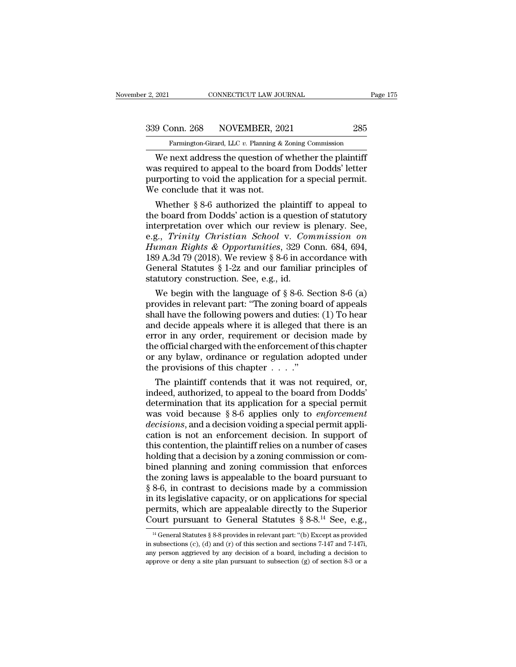2, 2021 CONNECTICUT LAW JOURNAL Page 175<br>339 Conn. 268 NOVEMBER, 2021 285<br>Farmington-Girard, LLC v. Planning & Zoning Commission

Farmington-Girard, LLC *v.* Planning & Zoning Commission<br>
We next address the question of whether the plaintiff EXECUTE 2021 CONNECTICUT LAW JOURNAL Page 17<br>
9 Conn. 268 NOVEMBER, 2021 285<br>
Farmington-Girard, LLC v. Planning & Zoning Commission<br>
We next address the question of whether the plaintiff<br>
as required to appeal to the boar 339 Conn. 268 NOVEMBER, 2021 285<br>
Farmington-Girard, LLC v. Planning & Zoning Commission<br>
We next address the question of whether the plaintiff<br>
was required to appeal to the board from Dodds' letter<br>
purporting to void th 339 Conn. 268 NOVEMBER, 2021 285<br>
Farmington-Girard, LLC v. Planning & Zoning Commission<br>
We next address the question of whether the plaintiff<br>
was required to appeal to the board from Dodds' letter<br>
purporting to void t 339 Conn. 268 NOVEMBER, 20<br>
Farmington-Girard, LLC v. Planning &<br>
We next address the question of<br>
was required to appeal to the boar<br>
purporting to void the application<br>
We conclude that it was not.<br>
Whether § 8-6 author Farmington-Girard, LLC  $v$ . Planning & Zoning Commission<br>We next address the question of whether the plaintiff<br>as required to appeal to the board from Dodds' letter<br>reporting to void the application for a special permit.<br> We next address the question of whether the plaintiff<br>was required to appeal to the board from Dodds' letter<br>purporting to void the application for a special permit.<br>We conclude that it was not.<br>Whether § 8-6 authorized t

We next address the question of whether the plaintiff<br>was required to appeal to the board from Dodds' letter<br>purporting to void the application for a special permit.<br>We conclude that it was not.<br>Whether  $\S 8{\text -}6$  authori was required to appeal to the board from Dodds' letter<br>purporting to void the application for a special permit.<br>We conclude that it was not.<br>Whether § 8-6 authorized the plaintiff to appeal to<br>the board from Dodds' action purporting to void the application for a special permit.<br>
We conclude that it was not.<br>
Whether § 8-6 authorized the plaintiff to appeal to<br>
the board from Dodds' action is a question of statutory<br>
interpretation over whic We conclude that it was not.<br>
Whether § 8-6 authorized the plaintiff to appeal to<br>
the board from Dodds' action is a question of statutory<br>
interpretation over which our review is plenary. See,<br>
e.g., *Trinity Christian S* Whether § 8-6 authorized the plaintiff to appeal to<br>the board from Dodds' action is a question of statutory<br>interpretation over which our review is plenary. See,<br>e.g., *Trinity Christian School v. Commission on*<br>Human Rig the board from Dodds' action is a question<br>interpretation over which our review is<br>e.g., *Trinity Christian School v. Con*<br>Human Rights & Opportunities, 329 Co<br>189 A.3d 79 (2018). We review § 8-6 in acc<br>General Statutes § terpretation over which our review is plenary. See,<br>g., *Trinity Christian School v. Commission on*<br>uman Rights & Opportunities, 329 Conn. 684, 694,<br>9 A.3d 79 (2018). We review § 8-6 in accordance with<br>eneral Statutes § 1 e.g., Trinity Christian School v. Commission on<br>Human Rights & Opportunities, 329 Conn. 684, 694,<br>189 A.3d 79 (2018). We review § 8-6 in accordance with<br>General Statutes § 1-2z and our familiar principles of<br>statutory con

Human Rights & Opportunities, 329 Conn. 684, 694, 189 A.3d 79 (2018). We review § 8-6 in accordance with General Statutes § 1-2z and our familiar principles of statutory construction. See, e.g., id.<br>We begin with the lang 189 A.3d 79 (2018). We review § 8-6 in accordance with<br>General Statutes § 1-2z and our familiar principles of<br>statutory construction. See, e.g., id.<br>We begin with the language of § 8-6. Section 8-6 (a)<br>provides in relevan General Statutes § 1-2z and our familiar principles of<br>statutory construction. See, e.g., id.<br>We begin with the language of § 8-6. Section 8-6 (a)<br>provides in relevant part: "The zoning board of appeals<br>shall have the fol statutory construction. See, e.g., id.<br>
We begin with the language of § 8-6. Section 8-6 (a)<br>
provides in relevant part: "The zoning board of appeals<br>
shall have the following powers and duties: (1) To hear<br>
and decide app We begin with the language of  $\S 8-6$ . Section  $8-6$  (a)<br>provides in relevant part: "The zoning board of appeals<br>shall have the following powers and duties: (1) To hear<br>and decide appeals where it is alleged that there is provides in relevant part: "The zoning board of appeals shall have the following powers and duties: (1) To hear and decide appeals where it is alleged that there is an error in any order, requirement or decision made by t all have the following powers and duties: (1) To hear<br>d decide appeals where it is alleged that there is an<br>ror in any order, requirement or decision made by<br>e official charged with the enforcement of this chapter<br>any byl and decide appeals where it is alleged that there is an<br>error in any order, requirement or decision made by<br>the official charged with the enforcement of this chapter<br>or any bylaw, ordinance or regulation adopted under<br>the

error in any order, requirement or decision made by<br>the official charged with the enforcement of this chapter<br>or any bylaw, ordinance or regulation adopted under<br>the provisions of this chapter  $\dots$ ."<br>The plaintiff contend the official charged with the enforcement of this chapter<br>or any bylaw, ordinance or regulation adopted under<br>the provisions of this chapter  $\dots$ ."<br>The plaintiff contends that it was not required, or,<br>indeed, authorized, or any bylaw, ordinance or regulation adopted under<br>the provisions of this chapter . . . ."<br>The plaintiff contends that it was not required, or,<br>indeed, authorized, to appeal to the board from Dodds'<br>determination that its the provisions of this chapter  $\dots$ ..."<br>The plaintiff contends that it was not required, or,<br>indeed, authorized, to appeal to the board from Dodds'<br>determination that its application for a special permit<br>was void because The plaintiff contends that it was not required, or,<br>indeed, authorized, to appeal to the board from Dodds'<br>determination that its application for a special permit<br>was void because § 8-6 applies only to *enforcement*<br>decis indeed, authorized, to appeal to the board from Dodds'<br>determination that its application for a special permit<br>was void because  $\S 8-6$  applies only to *enforcement*<br>decisions, and a decision voiding a special permit appl determination that its application for a special permit<br>was void because § 8-6 applies only to *enforcement*<br>decisions, and a decision voiding a special permit appli-<br>cation is not an enforcement decision. In support of<br>t was void because § 8-6 applies only to *enforcement*<br>decisions, and a decision voiding a special permit appli-<br>cation is not an enforcement decision. In support of<br>this contention, the plaintiff relies on a number of case decisions, and a decision voiding a special permit application is not an enforcement decision. In support of<br>this contention, the plaintiff relies on a number of cases<br>holding that a decision by a zoning commission or comcation is not an enforcement decision. In support of<br>this contention, the plaintiff relies on a number of cases<br>holding that a decision by a zoning commission or com-<br>bined planning and zoning commission that enforces<br>the this contention, the plaintiff relies on a number of cases<br>holding that a decision by a zoning commission or com-<br>bined planning and zoning commission that enforces<br>the zoning laws is appealable to the board pursuant to<br>holding that a decision by a zoning commission or com-<br>bined planning and zoning commission that enforces<br>the zoning laws is appealable to the board pursuant to<br>§ 8-6, in contrast to decisions made by a commission<br>in its 8-6, in contrast to decisions made by a commission<br>its legislative capacity, or on applications for special<br>ermits, which are appealable directly to the Superior<br>ourt pursuant to General Statutes § 8-8.<sup>14</sup> See, e.g.,<br><sup>14</sup> in its legislative capacity, or on applications for special<br>permits, which are appealable directly to the Superior<br>Court pursuant to General Statutes § 8-8.<sup>14</sup> See, e.g.,<br><sup>14</sup> General Statutes § 8-8 provides in relevant

permits, which are appealable directly to the Superior<br>Court pursuant to General Statutes § 8-8.<sup>14</sup> See, e.g.,<br><sup>14</sup> General Statutes § 8-8 provides in relevant part: "(b) Except as provided<br>in subsections (c), (d) and (r Court pursuant to General Statutes § 8-8.<sup>14</sup> See, e.g.,<br>
<sup>14</sup> General Statutes § 8-8 provides in relevant part: "(b) Except as provided<br>
in subsections (c), (d) and (r) of this section and sections 7-147 and 7-147i,<br>
any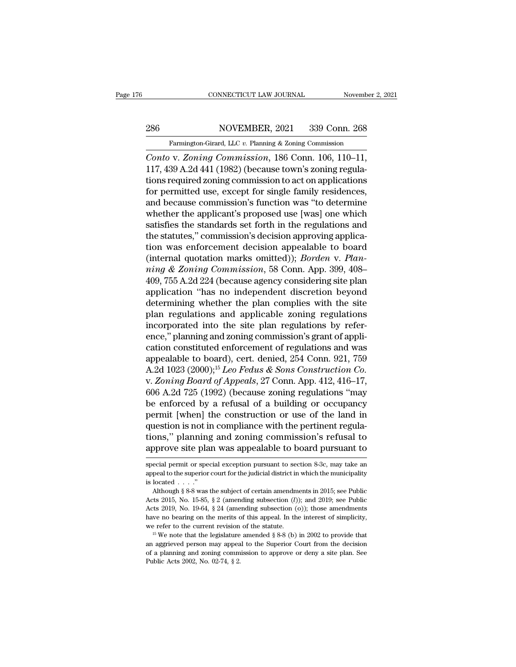### EXECUTE CONNECTICUT LAW JOURNAL November 2, 2021<br>NOVEMBER, 2021 339 Conn. 268<br>Farmington-Girard, LLC *v.* Planning & Zoning Commission

# EXECUTE CONNECTICUT LAW JOURNAL Movember 2, 2021<br>286 NOVEMBER, 2021 339 Conn. 268<br>Farmington-Girard, LLC v. Planning & Zoning Commission

*CONNECTICUT LAW JOURNAL* Movember 2, 2<br>
286 MOVEMBER, 2021 339 Conn. 268<br> *Farmington-Girard, LLC v. Planning & Zoning Commission*<br> *Conto* v. *Zoning Commission*, 186 Conn. 106, 110–11, 117, 439 A.2d 441 (1982) (because 286 NOVEMBER, 2021 339 Conn. 268<br>Farmington-Girard, LLC v. Planning & Zoning Commission<br>Conto v. Zoning Commission, 186 Conn. 106, 110–11,<br>117, 439 A.2d 441 (1982) (because town's zoning regula-<br>tions required zoning comm 286 NOVEMBER, 2021 339 Conn. 268<br>
Farmington-Girard, LLC v. Planning & Zoning Commission<br>
Conto v. Zoning Commission, 186 Conn. 106, 110–11,<br>
117, 439 A.2d 441 (1982) (because town's zoning regula-<br>
tions required zoning 286 NOVEMBER, 2021 339 Conn. 268<br>
Farmington-Girard, LLC v. Planning & Zoning Commission<br>
Conto v. Zoning Commission, 186 Conn. 106, 110–11,<br>
117, 439 A.2d 441 (1982) (because town's zoning regula-<br>
tions required zoning Farmington-Girard, LLC v. Planning & Zoning Commission<br>
Conto v. Zoning Commission, 186 Conn. 106, 110–11,<br>
117, 439 A.2d 441 (1982) (because town's zoning regula-<br>
tions required zoning commission to act on applications<br> Familigan-Girard, ELC v. Framing & Zoning Commission<br>Conto v. Zoning Commission, 186 Conn. 106, 110–11,<br>117, 439 A.2d 441 (1982) (because town's zoning regula-<br>tions required zoning commission to act on applications<br>for p Conto v. Zoning Commission, 186 Conn. 106, 110–11,<br>117, 439 A.2d 441 (1982) (because town's zoning regula-<br>tions required zoning commission to act on applications<br>for permitted use, except for single family residences,<br>and 117, 439 A.2d 441 (1982) (because town's zoning regulations required zoning commission to act on applications<br>for permitted use, except for single family residences,<br>and because commission's function was "to determine<br>whe tions required zoning commission to act on applications<br>for permitted use, except for single family residences,<br>and because commission's function was "to determine<br>whether the applicant's proposed use [was] one which<br>sati for permitted use, except for single family residences,<br>and because commission's function was "to determine<br>whether the applicant's proposed use [was] one which<br>satisfies the standards set forth in the regulations and<br>the and because commission's function was "to determine<br>whether the applicant's proposed use [was] one which<br>satisfies the standards set forth in the regulations and<br>the statutes," commission's decision approving applica-<br>tion whether the applicant's proposed use [was] one which<br>satisfies the standards set forth in the regulations and<br>the statutes," commission's decision approving applica-<br>tion was enforcement decision appealable to board<br>(inter satisfies the standards set forth in the regulations and<br>the statutes," commission's decision approving applica-<br>tion was enforcement decision appealable to board<br>(internal quotation marks omitted)); *Borden* v. Plan-<br>ning the statutes," commission's decision approving applica-<br>tion was enforcement decision appealable to board<br>(internal quotation marks omitted)); *Borden v. Plan-*<br>ning & Zoning Commission, 58 Conn. App. 399, 408-<br>409, 755 A. tion was enforcement decision appealable to board<br>(internal quotation marks omitted)); *Borden* v. *Plan-*<br>*ning & Zoning Commission*, 58 Conn. App. 399, 408–<br>409, 755 A.2d 224 (because agency considering site plan<br>applica (internal quotation marks omitted)); *Borden v. Planning & Zoning Commission*, 58 Conn. App. 399, 408–409, 755 A.2d 224 (because agency considering site plan application "has no independent discretion beyond determining w ming & Zoning Commission, 58 Conn. App. 399, 408–409, 755 A.2d 224 (because agency considering site plan<br>application "has no independent discretion beyond<br>determining whether the plan complies with the site<br>plan regulatio 409, 755 A.2d 224 (because agency considering site plan<br>application "has no independent discretion beyond<br>determining whether the plan complies with the site<br>plan regulations and applicable zoning regulations<br>incorporated application "has no independent discretion beyond<br>determining whether the plan complies with the site<br>plan regulations and applicable zoning regulations<br>incorporated into the site plan regulations by refer-<br>ence," plannin determining whether the plan complies with the site<br>plan regulations and applicable zoning regulations<br>incorporated into the site plan regulations by refer-<br>ence," planning and zoning commission's grant of appli-<br>cation co plan regulations and applicable zoning regulations<br>incorporated into the site plan regulations by refer-<br>ence," planning and zoning commission's grant of appli-<br>cation constituted enforcement of regulations and was<br>appeala incorporated into the site plan regulations by refer-<br>ence," planning and zoning commission's grant of appli-<br>cation constituted enforcement of regulations and was<br>appealable to board), cert. denied, 254 Conn. 921, 759<br>A. ence," planning and zoning commission's grant of application constituted enforcement of regulations and was<br>appealable to board), cert. denied, 254 Conn. 921, 759<br>A.2d 1023 (2000);<sup>15</sup> *Leo Fedus & Sons Construction Co.*<br> cation constituted enforcement of regulations and was<br>appealable to board), cert. denied, 254 Conn. 921, 759<br>A.2d 1023 (2000);<sup>15</sup> *Leo Fedus & Sons Construction Co.*<br>v. Zoning Board of Appeals, 27 Conn. App. 412, 416–17, appealable to board), cert. denied, 254 Conn. 921, 759<br>A.2d 1023 (2000);<sup>15</sup> *Leo Fedus & Sons Construction Co.*<br>v. Zoning Board of Appeals, 27 Conn. App. 412, 416–17,<br>606 A.2d 725 (1992) (because zoning regulations "may<br> A.2d 1023 (2000);<sup>15</sup> *Leo Fedus & Sons Construction Co.*<br>v. Zoning Board of Appeals, 27 Conn. App. 412, 416–17,<br>606 A.2d 725 (1992) (because zoning regulations "may<br>be enforced by a refusal of a building or occupancy<br>per v. Zoning Board of Appeals, 27 Conn. App. 412, 416–17, 606 A.2d 725 (1992) (because zoning regulations "may<br>be enforced by a refusal of a building or occupancy<br>permit [when] the construction or use of the land in<br>question permit [when] the construction or use of the land in question is not in compliance with the pertinent regulations," planning and zoning commission's refusal to approve site plan was appealable to board pursuant to special question is not in compliance with the pertinent regulations," planning and zoning commission's refusal to approve site plan was appealable to board pursuant to special permit or special exception pursuant to section 8-3c,

tions," planning<br>approve site pla<br>special permit or spec<br>appeal to the superior<br>is located . . . ."<br>Although § 8-8 was t

**approve site plan was appealable to board pursuant to**<br>special permit or special exception pursuant to section 8-3c, may take an<br>appeal to the superior court for the judicial district in which the municipality<br>is located Approve site plant was appearance to board pursuant to<br>special permit or special exception pursuant to section 8-3c, may take an<br>appeal to the superior court for the judicial district in which the municipality<br>is located . special permit or special exception pursuant to section 8-3c, may take an appeal to the superior court for the judicial district in which the municipality is located . . . ."<br>Although § 8-8 was the subject of certain amen appeal to the superior court for the judicial district in which the municipality is located . . . ."<br>Although § 8-8 was the subject of certain amendments in 2015; see Public Acts 2015, No. 15-85, § 2 (amending subsection is located . . . ."<br>Although § 8-8 was the subject of certain amendments in 2015; see Public<br>Acts 2015, No. 15-85, § 2 (amending subsection (0)); and 2019; see Public<br>Acts 2019, No. 19-64, § 24 (amending subsection (o)); Acts 2015, No. 15-85, § 2 (amending subsection (*l*)); and 2019; see Public Acts 2019, No. 15-65, § 2 (amending subsection (*l*)); and 2019; see Public Acts 2019, No. 19-64, § 24 (amending subsection (o)); those amendment

Acts 2019, No. 19-64, § 24 (amending subsection (o)); those amendments have no bearing on the merits of this appeal. In the interest of simplicity, we refer to the current revision of the statute.<br><sup>15</sup> We note that the le have no bearing on the merits of this appeal. In the interest of simplicity, we refer to the current revision of the statute.<br><sup>15</sup> We note that the legislature amended  $\S 8-8$  (b) in 2002 to provide that an aggrieved pers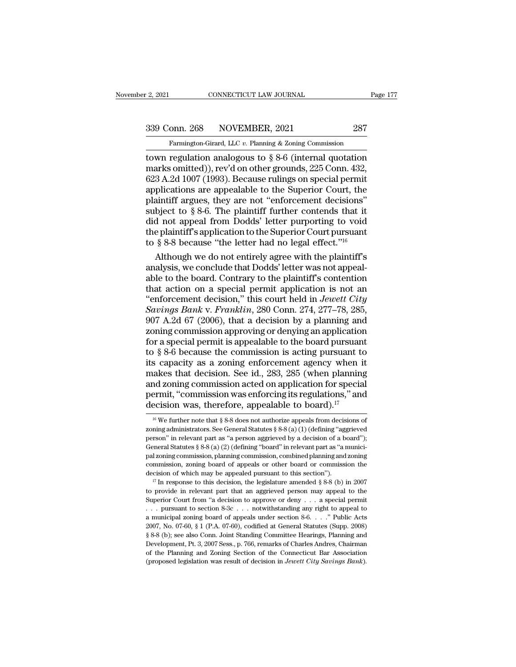2, 2021 CONNECTICUT LAW JOURNAL Page 177<br>339 Conn. 268 NOVEMBER, 2021 287<br>Farmington-Girard, LLC v. Planning & Zoning Commission

Farmington-Girard, LLC *v.* Planning & Zoning Commission<br>
Farmington-Girard, LLC *v.* Planning & Zoning Commission<br>
Town regulation analogous to § 8-6 (internal quotation to a 2021 CONNECTICUT LAW JOURNAL Page 177<br>
339 Conn. 268 NOVEMBER, 2021 287<br>
Farmington-Girard, LLC v. Planning & Zoning Commission<br>
town regulation analogous to § 8-6 (internal quotation<br>
marks omitted)), rev'd on other 339 Conn. 268 NOVEMBER, 2021 287<br>
Farmington-Girard, LLC v. Planning & Zoning Commission<br>
town regulation analogous to § 8-6 (internal quotation<br>
marks omitted)), rev'd on other grounds, 225 Conn. 432,<br>623 A.2d 1007 (1993) 339 Conn. 268 NOVEMBER, 2021 287<br>
Farmington-Girard, LLC v. Planning & Zoning Commission<br>
town regulation analogous to  $\S 8-6$  (internal quotation<br>
marks omitted)), rev'd on other grounds, 225 Conn. 432,<br>
623 A.2d 1007 (1 339 Conn. 268 NOVEMBER, 2021 287<br>
Farmington-Girard, LLC v. Planning & Zoning Commission<br>
town regulation analogous to  $\S 8{\text -}6$  (internal quotation<br>
marks omitted)), rev'd on other grounds, 225 Conn. 432,<br>
623 A.2d 1007 Farmington-Girard, LLC v. Planning & Zoning Commission<br>
town regulation analogous to  $\S 8-6$  (internal quotation<br>
marks omitted)), rev'd on other grounds, 225 Conn. 432,<br>
623 A.2d 1007 (1993). Because rulings on special p Farmington-Girard, LLC v. Planning & Zoning Commission<br>town regulation analogous to § 8-6 (internal quotation<br>marks omitted)), rev'd on other grounds, 225 Conn. 432,<br>623 A.2d 1007 (1993). Because rulings on special permit town regulation analogous to  $\S 8{\text -}6$  (internal quotation<br>marks omitted)), rev'd on other grounds, 225 Conn. 432,<br>623 A.2d 1007 (1993). Because rulings on special permit<br>applications are appealable to the Superior Court marks omitted)), rev'd on other grounds, 225 Conn. 432, 623 A.2d 1007 (1993). Because rulings on special permit applications are appealable to the Superior Court, the plaintiff argues, they are not "enforcement decisions" 623 A.2d 1007 (1993). Because rulings on special permit applications are appealable to the Superior Court, the plaintiff argues, they are not "enforcement decisions" subject to § 8-6. The plaintiff further contends that i plications are appealable to the Superior Court, the<br>aintiff argues, they are not "enforcement decisions"<br>bject to § 8-6. The plaintiff further contends that it<br>d not appeal from Dodds' letter purporting to void<br>e plaintif plaintiff argues, they are not "enforcement decisions"<br>subject to § 8-6. The plaintiff further contends that it<br>did not appeal from Dodds' letter purporting to void<br>the plaintiff's application to the Superior Court pursua

subject to § 8-6. The plaintiff further contends that it<br>did not appeal from Dodds' letter purporting to void<br>the plaintiff's application to the Superior Court pursuant<br>to § 8-8 because "the letter had no legal effect."<sup>1</sup> did not appeal from Dodds' letter purporting to void<br>the plaintiff's application to the Superior Court pursuant<br>to § 8-8 because "the letter had no legal effect."<sup>16</sup><br>Although we do not entirely agree with the plaintiff's the plaintiff's application to the Superior Court pursuant<br>to § 8-8 because "the letter had no legal effect."<sup>16</sup><br>Although we do not entirely agree with the plaintiff's<br>analysis, we conclude that Dodds' letter was not appe to § 8-8 because "the letter had no legal effect."<sup>16</sup><br>Although we do not entirely agree with the plaintiff's<br>analysis, we conclude that Dodds' letter was not appeal-<br>able to the board. Contrary to the plaintiff's contenti Although we do not entirely agree with the plaintiff's<br>analysis, we conclude that Dodds' letter was not appeal-<br>able to the board. Contrary to the plaintiff's contention<br>that action on a special permit application is not a analysis, we conclude that Dodds' letter was not appeal-<br>able to the board. Contrary to the plaintiff's contention<br>that action on a special permit application is not an<br>"enforcement decision," this court held in *Jewett Ci* able to the board. Contrary to the plaintiff's contention<br>that action on a special permit application is not an<br>"enforcement decision," this court held in *Jewett City*<br>Savings Bank v. Franklin, 280 Conn. 274, 277–78, 285 that action on a special permit application is not an<br>
"enforcement decision," this court held in *Jewett City*<br>
Savings Bank v. Franklin, 280 Conn. 274, 277–78, 285,<br>
907 A.2d 67 (2006), that a decision by a planning and "enforcement decision," this court held in *Jewett City*<br>
Savings Bank v. Franklin, 280 Conn. 274, 277–78, 285,<br>
907 A.2d 67 (2006), that a decision by a planning and<br>
zoning commission approving or denying an application Savings Bank v. Franklin, 280 Conn. 274, 277–78, 285, 907 A.2d 67 (2006), that a decision by a planning and zoning commission approving or denying an application for a special permit is appealable to the board pursuant to 907 A.2d 67 (2006), that a decision by a planning and<br>zoning commission approving or denying an application<br>for a special permit is appealable to the board pursuant<br>to § 8-6 because the commission is acting pursuant to<br>it zoning commission approving or denying an application<br>for a special permit is appealable to the board pursuant<br>to  $\S 8{\text -}6$  because the commission is acting pursuant to<br>its capacity as a zoning enforcement agency when it for a special permit is appealable to the board pursuant to § 8-6 because the commission is acting pursuant to its capacity as a zoning enforcement agency when is makes that decision. See id., 283, 285 (when planning and aakes that decision. See id., 283, 285 (when planning<br>nd zoning commission acted on application for special<br>ermit, "commission was enforcing its regulations," and<br>ecision was, therefore, appealable to board).<sup>17</sup><br><sup>16</sup> We and zoning commission acted on application for special<br>permit, "commission was enforcing its regulations," and<br>decision was, therefore, appealable to board).<sup>17</sup><br><sup>16</sup> We further note that § 8-8 does not authorize appeals

permit, "commission was enforcing its regulations," and<br>decision was, therefore, appealable to board).<sup>17</sup><br><sup>16</sup> We further note that § 8-8 does not authorize appeals from decisions of<br>zoning administrators. See General St decision was, therefore, appealable to board).<sup>17</sup><br>
<sup>16</sup> We further note that § 8-8 does not authorize appeals from decisions of zoning administrators. See General Statutes § 8-8 (a) (1) (defining "aggrieved person" in re dectision was, therefore, appealable to board).<br>
<sup>16</sup> We further note that § 8-8 does not authorize appeals from decisions of zoning administrators. See General Statutes § 8-8 (a) (1) (defining "aggrieved person" in relev <sup>16</sup> We further note that § 8-8 does not authorize appeals from decisions of zoning administrators. See General Statutes § 8-8 (a) (1) (defining "aggrieved person" in relevant part as "a person aggrieved by a decision of zoning administrators. See General Statutes § 8-8 (a) (1) (defining "aggrieved<br>person" in relevant part as "a person aggrieved by a decision of a board");<br>General Statutes § 8-8 (a) (2) (defining "board" in relevant part General Statutes § 8-8 (a) (2) (defining "board" in relevant part as "a munici-<br>pal zoning commission, planning commission, combined planning and zoning<br>commission, zoning board of appeals or other board or commission the

pal zoning commission, planning commission, combined planning and zoning commission, zoning board of appeals or other board or commission the decision of which may be appealed pursuant to this section").<br><sup>17</sup> In response commission, zoning board of appeals or other board or commission the decision of which may be appealed pursuant to this section").<br>
<sup>17</sup> In response to this decision, the legislature amended § 8-8 (b) in 2007 to provide i decision of which may be appealed pursuant to this section").<br>
<sup>17</sup> In response to this decision, the legislature amended § 8-8 (b) in 2007<br>
to provide in relevant part that an aggrieved person may appeal to the<br>
Superior <sup>17</sup> In response to this decision, the legislature amended § 8-8 (b) in 2007<br><sup>17</sup> In response to this decision, the legislature amended § 8-8 (b) in 2007<br>to provide in relevant part that an aggrieved person may appeal to from the provide in relevant part that an aggrieved person may appeal to the Superior Court from "a decision to approve or deny . . . a special permit . . . pursuant to section 8-3c . . . notwithstanding any right to appea Superior Court from "a decision to approve or deny . . . a special permit . . . pursuant to section 8-3c . . . notwithstanding any right to appeal to a municipal zoning board of appeals under section 8-6. . . . " Public A of the Planning and Zoning Section 8-3c ... notwithstanding any right to appeal to a municipal zoning board of appeals under section 8-6. . . ." Public Acts 2007, No. 07-60, § 1 (P.A. 07-60), codified at General Statutes ... pursuant to section 8-3c ... notwithstanding any right to appeal to a municipal zoning board of appeals under section 8-6. ..." Public Acts 2007, No. 07-60, § 1 (P.A. 07-60), codified at General Statutes (Supp. 2008)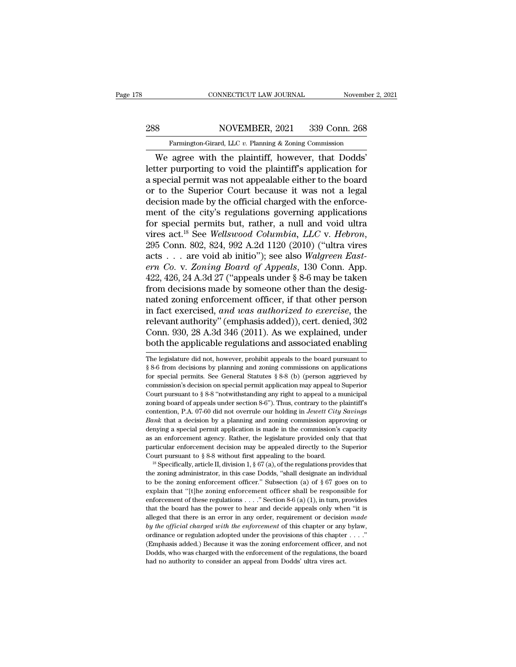# EXECUTE CONNECTICUT LAW JOURNAL Movember 2, 2021<br>288 NOVEMBER, 2021 339 Conn. 268<br>Farmington-Girard, LLC v. Planning & Zoning Commission

Farmington-Girard, LLC *v.* Planning & Zoning Commission<br>
Farmington-Girard, LLC *v.* Planning & Zoning Commission<br>
We agree with the plaintiff, however, that Dodds' CONNECTICUT LAW JOURNAL November 2, 2<br>
S<br>
WOVEMBER, 2021 339 Conn. 268<br>
Farmington-Girard, LLC v. Planning & Zoning Commission<br>
We agree with the plaintiff, however, that Dodds'<br>
ter purporting to void the plaintiff's appl MOVEMBER, 2021 339 Conn. 268<br>
Farmington-Girard, LLC v. Planning & Zoning Commission<br>
We agree with the plaintiff, however, that Dodds'<br>
letter purporting to void the plaintiff's application for<br>
a special permit was not a 288 NOVEMBER, 2021 339 Conn. 268<br>
Farmington-Girard, LLC v. Planning & Zoning Commission<br>
We agree with the plaintiff, however, that Dodds'<br>
letter purporting to void the plaintiff's application for<br>
a special permit was 288 NOVEMBER, 2021 339 Conn. 268<br>
Farmington-Girard, LLC  $v$ . Planning & Zoning Commission<br>
We agree with the plaintiff, however, that Dodds'<br>
letter purporting to void the plaintiff's application for<br>
a special permit wa Farmington-Girard, LLC v. Planning & Zoning Commission<br>We agree with the plaintiff, however, that Dodds'<br>letter purporting to void the plaintiff's application for<br>a special permit was not appealable either to the board<br>or Farmington-Grard, LLC v. Planning & Zoning Commission<br>
We agree with the plaintiff, however, that Dodds'<br>
letter purporting to void the plaintiff's application for<br>
a special permit was not appealable either to the board<br> We agree with the plaintiff, however, that Dodds'<br>letter purporting to void the plaintiff's application for<br>a special permit was not appealable either to the board<br>or to the Superior Court because it was not a legal<br>decis letter purporting to void the plaintiff's application for<br>a special permit was not appealable either to the board<br>or to the Superior Court because it was not a legal<br>decision made by the official charged with the enforce-<br> or to the Superior Court because it was not a legal<br>decision made by the official charged with the enforce-<br>ment of the city's regulations governing applications<br>for special permits but, rather, a null and void ultra<br>vires decision made by the official charged with the enforce-<br>ment of the city's regulations governing applications<br>for special permits but, rather, a null and void ultra<br>vires act.<sup>18</sup> See *Wellswood Columbia, LLC* v. *Hebron*, ment of the city's regulations governing applications<br>for special permits but, rather, a null and void ultra<br>vires act.<sup>18</sup> See *Wellswood Columbia, LLC* v. *Hebron*,<br>295 Conn. 802, 824, 992 A.2d 1120 (2010) ("ultra vires<br> for special permits but, rather, a null and void ultra<br>vires act.<sup>18</sup> See *Wellswood Columbia*, *LLC* v. *Hebron*,<br>295 Conn. 802, 824, 992 A.2d 1120 (2010) ("ultra vires<br>acts . . . are void ab initio"); see also *Walgreen* vires act.<sup>18</sup> See *Wellswood Columbia, LLC* v. *Hebron,*<br>295 Conn. 802, 824, 992 A.2d 1120 (2010) ("ultra vires<br>acts . . . are void ab initio"); see also *Walgreen East-<br>ern Co.* v. *Zoning Board of Appeals*, 130 Conn. A 295 Conn. 802, 824, 992 A.2d 1120 (2010) ("ultra vires<br>acts . . . are void ab initio"); see also *Walgreen East-*<br>*ern Co.* v. *Zoning Board of Appeals*, 130 Conn. App.<br>422, 426, 24 A.3d 27 ("appeals under § 8-6 may be tak acts . . . are void ab initio"); see also Walgreen East-<br>ern Co. v. Zoning Board of Appeals, 130 Conn. App.<br>422, 426, 24 A.3d 27 ("appeals under § 8-6 may be taken<br>from decisions made by someone other than the desig-<br>nated ern Co. v. Zoning Board of Appeals, 130 Conn. App.<br>422, 426, 24 A.3d 27 ("appeals under § 8-6 may be taken<br>from decisions made by someone other than the desig-<br>nated zoning enforcement officer, if that other person<br>in fact 422, 426, 24 A.3d 27 ("appeals under § 8-6 may be taken<br>from decisions made by someone other than the desig-<br>nated zoning enforcement officer, if that other person<br>in fact exercised, and was authorized to exercise, the<br>re in fact exercised, and was authorized to exercise, the<br>relevant authority" (emphasis added)), cert. denied, 302<br>Conn. 930, 28 A.3d 346 (2011). As we explained, under<br>both the applicable regulations and associated enabling<br> relevant authority" (emphasis added)), cert. denied, 302<br>Conn. 930, 28 A.3d 346 (2011). As we explained, under<br>both the applicable regulations and associated enabling<br>The legislature did not, however, prohibit appeals to t

Conn. 930, 28 A.3d 346 (2011). As we explained, under<br>both the applicable regulations and associated enabling<br>The legislature did not, however, prohibit appeals to the board pursuant to<br> $\S 8-6$  from decisions by planning **both the applicable regulations and associated enabling**<br>The legislature did not, however, prohibit appeals to the board pursuant to<br> $§ 8-6$  from decisions by planning and zoning commissions on applications<br>for special p DOUT LITE appricable Tegulations and associated enabling<br>The legislature did not, however, prohibit appeals to the board pursuant to<br>§ 8-6 from decisions by planning and zoning commissions on applications<br>for special permi The legislature did not, however, prohibit appeals to the board pursuant to  $\S$  8-6 from decisions by planning and zoning commissions on applications for special permits. See General Statutes  $\S$  8-8 (b) (person aggrieved For the distinct of the specifical permits of the distinct of the distinct of the distinct of the commission's decision on special permit application may appeal to Superior Court pursuant to  $\S 8-8$  "notwithstanding any r for special permits. See General Statutes § 8-8 (b) (person aggrieved by commission's decision on special permit application may appeal to Superior Court pursuant to § 8-8 "notwithstanding any right to appeal to a municipa commission's decision on special permit application may appeal to Superior Court pursuant to § 8-8 "notwithstanding any right to appeal to a municipal zoning board of appeals under section 8-6"). Thus, contrary to the pla Court pursuant to § 8-8 "notwithstanding any right to appeal to a municipal<br>zoning board of appeals under section 8-6"). Thus, contrary to the plaintiff's<br>contention, P.A. 07-60 did not overrule our holding in *Jewett Cit* zoning board of appeals under section 8-6"). Thus, contrary to the plaintiff's contention, P.A. 07-60 did not overrule our holding in *Jewett City Savings Bank* that a decision by a planning and zoning commission approv contention, P.A. 07-60 did not overrule our holding in *Jewett City Savings* Bank that a decision by a planning and zoning commission approving or denying a special permit application is made in the commission's capacity Let the zoning a special permit application is made in the commission's capacity as an enforcement agency. Rather, the legislature provided only that that particular enforcement decision may be appealed directly to the Su

as an enforcement agency. Rather, the legislature provided only that that particular enforcement decision may be appealed directly to the Superior Court pursuant to § 8-8 without first appealing to the board.<br><sup>18</sup> Specifi particular enforcement decision may be appealed directly to the Superior Court pursuant to § 8-8 without first appealing to the board.<br><sup>18</sup> Specifically, article II, division 1, § 67 (a), of the regulations provides that Court pursuant to § 8-8 without first appealing to the board.<br><sup>18</sup> Specifically, article II, division 1, § 67 (a), of the regulations provides that the zoning administrator, in this case Dodds, "shall designate an individ <sup>18</sup> Specifically, article II, division 1, § 67(a), of the regulations provides that the zoning administrator, in this case Dodds, "shall designate an individual to be the zoning enforcement officer." Subsection (a) of § Free that the zoning administrator, in this case Dodds, "shall designate an individual<br>to be the zoning enforcement officer." Subsection (a) of § 67 goes on to<br>explain that "[t]he zoning enforcement officer shall be respon to be the zoning enforcement officer." Subsection (a) of  $\S$  67 goes on to explain that "[t]he zoning enforcement officer shall be responsible for enforcement of these regulations . . . ." Section 8-6 (a) (1), in turn, pr explain that "[t]he zoning enforcement officer shall be responsible for enforcement of these regulations . . . ." Section 8-6 (a) (1), in turn, provides that the board has the power to hear and decide appeals only when "i enforcement of these regulations  $\dots$  " Section 8-6 (a) (1), in turn, provides that the board has the power to hear and decide appeals only when "it is alleged that there is an error in any order, requirement or decision that the board has the power to hear and decide appeals only when "it is alleged that there is an error in any order, requirement or decision *made* by the official charged with the enforcement of this chapter or any byla alleged that there is an error in any order, requirement or decision  $made$